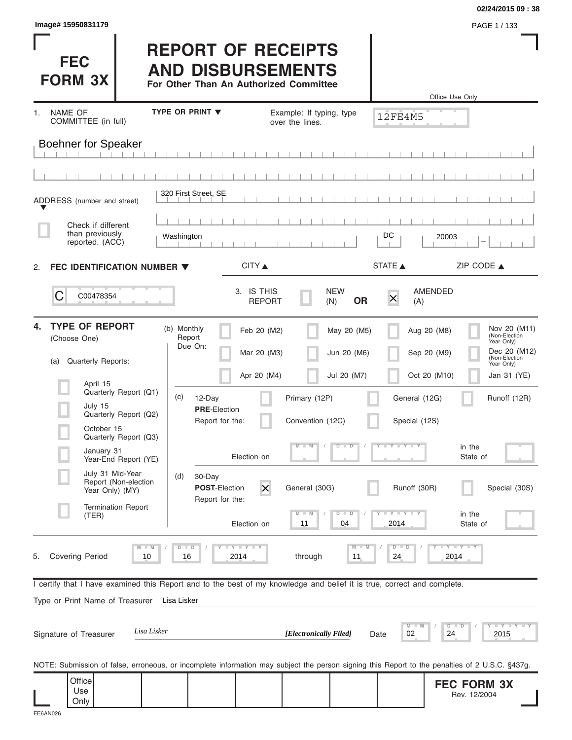| Image# 15950831179                                                                                                                                                      |                                                                                                 |                                                  |                                |                                                | 02/24/2015 09:38<br>PAGE 1 / 133                                                           |
|-------------------------------------------------------------------------------------------------------------------------------------------------------------------------|-------------------------------------------------------------------------------------------------|--------------------------------------------------|--------------------------------|------------------------------------------------|--------------------------------------------------------------------------------------------|
| <b>FEC</b><br><b>FORM 3X</b>                                                                                                                                            | <b>REPORT OF RECEIPTS</b><br><b>AND DISBURSEMENTS</b><br>For Other Than An Authorized Committee |                                                  |                                |                                                | Office Use Only                                                                            |
| NAME OF<br>1.                                                                                                                                                           | <b>TYPE OR PRINT ▼</b>                                                                          | Example: If typing, type                         |                                | 12FE4M5                                        |                                                                                            |
| COMMITTEE (in full)<br><b>Boehner for Speaker</b>                                                                                                                       |                                                                                                 | over the lines.                                  |                                |                                                |                                                                                            |
| ADDRESS (number and street)                                                                                                                                             | 320 First Street, SE                                                                            |                                                  |                                |                                                |                                                                                            |
| Check if different<br>than previously<br>reported. (ACC)                                                                                                                | Washington                                                                                      |                                                  |                                | DC<br>20003                                    |                                                                                            |
| FEC IDENTIFICATION NUMBER $\blacktriangledown$<br>2.                                                                                                                    |                                                                                                 | CITY                                             |                                | STATE A                                        | ZIP CODE $\triangle$                                                                       |
| C<br>C00478354                                                                                                                                                          |                                                                                                 | 3. IS THIS<br><b>REPORT</b>                      | <b>NEW</b><br><b>OR</b><br>(N) | <b>AMENDED</b><br>$\times$<br>(A)              |                                                                                            |
| <b>TYPE OF REPORT</b><br>4.<br>(Choose One)<br>Quarterly Reports:<br>(a)                                                                                                | (b) Monthly<br>Report<br>Due On:                                                                | Feb 20 (M2)<br>Mar 20 (M3)                       | May 20 (M5)<br>Jun 20 (M6)     | Aug 20 (M8)<br>Sep 20 (M9)                     | Nov 20 (M11)<br>(Non-Election<br>Year Only)<br>Dec 20 (M12)<br>(Non-Election<br>Year Only) |
| April 15<br>Quarterly Report (Q1)<br>July 15<br>Quarterly Report (Q2)<br>October 15                                                                                     | (c)<br>12-Day<br><b>PRE-Election</b><br>Report for the:                                         | Apr 20 (M4)<br>Primary (12P)<br>Convention (12C) | Jul 20 (M7)                    | Oct 20 (M10)<br>General (12G)<br>Special (12S) | Jan 31 (YE)<br>Runoff (12R)                                                                |
| Quarterly Report (Q3)<br>January 31<br>Year-End Report (YE)                                                                                                             | Election on                                                                                     | $M - M$                                          | $\overline{D}$<br>$\Box$       | $Y = Y = Y + Y$                                | in the<br>State of                                                                         |
| July 31 Mid-Year<br>Report (Non-election<br>Year Only) (MY)                                                                                                             | (d)<br>30-Day<br>POST-Election<br>Report for the:                                               | $\overline{\mathsf{x}}$<br>General (30G)         |                                | Runoff (30R)                                   | Special (30S)                                                                              |
| <b>Termination Report</b><br>(TER)                                                                                                                                      | Election on                                                                                     | $M - M$<br>11                                    | $D - D$<br>04                  | $Y + Y$<br>2014                                | in the<br>State of                                                                         |
| $M - M$<br><b>Covering Period</b><br>5.<br>10                                                                                                                           | $\Box$<br><b>LYLYLY</b><br>D<br>16<br>2014                                                      | through                                          | $M - M$<br>11                  | $D$ $D$<br>24                                  | $+Y+Y+Y$<br>2014                                                                           |
| I certify that I have examined this Report and to the best of my knowledge and belief it is true, correct and complete.<br>Type or Print Name of Treasurer              | Lisa Lisker                                                                                     |                                                  |                                | $M - M$                                        | $Y = I - Y = I - Y = I$<br>$D$ $D$                                                         |
| Lisa Lisker<br>Signature of Treasurer                                                                                                                                   |                                                                                                 | [Electronically Filed]                           |                                | 02<br>24<br>Date                               | 2015                                                                                       |
| NOTE: Submission of false, erroneous, or incomplete information may subject the person signing this Report to the penalties of 2 U.S.C. §437g.<br>Office<br>Use<br>Only |                                                                                                 |                                                  |                                |                                                | <b>FEC FORM 3X</b><br>Rev. 12/2004                                                         |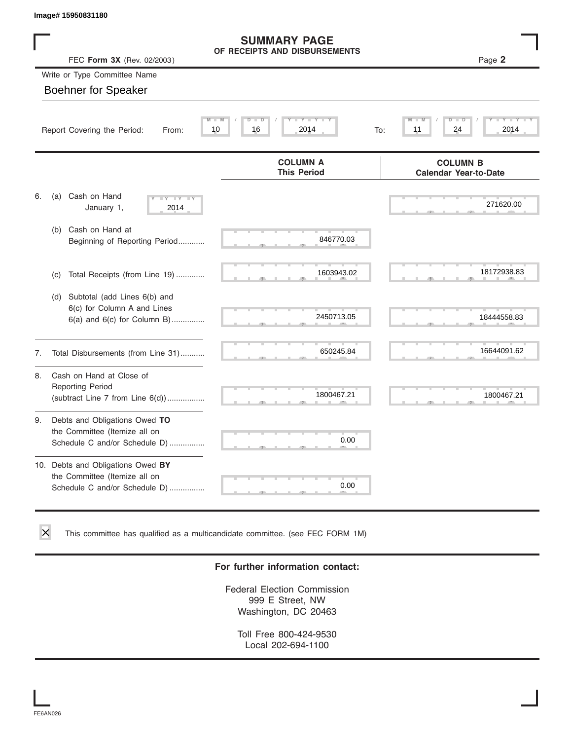|    | Image# 15950831180                                                                                  |                                                      |                                                 |
|----|-----------------------------------------------------------------------------------------------------|------------------------------------------------------|-------------------------------------------------|
|    | FEC Form 3X (Rev. 02/2003)                                                                          | <b>SUMMARY PAGE</b><br>OF RECEIPTS AND DISBURSEMENTS | Page 2                                          |
|    | Write or Type Committee Name                                                                        |                                                      |                                                 |
|    | <b>Boehner for Speaker</b>                                                                          |                                                      |                                                 |
|    | Report Covering the Period:<br>From:                                                                | ъ<br>D<br>10<br>16<br>2014                           | TD.<br>11<br>24<br>2014<br>To:                  |
|    |                                                                                                     | <b>COLUMN A</b><br><b>This Period</b>                | <b>COLUMN B</b><br><b>Calendar Year-to-Date</b> |
| 6. | Cash on Hand<br>(a)<br>$-\gamma$<br>January 1,<br>2014                                              |                                                      | 271620.00                                       |
|    | Cash on Hand at<br>(b)<br>Beginning of Reporting Period                                             | 846770.03                                            |                                                 |
|    | Total Receipts (from Line 19)<br>(c)                                                                | 1603943.02                                           | 18172938.83                                     |
|    | Subtotal (add Lines 6(b) and<br>(d)<br>6(c) for Column A and Lines<br>6(a) and 6(c) for Column B)   | 2450713.05                                           | 18444558.83                                     |
| 7. | Total Disbursements (from Line 31)                                                                  | 650245.84                                            | 16644091.62                                     |
| 8. | Cash on Hand at Close of<br><b>Reporting Period</b><br>(subtract Line $7$ from Line $6(d)$ )        | 1800467.21                                           | 1800467.21                                      |
| 9. | Debts and Obligations Owed TO<br>the Committee (Itemize all on<br>Schedule C and/or Schedule D)     | 0.00                                                 |                                                 |
|    | 10. Debts and Obligations Owed BY<br>the Committee (Itemize all on<br>Schedule C and/or Schedule D) | 0.00                                                 |                                                 |

This committee has qualified as a multicandidate committee. (see FEC FORM 1M)

#### **For further information contact:**

Federal Election Commission 999 E Street, NW Washington, DC 20463

Toll Free 800-424-9530 Local 202-694-1100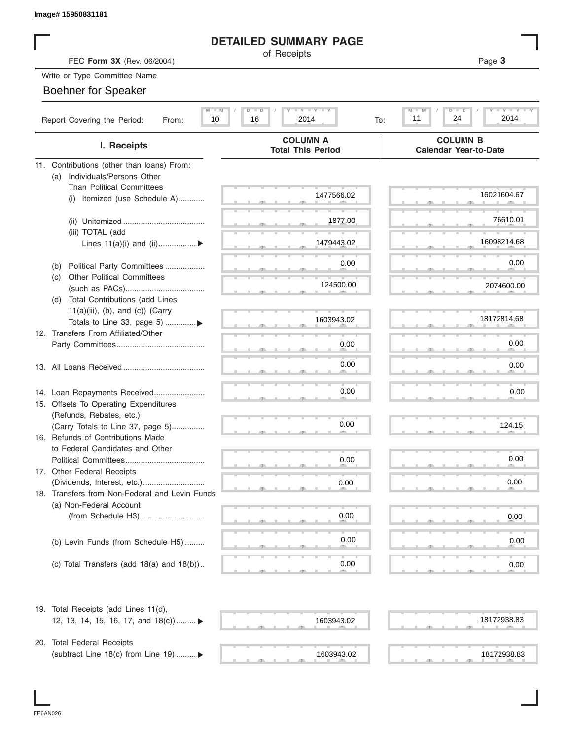#### **DETAILED SUMMARY PAGE**

#### Write or Type Committee Name

| Image# 15950831181                                                     |                                                             |                                                        |
|------------------------------------------------------------------------|-------------------------------------------------------------|--------------------------------------------------------|
|                                                                        | <b>DETAILED SUMMARY PAGE</b>                                |                                                        |
| FEC Form 3X (Rev. 06/2004)                                             | of Receipts                                                 | Page 3                                                 |
| Write or Type Committee Name                                           |                                                             |                                                        |
| <b>Boehner for Speaker</b>                                             |                                                             |                                                        |
|                                                                        |                                                             |                                                        |
| $M - M$<br>Report Covering the Period:<br>10<br>From:                  | $T - Y = T - Y = T - Y$<br>D<br>$\Box$<br>16<br>2014<br>To: | M<br>Y TY<br>$D$ $\Box$<br>-M<br>D<br>24<br>2014<br>11 |
| I. Receipts                                                            | <b>COLUMN A</b><br><b>Total This Period</b>                 | <b>COLUMN B</b><br><b>Calendar Year-to-Date</b>        |
| 11. Contributions (other than loans) From:                             |                                                             |                                                        |
| Individuals/Persons Other<br>(a)                                       |                                                             |                                                        |
| <b>Than Political Committees</b>                                       |                                                             |                                                        |
| Itemized (use Schedule A)<br>(i)                                       | 1477566.02                                                  | 16021604.67                                            |
|                                                                        |                                                             |                                                        |
|                                                                        | 1877.00                                                     | 76610.01                                               |
| (iii) TOTAL (add                                                       |                                                             |                                                        |
| Lines $11(a)(i)$ and $(ii)$                                            | 1479443.02                                                  | 16098214.68                                            |
|                                                                        |                                                             |                                                        |
| Political Party Committees<br>(b)                                      | 0.00                                                        | 0.00                                                   |
| <b>Other Political Committees</b><br>(c)                               | 124500.00                                                   | 2074600.00                                             |
|                                                                        |                                                             |                                                        |
| Total Contributions (add Lines<br>(d)                                  |                                                             |                                                        |
| $11(a)(iii)$ , (b), and (c)) (Carry                                    | 1603943.02                                                  | 18172814.68                                            |
| Totals to Line 33, page 5)<br>12. Transfers From Affiliated/Other      |                                                             |                                                        |
|                                                                        | 0.00                                                        | 0.00                                                   |
|                                                                        |                                                             |                                                        |
|                                                                        | 0.00                                                        | 0.00                                                   |
|                                                                        |                                                             |                                                        |
|                                                                        |                                                             |                                                        |
| 14. Loan Repayments Received                                           | 0.00                                                        | 0.00                                                   |
| 15. Offsets To Operating Expenditures                                  |                                                             |                                                        |
| (Refunds, Rebates, etc.)                                               | 0.00                                                        | 124.15                                                 |
| (Carry Totals to Line 37, page 5)<br>16. Refunds of Contributions Made |                                                             |                                                        |
| to Federal Candidates and Other                                        |                                                             |                                                        |
| Political Committees                                                   | 0.00                                                        | 0.00                                                   |
| 17. Other Federal Receipts                                             |                                                             |                                                        |
|                                                                        | 0.00                                                        | 0.00                                                   |
| 18. Transfers from Non-Federal and Levin Funds                         |                                                             |                                                        |
| (a) Non-Federal Account                                                |                                                             |                                                        |
|                                                                        | 0.00                                                        | 0.00                                                   |
|                                                                        |                                                             |                                                        |
| (b) Levin Funds (from Schedule H5)                                     | 0.00                                                        | 0.00                                                   |
|                                                                        |                                                             |                                                        |
| (c) Total Transfers (add $18(a)$ and $18(b)$ )                         | 0.00                                                        | 0.00                                                   |
|                                                                        |                                                             |                                                        |
| 19. Total Receipts (add Lines 11(d),                                   |                                                             |                                                        |
| 12, 13, 14, 15, 16, 17, and 18(c)) ▶                                   | 1603943.02                                                  | 18172938.83                                            |
|                                                                        |                                                             |                                                        |
| 20. Total Federal Receipts                                             |                                                             |                                                        |
| (subtract Line 18(c) from Line 19)  ▶                                  | 1603943.02                                                  | 18172938.83                                            |
|                                                                        |                                                             |                                                        |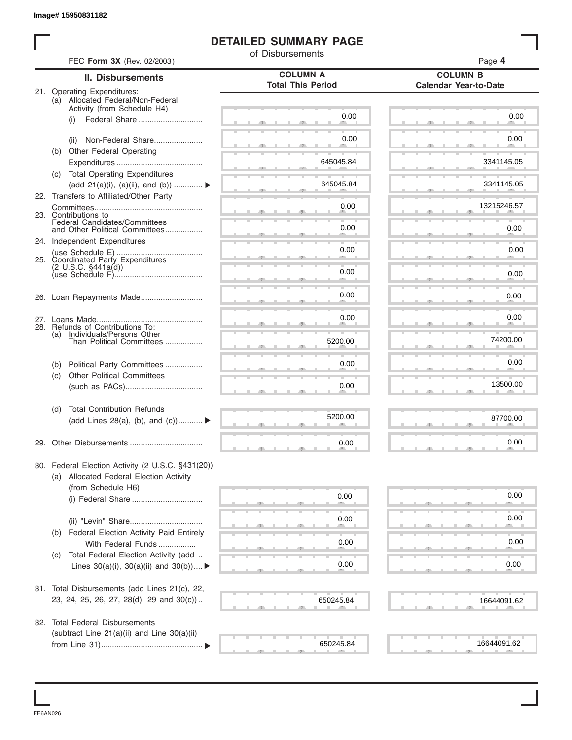#### **DETAILED SUMMARY PAGE**

|                                                                                              | of Disbursements                            |                                                 |
|----------------------------------------------------------------------------------------------|---------------------------------------------|-------------------------------------------------|
| FEC Form 3X (Rev. 02/2003)                                                                   |                                             | Page 4                                          |
| II. Disbursements                                                                            | <b>COLUMN A</b><br><b>Total This Period</b> | <b>COLUMN B</b><br><b>Calendar Year-to-Date</b> |
| 21. Operating Expenditures:<br>(a) Allocated Federal/Non-Federal                             |                                             |                                                 |
| Activity (from Schedule H4)                                                                  |                                             |                                                 |
| Federal Share<br>(i)                                                                         | 0.00                                        | 0.00                                            |
| Non-Federal Share<br>(ii)                                                                    | 0.00                                        | 0.00                                            |
| (b) Other Federal Operating                                                                  |                                             |                                                 |
|                                                                                              | 645045.84                                   | 3341145.05                                      |
| (c) Total Operating Expenditures                                                             |                                             |                                                 |
| (add 21(a)(i), (a)(ii), and (b))                                                             | 645045.84                                   | 3341145.05                                      |
| 22. Transfers to Affiliated/Other Party                                                      |                                             | 13215246.57                                     |
| 23. Contributions to                                                                         | 0.00                                        |                                                 |
| Federal Candidates/Committees<br>and Other Political Committees                              | 0.00                                        | 0.00                                            |
| 24. Independent Expenditures                                                                 |                                             |                                                 |
|                                                                                              | 0.00                                        | 0.00                                            |
| 25. Coordinated Party Expenditures<br>(2 U.S.C. §441a(d))                                    |                                             |                                                 |
|                                                                                              | 0.00                                        | 0.00                                            |
|                                                                                              | 0.00                                        | 0.00                                            |
|                                                                                              |                                             |                                                 |
|                                                                                              | 0.00                                        | 0.00                                            |
| 28. Refunds of Contributions To:<br>Individuals/Persons Other<br>(a)                         |                                             |                                                 |
| Than Political Committees                                                                    | 5200.00                                     | 74200.00                                        |
|                                                                                              |                                             |                                                 |
| Political Party Committees<br>(b)                                                            | 0.00                                        | 0.00                                            |
| <b>Other Political Committees</b><br>(c)                                                     | 0.00                                        | 13500.00                                        |
|                                                                                              |                                             |                                                 |
| <b>Total Contribution Refunds</b><br>(d)                                                     |                                             |                                                 |
| (add Lines 28(a), (b), and (c))                                                              | 5200.00                                     | 87700.00                                        |
|                                                                                              |                                             |                                                 |
|                                                                                              | 0.00                                        | 0.00                                            |
| 30. Federal Election Activity (2 U.S.C. §431(20))<br>(a) Allocated Federal Election Activity |                                             |                                                 |
| (from Schedule H6)                                                                           |                                             |                                                 |
|                                                                                              | 0.00                                        | 0.00                                            |
|                                                                                              |                                             |                                                 |
|                                                                                              | 0.00                                        | 0.00                                            |
| (b) Federal Election Activity Paid Entirely                                                  |                                             | 0.00                                            |
| With Federal Funds<br>Total Federal Election Activity (add                                   | 0.00                                        |                                                 |
| (C)<br>Lines $30(a)(i)$ , $30(a)(ii)$ and $30(b))$                                           | 0.00                                        | 0.00                                            |
|                                                                                              |                                             |                                                 |
| 31. Total Disbursements (add Lines 21(c), 22,                                                |                                             |                                                 |
| 23, 24, 25, 26, 27, 28(d), 29 and 30(c))                                                     | 650245.84                                   | 16644091.62                                     |
|                                                                                              |                                             |                                                 |
| 32. Total Federal Disbursements                                                              |                                             |                                                 |
| (subtract Line 21(a)(ii) and Line 30(a)(ii)                                                  | 650245.84                                   | 16644091.62                                     |

FE6AN026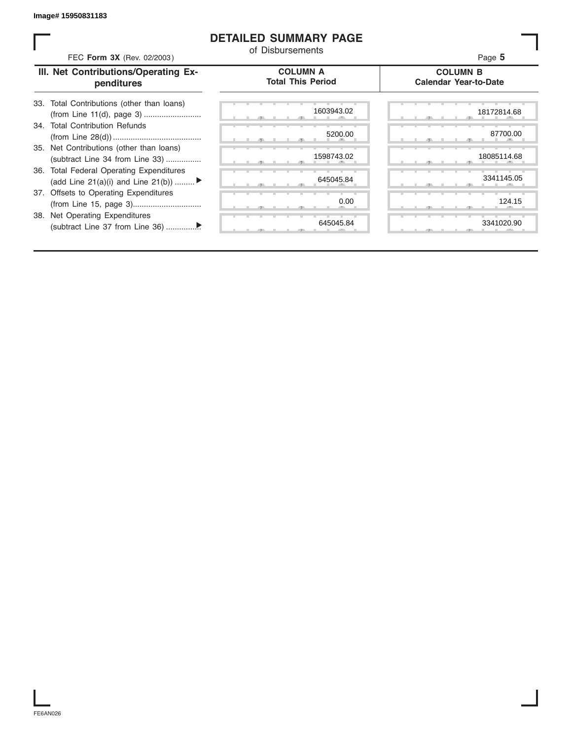#### **DETAILED SUMMARY PAGE**

| FEC Form 3X (Rev. 02/2003)                                                               | <b>DETAILED SUMMARY PAGE</b><br>of Disbursements | Page 5                                          |
|------------------------------------------------------------------------------------------|--------------------------------------------------|-------------------------------------------------|
| III. Net Contributions/Operating Ex-<br>penditures                                       | <b>COLUMN A</b><br><b>Total This Period</b>      | <b>COLUMN B</b><br><b>Calendar Year-to-Date</b> |
| Total Contributions (other than loans)<br>33.                                            | 1603943.02                                       | 18172814.68                                     |
| 34. Total Contribution Refunds                                                           | 5200.00                                          | 87700.00                                        |
| 35. Net Contributions (other than loans)<br>(subtract Line 34 from Line 33)              | 1598743.02                                       | 18085114.68                                     |
| <b>Total Federal Operating Expenditures</b><br>36.<br>(add Line 21(a)(i) and Line 21(b)) | 645045.84                                        | 3341145.05                                      |
| 37. Offsets to Operating Expenditures                                                    | 0.00                                             | 124.15                                          |
| <b>Net Operating Expenditures</b><br>38.                                                 | 645045.84                                        | 3341020.90                                      |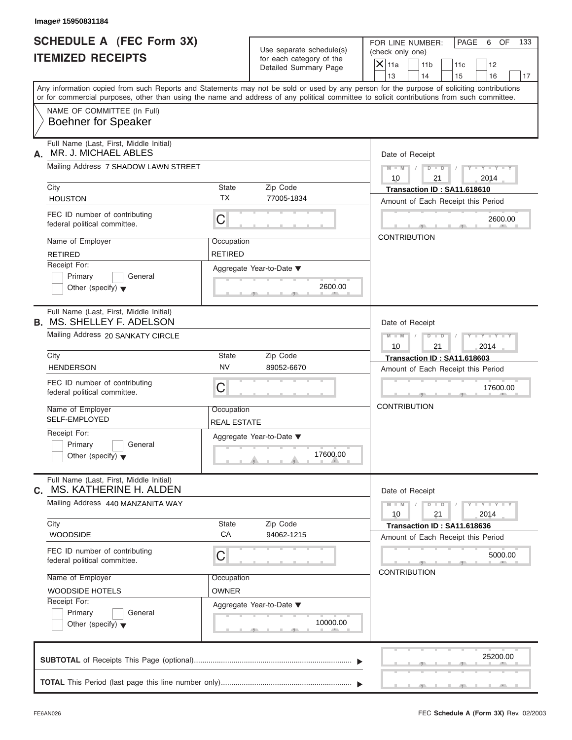FOR LINE NUMBER: PAGE 6 OF<br>(check only one)

| SCHEDULE A (FEC Form 3X)<br><b>ITEMIZED RECEIPTS</b>                        |                                  | Use separate schedule(s)<br>for each category of the<br>Detailed Summary Page | FOR LINE NUMBER:<br>PAGE<br>OF<br>133<br>6<br>(check only one)<br>$X$ 11a<br>11 <sub>b</sub><br>12<br>11c                                                               |
|-----------------------------------------------------------------------------|----------------------------------|-------------------------------------------------------------------------------|-------------------------------------------------------------------------------------------------------------------------------------------------------------------------|
|                                                                             |                                  |                                                                               | 13<br>14<br>15<br>16<br>17<br>Any information copied from such Reports and Statements may not be sold or used by any person for the purpose of soliciting contributions |
|                                                                             |                                  |                                                                               | or for commercial purposes, other than using the name and address of any political committee to solicit contributions from such committee.                              |
| NAME OF COMMITTEE (In Full)<br><b>Boehner for Speaker</b>                   |                                  |                                                                               |                                                                                                                                                                         |
| Full Name (Last, First, Middle Initial)<br>MR. J. MICHAEL ABLES<br>А.       |                                  |                                                                               | Date of Receipt                                                                                                                                                         |
| Mailing Address 7 SHADOW LAWN STREET                                        |                                  |                                                                               | $D$ $D$<br>$Y = Y$<br>$M - M$<br>10<br>21<br>2014                                                                                                                       |
| City                                                                        | <b>State</b>                     | Zip Code                                                                      | Transaction ID: SA11.618610                                                                                                                                             |
| <b>HOUSTON</b>                                                              | <b>TX</b>                        | 77005-1834                                                                    | Amount of Each Receipt this Period                                                                                                                                      |
| FEC ID number of contributing<br>federal political committee.               | C                                |                                                                               | 2600.00                                                                                                                                                                 |
| Name of Employer                                                            | Occupation                       |                                                                               | <b>CONTRIBUTION</b>                                                                                                                                                     |
| <b>RETIRED</b>                                                              | <b>RETIRED</b>                   |                                                                               |                                                                                                                                                                         |
| Receipt For:                                                                |                                  | Aggregate Year-to-Date ▼                                                      |                                                                                                                                                                         |
| Primary<br>General<br>Other (specify) $\blacktriangledown$                  |                                  | 2600.00                                                                       |                                                                                                                                                                         |
| Full Name (Last, First, Middle Initial)<br><b>B. MS. SHELLEY F. ADELSON</b> |                                  |                                                                               | Date of Receipt                                                                                                                                                         |
| Mailing Address 20 SANKATY CIRCLE                                           |                                  |                                                                               | $M - M$<br>$D$ $D$<br>21<br>2014<br>10                                                                                                                                  |
| City                                                                        | State                            | Zip Code                                                                      | Transaction ID: SA11.618603                                                                                                                                             |
| <b>HENDERSON</b>                                                            | <b>NV</b>                        | 89052-6670                                                                    | Amount of Each Receipt this Period                                                                                                                                      |
| FEC ID number of contributing<br>federal political committee.               | C                                |                                                                               | 17600.00                                                                                                                                                                |
| Name of Employer<br><b>SELF-EMPLOYED</b>                                    | Occupation<br><b>REAL ESTATE</b> |                                                                               | <b>CONTRIBUTION</b>                                                                                                                                                     |
| Receipt For:                                                                |                                  | Aggregate Year-to-Date ▼                                                      |                                                                                                                                                                         |
| Primary<br>General                                                          |                                  |                                                                               |                                                                                                                                                                         |
| Other (specify) $\blacktriangledown$                                        |                                  | 17600.00                                                                      |                                                                                                                                                                         |
| Full Name (Last, First, Middle Initial)<br>MS. KATHERINE H. ALDEN<br>С.     |                                  |                                                                               | Date of Receipt                                                                                                                                                         |
| Mailing Address 440 MANZANITA WAY                                           |                                  |                                                                               | $Y = Y = Y$<br>$M - M$<br>$D$ $D$<br>21<br>10<br>2014                                                                                                                   |
| City                                                                        | State                            | Zip Code                                                                      | Transaction ID: SA11.618636                                                                                                                                             |
| <b>WOODSIDE</b>                                                             | СA                               | 94062-1215                                                                    | Amount of Each Receipt this Period                                                                                                                                      |
| FEC ID number of contributing<br>federal political committee.               | C                                |                                                                               | 5000.00                                                                                                                                                                 |
| Name of Employer                                                            | Occupation                       |                                                                               | <b>CONTRIBUTION</b>                                                                                                                                                     |
| <b>WOODSIDE HOTELS</b>                                                      | <b>OWNER</b>                     |                                                                               |                                                                                                                                                                         |
| Receipt For:                                                                |                                  | Aggregate Year-to-Date ▼                                                      |                                                                                                                                                                         |
| Primary<br>General<br>Other (specify) $\blacktriangledown$                  |                                  | 10000.00                                                                      |                                                                                                                                                                         |
|                                                                             |                                  |                                                                               | 25200.00                                                                                                                                                                |
|                                                                             |                                  |                                                                               |                                                                                                                                                                         |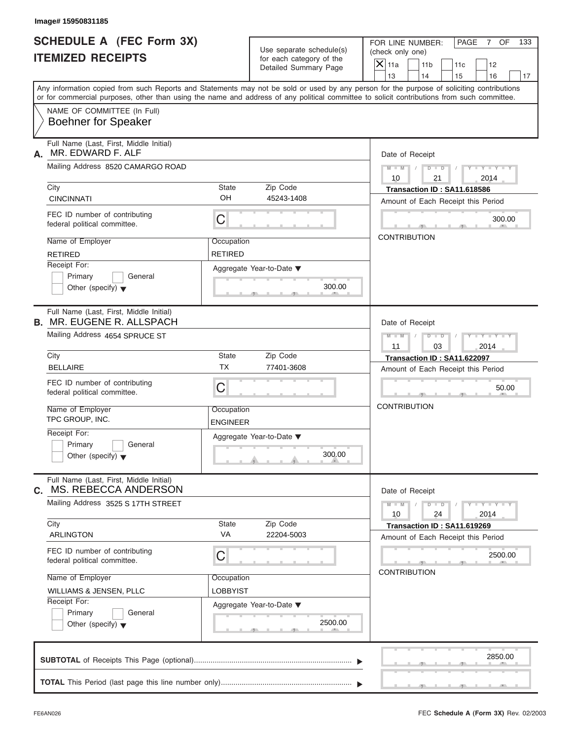FOR LINE NUMBER: PAGE 7 OF<br>(check only one)

| SCHEDULE A (FEC Form 3X)<br><b>ITEMIZED RECEIPTS</b>                        |                 | Use separate schedule(s)<br>for each category of the<br>Detailed Summary Page | FOR LINE NUMBER:<br>PAGE<br>$\overline{7}$<br>OF<br>133<br>(check only one)<br>$X$   11a<br>11 <sub>b</sub><br>12<br>11c                                                                                                                                                                |
|-----------------------------------------------------------------------------|-----------------|-------------------------------------------------------------------------------|-----------------------------------------------------------------------------------------------------------------------------------------------------------------------------------------------------------------------------------------------------------------------------------------|
|                                                                             |                 |                                                                               | 13<br>14<br>15<br>16<br>17                                                                                                                                                                                                                                                              |
|                                                                             |                 |                                                                               | Any information copied from such Reports and Statements may not be sold or used by any person for the purpose of soliciting contributions<br>or for commercial purposes, other than using the name and address of any political committee to solicit contributions from such committee. |
| NAME OF COMMITTEE (In Full)<br><b>Boehner for Speaker</b>                   |                 |                                                                               |                                                                                                                                                                                                                                                                                         |
| Full Name (Last, First, Middle Initial)<br>MR. EDWARD F. ALF<br>А.          |                 |                                                                               | Date of Receipt                                                                                                                                                                                                                                                                         |
| Mailing Address 8520 CAMARGO ROAD                                           |                 |                                                                               | $M = M - 1$<br>$\mathbf{I} = \mathbf{Y}$ and $\mathbf{Y} = \mathbf{I}$<br>$D$ $D$                                                                                                                                                                                                       |
| City                                                                        | <b>State</b>    | Zip Code                                                                      | 10<br>21<br>2014                                                                                                                                                                                                                                                                        |
| <b>CINCINNATI</b>                                                           | OH              | 45243-1408                                                                    | Transaction ID: SA11.618586<br>Amount of Each Receipt this Period                                                                                                                                                                                                                       |
| FEC ID number of contributing<br>federal political committee.               | С               |                                                                               | 300.00<br>$-1$                                                                                                                                                                                                                                                                          |
| Name of Employer                                                            | Occupation      |                                                                               | <b>CONTRIBUTION</b>                                                                                                                                                                                                                                                                     |
| <b>RETIRED</b>                                                              | <b>RETIRED</b>  |                                                                               |                                                                                                                                                                                                                                                                                         |
| Receipt For:                                                                |                 | Aggregate Year-to-Date ▼                                                      |                                                                                                                                                                                                                                                                                         |
| Primary<br>General<br>Other (specify) $\blacktriangledown$                  |                 | 300.00                                                                        |                                                                                                                                                                                                                                                                                         |
| Full Name (Last, First, Middle Initial)<br><b>B. MR. EUGENE R. ALLSPACH</b> |                 |                                                                               | Date of Receipt                                                                                                                                                                                                                                                                         |
| Mailing Address 4654 SPRUCE ST                                              |                 |                                                                               | $M - M$<br>$T - Y$<br>$D$ $D$                                                                                                                                                                                                                                                           |
| City                                                                        | <b>State</b>    | Zip Code                                                                      | 11<br>2014<br>03                                                                                                                                                                                                                                                                        |
| <b>BELLAIRE</b>                                                             | <b>TX</b>       | 77401-3608                                                                    | Transaction ID: SA11.622097<br>Amount of Each Receipt this Period                                                                                                                                                                                                                       |
| FEC ID number of contributing<br>federal political committee.               | С               |                                                                               | 50.00                                                                                                                                                                                                                                                                                   |
| Name of Employer                                                            | Occupation      |                                                                               | <b>CONTRIBUTION</b>                                                                                                                                                                                                                                                                     |
| TPC GROUP, INC.<br>Receipt For:                                             | <b>ENGINEER</b> |                                                                               |                                                                                                                                                                                                                                                                                         |
| Primary<br>General                                                          |                 | Aggregate Year-to-Date ▼                                                      |                                                                                                                                                                                                                                                                                         |
| Other (specify) $\blacktriangledown$                                        |                 | 300.00<br>$\theta$ and $\theta$ and $\theta$                                  |                                                                                                                                                                                                                                                                                         |
| Full Name (Last, First, Middle Initial)<br>MS. REBECCA ANDERSON<br>С.       |                 |                                                                               | Date of Receipt                                                                                                                                                                                                                                                                         |
| Mailing Address 3525 S 17TH STREET                                          |                 |                                                                               | $\frac{1}{2}$ $\frac{1}{2}$ $\frac{1}{2}$ $\frac{1}{2}$ $\frac{1}{2}$ $\frac{1}{2}$ $\frac{1}{2}$ $\frac{1}{2}$ $\frac{1}{2}$ $\frac{1}{2}$ $\frac{1}{2}$ $\frac{1}{2}$ $\frac{1}{2}$<br>$M - M$<br>$D$ $D$<br>10<br>24<br>2014                                                         |
| City                                                                        | <b>State</b>    | Zip Code                                                                      | Transaction ID: SA11.619269                                                                                                                                                                                                                                                             |
| <b>ARLINGTON</b>                                                            | VA              | 22204-5003                                                                    | Amount of Each Receipt this Period                                                                                                                                                                                                                                                      |
| FEC ID number of contributing<br>federal political committee.               | С               |                                                                               | 2500.00                                                                                                                                                                                                                                                                                 |
| Name of Employer                                                            | Occupation      |                                                                               | <b>CONTRIBUTION</b>                                                                                                                                                                                                                                                                     |
| WILLIAMS & JENSEN, PLLC                                                     | <b>LOBBYIST</b> |                                                                               |                                                                                                                                                                                                                                                                                         |
| Receipt For:<br>Primary<br>General                                          |                 | Aggregate Year-to-Date ▼                                                      |                                                                                                                                                                                                                                                                                         |
| Other (specify) $\blacktriangledown$                                        |                 | 2500.00                                                                       |                                                                                                                                                                                                                                                                                         |
|                                                                             |                 |                                                                               | 2850.00                                                                                                                                                                                                                                                                                 |
|                                                                             |                 |                                                                               |                                                                                                                                                                                                                                                                                         |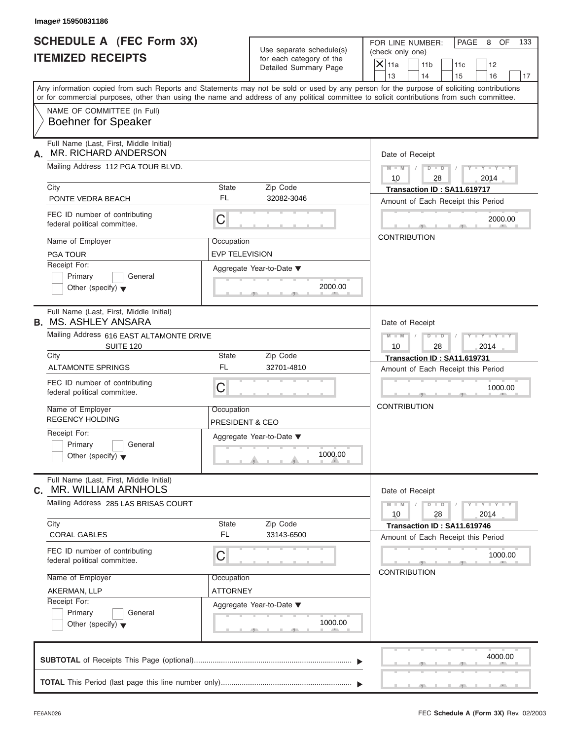FOR LINE NUMBER: PAGE 8 OF<br>(check only one)

|      | SCHEDULE A (FEC Form 3X)<br><b>ITEMIZED RECEIPTS</b>                   |                                          | Use separate schedule(s)<br>for each category of the<br>Detailed Summary Page | FOR LINE NUMBER:<br>PAGE<br>8<br>OF<br>133<br>(check only one)<br>$X$ 11a<br>11 <sub>b</sub><br>12<br>11c                                                               |
|------|------------------------------------------------------------------------|------------------------------------------|-------------------------------------------------------------------------------|-------------------------------------------------------------------------------------------------------------------------------------------------------------------------|
|      |                                                                        |                                          |                                                                               | 13<br>14<br>15<br>16<br>17<br>Any information copied from such Reports and Statements may not be sold or used by any person for the purpose of soliciting contributions |
|      |                                                                        |                                          |                                                                               | or for commercial purposes, other than using the name and address of any political committee to solicit contributions from such committee.                              |
|      | NAME OF COMMITTEE (In Full)<br><b>Boehner for Speaker</b>              |                                          |                                                                               |                                                                                                                                                                         |
| А.   | Full Name (Last, First, Middle Initial)<br>MR. RICHARD ANDERSON        |                                          |                                                                               | Date of Receipt                                                                                                                                                         |
|      | Mailing Address 112 PGA TOUR BLVD.                                     |                                          |                                                                               | $D$ $D$<br>$Y = Y$<br>$M - M$ /<br>10<br>28<br>2014                                                                                                                     |
| City |                                                                        | State                                    | Zip Code                                                                      | Transaction ID: SA11.619717                                                                                                                                             |
|      | PONTE VEDRA BEACH                                                      | <b>FL</b>                                | 32082-3046                                                                    | Amount of Each Receipt this Period                                                                                                                                      |
|      | FEC ID number of contributing<br>federal political committee.          | C                                        |                                                                               | 2000.00                                                                                                                                                                 |
|      | Name of Employer                                                       | Occupation                               |                                                                               | <b>CONTRIBUTION</b>                                                                                                                                                     |
|      | <b>PGA TOUR</b>                                                        | <b>EVP TELEVISION</b>                    |                                                                               |                                                                                                                                                                         |
|      | Receipt For:                                                           |                                          | Aggregate Year-to-Date ▼                                                      |                                                                                                                                                                         |
|      | Primary<br>General<br>Other (specify) $\blacktriangledown$             |                                          | 2000.00                                                                       |                                                                                                                                                                         |
|      | Full Name (Last, First, Middle Initial)<br><b>B. MS. ASHLEY ANSARA</b> |                                          |                                                                               | Date of Receipt                                                                                                                                                         |
|      | Mailing Address 616 EAST ALTAMONTE DRIVE                               |                                          |                                                                               | $M - M$<br>$D - D$                                                                                                                                                      |
| City | SUITE 120                                                              | State                                    | Zip Code                                                                      | 2014<br>10<br>28                                                                                                                                                        |
|      | <b>ALTAMONTE SPRINGS</b>                                               | FL                                       | 32701-4810                                                                    | Transaction ID: SA11.619731<br>Amount of Each Receipt this Period                                                                                                       |
|      | FEC ID number of contributing<br>federal political committee.          | C                                        |                                                                               | 1000.00                                                                                                                                                                 |
|      | Name of Employer<br><b>REGENCY HOLDING</b>                             | Occupation<br><b>PRESIDENT &amp; CEO</b> |                                                                               | <b>CONTRIBUTION</b>                                                                                                                                                     |
|      | Receipt For:                                                           |                                          | Aggregate Year-to-Date ▼                                                      |                                                                                                                                                                         |
|      | Primary<br>General<br>Other (specify) $\blacktriangledown$             |                                          | 1000.00<br><b>The Contract Contract</b>                                       |                                                                                                                                                                         |
| С.   | Full Name (Last, First, Middle Initial)<br>MR. WILLIAM ARNHOLS         |                                          |                                                                               | Date of Receipt                                                                                                                                                         |
|      | Mailing Address 285 LAS BRISAS COURT                                   |                                          |                                                                               | $Y - Y - Y - Y - I$<br>$M - M$<br>$D$ $D$<br>28<br>10<br>2014                                                                                                           |
| City |                                                                        | State                                    | Zip Code                                                                      | Transaction ID: SA11.619746                                                                                                                                             |
|      | <b>CORAL GABLES</b>                                                    | FL                                       | 33143-6500                                                                    | Amount of Each Receipt this Period                                                                                                                                      |
|      | FEC ID number of contributing<br>federal political committee.          | C                                        |                                                                               | 1000.00                                                                                                                                                                 |
|      | Name of Employer                                                       | Occupation                               |                                                                               | <b>CONTRIBUTION</b>                                                                                                                                                     |
|      | AKERMAN, LLP                                                           | <b>ATTORNEY</b>                          |                                                                               |                                                                                                                                                                         |
|      | Receipt For:                                                           |                                          | Aggregate Year-to-Date ▼                                                      |                                                                                                                                                                         |
|      | Primary<br>General<br>Other (specify) $\blacktriangledown$             |                                          | 1000.00                                                                       |                                                                                                                                                                         |
|      |                                                                        |                                          |                                                                               | 4000.00                                                                                                                                                                 |
|      |                                                                        |                                          |                                                                               |                                                                                                                                                                         |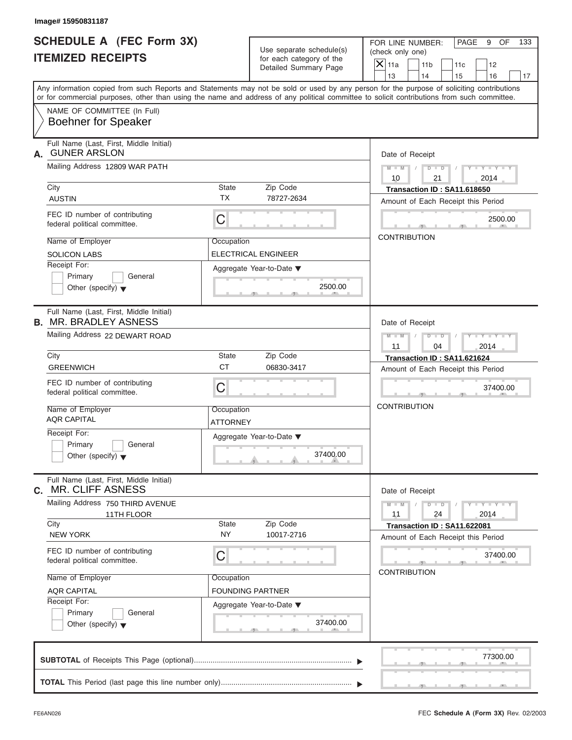Use separate schedule(s) | (check only one) for each category of the

FOR LINE NUMBER: | PAGE 9 OF

 S S S , , . 77300.00  $\frac{2500.1}{2500}$ Aggregate Year-to-Date ▼ 2500.00 C C S S S , , .  $37400.00$  $\frac{374001}{2}$ C  $M = M - \frac{1}{2}$  **M M / D D / Y Y Y Y M = M** / D 37400.00 37400.00 Any information copied from such Reports and Statements may not be sold or used by any person for the purpose of soliciting contributions or for commercial purposes, other than using the name and address of any political committee to solicit contributions from such committee. NAME OF COMMITTEE (In Full) **SUBTOTAL** of Receipts This Page (optional) ............................................................................  $\frac{1}{\sqrt{1-\frac{1}{2}}}$  Full Name (Last, First, Middle Initial) Mailing Address 12809 WAR PATH City **State** Zip Code Receipt For: Primary **General**  $\vert$  Other (specify)  $\blacktriangledown$ Amount of Each Receipt this Period **A.** Date of Receipt Name of Employer <br>
Occupation FEC ID number of contributing federal political committee. Full Name (Last, First, Middle Initial) Mailing Address 22 DEWART ROAD City **State** Zip Code Receipt For: Primary **General Other (specify)** ▼ Amount of Each Receipt this Period **B.** MR. BRADLEY ASNESS Aggregate Year-to-Date ▼ Date of Receipt Name of Employer | Occupation FEC ID number of contributing federal political committee. Full Name (Last, First, Middle Initial) Mailing Address 750 THIRD AVENUE City **State** Zip Code Receipt For: Primary General  $\vert$  Other (specify)  $\blacktriangledown$ Amount of Each Receipt this Period **C.** Aggregate Year-to-Date ▼ Date of Receipt Name of Employer | Occupation FEC ID number of contributing federal political committee. Detailed Summary Page  $\begin{array}{|c|c|c|c|c|}\n\hline\n\text{Detailed Summary Page} \\
\hline\n\end{array}\n\quad\n\begin{array}{|c|c|c|c|c|}\n\hline\n\text{11a} & \text{11b} & \text{11c} & \text{12} \\
\hline\n\text{13} & \text{14} & \text{15} & \text{16}\n\end{array}$ | 13 | | 14 | | 15 | | 16 | | 17 **CONTRIBUTION** CONTRIBUTION<br>
Date of Receipt<br>
11<br>
Transaction ID<br>
Amount of Each<br>
CONTRIBUTION<br>
Date of Receipt<br>
11<br>
Transaction II<br>
Amount of Each<br>
CONTRIBUTION 37400.00<br>
Date of Receipt<br>  $\begin{array}{|c|c|c|}\n\hline\n & \multicolumn{1}{|c|}{\text{Date of} & \text{Receipt}} \\
\hline\n & 11 & 24 & 2014 \\
\hline\n \text{Transaction ID : SA11.622081} \\
\text{Amount of Each Receipt this Period} \\
\hline\n & 37400.00\n\end{array}$ **37400.00 2740.00 2740.00 2740.00 2500.00 2740.00 2740.00 2740.00 2740.00 2740.00 2740.000 2740.000 2740.000 2740.000 2740.000 2740.000 2750 2740.000 2740.000 2740.000 2740.000 2740.000 2740.000 2740.000 2740.000 2740.000** Almount of Each Receipt this Perfect in the Contribution<br>
Name of Employer<br>
Name (Contribution Advises Secure Contribution Interval Contribution Interval Contribution IN :<br>
SCOLOON LABS CREENWICH CHE CONTRIBUTION<br>
Full Na ANG CAPITAL State of Comparison Capital Capital Capital Capital Capital Capital Capital Capital Capital Capital Capital Capital Capital Capital Capital Capital Capital Capital Capital Capital Capital Capital Capital Capit City<br>
AUSTIN<br>
ALSTEN ID uncher of contributing<br>
FEC ID number of contributing<br>
Nederal political committee.<br>
Name of Employer<br>
Receipt For:<br>
Browner (specify)<br>
COMERIBUTION<br>
Amount of Each Press<br>
CONTRIBUTION<br>
FORADLEY ASN 9 OF<br>
12<br>
16<br>
17<br>
16<br>
17<br>
16<br>
17<br>
17<br>
2014<br>
25<br>
2500.00<br>
2500.00<br>
27<br>
37<br>
27<br>
37<br>
400.00<br>
37<br>
400.00<br>
27<br>
37<br>
2014<br>
Period<br>
37<br>
2014<br>
24<br>
29<br>
2014<br>
29<br>
27<br>
2014<br>
29<br>
27<br>
2014<br>
29<br>
27<br>
2014<br>
27<br>
27<br>
27<br>
27<br>
27<br>
27<br>
27<br>
27<br> **HELDULE A RECEIVED THE MIGH FLOOR MR. BRADLEY AND THE STATE OF THE NUMBER ARS IN THE MIGH CLIFF ASTES 30 10 1114 GUN CLIFF ASTES 2014 GUN CLIFF ASTES 2014 CONTROL CLIFF ASTES 2014 CONTROL CLIFF ASTES 2014 CONTROL CLIFF A** FOUNDING PARTNER

**TOTAL** This Period (last page this line number only) ...............................................................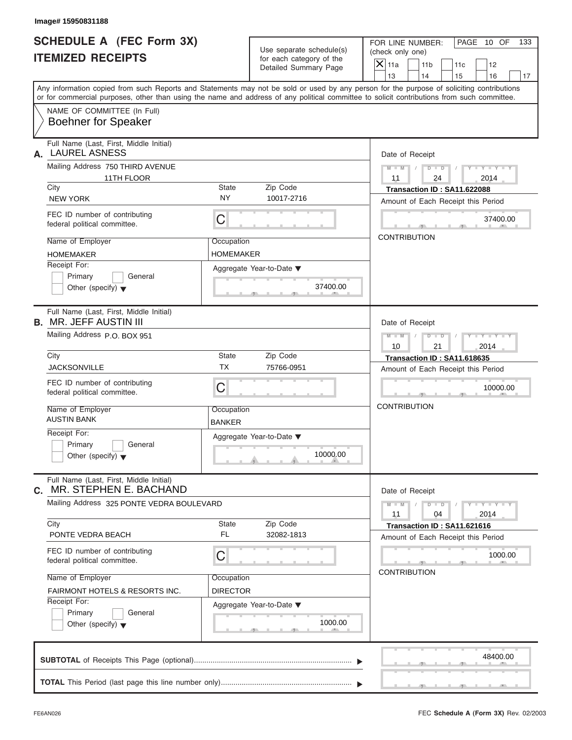| Image# 15950831188                                                       |                                                      |                                                                                                                                                                                                                                                                                         |
|--------------------------------------------------------------------------|------------------------------------------------------|-----------------------------------------------------------------------------------------------------------------------------------------------------------------------------------------------------------------------------------------------------------------------------------------|
| <b>SCHEDULE A (FEC Form 3X)</b><br><b>ITEMIZED RECEIPTS</b>              | Use separate schedule(s)<br>for each category of the | FOR LINE NUMBER:<br>PAGE 10 OF<br>133<br>(check only one)<br>$\mathsf{X}$ 11a<br>11 <sub>b</sub><br>11c<br>12                                                                                                                                                                           |
|                                                                          | Detailed Summary Page                                | 13<br>14<br>15<br>16<br>17                                                                                                                                                                                                                                                              |
|                                                                          |                                                      | Any information copied from such Reports and Statements may not be sold or used by any person for the purpose of soliciting contributions<br>or for commercial purposes, other than using the name and address of any political committee to solicit contributions from such committee. |
| NAME OF COMMITTEE (In Full)<br><b>Boehner for Speaker</b>                |                                                      |                                                                                                                                                                                                                                                                                         |
| Full Name (Last, First, Middle Initial)<br><b>LAUREL ASNESS</b><br>А.    |                                                      | Date of Receipt                                                                                                                                                                                                                                                                         |
| Mailing Address 750 THIRD AVENUE<br>11TH FLOOR                           |                                                      | $D$ $D$<br>$Y - Y - Y - Y - Y$<br>$M - M$ /<br>11<br>2014<br>24                                                                                                                                                                                                                         |
| City                                                                     | Zip Code<br><b>State</b>                             | Transaction ID: SA11.622088                                                                                                                                                                                                                                                             |
| <b>NEW YORK</b>                                                          | <b>NY</b><br>10017-2716                              | Amount of Each Receipt this Period                                                                                                                                                                                                                                                      |
| FEC ID number of contributing<br>federal political committee.            | C                                                    | 37400.00                                                                                                                                                                                                                                                                                |
| Name of Employer                                                         | Occupation                                           | <b>CONTRIBUTION</b>                                                                                                                                                                                                                                                                     |
| <b>HOMEMAKER</b>                                                         | <b>HOMEMAKER</b>                                     |                                                                                                                                                                                                                                                                                         |
| Receipt For:                                                             | Aggregate Year-to-Date ▼                             |                                                                                                                                                                                                                                                                                         |
| Primary<br>General<br>Other (specify) $\blacktriangledown$               | 37400.00                                             |                                                                                                                                                                                                                                                                                         |
| Full Name (Last, First, Middle Initial)<br><b>B.</b> MR. JEFF AUSTIN III |                                                      | Date of Receipt                                                                                                                                                                                                                                                                         |
| Mailing Address P.O. BOX 951                                             |                                                      | $M$ $M$<br>$D - I - D$<br>$Y - Y - Y - Y - Y$<br>10<br>21<br>2014                                                                                                                                                                                                                       |
| City                                                                     | State<br>Zip Code                                    | Transaction ID: SA11.618635                                                                                                                                                                                                                                                             |
| <b>JACKSONVILLE</b>                                                      | <b>TX</b><br>75766-0951                              | Amount of Each Receipt this Period                                                                                                                                                                                                                                                      |
| FEC ID number of contributing<br>federal political committee.            | C                                                    | 10000.00                                                                                                                                                                                                                                                                                |
| Name of Employer<br><b>AUSTIN BANK</b>                                   | Occupation<br><b>BANKER</b>                          | <b>CONTRIBUTION</b>                                                                                                                                                                                                                                                                     |
| Receipt For:                                                             | Aggregate Year-to-Date ▼                             |                                                                                                                                                                                                                                                                                         |
| Primary<br>General<br>Other (specify) $\blacktriangledown$               | 10000.00                                             |                                                                                                                                                                                                                                                                                         |
| Full Name (Last, First, Middle Initial)<br>MR. STEPHEN E. BACHAND<br>С.  |                                                      | Date of Receipt                                                                                                                                                                                                                                                                         |
| Mailing Address 325 PONTE VEDRA BOULEVARD                                |                                                      | $Y - Y - Y - Y - Y$<br>$M - M$<br>$D - D$<br>11<br>04<br>2014                                                                                                                                                                                                                           |
| City<br>PONTE VEDRA BEACH                                                | State<br>Zip Code<br><b>FL</b><br>32082-1813         | Transaction ID: SA11.621616<br>Amount of Each Receipt this Period                                                                                                                                                                                                                       |
| FEC ID number of contributing<br>federal political committee.            | С                                                    | 1000.00                                                                                                                                                                                                                                                                                 |
| Name of Employer                                                         | Occupation                                           | <b>CONTRIBUTION</b>                                                                                                                                                                                                                                                                     |
| <b>FAIRMONT HOTELS &amp; RESORTS INC.</b>                                | DIRECTOR                                             |                                                                                                                                                                                                                                                                                         |
| Receipt For:                                                             | Aggregate Year-to-Date ▼                             |                                                                                                                                                                                                                                                                                         |
| Primary<br>General<br>Other (specify) $\blacktriangledown$               | 1000.00                                              |                                                                                                                                                                                                                                                                                         |
|                                                                          |                                                      | 48400.00                                                                                                                                                                                                                                                                                |
|                                                                          |                                                      |                                                                                                                                                                                                                                                                                         |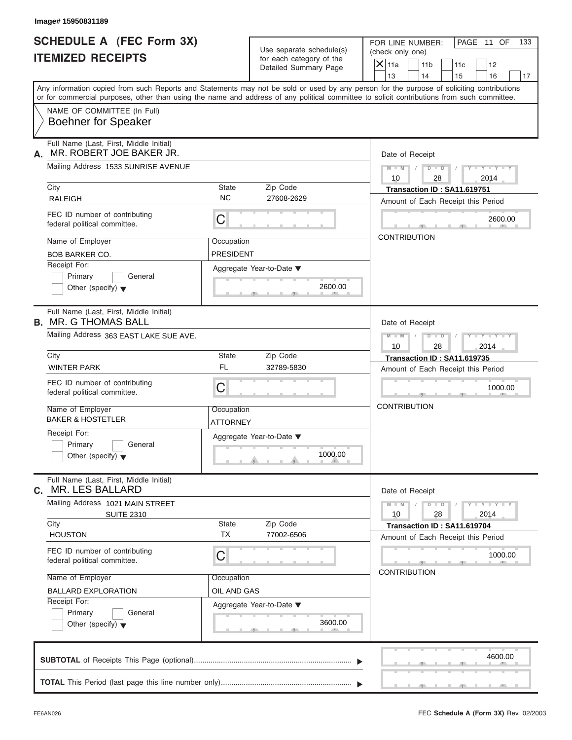| Image# 15950831189                                                         |                                |                                                                               |                                                                                                                                                                                                                                                                                         |
|----------------------------------------------------------------------------|--------------------------------|-------------------------------------------------------------------------------|-----------------------------------------------------------------------------------------------------------------------------------------------------------------------------------------------------------------------------------------------------------------------------------------|
| <b>SCHEDULE A (FEC Form 3X)</b><br><b>ITEMIZED RECEIPTS</b>                |                                | Use separate schedule(s)<br>for each category of the<br>Detailed Summary Page | FOR LINE NUMBER:<br>PAGE 11 OF<br>133<br>(check only one)                                                                                                                                                                                                                               |
|                                                                            |                                |                                                                               | $X$ 11a<br>11 <sub>b</sub><br>11c<br>12<br>13<br>14<br>15<br>16                                                                                                                                                                                                                         |
|                                                                            |                                |                                                                               | Any information copied from such Reports and Statements may not be sold or used by any person for the purpose of soliciting contributions<br>or for commercial purposes, other than using the name and address of any political committee to solicit contributions from such committee. |
| NAME OF COMMITTEE (In Full)<br><b>Boehner for Speaker</b>                  |                                |                                                                               |                                                                                                                                                                                                                                                                                         |
| Full Name (Last, First, Middle Initial)<br>MR. ROBERT JOE BAKER JR.<br>А.  |                                |                                                                               | Date of Receipt                                                                                                                                                                                                                                                                         |
| Mailing Address 1533 SUNRISE AVENUE                                        |                                |                                                                               | $D$ $D$<br>$Y - Y - Y - Y - Y$<br>$M - M$ /<br>10<br>28<br>2014                                                                                                                                                                                                                         |
| City<br><b>RALEIGH</b>                                                     | State<br><b>NC</b>             | Zip Code<br>27608-2629                                                        | Transaction ID: SA11.619751<br>Amount of Each Receipt this Period                                                                                                                                                                                                                       |
| FEC ID number of contributing<br>federal political committee.              | C                              |                                                                               | 2600.00                                                                                                                                                                                                                                                                                 |
| Name of Employer<br><b>BOB BARKER CO.</b>                                  | Occupation<br><b>PRESIDENT</b> |                                                                               | <b>CONTRIBUTION</b>                                                                                                                                                                                                                                                                     |
| Receipt For:<br>Primary<br>General<br>Other (specify) $\blacktriangledown$ |                                | Aggregate Year-to-Date ▼<br>2600.00                                           |                                                                                                                                                                                                                                                                                         |
| Full Name (Last, First, Middle Initial)<br><b>B. MR. G THOMAS BALL</b>     |                                |                                                                               | Date of Receipt                                                                                                                                                                                                                                                                         |
| Mailing Address 363 EAST LAKE SUE AVE.                                     |                                |                                                                               | $M$ $M$<br>$D - I - D$<br>$Y - Y - Y - Y - Y$<br>10<br>28<br>2014                                                                                                                                                                                                                       |
| City                                                                       | State<br><b>FL</b>             | Zip Code                                                                      | Transaction ID: SA11.619735                                                                                                                                                                                                                                                             |
| <b>WINTER PARK</b>                                                         |                                | 32789-5830                                                                    | Amount of Each Receipt this Period                                                                                                                                                                                                                                                      |
| FEC ID number of contributing<br>federal political committee.              | C                              |                                                                               | 1000.00                                                                                                                                                                                                                                                                                 |
| Name of Employer<br><b>BAKER &amp; HOSTETLER</b>                           | Occupation<br>ATTORNEY         |                                                                               | <b>CONTRIBUTION</b>                                                                                                                                                                                                                                                                     |
| Receipt For:<br>Primary<br>General<br>Other (specify) $\blacktriangledown$ |                                | Aggregate Year-to-Date ▼<br>1000.00                                           |                                                                                                                                                                                                                                                                                         |
| Full Name (Last, First, Middle Initial)<br>MR. LES BALLARD<br>С.           |                                |                                                                               | Date of Receipt                                                                                                                                                                                                                                                                         |
| Mailing Address 1021 MAIN STREET<br><b>SUITE 2310</b>                      |                                |                                                                               | $Y = Y = Y$<br>$M - M$<br>$D - D$<br>10<br>28<br>2014                                                                                                                                                                                                                                   |
| City<br><b>HOUSTON</b>                                                     | State<br><b>TX</b>             | Zip Code<br>77002-6506                                                        | Transaction ID: SA11.619704<br>Amount of Each Receipt this Period                                                                                                                                                                                                                       |
| FEC ID number of contributing<br>federal political committee.              | С                              |                                                                               | 1000.00<br><b>CONTRIBUTION</b>                                                                                                                                                                                                                                                          |
| Name of Employer                                                           | Occupation                     |                                                                               |                                                                                                                                                                                                                                                                                         |
| <b>BALLARD EXPLORATION</b><br>Receipt For:                                 | OIL AND GAS                    |                                                                               |                                                                                                                                                                                                                                                                                         |
| Primary<br>General<br>Other (specify) $\blacktriangledown$                 |                                | Aggregate Year-to-Date ▼<br>3600.00                                           |                                                                                                                                                                                                                                                                                         |
|                                                                            |                                |                                                                               | 4600.00                                                                                                                                                                                                                                                                                 |
|                                                                            |                                |                                                                               |                                                                                                                                                                                                                                                                                         |

 $S = 1 - 1 - 3$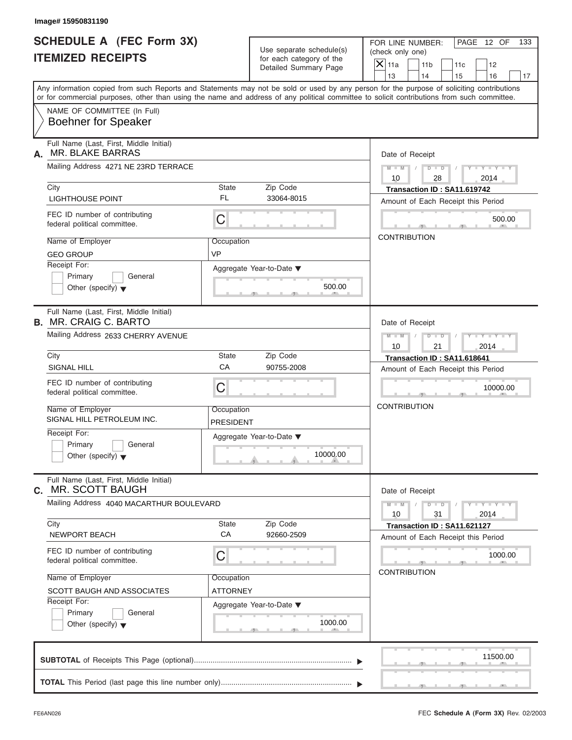| Image# 15950831190                                                       |                                |                                                      |                                                                                                                                                                                                                                                                                         |
|--------------------------------------------------------------------------|--------------------------------|------------------------------------------------------|-----------------------------------------------------------------------------------------------------------------------------------------------------------------------------------------------------------------------------------------------------------------------------------------|
| <b>SCHEDULE A (FEC Form 3X)</b><br><b>ITEMIZED RECEIPTS</b>              |                                | Use separate schedule(s)<br>for each category of the | FOR LINE NUMBER:<br>PAGE 12 OF<br>133<br>(check only one)<br>$X$ 11a<br>11 <sub>b</sub><br>11c<br>12                                                                                                                                                                                    |
|                                                                          |                                | Detailed Summary Page                                | 13<br>14<br>15<br>16                                                                                                                                                                                                                                                                    |
|                                                                          |                                |                                                      | Any information copied from such Reports and Statements may not be sold or used by any person for the purpose of soliciting contributions<br>or for commercial purposes, other than using the name and address of any political committee to solicit contributions from such committee. |
| NAME OF COMMITTEE (In Full)<br><b>Boehner for Speaker</b>                |                                |                                                      |                                                                                                                                                                                                                                                                                         |
| Full Name (Last, First, Middle Initial)<br><b>MR. BLAKE BARRAS</b><br>А. |                                |                                                      | Date of Receipt                                                                                                                                                                                                                                                                         |
| Mailing Address 4271 NE 23RD TERRACE                                     |                                |                                                      | $D$ $D$<br>$Y - Y - Y - Y - Y$<br>$M - M$                                                                                                                                                                                                                                               |
| City                                                                     | State                          | Zip Code                                             | 10<br>28<br>2014<br>Transaction ID: SA11.619742                                                                                                                                                                                                                                         |
| <b>LIGHTHOUSE POINT</b>                                                  | FL                             | 33064-8015                                           | Amount of Each Receipt this Period                                                                                                                                                                                                                                                      |
| FEC ID number of contributing<br>federal political committee.            | C                              |                                                      | 500.00                                                                                                                                                                                                                                                                                  |
| Name of Employer                                                         | Occupation                     |                                                      | <b>CONTRIBUTION</b>                                                                                                                                                                                                                                                                     |
| <b>GEO GROUP</b>                                                         | <b>VP</b>                      |                                                      |                                                                                                                                                                                                                                                                                         |
| Receipt For:                                                             |                                | Aggregate Year-to-Date ▼                             |                                                                                                                                                                                                                                                                                         |
| Primary<br>General<br>Other (specify) $\blacktriangledown$               |                                | 500.00                                               |                                                                                                                                                                                                                                                                                         |
| Full Name (Last, First, Middle Initial)<br><b>B. MR. CRAIG C. BARTO</b>  |                                |                                                      | Date of Receipt                                                                                                                                                                                                                                                                         |
| Mailing Address 2633 CHERRY AVENUE                                       |                                |                                                      | $M$ $M$<br>$D - I - D$<br>$Y - Y - Y - Y - Y$<br>10<br>21<br>2014                                                                                                                                                                                                                       |
| City                                                                     | <b>State</b>                   | Zip Code                                             | Transaction ID: SA11.618641                                                                                                                                                                                                                                                             |
| SIGNAL HILL                                                              | CA                             | 90755-2008                                           | Amount of Each Receipt this Period                                                                                                                                                                                                                                                      |
| FEC ID number of contributing<br>federal political committee.            | C                              |                                                      | 10000.00                                                                                                                                                                                                                                                                                |
| Name of Employer<br>SIGNAL HILL PETROLEUM INC.                           | Occupation<br><b>PRESIDENT</b> |                                                      | <b>CONTRIBUTION</b>                                                                                                                                                                                                                                                                     |
| Receipt For:                                                             |                                | Aggregate Year-to-Date ▼                             |                                                                                                                                                                                                                                                                                         |
| Primary<br>General<br>Other (specify) $\blacktriangledown$               |                                | 10000.00                                             |                                                                                                                                                                                                                                                                                         |
| Full Name (Last, First, Middle Initial)<br><b>MR. SCOTT BAUGH</b><br>С.  |                                |                                                      | Date of Receipt                                                                                                                                                                                                                                                                         |
| Mailing Address 4040 MACARTHUR BOULEVARD                                 |                                |                                                      | $Y - Y - Y - Y - Y$<br>$M - M$<br>$D - D$<br>10<br>31<br>2014                                                                                                                                                                                                                           |
| City<br>NEWPORT BEACH                                                    | State<br>CA                    | Zip Code<br>92660-2509                               | Transaction ID: SA11.621127<br>Amount of Each Receipt this Period                                                                                                                                                                                                                       |
| FEC ID number of contributing<br>federal political committee.            | С                              |                                                      | 1000.00                                                                                                                                                                                                                                                                                 |
| Name of Employer                                                         | Occupation                     |                                                      | <b>CONTRIBUTION</b>                                                                                                                                                                                                                                                                     |
| SCOTT BAUGH AND ASSOCIATES                                               | ATTORNEY                       |                                                      |                                                                                                                                                                                                                                                                                         |
| Receipt For:                                                             |                                | Aggregate Year-to-Date ▼                             |                                                                                                                                                                                                                                                                                         |
| Primary<br>General<br>Other (specify) $\blacktriangledown$               |                                | 1000.00                                              |                                                                                                                                                                                                                                                                                         |
|                                                                          |                                |                                                      | 11500.00                                                                                                                                                                                                                                                                                |
|                                                                          |                                |                                                      |                                                                                                                                                                                                                                                                                         |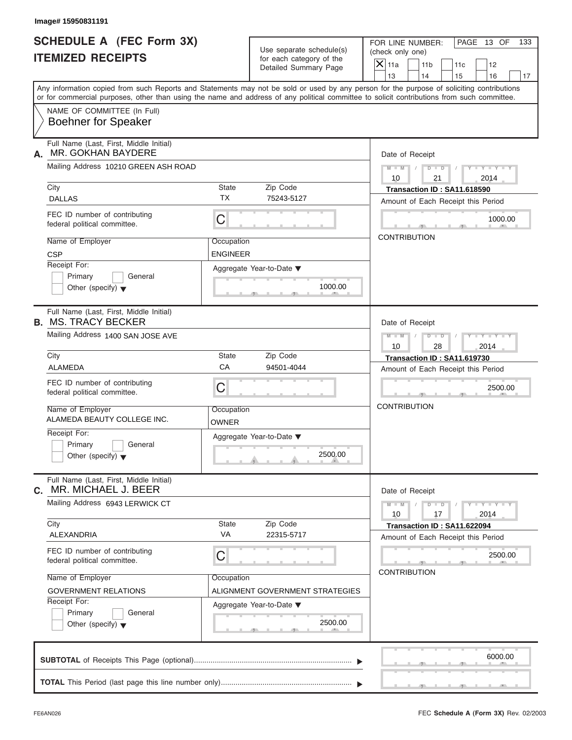| <b>SCHEDULE A (FEC Form 3X)</b><br>Use separate schedule(s)<br>(check only one)<br><b>ITEMIZED RECEIPTS</b><br>for each category of the<br>$\mathsf{X}$ 11a<br>Detailed Summary Page<br>13<br>Any information copied from such Reports and Statements may not be sold or used by any person for the purpose of soliciting contributions<br>or for commercial purposes, other than using the name and address of any political committee to solicit contributions from such committee.<br>NAME OF COMMITTEE (In Full)<br><b>Boehner for Speaker</b><br>Full Name (Last, First, Middle Initial)<br><b>MR. GOKHAN BAYDERE</b><br>Mailing Address 10210 GREEN ASH ROAD<br>City<br>State<br>Zip Code<br><b>TX</b><br><b>DALLAS</b><br>75243-5127<br>FEC ID number of contributing<br>C<br>federal political committee.<br>Name of Employer<br>Occupation<br><b>CSP</b><br><b>ENGINEER</b><br>Receipt For:<br>Aggregate Year-to-Date ▼<br>Primary<br>General<br>1000.00<br>Other (specify) $\blacktriangledown$<br>Full Name (Last, First, Middle Initial)<br>Mailing Address 1400 SAN JOSE AVE<br>City<br>State<br>Zip Code<br>CA<br>ALAMEDA<br>94501-4044<br>FEC ID number of contributing<br>C<br>federal political committee.<br>Name of Employer<br>Occupation<br>ALAMEDA BEAUTY COLLEGE INC.<br>OWNER |               | FOR LINE NUMBER:<br>11 <sub>b</sub><br>14                         |                      | 11c<br>15 | PAGE 13 OF<br>12                                            | 133 |
|-------------------------------------------------------------------------------------------------------------------------------------------------------------------------------------------------------------------------------------------------------------------------------------------------------------------------------------------------------------------------------------------------------------------------------------------------------------------------------------------------------------------------------------------------------------------------------------------------------------------------------------------------------------------------------------------------------------------------------------------------------------------------------------------------------------------------------------------------------------------------------------------------------------------------------------------------------------------------------------------------------------------------------------------------------------------------------------------------------------------------------------------------------------------------------------------------------------------------------------------------------------------------------------------------------|---------------|-------------------------------------------------------------------|----------------------|-----------|-------------------------------------------------------------|-----|
| А.<br><b>B. MS. TRACY BECKER</b>                                                                                                                                                                                                                                                                                                                                                                                                                                                                                                                                                                                                                                                                                                                                                                                                                                                                                                                                                                                                                                                                                                                                                                                                                                                                      |               |                                                                   |                      |           |                                                             |     |
|                                                                                                                                                                                                                                                                                                                                                                                                                                                                                                                                                                                                                                                                                                                                                                                                                                                                                                                                                                                                                                                                                                                                                                                                                                                                                                       |               |                                                                   |                      |           | 16                                                          | 17  |
|                                                                                                                                                                                                                                                                                                                                                                                                                                                                                                                                                                                                                                                                                                                                                                                                                                                                                                                                                                                                                                                                                                                                                                                                                                                                                                       |               |                                                                   |                      |           |                                                             |     |
|                                                                                                                                                                                                                                                                                                                                                                                                                                                                                                                                                                                                                                                                                                                                                                                                                                                                                                                                                                                                                                                                                                                                                                                                                                                                                                       |               |                                                                   |                      |           |                                                             |     |
|                                                                                                                                                                                                                                                                                                                                                                                                                                                                                                                                                                                                                                                                                                                                                                                                                                                                                                                                                                                                                                                                                                                                                                                                                                                                                                       |               | Date of Receipt                                                   |                      |           |                                                             |     |
|                                                                                                                                                                                                                                                                                                                                                                                                                                                                                                                                                                                                                                                                                                                                                                                                                                                                                                                                                                                                                                                                                                                                                                                                                                                                                                       | $M - M$<br>10 |                                                                   | $D - D$<br>21        |           | $Y - Y - Y - Y$<br>2014                                     |     |
|                                                                                                                                                                                                                                                                                                                                                                                                                                                                                                                                                                                                                                                                                                                                                                                                                                                                                                                                                                                                                                                                                                                                                                                                                                                                                                       |               | Transaction ID: SA11.618590                                       |                      |           |                                                             |     |
|                                                                                                                                                                                                                                                                                                                                                                                                                                                                                                                                                                                                                                                                                                                                                                                                                                                                                                                                                                                                                                                                                                                                                                                                                                                                                                       |               | Amount of Each Receipt this Period                                |                      |           |                                                             |     |
|                                                                                                                                                                                                                                                                                                                                                                                                                                                                                                                                                                                                                                                                                                                                                                                                                                                                                                                                                                                                                                                                                                                                                                                                                                                                                                       |               |                                                                   |                      |           | 1000.00                                                     |     |
|                                                                                                                                                                                                                                                                                                                                                                                                                                                                                                                                                                                                                                                                                                                                                                                                                                                                                                                                                                                                                                                                                                                                                                                                                                                                                                       |               | <b>CONTRIBUTION</b>                                               |                      |           |                                                             |     |
|                                                                                                                                                                                                                                                                                                                                                                                                                                                                                                                                                                                                                                                                                                                                                                                                                                                                                                                                                                                                                                                                                                                                                                                                                                                                                                       |               |                                                                   |                      |           |                                                             |     |
|                                                                                                                                                                                                                                                                                                                                                                                                                                                                                                                                                                                                                                                                                                                                                                                                                                                                                                                                                                                                                                                                                                                                                                                                                                                                                                       |               | Date of Receipt                                                   |                      |           |                                                             |     |
|                                                                                                                                                                                                                                                                                                                                                                                                                                                                                                                                                                                                                                                                                                                                                                                                                                                                                                                                                                                                                                                                                                                                                                                                                                                                                                       | $M - M$<br>10 | $D - I$                                                           | 28                   |           | Y T Y T Y T<br>2014                                         |     |
|                                                                                                                                                                                                                                                                                                                                                                                                                                                                                                                                                                                                                                                                                                                                                                                                                                                                                                                                                                                                                                                                                                                                                                                                                                                                                                       |               | Transaction ID: SA11.619730                                       |                      |           |                                                             |     |
|                                                                                                                                                                                                                                                                                                                                                                                                                                                                                                                                                                                                                                                                                                                                                                                                                                                                                                                                                                                                                                                                                                                                                                                                                                                                                                       |               | Amount of Each Receipt this Period                                |                      |           |                                                             |     |
|                                                                                                                                                                                                                                                                                                                                                                                                                                                                                                                                                                                                                                                                                                                                                                                                                                                                                                                                                                                                                                                                                                                                                                                                                                                                                                       |               |                                                                   |                      |           | 2500.00                                                     |     |
|                                                                                                                                                                                                                                                                                                                                                                                                                                                                                                                                                                                                                                                                                                                                                                                                                                                                                                                                                                                                                                                                                                                                                                                                                                                                                                       |               | <b>CONTRIBUTION</b>                                               |                      |           |                                                             |     |
| Receipt For:<br>Aggregate Year-to-Date ▼<br>Primary<br>General<br>2500.00<br>Other (specify) $\blacktriangledown$                                                                                                                                                                                                                                                                                                                                                                                                                                                                                                                                                                                                                                                                                                                                                                                                                                                                                                                                                                                                                                                                                                                                                                                     |               |                                                                   |                      |           |                                                             |     |
| Full Name (Last, First, Middle Initial)<br>MR. MICHAEL J. BEER<br>С.                                                                                                                                                                                                                                                                                                                                                                                                                                                                                                                                                                                                                                                                                                                                                                                                                                                                                                                                                                                                                                                                                                                                                                                                                                  |               | Date of Receipt                                                   |                      |           |                                                             |     |
| Mailing Address 6943 LERWICK CT                                                                                                                                                                                                                                                                                                                                                                                                                                                                                                                                                                                                                                                                                                                                                                                                                                                                                                                                                                                                                                                                                                                                                                                                                                                                       | $M - M$<br>10 |                                                                   | $D$ $\Box$ $D$<br>17 |           | $\mathbf{I} = \mathbf{Y} + \mathbf{I} - \mathbf{Y}$<br>2014 |     |
| City<br><b>State</b><br>Zip Code<br>VA<br>22315-5717<br>ALEXANDRIA                                                                                                                                                                                                                                                                                                                                                                                                                                                                                                                                                                                                                                                                                                                                                                                                                                                                                                                                                                                                                                                                                                                                                                                                                                    |               | Transaction ID: SA11.622094<br>Amount of Each Receipt this Period |                      |           |                                                             |     |
| FEC ID number of contributing<br>С<br>federal political committee.                                                                                                                                                                                                                                                                                                                                                                                                                                                                                                                                                                                                                                                                                                                                                                                                                                                                                                                                                                                                                                                                                                                                                                                                                                    |               |                                                                   |                      |           | 2500.00                                                     |     |
| Name of Employer<br>Occupation                                                                                                                                                                                                                                                                                                                                                                                                                                                                                                                                                                                                                                                                                                                                                                                                                                                                                                                                                                                                                                                                                                                                                                                                                                                                        |               | <b>CONTRIBUTION</b>                                               |                      |           |                                                             |     |
| ALIGNMENT GOVERNMENT STRATEGIES<br><b>GOVERNMENT RELATIONS</b>                                                                                                                                                                                                                                                                                                                                                                                                                                                                                                                                                                                                                                                                                                                                                                                                                                                                                                                                                                                                                                                                                                                                                                                                                                        |               |                                                                   |                      |           |                                                             |     |
| Receipt For:<br>Aggregate Year-to-Date ▼<br>Primary<br>General<br>2500.00<br>Other (specify) $\blacktriangledown$                                                                                                                                                                                                                                                                                                                                                                                                                                                                                                                                                                                                                                                                                                                                                                                                                                                                                                                                                                                                                                                                                                                                                                                     |               |                                                                   |                      |           |                                                             |     |
|                                                                                                                                                                                                                                                                                                                                                                                                                                                                                                                                                                                                                                                                                                                                                                                                                                                                                                                                                                                                                                                                                                                                                                                                                                                                                                       |               |                                                                   |                      |           | 6000.00                                                     |     |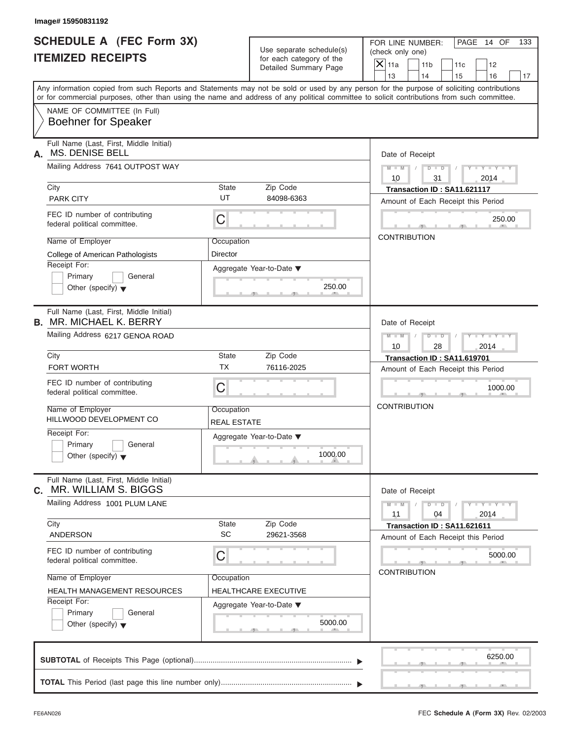| Image# 15950831192                                                                                        |                                  |                                                                               |                                                                                                                                                                         |
|-----------------------------------------------------------------------------------------------------------|----------------------------------|-------------------------------------------------------------------------------|-------------------------------------------------------------------------------------------------------------------------------------------------------------------------|
| <b>SCHEDULE A (FEC Form 3X)</b><br><b>ITEMIZED RECEIPTS</b>                                               |                                  | Use separate schedule(s)<br>for each category of the<br>Detailed Summary Page | FOR LINE NUMBER:<br>PAGE 14 OF<br>133<br>(check only one)<br>$\mathsf{X}$ 11a<br>11 <sub>b</sub><br>11c<br>12                                                           |
|                                                                                                           |                                  |                                                                               | 13<br>14<br>15<br>16<br>17<br>Any information copied from such Reports and Statements may not be sold or used by any person for the purpose of soliciting contributions |
|                                                                                                           |                                  |                                                                               | or for commercial purposes, other than using the name and address of any political committee to solicit contributions from such committee.                              |
| NAME OF COMMITTEE (In Full)<br><b>Boehner for Speaker</b>                                                 |                                  |                                                                               |                                                                                                                                                                         |
| Full Name (Last, First, Middle Initial)<br><b>MS. DENISE BELL</b><br>А.                                   |                                  |                                                                               | Date of Receipt                                                                                                                                                         |
| Mailing Address 7641 OUTPOST WAY                                                                          |                                  |                                                                               | $D - D$<br>$M - M$<br>$Y - Y - Y - Y - Y$<br>10<br>31<br>2014                                                                                                           |
| City<br><b>PARK CITY</b>                                                                                  | State<br>UT                      | Zip Code<br>84098-6363                                                        | Transaction ID: SA11.621117<br>Amount of Each Receipt this Period                                                                                                       |
| FEC ID number of contributing<br>federal political committee.                                             | C                                |                                                                               | 250.00                                                                                                                                                                  |
| Name of Employer<br><b>College of American Pathologists</b>                                               | Occupation<br>Director           |                                                                               | <b>CONTRIBUTION</b>                                                                                                                                                     |
| Receipt For:<br>Primary<br>General<br>Other (specify) $\blacktriangledown$                                |                                  | Aggregate Year-to-Date ▼<br>250.00                                            |                                                                                                                                                                         |
| Full Name (Last, First, Middle Initial)<br><b>B. MR. MICHAEL K. BERRY</b>                                 |                                  |                                                                               | Date of Receipt                                                                                                                                                         |
| Mailing Address 6217 GENOA ROAD                                                                           |                                  |                                                                               | $M - M$<br>$D - I$<br>Y T Y T Y T<br>2014<br>10<br>28                                                                                                                   |
| City<br>FORT WORTH                                                                                        | State<br><b>TX</b>               | Zip Code<br>76116-2025                                                        | Transaction ID: SA11.619701<br>Amount of Each Receipt this Period                                                                                                       |
| FEC ID number of contributing<br>federal political committee.                                             | C                                |                                                                               | 1000.00                                                                                                                                                                 |
| Name of Employer<br>HILLWOOD DEVELOPMENT CO                                                               | Occupation<br><b>REAL ESTATE</b> |                                                                               | <b>CONTRIBUTION</b>                                                                                                                                                     |
| Receipt For:<br>Primary<br>General<br>Other (specify) $\blacktriangledown$                                |                                  | Aggregate Year-to-Date ▼<br>1000.00                                           |                                                                                                                                                                         |
| Full Name (Last, First, Middle Initial)<br>MR. WILLIAM S. BIGGS<br>С.                                     |                                  |                                                                               | Date of Receipt                                                                                                                                                         |
| Mailing Address 1001 PLUM LANE                                                                            |                                  |                                                                               | $M - M$<br>$D$ $\Box$ $D$<br>$Y + Y + Y + Y$<br>2014<br>11<br>04                                                                                                        |
| City<br><b>ANDERSON</b>                                                                                   | <b>State</b><br>SC               | Zip Code<br>29621-3568                                                        | Transaction ID: SA11.621611<br>Amount of Each Receipt this Period                                                                                                       |
| FEC ID number of contributing<br>federal political committee.                                             | С                                |                                                                               | 5000.00<br><b>CONTRIBUTION</b>                                                                                                                                          |
| Name of Employer                                                                                          | Occupation                       | HEALTHCARE EXECUTIVE                                                          |                                                                                                                                                                         |
| HEALTH MANAGEMENT RESOURCES<br>Receipt For:<br>Primary<br>General<br>Other (specify) $\blacktriangledown$ |                                  | Aggregate Year-to-Date ▼<br>5000.00                                           |                                                                                                                                                                         |
|                                                                                                           |                                  |                                                                               |                                                                                                                                                                         |
|                                                                                                           |                                  |                                                                               | 6250.00                                                                                                                                                                 |
|                                                                                                           |                                  |                                                                               |                                                                                                                                                                         |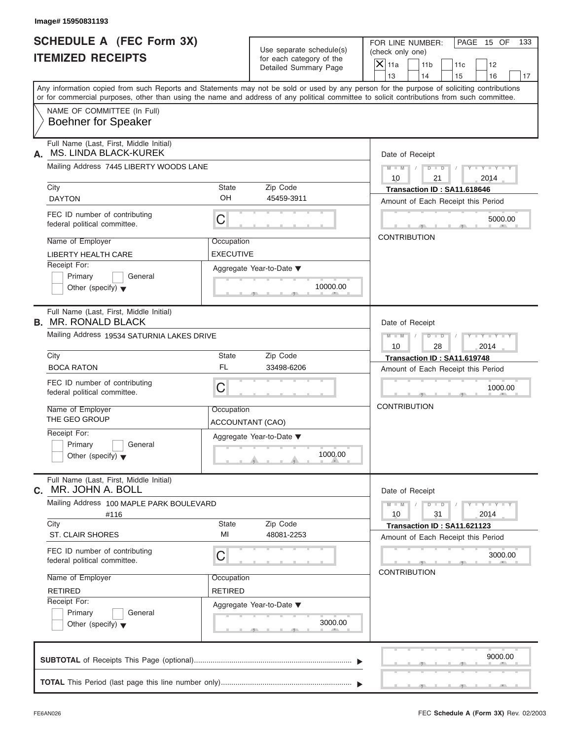| Image# 15950831193                                                            |                                       |                                                      |                                                                                                                                                                                                                                                                                                                 |
|-------------------------------------------------------------------------------|---------------------------------------|------------------------------------------------------|-----------------------------------------------------------------------------------------------------------------------------------------------------------------------------------------------------------------------------------------------------------------------------------------------------------------|
| <b>SCHEDULE A (FEC Form 3X)</b><br><b>ITEMIZED RECEIPTS</b>                   |                                       | Use separate schedule(s)<br>for each category of the | FOR LINE NUMBER:<br>PAGE 15 OF<br>(check only one)                                                                                                                                                                                                                                                              |
|                                                                               |                                       | Detailed Summary Page                                | $\mathsf{X}$ 11a<br>11 <sub>b</sub><br>11c<br>12                                                                                                                                                                                                                                                                |
|                                                                               |                                       |                                                      | 13<br>14<br>15<br>16<br>Any information copied from such Reports and Statements may not be sold or used by any person for the purpose of soliciting contributions<br>or for commercial purposes, other than using the name and address of any political committee to solicit contributions from such committee. |
| NAME OF COMMITTEE (In Full)<br><b>Boehner for Speaker</b>                     |                                       |                                                      |                                                                                                                                                                                                                                                                                                                 |
| Full Name (Last, First, Middle Initial)<br><b>MS. LINDA BLACK-KUREK</b><br>А. |                                       |                                                      | Date of Receipt                                                                                                                                                                                                                                                                                                 |
| Mailing Address 7445 LIBERTY WOODS LANE                                       |                                       |                                                      | $D$ $\Box$ $D$<br>$Y - Y - Y - Y - Y$<br>$M - M$<br>10<br>21<br>2014                                                                                                                                                                                                                                            |
| City<br><b>DAYTON</b>                                                         | <b>State</b><br>OH                    | Zip Code<br>45459-3911                               | Transaction ID: SA11.618646<br>Amount of Each Receipt this Period                                                                                                                                                                                                                                               |
| FEC ID number of contributing<br>federal political committee.                 | С                                     |                                                      | 5000.00                                                                                                                                                                                                                                                                                                         |
| Name of Employer<br><b>LIBERTY HEALTH CARE</b>                                | Occupation<br><b>EXECUTIVE</b>        |                                                      | <b>CONTRIBUTION</b>                                                                                                                                                                                                                                                                                             |
| Receipt For:<br>Primary<br>General<br>Other (specify) $\blacktriangledown$    |                                       | Aggregate Year-to-Date ▼<br>10000.00                 |                                                                                                                                                                                                                                                                                                                 |
| Full Name (Last, First, Middle Initial)<br><b>B. MR. RONALD BLACK</b>         |                                       |                                                      | Date of Receipt                                                                                                                                                                                                                                                                                                 |
| Mailing Address 19534 SATURNIA LAKES DRIVE                                    |                                       |                                                      | $M$ $M$<br>$D - I - D$<br>Y TYTTYTTY<br>10<br>28<br>2014                                                                                                                                                                                                                                                        |
| City                                                                          | <b>State</b><br><b>FL</b>             | Zip Code                                             | Transaction ID: SA11.619748                                                                                                                                                                                                                                                                                     |
| <b>BOCA RATON</b>                                                             |                                       | 33498-6206                                           | Amount of Each Receipt this Period                                                                                                                                                                                                                                                                              |
| FEC ID number of contributing<br>federal political committee.                 | C                                     |                                                      | 1000.00                                                                                                                                                                                                                                                                                                         |
| Name of Employer<br>THE GEO GROUP                                             | Occupation<br><b>ACCOUNTANT (CAO)</b> |                                                      | <b>CONTRIBUTION</b>                                                                                                                                                                                                                                                                                             |
| Receipt For:<br>Primary<br>General<br>Other (specify) $\blacktriangledown$    |                                       | Aggregate Year-to-Date ▼<br>1000.00                  |                                                                                                                                                                                                                                                                                                                 |
| Full Name (Last, First, Middle Initial)<br>MR. JOHN A. BOLL<br>С.             |                                       |                                                      | Date of Receipt                                                                                                                                                                                                                                                                                                 |
| Mailing Address 100 MAPLE PARK BOULEVARD<br>#116                              |                                       |                                                      | $Y - Y - Y - Y - Y$<br>$M - M$<br>$D - D$<br>10<br>31<br>2014                                                                                                                                                                                                                                                   |
| City<br><b>ST. CLAIR SHORES</b>                                               | <b>State</b><br>MI                    | Zip Code<br>48081-2253                               | Transaction ID: SA11.621123<br>Amount of Each Receipt this Period                                                                                                                                                                                                                                               |
| FEC ID number of contributing<br>federal political committee.                 | С                                     |                                                      | 3000.00<br><b>CONTRIBUTION</b>                                                                                                                                                                                                                                                                                  |
| Name of Employer                                                              | Occupation                            |                                                      |                                                                                                                                                                                                                                                                                                                 |
| <b>RETIRED</b><br>Receipt For:                                                | <b>RETIRED</b>                        |                                                      |                                                                                                                                                                                                                                                                                                                 |
| Primary<br>General<br>Other (specify) $\blacktriangledown$                    |                                       | Aggregate Year-to-Date ▼<br>3000.00                  |                                                                                                                                                                                                                                                                                                                 |
|                                                                               |                                       |                                                      | 9000.00                                                                                                                                                                                                                                                                                                         |
|                                                                               |                                       |                                                      |                                                                                                                                                                                                                                                                                                                 |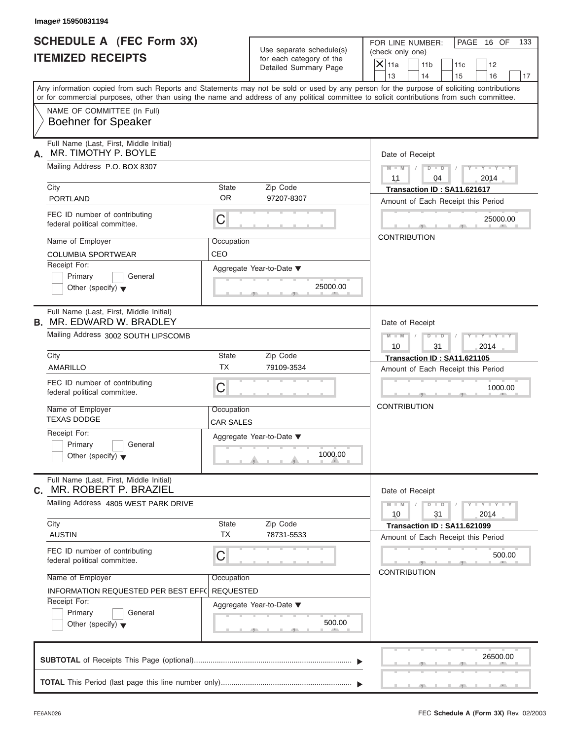| Image# 15950831194                                                                                                                                                                                                                                                                      |                                                      |                                      |                                                 |                                                                   |            |                             |     |
|-----------------------------------------------------------------------------------------------------------------------------------------------------------------------------------------------------------------------------------------------------------------------------------------|------------------------------------------------------|--------------------------------------|-------------------------------------------------|-------------------------------------------------------------------|------------|-----------------------------|-----|
| <b>SCHEDULE A (FEC Form 3X)</b><br><b>ITEMIZED RECEIPTS</b>                                                                                                                                                                                                                             | Use separate schedule(s)<br>for each category of the |                                      | FOR LINE NUMBER:<br>(check only one)<br>$X$ 11a |                                                                   |            | PAGE 16 OF                  | 133 |
|                                                                                                                                                                                                                                                                                         |                                                      | Detailed Summary Page                |                                                 | 11 <sub>b</sub><br>14                                             | 11c<br>15  | 12<br>16                    | 17  |
| Any information copied from such Reports and Statements may not be sold or used by any person for the purpose of soliciting contributions<br>or for commercial purposes, other than using the name and address of any political committee to solicit contributions from such committee. |                                                      |                                      | 13                                              |                                                                   |            |                             |     |
| NAME OF COMMITTEE (In Full)<br><b>Boehner for Speaker</b>                                                                                                                                                                                                                               |                                                      |                                      |                                                 |                                                                   |            |                             |     |
| Full Name (Last, First, Middle Initial)<br>MR. TIMOTHY P. BOYLE<br>А.                                                                                                                                                                                                                   |                                                      |                                      |                                                 | Date of Receipt                                                   |            |                             |     |
| Mailing Address P.O. BOX 8307                                                                                                                                                                                                                                                           |                                                      |                                      | $M - M$ /<br>11                                 | $D$ $D$<br>04                                                     | $\sqrt{ }$ | $Y - Y - Y - Y - Y$<br>2014 |     |
| City<br><b>PORTLAND</b>                                                                                                                                                                                                                                                                 | State<br><b>OR</b>                                   | Zip Code<br>97207-8307               |                                                 | Transaction ID: SA11.621617<br>Amount of Each Receipt this Period |            |                             |     |
| FEC ID number of contributing<br>federal political committee.                                                                                                                                                                                                                           | С                                                    |                                      |                                                 |                                                                   |            | 25000.00                    |     |
| Name of Employer<br><b>COLUMBIA SPORTWEAR</b>                                                                                                                                                                                                                                           | Occupation<br>CEO                                    |                                      | <b>CONTRIBUTION</b>                             |                                                                   |            |                             |     |
| Receipt For:<br>Primary<br>General<br>Other (specify) $\blacktriangledown$                                                                                                                                                                                                              |                                                      | Aggregate Year-to-Date ▼<br>25000.00 |                                                 |                                                                   |            |                             |     |
| Full Name (Last, First, Middle Initial)<br><b>B. MR. EDWARD W. BRADLEY</b>                                                                                                                                                                                                              |                                                      |                                      |                                                 | Date of Receipt                                                   |            |                             |     |
| Mailing Address 3002 SOUTH LIPSCOMB                                                                                                                                                                                                                                                     |                                                      |                                      | $M = M - 1$<br>10                               | $D - I$<br>31                                                     | $\sqrt{2}$ | $Y = Y = Y' - Y'$<br>2014   |     |
| City                                                                                                                                                                                                                                                                                    | State<br><b>TX</b>                                   | Zip Code                             |                                                 | Transaction ID: SA11.621105                                       |            |                             |     |
| <b>AMARILLO</b>                                                                                                                                                                                                                                                                         |                                                      | 79109-3534                           |                                                 | Amount of Each Receipt this Period                                |            |                             |     |
| FEC ID number of contributing<br>federal political committee.                                                                                                                                                                                                                           | C                                                    |                                      |                                                 |                                                                   |            | 1000.00                     |     |
| Name of Employer<br><b>TEXAS DODGE</b>                                                                                                                                                                                                                                                  | Occupation<br><b>CAR SALES</b>                       |                                      | <b>CONTRIBUTION</b>                             |                                                                   |            |                             |     |
| Receipt For:<br>Primary<br>General<br>Other (specify) $\blacktriangledown$                                                                                                                                                                                                              |                                                      | Aggregate Year-to-Date ▼<br>1000.00  |                                                 |                                                                   |            |                             |     |
| Full Name (Last, First, Middle Initial)<br>C. MR. ROBERT P. BRAZIEL                                                                                                                                                                                                                     |                                                      |                                      |                                                 | Date of Receipt                                                   |            |                             |     |
| Mailing Address 4805 WEST PARK DRIVE                                                                                                                                                                                                                                                    |                                                      |                                      | $M - M$<br>10                                   | $D - D$<br>31                                                     |            | $Y - Y - Y - Y - Y$<br>2014 |     |
| City<br><b>AUSTIN</b>                                                                                                                                                                                                                                                                   | State<br><b>TX</b>                                   | Zip Code<br>78731-5533               |                                                 | Transaction ID: SA11.621099<br>Amount of Each Receipt this Period |            |                             |     |
| FEC ID number of contributing<br>federal political committee.                                                                                                                                                                                                                           | С                                                    |                                      |                                                 | <b>CONTRIBUTION</b>                                               |            | 500.00                      |     |
| Name of Employer<br>INFORMATION REQUESTED PER BEST EFF(                                                                                                                                                                                                                                 | Occupation<br><b>REQUESTED</b>                       |                                      |                                                 |                                                                   |            |                             |     |
| Receipt For:<br>Primary<br>General<br>Other (specify) $\blacktriangledown$                                                                                                                                                                                                              |                                                      | Aggregate Year-to-Date ▼<br>500.00   |                                                 |                                                                   |            |                             |     |
|                                                                                                                                                                                                                                                                                         |                                                      |                                      |                                                 |                                                                   |            | 26500.00                    |     |
|                                                                                                                                                                                                                                                                                         |                                                      |                                      |                                                 |                                                                   |            |                             |     |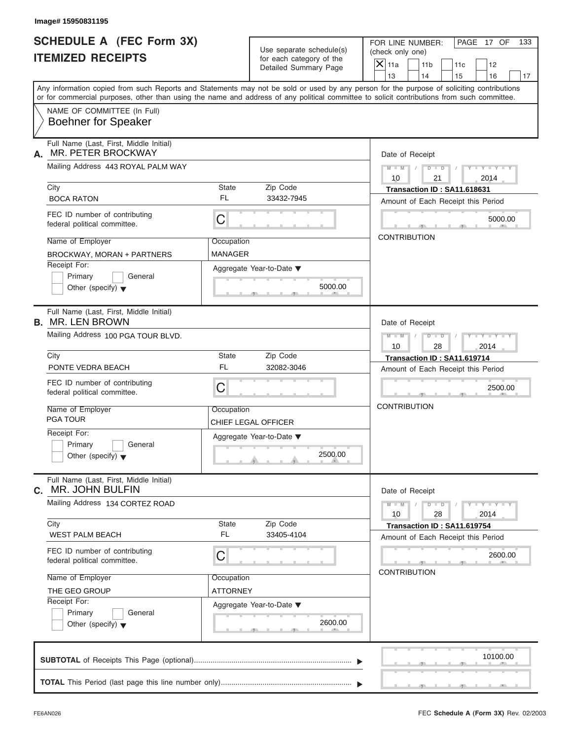| Image# 15950831195<br><b>SCHEDULE A (FEC Form 3X)</b>               |                    | Use separate schedule(s)                          | FOR LINE NUMBER:<br>PAGE 17 OF<br>133<br>(check only one)                                                                                                                                                                                                                               |
|---------------------------------------------------------------------|--------------------|---------------------------------------------------|-----------------------------------------------------------------------------------------------------------------------------------------------------------------------------------------------------------------------------------------------------------------------------------------|
| <b>ITEMIZED RECEIPTS</b>                                            |                    | for each category of the<br>Detailed Summary Page | $\mathsf{X}$ 11a<br>11 <sub>b</sub><br>11c<br>12<br>13<br>14<br>15<br>16<br>17                                                                                                                                                                                                          |
|                                                                     |                    |                                                   | Any information copied from such Reports and Statements may not be sold or used by any person for the purpose of soliciting contributions<br>or for commercial purposes, other than using the name and address of any political committee to solicit contributions from such committee. |
| NAME OF COMMITTEE (In Full)<br><b>Boehner for Speaker</b>           |                    |                                                   |                                                                                                                                                                                                                                                                                         |
| Full Name (Last, First, Middle Initial)<br>MR. PETER BROCKWAY<br>А. |                    |                                                   | Date of Receipt                                                                                                                                                                                                                                                                         |
| Mailing Address 443 ROYAL PALM WAY                                  |                    |                                                   | $D$ $\Box$ $D$<br>$Y - Y - Y - Y - Y$<br>$M - M$<br>10<br>21<br>2014                                                                                                                                                                                                                    |
| City                                                                | State              | Zip Code                                          | Transaction ID: SA11.618631                                                                                                                                                                                                                                                             |
| <b>BOCA RATON</b>                                                   | FL                 | 33432-7945                                        | Amount of Each Receipt this Period                                                                                                                                                                                                                                                      |
| FEC ID number of contributing<br>federal political committee.       | C                  |                                                   | 5000.00                                                                                                                                                                                                                                                                                 |
| Name of Employer                                                    | Occupation         |                                                   | <b>CONTRIBUTION</b>                                                                                                                                                                                                                                                                     |
| <b>MANAGER</b><br><b>BROCKWAY, MORAN + PARTNERS</b>                 |                    |                                                   |                                                                                                                                                                                                                                                                                         |
| Receipt For:<br>Primary<br>General                                  |                    | Aggregate Year-to-Date ▼                          |                                                                                                                                                                                                                                                                                         |
| Other (specify) $\blacktriangledown$                                |                    | 5000.00                                           |                                                                                                                                                                                                                                                                                         |
| Full Name (Last, First, Middle Initial)<br><b>B.</b> MR. LEN BROWN  |                    |                                                   | Date of Receipt                                                                                                                                                                                                                                                                         |
| Mailing Address 100 PGA TOUR BLVD.                                  |                    |                                                   | $M - M$<br>$D - I - D$<br>Y TYTTYTTY<br>10<br>28<br>2014                                                                                                                                                                                                                                |
| City                                                                | State              | Zip Code                                          | Transaction ID: SA11.619714                                                                                                                                                                                                                                                             |
| PONTE VEDRA BEACH                                                   | <b>FL</b>          | 32082-3046                                        | Amount of Each Receipt this Period                                                                                                                                                                                                                                                      |
| FEC ID number of contributing<br>federal political committee.       | C                  |                                                   | 2500.00                                                                                                                                                                                                                                                                                 |
| Name of Employer                                                    | Occupation         |                                                   | <b>CONTRIBUTION</b>                                                                                                                                                                                                                                                                     |
| <b>PGA TOUR</b>                                                     |                    | CHIEF LEGAL OFFICER                               |                                                                                                                                                                                                                                                                                         |
| Receipt For:<br>Primary<br>General                                  |                    | Aggregate Year-to-Date ▼                          |                                                                                                                                                                                                                                                                                         |
| Other (specify) $\blacktriangledown$                                |                    | 2500.00                                           |                                                                                                                                                                                                                                                                                         |
| Full Name (Last, First, Middle Initial)<br>MR. JOHN BULFIN<br>С.    |                    |                                                   | Date of Receipt                                                                                                                                                                                                                                                                         |
| Mailing Address 134 CORTEZ ROAD                                     |                    |                                                   | $Y = Y = Y$<br>$M - M$<br>$D - D$<br>10<br>28<br>2014                                                                                                                                                                                                                                   |
| City<br><b>WEST PALM BEACH</b>                                      | State<br><b>FL</b> | Zip Code<br>33405-4104                            | Transaction ID: SA11.619754<br>Amount of Each Receipt this Period                                                                                                                                                                                                                       |
| FEC ID number of contributing<br>federal political committee.       | С                  |                                                   | 2600.00                                                                                                                                                                                                                                                                                 |
| Name of Employer                                                    | Occupation         |                                                   | <b>CONTRIBUTION</b>                                                                                                                                                                                                                                                                     |
| THE GEO GROUP                                                       | ATTORNEY           |                                                   |                                                                                                                                                                                                                                                                                         |
| Receipt For:<br>Primary<br>General                                  |                    | Aggregate Year-to-Date ▼                          |                                                                                                                                                                                                                                                                                         |
| Other (specify) $\blacktriangledown$                                |                    | 2600.00                                           |                                                                                                                                                                                                                                                                                         |
|                                                                     |                    |                                                   | 10100.00                                                                                                                                                                                                                                                                                |
|                                                                     |                    |                                                   |                                                                                                                                                                                                                                                                                         |
|                                                                     |                    |                                                   |                                                                                                                                                                                                                                                                                         |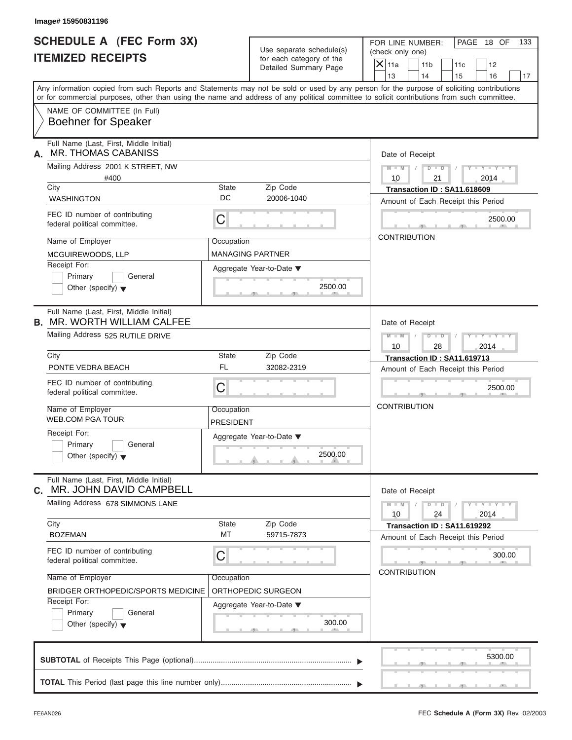| Image# 15950831196                                                                                                                                                                                                                                                                      |                         |                                                      |                                                                                                      |
|-----------------------------------------------------------------------------------------------------------------------------------------------------------------------------------------------------------------------------------------------------------------------------------------|-------------------------|------------------------------------------------------|------------------------------------------------------------------------------------------------------|
| <b>SCHEDULE A (FEC Form 3X)</b><br><b>ITEMIZED RECEIPTS</b>                                                                                                                                                                                                                             |                         | Use separate schedule(s)<br>for each category of the | FOR LINE NUMBER:<br>PAGE 18 OF<br>133<br>(check only one)<br>$X$ 11a<br>11 <sub>b</sub><br>11c<br>12 |
|                                                                                                                                                                                                                                                                                         |                         | Detailed Summary Page                                | 13<br>14<br>15<br>16<br>17                                                                           |
| Any information copied from such Reports and Statements may not be sold or used by any person for the purpose of soliciting contributions<br>or for commercial purposes, other than using the name and address of any political committee to solicit contributions from such committee. |                         |                                                      |                                                                                                      |
| NAME OF COMMITTEE (In Full)<br><b>Boehner for Speaker</b>                                                                                                                                                                                                                               |                         |                                                      |                                                                                                      |
| Full Name (Last, First, Middle Initial)<br><b>MR. THOMAS CABANISS</b><br>А.                                                                                                                                                                                                             |                         |                                                      | Date of Receipt                                                                                      |
| Mailing Address 2001 K STREET, NW<br>#400                                                                                                                                                                                                                                               |                         |                                                      | $D$ $D$<br>$Y - Y - Y - Y - Y$<br>$M - M$<br>10<br>21<br>2014                                        |
| City                                                                                                                                                                                                                                                                                    | <b>State</b><br>DC      | Zip Code<br>20006-1040                               | Transaction ID: SA11.618609                                                                          |
| <b>WASHINGTON</b><br>FEC ID number of contributing<br>federal political committee.                                                                                                                                                                                                      | C                       |                                                      | Amount of Each Receipt this Period<br>2500.00                                                        |
| Name of Employer<br>MCGUIREWOODS, LLP                                                                                                                                                                                                                                                   | Occupation              | <b>MANAGING PARTNER</b>                              | <b>CONTRIBUTION</b>                                                                                  |
| Receipt For:<br>Primary<br>General<br>Other (specify) $\blacktriangledown$                                                                                                                                                                                                              |                         | Aggregate Year-to-Date ▼<br>2500.00                  |                                                                                                      |
| Full Name (Last, First, Middle Initial)<br><b>B. MR. WORTH WILLIAM CALFEE</b>                                                                                                                                                                                                           |                         |                                                      | Date of Receipt                                                                                      |
| Mailing Address 525 RUTILE DRIVE                                                                                                                                                                                                                                                        |                         |                                                      | $M$ $M$<br>$D - I - D$<br>Y TYTTYTTY<br>10<br>28<br>2014                                             |
| City                                                                                                                                                                                                                                                                                    | State<br><b>FL</b>      | Zip Code                                             | Transaction ID: SA11.619713                                                                          |
| PONTE VEDRA BEACH<br>FEC ID number of contributing<br>federal political committee.                                                                                                                                                                                                      | C                       | 32082-2319                                           | Amount of Each Receipt this Period<br>2500.00                                                        |
| Name of Employer<br><b>WEB.COM PGA TOUR</b>                                                                                                                                                                                                                                             | Occupation<br>PRESIDENT |                                                      | <b>CONTRIBUTION</b>                                                                                  |
| Receipt For:<br>Primary<br>General<br>Other (specify) $\blacktriangledown$                                                                                                                                                                                                              |                         | Aggregate Year-to-Date ▼<br>2500.00                  |                                                                                                      |
| Full Name (Last, First, Middle Initial)<br>MR. JOHN DAVID CAMPBELL<br>С.                                                                                                                                                                                                                |                         |                                                      | Date of Receipt                                                                                      |
| Mailing Address 678 SIMMONS LANE                                                                                                                                                                                                                                                        |                         |                                                      | $M - M$<br>$D - D$<br>$Y - I - Y - I - Y - I$<br>10<br>24<br>2014                                    |
| City<br><b>BOZEMAN</b>                                                                                                                                                                                                                                                                  | State<br>MT             | Zip Code<br>59715-7873                               | Transaction ID: SA11.619292<br>Amount of Each Receipt this Period                                    |
| FEC ID number of contributing<br>federal political committee.                                                                                                                                                                                                                           | С                       |                                                      | 300.00<br><b>CONTRIBUTION</b>                                                                        |
| Name of Employer                                                                                                                                                                                                                                                                        | Occupation              |                                                      |                                                                                                      |
| BRIDGER ORTHOPEDIC/SPORTS MEDICINE<br>Receipt For:                                                                                                                                                                                                                                      |                         | ORTHOPEDIC SURGEON<br>Aggregate Year-to-Date ▼       |                                                                                                      |
| Primary<br>General<br>Other (specify) $\blacktriangledown$                                                                                                                                                                                                                              |                         | 300.00                                               |                                                                                                      |
|                                                                                                                                                                                                                                                                                         |                         |                                                      | 5300.00                                                                                              |
|                                                                                                                                                                                                                                                                                         |                         |                                                      |                                                                                                      |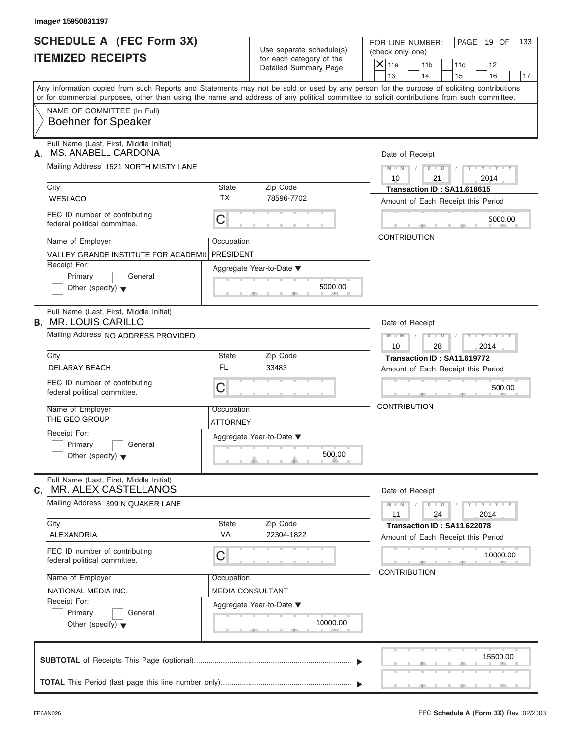| Image# 15950831197                                                                                |                                |                                                                               |                                                                                                                                                                                                                                                                                         |
|---------------------------------------------------------------------------------------------------|--------------------------------|-------------------------------------------------------------------------------|-----------------------------------------------------------------------------------------------------------------------------------------------------------------------------------------------------------------------------------------------------------------------------------------|
| <b>SCHEDULE A (FEC Form 3X)</b><br><b>ITEMIZED RECEIPTS</b>                                       |                                | Use separate schedule(s)<br>for each category of the<br>Detailed Summary Page | FOR LINE NUMBER:<br>PAGE 19 OF<br>133<br>(check only one)<br>$\overline{X}$ 11a<br>11 <sub>b</sub><br>11c<br>12<br>13<br>14<br>15<br>16<br>17                                                                                                                                           |
|                                                                                                   |                                |                                                                               | Any information copied from such Reports and Statements may not be sold or used by any person for the purpose of soliciting contributions<br>or for commercial purposes, other than using the name and address of any political committee to solicit contributions from such committee. |
| NAME OF COMMITTEE (In Full)<br><b>Boehner for Speaker</b>                                         |                                |                                                                               |                                                                                                                                                                                                                                                                                         |
| Full Name (Last, First, Middle Initial)<br>MS. ANABELL CARDONA<br>А.                              |                                |                                                                               | Date of Receipt                                                                                                                                                                                                                                                                         |
| Mailing Address 1521 NORTH MISTY LANE                                                             |                                |                                                                               | $D$ $\Box$ $D$<br>$Y - Y - Y - Y - Y$<br>$M - M$ /<br>$\sqrt{ }$<br>10<br>21<br>2014                                                                                                                                                                                                    |
| City<br><b>WESLACO</b>                                                                            | State<br><b>TX</b>             | Zip Code<br>78596-7702                                                        | Transaction ID: SA11.618615<br>Amount of Each Receipt this Period                                                                                                                                                                                                                       |
| FEC ID number of contributing<br>federal political committee.                                     | C                              |                                                                               | 5000.00                                                                                                                                                                                                                                                                                 |
| Name of Employer<br>VALLEY GRANDE INSTITUTE FOR ACADEMIC                                          | Occupation<br><b>PRESIDENT</b> |                                                                               | <b>CONTRIBUTION</b>                                                                                                                                                                                                                                                                     |
| Receipt For:<br>Primary<br>General<br>Other (specify) $\blacktriangledown$                        |                                | Aggregate Year-to-Date ▼<br>5000.00                                           |                                                                                                                                                                                                                                                                                         |
| Full Name (Last, First, Middle Initial)<br><b>B. MR. LOUIS CARILLO</b>                            |                                |                                                                               | Date of Receipt                                                                                                                                                                                                                                                                         |
| Mailing Address NO ADDRESS PROVIDED                                                               |                                |                                                                               | $D - D$<br>Y T Y T Y T<br>$M - M$<br>10<br>28<br>2014                                                                                                                                                                                                                                   |
| City<br>DELARAY BEACH                                                                             | State<br>FL                    | Zip Code<br>33483                                                             | Transaction ID: SA11.619772                                                                                                                                                                                                                                                             |
| FEC ID number of contributing<br>federal political committee.                                     | C                              |                                                                               | Amount of Each Receipt this Period<br>500.00                                                                                                                                                                                                                                            |
| Name of Employer<br>THE GEO GROUP                                                                 | Occupation<br>ATTORNEY         |                                                                               | <b>CONTRIBUTION</b>                                                                                                                                                                                                                                                                     |
| Receipt For:<br>Primary<br>General<br>Other (specify) $\blacktriangledown$                        |                                | Aggregate Year-to-Date ▼<br>500.00                                            |                                                                                                                                                                                                                                                                                         |
| Full Name (Last, First, Middle Initial)<br>MR. ALEX CASTELLANOS<br>C.                             |                                |                                                                               | Date of Receipt                                                                                                                                                                                                                                                                         |
| Mailing Address 399 N QUAKER LANE                                                                 |                                |                                                                               | $Y = Y = Y - Y$<br>$M - M$<br>$D$ $\Box$ $D$<br>11<br>24<br>2014                                                                                                                                                                                                                        |
| City<br><b>ALEXANDRIA</b>                                                                         | State<br>VA                    | Zip Code<br>22304-1822                                                        | Transaction ID: SA11.622078<br>Amount of Each Receipt this Period                                                                                                                                                                                                                       |
| FEC ID number of contributing<br>federal political committee.                                     | C                              |                                                                               | 10000.00<br><b>CONTRIBUTION</b>                                                                                                                                                                                                                                                         |
| Name of Employer                                                                                  | Occupation                     |                                                                               |                                                                                                                                                                                                                                                                                         |
| NATIONAL MEDIA INC.<br>Receipt For:<br>Primary<br>General<br>Other (specify) $\blacktriangledown$ |                                | <b>MEDIA CONSULTANT</b><br>Aggregate Year-to-Date ▼<br>10000.00               |                                                                                                                                                                                                                                                                                         |
|                                                                                                   |                                |                                                                               | 15500.00                                                                                                                                                                                                                                                                                |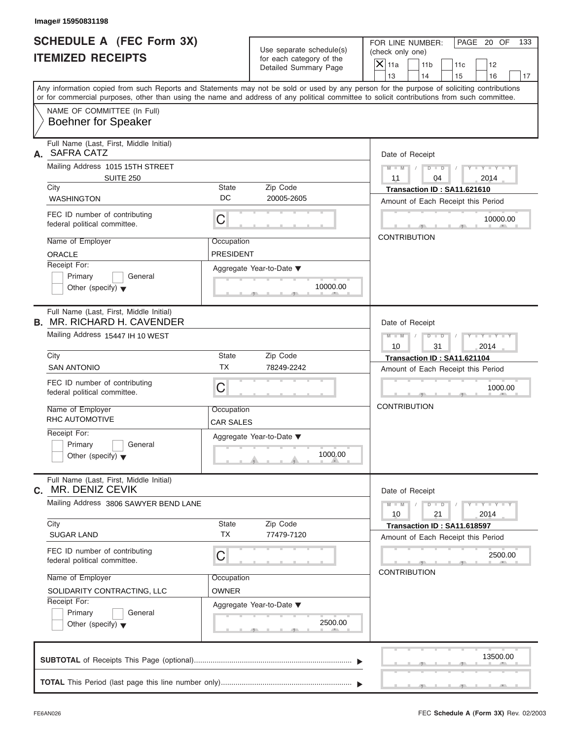| Image# 15950831198                                                                                                                                                                                                                                                                      |                                |                                                      |                                                                   |                |
|-----------------------------------------------------------------------------------------------------------------------------------------------------------------------------------------------------------------------------------------------------------------------------------------|--------------------------------|------------------------------------------------------|-------------------------------------------------------------------|----------------|
| <b>SCHEDULE A (FEC Form 3X)</b><br><b>ITEMIZED RECEIPTS</b>                                                                                                                                                                                                                             |                                | Use separate schedule(s)<br>for each category of the | PAGE 20 OF<br>FOR LINE NUMBER:<br>(check only one)                | 133            |
|                                                                                                                                                                                                                                                                                         |                                | Detailed Summary Page                                | $\mathsf{X}$ 11a<br>11 <sub>b</sub><br>11c<br>13<br>14<br>15      | 12<br>16<br>17 |
| Any information copied from such Reports and Statements may not be sold or used by any person for the purpose of soliciting contributions<br>or for commercial purposes, other than using the name and address of any political committee to solicit contributions from such committee. |                                |                                                      |                                                                   |                |
| NAME OF COMMITTEE (In Full)<br><b>Boehner for Speaker</b>                                                                                                                                                                                                                               |                                |                                                      |                                                                   |                |
| Full Name (Last, First, Middle Initial)<br>A. SAFRA CATZ                                                                                                                                                                                                                                |                                |                                                      | Date of Receipt                                                   |                |
| Mailing Address 1015 15TH STREET<br><b>SUITE 250</b>                                                                                                                                                                                                                                    |                                |                                                      | $D$ $D$<br>$Y - Y - Y - Y - Y$<br>$M - M$ /<br>11<br>04<br>2014   |                |
| City<br><b>WASHINGTON</b>                                                                                                                                                                                                                                                               | <b>State</b><br>DC             | Zip Code<br>20005-2605                               | Transaction ID: SA11.621610<br>Amount of Each Receipt this Period |                |
| FEC ID number of contributing<br>federal political committee.                                                                                                                                                                                                                           | C                              |                                                      |                                                                   | 10000.00       |
| Name of Employer<br><b>ORACLE</b>                                                                                                                                                                                                                                                       | Occupation<br><b>PRESIDENT</b> |                                                      | <b>CONTRIBUTION</b>                                               |                |
| Receipt For:<br>Primary<br>General<br>Other (specify) $\blacktriangledown$                                                                                                                                                                                                              |                                | Aggregate Year-to-Date ▼<br>10000.00                 |                                                                   |                |
| Full Name (Last, First, Middle Initial)<br><b>B. MR. RICHARD H. CAVENDER</b>                                                                                                                                                                                                            |                                |                                                      | Date of Receipt                                                   |                |
| Mailing Address 15447 IH 10 WEST                                                                                                                                                                                                                                                        |                                |                                                      | $M$ $M$<br>$D - I - D$<br>Y TYTTYTTY<br>10<br>31<br>2014          |                |
| City<br><b>SAN ANTONIO</b>                                                                                                                                                                                                                                                              | State<br><b>TX</b>             | Zip Code                                             | Transaction ID: SA11.621104                                       |                |
| FEC ID number of contributing<br>federal political committee.                                                                                                                                                                                                                           | C                              | 78249-2242                                           | Amount of Each Receipt this Period                                | 1000.00        |
| Name of Employer<br><b>RHC AUTOMOTIVE</b>                                                                                                                                                                                                                                               | Occupation<br>CAR SALES        |                                                      | <b>CONTRIBUTION</b>                                               |                |
| Receipt For:<br>Primary<br>General<br>Other (specify) $\blacktriangledown$                                                                                                                                                                                                              |                                | Aggregate Year-to-Date ▼<br>1000.00                  |                                                                   |                |
| Full Name (Last, First, Middle Initial)<br>MR. DENIZ CEVIK<br>С.                                                                                                                                                                                                                        |                                |                                                      | Date of Receipt                                                   |                |
| Mailing Address 3806 SAWYER BEND LANE                                                                                                                                                                                                                                                   |                                |                                                      | $Y - Y - Y - Y - Y$<br>$M - M$<br>$D - D$<br>10<br>21<br>2014     |                |
| City<br><b>SUGAR LAND</b>                                                                                                                                                                                                                                                               | State<br><b>TX</b>             | Zip Code<br>77479-7120                               | Transaction ID: SA11.618597<br>Amount of Each Receipt this Period |                |
| FEC ID number of contributing<br>federal political committee.                                                                                                                                                                                                                           | С                              |                                                      | <b>CONTRIBUTION</b>                                               | 2500.00        |
| Name of Employer                                                                                                                                                                                                                                                                        | Occupation                     |                                                      |                                                                   |                |
| SOLIDARITY CONTRACTING, LLC<br>Receipt For:<br>Primary<br>General                                                                                                                                                                                                                       | OWNER                          | Aggregate Year-to-Date ▼                             |                                                                   |                |
| Other (specify) $\blacktriangledown$                                                                                                                                                                                                                                                    |                                | 2500.00                                              |                                                                   |                |
|                                                                                                                                                                                                                                                                                         |                                |                                                      |                                                                   | 13500.00       |
|                                                                                                                                                                                                                                                                                         |                                |                                                      |                                                                   |                |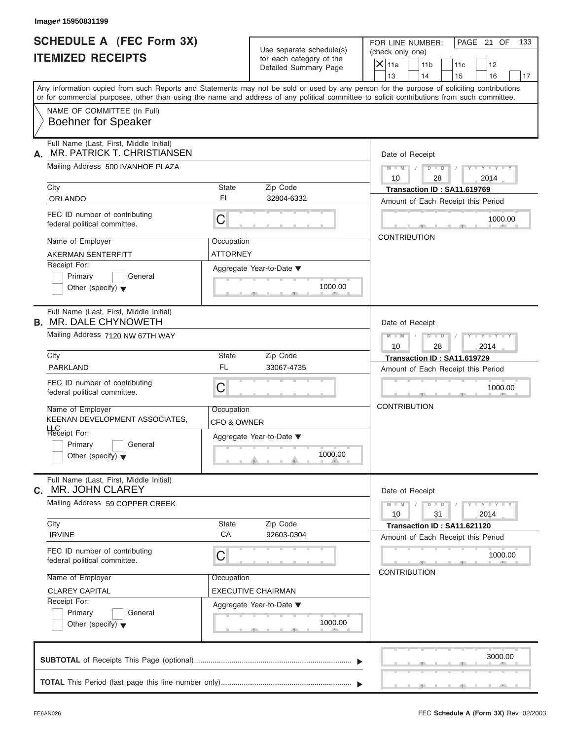| Image# 15950831199                                                                                                                         |                                                      |                                                                                                                                           |
|--------------------------------------------------------------------------------------------------------------------------------------------|------------------------------------------------------|-------------------------------------------------------------------------------------------------------------------------------------------|
| <b>SCHEDULE A (FEC Form 3X)</b><br><b>ITEMIZED RECEIPTS</b>                                                                                | Use separate schedule(s)<br>for each category of the | PAGE 21 OF<br>FOR LINE NUMBER:<br>133<br>(check only one)                                                                                 |
|                                                                                                                                            | Detailed Summary Page                                | $\mathsf{X}$ 11a<br>11 <sub>b</sub><br>11c<br>12<br>13<br>14<br>15<br>16<br>17                                                            |
| or for commercial purposes, other than using the name and address of any political committee to solicit contributions from such committee. |                                                      | Any information copied from such Reports and Statements may not be sold or used by any person for the purpose of soliciting contributions |
| NAME OF COMMITTEE (In Full)<br><b>Boehner for Speaker</b>                                                                                  |                                                      |                                                                                                                                           |
| Full Name (Last, First, Middle Initial)<br>MR. PATRICK T. CHRISTIANSEN<br>А.                                                               |                                                      | Date of Receipt                                                                                                                           |
| Mailing Address 500 IVANHOE PLAZA                                                                                                          |                                                      | $D$ $D$<br>$Y - Y - Y - Y - Y$<br>$M - M$ /<br>10<br>28<br>2014                                                                           |
| City<br>ORLANDO                                                                                                                            | State<br>Zip Code<br>FL<br>32804-6332                | Transaction ID: SA11.619769<br>Amount of Each Receipt this Period                                                                         |
| FEC ID number of contributing<br>federal political committee.                                                                              | C                                                    | 1000.00                                                                                                                                   |
| Name of Employer<br><b>AKERMAN SENTERFITT</b>                                                                                              | Occupation<br><b>ATTORNEY</b>                        | <b>CONTRIBUTION</b>                                                                                                                       |
| Receipt For:<br>Primary<br>General<br>Other (specify) $\blacktriangledown$                                                                 | Aggregate Year-to-Date ▼<br>1000.00                  |                                                                                                                                           |
| Full Name (Last, First, Middle Initial)<br><b>B. MR. DALE CHYNOWETH</b>                                                                    |                                                      | Date of Receipt                                                                                                                           |
| Mailing Address 7120 NW 67TH WAY                                                                                                           |                                                      | $M$ $M$<br>$D - I - D$<br>Y TYTTYTTY<br>10<br>28<br>2014                                                                                  |
| City                                                                                                                                       | State<br>Zip Code                                    | Transaction ID: SA11.619729                                                                                                               |
| PARKLAND                                                                                                                                   | <b>FL</b><br>33067-4735                              | Amount of Each Receipt this Period                                                                                                        |
| FEC ID number of contributing<br>federal political committee.                                                                              | C                                                    | 1000.00                                                                                                                                   |
| Name of Employer<br>KEENAN DEVELOPMENT ASSOCIATES,                                                                                         | Occupation<br><b>CFO &amp; OWNER</b>                 | <b>CONTRIBUTION</b>                                                                                                                       |
| LLC<br>Receipt For:                                                                                                                        | Aggregate Year-to-Date ▼                             |                                                                                                                                           |
| Primary<br>General<br>Other (specify) $\blacktriangledown$                                                                                 | 1000.00                                              |                                                                                                                                           |
| Full Name (Last, First, Middle Initial)<br>MR. JOHN CLAREY<br>С.                                                                           |                                                      | Date of Receipt                                                                                                                           |
| Mailing Address 59 COPPER CREEK                                                                                                            |                                                      | $Y = Y = Y + Y$<br>$M - M$<br>$D - D$<br>10<br>31<br>2014                                                                                 |
| City<br><b>IRVINE</b>                                                                                                                      | State<br>Zip Code<br>CA<br>92603-0304                | Transaction ID: SA11.621120<br>Amount of Each Receipt this Period                                                                         |
| FEC ID number of contributing<br>federal political committee.                                                                              | С                                                    | 1000.00<br><b>CONTRIBUTION</b>                                                                                                            |
| Name of Employer                                                                                                                           | Occupation                                           |                                                                                                                                           |
| <b>CLAREY CAPITAL</b><br>Receipt For:                                                                                                      | EXECUTIVE CHAIRMAN                                   |                                                                                                                                           |
| Primary<br>General                                                                                                                         | Aggregate Year-to-Date ▼                             |                                                                                                                                           |
| Other (specify) $\blacktriangledown$                                                                                                       | 1000.00                                              |                                                                                                                                           |
|                                                                                                                                            |                                                      | 3000.00                                                                                                                                   |
|                                                                                                                                            |                                                      |                                                                                                                                           |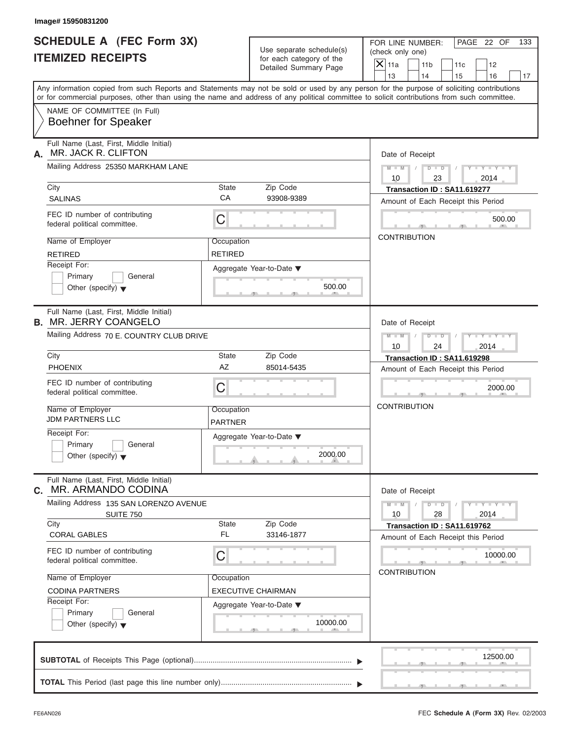| <b>SCHEDULE A (FEC Form 3X)</b><br><b>ITEMIZED RECEIPTS</b>             | Use separate schedule(s)                          | PAGE 22 OF<br>FOR LINE NUMBER:<br>133<br>(check only one)                                                                                                               |
|-------------------------------------------------------------------------|---------------------------------------------------|-------------------------------------------------------------------------------------------------------------------------------------------------------------------------|
|                                                                         | for each category of the<br>Detailed Summary Page | $\mathsf{X}$ 11a<br>11 <sub>b</sub><br>11c<br>12                                                                                                                        |
|                                                                         |                                                   | 13<br>14<br>15<br>16<br>17<br>Any information copied from such Reports and Statements may not be sold or used by any person for the purpose of soliciting contributions |
| NAME OF COMMITTEE (In Full)                                             |                                                   | or for commercial purposes, other than using the name and address of any political committee to solicit contributions from such committee.                              |
| <b>Boehner for Speaker</b>                                              |                                                   |                                                                                                                                                                         |
| Full Name (Last, First, Middle Initial)<br>MR. JACK R. CLIFTON<br>А.    |                                                   | Date of Receipt                                                                                                                                                         |
| Mailing Address 25350 MARKHAM LANE                                      |                                                   | $D$ $D$<br>$Y - Y - Y - Y - Y$<br>$M - M$ /<br>10<br>23<br>2014                                                                                                         |
| City                                                                    | State<br>Zip Code                                 | Transaction ID: SA11.619277                                                                                                                                             |
| <b>SALINAS</b>                                                          | CA<br>93908-9389                                  | Amount of Each Receipt this Period                                                                                                                                      |
| FEC ID number of contributing<br>federal political committee.           | С                                                 | 500.00                                                                                                                                                                  |
| Name of Employer                                                        | Occupation                                        | <b>CONTRIBUTION</b>                                                                                                                                                     |
| <b>RETIRED</b>                                                          | <b>RETIRED</b>                                    |                                                                                                                                                                         |
| Receipt For:                                                            | Aggregate Year-to-Date ▼                          |                                                                                                                                                                         |
| Primary<br>General<br>Other (specify) $\blacktriangledown$              | 500.00                                            |                                                                                                                                                                         |
| Full Name (Last, First, Middle Initial)<br><b>B. MR. JERRY COANGELO</b> |                                                   | Date of Receipt                                                                                                                                                         |
| Mailing Address 70 E. COUNTRY CLUB DRIVE                                |                                                   | $M$ $M$<br>$D - I - D$<br>Y TYTTYTTY                                                                                                                                    |
| City                                                                    | <b>State</b><br>Zip Code                          | 10<br>24<br>2014<br>Transaction ID: SA11.619298                                                                                                                         |
| <b>PHOENIX</b>                                                          | AZ<br>85014-5435                                  | Amount of Each Receipt this Period                                                                                                                                      |
| FEC ID number of contributing<br>federal political committee.           | C                                                 | 2000.00                                                                                                                                                                 |
| Name of Employer<br><b>JDM PARTNERS LLC</b>                             | Occupation<br><b>PARTNER</b>                      | <b>CONTRIBUTION</b>                                                                                                                                                     |
| Receipt For:                                                            | Aggregate Year-to-Date ▼                          |                                                                                                                                                                         |
| Primary<br>General<br>Other (specify) $\blacktriangledown$              | 2000.00                                           |                                                                                                                                                                         |
| Full Name (Last, First, Middle Initial)<br>MR. ARMANDO CODINA<br>С.     |                                                   | Date of Receipt                                                                                                                                                         |
| Mailing Address 135 SAN LORENZO AVENUE<br><b>SUITE 750</b>              |                                                   | $Y = Y = Y$<br>$M - M$<br>$D - D$<br>10<br>28<br>2014                                                                                                                   |
| City<br><b>CORAL GABLES</b>                                             | State<br>Zip Code<br><b>FL</b><br>33146-1877      | Transaction ID: SA11.619762<br>Amount of Each Receipt this Period                                                                                                       |
| FEC ID number of contributing<br>federal political committee.           | С                                                 | 10000.00                                                                                                                                                                |
| Name of Employer                                                        | Occupation                                        | <b>CONTRIBUTION</b>                                                                                                                                                     |
| <b>CODINA PARTNERS</b>                                                  | EXECUTIVE CHAIRMAN                                |                                                                                                                                                                         |
| Receipt For:                                                            | Aggregate Year-to-Date ▼                          |                                                                                                                                                                         |
| Primary<br>General<br>Other (specify) $\blacktriangledown$              | 10000.00                                          |                                                                                                                                                                         |
|                                                                         |                                                   |                                                                                                                                                                         |
|                                                                         |                                                   | 12500.00                                                                                                                                                                |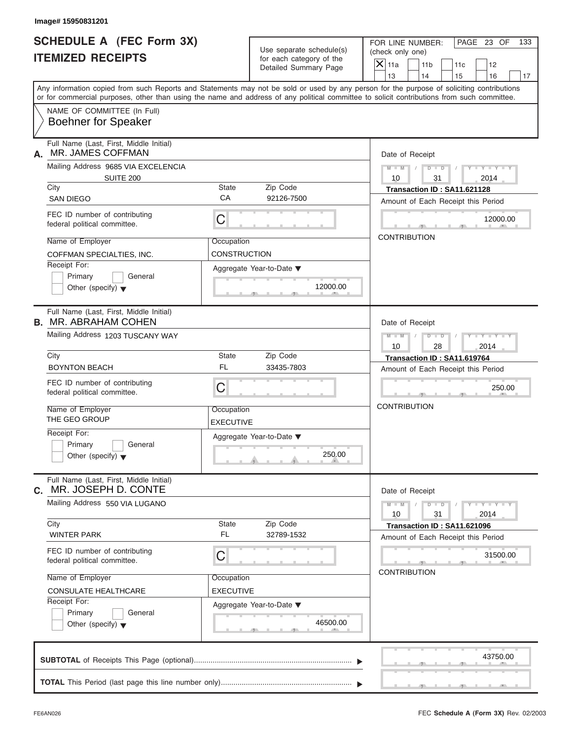| Image# 15950831201                                                         |                                   |                                                                               |                                                                                                                                                                                                                                                                                                                       |
|----------------------------------------------------------------------------|-----------------------------------|-------------------------------------------------------------------------------|-----------------------------------------------------------------------------------------------------------------------------------------------------------------------------------------------------------------------------------------------------------------------------------------------------------------------|
| <b>SCHEDULE A (FEC Form 3X)</b><br><b>ITEMIZED RECEIPTS</b>                |                                   | Use separate schedule(s)<br>for each category of the<br>Detailed Summary Page | FOR LINE NUMBER:<br>PAGE 23 OF<br>133<br>(check only one)<br>$\mathsf{X}$ 11a<br>11 <sub>b</sub><br>11c<br>12                                                                                                                                                                                                         |
|                                                                            |                                   |                                                                               | 13<br>14<br>15<br>16<br>17<br>Any information copied from such Reports and Statements may not be sold or used by any person for the purpose of soliciting contributions<br>or for commercial purposes, other than using the name and address of any political committee to solicit contributions from such committee. |
| NAME OF COMMITTEE (In Full)<br><b>Boehner for Speaker</b>                  |                                   |                                                                               |                                                                                                                                                                                                                                                                                                                       |
| Full Name (Last, First, Middle Initial)<br>MR. JAMES COFFMAN<br>А.         |                                   |                                                                               | Date of Receipt                                                                                                                                                                                                                                                                                                       |
| Mailing Address 9685 VIA EXCELENCIA<br>SUITE 200                           |                                   |                                                                               | $D$ $D$<br>$Y - Y - Y - Y$<br>$M - M$<br>10<br>31<br>2014                                                                                                                                                                                                                                                             |
| City<br><b>SAN DIEGO</b>                                                   | <b>State</b><br>CA                | Zip Code<br>92126-7500                                                        | Transaction ID: SA11.621128<br>Amount of Each Receipt this Period                                                                                                                                                                                                                                                     |
| FEC ID number of contributing<br>federal political committee.              | C                                 |                                                                               | 12000.00                                                                                                                                                                                                                                                                                                              |
| Name of Employer<br>COFFMAN SPECIALTIES, INC.                              | Occupation<br><b>CONSTRUCTION</b> |                                                                               | <b>CONTRIBUTION</b>                                                                                                                                                                                                                                                                                                   |
| Receipt For:<br>Primary<br>General<br>Other (specify) $\blacktriangledown$ |                                   | Aggregate Year-to-Date $\blacktriangledown$<br>12000.00                       |                                                                                                                                                                                                                                                                                                                       |
| Full Name (Last, First, Middle Initial)<br><b>B. MR. ABRAHAM COHEN</b>     |                                   |                                                                               | Date of Receipt                                                                                                                                                                                                                                                                                                       |
| Mailing Address 1203 TUSCANY WAY                                           |                                   |                                                                               | $D - I - D$<br>$M - M$<br>$+Y+Y+Y$<br>2014<br>10<br>28                                                                                                                                                                                                                                                                |
| City                                                                       | <b>State</b>                      | Zip Code                                                                      | Transaction ID: SA11.619764                                                                                                                                                                                                                                                                                           |
| <b>BOYNTON BEACH</b>                                                       | <b>FL</b>                         | 33435-7803                                                                    | Amount of Each Receipt this Period                                                                                                                                                                                                                                                                                    |
| FEC ID number of contributing<br>federal political committee.              | C                                 |                                                                               | 250.00                                                                                                                                                                                                                                                                                                                |
| Name of Employer<br>THE GEO GROUP                                          | Occupation<br><b>EXECUTIVE</b>    |                                                                               | <b>CONTRIBUTION</b>                                                                                                                                                                                                                                                                                                   |
| Receipt For:<br>Primary<br>General<br>Other (specify) $\blacktriangledown$ |                                   | Aggregate Year-to-Date ▼<br>250.00                                            |                                                                                                                                                                                                                                                                                                                       |
| Full Name (Last, First, Middle Initial)<br>MR. JOSEPH D. CONTE<br>C.       |                                   |                                                                               | Date of Receipt                                                                                                                                                                                                                                                                                                       |
| Mailing Address 550 VIA LUGANO                                             |                                   |                                                                               | $Y = Y$<br>$D$ $\Box$ $D$<br>$M - M$<br>2014<br>10<br>31                                                                                                                                                                                                                                                              |
| City<br><b>WINTER PARK</b>                                                 | State<br>FL                       | Zip Code<br>32789-1532                                                        | Transaction ID: SA11.621096<br>Amount of Each Receipt this Period                                                                                                                                                                                                                                                     |
| FEC ID number of contributing<br>federal political committee.              | C                                 |                                                                               | 31500.00<br><b>CONTRIBUTION</b>                                                                                                                                                                                                                                                                                       |
| Name of Employer                                                           | Occupation                        |                                                                               |                                                                                                                                                                                                                                                                                                                       |
| CONSULATE HEALTHCARE<br>Receipt For:                                       | <b>EXECUTIVE</b>                  |                                                                               |                                                                                                                                                                                                                                                                                                                       |
| Primary<br>General<br>Other (specify) $\blacktriangledown$                 |                                   | Aggregate Year-to-Date ▼<br>46500.00                                          |                                                                                                                                                                                                                                                                                                                       |
|                                                                            |                                   |                                                                               | 43750.00                                                                                                                                                                                                                                                                                                              |
|                                                                            |                                   |                                                                               |                                                                                                                                                                                                                                                                                                                       |

 $S = 1 - 1 - 3$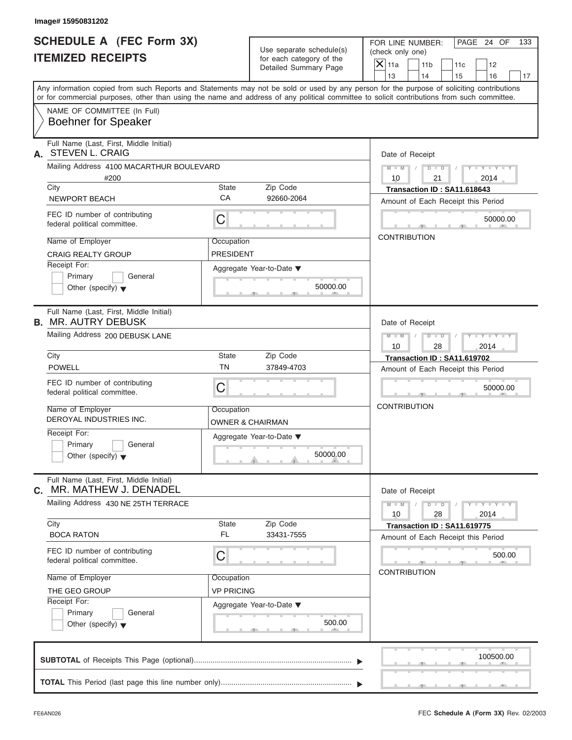| <b>SCHEDULE A (FEC Form 3X)</b><br>FOR LINE NUMBER:<br>Use separate schedule(s)<br>(check only one)<br><b>ITEMIZED RECEIPTS</b><br>for each category of the<br>$\mathsf{X}$ 11a<br>Detailed Summary Page<br>13<br>Any information copied from such Reports and Statements may not be sold or used by any person for the purpose of soliciting contributions<br>or for commercial purposes, other than using the name and address of any political committee to solicit contributions from such committee.<br>NAME OF COMMITTEE (In Full)<br><b>Boehner for Speaker</b><br>Full Name (Last, First, Middle Initial)<br>A. STEVEN L. CRAIG<br>Date of Receipt<br>Mailing Address 4100 MACARTHUR BOULEVARD<br>#200<br>10<br>City<br><b>State</b><br>Zip Code<br>CA<br>92660-2064<br>NEWPORT BEACH<br>FEC ID number of contributing<br>С<br>federal political committee.<br><b>CONTRIBUTION</b><br>Name of Employer<br>Occupation<br><b>CRAIG REALTY GROUP</b><br><b>PRESIDENT</b><br>Receipt For:<br>Aggregate Year-to-Date ▼<br>Primary<br>General<br>50000.00<br>Other (specify) $\blacktriangledown$<br>Full Name (Last, First, Middle Initial)<br><b>B. MR. AUTRY DEBUSK</b><br>Date of Receipt<br>Mailing Address 200 DEBUSK LANE<br>10<br>City<br>State<br>Zip Code<br><b>TN</b><br><b>POWELL</b><br>37849-4703<br>FEC ID number of contributing<br>C<br>federal political committee.<br><b>CONTRIBUTION</b><br>Name of Employer<br>Occupation<br>DEROYAL INDUSTRIES INC.<br>OWNER & CHAIRMAN<br>Receipt For:<br>Aggregate Year-to-Date ▼<br>Primary<br>General<br>50000.00<br>Other (specify) $\blacktriangledown$<br>Full Name (Last, First, Middle Initial)<br>MR. MATHEW J. DENADEL<br>С.<br>Date of Receipt<br>Mailing Address 430 NE 25TH TERRACE<br>$M - M$<br>10<br>City<br>State<br>Zip Code<br><b>FL</b><br>33431-7555<br><b>BOCA RATON</b><br>Amount of Each Receipt this Period<br>FEC ID number of contributing<br>С<br>federal political committee.<br><b>CONTRIBUTION</b><br>Name of Employer<br>Occupation<br><b>VP PRICING</b><br>THE GEO GROUP<br>Receipt For:<br>Aggregate Year-to-Date ▼ |         |                 |                             |                                    |        |     |
|----------------------------------------------------------------------------------------------------------------------------------------------------------------------------------------------------------------------------------------------------------------------------------------------------------------------------------------------------------------------------------------------------------------------------------------------------------------------------------------------------------------------------------------------------------------------------------------------------------------------------------------------------------------------------------------------------------------------------------------------------------------------------------------------------------------------------------------------------------------------------------------------------------------------------------------------------------------------------------------------------------------------------------------------------------------------------------------------------------------------------------------------------------------------------------------------------------------------------------------------------------------------------------------------------------------------------------------------------------------------------------------------------------------------------------------------------------------------------------------------------------------------------------------------------------------------------------------------------------------------------------------------------------------------------------------------------------------------------------------------------------------------------------------------------------------------------------------------------------------------------------------------------------------------------------------------------------------------------------------------------------------------------------------------------------------------------------------------------------------|---------|-----------------|-----------------------------|------------------------------------|--------|-----|
|                                                                                                                                                                                                                                                                                                                                                                                                                                                                                                                                                                                                                                                                                                                                                                                                                                                                                                                                                                                                                                                                                                                                                                                                                                                                                                                                                                                                                                                                                                                                                                                                                                                                                                                                                                                                                                                                                                                                                                                                                                                                                                                |         |                 |                             | PAGE 24 OF                         |        | 133 |
|                                                                                                                                                                                                                                                                                                                                                                                                                                                                                                                                                                                                                                                                                                                                                                                                                                                                                                                                                                                                                                                                                                                                                                                                                                                                                                                                                                                                                                                                                                                                                                                                                                                                                                                                                                                                                                                                                                                                                                                                                                                                                                                |         | 11 <sub>b</sub> | 11c                         | 12                                 |        |     |
|                                                                                                                                                                                                                                                                                                                                                                                                                                                                                                                                                                                                                                                                                                                                                                                                                                                                                                                                                                                                                                                                                                                                                                                                                                                                                                                                                                                                                                                                                                                                                                                                                                                                                                                                                                                                                                                                                                                                                                                                                                                                                                                |         | 14              | 15                          | 16                                 |        | 17  |
|                                                                                                                                                                                                                                                                                                                                                                                                                                                                                                                                                                                                                                                                                                                                                                                                                                                                                                                                                                                                                                                                                                                                                                                                                                                                                                                                                                                                                                                                                                                                                                                                                                                                                                                                                                                                                                                                                                                                                                                                                                                                                                                |         |                 |                             |                                    |        |     |
|                                                                                                                                                                                                                                                                                                                                                                                                                                                                                                                                                                                                                                                                                                                                                                                                                                                                                                                                                                                                                                                                                                                                                                                                                                                                                                                                                                                                                                                                                                                                                                                                                                                                                                                                                                                                                                                                                                                                                                                                                                                                                                                |         |                 |                             |                                    |        |     |
|                                                                                                                                                                                                                                                                                                                                                                                                                                                                                                                                                                                                                                                                                                                                                                                                                                                                                                                                                                                                                                                                                                                                                                                                                                                                                                                                                                                                                                                                                                                                                                                                                                                                                                                                                                                                                                                                                                                                                                                                                                                                                                                |         |                 |                             |                                    |        |     |
|                                                                                                                                                                                                                                                                                                                                                                                                                                                                                                                                                                                                                                                                                                                                                                                                                                                                                                                                                                                                                                                                                                                                                                                                                                                                                                                                                                                                                                                                                                                                                                                                                                                                                                                                                                                                                                                                                                                                                                                                                                                                                                                |         |                 |                             |                                    |        |     |
|                                                                                                                                                                                                                                                                                                                                                                                                                                                                                                                                                                                                                                                                                                                                                                                                                                                                                                                                                                                                                                                                                                                                                                                                                                                                                                                                                                                                                                                                                                                                                                                                                                                                                                                                                                                                                                                                                                                                                                                                                                                                                                                | $M - M$ | $D$ $D$<br>21   |                             | $Y - Y - Y - Y - Y$<br>2014        |        |     |
|                                                                                                                                                                                                                                                                                                                                                                                                                                                                                                                                                                                                                                                                                                                                                                                                                                                                                                                                                                                                                                                                                                                                                                                                                                                                                                                                                                                                                                                                                                                                                                                                                                                                                                                                                                                                                                                                                                                                                                                                                                                                                                                |         |                 | Transaction ID: SA11.618643 |                                    |        |     |
|                                                                                                                                                                                                                                                                                                                                                                                                                                                                                                                                                                                                                                                                                                                                                                                                                                                                                                                                                                                                                                                                                                                                                                                                                                                                                                                                                                                                                                                                                                                                                                                                                                                                                                                                                                                                                                                                                                                                                                                                                                                                                                                |         |                 |                             | Amount of Each Receipt this Period |        |     |
|                                                                                                                                                                                                                                                                                                                                                                                                                                                                                                                                                                                                                                                                                                                                                                                                                                                                                                                                                                                                                                                                                                                                                                                                                                                                                                                                                                                                                                                                                                                                                                                                                                                                                                                                                                                                                                                                                                                                                                                                                                                                                                                |         |                 |                             | 50000.00                           |        |     |
|                                                                                                                                                                                                                                                                                                                                                                                                                                                                                                                                                                                                                                                                                                                                                                                                                                                                                                                                                                                                                                                                                                                                                                                                                                                                                                                                                                                                                                                                                                                                                                                                                                                                                                                                                                                                                                                                                                                                                                                                                                                                                                                |         |                 |                             |                                    |        |     |
|                                                                                                                                                                                                                                                                                                                                                                                                                                                                                                                                                                                                                                                                                                                                                                                                                                                                                                                                                                                                                                                                                                                                                                                                                                                                                                                                                                                                                                                                                                                                                                                                                                                                                                                                                                                                                                                                                                                                                                                                                                                                                                                |         |                 |                             |                                    |        |     |
|                                                                                                                                                                                                                                                                                                                                                                                                                                                                                                                                                                                                                                                                                                                                                                                                                                                                                                                                                                                                                                                                                                                                                                                                                                                                                                                                                                                                                                                                                                                                                                                                                                                                                                                                                                                                                                                                                                                                                                                                                                                                                                                |         |                 |                             |                                    |        |     |
|                                                                                                                                                                                                                                                                                                                                                                                                                                                                                                                                                                                                                                                                                                                                                                                                                                                                                                                                                                                                                                                                                                                                                                                                                                                                                                                                                                                                                                                                                                                                                                                                                                                                                                                                                                                                                                                                                                                                                                                                                                                                                                                |         |                 |                             |                                    |        |     |
|                                                                                                                                                                                                                                                                                                                                                                                                                                                                                                                                                                                                                                                                                                                                                                                                                                                                                                                                                                                                                                                                                                                                                                                                                                                                                                                                                                                                                                                                                                                                                                                                                                                                                                                                                                                                                                                                                                                                                                                                                                                                                                                | $M$ $M$ | $D - I - D$     |                             | Y TYTTYTTY                         |        |     |
|                                                                                                                                                                                                                                                                                                                                                                                                                                                                                                                                                                                                                                                                                                                                                                                                                                                                                                                                                                                                                                                                                                                                                                                                                                                                                                                                                                                                                                                                                                                                                                                                                                                                                                                                                                                                                                                                                                                                                                                                                                                                                                                |         | 28              |                             | 2014                               |        |     |
|                                                                                                                                                                                                                                                                                                                                                                                                                                                                                                                                                                                                                                                                                                                                                                                                                                                                                                                                                                                                                                                                                                                                                                                                                                                                                                                                                                                                                                                                                                                                                                                                                                                                                                                                                                                                                                                                                                                                                                                                                                                                                                                |         |                 | Transaction ID: SA11.619702 |                                    |        |     |
|                                                                                                                                                                                                                                                                                                                                                                                                                                                                                                                                                                                                                                                                                                                                                                                                                                                                                                                                                                                                                                                                                                                                                                                                                                                                                                                                                                                                                                                                                                                                                                                                                                                                                                                                                                                                                                                                                                                                                                                                                                                                                                                |         |                 |                             | Amount of Each Receipt this Period |        |     |
|                                                                                                                                                                                                                                                                                                                                                                                                                                                                                                                                                                                                                                                                                                                                                                                                                                                                                                                                                                                                                                                                                                                                                                                                                                                                                                                                                                                                                                                                                                                                                                                                                                                                                                                                                                                                                                                                                                                                                                                                                                                                                                                |         |                 |                             | 50000.00                           |        |     |
|                                                                                                                                                                                                                                                                                                                                                                                                                                                                                                                                                                                                                                                                                                                                                                                                                                                                                                                                                                                                                                                                                                                                                                                                                                                                                                                                                                                                                                                                                                                                                                                                                                                                                                                                                                                                                                                                                                                                                                                                                                                                                                                |         |                 |                             |                                    |        |     |
|                                                                                                                                                                                                                                                                                                                                                                                                                                                                                                                                                                                                                                                                                                                                                                                                                                                                                                                                                                                                                                                                                                                                                                                                                                                                                                                                                                                                                                                                                                                                                                                                                                                                                                                                                                                                                                                                                                                                                                                                                                                                                                                |         |                 |                             |                                    |        |     |
|                                                                                                                                                                                                                                                                                                                                                                                                                                                                                                                                                                                                                                                                                                                                                                                                                                                                                                                                                                                                                                                                                                                                                                                                                                                                                                                                                                                                                                                                                                                                                                                                                                                                                                                                                                                                                                                                                                                                                                                                                                                                                                                |         |                 |                             |                                    |        |     |
|                                                                                                                                                                                                                                                                                                                                                                                                                                                                                                                                                                                                                                                                                                                                                                                                                                                                                                                                                                                                                                                                                                                                                                                                                                                                                                                                                                                                                                                                                                                                                                                                                                                                                                                                                                                                                                                                                                                                                                                                                                                                                                                |         | $D - D$<br>28   |                             | $Y - Y - Y - Y - I$<br>2014        |        |     |
|                                                                                                                                                                                                                                                                                                                                                                                                                                                                                                                                                                                                                                                                                                                                                                                                                                                                                                                                                                                                                                                                                                                                                                                                                                                                                                                                                                                                                                                                                                                                                                                                                                                                                                                                                                                                                                                                                                                                                                                                                                                                                                                |         |                 | Transaction ID: SA11.619775 |                                    |        |     |
|                                                                                                                                                                                                                                                                                                                                                                                                                                                                                                                                                                                                                                                                                                                                                                                                                                                                                                                                                                                                                                                                                                                                                                                                                                                                                                                                                                                                                                                                                                                                                                                                                                                                                                                                                                                                                                                                                                                                                                                                                                                                                                                |         |                 |                             |                                    | 500.00 |     |
|                                                                                                                                                                                                                                                                                                                                                                                                                                                                                                                                                                                                                                                                                                                                                                                                                                                                                                                                                                                                                                                                                                                                                                                                                                                                                                                                                                                                                                                                                                                                                                                                                                                                                                                                                                                                                                                                                                                                                                                                                                                                                                                |         |                 |                             |                                    |        |     |
|                                                                                                                                                                                                                                                                                                                                                                                                                                                                                                                                                                                                                                                                                                                                                                                                                                                                                                                                                                                                                                                                                                                                                                                                                                                                                                                                                                                                                                                                                                                                                                                                                                                                                                                                                                                                                                                                                                                                                                                                                                                                                                                |         |                 |                             |                                    |        |     |
|                                                                                                                                                                                                                                                                                                                                                                                                                                                                                                                                                                                                                                                                                                                                                                                                                                                                                                                                                                                                                                                                                                                                                                                                                                                                                                                                                                                                                                                                                                                                                                                                                                                                                                                                                                                                                                                                                                                                                                                                                                                                                                                |         |                 |                             |                                    |        |     |
| Primary<br>General<br>500.00<br>Other (specify) $\blacktriangledown$                                                                                                                                                                                                                                                                                                                                                                                                                                                                                                                                                                                                                                                                                                                                                                                                                                                                                                                                                                                                                                                                                                                                                                                                                                                                                                                                                                                                                                                                                                                                                                                                                                                                                                                                                                                                                                                                                                                                                                                                                                           |         |                 |                             |                                    |        |     |
|                                                                                                                                                                                                                                                                                                                                                                                                                                                                                                                                                                                                                                                                                                                                                                                                                                                                                                                                                                                                                                                                                                                                                                                                                                                                                                                                                                                                                                                                                                                                                                                                                                                                                                                                                                                                                                                                                                                                                                                                                                                                                                                |         |                 |                             | 100500.00                          |        |     |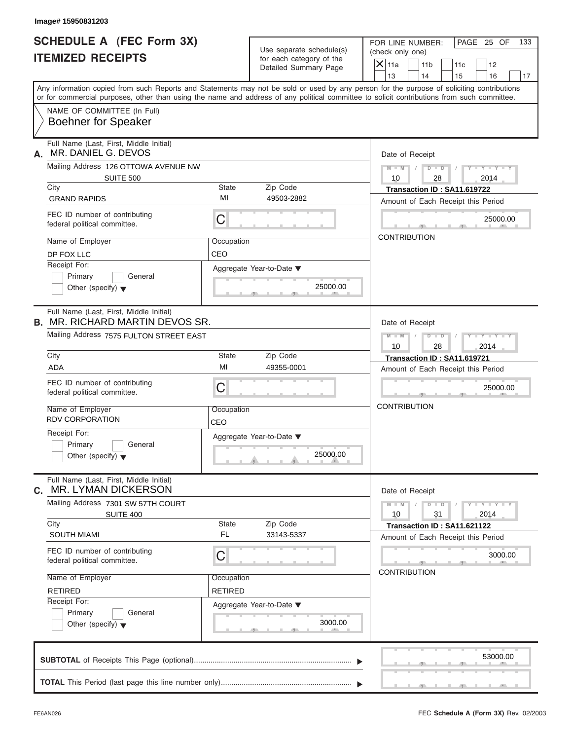| Image# 15950831203                                                                |                   |                                                                               |                                                                                                                                                                                                                                                                                         |
|-----------------------------------------------------------------------------------|-------------------|-------------------------------------------------------------------------------|-----------------------------------------------------------------------------------------------------------------------------------------------------------------------------------------------------------------------------------------------------------------------------------------|
| <b>SCHEDULE A (FEC Form 3X)</b><br><b>ITEMIZED RECEIPTS</b>                       |                   | Use separate schedule(s)<br>for each category of the<br>Detailed Summary Page | FOR LINE NUMBER:<br>PAGE 25 OF<br>133<br>(check only one)<br>$\mathsf{X}$ 11a<br>11 <sub>b</sub><br>11c<br>12<br>13<br>14<br>15<br>16<br>17                                                                                                                                             |
|                                                                                   |                   |                                                                               | Any information copied from such Reports and Statements may not be sold or used by any person for the purpose of soliciting contributions<br>or for commercial purposes, other than using the name and address of any political committee to solicit contributions from such committee. |
| NAME OF COMMITTEE (In Full)<br><b>Boehner for Speaker</b>                         |                   |                                                                               |                                                                                                                                                                                                                                                                                         |
| Full Name (Last, First, Middle Initial)<br>MR. DANIEL G. DEVOS<br>А.              |                   |                                                                               | Date of Receipt                                                                                                                                                                                                                                                                         |
| Mailing Address 126 OTTOWA AVENUE NW<br><b>SUITE 500</b>                          |                   |                                                                               | $M - M$<br>$D$ $D$<br>$Y - Y - Y - Y$<br>10<br>28<br>2014                                                                                                                                                                                                                               |
| City                                                                              | <b>State</b>      | Zip Code                                                                      | Transaction ID: SA11.619722                                                                                                                                                                                                                                                             |
| <b>GRAND RAPIDS</b>                                                               | MI                | 49503-2882                                                                    | Amount of Each Receipt this Period                                                                                                                                                                                                                                                      |
| FEC ID number of contributing<br>federal political committee.                     | C                 |                                                                               | 25000.00                                                                                                                                                                                                                                                                                |
| Name of Employer                                                                  | Occupation        |                                                                               | <b>CONTRIBUTION</b>                                                                                                                                                                                                                                                                     |
| DP FOX LLC                                                                        | CEO               |                                                                               |                                                                                                                                                                                                                                                                                         |
| Receipt For:<br>Primary<br>General<br>Other (specify) $\blacktriangledown$        |                   | Aggregate Year-to-Date ▼<br>25000.00                                          |                                                                                                                                                                                                                                                                                         |
| Full Name (Last, First, Middle Initial)<br><b>B. MR. RICHARD MARTIN DEVOS SR.</b> |                   |                                                                               | Date of Receipt                                                                                                                                                                                                                                                                         |
| Mailing Address 7575 FULTON STREET EAST                                           |                   |                                                                               | $D - I - D$<br>Y T Y T Y T<br>$M - M$<br>2014<br>10<br>28                                                                                                                                                                                                                               |
| City                                                                              | <b>State</b>      | Zip Code                                                                      | Transaction ID: SA11.619721                                                                                                                                                                                                                                                             |
| <b>ADA</b>                                                                        | MI                | 49355-0001                                                                    | Amount of Each Receipt this Period                                                                                                                                                                                                                                                      |
| FEC ID number of contributing<br>federal political committee.                     | C                 |                                                                               | 25000.00                                                                                                                                                                                                                                                                                |
| Name of Employer<br><b>RDV CORPORATION</b>                                        | Occupation<br>CEO |                                                                               | <b>CONTRIBUTION</b>                                                                                                                                                                                                                                                                     |
| Receipt For:<br>Primary<br>General<br>Other (specify) $\blacktriangledown$        |                   | Aggregate Year-to-Date ▼<br>25000.00                                          |                                                                                                                                                                                                                                                                                         |
| Full Name (Last, First, Middle Initial)<br>MR. LYMAN DICKERSON<br>C.              |                   |                                                                               | Date of Receipt                                                                                                                                                                                                                                                                         |
| Mailing Address 7301 SW 57TH COURT<br><b>SUITE 400</b>                            |                   |                                                                               | $Y - Y - Y - Y - Y$<br>$M - M$<br>$D$ $\Box$ $D$<br>2014<br>10<br>31                                                                                                                                                                                                                    |
| City<br><b>SOUTH MIAMI</b>                                                        | State<br>FL       | Zip Code<br>33143-5337                                                        | Transaction ID: SA11.621122                                                                                                                                                                                                                                                             |
|                                                                                   |                   |                                                                               | Amount of Each Receipt this Period                                                                                                                                                                                                                                                      |
| FEC ID number of contributing<br>federal political committee.                     | C                 |                                                                               | 3000.00<br><b>CONTRIBUTION</b>                                                                                                                                                                                                                                                          |
| Name of Employer                                                                  | Occupation        |                                                                               |                                                                                                                                                                                                                                                                                         |
| <b>RETIRED</b>                                                                    | <b>RETIRED</b>    |                                                                               |                                                                                                                                                                                                                                                                                         |
| Receipt For:<br>Primary<br>General<br>Other (specify) $\blacktriangledown$        |                   | Aggregate Year-to-Date ▼<br>3000.00                                           |                                                                                                                                                                                                                                                                                         |
|                                                                                   |                   |                                                                               | 53000.00                                                                                                                                                                                                                                                                                |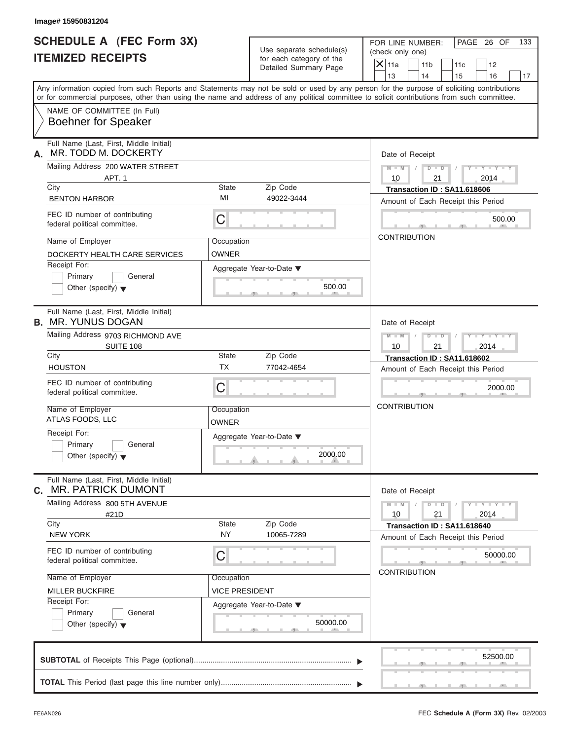| Image# 15950831204                                                                                                              |                                                                               |                                                                                                                                                                                                                                                                                         |
|---------------------------------------------------------------------------------------------------------------------------------|-------------------------------------------------------------------------------|-----------------------------------------------------------------------------------------------------------------------------------------------------------------------------------------------------------------------------------------------------------------------------------------|
| <b>SCHEDULE A (FEC Form 3X)</b><br><b>ITEMIZED RECEIPTS</b>                                                                     | Use separate schedule(s)<br>for each category of the<br>Detailed Summary Page | PAGE 26 OF<br>FOR LINE NUMBER:<br>133<br>(check only one)<br>$\mathsf{X}$ 11a<br>11 <sub>b</sub><br>11c<br>12<br>13<br>14<br>15<br>16<br>17                                                                                                                                             |
|                                                                                                                                 |                                                                               | Any information copied from such Reports and Statements may not be sold or used by any person for the purpose of soliciting contributions<br>or for commercial purposes, other than using the name and address of any political committee to solicit contributions from such committee. |
| NAME OF COMMITTEE (In Full)<br><b>Boehner for Speaker</b>                                                                       |                                                                               |                                                                                                                                                                                                                                                                                         |
| Full Name (Last, First, Middle Initial)<br>MR. TODD M. DOCKERTY<br>А.                                                           |                                                                               | Date of Receipt                                                                                                                                                                                                                                                                         |
| Mailing Address 200 WATER STREET<br>APT. 1                                                                                      |                                                                               | $D$ $\Box$ $D$<br>$Y - Y - Y - Y - Y$<br>$M - M$ /<br>10<br>21<br>2014                                                                                                                                                                                                                  |
| City<br><b>BENTON HARBOR</b>                                                                                                    | State<br>Zip Code<br>MI<br>49022-3444                                         | Transaction ID: SA11.618606<br>Amount of Each Receipt this Period                                                                                                                                                                                                                       |
| FEC ID number of contributing<br>federal political committee.                                                                   | C                                                                             | 500.00                                                                                                                                                                                                                                                                                  |
| Name of Employer<br>DOCKERTY HEALTH CARE SERVICES<br>Receipt For:<br>Primary<br>General<br>Other (specify) $\blacktriangledown$ | Occupation<br>OWNER<br>Aggregate Year-to-Date ▼                               | <b>CONTRIBUTION</b><br>500.00                                                                                                                                                                                                                                                           |
| Full Name (Last, First, Middle Initial)<br><b>B. MR. YUNUS DOGAN</b><br>Mailing Address 9703 RICHMOND AVE                       |                                                                               | Date of Receipt<br>$M - M$<br>$D - I - D$<br>$Y - Y - Y - Y - Y$                                                                                                                                                                                                                        |
| SUITE 108<br>City                                                                                                               | State<br>Zip Code                                                             | 10<br>21<br>2014<br>Transaction ID: SA11.618602                                                                                                                                                                                                                                         |
| <b>HOUSTON</b>                                                                                                                  | <b>TX</b><br>77042-4654                                                       | Amount of Each Receipt this Period                                                                                                                                                                                                                                                      |
| FEC ID number of contributing<br>federal political committee.                                                                   | C                                                                             | 2000.00                                                                                                                                                                                                                                                                                 |
| Name of Employer<br>ATLAS FOODS, LLC                                                                                            | Occupation<br>OWNER                                                           | <b>CONTRIBUTION</b>                                                                                                                                                                                                                                                                     |
| Receipt For:<br>Primary<br>General<br>Other (specify) $\blacktriangledown$                                                      | Aggregate Year-to-Date ▼                                                      | 2000.00                                                                                                                                                                                                                                                                                 |
| Full Name (Last, First, Middle Initial)<br><b>MR. PATRICK DUMONT</b><br>С.                                                      |                                                                               | Date of Receipt                                                                                                                                                                                                                                                                         |
| Mailing Address 800 5TH AVENUE<br>#21D                                                                                          |                                                                               | $Y - Y - Y - Y - Y$<br>$M - M$<br>$D - D$<br>21<br>10<br>2014                                                                                                                                                                                                                           |
| City<br><b>NEW YORK</b>                                                                                                         | Zip Code<br><b>State</b><br><b>NY</b><br>10065-7289                           | Transaction ID: SA11.618640<br>Amount of Each Receipt this Period                                                                                                                                                                                                                       |
| FEC ID number of contributing<br>federal political committee.                                                                   | С                                                                             | 50000.00                                                                                                                                                                                                                                                                                |
| Name of Employer<br><b>MILLER BUCKFIRE</b>                                                                                      | Occupation<br>VICE PRESIDENT                                                  | <b>CONTRIBUTION</b>                                                                                                                                                                                                                                                                     |
| Receipt For:<br>Primary<br>General<br>Other (specify) $\blacktriangledown$                                                      | Aggregate Year-to-Date ▼                                                      | 50000.00                                                                                                                                                                                                                                                                                |
|                                                                                                                                 |                                                                               | 52500.00                                                                                                                                                                                                                                                                                |
|                                                                                                                                 |                                                                               |                                                                                                                                                                                                                                                                                         |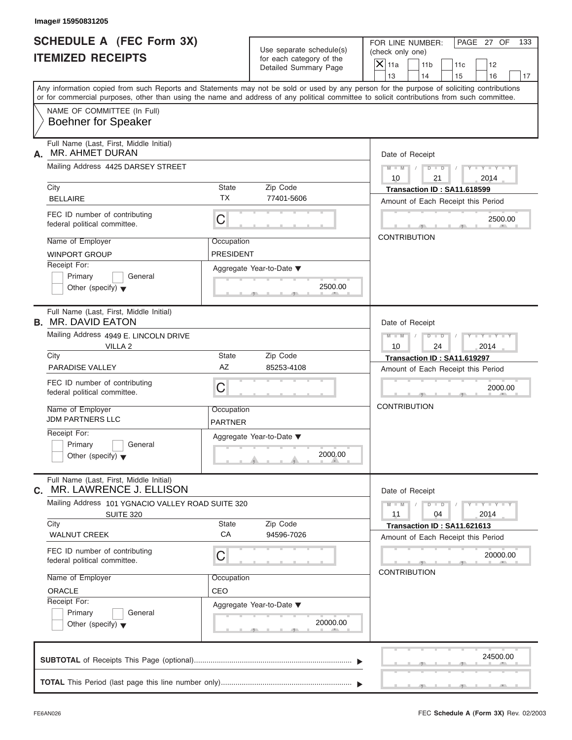| <b>SCHEDULE A (FEC Form 3X)</b>                                                                                                                                                                                                                                                         |                  |                                                   | FOR LINE NUMBER:    |                                    |            | PAGE 27 OF                  | 133 |  |
|-----------------------------------------------------------------------------------------------------------------------------------------------------------------------------------------------------------------------------------------------------------------------------------------|------------------|---------------------------------------------------|---------------------|------------------------------------|------------|-----------------------------|-----|--|
|                                                                                                                                                                                                                                                                                         |                  | Use separate schedule(s)                          |                     | (check only one)                   |            |                             |     |  |
| <b>ITEMIZED RECEIPTS</b>                                                                                                                                                                                                                                                                |                  | for each category of the<br>Detailed Summary Page | $X$ 11a             | 11 <sub>b</sub>                    | 11c        | 12                          |     |  |
|                                                                                                                                                                                                                                                                                         |                  |                                                   | 13                  | 14                                 | 15         | 16                          | 17  |  |
| Any information copied from such Reports and Statements may not be sold or used by any person for the purpose of soliciting contributions<br>or for commercial purposes, other than using the name and address of any political committee to solicit contributions from such committee. |                  |                                                   |                     |                                    |            |                             |     |  |
| NAME OF COMMITTEE (In Full)<br><b>Boehner for Speaker</b>                                                                                                                                                                                                                               |                  |                                                   |                     |                                    |            |                             |     |  |
| Full Name (Last, First, Middle Initial)<br>MR. AHMET DURAN<br>А.                                                                                                                                                                                                                        |                  |                                                   |                     | Date of Receipt                    |            |                             |     |  |
| Mailing Address 4425 DARSEY STREET                                                                                                                                                                                                                                                      |                  |                                                   | 10                  | $M - M$ / $D - D$ /<br>21          |            | $Y - Y - Y - Y - Y$<br>2014 |     |  |
| City                                                                                                                                                                                                                                                                                    | State            | Zip Code                                          |                     | Transaction ID: SA11.618599        |            |                             |     |  |
| <b>BELLAIRE</b>                                                                                                                                                                                                                                                                         | <b>TX</b>        | 77401-5606                                        |                     | Amount of Each Receipt this Period |            |                             |     |  |
| FEC ID number of contributing<br>federal political committee.                                                                                                                                                                                                                           | C                |                                                   |                     |                                    |            | 2500.00                     |     |  |
| Name of Employer                                                                                                                                                                                                                                                                        | Occupation       |                                                   | <b>CONTRIBUTION</b> |                                    |            |                             |     |  |
| <b>WINPORT GROUP</b>                                                                                                                                                                                                                                                                    | <b>PRESIDENT</b> |                                                   |                     |                                    |            |                             |     |  |
| Receipt For:                                                                                                                                                                                                                                                                            |                  | Aggregate Year-to-Date ▼                          |                     |                                    |            |                             |     |  |
| Primary<br>General                                                                                                                                                                                                                                                                      |                  |                                                   |                     |                                    |            |                             |     |  |
| Other (specify) $\blacktriangledown$                                                                                                                                                                                                                                                    |                  | 2500.00                                           |                     |                                    |            |                             |     |  |
| Full Name (Last, First, Middle Initial)<br><b>B. MR. DAVID EATON</b>                                                                                                                                                                                                                    |                  |                                                   |                     | Date of Receipt                    |            |                             |     |  |
| Mailing Address 4949 E. LINCOLN DRIVE                                                                                                                                                                                                                                                   |                  |                                                   | $M = M - 1$         | $D - D$                            | $\sqrt{2}$ | Y TY TY TY                  |     |  |
| VILLA <sub>2</sub>                                                                                                                                                                                                                                                                      |                  |                                                   | 10                  | 24                                 |            | 2014                        |     |  |
| City                                                                                                                                                                                                                                                                                    | State            | Zip Code                                          |                     | Transaction ID: SA11.619297        |            |                             |     |  |
| <b>PARADISE VALLEY</b>                                                                                                                                                                                                                                                                  | AZ               | 85253-4108                                        |                     | Amount of Each Receipt this Period |            |                             |     |  |
| FEC ID number of contributing<br>federal political committee.                                                                                                                                                                                                                           | С                |                                                   |                     |                                    |            | 2000.00                     |     |  |
| Name of Employer                                                                                                                                                                                                                                                                        | Occupation       |                                                   | <b>CONTRIBUTION</b> |                                    |            |                             |     |  |
| <b>JDM PARTNERS LLC</b>                                                                                                                                                                                                                                                                 | <b>PARTNER</b>   |                                                   |                     |                                    |            |                             |     |  |
| Receipt For:                                                                                                                                                                                                                                                                            |                  | Aggregate Year-to-Date ▼                          |                     |                                    |            |                             |     |  |
| Primary<br>General<br>Other (specify) $\blacktriangledown$                                                                                                                                                                                                                              |                  | 2000.00                                           |                     |                                    |            |                             |     |  |
| Full Name (Last, First, Middle Initial)<br>MR. LAWRENCE J. ELLISON<br>C.                                                                                                                                                                                                                |                  |                                                   |                     | Date of Receipt                    |            |                             |     |  |
| Mailing Address 101 YGNACIO VALLEY ROAD SUITE 320<br><b>SUITE 320</b>                                                                                                                                                                                                                   |                  |                                                   | $M - M$<br>11       | $D$ $\Box$ $D$<br>04               |            | $Y - Y - Y - Y - Y$<br>2014 |     |  |
| City                                                                                                                                                                                                                                                                                    | State<br>CA      | Zip Code                                          |                     | Transaction ID: SA11.621613        |            |                             |     |  |
| <b>WALNUT CREEK</b>                                                                                                                                                                                                                                                                     |                  | 94596-7026                                        |                     | Amount of Each Receipt this Period |            |                             |     |  |
| FEC ID number of contributing<br>federal political committee.                                                                                                                                                                                                                           | С                |                                                   |                     |                                    |            | 20000.00                    |     |  |
| Name of Employer                                                                                                                                                                                                                                                                        | Occupation       |                                                   | <b>CONTRIBUTION</b> |                                    |            |                             |     |  |
| ORACLE                                                                                                                                                                                                                                                                                  | CEO              |                                                   |                     |                                    |            |                             |     |  |
| Receipt For:                                                                                                                                                                                                                                                                            |                  | Aggregate Year-to-Date ▼                          |                     |                                    |            |                             |     |  |
| Primary<br>General<br>Other (specify) $\blacktriangledown$                                                                                                                                                                                                                              |                  | 20000.00                                          |                     |                                    |            |                             |     |  |
|                                                                                                                                                                                                                                                                                         |                  |                                                   |                     |                                    |            | 24500.00                    |     |  |
|                                                                                                                                                                                                                                                                                         |                  |                                                   |                     |                                    |            |                             |     |  |
|                                                                                                                                                                                                                                                                                         |                  |                                                   |                     |                                    |            |                             |     |  |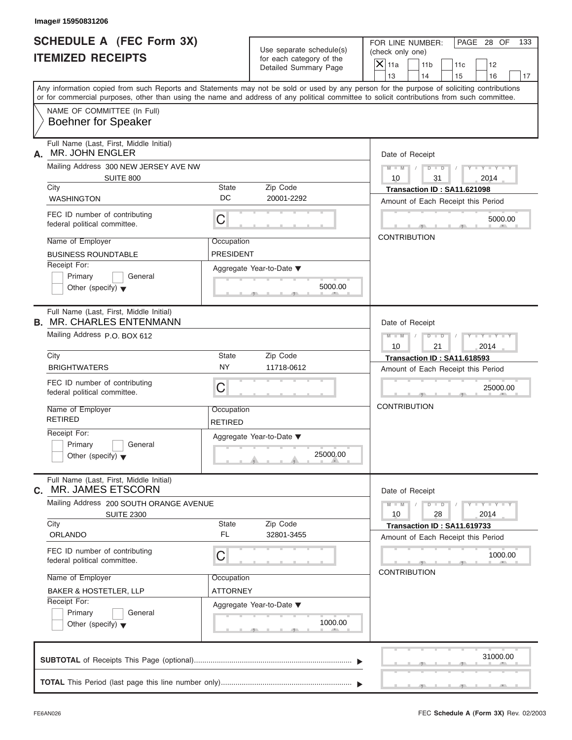| Image# 15950831206                                                                                                                                                                                                                                                                      |                              |                                                      |                     |                                      |                                    |                             |     |
|-----------------------------------------------------------------------------------------------------------------------------------------------------------------------------------------------------------------------------------------------------------------------------------------|------------------------------|------------------------------------------------------|---------------------|--------------------------------------|------------------------------------|-----------------------------|-----|
| <b>SCHEDULE A (FEC Form 3X)</b><br><b>ITEMIZED RECEIPTS</b>                                                                                                                                                                                                                             |                              | Use separate schedule(s)<br>for each category of the |                     | FOR LINE NUMBER:<br>(check only one) |                                    | PAGE 28 OF                  | 133 |
|                                                                                                                                                                                                                                                                                         |                              | Detailed Summary Page                                | $X$ 11a             | 11 <sub>b</sub>                      | 11c                                | 12                          |     |
| Any information copied from such Reports and Statements may not be sold or used by any person for the purpose of soliciting contributions<br>or for commercial purposes, other than using the name and address of any political committee to solicit contributions from such committee. |                              |                                                      | 13                  | 14                                   | 15                                 | 16                          | 17  |
| NAME OF COMMITTEE (In Full)<br><b>Boehner for Speaker</b>                                                                                                                                                                                                                               |                              |                                                      |                     |                                      |                                    |                             |     |
| Full Name (Last, First, Middle Initial)<br><b>MR. JOHN ENGLER</b><br>А.                                                                                                                                                                                                                 |                              |                                                      | Date of Receipt     |                                      |                                    |                             |     |
| Mailing Address 300 NEW JERSEY AVE NW<br>SUITE 800                                                                                                                                                                                                                                      |                              |                                                      | $M = M$ /<br>10     | $D$ $D$ $/$<br>31                    |                                    | $Y - Y - Y - Y - Y$<br>2014 |     |
| City                                                                                                                                                                                                                                                                                    | State                        | Zip Code                                             |                     |                                      | Transaction ID: SA11.621098        |                             |     |
| <b>WASHINGTON</b>                                                                                                                                                                                                                                                                       | DC                           | 20001-2292                                           |                     |                                      | Amount of Each Receipt this Period |                             |     |
| FEC ID number of contributing<br>federal political committee.                                                                                                                                                                                                                           | C                            |                                                      |                     |                                      |                                    | 5000.00                     |     |
| Name of Employer                                                                                                                                                                                                                                                                        | Occupation                   |                                                      | <b>CONTRIBUTION</b> |                                      |                                    |                             |     |
| <b>BUSINESS ROUNDTABLE</b>                                                                                                                                                                                                                                                              | <b>PRESIDENT</b>             |                                                      |                     |                                      |                                    |                             |     |
| Receipt For:<br>Primary<br>General<br>Other (specify) $\blacktriangledown$                                                                                                                                                                                                              |                              | Aggregate Year-to-Date ▼<br>5000.00                  |                     |                                      |                                    |                             |     |
| Full Name (Last, First, Middle Initial)<br><b>B. MR. CHARLES ENTENMANN</b>                                                                                                                                                                                                              |                              |                                                      | Date of Receipt     |                                      |                                    |                             |     |
| Mailing Address P.O. BOX 612                                                                                                                                                                                                                                                            |                              |                                                      | $M$ $M$<br>10       | $D - D$<br>21                        |                                    | $Y - Y - Y - Y - Y$<br>2014 |     |
| City                                                                                                                                                                                                                                                                                    | State                        | Zip Code                                             |                     |                                      | Transaction ID: SA11.618593        |                             |     |
| <b>BRIGHTWATERS</b>                                                                                                                                                                                                                                                                     | <b>NY</b>                    | 11718-0612                                           |                     |                                      | Amount of Each Receipt this Period |                             |     |
| FEC ID number of contributing<br>federal political committee.                                                                                                                                                                                                                           | C                            |                                                      |                     |                                      |                                    | 25000.00                    |     |
| Name of Employer<br><b>RETIRED</b>                                                                                                                                                                                                                                                      | Occupation<br><b>RETIRED</b> |                                                      | <b>CONTRIBUTION</b> |                                      |                                    |                             |     |
| Receipt For:<br>Primary<br>General<br>Other (specify) $\blacktriangledown$                                                                                                                                                                                                              |                              | Aggregate Year-to-Date ▼<br>25000.00                 |                     |                                      |                                    |                             |     |
| Full Name (Last, First, Middle Initial)<br>MR. JAMES ETSCORN<br>C.                                                                                                                                                                                                                      |                              |                                                      | Date of Receipt     |                                      |                                    |                             |     |
| Mailing Address 200 SOUTH ORANGE AVENUE<br><b>SUITE 2300</b>                                                                                                                                                                                                                            |                              |                                                      | $M - M$<br>10       | $D$ $\Box$ $D$<br>28                 |                                    | $Y - Y - Y - Y - Y$<br>2014 |     |
| City<br><b>ORLANDO</b>                                                                                                                                                                                                                                                                  | State<br>FL                  | Zip Code<br>32801-3455                               |                     |                                      | Transaction ID: SA11.619733        |                             |     |
|                                                                                                                                                                                                                                                                                         |                              |                                                      |                     |                                      | Amount of Each Receipt this Period |                             |     |
| FEC ID number of contributing<br>federal political committee.                                                                                                                                                                                                                           | С                            |                                                      |                     |                                      |                                    | 1000.00                     |     |
| Name of Employer                                                                                                                                                                                                                                                                        | Occupation                   |                                                      | <b>CONTRIBUTION</b> |                                      |                                    |                             |     |
| <b>BAKER &amp; HOSTETLER, LLP</b>                                                                                                                                                                                                                                                       | ATTORNEY                     |                                                      |                     |                                      |                                    |                             |     |
| Receipt For:<br>Primary<br>General<br>Other (specify) $\blacktriangledown$                                                                                                                                                                                                              |                              | Aggregate Year-to-Date ▼<br>1000.00                  |                     |                                      |                                    |                             |     |
|                                                                                                                                                                                                                                                                                         |                              |                                                      |                     |                                      |                                    | 31000.00                    |     |
|                                                                                                                                                                                                                                                                                         |                              |                                                      |                     |                                      |                                    |                             |     |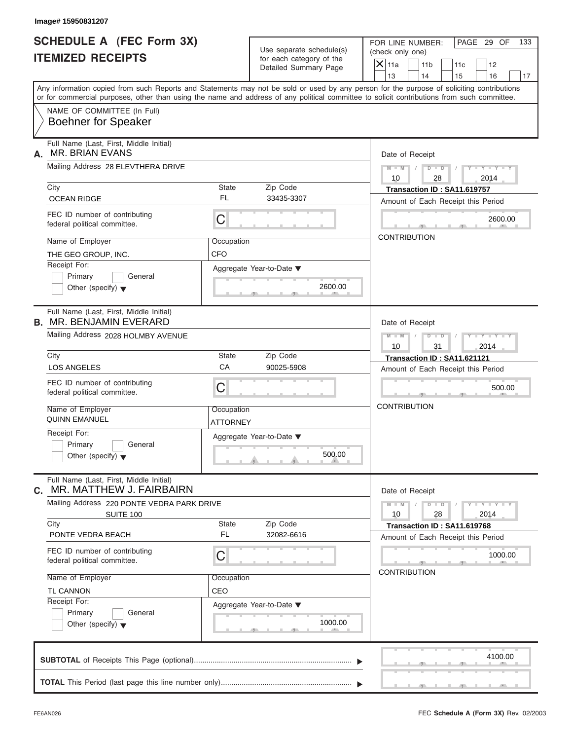| <b>SCHEDULE A (FEC Form 3X)</b><br><b>ITEMIZED RECEIPTS</b>                |                          | Use separate schedule(s)<br>for each category of the<br>Detailed Summary Page | PAGE 29 OF<br>FOR LINE NUMBER:<br>133<br>(check only one)<br>$X$ 11a<br>11 <sub>b</sub><br>11c<br>12<br>13<br>14<br>15<br>16<br>17                                                                                                                                                      |
|----------------------------------------------------------------------------|--------------------------|-------------------------------------------------------------------------------|-----------------------------------------------------------------------------------------------------------------------------------------------------------------------------------------------------------------------------------------------------------------------------------------|
|                                                                            |                          |                                                                               | Any information copied from such Reports and Statements may not be sold or used by any person for the purpose of soliciting contributions<br>or for commercial purposes, other than using the name and address of any political committee to solicit contributions from such committee. |
| NAME OF COMMITTEE (In Full)<br><b>Boehner for Speaker</b>                  |                          |                                                                               |                                                                                                                                                                                                                                                                                         |
| Full Name (Last, First, Middle Initial)<br><b>MR. BRIAN EVANS</b><br>А.    |                          |                                                                               | Date of Receipt                                                                                                                                                                                                                                                                         |
| Mailing Address 28 ELEVTHERA DRIVE                                         |                          |                                                                               | $D$ $D$<br>$Y - Y - Y - Y - Y$<br>$M - M$<br>$\sqrt{ }$<br>10<br>28<br>2014                                                                                                                                                                                                             |
| City<br><b>OCEAN RIDGE</b>                                                 | State<br>FL              | Zip Code<br>33435-3307                                                        | Transaction ID: SA11.619757<br>Amount of Each Receipt this Period                                                                                                                                                                                                                       |
| FEC ID number of contributing<br>federal political committee.              | С                        |                                                                               | 2600.00                                                                                                                                                                                                                                                                                 |
| Name of Employer<br>THE GEO GROUP, INC.                                    | Occupation<br><b>CFO</b> |                                                                               | <b>CONTRIBUTION</b>                                                                                                                                                                                                                                                                     |
| Receipt For:<br>Primary<br>General<br>Other (specify) $\blacktriangledown$ |                          | Aggregate Year-to-Date ▼<br>2600.00                                           |                                                                                                                                                                                                                                                                                         |
| Full Name (Last, First, Middle Initial)<br><b>B. MR. BENJAMIN EVERARD</b>  |                          |                                                                               | Date of Receipt                                                                                                                                                                                                                                                                         |
| Mailing Address 2028 HOLMBY AVENUE                                         |                          |                                                                               | Y T Y T Y T<br>$M$ $M$<br>$D - D$<br>10<br>31<br>2014                                                                                                                                                                                                                                   |
| City<br><b>LOS ANGELES</b>                                                 | State<br>CA              | Zip Code<br>90025-5908                                                        | Transaction ID: SA11.621121<br>Amount of Each Receipt this Period                                                                                                                                                                                                                       |
| FEC ID number of contributing<br>federal political committee.              | С                        |                                                                               | 500.00                                                                                                                                                                                                                                                                                  |
| Name of Employer<br><b>QUINN EMANUEL</b>                                   | Occupation<br>ATTORNEY   |                                                                               | <b>CONTRIBUTION</b>                                                                                                                                                                                                                                                                     |
| Receipt For:<br>Primary<br>General<br>Other (specify) $\blacktriangledown$ |                          | Aggregate Year-to-Date ▼<br>500.00                                            |                                                                                                                                                                                                                                                                                         |
| Full Name (Last, First, Middle Initial)<br>MR. MATTHEW J. FAIRBAIRN<br>C.  |                          |                                                                               | Date of Receipt                                                                                                                                                                                                                                                                         |
| Mailing Address 220 PONTE VEDRA PARK DRIVE<br>SUITE 100<br>City            | State                    | Zip Code                                                                      | $Y - Y - Y - Y - Y$<br>$M - M$<br>$D$ $\Box$ $D$<br>2014<br>10<br>28                                                                                                                                                                                                                    |
| PONTE VEDRA BEACH                                                          | <b>FL</b>                | 32082-6616                                                                    | Transaction ID: SA11.619768<br>Amount of Each Receipt this Period                                                                                                                                                                                                                       |
| FEC ID number of contributing<br>federal political committee.              | С                        |                                                                               | 1000.00<br><b>CONTRIBUTION</b>                                                                                                                                                                                                                                                          |
| Name of Employer<br>TL CANNON<br>Receipt For:                              | Occupation<br>CEO        |                                                                               |                                                                                                                                                                                                                                                                                         |
| Primary<br>General<br>Other (specify) $\blacktriangledown$                 |                          | Aggregate Year-to-Date ▼<br>1000.00                                           |                                                                                                                                                                                                                                                                                         |
|                                                                            |                          |                                                                               | 4100.00                                                                                                                                                                                                                                                                                 |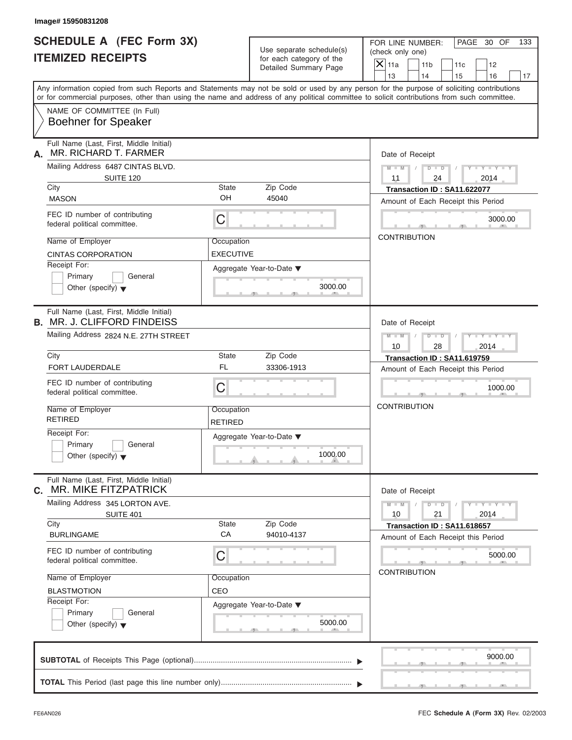| <b>SCHEDULE A (FEC Form 3X)</b><br><b>ITEMIZED RECEIPTS</b>                                                                                                                                                                                                                             |                                             | Use separate schedule(s)<br>for each category of the |                          | PAGE 30 OF<br>FOR LINE NUMBER:<br>(check only one)                |           |                             |    |  |  |
|-----------------------------------------------------------------------------------------------------------------------------------------------------------------------------------------------------------------------------------------------------------------------------------------|---------------------------------------------|------------------------------------------------------|--------------------------|-------------------------------------------------------------------|-----------|-----------------------------|----|--|--|
|                                                                                                                                                                                                                                                                                         |                                             | Detailed Summary Page                                | $ \mathsf{X} $ 11a<br>13 | 11 <sub>b</sub><br>14                                             | 11c<br>15 | 12<br>16                    | 17 |  |  |
| Any information copied from such Reports and Statements may not be sold or used by any person for the purpose of soliciting contributions<br>or for commercial purposes, other than using the name and address of any political committee to solicit contributions from such committee. |                                             |                                                      |                          |                                                                   |           |                             |    |  |  |
| NAME OF COMMITTEE (In Full)<br><b>Boehner for Speaker</b>                                                                                                                                                                                                                               |                                             |                                                      |                          |                                                                   |           |                             |    |  |  |
| Full Name (Last, First, Middle Initial)<br>MR. RICHARD T. FARMER<br>А.                                                                                                                                                                                                                  |                                             |                                                      |                          | Date of Receipt                                                   |           |                             |    |  |  |
| Mailing Address 6487 CINTAS BLVD.<br>SUITE 120                                                                                                                                                                                                                                          |                                             |                                                      | 11                       | $M = M \qquad / \qquad D = D \qquad / \qquad$<br>24               |           | $Y - Y - Y - Y - Y$<br>2014 |    |  |  |
| City<br><b>MASON</b>                                                                                                                                                                                                                                                                    | State<br>OH                                 | Zip Code<br>45040                                    |                          | Transaction ID: SA11.622077<br>Amount of Each Receipt this Period |           |                             |    |  |  |
| FEC ID number of contributing<br>federal political committee.                                                                                                                                                                                                                           | C                                           |                                                      |                          |                                                                   |           | 3000.00                     |    |  |  |
| Name of Employer<br><b>CINTAS CORPORATION</b>                                                                                                                                                                                                                                           | Occupation<br><b>EXECUTIVE</b>              |                                                      | <b>CONTRIBUTION</b>      |                                                                   |           |                             |    |  |  |
| Receipt For:<br>Primary<br>General<br>Other (specify) $\blacktriangledown$                                                                                                                                                                                                              | Aggregate Year-to-Date $\blacktriangledown$ | 3000.00                                              |                          |                                                                   |           |                             |    |  |  |
| Full Name (Last, First, Middle Initial)<br><b>B. MR. J. CLIFFORD FINDEISS</b>                                                                                                                                                                                                           |                                             |                                                      |                          | Date of Receipt                                                   |           |                             |    |  |  |
| Mailing Address 2824 N.E. 27TH STREET                                                                                                                                                                                                                                                   |                                             |                                                      | $M$ $-M$ $/$<br>10       | $\begin{array}{ccccccccc}\nD & - & D & - & \end{array}$<br>28     |           | $Y = Y = Y - Y$<br>2014     |    |  |  |
| City<br>FORT LAUDERDALE                                                                                                                                                                                                                                                                 | State<br><b>FL</b>                          | Zip Code<br>33306-1913                               |                          | Transaction ID: SA11.619759<br>Amount of Each Receipt this Period |           |                             |    |  |  |
| FEC ID number of contributing<br>federal political committee.                                                                                                                                                                                                                           | C                                           |                                                      |                          |                                                                   |           | 1000.00                     |    |  |  |
| Name of Employer<br><b>RETIRED</b>                                                                                                                                                                                                                                                      | Occupation<br><b>RETIRED</b>                |                                                      | <b>CONTRIBUTION</b>      |                                                                   |           |                             |    |  |  |
| Receipt For:<br>Primary<br>General<br>Other (specify) $\blacktriangledown$                                                                                                                                                                                                              | Aggregate Year-to-Date ▼                    | 1000.00                                              |                          |                                                                   |           |                             |    |  |  |
| Full Name (Last, First, Middle Initial)<br><b>MR. MIKE FITZPATRICK</b><br>С.                                                                                                                                                                                                            |                                             |                                                      |                          | Date of Receipt                                                   |           |                             |    |  |  |
| Mailing Address 345 LORTON AVE.<br><b>SUITE 401</b><br>City                                                                                                                                                                                                                             | State                                       | Zip Code                                             | $M - M$<br>10            | $D$ $D$<br>21                                                     |           | $Y - Y - Y - Y - Y$<br>2014 |    |  |  |
| <b>BURLINGAME</b>                                                                                                                                                                                                                                                                       | CA                                          | 94010-4137                                           |                          | Transaction ID: SA11.618657<br>Amount of Each Receipt this Period |           |                             |    |  |  |
| FEC ID number of contributing<br>federal political committee.                                                                                                                                                                                                                           | C                                           |                                                      |                          |                                                                   |           | 5000.00                     |    |  |  |
| Name of Employer<br><b>BLASTMOTION</b>                                                                                                                                                                                                                                                  | Occupation<br>CEO                           |                                                      |                          | <b>CONTRIBUTION</b>                                               |           |                             |    |  |  |
| Receipt For:<br>Primary<br>General<br>Other (specify) $\blacktriangledown$                                                                                                                                                                                                              | Aggregate Year-to-Date ▼                    | 5000.00                                              |                          |                                                                   |           |                             |    |  |  |
|                                                                                                                                                                                                                                                                                         |                                             |                                                      |                          |                                                                   |           | 9000.00                     |    |  |  |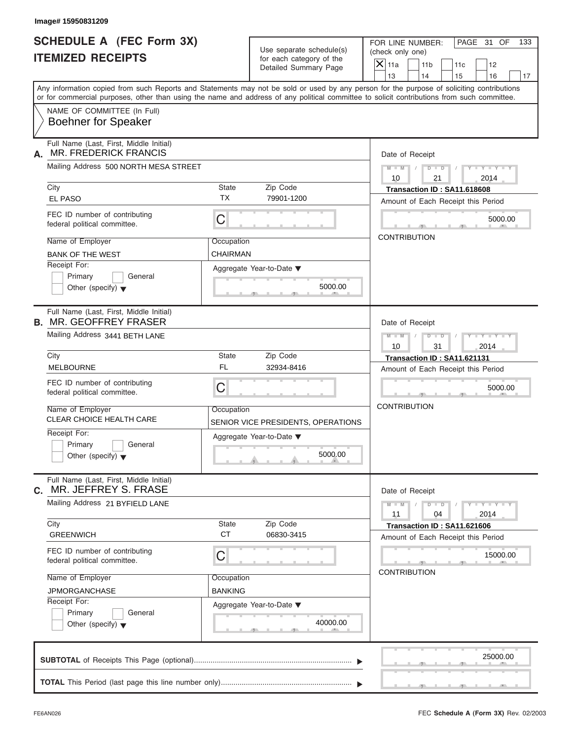| Image# 15950831209                                                            |                    |                                                      |                                                                                                                                                                                                                                                                                         |
|-------------------------------------------------------------------------------|--------------------|------------------------------------------------------|-----------------------------------------------------------------------------------------------------------------------------------------------------------------------------------------------------------------------------------------------------------------------------------------|
| <b>SCHEDULE A (FEC Form 3X)</b><br><b>ITEMIZED RECEIPTS</b>                   |                    | Use separate schedule(s)<br>for each category of the | PAGE 31 OF<br>FOR LINE NUMBER:<br>133<br>(check only one)                                                                                                                                                                                                                               |
|                                                                               |                    | Detailed Summary Page                                | $X$ 11a<br>11 <sub>b</sub><br>12<br>11c<br>13<br>14<br>15<br>16<br>17                                                                                                                                                                                                                   |
|                                                                               |                    |                                                      | Any information copied from such Reports and Statements may not be sold or used by any person for the purpose of soliciting contributions<br>or for commercial purposes, other than using the name and address of any political committee to solicit contributions from such committee. |
| NAME OF COMMITTEE (In Full)<br><b>Boehner for Speaker</b>                     |                    |                                                      |                                                                                                                                                                                                                                                                                         |
| Full Name (Last, First, Middle Initial)<br><b>MR. FREDERICK FRANCIS</b><br>А. |                    |                                                      | Date of Receipt                                                                                                                                                                                                                                                                         |
| Mailing Address 500 NORTH MESA STREET                                         |                    |                                                      | $M - M$ /<br>$D$ $D$<br>$Y - Y - Y - Y - Y$<br>$\sqrt{ }$<br>10<br>21<br>2014                                                                                                                                                                                                           |
| City                                                                          | State              | Zip Code                                             | Transaction ID: SA11.618608                                                                                                                                                                                                                                                             |
| <b>EL PASO</b>                                                                | <b>TX</b>          | 79901-1200                                           | Amount of Each Receipt this Period                                                                                                                                                                                                                                                      |
| FEC ID number of contributing<br>federal political committee.                 | C                  |                                                      | 5000.00                                                                                                                                                                                                                                                                                 |
| Name of Employer                                                              | Occupation         |                                                      | <b>CONTRIBUTION</b>                                                                                                                                                                                                                                                                     |
| <b>BANK OF THE WEST</b>                                                       | CHAIRMAN           |                                                      |                                                                                                                                                                                                                                                                                         |
| Receipt For:<br>Primary<br>General<br>Other (specify) $\blacktriangledown$    |                    | Aggregate Year-to-Date ▼<br>5000.00                  |                                                                                                                                                                                                                                                                                         |
| Full Name (Last, First, Middle Initial)<br><b>B. MR. GEOFFREY FRASER</b>      |                    |                                                      | Date of Receipt                                                                                                                                                                                                                                                                         |
| Mailing Address 3441 BETH LANE                                                |                    |                                                      | $M$ $M$<br>$D - D$<br>$Y - Y - Y - Y - Y$<br>10<br>31<br>2014                                                                                                                                                                                                                           |
| City                                                                          | State              | Zip Code                                             | Transaction ID: SA11.621131                                                                                                                                                                                                                                                             |
| <b>MELBOURNE</b>                                                              | <b>FL</b>          | 32934-8416                                           | Amount of Each Receipt this Period                                                                                                                                                                                                                                                      |
| FEC ID number of contributing<br>federal political committee.                 | C                  |                                                      | 5000.00                                                                                                                                                                                                                                                                                 |
| Name of Employer<br><b>CLEAR CHOICE HEALTH CARE</b>                           | Occupation         | SENIOR VICE PRESIDENTS, OPERATIONS                   | <b>CONTRIBUTION</b>                                                                                                                                                                                                                                                                     |
| Receipt For:<br>Primary<br>General<br>Other (specify) $\blacktriangledown$    |                    | Aggregate Year-to-Date ▼<br>5000.00                  |                                                                                                                                                                                                                                                                                         |
| Full Name (Last, First, Middle Initial)<br>MR. JEFFREY S. FRASE<br>C.         |                    |                                                      | Date of Receipt                                                                                                                                                                                                                                                                         |
| Mailing Address 21 BYFIELD LANE                                               |                    |                                                      | $Y - Y - Y - Y - Y$<br>$M - M$<br>$D$ $\Box$ $D$<br>11<br>04<br>2014                                                                                                                                                                                                                    |
| City<br><b>GREENWICH</b>                                                      | State<br><b>CT</b> | Zip Code<br>06830-3415                               | Transaction ID: SA11.621606                                                                                                                                                                                                                                                             |
| FEC ID number of contributing<br>federal political committee.                 | C                  |                                                      | Amount of Each Receipt this Period<br>15000.00                                                                                                                                                                                                                                          |
|                                                                               |                    |                                                      | <b>CONTRIBUTION</b>                                                                                                                                                                                                                                                                     |
| Name of Employer                                                              | Occupation         |                                                      |                                                                                                                                                                                                                                                                                         |
| <b>JPMORGANCHASE</b>                                                          | <b>BANKING</b>     |                                                      |                                                                                                                                                                                                                                                                                         |
| Receipt For:<br>Primary<br>General<br>Other (specify) $\blacktriangledown$    |                    | Aggregate Year-to-Date ▼<br>40000.00                 |                                                                                                                                                                                                                                                                                         |
|                                                                               |                    |                                                      | 25000.00                                                                                                                                                                                                                                                                                |
|                                                                               |                    |                                                      |                                                                                                                                                                                                                                                                                         |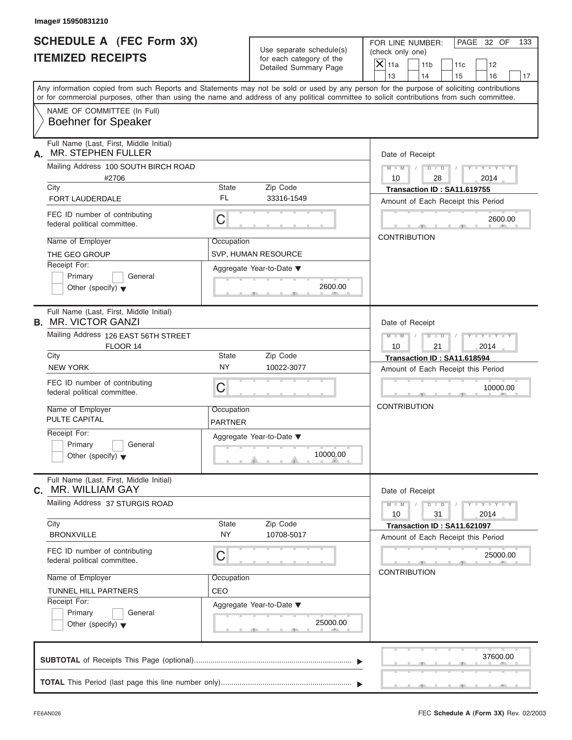| Image# 15950831210                                                                                                                         |                          |                          |                             |                       |                                                                   |                             |     |
|--------------------------------------------------------------------------------------------------------------------------------------------|--------------------------|--------------------------|-----------------------------|-----------------------|-------------------------------------------------------------------|-----------------------------|-----|
| <b>SCHEDULE A (FEC Form 3X)</b>                                                                                                            |                          | Use separate schedule(s) |                             | FOR LINE NUMBER:      |                                                                   | PAGE 32 OF                  | 133 |
| <b>ITEMIZED RECEIPTS</b>                                                                                                                   | for each category of the |                          | (check only one)<br>$X$ 11a |                       |                                                                   |                             |     |
|                                                                                                                                            |                          | Detailed Summary Page    |                             | 11 <sub>b</sub><br>14 | 11c                                                               | 12                          |     |
| Any information copied from such Reports and Statements may not be sold or used by any person for the purpose of soliciting contributions  |                          |                          | 13                          |                       | 15                                                                | 16                          | 17  |
| or for commercial purposes, other than using the name and address of any political committee to solicit contributions from such committee. |                          |                          |                             |                       |                                                                   |                             |     |
| NAME OF COMMITTEE (In Full)                                                                                                                |                          |                          |                             |                       |                                                                   |                             |     |
| <b>Boehner for Speaker</b>                                                                                                                 |                          |                          |                             |                       |                                                                   |                             |     |
| Full Name (Last, First, Middle Initial)<br>MR. STEPHEN FULLER<br>А.                                                                        |                          |                          |                             | Date of Receipt       |                                                                   |                             |     |
| Mailing Address 100 SOUTH BIRCH ROAD<br>#2706                                                                                              |                          |                          | $M - M$<br>10               | $D$ $D$<br>28         | $\sqrt{ }$                                                        | $Y - Y - Y - Y - Y$<br>2014 |     |
| City                                                                                                                                       | State                    | Zip Code                 |                             |                       | Transaction ID: SA11.619755                                       |                             |     |
| FORT LAUDERDALE                                                                                                                            | FL                       | 33316-1549               |                             |                       | Amount of Each Receipt this Period                                |                             |     |
| FEC ID number of contributing<br>federal political committee.                                                                              | C                        |                          |                             |                       |                                                                   | 2600.00                     |     |
| Name of Employer                                                                                                                           | Occupation               |                          | <b>CONTRIBUTION</b>         |                       |                                                                   |                             |     |
| THE GEO GROUP                                                                                                                              |                          | SVP, HUMAN RESOURCE      |                             |                       |                                                                   |                             |     |
| Receipt For:                                                                                                                               |                          | Aggregate Year-to-Date ▼ |                             |                       |                                                                   |                             |     |
| Primary<br>General                                                                                                                         |                          |                          |                             |                       |                                                                   |                             |     |
| Other (specify) $\blacktriangledown$                                                                                                       |                          | 2600.00                  |                             |                       |                                                                   |                             |     |
| Full Name (Last, First, Middle Initial)<br><b>B. MR. VICTOR GANZI</b>                                                                      |                          |                          |                             | Date of Receipt       |                                                                   |                             |     |
| Mailing Address 126 EAST 56TH STREET                                                                                                       |                          |                          | $M - M$                     | $D - I - D$           |                                                                   | Y T Y T Y T                 |     |
| FLOOR 14<br>City                                                                                                                           | <b>State</b>             | Zip Code                 | 10                          | 21                    |                                                                   | 2014                        |     |
| <b>NEW YORK</b>                                                                                                                            | <b>NY</b>                | 10022-3077               |                             |                       | Transaction ID: SA11.618594<br>Amount of Each Receipt this Period |                             |     |
| FEC ID number of contributing                                                                                                              |                          |                          |                             |                       |                                                                   |                             |     |
| federal political committee.                                                                                                               | C                        |                          |                             |                       |                                                                   | 10000.00                    |     |
| Name of Employer                                                                                                                           | Occupation               |                          | <b>CONTRIBUTION</b>         |                       |                                                                   |                             |     |
| PULTE CAPITAL                                                                                                                              | <b>PARTNER</b>           |                          |                             |                       |                                                                   |                             |     |
| Receipt For:                                                                                                                               |                          | Aggregate Year-to-Date ▼ |                             |                       |                                                                   |                             |     |
| Primary<br>General<br>Other (specify) $\blacktriangledown$                                                                                 |                          | 10000.00                 |                             |                       |                                                                   |                             |     |
| Full Name (Last, First, Middle Initial)<br>MR. WILLIAM GAY<br>C.                                                                           |                          |                          |                             | Date of Receipt       |                                                                   |                             |     |
| Mailing Address 37 STURGIS ROAD                                                                                                            |                          |                          | $M - M$<br>10               | $D$ $\Box$ $D$<br>31  |                                                                   | $Y - Y - Y - Y - Y$<br>2014 |     |
| City                                                                                                                                       | State                    | Zip Code                 |                             |                       | Transaction ID: SA11.621097                                       |                             |     |
| <b>BRONXVILLE</b>                                                                                                                          | <b>NY</b>                | 10708-5017               |                             |                       | Amount of Each Receipt this Period                                |                             |     |
| FEC ID number of contributing<br>federal political committee.                                                                              | C                        |                          |                             |                       |                                                                   | 25000.00                    |     |
| Name of Employer                                                                                                                           | Occupation               |                          | <b>CONTRIBUTION</b>         |                       |                                                                   |                             |     |
| TUNNEL HILL PARTNERS                                                                                                                       | CEO                      |                          |                             |                       |                                                                   |                             |     |
| Receipt For:                                                                                                                               |                          |                          |                             |                       |                                                                   |                             |     |
| Primary<br>General                                                                                                                         |                          | Aggregate Year-to-Date ▼ |                             |                       |                                                                   |                             |     |
| Other (specify) $\blacktriangledown$                                                                                                       |                          | 25000.00                 |                             |                       |                                                                   |                             |     |
|                                                                                                                                            |                          |                          |                             |                       |                                                                   | 37600.00                    |     |
|                                                                                                                                            |                          |                          |                             |                       |                                                                   |                             |     |
|                                                                                                                                            |                          |                          |                             |                       |                                                                   |                             |     |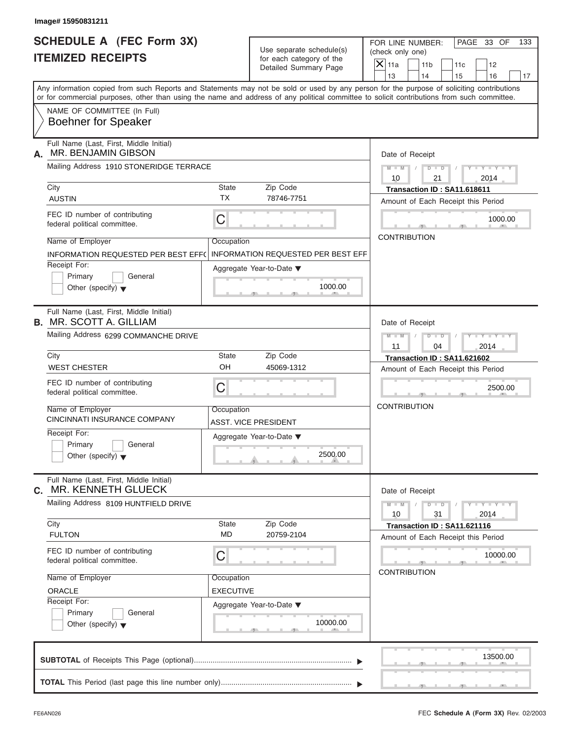| Image# 15950831211                                                         |                  |                                                      |                                                                                                                                                                                                                                                                                         |
|----------------------------------------------------------------------------|------------------|------------------------------------------------------|-----------------------------------------------------------------------------------------------------------------------------------------------------------------------------------------------------------------------------------------------------------------------------------------|
| <b>SCHEDULE A (FEC Form 3X)</b><br><b>ITEMIZED RECEIPTS</b>                |                  | Use separate schedule(s)<br>for each category of the | PAGE 33 OF<br>FOR LINE NUMBER:<br>133<br>(check only one)                                                                                                                                                                                                                               |
|                                                                            |                  | Detailed Summary Page                                | $X$ 11a<br>11 <sub>b</sub><br>11c<br>12<br>13<br>14<br>15<br>16                                                                                                                                                                                                                         |
|                                                                            |                  |                                                      | Any information copied from such Reports and Statements may not be sold or used by any person for the purpose of soliciting contributions<br>or for commercial purposes, other than using the name and address of any political committee to solicit contributions from such committee. |
| NAME OF COMMITTEE (In Full)<br><b>Boehner for Speaker</b>                  |                  |                                                      |                                                                                                                                                                                                                                                                                         |
| Full Name (Last, First, Middle Initial)<br>MR. BENJAMIN GIBSON<br>А.       |                  |                                                      |                                                                                                                                                                                                                                                                                         |
| Mailing Address 1910 STONERIDGE TERRACE                                    |                  |                                                      | Date of Receipt<br>$D$ $D$<br>$Y - Y - Y - Y - Y$<br>$M - M$<br>$\sqrt{ }$<br>10<br>21<br>2014                                                                                                                                                                                          |
| City                                                                       | State            | Zip Code                                             | Transaction ID: SA11.618611                                                                                                                                                                                                                                                             |
| <b>AUSTIN</b>                                                              | <b>TX</b>        | 78746-7751                                           | Amount of Each Receipt this Period                                                                                                                                                                                                                                                      |
| FEC ID number of contributing<br>federal political committee.              | C                |                                                      | 1000.00                                                                                                                                                                                                                                                                                 |
| Name of Employer                                                           | Occupation       |                                                      | <b>CONTRIBUTION</b>                                                                                                                                                                                                                                                                     |
| <b>INFORMATION REQUESTED PER BEST EFF(</b>                                 |                  | <b>INFORMATION REQUESTED PER BEST EFF</b>            |                                                                                                                                                                                                                                                                                         |
| Receipt For:<br>Primary<br>General<br>Other (specify) $\blacktriangledown$ |                  | Aggregate Year-to-Date ▼<br>1000.00                  |                                                                                                                                                                                                                                                                                         |
| Full Name (Last, First, Middle Initial)<br><b>B.</b> MR. SCOTT A. GILLIAM  |                  |                                                      | Date of Receipt                                                                                                                                                                                                                                                                         |
| Mailing Address 6299 COMMANCHE DRIVE                                       |                  |                                                      | $M - M$<br>$D - I - D$<br>$Y - Y - Y - Y - Y$                                                                                                                                                                                                                                           |
| City                                                                       | <b>State</b>     | Zip Code                                             | 11<br>04<br>2014                                                                                                                                                                                                                                                                        |
| <b>WEST CHESTER</b>                                                        | OH               | 45069-1312                                           | Transaction ID: SA11.621602<br>Amount of Each Receipt this Period                                                                                                                                                                                                                       |
| FEC ID number of contributing<br>federal political committee.              | C                |                                                      | 2500.00                                                                                                                                                                                                                                                                                 |
| Name of Employer<br>CINCINNATI INSURANCE COMPANY                           | Occupation       | ASST. VICE PRESIDENT                                 | <b>CONTRIBUTION</b>                                                                                                                                                                                                                                                                     |
| Receipt For:<br>Primary<br>General<br>Other (specify) $\blacktriangledown$ |                  | Aggregate Year-to-Date ▼<br>2500.00                  |                                                                                                                                                                                                                                                                                         |
| Full Name (Last, First, Middle Initial)<br>MR. KENNETH GLUECK<br>C.        |                  |                                                      | Date of Receipt                                                                                                                                                                                                                                                                         |
| Mailing Address 8109 HUNTFIELD DRIVE                                       |                  |                                                      | $Y - Y - Y - Y - Y$<br>$M - M$<br>$D$ $\Box$ $D$<br>10<br>31<br>2014                                                                                                                                                                                                                    |
| City                                                                       | <b>State</b>     | Zip Code                                             | Transaction ID: SA11.621116                                                                                                                                                                                                                                                             |
| <b>FULTON</b>                                                              | <b>MD</b>        | 20759-2104                                           | Amount of Each Receipt this Period                                                                                                                                                                                                                                                      |
| FEC ID number of contributing<br>federal political committee.              | C                |                                                      | 10000.00<br><b>CONTRIBUTION</b>                                                                                                                                                                                                                                                         |
| Name of Employer                                                           | Occupation       |                                                      |                                                                                                                                                                                                                                                                                         |
| ORACLE                                                                     | <b>EXECUTIVE</b> |                                                      |                                                                                                                                                                                                                                                                                         |
| Receipt For:<br>Primary<br>General<br>Other (specify) $\blacktriangledown$ |                  | Aggregate Year-to-Date ▼<br>10000.00                 |                                                                                                                                                                                                                                                                                         |
|                                                                            |                  |                                                      | 13500.00                                                                                                                                                                                                                                                                                |
|                                                                            |                  |                                                      |                                                                                                                                                                                                                                                                                         |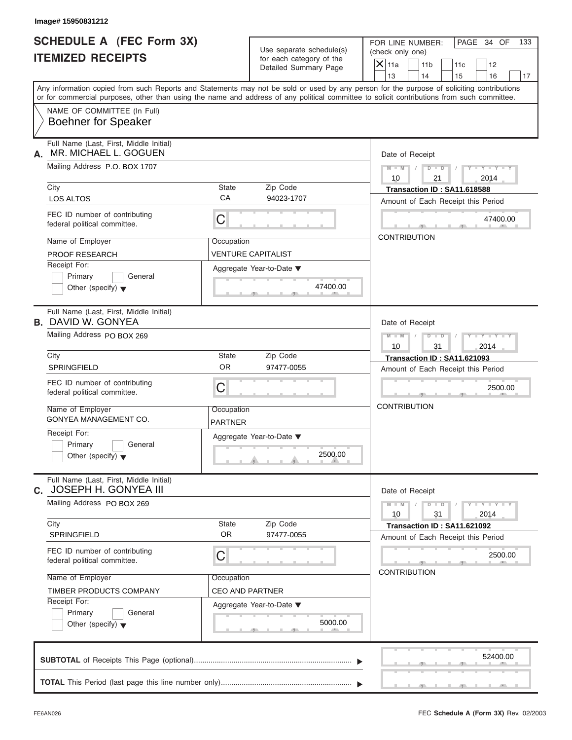| <b>SCHEDULE A (FEC Form 3X)</b><br><b>ITEMIZED RECEIPTS</b>                                                                                               | Use separate schedule(s)<br>for each category of the<br>Detailed Summary Page                                                                                                                                                                                                           | FOR LINE NUMBER:<br>PAGE 34 OF<br>133<br>(check only one)<br>$\mathsf{X} _{\mathsf{11a}}$<br>11 <sub>b</sub><br>11c<br>12<br>14<br>13<br>16<br>15<br>17 |
|-----------------------------------------------------------------------------------------------------------------------------------------------------------|-----------------------------------------------------------------------------------------------------------------------------------------------------------------------------------------------------------------------------------------------------------------------------------------|---------------------------------------------------------------------------------------------------------------------------------------------------------|
| NAME OF COMMITTEE (In Full)<br><b>Boehner for Speaker</b>                                                                                                 | Any information copied from such Reports and Statements may not be sold or used by any person for the purpose of soliciting contributions<br>or for commercial purposes, other than using the name and address of any political committee to solicit contributions from such committee. |                                                                                                                                                         |
| Full Name (Last, First, Middle Initial)<br>MR. MICHAEL L. GOGUEN<br>А.<br>Mailing Address P.O. BOX 1707                                                   |                                                                                                                                                                                                                                                                                         | Date of Receipt<br>$D - D$<br>$Y - Y - Y - Y - Y$<br>$M - M$<br>10<br>21<br>2014                                                                        |
| City<br><b>LOS ALTOS</b><br>FEC ID number of contributing<br>federal political committee.                                                                 | State<br>Zip Code<br>CA<br>94023-1707<br>С                                                                                                                                                                                                                                              | Transaction ID: SA11.618588<br>Amount of Each Receipt this Period<br>47400.00                                                                           |
| Name of Employer<br>PROOF RESEARCH<br>Receipt For:<br>Primary<br>General<br>Other (specify) $\blacktriangledown$                                          | Occupation<br>VENTURE CAPITALIST<br>Aggregate Year-to-Date ▼<br>47400.00<br>-91                                                                                                                                                                                                         | <b>CONTRIBUTION</b>                                                                                                                                     |
| Full Name (Last, First, Middle Initial)<br><b>B.</b> DAVID W. GONYEA<br>Mailing Address PO BOX 269                                                        |                                                                                                                                                                                                                                                                                         | Date of Receipt<br>$D - I - D$<br>$M - M$<br>$Y = Y + Y +$<br>10<br>31<br>2014                                                                          |
| City<br>SPRINGFIELD<br>FEC ID number of contributing<br>federal political committee.                                                                      | State<br>Zip Code<br><b>OR</b><br>97477-0055<br>C                                                                                                                                                                                                                                       | Transaction ID: SA11.621093<br>Amount of Each Receipt this Period<br>2500.00                                                                            |
| Name of Employer<br>GONYEA MANAGEMENT CO.<br>Receipt For:<br>Primary<br>General<br>Other (specify) $\blacktriangledown$                                   | Occupation<br><b>PARTNER</b><br>Aggregate Year-to-Date ▼<br>2500.00                                                                                                                                                                                                                     | <b>CONTRIBUTION</b>                                                                                                                                     |
| Full Name (Last, First, Middle Initial)<br>C. JOSEPH H. GONYEA III<br>Mailing Address PO BOX 269                                                          |                                                                                                                                                                                                                                                                                         | Date of Receipt<br>$Y = Y$<br>$M - M$<br>$D$ $\Box$ $D$<br>31<br>2014<br>10                                                                             |
| City<br><b>SPRINGFIELD</b><br>FEC ID number of contributing                                                                                               | State<br>Zip Code<br><b>OR</b><br>97477-0055<br>C                                                                                                                                                                                                                                       | Transaction ID: SA11.621092<br>Amount of Each Receipt this Period<br>2500.00                                                                            |
| federal political committee.<br>Name of Employer<br>TIMBER PRODUCTS COMPANY<br>Receipt For:<br>Primary<br>General<br>Other (specify) $\blacktriangledown$ | Occupation<br><b>CEO AND PARTNER</b><br>Aggregate Year-to-Date ▼<br>5000.00                                                                                                                                                                                                             | <b>CONTRIBUTION</b>                                                                                                                                     |
| <b>CURTOTAL</b> of Possiphe This Page (optional)                                                                                                          |                                                                                                                                                                                                                                                                                         | 52400.00                                                                                                                                                |

| Primary<br>General<br>Other (specify) $\blacktriangledown$                                                                                                                                                                                                                                                                      | 2500.00                                                                                                                                                                |                                                                                                                                                                                                                                      |
|---------------------------------------------------------------------------------------------------------------------------------------------------------------------------------------------------------------------------------------------------------------------------------------------------------------------------------|------------------------------------------------------------------------------------------------------------------------------------------------------------------------|--------------------------------------------------------------------------------------------------------------------------------------------------------------------------------------------------------------------------------------|
| Full Name (Last, First, Middle Initial)<br>JOSEPH H. GONYEA III<br>C.<br>Mailing Address PO BOX 269<br>City<br><b>SPRINGFIELD</b><br>FEC ID number of contributing<br>federal political committee.<br>Name of Employer<br>TIMBER PRODUCTS COMPANY<br>Receipt For:<br>Primary<br>General<br>Other (specify) $\blacktriangledown$ | Zip Code<br><b>State</b><br><b>OR</b><br>97477-0055<br>C<br>and the control of the con-<br>Occupation<br><b>CEO AND PARTNER</b><br>Aggregate Year-to-Date ▼<br>5000.00 | Date of Receipt<br>$Y = Y = Y + Y$<br>$D$ $D$<br>2014<br>31<br>10<br>Transaction ID: SA11.621092<br>Amount of Each Receipt this Period<br>2500.00<br><b>CONTRIBUTION</b>                                                             |
|                                                                                                                                                                                                                                                                                                                                 |                                                                                                                                                                        | 52400.00                                                                                                                                                                                                                             |
|                                                                                                                                                                                                                                                                                                                                 |                                                                                                                                                                        | <u>in the special control of the special control of the special control of the special control of the special control of the special control of the special control of the special control of the special control of the special</u> |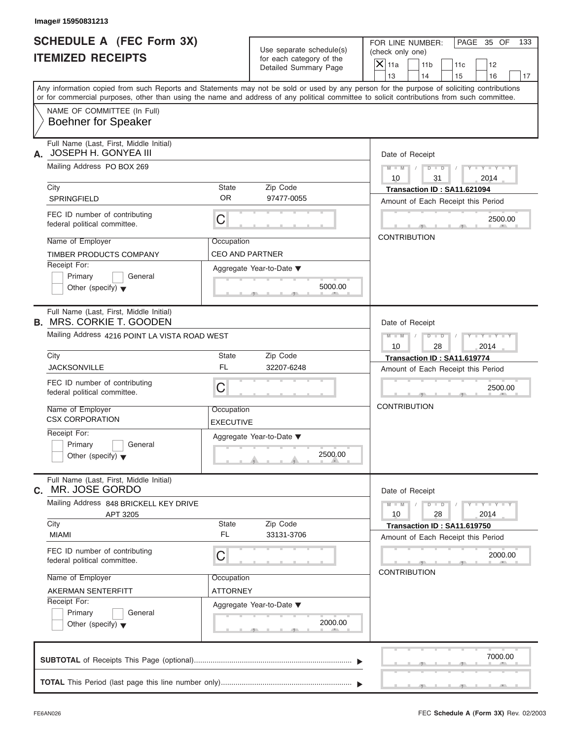| <b>SCHEDULE A (FEC Form 3X)</b><br><b>ITEMIZED RECEIPTS</b>                                                                                                                                                                                                                             |                                      | Use separate schedule(s)                          |                          | FOR LINE NUMBER:<br>(check only one) |                                                                   | PAGE 35 OF                  | 133 |
|-----------------------------------------------------------------------------------------------------------------------------------------------------------------------------------------------------------------------------------------------------------------------------------------|--------------------------------------|---------------------------------------------------|--------------------------|--------------------------------------|-------------------------------------------------------------------|-----------------------------|-----|
|                                                                                                                                                                                                                                                                                         |                                      | for each category of the<br>Detailed Summary Page | $\overline{X}$ 11a<br>13 | 11 <sub>b</sub><br>14                | 11c<br>15                                                         | 12<br>16                    | 17  |
| Any information copied from such Reports and Statements may not be sold or used by any person for the purpose of soliciting contributions<br>or for commercial purposes, other than using the name and address of any political committee to solicit contributions from such committee. |                                      |                                                   |                          |                                      |                                                                   |                             |     |
| NAME OF COMMITTEE (In Full)<br><b>Boehner for Speaker</b>                                                                                                                                                                                                                               |                                      |                                                   |                          |                                      |                                                                   |                             |     |
| Full Name (Last, First, Middle Initial)<br>A. JOSEPH H. GONYEA III                                                                                                                                                                                                                      |                                      |                                                   |                          | Date of Receipt                      |                                                                   |                             |     |
| Mailing Address PO BOX 269                                                                                                                                                                                                                                                              |                                      |                                                   | $M - M$ /<br>10          | $D$ $D$<br>31                        | $\sqrt{ }$                                                        | $Y - Y - Y - Y - Y$<br>2014 |     |
| City<br>SPRINGFIELD                                                                                                                                                                                                                                                                     | State<br>OR.                         | Zip Code<br>97477-0055                            |                          |                                      | Transaction ID: SA11.621094<br>Amount of Each Receipt this Period |                             |     |
| FEC ID number of contributing<br>federal political committee.                                                                                                                                                                                                                           | C                                    |                                                   |                          |                                      |                                                                   | 2500.00                     |     |
| Name of Employer<br>TIMBER PRODUCTS COMPANY                                                                                                                                                                                                                                             | Occupation<br><b>CEO AND PARTNER</b> |                                                   | <b>CONTRIBUTION</b>      |                                      |                                                                   |                             |     |
| Receipt For:<br>Primary<br>General<br>Other (specify) $\blacktriangledown$                                                                                                                                                                                                              |                                      | Aggregate Year-to-Date ▼<br>5000.00               |                          |                                      |                                                                   |                             |     |
| Full Name (Last, First, Middle Initial)<br><b>B. MRS. CORKIE T. GOODEN</b>                                                                                                                                                                                                              |                                      |                                                   |                          | Date of Receipt                      |                                                                   |                             |     |
| Mailing Address 4216 POINT LA VISTA ROAD WEST                                                                                                                                                                                                                                           |                                      |                                                   | $M - M$<br>10            | $D - I - D$<br>28                    |                                                                   | Y TYTTYTTY<br>2014          |     |
| City<br><b>JACKSONVILLE</b>                                                                                                                                                                                                                                                             | <b>State</b><br><b>FL</b>            | Zip Code<br>32207-6248                            |                          |                                      | Transaction ID: SA11.619774<br>Amount of Each Receipt this Period |                             |     |
| FEC ID number of contributing<br>federal political committee.                                                                                                                                                                                                                           | C                                    |                                                   |                          |                                      |                                                                   | 2500.00                     |     |
| Name of Employer<br><b>CSX CORPORATION</b>                                                                                                                                                                                                                                              | Occupation<br><b>EXECUTIVE</b>       |                                                   | <b>CONTRIBUTION</b>      |                                      |                                                                   |                             |     |
| Receipt For:<br>Primary<br>General<br>Other (specify) $\blacktriangledown$                                                                                                                                                                                                              |                                      | Aggregate Year-to-Date ▼<br>2500.00               |                          |                                      |                                                                   |                             |     |
| Full Name (Last, First, Middle Initial)<br>MR. JOSE GORDO<br>С.                                                                                                                                                                                                                         |                                      |                                                   |                          | Date of Receipt                      |                                                                   |                             |     |
| Mailing Address 848 BRICKELL KEY DRIVE<br>APT 3205<br>City                                                                                                                                                                                                                              | State                                | Zip Code                                          | $M - M$<br>10            | $D$ $\Box$ $D$<br>28                 |                                                                   | $Y = Y = Y + Y$<br>2014     |     |
| <b>MIAMI</b>                                                                                                                                                                                                                                                                            | <b>FL</b>                            | 33131-3706                                        |                          |                                      | Transaction ID: SA11.619750<br>Amount of Each Receipt this Period |                             |     |
| FEC ID number of contributing<br>federal political committee.                                                                                                                                                                                                                           | С                                    |                                                   |                          |                                      |                                                                   | 2000.00                     |     |
| Name of Employer<br>AKERMAN SENTERFITT                                                                                                                                                                                                                                                  | Occupation<br>ATTORNEY               |                                                   |                          | <b>CONTRIBUTION</b>                  |                                                                   |                             |     |
| Receipt For:<br>Primary<br>General<br>Other (specify) $\blacktriangledown$                                                                                                                                                                                                              |                                      | Aggregate Year-to-Date ▼<br>2000.00               |                          |                                      |                                                                   |                             |     |
|                                                                                                                                                                                                                                                                                         |                                      |                                                   |                          |                                      |                                                                   | 7000.00                     |     |
|                                                                                                                                                                                                                                                                                         |                                      |                                                   |                          |                                      |                                                                   |                             |     |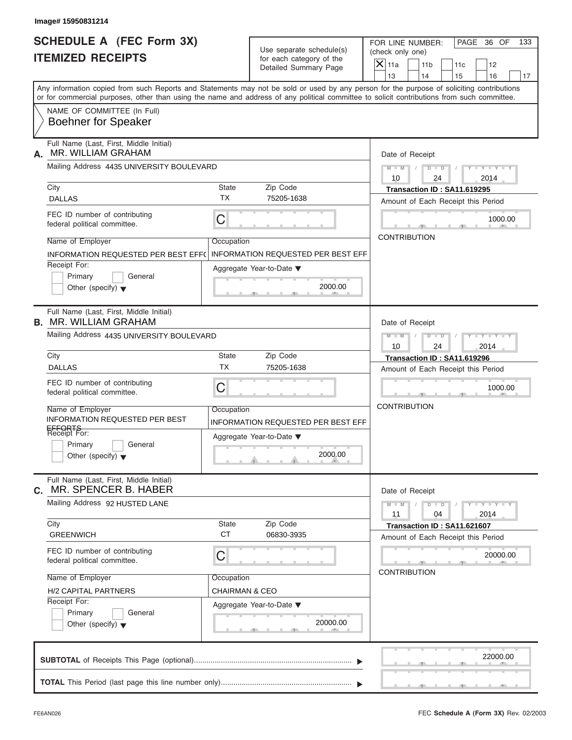| Image# 15950831214                                                                                                                         |                           |                                                   |                                                                                                                                           |  |
|--------------------------------------------------------------------------------------------------------------------------------------------|---------------------------|---------------------------------------------------|-------------------------------------------------------------------------------------------------------------------------------------------|--|
| <b>SCHEDULE A (FEC Form 3X)</b>                                                                                                            |                           | Use separate schedule(s)                          | PAGE 36 OF<br>FOR LINE NUMBER:<br>133<br>(check only one)                                                                                 |  |
| <b>ITEMIZED RECEIPTS</b>                                                                                                                   |                           | for each category of the<br>Detailed Summary Page | $\overline{X} _{11a}$<br>11 <sub>b</sub><br>11c<br>12                                                                                     |  |
|                                                                                                                                            |                           |                                                   | 13<br>14<br>15<br>16<br>17                                                                                                                |  |
| or for commercial purposes, other than using the name and address of any political committee to solicit contributions from such committee. |                           |                                                   | Any information copied from such Reports and Statements may not be sold or used by any person for the purpose of soliciting contributions |  |
| NAME OF COMMITTEE (In Full)<br><b>Boehner for Speaker</b>                                                                                  |                           |                                                   |                                                                                                                                           |  |
| Full Name (Last, First, Middle Initial)<br>MR. WILLIAM GRAHAM<br>А.                                                                        |                           |                                                   | Date of Receipt                                                                                                                           |  |
| Mailing Address 4435 UNIVERSITY BOULEVARD                                                                                                  |                           |                                                   | $M - M$ /<br>$Y - Y - Y - Y - Y$<br>10<br>24<br>2014                                                                                      |  |
| City                                                                                                                                       | State                     | Zip Code                                          | Transaction ID: SA11.619295                                                                                                               |  |
| <b>DALLAS</b>                                                                                                                              | <b>TX</b>                 | 75205-1638                                        | Amount of Each Receipt this Period                                                                                                        |  |
| FEC ID number of contributing<br>federal political committee.                                                                              | C                         |                                                   | 1000.00                                                                                                                                   |  |
| Name of Employer                                                                                                                           | Occupation                |                                                   | <b>CONTRIBUTION</b>                                                                                                                       |  |
| INFORMATION REQUESTED PER BEST EFF(                                                                                                        |                           | <b>INFORMATION REQUESTED PER BEST EFF</b>         |                                                                                                                                           |  |
| Receipt For:                                                                                                                               |                           |                                                   |                                                                                                                                           |  |
| Primary<br>General                                                                                                                         |                           | Aggregate Year-to-Date ▼                          |                                                                                                                                           |  |
| Other (specify) $\blacktriangledown$                                                                                                       |                           | 2000.00                                           |                                                                                                                                           |  |
|                                                                                                                                            |                           |                                                   |                                                                                                                                           |  |
| Full Name (Last, First, Middle Initial)<br><b>B. MR. WILLIAM GRAHAM</b>                                                                    |                           |                                                   | Date of Receipt                                                                                                                           |  |
| Mailing Address 4435 UNIVERSITY BOULEVARD                                                                                                  |                           |                                                   | $D - D$<br>$Y = Y = Y' = Y'$<br>$M$ $M$ $I$<br>$\Box$<br>10<br>24<br>2014                                                                 |  |
| City                                                                                                                                       | State                     | Zip Code                                          | Transaction ID: SA11.619296                                                                                                               |  |
| <b>DALLAS</b>                                                                                                                              | <b>TX</b>                 | 75205-1638                                        | Amount of Each Receipt this Period                                                                                                        |  |
| FEC ID number of contributing<br>federal political committee.                                                                              | C                         |                                                   | 1000.00                                                                                                                                   |  |
| Name of Employer                                                                                                                           | Occupation                |                                                   | <b>CONTRIBUTION</b>                                                                                                                       |  |
| INFORMATION REQUESTED PER BEST                                                                                                             |                           | INFORMATION REQUESTED PER BEST EFF                |                                                                                                                                           |  |
| EFFORTS<br>Receipt For:                                                                                                                    |                           | Aggregate Year-to-Date ▼                          |                                                                                                                                           |  |
| Primary<br>General                                                                                                                         |                           |                                                   |                                                                                                                                           |  |
| Other (specify) $\blacktriangledown$                                                                                                       |                           | 2000.00                                           |                                                                                                                                           |  |
| Full Name (Last, First, Middle Initial)<br>MR. SPENCER B. HABER<br>С.                                                                      |                           |                                                   | Date of Receipt                                                                                                                           |  |
| Mailing Address 92 HUSTED LANE                                                                                                             |                           |                                                   | $Y - Y - Y - Y - Y$<br>$M - M$<br>$D$ $\Box$ $D$<br>11<br>04<br>2014                                                                      |  |
| City                                                                                                                                       | State                     | Zip Code                                          | Transaction ID: SA11.621607                                                                                                               |  |
| <b>GREENWICH</b>                                                                                                                           | <b>CT</b>                 | 06830-3935                                        | Amount of Each Receipt this Period                                                                                                        |  |
| FEC ID number of contributing<br>federal political committee.                                                                              | C                         |                                                   | 20000.00                                                                                                                                  |  |
| Name of Employer                                                                                                                           | Occupation                |                                                   | <b>CONTRIBUTION</b>                                                                                                                       |  |
| <b>H/2 CAPITAL PARTNERS</b>                                                                                                                | <b>CHAIRMAN &amp; CEO</b> |                                                   |                                                                                                                                           |  |
| Receipt For:                                                                                                                               |                           | Aggregate Year-to-Date ▼                          |                                                                                                                                           |  |
| Primary<br>General<br>Other (specify) $\blacktriangledown$                                                                                 |                           | 20000.00                                          |                                                                                                                                           |  |
|                                                                                                                                            |                           |                                                   | 22000.00                                                                                                                                  |  |
|                                                                                                                                            |                           |                                                   |                                                                                                                                           |  |
|                                                                                                                                            |                           |                                                   |                                                                                                                                           |  |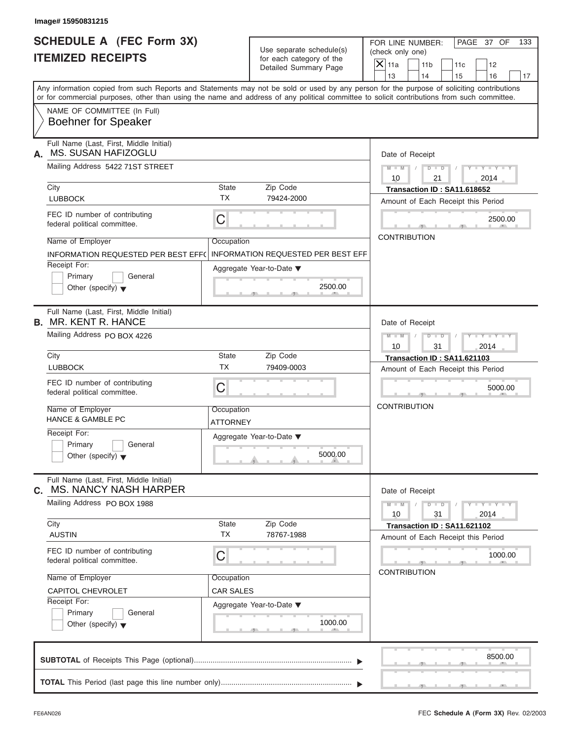| <b>ITEMIZED RECEIPTS</b>                                                                                                              |                        | Use separate schedule(s)<br>for each category of the                             | (check only one)                                                                                                                                                                                                                                                                        |
|---------------------------------------------------------------------------------------------------------------------------------------|------------------------|----------------------------------------------------------------------------------|-----------------------------------------------------------------------------------------------------------------------------------------------------------------------------------------------------------------------------------------------------------------------------------------|
|                                                                                                                                       |                        | Detailed Summary Page                                                            | $\overline{X} _{11a}$<br>11 <sub>b</sub><br>11c<br>12<br>13<br>14<br>15<br>16<br>17                                                                                                                                                                                                     |
|                                                                                                                                       |                        |                                                                                  | Any information copied from such Reports and Statements may not be sold or used by any person for the purpose of soliciting contributions<br>or for commercial purposes, other than using the name and address of any political committee to solicit contributions from such committee. |
| NAME OF COMMITTEE (In Full)<br><b>Boehner for Speaker</b>                                                                             |                        |                                                                                  |                                                                                                                                                                                                                                                                                         |
| Full Name (Last, First, Middle Initial)<br>MS. SUSAN HAFIZOGLU<br>А.                                                                  |                        |                                                                                  | Date of Receipt                                                                                                                                                                                                                                                                         |
| Mailing Address 5422 71ST STREET                                                                                                      |                        |                                                                                  | $D$ $\Box$ $D$<br>$Y - Y - Y - Y - Y$<br>$M - M$ /<br>$\sqrt{ }$<br>10<br>21<br>2014                                                                                                                                                                                                    |
| City<br><b>LUBBOCK</b>                                                                                                                | State<br><b>TX</b>     | Zip Code<br>79424-2000                                                           | Transaction ID: SA11.618652<br>Amount of Each Receipt this Period                                                                                                                                                                                                                       |
| FEC ID number of contributing<br>federal political committee.                                                                         | $\mathsf C$            |                                                                                  | 2500.00                                                                                                                                                                                                                                                                                 |
| Name of Employer<br>INFORMATION REQUESTED PER BEST EFF(<br>Receipt For:<br>Primary<br>General<br>Other (specify) $\blacktriangledown$ | Occupation             | <b>INFORMATION REQUESTED PER BEST EFF</b><br>Aggregate Year-to-Date ▼<br>2500.00 | <b>CONTRIBUTION</b>                                                                                                                                                                                                                                                                     |
| Full Name (Last, First, Middle Initial)<br><b>B.</b> MR. KENT R. HANCE                                                                |                        |                                                                                  | Date of Receipt                                                                                                                                                                                                                                                                         |
| Mailing Address PO BOX 4226                                                                                                           |                        |                                                                                  | $D - I - D$<br>$Y = Y = Y - Y$<br>$M - M$<br>$\sqrt{2}$<br>10<br>31<br>2014                                                                                                                                                                                                             |
| City<br><b>LUBBOCK</b>                                                                                                                | State<br><b>TX</b>     | Zip Code<br>79409-0003                                                           | Transaction ID: SA11.621103                                                                                                                                                                                                                                                             |
| FEC ID number of contributing<br>federal political committee.                                                                         | C                      |                                                                                  | Amount of Each Receipt this Period<br>5000.00                                                                                                                                                                                                                                           |
| Name of Employer<br><b>HANCE &amp; GAMBLE PC</b>                                                                                      | Occupation<br>ATTORNEY |                                                                                  | <b>CONTRIBUTION</b>                                                                                                                                                                                                                                                                     |
| Receipt For:<br>Primary<br>General<br>Other (specify) $\blacktriangledown$                                                            |                        | Aggregate Year-to-Date ▼<br>5000.00                                              |                                                                                                                                                                                                                                                                                         |
| Full Name (Last, First, Middle Initial)<br><b>MS. NANCY NASH HARPER</b><br>С.                                                         |                        |                                                                                  | Date of Receipt                                                                                                                                                                                                                                                                         |
| Mailing Address PO BOX 1988                                                                                                           |                        |                                                                                  | $Y - Y - Y - Y - Y$<br>$M - M$<br>$D$ $\Box$ $D$<br>2014<br>10<br>31                                                                                                                                                                                                                    |
| City<br><b>AUSTIN</b>                                                                                                                 | State<br><b>TX</b>     | Zip Code<br>78767-1988                                                           | Transaction ID: SA11.621102<br>Amount of Each Receipt this Period                                                                                                                                                                                                                       |
| FEC ID number of contributing<br>federal political committee.                                                                         | C                      |                                                                                  | 1000.00<br><b>CONTRIBUTION</b>                                                                                                                                                                                                                                                          |
| Name of Employer                                                                                                                      | Occupation             |                                                                                  |                                                                                                                                                                                                                                                                                         |
| CAPITOL CHEVROLET<br>Receipt For:                                                                                                     | <b>CAR SALES</b>       |                                                                                  |                                                                                                                                                                                                                                                                                         |
| Primary<br>General<br>Other (specify) $\blacktriangledown$                                                                            |                        | Aggregate Year-to-Date ▼<br>1000.00                                              |                                                                                                                                                                                                                                                                                         |
|                                                                                                                                       |                        |                                                                                  | 8500.00                                                                                                                                                                                                                                                                                 |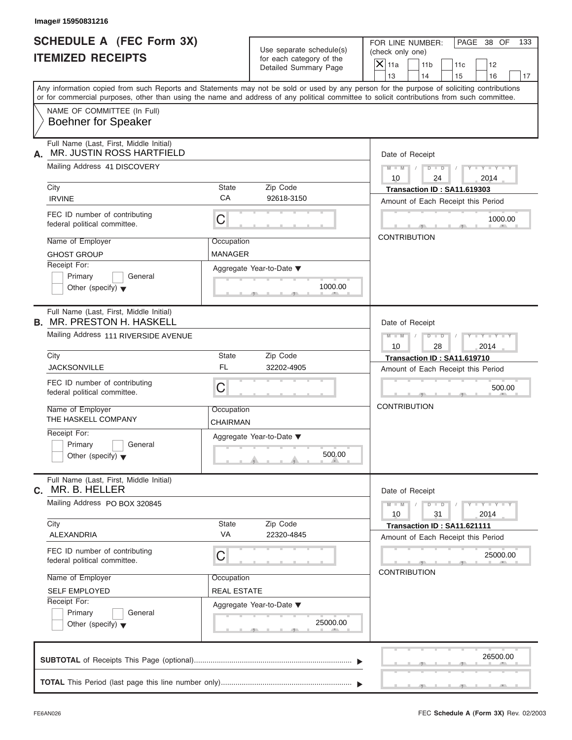| <b>SCHEDULE A (FEC Form 3X)</b>                                                                                                                                                                                                                                                         |                                                      |                                      | FOR LINE NUMBER:            |                      |                                    | PAGE 38 OF                  | 133 |
|-----------------------------------------------------------------------------------------------------------------------------------------------------------------------------------------------------------------------------------------------------------------------------------------|------------------------------------------------------|--------------------------------------|-----------------------------|----------------------|------------------------------------|-----------------------------|-----|
| <b>ITEMIZED RECEIPTS</b>                                                                                                                                                                                                                                                                | Use separate schedule(s)<br>for each category of the |                                      | (check only one)<br>$X$ 11a | 11 <sub>b</sub>      | 11c                                | 12                          |     |
|                                                                                                                                                                                                                                                                                         |                                                      | Detailed Summary Page                | 13                          | 14                   | 15                                 | 16                          | 17  |
| Any information copied from such Reports and Statements may not be sold or used by any person for the purpose of soliciting contributions<br>or for commercial purposes, other than using the name and address of any political committee to solicit contributions from such committee. |                                                      |                                      |                             |                      |                                    |                             |     |
| NAME OF COMMITTEE (In Full)<br><b>Boehner for Speaker</b>                                                                                                                                                                                                                               |                                                      |                                      |                             |                      |                                    |                             |     |
| Full Name (Last, First, Middle Initial)<br>MR. JUSTIN ROSS HARTFIELD<br>А.                                                                                                                                                                                                              |                                                      |                                      |                             | Date of Receipt      |                                    |                             |     |
| Mailing Address 41 DISCOVERY                                                                                                                                                                                                                                                            |                                                      |                                      | $M - M$ /<br>10             | $D$ $D$<br>24        | $\sqrt{ }$                         | $Y - Y - Y - Y - Y$<br>2014 |     |
| City<br><b>IRVINE</b>                                                                                                                                                                                                                                                                   | State<br>CA                                          | Zip Code<br>92618-3150               |                             |                      | Transaction ID: SA11.619303        |                             |     |
|                                                                                                                                                                                                                                                                                         |                                                      |                                      |                             |                      | Amount of Each Receipt this Period |                             |     |
| FEC ID number of contributing<br>federal political committee.                                                                                                                                                                                                                           | С                                                    |                                      |                             |                      |                                    | 1000.00                     |     |
| Name of Employer                                                                                                                                                                                                                                                                        | Occupation                                           |                                      |                             | <b>CONTRIBUTION</b>  |                                    |                             |     |
| <b>GHOST GROUP</b>                                                                                                                                                                                                                                                                      | <b>MANAGER</b>                                       |                                      |                             |                      |                                    |                             |     |
| Receipt For:<br>Primary<br>General<br>Other (specify) $\blacktriangledown$                                                                                                                                                                                                              |                                                      | Aggregate Year-to-Date ▼<br>1000.00  |                             |                      |                                    |                             |     |
| Full Name (Last, First, Middle Initial)<br><b>B. MR. PRESTON H. HASKELL</b>                                                                                                                                                                                                             |                                                      |                                      |                             | Date of Receipt      |                                    |                             |     |
| Mailing Address 111 RIVERSIDE AVENUE                                                                                                                                                                                                                                                    |                                                      |                                      | $M = M - 1$<br>10           | $D - I - D$<br>28    | $\sqrt{2}$                         | $Y = Y = Y' - Y'$<br>2014   |     |
| City                                                                                                                                                                                                                                                                                    | State                                                | Zip Code                             |                             |                      | Transaction ID: SA11.619710        |                             |     |
| <b>JACKSONVILLE</b>                                                                                                                                                                                                                                                                     | <b>FL</b>                                            | 32202-4905                           |                             |                      | Amount of Each Receipt this Period |                             |     |
| FEC ID number of contributing<br>federal political committee.                                                                                                                                                                                                                           | C                                                    |                                      |                             |                      |                                    | 500.00                      |     |
| Name of Employer<br>THE HASKELL COMPANY                                                                                                                                                                                                                                                 | Occupation<br>CHAIRMAN                               |                                      | <b>CONTRIBUTION</b>         |                      |                                    |                             |     |
| Receipt For:<br>Primary<br>General<br>Other (specify) $\blacktriangledown$                                                                                                                                                                                                              |                                                      | Aggregate Year-to-Date ▼<br>500.00   |                             |                      |                                    |                             |     |
| Full Name (Last, First, Middle Initial)<br>MR. B. HELLER<br>C.                                                                                                                                                                                                                          |                                                      |                                      |                             | Date of Receipt      |                                    |                             |     |
| Mailing Address PO BOX 320845                                                                                                                                                                                                                                                           |                                                      |                                      | $M - M$<br>10               | $D$ $\Box$ $D$<br>31 |                                    | $Y - Y - Y - Y - Y$<br>2014 |     |
| City<br>ALEXANDRIA                                                                                                                                                                                                                                                                      | <b>State</b><br>VA                                   | Zip Code<br>22320-4845               |                             |                      | Transaction ID: SA11.621111        |                             |     |
| FEC ID number of contributing<br>federal political committee.                                                                                                                                                                                                                           | С                                                    |                                      |                             |                      | Amount of Each Receipt this Period | 25000.00                    |     |
|                                                                                                                                                                                                                                                                                         |                                                      |                                      |                             | <b>CONTRIBUTION</b>  |                                    |                             |     |
| Name of Employer                                                                                                                                                                                                                                                                        | Occupation                                           |                                      |                             |                      |                                    |                             |     |
| <b>SELF EMPLOYED</b><br>Receipt For:                                                                                                                                                                                                                                                    | <b>REAL ESTATE</b>                                   |                                      |                             |                      |                                    |                             |     |
| Primary<br>General<br>Other (specify) $\blacktriangledown$                                                                                                                                                                                                                              |                                                      | Aggregate Year-to-Date ▼<br>25000.00 |                             |                      |                                    |                             |     |
|                                                                                                                                                                                                                                                                                         |                                                      |                                      |                             |                      |                                    | 26500.00                    |     |
|                                                                                                                                                                                                                                                                                         |                                                      |                                      |                             |                      |                                    |                             |     |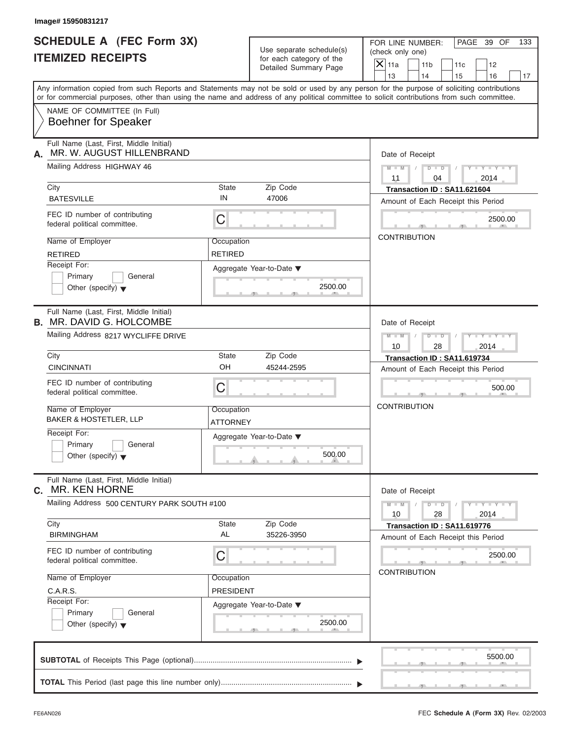|  | lmage# 15950831217 |  |
|--|--------------------|--|
|--|--------------------|--|

| Use separate schedule(s)<br>for each category of the<br>Detailed Summary Page<br>Zip Code<br>47006 | PAGE 39 OF<br>FOR LINE NUMBER:<br>133<br>(check only one)<br>$X$ 11a<br>11 <sub>b</sub><br>11c<br>12<br>13<br>14<br>15<br>16<br>17<br>Any information copied from such Reports and Statements may not be sold or used by any person for the purpose of soliciting contributions<br>or for commercial purposes, other than using the name and address of any political committee to solicit contributions from such committee.<br>Date of Receipt<br>$M - M$ /<br>$D$ $D$<br>$Y - Y - Y - Y - Y$<br>$\sqrt{ }$<br>04<br>2014<br>11<br>Transaction ID: SA11.621604<br>Amount of Each Receipt this Period |
|----------------------------------------------------------------------------------------------------|--------------------------------------------------------------------------------------------------------------------------------------------------------------------------------------------------------------------------------------------------------------------------------------------------------------------------------------------------------------------------------------------------------------------------------------------------------------------------------------------------------------------------------------------------------------------------------------------------------|
|                                                                                                    |                                                                                                                                                                                                                                                                                                                                                                                                                                                                                                                                                                                                        |
|                                                                                                    |                                                                                                                                                                                                                                                                                                                                                                                                                                                                                                                                                                                                        |
|                                                                                                    |                                                                                                                                                                                                                                                                                                                                                                                                                                                                                                                                                                                                        |
|                                                                                                    |                                                                                                                                                                                                                                                                                                                                                                                                                                                                                                                                                                                                        |
|                                                                                                    |                                                                                                                                                                                                                                                                                                                                                                                                                                                                                                                                                                                                        |
|                                                                                                    |                                                                                                                                                                                                                                                                                                                                                                                                                                                                                                                                                                                                        |
|                                                                                                    | 2500.00                                                                                                                                                                                                                                                                                                                                                                                                                                                                                                                                                                                                |
|                                                                                                    | <b>CONTRIBUTION</b>                                                                                                                                                                                                                                                                                                                                                                                                                                                                                                                                                                                    |
| Aggregate Year-to-Date ▼<br>2500.00                                                                |                                                                                                                                                                                                                                                                                                                                                                                                                                                                                                                                                                                                        |
|                                                                                                    | Date of Receipt                                                                                                                                                                                                                                                                                                                                                                                                                                                                                                                                                                                        |
|                                                                                                    | Y T Y T Y T<br>$M - M$<br>$D - D$<br>10<br>28<br>2014                                                                                                                                                                                                                                                                                                                                                                                                                                                                                                                                                  |
| Zip Code<br>45244-2595                                                                             | Transaction ID: SA11.619734<br>Amount of Each Receipt this Period                                                                                                                                                                                                                                                                                                                                                                                                                                                                                                                                      |
|                                                                                                    | 500.00                                                                                                                                                                                                                                                                                                                                                                                                                                                                                                                                                                                                 |
|                                                                                                    | <b>CONTRIBUTION</b>                                                                                                                                                                                                                                                                                                                                                                                                                                                                                                                                                                                    |
| 500.00                                                                                             |                                                                                                                                                                                                                                                                                                                                                                                                                                                                                                                                                                                                        |
|                                                                                                    | Date of Receipt                                                                                                                                                                                                                                                                                                                                                                                                                                                                                                                                                                                        |
|                                                                                                    | $Y - Y - Y - Y - Y$<br>$M - M$<br>$D$ $\Box$ $D$<br>2014<br>10<br>28                                                                                                                                                                                                                                                                                                                                                                                                                                                                                                                                   |
| 35226-3950                                                                                         | Transaction ID: SA11.619776<br>Amount of Each Receipt this Period                                                                                                                                                                                                                                                                                                                                                                                                                                                                                                                                      |
|                                                                                                    | 2500.00<br><b>CONTRIBUTION</b>                                                                                                                                                                                                                                                                                                                                                                                                                                                                                                                                                                         |
|                                                                                                    |                                                                                                                                                                                                                                                                                                                                                                                                                                                                                                                                                                                                        |
|                                                                                                    |                                                                                                                                                                                                                                                                                                                                                                                                                                                                                                                                                                                                        |
| 2500.00                                                                                            |                                                                                                                                                                                                                                                                                                                                                                                                                                                                                                                                                                                                        |
|                                                                                                    | Aggregate Year-to-Date ▼<br>Zip Code<br>Aggregate Year-to-Date ▼                                                                                                                                                                                                                                                                                                                                                                                                                                                                                                                                       |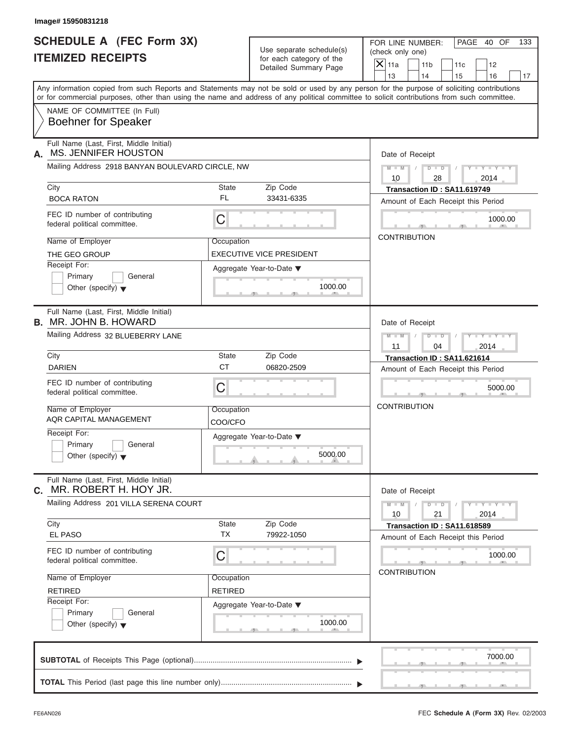| <b>SCHEDULE A (FEC Form 3X)</b><br><b>ITEMIZED RECEIPTS</b><br>Any information copied from such Reports and Statements may not be sold or used by any person for the purpose of soliciting contributions<br>or for commercial purposes, other than using the name and address of any political committee to solicit contributions from such committee.<br>NAME OF COMMITTEE (In Full)<br><b>Boehner for Speaker</b><br>Full Name (Last, First, Middle Initial)<br>MS. JENNIFER HOUSTON<br>А.<br>Mailing Address 2918 BANYAN BOULEVARD CIRCLE, NW<br>City<br><b>BOCA RATON</b><br>FEC ID number of contributing<br>C<br>federal political committee.<br>Name of Employer | Use separate schedule(s)<br>for each category of the<br>Detailed Summary Page<br>State<br>Zip Code<br>FL<br>33431-6335 | FOR LINE NUMBER:<br>PAGE 40 OF<br>133<br>(check only one)<br>$X$ 11a<br>11 <sub>b</sub><br>11c<br>12<br>13<br>14<br>15<br>16<br>17<br>Date of Receipt<br>$D$ $D$<br>$Y - Y - Y - Y - Y$<br>$M - M$ /<br>10<br>28<br>2014<br>Transaction ID: SA11.619749 |
|-------------------------------------------------------------------------------------------------------------------------------------------------------------------------------------------------------------------------------------------------------------------------------------------------------------------------------------------------------------------------------------------------------------------------------------------------------------------------------------------------------------------------------------------------------------------------------------------------------------------------------------------------------------------------|------------------------------------------------------------------------------------------------------------------------|---------------------------------------------------------------------------------------------------------------------------------------------------------------------------------------------------------------------------------------------------------|
|                                                                                                                                                                                                                                                                                                                                                                                                                                                                                                                                                                                                                                                                         |                                                                                                                        |                                                                                                                                                                                                                                                         |
|                                                                                                                                                                                                                                                                                                                                                                                                                                                                                                                                                                                                                                                                         |                                                                                                                        |                                                                                                                                                                                                                                                         |
|                                                                                                                                                                                                                                                                                                                                                                                                                                                                                                                                                                                                                                                                         |                                                                                                                        |                                                                                                                                                                                                                                                         |
|                                                                                                                                                                                                                                                                                                                                                                                                                                                                                                                                                                                                                                                                         |                                                                                                                        |                                                                                                                                                                                                                                                         |
|                                                                                                                                                                                                                                                                                                                                                                                                                                                                                                                                                                                                                                                                         |                                                                                                                        |                                                                                                                                                                                                                                                         |
|                                                                                                                                                                                                                                                                                                                                                                                                                                                                                                                                                                                                                                                                         |                                                                                                                        |                                                                                                                                                                                                                                                         |
|                                                                                                                                                                                                                                                                                                                                                                                                                                                                                                                                                                                                                                                                         |                                                                                                                        |                                                                                                                                                                                                                                                         |
|                                                                                                                                                                                                                                                                                                                                                                                                                                                                                                                                                                                                                                                                         |                                                                                                                        |                                                                                                                                                                                                                                                         |
|                                                                                                                                                                                                                                                                                                                                                                                                                                                                                                                                                                                                                                                                         |                                                                                                                        | Amount of Each Receipt this Period                                                                                                                                                                                                                      |
|                                                                                                                                                                                                                                                                                                                                                                                                                                                                                                                                                                                                                                                                         |                                                                                                                        | 1000.00                                                                                                                                                                                                                                                 |
|                                                                                                                                                                                                                                                                                                                                                                                                                                                                                                                                                                                                                                                                         | Occupation                                                                                                             | <b>CONTRIBUTION</b>                                                                                                                                                                                                                                     |
| THE GEO GROUP                                                                                                                                                                                                                                                                                                                                                                                                                                                                                                                                                                                                                                                           | <b>EXECUTIVE VICE PRESIDENT</b>                                                                                        |                                                                                                                                                                                                                                                         |
| Receipt For:                                                                                                                                                                                                                                                                                                                                                                                                                                                                                                                                                                                                                                                            | Aggregate Year-to-Date ▼                                                                                               |                                                                                                                                                                                                                                                         |
| Primary<br>General<br>Other (specify) $\blacktriangledown$                                                                                                                                                                                                                                                                                                                                                                                                                                                                                                                                                                                                              | 1000.00                                                                                                                |                                                                                                                                                                                                                                                         |
| Full Name (Last, First, Middle Initial)<br><b>B. MR. JOHN B. HOWARD</b>                                                                                                                                                                                                                                                                                                                                                                                                                                                                                                                                                                                                 | Date of Receipt                                                                                                        |                                                                                                                                                                                                                                                         |
| Mailing Address 32 BLUEBERRY LANE                                                                                                                                                                                                                                                                                                                                                                                                                                                                                                                                                                                                                                       |                                                                                                                        | $M - M$<br>$D - I - D$<br>Y TYTTYTTY<br>11<br>04<br>2014                                                                                                                                                                                                |
| City                                                                                                                                                                                                                                                                                                                                                                                                                                                                                                                                                                                                                                                                    | State<br>Zip Code                                                                                                      | Transaction ID: SA11.621614                                                                                                                                                                                                                             |
| <b>DARIEN</b>                                                                                                                                                                                                                                                                                                                                                                                                                                                                                                                                                                                                                                                           | <b>CT</b><br>06820-2509                                                                                                | Amount of Each Receipt this Period                                                                                                                                                                                                                      |
| FEC ID number of contributing<br>C<br>federal political committee.                                                                                                                                                                                                                                                                                                                                                                                                                                                                                                                                                                                                      |                                                                                                                        | 5000.00                                                                                                                                                                                                                                                 |
| Name of Employer<br>AQR CAPITAL MANAGEMENT                                                                                                                                                                                                                                                                                                                                                                                                                                                                                                                                                                                                                              | Occupation<br>COO/CFO                                                                                                  | <b>CONTRIBUTION</b>                                                                                                                                                                                                                                     |
| Receipt For:<br>Primary<br>General<br>Other (specify) $\blacktriangledown$                                                                                                                                                                                                                                                                                                                                                                                                                                                                                                                                                                                              | Aggregate Year-to-Date ▼<br>5000.00                                                                                    |                                                                                                                                                                                                                                                         |
| Full Name (Last, First, Middle Initial)<br>MR. ROBERT H. HOY JR.<br>С.                                                                                                                                                                                                                                                                                                                                                                                                                                                                                                                                                                                                  |                                                                                                                        | Date of Receipt                                                                                                                                                                                                                                         |
| Mailing Address 201 VILLA SERENA COURT                                                                                                                                                                                                                                                                                                                                                                                                                                                                                                                                                                                                                                  |                                                                                                                        | $Y = Y = Y + Y$<br>$M - M$<br>$D - D$<br>21<br>10<br>2014                                                                                                                                                                                               |
| City<br>EL PASO                                                                                                                                                                                                                                                                                                                                                                                                                                                                                                                                                                                                                                                         | State<br>Zip Code<br><b>TX</b><br>79922-1050                                                                           | Transaction ID: SA11.618589                                                                                                                                                                                                                             |
|                                                                                                                                                                                                                                                                                                                                                                                                                                                                                                                                                                                                                                                                         |                                                                                                                        | Amount of Each Receipt this Period                                                                                                                                                                                                                      |
| FEC ID number of contributing<br>С<br>federal political committee.                                                                                                                                                                                                                                                                                                                                                                                                                                                                                                                                                                                                      |                                                                                                                        | 1000.00<br><b>CONTRIBUTION</b>                                                                                                                                                                                                                          |
| Name of Employer                                                                                                                                                                                                                                                                                                                                                                                                                                                                                                                                                                                                                                                        | Occupation                                                                                                             |                                                                                                                                                                                                                                                         |
| <b>RETIRED</b>                                                                                                                                                                                                                                                                                                                                                                                                                                                                                                                                                                                                                                                          | RETIRED                                                                                                                |                                                                                                                                                                                                                                                         |
| Receipt For:<br>Primary<br>General<br>Other (specify) $\blacktriangledown$                                                                                                                                                                                                                                                                                                                                                                                                                                                                                                                                                                                              | Aggregate Year-to-Date ▼<br>1000.00                                                                                    |                                                                                                                                                                                                                                                         |
|                                                                                                                                                                                                                                                                                                                                                                                                                                                                                                                                                                                                                                                                         |                                                                                                                        | 7000.00                                                                                                                                                                                                                                                 |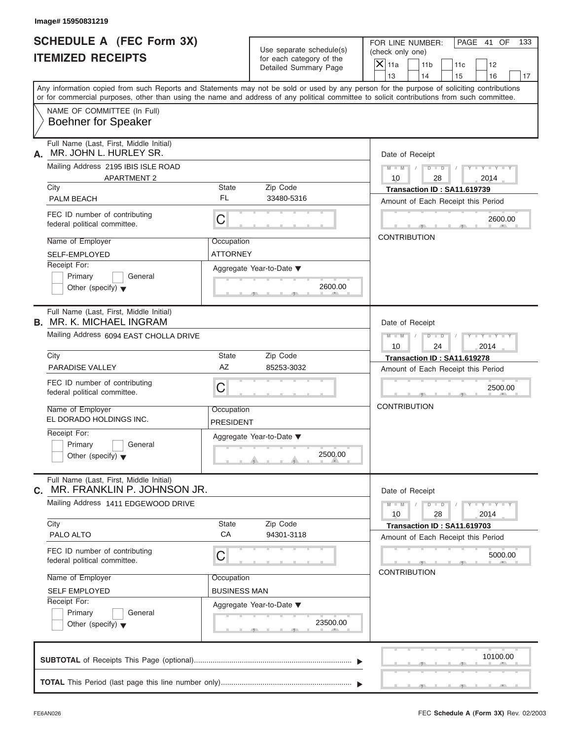| <b>SCHEDULE A (FEC Form 3X)</b>                                                                                                                                                                                                                                                         |                                                   |                          | FOR LINE NUMBER:    |                     |                                    | PAGE 41 OF                  | 133 |
|-----------------------------------------------------------------------------------------------------------------------------------------------------------------------------------------------------------------------------------------------------------------------------------------|---------------------------------------------------|--------------------------|---------------------|---------------------|------------------------------------|-----------------------------|-----|
|                                                                                                                                                                                                                                                                                         |                                                   | Use separate schedule(s) | (check only one)    |                     |                                    |                             |     |
| <b>ITEMIZED RECEIPTS</b>                                                                                                                                                                                                                                                                | for each category of the<br>Detailed Summary Page |                          | $X$ 11a             | 11 <sub>b</sub>     | 11c                                | 12                          |     |
|                                                                                                                                                                                                                                                                                         |                                                   |                          |                     | 14                  | 15                                 | 16                          | 17  |
| Any information copied from such Reports and Statements may not be sold or used by any person for the purpose of soliciting contributions<br>or for commercial purposes, other than using the name and address of any political committee to solicit contributions from such committee. |                                                   |                          |                     |                     |                                    |                             |     |
| NAME OF COMMITTEE (In Full)<br><b>Boehner for Speaker</b>                                                                                                                                                                                                                               |                                                   |                          |                     |                     |                                    |                             |     |
| Full Name (Last, First, Middle Initial)<br>MR. JOHN L. HURLEY SR.<br>А.                                                                                                                                                                                                                 |                                                   |                          |                     | Date of Receipt     |                                    |                             |     |
| Mailing Address 2195 IBIS ISLE ROAD<br><b>APARTMENT 2</b>                                                                                                                                                                                                                               |                                                   |                          | $M - M$ /<br>10     | $D$ $D$<br>28       |                                    | $Y - Y - Y - Y - Y$<br>2014 |     |
| City                                                                                                                                                                                                                                                                                    | State                                             | Zip Code                 |                     |                     | Transaction ID: SA11.619739        |                             |     |
| PALM BEACH                                                                                                                                                                                                                                                                              | FL                                                | 33480-5316               |                     |                     | Amount of Each Receipt this Period |                             |     |
| FEC ID number of contributing<br>federal political committee.                                                                                                                                                                                                                           | C                                                 |                          |                     |                     |                                    | 2600.00                     |     |
| Name of Employer                                                                                                                                                                                                                                                                        | Occupation                                        |                          | <b>CONTRIBUTION</b> |                     |                                    |                             |     |
| <b>SELF-EMPLOYED</b>                                                                                                                                                                                                                                                                    | <b>ATTORNEY</b>                                   |                          |                     |                     |                                    |                             |     |
| Receipt For:                                                                                                                                                                                                                                                                            | Aggregate Year-to-Date ▼                          |                          |                     |                     |                                    |                             |     |
| Primary<br>General                                                                                                                                                                                                                                                                      |                                                   |                          |                     |                     |                                    |                             |     |
| Other (specify) $\blacktriangledown$                                                                                                                                                                                                                                                    |                                                   | 2600.00                  |                     |                     |                                    |                             |     |
| Full Name (Last, First, Middle Initial)<br><b>B. MR. K. MICHAEL INGRAM</b>                                                                                                                                                                                                              |                                                   |                          |                     | Date of Receipt     |                                    |                             |     |
| Mailing Address 6094 EAST CHOLLA DRIVE                                                                                                                                                                                                                                                  |                                                   |                          | $M$ $M$             | $D - I - D$         |                                    | Y TYTTYTTY                  |     |
|                                                                                                                                                                                                                                                                                         |                                                   |                          | 10                  | 24                  |                                    | 2014                        |     |
| City                                                                                                                                                                                                                                                                                    | State                                             | Zip Code                 |                     |                     | Transaction ID: SA11.619278        |                             |     |
| PARADISE VALLEY                                                                                                                                                                                                                                                                         | AZ                                                | 85253-3032               |                     |                     | Amount of Each Receipt this Period |                             |     |
| FEC ID number of contributing<br>federal political committee.                                                                                                                                                                                                                           | C                                                 |                          |                     |                     |                                    | 2500.00                     |     |
| Name of Employer<br>EL DORADO HOLDINGS INC.                                                                                                                                                                                                                                             | Occupation<br>PRESIDENT                           |                          | <b>CONTRIBUTION</b> |                     |                                    |                             |     |
| Receipt For:                                                                                                                                                                                                                                                                            | Aggregate Year-to-Date ▼                          |                          |                     |                     |                                    |                             |     |
| Primary<br>General<br>Other (specify) $\blacktriangledown$                                                                                                                                                                                                                              |                                                   | 2500.00                  |                     |                     |                                    |                             |     |
| Full Name (Last, First, Middle Initial)<br>MR. FRANKLIN P. JOHNSON JR.<br>С.                                                                                                                                                                                                            |                                                   |                          |                     | Date of Receipt     |                                    |                             |     |
| Mailing Address 1411 EDGEWOOD DRIVE                                                                                                                                                                                                                                                     |                                                   |                          | $M - M$<br>10       | $D - D$<br>28       |                                    | $Y - Y - Y - Y - I$<br>2014 |     |
| City                                                                                                                                                                                                                                                                                    | State<br>CA                                       | Zip Code<br>94301-3118   |                     |                     | Transaction ID: SA11.619703        |                             |     |
| PALO ALTO                                                                                                                                                                                                                                                                               |                                                   |                          |                     |                     | Amount of Each Receipt this Period |                             |     |
| FEC ID number of contributing<br>federal political committee.                                                                                                                                                                                                                           | С                                                 |                          |                     |                     |                                    | 5000.00                     |     |
| Name of Employer                                                                                                                                                                                                                                                                        | Occupation                                        |                          |                     | <b>CONTRIBUTION</b> |                                    |                             |     |
| <b>SELF EMPLOYED</b>                                                                                                                                                                                                                                                                    | <b>BUSINESS MAN</b>                               |                          |                     |                     |                                    |                             |     |
| Receipt For:                                                                                                                                                                                                                                                                            | Aggregate Year-to-Date ▼                          |                          |                     |                     |                                    |                             |     |
| Primary<br>General<br>Other (specify) $\blacktriangledown$                                                                                                                                                                                                                              |                                                   | 23500.00                 |                     |                     |                                    |                             |     |
|                                                                                                                                                                                                                                                                                         |                                                   |                          |                     |                     |                                    | 10100.00                    |     |
|                                                                                                                                                                                                                                                                                         |                                                   |                          |                     |                     |                                    |                             |     |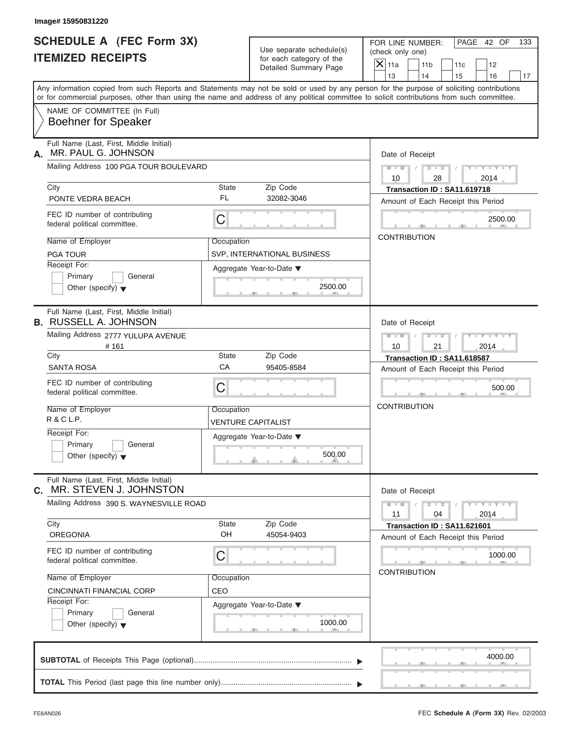| <b>SCHEDULE A (FEC Form 3X)</b><br><b>ITEMIZED RECEIPTS</b>                |                    | Use separate schedule(s)<br>for each category of the | PAGE 42 OF<br>FOR LINE NUMBER:<br>133<br>(check only one)                                                                                                                                                                                                                               |
|----------------------------------------------------------------------------|--------------------|------------------------------------------------------|-----------------------------------------------------------------------------------------------------------------------------------------------------------------------------------------------------------------------------------------------------------------------------------------|
|                                                                            |                    | Detailed Summary Page                                | $\overline{X} _{11a}$<br>11 <sub>b</sub><br>11c<br>12<br>13<br>14<br>15<br>16<br>17                                                                                                                                                                                                     |
|                                                                            |                    |                                                      | Any information copied from such Reports and Statements may not be sold or used by any person for the purpose of soliciting contributions<br>or for commercial purposes, other than using the name and address of any political committee to solicit contributions from such committee. |
| NAME OF COMMITTEE (In Full)<br><b>Boehner for Speaker</b>                  |                    |                                                      |                                                                                                                                                                                                                                                                                         |
| Full Name (Last, First, Middle Initial)<br>MR. PAUL G. JOHNSON<br>А.       |                    |                                                      | Date of Receipt                                                                                                                                                                                                                                                                         |
| Mailing Address 100 PGA TOUR BOULEVARD                                     |                    |                                                      | $D$ $\Box$ $D$<br>$Y - Y - Y - Y - Y$<br>$M - M$ /<br>$\sqrt{ }$<br>10<br>28<br>2014                                                                                                                                                                                                    |
| City                                                                       | State              | Zip Code                                             | Transaction ID: SA11.619718                                                                                                                                                                                                                                                             |
| PONTE VEDRA BEACH                                                          | FL                 | 32082-3046                                           | Amount of Each Receipt this Period                                                                                                                                                                                                                                                      |
| FEC ID number of contributing<br>federal political committee.              | $\mathsf C$        |                                                      | 2500.00                                                                                                                                                                                                                                                                                 |
| Name of Employer                                                           | Occupation         |                                                      | <b>CONTRIBUTION</b>                                                                                                                                                                                                                                                                     |
| <b>PGA TOUR</b>                                                            |                    | SVP, INTERNATIONAL BUSINESS                          |                                                                                                                                                                                                                                                                                         |
| Receipt For:<br>Primary<br>General<br>Other (specify) $\blacktriangledown$ |                    | Aggregate Year-to-Date ▼<br>2500.00                  |                                                                                                                                                                                                                                                                                         |
| Full Name (Last, First, Middle Initial)<br><b>B. RUSSELL A. JOHNSON</b>    |                    |                                                      | Date of Receipt                                                                                                                                                                                                                                                                         |
| Mailing Address 2777 YULUPA AVENUE                                         |                    |                                                      | $D - D$<br>$Y = Y = Y - Y$<br>$M - M$<br>$\sqrt{2}$                                                                                                                                                                                                                                     |
| #161<br>City                                                               | State              | Zip Code                                             | 10<br>21<br>2014                                                                                                                                                                                                                                                                        |
| <b>SANTA ROSA</b>                                                          | CA                 | 95405-8584                                           | Transaction ID: SA11.618587<br>Amount of Each Receipt this Period                                                                                                                                                                                                                       |
| FEC ID number of contributing<br>federal political committee.              | C                  |                                                      | 500.00                                                                                                                                                                                                                                                                                  |
| Name of Employer<br>R & C L.P.                                             | Occupation         | VENTURE CAPITALIST                                   | <b>CONTRIBUTION</b>                                                                                                                                                                                                                                                                     |
| Receipt For:<br>Primary<br>General<br>Other (specify) $\blacktriangledown$ |                    | Aggregate Year-to-Date ▼<br>500.00                   |                                                                                                                                                                                                                                                                                         |
| Full Name (Last, First, Middle Initial)<br>MR. STEVEN J. JOHNSTON<br>С.    |                    |                                                      | Date of Receipt                                                                                                                                                                                                                                                                         |
| Mailing Address 390 S. WAYNESVILLE ROAD                                    |                    |                                                      | $Y - Y - Y - Y - Y$<br>$M - M$<br>$D$ $\Box$ $D$<br>2014<br>11<br>04                                                                                                                                                                                                                    |
| City<br><b>OREGONIA</b>                                                    | <b>State</b><br>OH | Zip Code<br>45054-9403                               | Transaction ID: SA11.621601<br>Amount of Each Receipt this Period                                                                                                                                                                                                                       |
| FEC ID number of contributing<br>federal political committee.              | C                  |                                                      | 1000.00<br><b>CONTRIBUTION</b>                                                                                                                                                                                                                                                          |
| Name of Employer                                                           | Occupation         |                                                      |                                                                                                                                                                                                                                                                                         |
| CINCINNATI FINANCIAL CORP                                                  | CEO                |                                                      |                                                                                                                                                                                                                                                                                         |
| Receipt For:<br>Primary<br>General<br>Other (specify) $\blacktriangledown$ |                    | Aggregate Year-to-Date ▼<br>1000.00                  |                                                                                                                                                                                                                                                                                         |
|                                                                            |                    |                                                      | 4000.00                                                                                                                                                                                                                                                                                 |
|                                                                            |                    |                                                      |                                                                                                                                                                                                                                                                                         |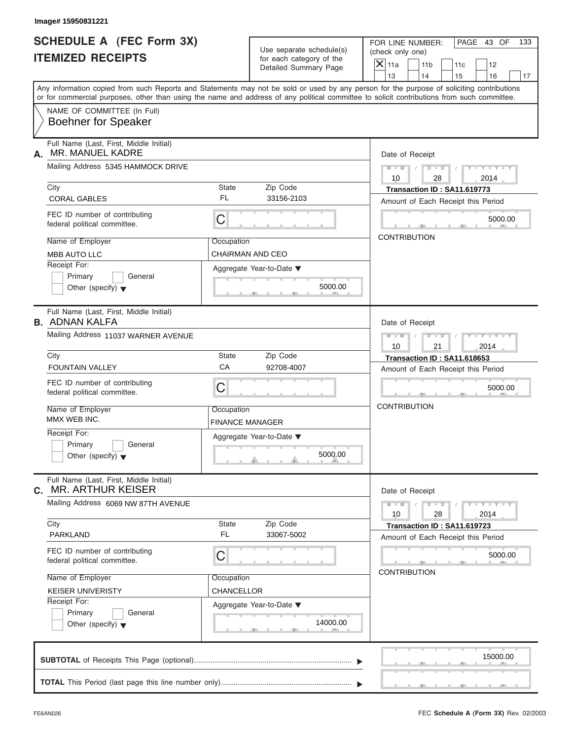| <b>SCHEDULE A (FEC Form 3X)</b><br><b>ITEMIZED RECEIPTS</b>                                                                                                                                                                                                                             |                                      | Use separate schedule(s)<br>for each category of the | FOR LINE NUMBER:<br>(check only one) |                       |                                                                   | PAGE 43 OF                  | 133 |
|-----------------------------------------------------------------------------------------------------------------------------------------------------------------------------------------------------------------------------------------------------------------------------------------|--------------------------------------|------------------------------------------------------|--------------------------------------|-----------------------|-------------------------------------------------------------------|-----------------------------|-----|
|                                                                                                                                                                                                                                                                                         |                                      | Detailed Summary Page                                |                                      | 11 <sub>b</sub><br>14 | 11c<br>15                                                         | 12<br>16                    | 17  |
| Any information copied from such Reports and Statements may not be sold or used by any person for the purpose of soliciting contributions<br>or for commercial purposes, other than using the name and address of any political committee to solicit contributions from such committee. |                                      |                                                      | 13                                   |                       |                                                                   |                             |     |
| NAME OF COMMITTEE (In Full)<br><b>Boehner for Speaker</b>                                                                                                                                                                                                                               |                                      |                                                      |                                      |                       |                                                                   |                             |     |
| Full Name (Last, First, Middle Initial)<br>MR. MANUEL KADRE<br>А.                                                                                                                                                                                                                       |                                      |                                                      |                                      | Date of Receipt       |                                                                   |                             |     |
| Mailing Address 5345 HAMMOCK DRIVE                                                                                                                                                                                                                                                      |                                      |                                                      | $M - M$ /<br>10                      | $D$ $D$<br>28         |                                                                   | $Y - Y - Y - Y - Y$<br>2014 |     |
| City<br><b>CORAL GABLES</b>                                                                                                                                                                                                                                                             | State<br>FL                          | Zip Code<br>33156-2103                               |                                      |                       | Transaction ID: SA11.619773<br>Amount of Each Receipt this Period |                             |     |
| FEC ID number of contributing<br>federal political committee.                                                                                                                                                                                                                           | C                                    |                                                      |                                      |                       |                                                                   | 5000.00                     |     |
| Name of Employer<br><b>MBB AUTO LLC</b>                                                                                                                                                                                                                                                 | Occupation<br>CHAIRMAN AND CEO       |                                                      | <b>CONTRIBUTION</b>                  |                       |                                                                   |                             |     |
| Receipt For:<br>Primary<br>General<br>Other (specify) $\blacktriangledown$                                                                                                                                                                                                              |                                      | Aggregate Year-to-Date ▼<br>5000.00                  |                                      |                       |                                                                   |                             |     |
| Full Name (Last, First, Middle Initial)<br><b>B. ADNAN KALFA</b>                                                                                                                                                                                                                        |                                      |                                                      |                                      | Date of Receipt       |                                                                   |                             |     |
| Mailing Address 11037 WARNER AVENUE                                                                                                                                                                                                                                                     |                                      |                                                      | $M - M$<br>10                        | $D - I - D$<br>21     |                                                                   | Y TYTTYTTY<br>2014          |     |
| City<br><b>FOUNTAIN VALLEY</b>                                                                                                                                                                                                                                                          | State<br>CA                          | Zip Code<br>92708-4007                               |                                      |                       | Transaction ID: SA11.618653<br>Amount of Each Receipt this Period |                             |     |
| FEC ID number of contributing<br>federal political committee.                                                                                                                                                                                                                           | C                                    |                                                      |                                      |                       |                                                                   | 5000.00                     |     |
| Name of Employer<br>MMX WEB INC.                                                                                                                                                                                                                                                        | Occupation<br><b>FINANCE MANAGER</b> |                                                      | <b>CONTRIBUTION</b>                  |                       |                                                                   |                             |     |
| Receipt For:<br>Primary<br>General<br>Other (specify) $\blacktriangledown$                                                                                                                                                                                                              |                                      | Aggregate Year-to-Date ▼<br>5000.00                  |                                      |                       |                                                                   |                             |     |
| Full Name (Last, First, Middle Initial)<br><b>MR. ARTHUR KEISER</b><br>С.                                                                                                                                                                                                               |                                      |                                                      |                                      | Date of Receipt       |                                                                   |                             |     |
| Mailing Address 6069 NW 87TH AVENUE                                                                                                                                                                                                                                                     |                                      |                                                      | $M - M$<br>10                        | $D - D$<br>28         |                                                                   | $Y = Y = Y$<br>2014         |     |
| City<br><b>PARKLAND</b>                                                                                                                                                                                                                                                                 | State<br><b>FL</b>                   | Zip Code<br>33067-5002                               |                                      |                       | Transaction ID: SA11.619723<br>Amount of Each Receipt this Period |                             |     |
| FEC ID number of contributing<br>federal political committee.                                                                                                                                                                                                                           | С                                    |                                                      |                                      |                       |                                                                   | 5000.00                     |     |
| Name of Employer<br><b>KEISER UNIVERISTY</b>                                                                                                                                                                                                                                            | Occupation<br>CHANCELLOR             |                                                      |                                      | <b>CONTRIBUTION</b>   |                                                                   |                             |     |
| Receipt For:<br>Primary<br>General<br>Other (specify) $\blacktriangledown$                                                                                                                                                                                                              |                                      | Aggregate Year-to-Date ▼<br>14000.00                 |                                      |                       |                                                                   |                             |     |
|                                                                                                                                                                                                                                                                                         |                                      |                                                      |                                      |                       |                                                                   | 15000.00                    |     |
|                                                                                                                                                                                                                                                                                         |                                      |                                                      |                                      |                       |                                                                   |                             |     |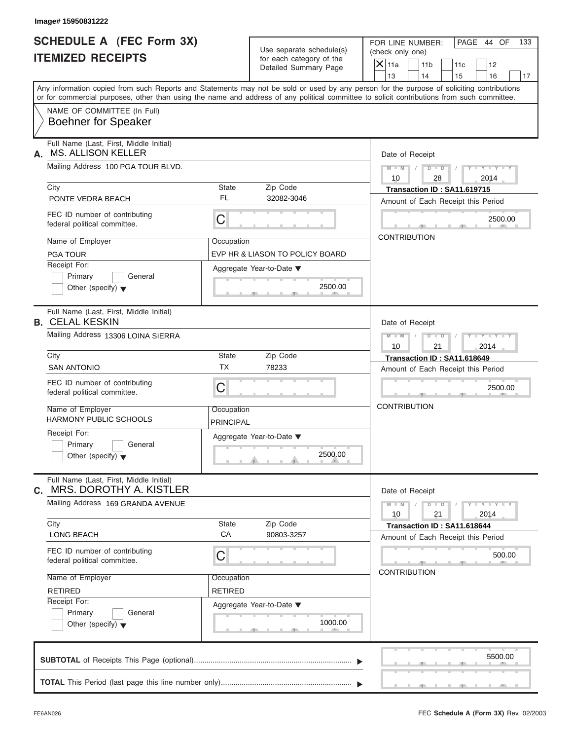| Image# 15950831222                                                         |                                |                                                                               |                                                                                                                                                                                                                                                                                         |
|----------------------------------------------------------------------------|--------------------------------|-------------------------------------------------------------------------------|-----------------------------------------------------------------------------------------------------------------------------------------------------------------------------------------------------------------------------------------------------------------------------------------|
| <b>SCHEDULE A (FEC Form 3X)</b><br><b>ITEMIZED RECEIPTS</b>                |                                | Use separate schedule(s)<br>for each category of the<br>Detailed Summary Page | FOR LINE NUMBER:<br>PAGE 44 OF<br>133<br>(check only one)<br>$\mathsf{X}$ 11a<br>11 <sub>b</sub><br>11c<br>12<br>13<br>14<br>15<br>16<br>17                                                                                                                                             |
|                                                                            |                                |                                                                               | Any information copied from such Reports and Statements may not be sold or used by any person for the purpose of soliciting contributions<br>or for commercial purposes, other than using the name and address of any political committee to solicit contributions from such committee. |
| NAME OF COMMITTEE (In Full)<br><b>Boehner for Speaker</b>                  |                                |                                                                               |                                                                                                                                                                                                                                                                                         |
| Full Name (Last, First, Middle Initial)<br><b>MS. ALLISON KELLER</b><br>А. |                                |                                                                               | Date of Receipt                                                                                                                                                                                                                                                                         |
| Mailing Address 100 PGA TOUR BLVD.                                         |                                |                                                                               | $M - M$<br>$D$ $D$<br>$Y - Y - Y$<br>10<br>28<br>2014                                                                                                                                                                                                                                   |
| City                                                                       | State                          | Zip Code                                                                      | Transaction ID: SA11.619715                                                                                                                                                                                                                                                             |
| PONTE VEDRA BEACH                                                          | <b>FL</b>                      | 32082-3046                                                                    | Amount of Each Receipt this Period                                                                                                                                                                                                                                                      |
| FEC ID number of contributing<br>federal political committee.              | C                              |                                                                               | 2500.00                                                                                                                                                                                                                                                                                 |
| Name of Employer                                                           | Occupation                     |                                                                               | <b>CONTRIBUTION</b>                                                                                                                                                                                                                                                                     |
| <b>PGA TOUR</b>                                                            |                                | EVP HR & LIASON TO POLICY BOARD                                               |                                                                                                                                                                                                                                                                                         |
| Receipt For:<br>Primary<br>General<br>Other (specify) $\blacktriangledown$ |                                | Aggregate Year-to-Date ▼<br>2500.00                                           |                                                                                                                                                                                                                                                                                         |
| Full Name (Last, First, Middle Initial)<br><b>B. CELAL KESKIN</b>          |                                |                                                                               | Date of Receipt                                                                                                                                                                                                                                                                         |
| Mailing Address 13306 LOINA SIERRA                                         |                                |                                                                               | $D - I - D$<br>$M - M$<br>$Y = Y - Y - T$<br>2014<br>10<br>21                                                                                                                                                                                                                           |
| City                                                                       | State                          | Zip Code                                                                      | Transaction ID: SA11.618649                                                                                                                                                                                                                                                             |
| <b>SAN ANTONIO</b>                                                         | <b>TX</b>                      | 78233                                                                         | Amount of Each Receipt this Period                                                                                                                                                                                                                                                      |
| FEC ID number of contributing<br>federal political committee.              | C                              |                                                                               | 2500.00                                                                                                                                                                                                                                                                                 |
| Name of Employer<br><b>HARMONY PUBLIC SCHOOLS</b>                          | Occupation<br><b>PRINCIPAL</b> |                                                                               | <b>CONTRIBUTION</b>                                                                                                                                                                                                                                                                     |
| Receipt For:<br>Primary<br>General<br>Other (specify) $\blacktriangledown$ |                                | Aggregate Year-to-Date ▼<br>2500.00                                           |                                                                                                                                                                                                                                                                                         |
| Full Name (Last, First, Middle Initial)<br>MRS. DOROTHY A. KISTLER<br>С.   |                                |                                                                               | Date of Receipt                                                                                                                                                                                                                                                                         |
| Mailing Address 169 GRANDA AVENUE                                          |                                |                                                                               | $M - M$<br>$Y = Y$<br>$D$ $D$<br>21<br>2014<br>10                                                                                                                                                                                                                                       |
| City<br>LONG BEACH                                                         | State<br>CA                    | Zip Code<br>90803-3257                                                        | Transaction ID: SA11.618644<br>Amount of Each Receipt this Period                                                                                                                                                                                                                       |
| FEC ID number of contributing<br>federal political committee.              | С                              |                                                                               | 500.00<br><b>CONTRIBUTION</b>                                                                                                                                                                                                                                                           |
| Name of Employer                                                           | Occupation                     |                                                                               |                                                                                                                                                                                                                                                                                         |
| <b>RETIRED</b>                                                             | <b>RETIRED</b>                 |                                                                               |                                                                                                                                                                                                                                                                                         |
| Receipt For:<br>Primary<br>General<br>Other (specify) $\blacktriangledown$ |                                | Aggregate Year-to-Date ▼<br>1000.00                                           |                                                                                                                                                                                                                                                                                         |
|                                                                            |                                |                                                                               | 5500.00                                                                                                                                                                                                                                                                                 |
|                                                                            |                                |                                                                               |                                                                                                                                                                                                                                                                                         |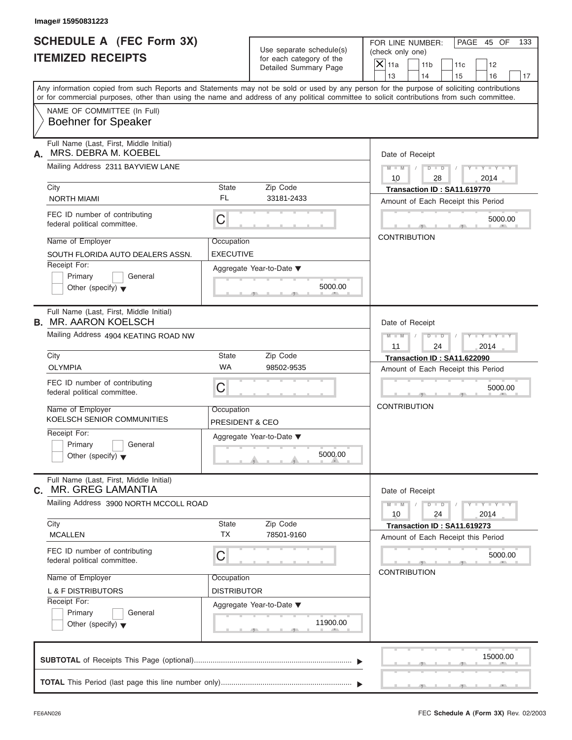| <b>ITEMIZED RECEIPTS</b>                                                                                                                                                                                                                                                                | <b>SCHEDULE A (FEC Form 3X)</b> | Use separate schedule(s)<br>for each category of the | FOR LINE NUMBER:<br>(check only one) |                       |                                                                   | PAGE 45 OF                  | 133 |
|-----------------------------------------------------------------------------------------------------------------------------------------------------------------------------------------------------------------------------------------------------------------------------------------|---------------------------------|------------------------------------------------------|--------------------------------------|-----------------------|-------------------------------------------------------------------|-----------------------------|-----|
|                                                                                                                                                                                                                                                                                         |                                 | Detailed Summary Page                                | $X$ 11a<br>13                        | 11 <sub>b</sub><br>14 | 11c<br>15                                                         | 12<br>16                    | 17  |
| Any information copied from such Reports and Statements may not be sold or used by any person for the purpose of soliciting contributions<br>or for commercial purposes, other than using the name and address of any political committee to solicit contributions from such committee. |                                 |                                                      |                                      |                       |                                                                   |                             |     |
| NAME OF COMMITTEE (In Full)<br><b>Boehner for Speaker</b>                                                                                                                                                                                                                               |                                 |                                                      |                                      |                       |                                                                   |                             |     |
| Full Name (Last, First, Middle Initial)<br>MRS. DEBRA M. KOEBEL<br>А.                                                                                                                                                                                                                   |                                 |                                                      |                                      | Date of Receipt       |                                                                   |                             |     |
| Mailing Address 2311 BAYVIEW LANE                                                                                                                                                                                                                                                       |                                 |                                                      | $M - M$ /<br>10                      | 28                    | $D$ $\Box$ $D$<br>$\sqrt{2}$                                      | $Y - Y - Y - Y - Y$<br>2014 |     |
| City<br><b>NORTH MIAMI</b>                                                                                                                                                                                                                                                              | <b>State</b><br>FL              | Zip Code<br>33181-2433                               |                                      |                       | Transaction ID: SA11.619770<br>Amount of Each Receipt this Period |                             |     |
| FEC ID number of contributing<br>federal political committee.                                                                                                                                                                                                                           | $\mathsf C$                     |                                                      |                                      |                       |                                                                   | 5000.00                     |     |
| Name of Employer<br>SOUTH FLORIDA AUTO DEALERS ASSN.                                                                                                                                                                                                                                    | Occupation<br><b>EXECUTIVE</b>  |                                                      |                                      | <b>CONTRIBUTION</b>   |                                                                   |                             |     |
| Receipt For:<br>Primary<br>General<br>Other (specify) $\blacktriangledown$                                                                                                                                                                                                              |                                 | Aggregate Year-to-Date ▼<br>5000.00                  |                                      |                       |                                                                   |                             |     |
| Full Name (Last, First, Middle Initial)<br><b>B. MR. AARON KOELSCH</b>                                                                                                                                                                                                                  |                                 |                                                      |                                      | Date of Receipt       |                                                                   |                             |     |
| Mailing Address 4904 KEATING ROAD NW                                                                                                                                                                                                                                                    |                                 |                                                      | $M$ $M$ $/$<br>11                    | $D$ $D$<br>24         | $\sqrt{2}$                                                        | $Y = Y = Y' - Y'$<br>2014   |     |
| City<br><b>OLYMPIA</b>                                                                                                                                                                                                                                                                  | <b>State</b><br><b>WA</b>       | Zip Code<br>98502-9535                               |                                      |                       | Transaction ID: SA11.622090                                       |                             |     |
| FEC ID number of contributing<br>federal political committee.                                                                                                                                                                                                                           | C                               |                                                      |                                      |                       | Amount of Each Receipt this Period                                | 5000.00                     |     |
| Name of Employer<br>KOELSCH SENIOR COMMUNITIES                                                                                                                                                                                                                                          | Occupation<br>PRESIDENT & CEO   |                                                      | <b>CONTRIBUTION</b>                  |                       |                                                                   |                             |     |
| Receipt For:<br>Primary<br>General<br>Other (specify) $\blacktriangledown$                                                                                                                                                                                                              |                                 | Aggregate Year-to-Date ▼<br>5000.00                  |                                      |                       |                                                                   |                             |     |
| Full Name (Last, First, Middle Initial)<br>MR. GREG LAMANTIA<br>С.                                                                                                                                                                                                                      |                                 |                                                      |                                      | Date of Receipt       |                                                                   |                             |     |
| Mailing Address 3900 NORTH MCCOLL ROAD<br>City                                                                                                                                                                                                                                          | State                           | Zip Code                                             | $M - M$<br>10                        | $D$ $\Box$ $D$<br>24  |                                                                   | $Y - Y - Y - Y - Y$<br>2014 |     |
| <b>MCALLEN</b>                                                                                                                                                                                                                                                                          | <b>TX</b>                       | 78501-9160                                           |                                      |                       | Transaction ID: SA11.619273<br>Amount of Each Receipt this Period |                             |     |
| FEC ID number of contributing<br>federal political committee.                                                                                                                                                                                                                           | С                               |                                                      |                                      | <b>CONTRIBUTION</b>   |                                                                   | 5000.00                     |     |
| Name of Employer<br><b>L &amp; F DISTRIBUTORS</b>                                                                                                                                                                                                                                       | Occupation<br>DISTRIBUTOR       |                                                      |                                      |                       |                                                                   |                             |     |
| Receipt For:<br>Primary<br>General<br>Other (specify) $\blacktriangledown$                                                                                                                                                                                                              |                                 | Aggregate Year-to-Date ▼<br>11900.00                 |                                      |                       |                                                                   |                             |     |
|                                                                                                                                                                                                                                                                                         |                                 |                                                      |                                      |                       |                                                                   | 15000.00                    |     |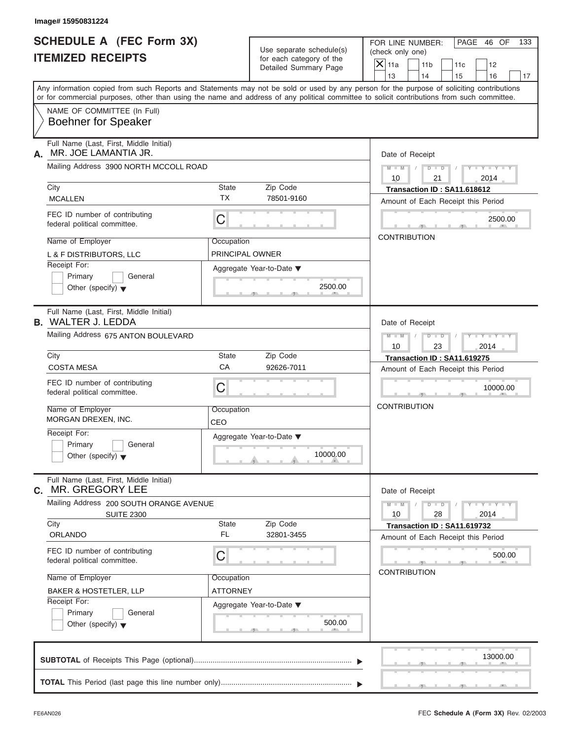| <b>SCHEDULE A (FEC Form 3X)</b>                                       |                        |                                                   |                                                                                                                                                                                                                                                                                         |  |
|-----------------------------------------------------------------------|------------------------|---------------------------------------------------|-----------------------------------------------------------------------------------------------------------------------------------------------------------------------------------------------------------------------------------------------------------------------------------------|--|
|                                                                       |                        | Use separate schedule(s)                          | FOR LINE NUMBER:<br>PAGE 46 OF<br>133<br>(check only one)                                                                                                                                                                                                                               |  |
| <b>ITEMIZED RECEIPTS</b>                                              |                        | for each category of the<br>Detailed Summary Page | $\overline{X} _{11a}$<br>11 <sub>b</sub><br>11c<br>12                                                                                                                                                                                                                                   |  |
|                                                                       |                        |                                                   | 13<br>14<br>15<br>16<br>17                                                                                                                                                                                                                                                              |  |
|                                                                       |                        |                                                   | Any information copied from such Reports and Statements may not be sold or used by any person for the purpose of soliciting contributions<br>or for commercial purposes, other than using the name and address of any political committee to solicit contributions from such committee. |  |
| NAME OF COMMITTEE (In Full)<br><b>Boehner for Speaker</b>             |                        |                                                   |                                                                                                                                                                                                                                                                                         |  |
| Full Name (Last, First, Middle Initial)<br>MR. JOE LAMANTIA JR.<br>А. |                        |                                                   | Date of Receipt                                                                                                                                                                                                                                                                         |  |
| Mailing Address 3900 NORTH MCCOLL ROAD                                |                        |                                                   | $M-M$ / $D+D$ /<br>$Y - Y - Y - Y - Y$<br>10<br>21<br>2014                                                                                                                                                                                                                              |  |
| City                                                                  | State<br>Zip Code      |                                                   |                                                                                                                                                                                                                                                                                         |  |
| <b>MCALLEN</b>                                                        | <b>TX</b>              | 78501-9160                                        | Amount of Each Receipt this Period                                                                                                                                                                                                                                                      |  |
| FEC ID number of contributing<br>federal political committee.         | C                      |                                                   | 2500.00                                                                                                                                                                                                                                                                                 |  |
| Name of Employer                                                      | Occupation             |                                                   | <b>CONTRIBUTION</b>                                                                                                                                                                                                                                                                     |  |
| L & F DISTRIBUTORS, LLC                                               | <b>PRINCIPAL OWNER</b> |                                                   |                                                                                                                                                                                                                                                                                         |  |
| Receipt For:                                                          |                        | Aggregate Year-to-Date ▼                          |                                                                                                                                                                                                                                                                                         |  |
| Primary<br>General                                                    |                        |                                                   |                                                                                                                                                                                                                                                                                         |  |
| Other (specify) $\blacktriangledown$                                  |                        | 2500.00                                           |                                                                                                                                                                                                                                                                                         |  |
| Full Name (Last, First, Middle Initial)<br><b>B.</b> WALTER J. LEDDA  |                        |                                                   | Date of Receipt                                                                                                                                                                                                                                                                         |  |
| Mailing Address 675 ANTON BOULEVARD                                   |                        |                                                   | $Y = Y = Y - Y$<br>$M$ $M$ $/$                                                                                                                                                                                                                                                          |  |
|                                                                       |                        |                                                   | 10<br>23<br>2014                                                                                                                                                                                                                                                                        |  |
| City                                                                  | State                  | Zip Code                                          | Transaction ID: SA11.619275                                                                                                                                                                                                                                                             |  |
| <b>COSTA MESA</b>                                                     | CA                     | 92626-7011                                        | Amount of Each Receipt this Period                                                                                                                                                                                                                                                      |  |
| FEC ID number of contributing<br>federal political committee.         | C                      |                                                   | 10000.00                                                                                                                                                                                                                                                                                |  |
| Name of Employer<br>MORGAN DREXEN, INC.                               | Occupation<br>CEO      |                                                   | <b>CONTRIBUTION</b>                                                                                                                                                                                                                                                                     |  |
| Receipt For:                                                          |                        | Aggregate Year-to-Date ▼                          |                                                                                                                                                                                                                                                                                         |  |
| Primary<br>General                                                    |                        |                                                   |                                                                                                                                                                                                                                                                                         |  |
| Other (specify) $\blacktriangledown$                                  |                        | 10000.00                                          |                                                                                                                                                                                                                                                                                         |  |
| Full Name (Last, First, Middle Initial)<br>MR. GREGORY LEE<br>С.      |                        |                                                   | Date of Receipt                                                                                                                                                                                                                                                                         |  |
| Mailing Address 200 SOUTH ORANGE AVENUE<br><b>SUITE 2300</b>          |                        |                                                   | $Y - Y - Y - Y - Y$<br>$M - M$<br>$D$ $\Box$ $D$<br>28<br>10<br>2014                                                                                                                                                                                                                    |  |
| City                                                                  | State<br><b>FL</b>     | Zip Code                                          | Transaction ID: SA11.619732                                                                                                                                                                                                                                                             |  |
| <b>ORLANDO</b>                                                        |                        | 32801-3455                                        | Amount of Each Receipt this Period                                                                                                                                                                                                                                                      |  |
| FEC ID number of contributing<br>federal political committee.         | C                      |                                                   | 500.00                                                                                                                                                                                                                                                                                  |  |
| Name of Employer                                                      | Occupation             |                                                   | <b>CONTRIBUTION</b>                                                                                                                                                                                                                                                                     |  |
| <b>BAKER &amp; HOSTETLER, LLP</b>                                     | <b>ATTORNEY</b>        |                                                   |                                                                                                                                                                                                                                                                                         |  |
| Receipt For:                                                          |                        | Aggregate Year-to-Date ▼                          |                                                                                                                                                                                                                                                                                         |  |
| Primary<br>General<br>Other (specify) $\blacktriangledown$            |                        | 500.00                                            |                                                                                                                                                                                                                                                                                         |  |
|                                                                       |                        |                                                   | 13000.00                                                                                                                                                                                                                                                                                |  |
|                                                                       |                        |                                                   |                                                                                                                                                                                                                                                                                         |  |
|                                                                       |                        |                                                   |                                                                                                                                                                                                                                                                                         |  |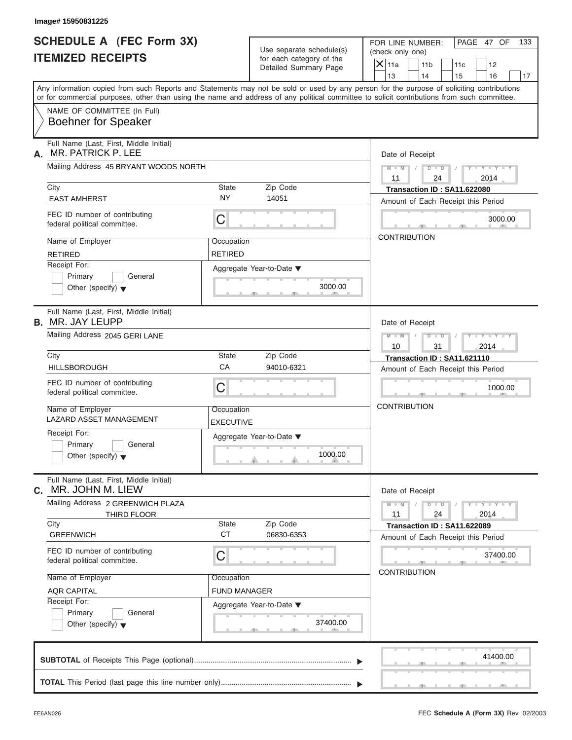| Image# 15950831225<br><b>SCHEDULE A (FEC Form 3X)</b>                      |                                |                                                                               | FOR LINE NUMBER:<br>PAGE 47 OF<br>133                                                                                                                                                                                                                                                                     |
|----------------------------------------------------------------------------|--------------------------------|-------------------------------------------------------------------------------|-----------------------------------------------------------------------------------------------------------------------------------------------------------------------------------------------------------------------------------------------------------------------------------------------------------|
| <b>ITEMIZED RECEIPTS</b>                                                   |                                | Use separate schedule(s)<br>for each category of the<br>Detailed Summary Page | (check only one)<br>$\mathsf{X}$ 11a<br>11 <sub>b</sub><br>11c<br>12<br>13<br>14                                                                                                                                                                                                                          |
|                                                                            |                                |                                                                               | 15<br>16<br>17<br>Any information copied from such Reports and Statements may not be sold or used by any person for the purpose of soliciting contributions<br>or for commercial purposes, other than using the name and address of any political committee to solicit contributions from such committee. |
| NAME OF COMMITTEE (In Full)<br><b>Boehner for Speaker</b>                  |                                |                                                                               |                                                                                                                                                                                                                                                                                                           |
| Full Name (Last, First, Middle Initial)<br>MR. PATRICK P. LEE<br>А.        |                                |                                                                               | Date of Receipt                                                                                                                                                                                                                                                                                           |
| Mailing Address 45 BRYANT WOODS NORTH                                      |                                |                                                                               | $D$ $\Box$ $D$<br>$Y - Y - Y - Y - Y$<br>$M - M$ /                                                                                                                                                                                                                                                        |
| City<br><b>EAST AMHERST</b>                                                | State<br><b>NY</b>             | Zip Code<br>14051                                                             | 11<br>24<br>2014<br>Transaction ID: SA11.622080<br>Amount of Each Receipt this Period                                                                                                                                                                                                                     |
| FEC ID number of contributing<br>federal political committee.              | С                              |                                                                               | 3000.00                                                                                                                                                                                                                                                                                                   |
| Name of Employer<br><b>RETIRED</b>                                         | Occupation<br><b>RETIRED</b>   |                                                                               | <b>CONTRIBUTION</b>                                                                                                                                                                                                                                                                                       |
| Receipt For:<br>Primary<br>General<br>Other (specify) $\blacktriangledown$ |                                | Aggregate Year-to-Date ▼<br>3000.00                                           |                                                                                                                                                                                                                                                                                                           |
| Full Name (Last, First, Middle Initial)<br><b>B.</b> MR. JAY LEUPP         | Date of Receipt                |                                                                               |                                                                                                                                                                                                                                                                                                           |
| Mailing Address 2045 GERI LANE                                             |                                |                                                                               | $M - M$<br>$D - I - D$<br>$Y - Y - Y - Y - Y$<br>10<br>31<br>2014                                                                                                                                                                                                                                         |
| City<br><b>HILLSBOROUGH</b>                                                | <b>State</b><br>CA             | Zip Code<br>94010-6321                                                        | Transaction ID: SA11.621110                                                                                                                                                                                                                                                                               |
| FEC ID number of contributing<br>federal political committee.              | C                              |                                                                               | Amount of Each Receipt this Period<br>1000.00                                                                                                                                                                                                                                                             |
| Name of Employer<br><b>LAZARD ASSET MANAGEMENT</b>                         | Occupation<br><b>EXECUTIVE</b> |                                                                               | <b>CONTRIBUTION</b>                                                                                                                                                                                                                                                                                       |
| Receipt For:<br>Primary<br>General<br>Other (specify) $\blacktriangledown$ |                                | Aggregate Year-to-Date ▼<br>1000.00                                           |                                                                                                                                                                                                                                                                                                           |
| Full Name (Last, First, Middle Initial)<br>MR. JOHN M. LIEW<br>С.          |                                |                                                                               | Date of Receipt                                                                                                                                                                                                                                                                                           |
| Mailing Address 2 GREENWICH PLAZA<br>THIRD FLOOR                           |                                |                                                                               | $Y = Y = Y + Y$<br>$M - M$<br>$D - D$<br>11<br>24<br>2014                                                                                                                                                                                                                                                 |
| City<br><b>GREENWICH</b>                                                   | State<br><b>CT</b>             | Zip Code<br>06830-6353                                                        | Transaction ID: SA11.622089<br>Amount of Each Receipt this Period                                                                                                                                                                                                                                         |
| FEC ID number of contributing<br>federal political committee.              | С                              |                                                                               | 37400.00<br><b>CONTRIBUTION</b>                                                                                                                                                                                                                                                                           |
| Name of Employer                                                           | Occupation                     |                                                                               |                                                                                                                                                                                                                                                                                                           |
| <b>AQR CAPITAL</b><br>Receipt For:                                         | <b>FUND MANAGER</b>            |                                                                               |                                                                                                                                                                                                                                                                                                           |
| Primary<br>General<br>Other (specify) $\blacktriangledown$                 |                                | Aggregate Year-to-Date ▼<br>37400.00                                          |                                                                                                                                                                                                                                                                                                           |
|                                                                            |                                |                                                                               | 41400.00                                                                                                                                                                                                                                                                                                  |
|                                                                            |                                |                                                                               |                                                                                                                                                                                                                                                                                                           |

S S S , , .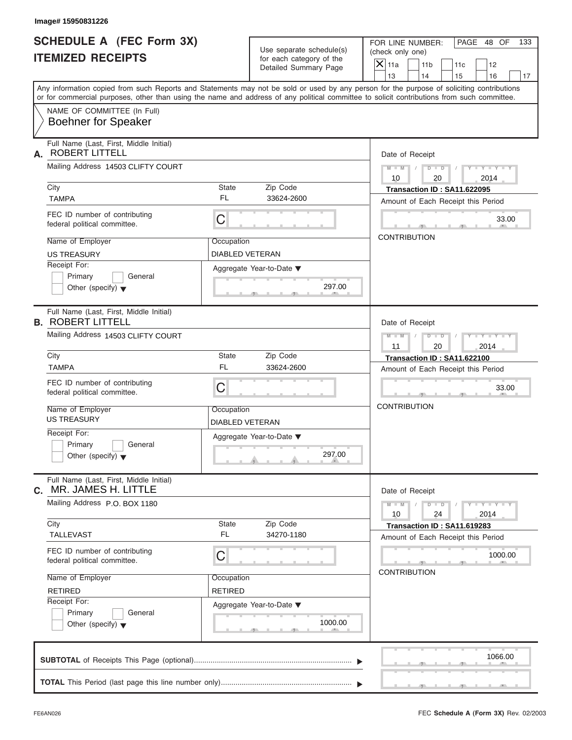| <b>SCHEDULE A (FEC Form 3X)</b>                                            |                               |                                                   |                                                                                                                                                                                                                                                                                         |
|----------------------------------------------------------------------------|-------------------------------|---------------------------------------------------|-----------------------------------------------------------------------------------------------------------------------------------------------------------------------------------------------------------------------------------------------------------------------------------------|
|                                                                            |                               | Use separate schedule(s)                          | PAGE 48 OF<br>FOR LINE NUMBER:<br>(check only one)                                                                                                                                                                                                                                      |
| <b>ITEMIZED RECEIPTS</b>                                                   |                               | for each category of the<br>Detailed Summary Page | $X$ 11a<br>11 <sub>b</sub><br>11c<br>12                                                                                                                                                                                                                                                 |
|                                                                            |                               |                                                   | 13<br>14<br>15<br>16                                                                                                                                                                                                                                                                    |
|                                                                            |                               |                                                   | Any information copied from such Reports and Statements may not be sold or used by any person for the purpose of soliciting contributions<br>or for commercial purposes, other than using the name and address of any political committee to solicit contributions from such committee. |
| NAME OF COMMITTEE (In Full)<br><b>Boehner for Speaker</b>                  |                               |                                                   |                                                                                                                                                                                                                                                                                         |
| Full Name (Last, First, Middle Initial)<br><b>ROBERT LITTELL</b><br>А.     |                               |                                                   | Date of Receipt                                                                                                                                                                                                                                                                         |
| Mailing Address 14503 CLIFTY COURT                                         |                               |                                                   | $M - M$ /<br>$D$ $D$ $/$<br>$Y - Y - Y - Y - Y$<br>10<br>20<br>2014                                                                                                                                                                                                                     |
| City                                                                       | State                         | Zip Code                                          | Transaction ID: SA11.622095                                                                                                                                                                                                                                                             |
| <b>TAMPA</b>                                                               | <b>FL</b>                     | 33624-2600                                        | Amount of Each Receipt this Period                                                                                                                                                                                                                                                      |
| FEC ID number of contributing<br>federal political committee.              | C                             |                                                   | 33.00                                                                                                                                                                                                                                                                                   |
| Name of Employer                                                           | Occupation                    |                                                   | <b>CONTRIBUTION</b>                                                                                                                                                                                                                                                                     |
| <b>US TREASURY</b>                                                         | <b>DIABLED VETERAN</b>        |                                                   |                                                                                                                                                                                                                                                                                         |
| Receipt For:                                                               |                               | Aggregate Year-to-Date ▼                          |                                                                                                                                                                                                                                                                                         |
| Primary<br>General<br>Other (specify) $\blacktriangledown$                 |                               | 297.00                                            |                                                                                                                                                                                                                                                                                         |
| Full Name (Last, First, Middle Initial)<br><b>B. ROBERT LITTELL</b>        |                               |                                                   | Date of Receipt                                                                                                                                                                                                                                                                         |
| Mailing Address 14503 CLIFTY COURT                                         |                               |                                                   | Y T Y T Y T<br>$M$ $M$ $/$<br>$D - D$<br>11<br>20<br>2014                                                                                                                                                                                                                               |
| City                                                                       | State                         | Zip Code                                          | Transaction ID: SA11.622100                                                                                                                                                                                                                                                             |
| <b>TAMPA</b>                                                               | <b>FL</b>                     | 33624-2600                                        | Amount of Each Receipt this Period                                                                                                                                                                                                                                                      |
| FEC ID number of contributing<br>federal political committee.              | C                             |                                                   | 33.00                                                                                                                                                                                                                                                                                   |
| Name of Employer<br><b>US TREASURY</b>                                     | Occupation<br>DIABLED VETERAN |                                                   | <b>CONTRIBUTION</b>                                                                                                                                                                                                                                                                     |
| Receipt For:<br>Primary<br>General<br>Other (specify) $\blacktriangledown$ |                               | Aggregate Year-to-Date ▼<br>297.00                |                                                                                                                                                                                                                                                                                         |
| Full Name (Last, First, Middle Initial)<br>MR. JAMES H. LITTLE<br>C.       |                               |                                                   | Date of Receipt                                                                                                                                                                                                                                                                         |
| Mailing Address P.O. BOX 1180                                              |                               |                                                   | $Y - Y - Y - Y - Y$<br>$M - M$<br>$D$ $\Box$ $D$<br>2014<br>10<br>24                                                                                                                                                                                                                    |
| City<br><b>TALLEVAST</b>                                                   | State<br>FL                   | Zip Code<br>34270-1180                            | Transaction ID: SA11.619283                                                                                                                                                                                                                                                             |
|                                                                            |                               |                                                   | Amount of Each Receipt this Period                                                                                                                                                                                                                                                      |
| FEC ID number of contributing<br>federal political committee.              | С                             |                                                   | 1000.00                                                                                                                                                                                                                                                                                 |
| Name of Employer                                                           | Occupation                    |                                                   | <b>CONTRIBUTION</b>                                                                                                                                                                                                                                                                     |
| <b>RETIRED</b>                                                             | RETIRED                       |                                                   |                                                                                                                                                                                                                                                                                         |
| Receipt For:                                                               |                               | Aggregate Year-to-Date ▼                          |                                                                                                                                                                                                                                                                                         |
| Primary<br>General<br>Other (specify) $\blacktriangledown$                 |                               | 1000.00                                           |                                                                                                                                                                                                                                                                                         |
|                                                                            |                               |                                                   | 1066.00                                                                                                                                                                                                                                                                                 |
|                                                                            |                               |                                                   |                                                                                                                                                                                                                                                                                         |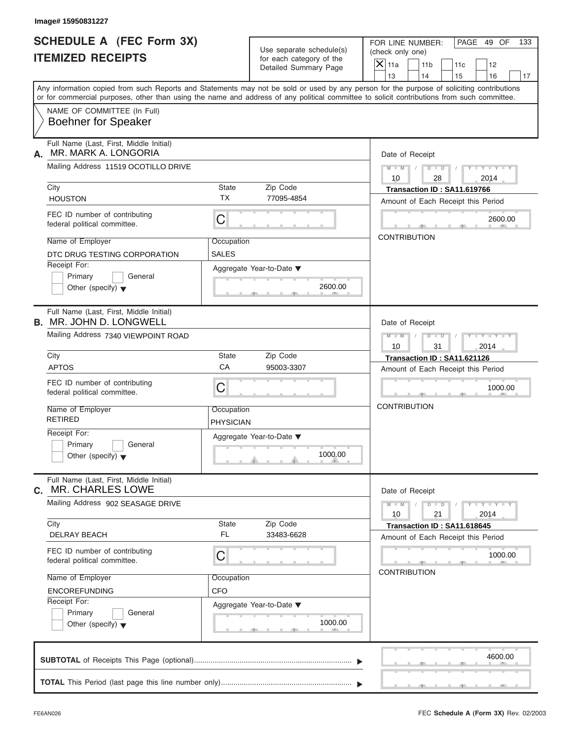| <b>SCHEDULE A (FEC Form 3X)</b><br><b>ITEMIZED RECEIPTS</b>                |                                | Use separate schedule(s)<br>for each category of the<br>Detailed Summary Page | PAGE 49 OF<br>FOR LINE NUMBER:<br>133<br>(check only one)<br>$\overline{X}$ 11a<br>11 <sub>b</sub><br>11c<br>12                                                                                                                                                                                                       |
|----------------------------------------------------------------------------|--------------------------------|-------------------------------------------------------------------------------|-----------------------------------------------------------------------------------------------------------------------------------------------------------------------------------------------------------------------------------------------------------------------------------------------------------------------|
|                                                                            |                                |                                                                               | 13<br>14<br>15<br>16<br>17<br>Any information copied from such Reports and Statements may not be sold or used by any person for the purpose of soliciting contributions<br>or for commercial purposes, other than using the name and address of any political committee to solicit contributions from such committee. |
| NAME OF COMMITTEE (In Full)<br><b>Boehner for Speaker</b>                  |                                |                                                                               |                                                                                                                                                                                                                                                                                                                       |
| Full Name (Last, First, Middle Initial)<br>MR. MARK A. LONGORIA<br>А.      |                                |                                                                               | Date of Receipt                                                                                                                                                                                                                                                                                                       |
| Mailing Address 11519 OCOTILLO DRIVE                                       |                                |                                                                               | $D$ $D$<br>$Y - Y - Y - Y - Y$<br>$M - M$ /<br>10<br>28<br>2014                                                                                                                                                                                                                                                       |
| City<br><b>HOUSTON</b>                                                     | State<br><b>TX</b>             | Zip Code<br>77095-4854                                                        | Transaction ID: SA11.619766<br>Amount of Each Receipt this Period                                                                                                                                                                                                                                                     |
| FEC ID number of contributing<br>federal political committee.              | C                              |                                                                               | 2600.00                                                                                                                                                                                                                                                                                                               |
| Name of Employer<br>DTC DRUG TESTING CORPORATION                           | Occupation<br>SALES            |                                                                               | <b>CONTRIBUTION</b>                                                                                                                                                                                                                                                                                                   |
| Receipt For:<br>Primary<br>General<br>Other (specify) $\blacktriangledown$ |                                | Aggregate Year-to-Date ▼<br>2600.00                                           |                                                                                                                                                                                                                                                                                                                       |
| Full Name (Last, First, Middle Initial)<br><b>B. MR. JOHN D. LONGWELL</b>  |                                |                                                                               | Date of Receipt                                                                                                                                                                                                                                                                                                       |
| Mailing Address 7340 VIEWPOINT ROAD                                        |                                |                                                                               | $M$ $M$<br>$D - I - D$<br>$Y - Y - Y - Y - Y$<br>10<br>31<br>2014                                                                                                                                                                                                                                                     |
| City<br><b>APTOS</b>                                                       | State<br>CA                    | Zip Code<br>95003-3307                                                        | Transaction ID: SA11.621126<br>Amount of Each Receipt this Period                                                                                                                                                                                                                                                     |
| FEC ID number of contributing<br>federal political committee.              | C                              |                                                                               | 1000.00                                                                                                                                                                                                                                                                                                               |
| Name of Employer<br><b>RETIRED</b>                                         | Occupation<br><b>PHYSICIAN</b> |                                                                               | <b>CONTRIBUTION</b>                                                                                                                                                                                                                                                                                                   |
| Receipt For:<br>Primary<br>General<br>Other (specify) $\blacktriangledown$ |                                | Aggregate Year-to-Date ▼<br>1000.00                                           |                                                                                                                                                                                                                                                                                                                       |
| Full Name (Last, First, Middle Initial)<br><b>MR. CHARLES LOWE</b><br>С.   |                                |                                                                               | Date of Receipt                                                                                                                                                                                                                                                                                                       |
| Mailing Address 902 SEASAGE DRIVE<br>City                                  | State                          | Zip Code                                                                      | $Y - Y - Y - Y - Y$<br>$M - M$<br>$D$ $\Box$ $D$<br>10<br>21<br>2014                                                                                                                                                                                                                                                  |
| DELRAY BEACH                                                               | <b>FL</b>                      | 33483-6628                                                                    | Transaction ID: SA11.618645<br>Amount of Each Receipt this Period                                                                                                                                                                                                                                                     |
| FEC ID number of contributing<br>federal political committee.              | С                              |                                                                               | 1000.00<br><b>CONTRIBUTION</b>                                                                                                                                                                                                                                                                                        |
| Name of Employer<br><b>ENCOREFUNDING</b>                                   | Occupation<br><b>CFO</b>       |                                                                               |                                                                                                                                                                                                                                                                                                                       |
| Receipt For:<br>Primary<br>General<br>Other (specify) $\blacktriangledown$ |                                | Aggregate Year-to-Date ▼<br>1000.00                                           |                                                                                                                                                                                                                                                                                                                       |
|                                                                            |                                |                                                                               | 4600.00                                                                                                                                                                                                                                                                                                               |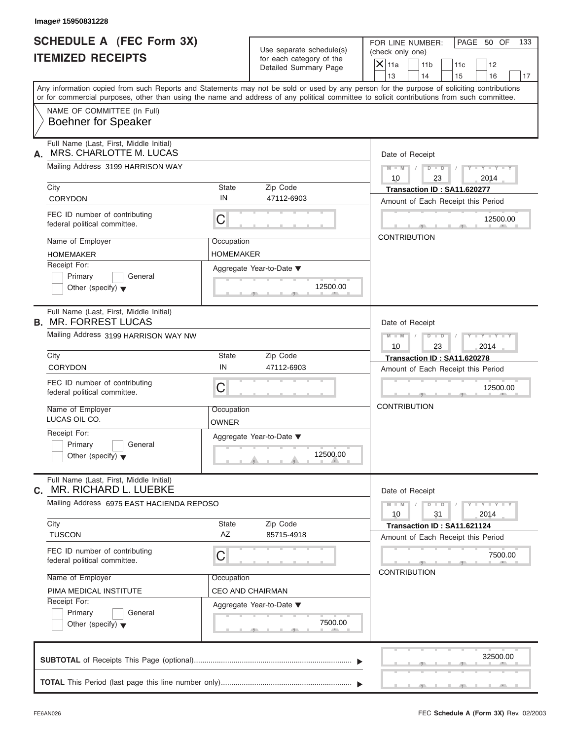| Image# 15950831228                                                                                                                                                                                                                                                                      |                                |                                                      |                                      |                                                                   |           |                             |     |
|-----------------------------------------------------------------------------------------------------------------------------------------------------------------------------------------------------------------------------------------------------------------------------------------|--------------------------------|------------------------------------------------------|--------------------------------------|-------------------------------------------------------------------|-----------|-----------------------------|-----|
| <b>SCHEDULE A (FEC Form 3X)</b><br><b>ITEMIZED RECEIPTS</b>                                                                                                                                                                                                                             |                                | Use separate schedule(s)<br>for each category of the | FOR LINE NUMBER:<br>(check only one) |                                                                   |           | PAGE 50 OF                  | 133 |
|                                                                                                                                                                                                                                                                                         |                                | Detailed Summary Page                                | $X$ 11a<br>13                        | 11 <sub>b</sub><br>14                                             | 11c<br>15 | 12<br>16                    | 17  |
| Any information copied from such Reports and Statements may not be sold or used by any person for the purpose of soliciting contributions<br>or for commercial purposes, other than using the name and address of any political committee to solicit contributions from such committee. |                                |                                                      |                                      |                                                                   |           |                             |     |
| NAME OF COMMITTEE (In Full)<br><b>Boehner for Speaker</b>                                                                                                                                                                                                                               |                                |                                                      |                                      |                                                                   |           |                             |     |
| Full Name (Last, First, Middle Initial)<br>MRS. CHARLOTTE M. LUCAS<br>А.                                                                                                                                                                                                                |                                |                                                      | Date of Receipt                      |                                                                   |           |                             |     |
| Mailing Address 3199 HARRISON WAY                                                                                                                                                                                                                                                       |                                |                                                      | $M - M$<br>10                        | $D$ $D$<br>23                                                     |           | $Y - Y - Y - Y - Y$<br>2014 |     |
| City<br>CORYDON                                                                                                                                                                                                                                                                         | State<br>IN                    | Zip Code<br>47112-6903                               |                                      | Transaction ID: SA11.620277<br>Amount of Each Receipt this Period |           |                             |     |
| FEC ID number of contributing<br>federal political committee.                                                                                                                                                                                                                           | C                              |                                                      |                                      |                                                                   |           | 12500.00                    |     |
| Name of Employer<br><b>HOMEMAKER</b>                                                                                                                                                                                                                                                    | Occupation<br><b>HOMEMAKER</b> |                                                      | <b>CONTRIBUTION</b>                  |                                                                   |           |                             |     |
| Receipt For:<br>Primary<br>General<br>Other (specify) $\blacktriangledown$                                                                                                                                                                                                              |                                | Aggregate Year-to-Date ▼<br>12500.00                 |                                      |                                                                   |           |                             |     |
| Full Name (Last, First, Middle Initial)<br><b>B. MR. FORREST LUCAS</b>                                                                                                                                                                                                                  |                                |                                                      | Date of Receipt                      |                                                                   |           |                             |     |
| Mailing Address 3199 HARRISON WAY NW                                                                                                                                                                                                                                                    |                                |                                                      | $M$ $M$<br>10                        | $D - I - D$<br>23                                                 |           | $Y - Y - Y - Y - Y$<br>2014 |     |
| City                                                                                                                                                                                                                                                                                    | State<br>IN                    | Zip Code                                             |                                      | Transaction ID: SA11.620278                                       |           |                             |     |
| CORYDON                                                                                                                                                                                                                                                                                 |                                | 47112-6903                                           |                                      | Amount of Each Receipt this Period                                |           |                             |     |
| FEC ID number of contributing<br>federal political committee.                                                                                                                                                                                                                           | C                              |                                                      |                                      |                                                                   |           | 12500.00                    |     |
| Name of Employer<br>LUCAS OIL CO.                                                                                                                                                                                                                                                       | Occupation<br>OWNER            |                                                      | <b>CONTRIBUTION</b>                  |                                                                   |           |                             |     |
| Receipt For:<br>Primary<br>General<br>Other (specify) $\blacktriangledown$                                                                                                                                                                                                              |                                | Aggregate Year-to-Date ▼<br>12500.00                 |                                      |                                                                   |           |                             |     |
| Full Name (Last, First, Middle Initial)<br>MR. RICHARD L. LUEBKE<br>С.                                                                                                                                                                                                                  |                                |                                                      | Date of Receipt                      |                                                                   |           |                             |     |
| Mailing Address 6975 EAST HACIENDA REPOSO                                                                                                                                                                                                                                               |                                |                                                      | $M - M$<br>10                        | $D - D$<br>31                                                     |           | $Y - Y - Y - Y - I$<br>2014 |     |
| City<br><b>TUSCON</b>                                                                                                                                                                                                                                                                   | State<br>AZ                    | Zip Code<br>85715-4918                               |                                      | Transaction ID: SA11.621124<br>Amount of Each Receipt this Period |           |                             |     |
| FEC ID number of contributing<br>federal political committee.                                                                                                                                                                                                                           | С                              |                                                      | <b>CONTRIBUTION</b>                  |                                                                   |           | 7500.00                     |     |
| Name of Employer                                                                                                                                                                                                                                                                        | Occupation                     |                                                      |                                      |                                                                   |           |                             |     |
| PIMA MEDICAL INSTITUTE<br>Receipt For:                                                                                                                                                                                                                                                  |                                | CEO AND CHAIRMAN                                     |                                      |                                                                   |           |                             |     |
| Primary<br>General<br>Other (specify) $\blacktriangledown$                                                                                                                                                                                                                              |                                | Aggregate Year-to-Date ▼<br>7500.00                  |                                      |                                                                   |           |                             |     |
|                                                                                                                                                                                                                                                                                         |                                |                                                      |                                      |                                                                   |           | 32500.00                    |     |
|                                                                                                                                                                                                                                                                                         |                                |                                                      |                                      |                                                                   |           |                             |     |

S S S , , .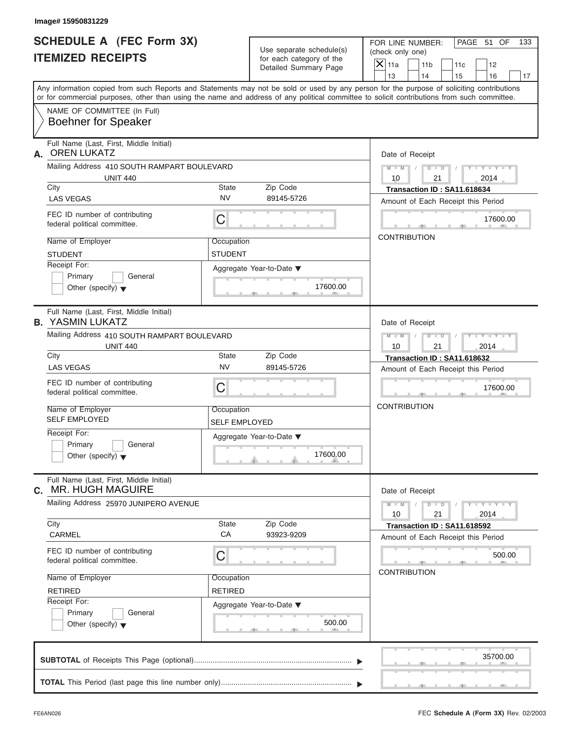| Image# 15950831229                                                                                                                         |                                                      |                                                                                                                                           |
|--------------------------------------------------------------------------------------------------------------------------------------------|------------------------------------------------------|-------------------------------------------------------------------------------------------------------------------------------------------|
| <b>SCHEDULE A (FEC Form 3X)</b><br><b>ITEMIZED RECEIPTS</b>                                                                                | Use separate schedule(s)<br>for each category of the | PAGE 51 OF<br>FOR LINE NUMBER:<br>133<br>(check only one)                                                                                 |
|                                                                                                                                            | Detailed Summary Page                                | $\overline{X}$ 11a<br>11 <sub>b</sub><br>11c<br>12<br>13<br>14<br>15<br>16<br>17                                                          |
| or for commercial purposes, other than using the name and address of any political committee to solicit contributions from such committee. |                                                      | Any information copied from such Reports and Statements may not be sold or used by any person for the purpose of soliciting contributions |
| NAME OF COMMITTEE (In Full)<br><b>Boehner for Speaker</b>                                                                                  |                                                      |                                                                                                                                           |
| Full Name (Last, First, Middle Initial)<br><b>OREN LUKATZ</b><br>А.                                                                        |                                                      | Date of Receipt                                                                                                                           |
| Mailing Address 410 SOUTH RAMPART BOULEVARD<br><b>UNIT 440</b>                                                                             |                                                      | $D$ $\Box$ $D$<br>$Y - Y - Y - Y - Y$<br>$M - M$ /<br>$\sqrt{ }$<br>10<br>21<br>2014                                                      |
| City                                                                                                                                       | Zip Code<br>State                                    | Transaction ID: SA11.618634                                                                                                               |
| <b>LAS VEGAS</b>                                                                                                                           | <b>NV</b><br>89145-5726                              | Amount of Each Receipt this Period                                                                                                        |
| FEC ID number of contributing<br>federal political committee.                                                                              | C                                                    | 17600.00                                                                                                                                  |
| Name of Employer                                                                                                                           | Occupation                                           | <b>CONTRIBUTION</b>                                                                                                                       |
| <b>STUDENT</b>                                                                                                                             | <b>STUDENT</b>                                       |                                                                                                                                           |
| Receipt For:                                                                                                                               | Aggregate Year-to-Date ▼                             |                                                                                                                                           |
| Primary<br>General<br>Other (specify) $\blacktriangledown$                                                                                 | 17600.00                                             |                                                                                                                                           |
| Full Name (Last, First, Middle Initial)<br><b>B. YASMIN LUKATZ</b>                                                                         |                                                      | Date of Receipt                                                                                                                           |
| Mailing Address 410 SOUTH RAMPART BOULEVARD<br><b>UNIT 440</b>                                                                             |                                                      | $D - D$<br>Y T Y T Y T<br>$M - M$<br>10<br>21<br>2014                                                                                     |
| City                                                                                                                                       | Zip Code<br><b>State</b>                             | Transaction ID: SA11.618632                                                                                                               |
| <b>LAS VEGAS</b>                                                                                                                           | <b>NV</b><br>89145-5726                              | Amount of Each Receipt this Period                                                                                                        |
| FEC ID number of contributing<br>federal political committee.                                                                              | C                                                    | 17600.00                                                                                                                                  |
| Name of Employer<br><b>SELF EMPLOYED</b>                                                                                                   | Occupation<br>SELF EMPLOYED                          | <b>CONTRIBUTION</b>                                                                                                                       |
| Receipt For:                                                                                                                               | Aggregate Year-to-Date ▼                             |                                                                                                                                           |
| Primary<br>General<br>Other (specify) $\blacktriangledown$                                                                                 | 17600.00                                             |                                                                                                                                           |
| Full Name (Last, First, Middle Initial)<br><b>MR. HUGH MAGUIRE</b><br>C.                                                                   |                                                      | Date of Receipt                                                                                                                           |
| Mailing Address 25970 JUNIPERO AVENUE                                                                                                      |                                                      | $M - M$<br>$D$ $\Box$ $D$<br>$Y - Y - Y - Y - I$<br>2014<br>10<br>21                                                                      |
| City<br>CARMEL                                                                                                                             | Zip Code<br>State<br>CA<br>93923-9209                | Transaction ID: SA11.618592<br>Amount of Each Receipt this Period                                                                         |
| FEC ID number of contributing<br>federal political committee.                                                                              | C                                                    | 500.00                                                                                                                                    |
| Name of Employer                                                                                                                           | Occupation                                           | <b>CONTRIBUTION</b>                                                                                                                       |
| <b>RETIRED</b>                                                                                                                             | <b>RETIRED</b>                                       |                                                                                                                                           |
| Receipt For:                                                                                                                               | Aggregate Year-to-Date ▼                             |                                                                                                                                           |
| Other (specify) $\blacktriangledown$                                                                                                       | 500.00                                               |                                                                                                                                           |
|                                                                                                                                            |                                                      | 35700.00                                                                                                                                  |
| Primary<br>General                                                                                                                         |                                                      |                                                                                                                                           |

S S S , , .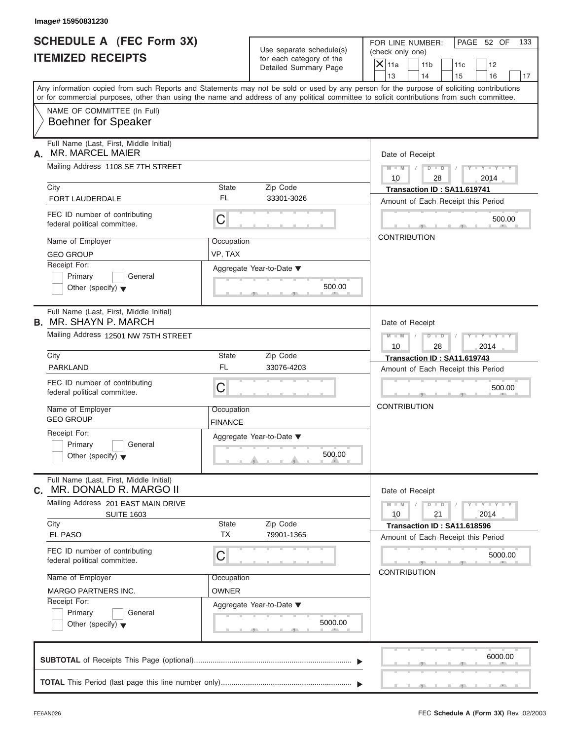| <b>SCHEDULE A (FEC Form 3X)</b>                                                                                                                                                                                                                                                         |                              |                                                   | FOR LINE NUMBER:    |                           |                                    | PAGE 52 OF                  | 133 |
|-----------------------------------------------------------------------------------------------------------------------------------------------------------------------------------------------------------------------------------------------------------------------------------------|------------------------------|---------------------------------------------------|---------------------|---------------------------|------------------------------------|-----------------------------|-----|
|                                                                                                                                                                                                                                                                                         |                              | Use separate schedule(s)                          | (check only one)    |                           |                                    |                             |     |
| <b>ITEMIZED RECEIPTS</b>                                                                                                                                                                                                                                                                |                              | for each category of the<br>Detailed Summary Page | $X$ 11a             | 11 <sub>b</sub>           | 11c                                | 12                          |     |
|                                                                                                                                                                                                                                                                                         |                              |                                                   | 13                  | 14                        | 15                                 | 16                          | 17  |
| Any information copied from such Reports and Statements may not be sold or used by any person for the purpose of soliciting contributions<br>or for commercial purposes, other than using the name and address of any political committee to solicit contributions from such committee. |                              |                                                   |                     |                           |                                    |                             |     |
| NAME OF COMMITTEE (In Full)<br><b>Boehner for Speaker</b>                                                                                                                                                                                                                               |                              |                                                   |                     |                           |                                    |                             |     |
| Full Name (Last, First, Middle Initial)<br><b>MR. MARCEL MAIER</b><br>А.                                                                                                                                                                                                                |                              |                                                   | Date of Receipt     |                           |                                    |                             |     |
| Mailing Address 1108 SE 7TH STREET                                                                                                                                                                                                                                                      |                              |                                                   | 10                  | $M = M$ / $D = D$ /<br>28 |                                    | $Y - Y - Y - Y - Y$<br>2014 |     |
| City                                                                                                                                                                                                                                                                                    | State                        | Zip Code                                          |                     |                           | Transaction ID: SA11.619741        |                             |     |
| <b>FORT LAUDERDALE</b>                                                                                                                                                                                                                                                                  | FL                           | 33301-3026                                        |                     |                           | Amount of Each Receipt this Period |                             |     |
| FEC ID number of contributing<br>federal political committee.                                                                                                                                                                                                                           | C                            |                                                   |                     |                           |                                    | 500.00                      |     |
| Name of Employer                                                                                                                                                                                                                                                                        | Occupation                   |                                                   | <b>CONTRIBUTION</b> |                           |                                    |                             |     |
| <b>GEO GROUP</b>                                                                                                                                                                                                                                                                        | VP, TAX                      |                                                   |                     |                           |                                    |                             |     |
| Receipt For:<br>Primary<br>General<br>Other (specify) $\blacktriangledown$                                                                                                                                                                                                              |                              | Aggregate Year-to-Date ▼<br>500.00                |                     |                           |                                    |                             |     |
| Full Name (Last, First, Middle Initial)<br><b>B.</b> MR. SHAYN P. MARCH                                                                                                                                                                                                                 |                              |                                                   | Date of Receipt     |                           |                                    |                             |     |
| Mailing Address 12501 NW 75TH STREET                                                                                                                                                                                                                                                    |                              |                                                   | $M = M - 1$<br>10   | $D - D$<br>28             | $\sqrt{2}$                         | $Y = Y = Y - Y$<br>2014     |     |
| City                                                                                                                                                                                                                                                                                    | State                        | Zip Code                                          |                     |                           | Transaction ID: SA11.619743        |                             |     |
| <b>PARKLAND</b>                                                                                                                                                                                                                                                                         | <b>FL</b>                    | 33076-4203                                        |                     |                           | Amount of Each Receipt this Period |                             |     |
| FEC ID number of contributing<br>federal political committee.                                                                                                                                                                                                                           | С                            |                                                   |                     |                           |                                    | 500.00                      |     |
| Name of Employer<br><b>GEO GROUP</b>                                                                                                                                                                                                                                                    | Occupation<br><b>FINANCE</b> |                                                   | <b>CONTRIBUTION</b> |                           |                                    |                             |     |
| Receipt For:<br>Primary<br>General<br>Other (specify) $\blacktriangledown$                                                                                                                                                                                                              |                              | Aggregate Year-to-Date ▼<br>500.00                |                     |                           |                                    |                             |     |
| Full Name (Last, First, Middle Initial)<br>MR. DONALD R. MARGO II<br>С.                                                                                                                                                                                                                 |                              |                                                   | Date of Receipt     |                           |                                    |                             |     |
| Mailing Address 201 EAST MAIN DRIVE<br><b>SUITE 1603</b>                                                                                                                                                                                                                                |                              |                                                   | $M - M$<br>10       | $D$ $\Box$ $D$<br>21      |                                    | $Y - Y - Y - Y - Y$<br>2014 |     |
| City<br>EL PASO                                                                                                                                                                                                                                                                         | <b>State</b><br><b>TX</b>    | Zip Code<br>79901-1365                            |                     |                           | Transaction ID: SA11.618596        |                             |     |
|                                                                                                                                                                                                                                                                                         |                              |                                                   |                     |                           | Amount of Each Receipt this Period |                             |     |
| FEC ID number of contributing<br>federal political committee.                                                                                                                                                                                                                           | С                            |                                                   |                     |                           |                                    | 5000.00                     |     |
| Name of Employer                                                                                                                                                                                                                                                                        | Occupation                   |                                                   | <b>CONTRIBUTION</b> |                           |                                    |                             |     |
| <b>MARGO PARTNERS INC.</b>                                                                                                                                                                                                                                                              | <b>OWNER</b>                 |                                                   |                     |                           |                                    |                             |     |
| Receipt For:                                                                                                                                                                                                                                                                            |                              | Aggregate Year-to-Date ▼                          |                     |                           |                                    |                             |     |
| Primary<br>General<br>Other (specify) $\blacktriangledown$                                                                                                                                                                                                                              |                              | 5000.00                                           |                     |                           |                                    |                             |     |
|                                                                                                                                                                                                                                                                                         |                              |                                                   |                     |                           |                                    | 6000.00                     |     |
|                                                                                                                                                                                                                                                                                         |                              |                                                   |                     |                           |                                    |                             |     |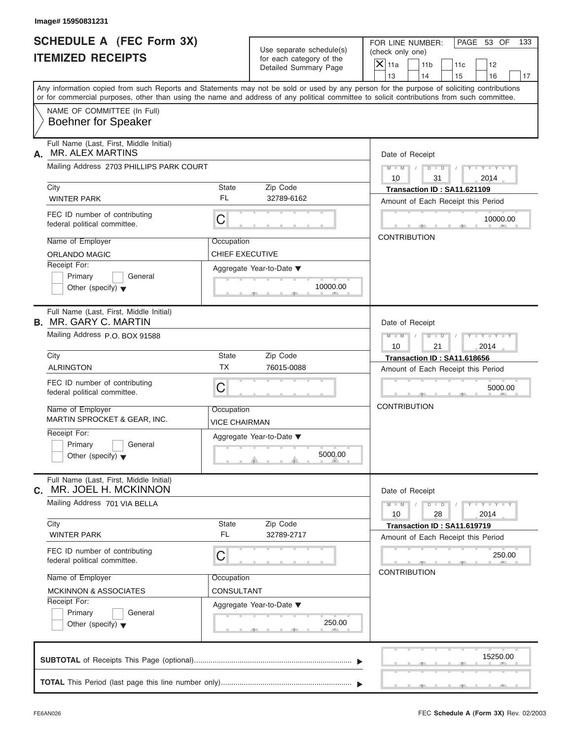| Image# 15950831231                                                                                                                                                                                                                                                                      |                             |                                                      |                                      |                      |                                                                   |                              |     |
|-----------------------------------------------------------------------------------------------------------------------------------------------------------------------------------------------------------------------------------------------------------------------------------------|-----------------------------|------------------------------------------------------|--------------------------------------|----------------------|-------------------------------------------------------------------|------------------------------|-----|
| <b>SCHEDULE A (FEC Form 3X)</b><br><b>ITEMIZED RECEIPTS</b>                                                                                                                                                                                                                             |                             | Use separate schedule(s)<br>for each category of the | FOR LINE NUMBER:<br>(check only one) |                      |                                                                   | PAGE 53 OF                   | 133 |
|                                                                                                                                                                                                                                                                                         |                             | Detailed Summary Page                                | $\mathsf{X}$ 11a                     | 11 <sub>b</sub>      | 11c                                                               | 12                           |     |
| Any information copied from such Reports and Statements may not be sold or used by any person for the purpose of soliciting contributions<br>or for commercial purposes, other than using the name and address of any political committee to solicit contributions from such committee. |                             |                                                      | 13                                   | 14                   | 15                                                                | 16                           | 17  |
| NAME OF COMMITTEE (In Full)<br><b>Boehner for Speaker</b>                                                                                                                                                                                                                               |                             |                                                      |                                      |                      |                                                                   |                              |     |
| Full Name (Last, First, Middle Initial)<br>MR. ALEX MARTINS<br>А.                                                                                                                                                                                                                       |                             |                                                      | Date of Receipt                      |                      |                                                                   |                              |     |
| Mailing Address 2703 PHILLIPS PARK COURT                                                                                                                                                                                                                                                |                             |                                                      | $M$ $M$ $/$<br>10                    | $D$ $\Box$ $D$<br>31 | $\sqrt{ }$                                                        | $Y - Y - Y - Y - Y$<br>2014  |     |
| City                                                                                                                                                                                                                                                                                    | <b>State</b>                | Zip Code                                             |                                      |                      | Transaction ID: SA11.621109                                       |                              |     |
| <b>WINTER PARK</b>                                                                                                                                                                                                                                                                      | FL                          | 32789-6162                                           |                                      |                      | Amount of Each Receipt this Period                                |                              |     |
| FEC ID number of contributing<br>federal political committee.                                                                                                                                                                                                                           | $\mathsf C$                 |                                                      |                                      |                      |                                                                   | 10000.00                     |     |
| Name of Employer                                                                                                                                                                                                                                                                        | Occupation                  |                                                      | <b>CONTRIBUTION</b>                  |                      |                                                                   |                              |     |
| <b>ORLANDO MAGIC</b>                                                                                                                                                                                                                                                                    | <b>CHIEF EXECUTIVE</b>      |                                                      |                                      |                      |                                                                   |                              |     |
| Receipt For:<br>Primary<br>General<br>Other (specify) $\blacktriangledown$                                                                                                                                                                                                              |                             | Aggregate Year-to-Date ▼<br>10000.00                 |                                      |                      |                                                                   |                              |     |
| Full Name (Last, First, Middle Initial)<br><b>B. MR. GARY C. MARTIN</b><br>Mailing Address P.O. BOX 91588                                                                                                                                                                               |                             |                                                      | Date of Receipt<br>$M - M$<br>10     | $D - D$<br>21        |                                                                   | Y T Y T Y T<br>2014          |     |
| City                                                                                                                                                                                                                                                                                    | <b>State</b>                | Zip Code                                             |                                      |                      | Transaction ID: SA11.618656                                       |                              |     |
| <b>ALRINGTON</b>                                                                                                                                                                                                                                                                        | <b>TX</b>                   | 76015-0088                                           |                                      |                      | Amount of Each Receipt this Period                                |                              |     |
| FEC ID number of contributing<br>federal political committee.                                                                                                                                                                                                                           | C                           |                                                      |                                      |                      |                                                                   | 5000.00                      |     |
| Name of Employer<br>MARTIN SPROCKET & GEAR, INC.                                                                                                                                                                                                                                        | Occupation<br>VICE CHAIRMAN |                                                      | <b>CONTRIBUTION</b>                  |                      |                                                                   |                              |     |
| Receipt For:<br>Primary<br>General<br>Other (specify) $\blacktriangledown$                                                                                                                                                                                                              |                             | Aggregate Year-to-Date ▼<br>5000.00                  |                                      |                      |                                                                   |                              |     |
| Full Name (Last, First, Middle Initial)<br>MR. JOEL H. MCKINNON<br>С.                                                                                                                                                                                                                   |                             |                                                      | Date of Receipt                      |                      |                                                                   |                              |     |
| Mailing Address 701 VIA BELLA                                                                                                                                                                                                                                                           |                             |                                                      | $M - M$<br>10                        | $D$ $\Box$ $D$<br>28 |                                                                   | $-1 - Y - 1 - Y - 1$<br>2014 |     |
| City<br><b>WINTER PARK</b>                                                                                                                                                                                                                                                              | State<br>FL                 | Zip Code<br>32789-2717                               |                                      |                      | Transaction ID: SA11.619719<br>Amount of Each Receipt this Period |                              |     |
| FEC ID number of contributing<br>federal political committee.                                                                                                                                                                                                                           | C                           |                                                      |                                      |                      |                                                                   | 250.00                       |     |
| Name of Employer                                                                                                                                                                                                                                                                        | Occupation                  |                                                      | <b>CONTRIBUTION</b>                  |                      |                                                                   |                              |     |
| <b>MCKINNON &amp; ASSOCIATES</b>                                                                                                                                                                                                                                                        | <b>CONSULTANT</b>           |                                                      |                                      |                      |                                                                   |                              |     |
| Receipt For:                                                                                                                                                                                                                                                                            |                             | Aggregate Year-to-Date ▼                             |                                      |                      |                                                                   |                              |     |
| Primary<br>General<br>Other (specify) $\blacktriangledown$                                                                                                                                                                                                                              |                             | 250.00                                               |                                      |                      |                                                                   |                              |     |
|                                                                                                                                                                                                                                                                                         |                             |                                                      |                                      |                      |                                                                   | 15250.00                     |     |
|                                                                                                                                                                                                                                                                                         |                             |                                                      |                                      |                      |                                                                   |                              |     |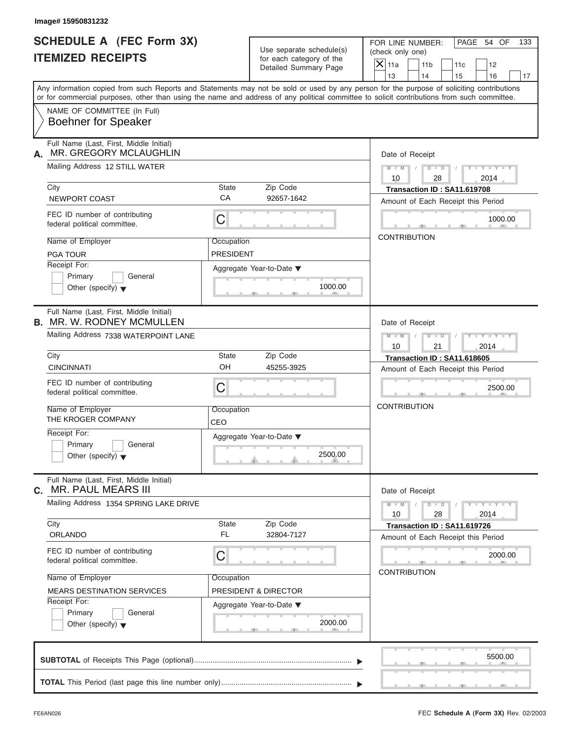| Image# 15950831232                                                                                                                                                                                                                                                                      |                         |                                                      |                          |                                                                   |           |                         |     |
|-----------------------------------------------------------------------------------------------------------------------------------------------------------------------------------------------------------------------------------------------------------------------------------------|-------------------------|------------------------------------------------------|--------------------------|-------------------------------------------------------------------|-----------|-------------------------|-----|
| <b>SCHEDULE A (FEC Form 3X)</b><br><b>ITEMIZED RECEIPTS</b>                                                                                                                                                                                                                             |                         | Use separate schedule(s)<br>for each category of the | (check only one)         | FOR LINE NUMBER:                                                  |           | PAGE 54 OF              | 133 |
|                                                                                                                                                                                                                                                                                         |                         | Detailed Summary Page                                | $\overline{X}$ 11a<br>13 | 11 <sub>b</sub><br>14                                             | 11c<br>15 | 12<br>16                | 17  |
| Any information copied from such Reports and Statements may not be sold or used by any person for the purpose of soliciting contributions<br>or for commercial purposes, other than using the name and address of any political committee to solicit contributions from such committee. |                         |                                                      |                          |                                                                   |           |                         |     |
| NAME OF COMMITTEE (In Full)<br><b>Boehner for Speaker</b>                                                                                                                                                                                                                               |                         |                                                      |                          |                                                                   |           |                         |     |
| Full Name (Last, First, Middle Initial)<br>MR. GREGORY MCLAUGHLIN<br>А.                                                                                                                                                                                                                 |                         |                                                      |                          | Date of Receipt                                                   |           |                         |     |
| Mailing Address 12 STILL WATER                                                                                                                                                                                                                                                          |                         |                                                      | $M - M$<br>10            | $D$ $D$<br>28                                                     |           | $Y - Y - Y - Y$<br>2014 |     |
| City                                                                                                                                                                                                                                                                                    | State                   | Zip Code                                             |                          | Transaction ID: SA11.619708                                       |           |                         |     |
| NEWPORT COAST                                                                                                                                                                                                                                                                           | CA                      | 92657-1642                                           |                          | Amount of Each Receipt this Period                                |           |                         |     |
| FEC ID number of contributing<br>federal political committee.                                                                                                                                                                                                                           | С                       |                                                      |                          |                                                                   |           | 1000.00                 |     |
| Name of Employer<br><b>PGA TOUR</b>                                                                                                                                                                                                                                                     | Occupation<br>PRESIDENT |                                                      | <b>CONTRIBUTION</b>      |                                                                   |           |                         |     |
| Receipt For:                                                                                                                                                                                                                                                                            |                         |                                                      |                          |                                                                   |           |                         |     |
| Primary<br>General<br>Other (specify) $\blacktriangledown$                                                                                                                                                                                                                              |                         | Aggregate Year-to-Date ▼<br>1000.00                  |                          |                                                                   |           |                         |     |
| Full Name (Last, First, Middle Initial)<br><b>B. MR. W. RODNEY MCMULLEN</b>                                                                                                                                                                                                             |                         |                                                      |                          | Date of Receipt                                                   |           |                         |     |
| Mailing Address 7338 WATERPOINT LANE                                                                                                                                                                                                                                                    |                         |                                                      | $M - M$<br>10            | $D - I - D$<br>21                                                 |           | $Y = Y = Y - Y$<br>2014 |     |
| City                                                                                                                                                                                                                                                                                    | State                   | Zip Code                                             |                          | Transaction ID: SA11.618605                                       |           |                         |     |
| <b>CINCINNATI</b>                                                                                                                                                                                                                                                                       | OH                      | 45255-3925                                           |                          | Amount of Each Receipt this Period                                |           |                         |     |
| FEC ID number of contributing<br>federal political committee.                                                                                                                                                                                                                           | С                       |                                                      |                          |                                                                   |           | 2500.00                 |     |
| Name of Employer<br>THE KROGER COMPANY                                                                                                                                                                                                                                                  | Occupation<br>CEO       |                                                      | <b>CONTRIBUTION</b>      |                                                                   |           |                         |     |
| Receipt For:                                                                                                                                                                                                                                                                            |                         | Aggregate Year-to-Date ▼                             |                          |                                                                   |           |                         |     |
| Primary<br>General<br>Other (specify) $\blacktriangledown$                                                                                                                                                                                                                              |                         | 2500.00                                              |                          |                                                                   |           |                         |     |
| Full Name (Last, First, Middle Initial)<br><b>MR. PAUL MEARS III</b><br>C.                                                                                                                                                                                                              |                         |                                                      |                          | Date of Receipt                                                   |           |                         |     |
| Mailing Address 1354 SPRING LAKE DRIVE                                                                                                                                                                                                                                                  |                         |                                                      | $M - M$<br>10            | $D$ $\Box$ $D$<br>28                                              |           | $Y - Y - Y - Y$<br>2014 |     |
| City<br>ORLANDO                                                                                                                                                                                                                                                                         | State<br><b>FL</b>      | Zip Code<br>32804-7127                               |                          | Transaction ID: SA11.619726<br>Amount of Each Receipt this Period |           |                         |     |
| FEC ID number of contributing<br>federal political committee.                                                                                                                                                                                                                           | С                       |                                                      |                          |                                                                   |           | 2000.00                 |     |
| Name of Employer                                                                                                                                                                                                                                                                        | Occupation              |                                                      |                          | <b>CONTRIBUTION</b>                                               |           |                         |     |
| <b>MEARS DESTINATION SERVICES</b>                                                                                                                                                                                                                                                       |                         | <b>PRESIDENT &amp; DIRECTOR</b>                      |                          |                                                                   |           |                         |     |
| Receipt For:                                                                                                                                                                                                                                                                            |                         | Aggregate Year-to-Date ▼                             |                          |                                                                   |           |                         |     |
| Primary<br>General<br>Other (specify) $\blacktriangledown$                                                                                                                                                                                                                              |                         | 2000.00                                              |                          |                                                                   |           |                         |     |
|                                                                                                                                                                                                                                                                                         |                         |                                                      |                          |                                                                   |           | 5500.00                 |     |
|                                                                                                                                                                                                                                                                                         |                         |                                                      |                          |                                                                   |           |                         |     |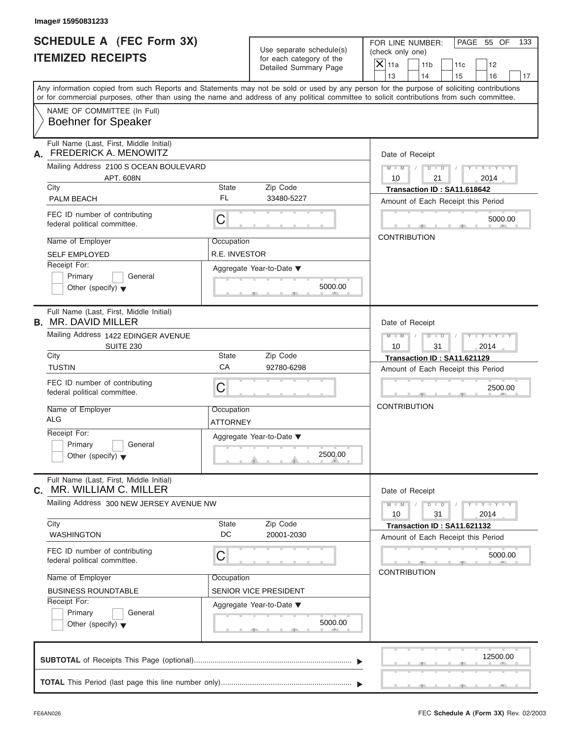| Image# 15950831233                                                                                                                                                        |                               |                                                                               |                                                                                                                                             |
|---------------------------------------------------------------------------------------------------------------------------------------------------------------------------|-------------------------------|-------------------------------------------------------------------------------|---------------------------------------------------------------------------------------------------------------------------------------------|
| <b>SCHEDULE A (FEC Form 3X)</b><br><b>ITEMIZED RECEIPTS</b>                                                                                                               |                               | Use separate schedule(s)<br>for each category of the<br>Detailed Summary Page | PAGE 55 OF<br>FOR LINE NUMBER:<br>133<br>(check only one)<br>$\mathsf{X}$ 11a<br>11 <sub>b</sub><br>11c<br>12<br>13<br>14<br>15<br>16<br>17 |
| or for commercial purposes, other than using the name and address of any political committee to solicit contributions from such committee.<br>NAME OF COMMITTEE (In Full) |                               |                                                                               | Any information copied from such Reports and Statements may not be sold or used by any person for the purpose of soliciting contributions   |
| <b>Boehner for Speaker</b>                                                                                                                                                |                               |                                                                               |                                                                                                                                             |
| Full Name (Last, First, Middle Initial)<br><b>FREDERICK A. MENOWITZ</b><br>А.                                                                                             |                               |                                                                               | Date of Receipt                                                                                                                             |
| Mailing Address 2100 S OCEAN BOULEVARD<br>APT. 608N                                                                                                                       |                               |                                                                               | $D$ $\Box$ $D$<br>$Y - Y - Y - Y - Y$<br>$M - M$<br>10<br>21<br>2014                                                                        |
| City                                                                                                                                                                      | State                         | Zip Code                                                                      | Transaction ID: SA11.618642                                                                                                                 |
| <b>PALM BEACH</b>                                                                                                                                                         | FL                            | 33480-5227                                                                    | Amount of Each Receipt this Period                                                                                                          |
| FEC ID number of contributing<br>federal political committee.                                                                                                             | C                             |                                                                               | 5000.00                                                                                                                                     |
| Name of Employer                                                                                                                                                          | Occupation                    |                                                                               | <b>CONTRIBUTION</b>                                                                                                                         |
| <b>SELF EMPLOYED</b>                                                                                                                                                      | R.E. INVESTOR                 |                                                                               |                                                                                                                                             |
| Receipt For:<br>Primary<br>General<br>Other (specify) $\blacktriangledown$                                                                                                |                               | Aggregate Year-to-Date ▼<br>5000.00                                           |                                                                                                                                             |
| Full Name (Last, First, Middle Initial)<br><b>B. MR. DAVID MILLER</b>                                                                                                     |                               |                                                                               | Date of Receipt                                                                                                                             |
| Mailing Address 1422 EDINGER AVENUE<br><b>SUITE 230</b>                                                                                                                   |                               |                                                                               | $M - M$<br>$D$ $\Box$ $D$ $\Box$<br>Y T Y T Y T<br>10<br>31<br>2014                                                                         |
| City                                                                                                                                                                      | State                         | Zip Code                                                                      | Transaction ID: SA11.621129                                                                                                                 |
| <b>TUSTIN</b>                                                                                                                                                             | CA                            | 92780-6298                                                                    | Amount of Each Receipt this Period                                                                                                          |
| FEC ID number of contributing<br>federal political committee.                                                                                                             | C                             |                                                                               | 2500.00                                                                                                                                     |
| Name of Employer<br><b>ALG</b>                                                                                                                                            | Occupation<br><b>ATTORNEY</b> |                                                                               | <b>CONTRIBUTION</b>                                                                                                                         |
| Receipt For:<br>Primary<br>General<br>Other (specify) $\blacktriangledown$                                                                                                |                               | Aggregate Year-to-Date ▼<br>2500.00                                           |                                                                                                                                             |
| Full Name (Last, First, Middle Initial)<br>MR. WILLIAM C. MILLER<br>C.                                                                                                    |                               |                                                                               | Date of Receipt                                                                                                                             |
| Mailing Address 300 NEW JERSEY AVENUE NW                                                                                                                                  |                               |                                                                               | $M - M$<br>$D$ $\Box$ $D$<br>$Y - Y - Y - Y - I$<br>10<br>31<br>2014                                                                        |
| City<br><b>WASHINGTON</b>                                                                                                                                                 | State<br>DC                   | Zip Code<br>20001-2030                                                        | Transaction ID: SA11.621132<br>Amount of Each Receipt this Period                                                                           |
| FEC ID number of contributing<br>federal political committee.                                                                                                             | C                             |                                                                               | 5000.00                                                                                                                                     |
| Name of Employer                                                                                                                                                          | Occupation                    |                                                                               | <b>CONTRIBUTION</b>                                                                                                                         |
| <b>BUSINESS ROUNDTABLE</b>                                                                                                                                                |                               | SENIOR VICE PRESIDENT                                                         |                                                                                                                                             |
| Receipt For:<br>Primary<br>General<br>Other (specify) $\blacktriangledown$                                                                                                |                               | Aggregate Year-to-Date ▼<br>5000.00                                           |                                                                                                                                             |
|                                                                                                                                                                           |                               |                                                                               | 12500.00                                                                                                                                    |
|                                                                                                                                                                           |                               |                                                                               |                                                                                                                                             |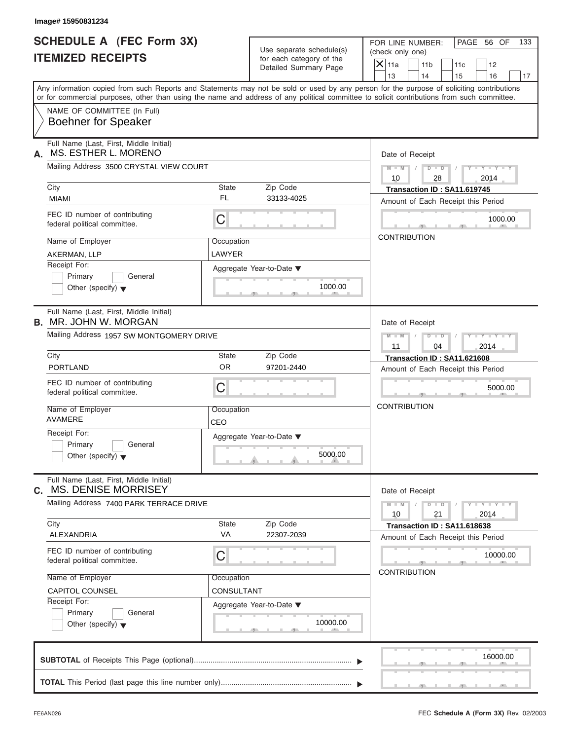| Image# 15950831234                                                          |             |                          |                                                                                                                                            |
|-----------------------------------------------------------------------------|-------------|--------------------------|--------------------------------------------------------------------------------------------------------------------------------------------|
| <b>SCHEDULE A (FEC Form 3X)</b>                                             |             | Use separate schedule(s) | PAGE 56 OF<br>FOR LINE NUMBER:                                                                                                             |
| <b>ITEMIZED RECEIPTS</b>                                                    |             | for each category of the | (check only one)<br>$\mathsf{X}$ 11a<br>11 <sub>b</sub>                                                                                    |
|                                                                             |             | Detailed Summary Page    | 11c<br>12<br>13<br>14<br>15<br>16                                                                                                          |
|                                                                             |             |                          | Any information copied from such Reports and Statements may not be sold or used by any person for the purpose of soliciting contributions  |
|                                                                             |             |                          | or for commercial purposes, other than using the name and address of any political committee to solicit contributions from such committee. |
| NAME OF COMMITTEE (In Full)<br><b>Boehner for Speaker</b>                   |             |                          |                                                                                                                                            |
| Full Name (Last, First, Middle Initial)<br>MS. ESTHER L. MORENO<br>А.       |             |                          | Date of Receipt                                                                                                                            |
| Mailing Address 3500 CRYSTAL VIEW COURT                                     |             |                          | $D$ $D$<br>$Y - Y - Y - Y - Y$<br>$M - M$ /<br>10<br>28<br>2014                                                                            |
| City                                                                        | State       | Zip Code                 | Transaction ID: SA11.619745                                                                                                                |
| <b>MIAMI</b>                                                                | FL          | 33133-4025               | Amount of Each Receipt this Period                                                                                                         |
| FEC ID number of contributing<br>federal political committee.               | C           |                          | 1000.00                                                                                                                                    |
| Name of Employer                                                            | Occupation  |                          | <b>CONTRIBUTION</b>                                                                                                                        |
| AKERMAN, LLP                                                                | LAWYER      |                          |                                                                                                                                            |
| Receipt For:                                                                |             | Aggregate Year-to-Date ▼ |                                                                                                                                            |
| Primary<br>General                                                          |             |                          |                                                                                                                                            |
| Other (specify) $\blacktriangledown$                                        |             | 1000.00                  |                                                                                                                                            |
| Full Name (Last, First, Middle Initial)<br><b>B.</b> MR. JOHN W. MORGAN     |             |                          | Date of Receipt                                                                                                                            |
| Mailing Address 1957 SW MONTGOMERY DRIVE                                    |             |                          | $M - M$<br>$D - I - D$<br>$Y - Y - Y - Y - Y$                                                                                              |
|                                                                             |             |                          | 11<br>04<br>2014                                                                                                                           |
| City                                                                        | State       | Zip Code                 | Transaction ID: SA11.621608                                                                                                                |
| <b>PORTLAND</b>                                                             | <b>OR</b>   | 97201-2440               | Amount of Each Receipt this Period                                                                                                         |
| FEC ID number of contributing<br>federal political committee.               | С           |                          | 5000.00                                                                                                                                    |
| Name of Employer                                                            | Occupation  |                          | <b>CONTRIBUTION</b>                                                                                                                        |
| <b>AVAMERE</b>                                                              | CEO         |                          |                                                                                                                                            |
| Receipt For:                                                                |             | Aggregate Year-to-Date ▼ |                                                                                                                                            |
| Primary<br>General<br>Other (specify) $\blacktriangledown$                  |             | 5000.00                  |                                                                                                                                            |
| Full Name (Last, First, Middle Initial)<br><b>MS. DENISE MORRISEY</b><br>С. |             |                          | Date of Receipt                                                                                                                            |
| Mailing Address 7400 PARK TERRACE DRIVE                                     |             |                          | $Y = Y = Y + Y$<br>$M - M$<br>$D - D$<br>21<br>10<br>2014                                                                                  |
| City<br>ALEXANDRIA                                                          | State<br>VA | Zip Code<br>22307-2039   | Transaction ID: SA11.618638                                                                                                                |
|                                                                             |             |                          | Amount of Each Receipt this Period                                                                                                         |
| FEC ID number of contributing<br>federal political committee.               | С           |                          | 10000.00                                                                                                                                   |
| Name of Employer                                                            | Occupation  |                          | <b>CONTRIBUTION</b>                                                                                                                        |
| CAPITOL COUNSEL                                                             | CONSULTANT  |                          |                                                                                                                                            |
| Receipt For:                                                                |             | Aggregate Year-to-Date ▼ |                                                                                                                                            |
| Primary<br>General<br>Other (specify) $\blacktriangledown$                  |             | 10000.00                 |                                                                                                                                            |
|                                                                             |             |                          | 16000.00                                                                                                                                   |
|                                                                             |             |                          |                                                                                                                                            |
|                                                                             |             |                          |                                                                                                                                            |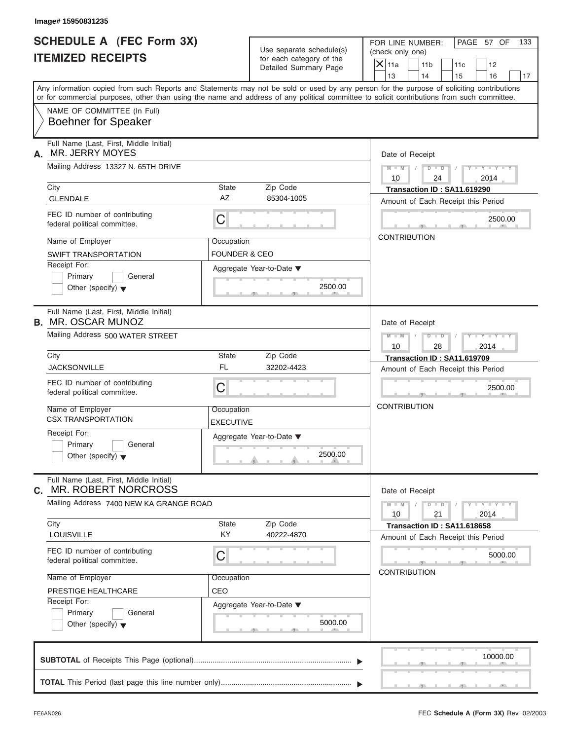| Image# 15950831235                                                         |                                        |                                                                               |                                                                                                                                                                                                                                                                                         |
|----------------------------------------------------------------------------|----------------------------------------|-------------------------------------------------------------------------------|-----------------------------------------------------------------------------------------------------------------------------------------------------------------------------------------------------------------------------------------------------------------------------------------|
| <b>SCHEDULE A (FEC Form 3X)</b><br><b>ITEMIZED RECEIPTS</b>                |                                        | Use separate schedule(s)<br>for each category of the<br>Detailed Summary Page | PAGE 57 OF<br>FOR LINE NUMBER:<br>133<br>(check only one)<br>$\mathsf{X}$ 11a<br>11 <sub>b</sub><br>11c<br>12<br>13<br>14<br>15<br>16<br>17                                                                                                                                             |
|                                                                            |                                        |                                                                               | Any information copied from such Reports and Statements may not be sold or used by any person for the purpose of soliciting contributions<br>or for commercial purposes, other than using the name and address of any political committee to solicit contributions from such committee. |
| NAME OF COMMITTEE (In Full)<br><b>Boehner for Speaker</b>                  |                                        |                                                                               |                                                                                                                                                                                                                                                                                         |
| Full Name (Last, First, Middle Initial)<br><b>MR. JERRY MOYES</b><br>А.    |                                        |                                                                               | Date of Receipt                                                                                                                                                                                                                                                                         |
| Mailing Address 13327 N. 65TH DRIVE                                        |                                        |                                                                               | $D$ $\Box$ $D$<br>$Y - Y - Y - Y - Y$<br>$M - M$ /<br>10<br>24<br>2014                                                                                                                                                                                                                  |
| City<br><b>GLENDALE</b>                                                    | State<br>AZ                            | Zip Code<br>85304-1005                                                        | Transaction ID: SA11.619290<br>Amount of Each Receipt this Period                                                                                                                                                                                                                       |
| FEC ID number of contributing<br>federal political committee.              | C                                      |                                                                               | 2500.00                                                                                                                                                                                                                                                                                 |
| Name of Employer<br><b>SWIFT TRANSPORTATION</b>                            | Occupation<br><b>FOUNDER &amp; CEO</b> |                                                                               | <b>CONTRIBUTION</b>                                                                                                                                                                                                                                                                     |
| Receipt For:<br>Primary<br>General<br>Other (specify) $\blacktriangledown$ |                                        | Aggregate Year-to-Date ▼<br>2500.00                                           |                                                                                                                                                                                                                                                                                         |
| Full Name (Last, First, Middle Initial)<br><b>B. MR. OSCAR MUNOZ</b>       |                                        |                                                                               | Date of Receipt                                                                                                                                                                                                                                                                         |
| Mailing Address 500 WATER STREET                                           |                                        |                                                                               | $M - M$<br>$D - I - D$<br>$Y - Y - Y - Y - Y$<br>10<br>28<br>2014                                                                                                                                                                                                                       |
| City<br><b>JACKSONVILLE</b>                                                | State<br><b>FL</b>                     | Zip Code<br>32202-4423                                                        | Transaction ID: SA11.619709<br>Amount of Each Receipt this Period                                                                                                                                                                                                                       |
| FEC ID number of contributing<br>federal political committee.              | C                                      |                                                                               | 2500.00                                                                                                                                                                                                                                                                                 |
| Name of Employer<br><b>CSX TRANSPORTATION</b>                              | Occupation<br><b>EXECUTIVE</b>         |                                                                               | <b>CONTRIBUTION</b>                                                                                                                                                                                                                                                                     |
| Receipt For:<br>Primary<br>General<br>Other (specify) $\blacktriangledown$ |                                        | Aggregate Year-to-Date ▼<br>2500.00                                           |                                                                                                                                                                                                                                                                                         |
| Full Name (Last, First, Middle Initial)<br>MR. ROBERT NORCROSS<br>С.       |                                        |                                                                               | Date of Receipt                                                                                                                                                                                                                                                                         |
| Mailing Address 7400 NEW KA GRANGE ROAD<br>City                            | State                                  | Zip Code                                                                      | $Y - Y - Y - Y - Y$<br>$M - M$<br>$D - D$<br>10<br>21<br>2014<br>Transaction ID: SA11.618658                                                                                                                                                                                            |
| <b>LOUISVILLE</b>                                                          | KY                                     | 40222-4870                                                                    | Amount of Each Receipt this Period                                                                                                                                                                                                                                                      |
| FEC ID number of contributing<br>federal political committee.              | С                                      |                                                                               | 5000.00<br><b>CONTRIBUTION</b>                                                                                                                                                                                                                                                          |
| Name of Employer<br>PRESTIGE HEALTHCARE<br>Receipt For:                    | Occupation<br>CEO                      |                                                                               |                                                                                                                                                                                                                                                                                         |
| Primary<br>General<br>Other (specify) $\blacktriangledown$                 |                                        | Aggregate Year-to-Date ▼<br>5000.00                                           |                                                                                                                                                                                                                                                                                         |
|                                                                            |                                        |                                                                               | 10000.00                                                                                                                                                                                                                                                                                |
|                                                                            |                                        |                                                                               |                                                                                                                                                                                                                                                                                         |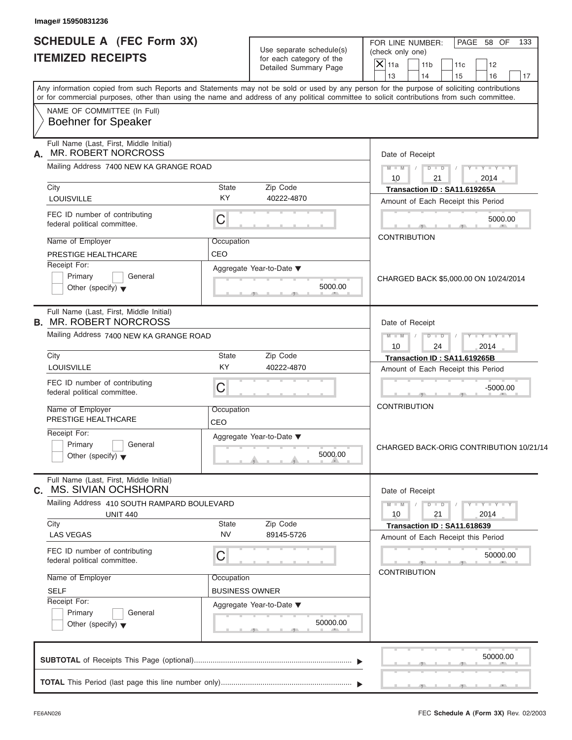| <b>ITEMIZED RECEIPTS</b><br>NAME OF COMMITTEE (In Full)<br><b>Boehner for Speaker</b><br>Full Name (Last, First, Middle Initial)<br><b>MR. ROBERT NORCROSS</b><br>Mailing Address 7400 NEW KA GRANGE ROAD<br>City<br><b>State</b><br><b>KY</b><br>LOUISVILLE<br>FEC ID number of contributing<br>С<br>federal political committee.<br>Name of Employer<br>Occupation<br>CEO<br>PRESTIGE HEALTHCARE<br>Receipt For:<br>Primary<br>General<br>Other (specify) $\blacktriangledown$<br>Full Name (Last, First, Middle Initial)<br>Mailing Address 7400 NEW KA GRANGE ROAD<br>City<br><b>State</b><br>KY<br>LOUISVILLE | Use separate schedule(s)<br>for each category of the<br>Detailed Summary Page<br>Zip Code<br>40222-4870 | (check only one)<br>$\overline{X}$ 11a<br>11 <sub>b</sub><br>11c<br>12<br>13<br>14<br>15<br>16<br>17<br>Date of Receipt<br>$D$ $D$<br>$M - M$<br>$Y - Y - Y - Y - I$<br>$\sqrt{2}$<br>10<br>21<br>2014 |
|--------------------------------------------------------------------------------------------------------------------------------------------------------------------------------------------------------------------------------------------------------------------------------------------------------------------------------------------------------------------------------------------------------------------------------------------------------------------------------------------------------------------------------------------------------------------------------------------------------------------|---------------------------------------------------------------------------------------------------------|--------------------------------------------------------------------------------------------------------------------------------------------------------------------------------------------------------|
|                                                                                                                                                                                                                                                                                                                                                                                                                                                                                                                                                                                                                    |                                                                                                         |                                                                                                                                                                                                        |
| Any information copied from such Reports and Statements may not be sold or used by any person for the purpose of soliciting contributions<br>or for commercial purposes, other than using the name and address of any political committee to solicit contributions from such committee.<br>А.<br><b>B. MR. ROBERT NORCROSS</b>                                                                                                                                                                                                                                                                                     |                                                                                                         |                                                                                                                                                                                                        |
|                                                                                                                                                                                                                                                                                                                                                                                                                                                                                                                                                                                                                    |                                                                                                         |                                                                                                                                                                                                        |
|                                                                                                                                                                                                                                                                                                                                                                                                                                                                                                                                                                                                                    |                                                                                                         |                                                                                                                                                                                                        |
|                                                                                                                                                                                                                                                                                                                                                                                                                                                                                                                                                                                                                    |                                                                                                         |                                                                                                                                                                                                        |
|                                                                                                                                                                                                                                                                                                                                                                                                                                                                                                                                                                                                                    |                                                                                                         |                                                                                                                                                                                                        |
|                                                                                                                                                                                                                                                                                                                                                                                                                                                                                                                                                                                                                    |                                                                                                         | Transaction ID: SA11.619265A<br>Amount of Each Receipt this Period                                                                                                                                     |
|                                                                                                                                                                                                                                                                                                                                                                                                                                                                                                                                                                                                                    |                                                                                                         | 5000.00                                                                                                                                                                                                |
|                                                                                                                                                                                                                                                                                                                                                                                                                                                                                                                                                                                                                    |                                                                                                         | <b>CONTRIBUTION</b>                                                                                                                                                                                    |
|                                                                                                                                                                                                                                                                                                                                                                                                                                                                                                                                                                                                                    | Aggregate Year-to-Date ▼<br>5000.00                                                                     | CHARGED BACK \$5,000.00 ON 10/24/2014                                                                                                                                                                  |
|                                                                                                                                                                                                                                                                                                                                                                                                                                                                                                                                                                                                                    |                                                                                                         | Date of Receipt                                                                                                                                                                                        |
|                                                                                                                                                                                                                                                                                                                                                                                                                                                                                                                                                                                                                    |                                                                                                         | $M - M$<br>$D$ $\Box$ $D$ $\Box$<br>$Y = Y = Y' + Y'$<br>$\sqrt{2}$<br>2014<br>10<br>24                                                                                                                |
|                                                                                                                                                                                                                                                                                                                                                                                                                                                                                                                                                                                                                    | Zip Code<br>40222-4870                                                                                  | Transaction ID: SA11.619265B<br>Amount of Each Receipt this Period                                                                                                                                     |
| FEC ID number of contributing<br>С<br>federal political committee.                                                                                                                                                                                                                                                                                                                                                                                                                                                                                                                                                 |                                                                                                         | $-5000.00$                                                                                                                                                                                             |
| Name of Employer<br>Occupation<br>PRESTIGE HEALTHCARE<br>CEO                                                                                                                                                                                                                                                                                                                                                                                                                                                                                                                                                       |                                                                                                         | <b>CONTRIBUTION</b>                                                                                                                                                                                    |
| Receipt For:<br>Primary<br>General<br>Other (specify) $\blacktriangledown$                                                                                                                                                                                                                                                                                                                                                                                                                                                                                                                                         | Aggregate Year-to-Date ▼<br>5000.00                                                                     | CHARGED BACK-ORIG CONTRIBUTION 10/21/14                                                                                                                                                                |
| Full Name (Last, First, Middle Initial)<br><b>c. MS. SIVIAN OCHSHORN</b>                                                                                                                                                                                                                                                                                                                                                                                                                                                                                                                                           |                                                                                                         | Date of Receipt                                                                                                                                                                                        |
| Mailing Address 410 SOUTH RAMPARD BOULEVARD<br><b>UNIT 440</b><br>City<br><b>State</b>                                                                                                                                                                                                                                                                                                                                                                                                                                                                                                                             |                                                                                                         | $Y - Y - Y - Y - Y$<br>$M - M$<br>$D$ $\Box$ $D$<br>21<br>2014<br>10                                                                                                                                   |
| <b>NV</b><br><b>LAS VEGAS</b>                                                                                                                                                                                                                                                                                                                                                                                                                                                                                                                                                                                      | Zip Code<br>89145-5726                                                                                  | Transaction ID: SA11.618639<br>Amount of Each Receipt this Period                                                                                                                                      |
| FEC ID number of contributing<br>С<br>federal political committee.                                                                                                                                                                                                                                                                                                                                                                                                                                                                                                                                                 |                                                                                                         | 50000.00<br><b>CONTRIBUTION</b>                                                                                                                                                                        |
| Name of Employer<br>Occupation<br><b>SELF</b>                                                                                                                                                                                                                                                                                                                                                                                                                                                                                                                                                                      | <b>BUSINESS OWNER</b>                                                                                   |                                                                                                                                                                                                        |
| Receipt For:<br>Primary<br>General<br>Other (specify) $\blacktriangledown$                                                                                                                                                                                                                                                                                                                                                                                                                                                                                                                                         | Aggregate Year-to-Date ▼<br>50000.00                                                                    |                                                                                                                                                                                                        |
|                                                                                                                                                                                                                                                                                                                                                                                                                                                                                                                                                                                                                    |                                                                                                         |                                                                                                                                                                                                        |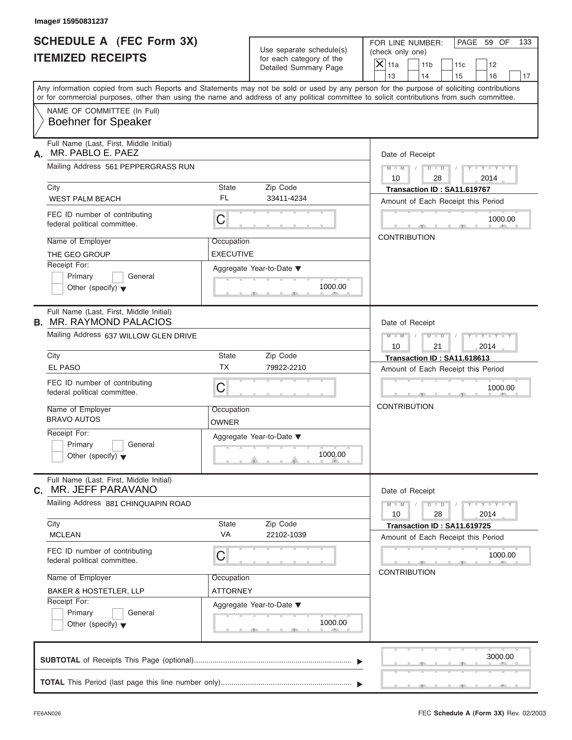| lmage# 15950831237 |
|--------------------|
|--------------------|

| <b>SCHEDULE A (FEC Form 3X)</b>                                    |                  | Use separate schedule(s) | PAGE 59 OF<br>FOR LINE NUMBER:<br>133<br>(check only one)                                                                                  |
|--------------------------------------------------------------------|------------------|--------------------------|--------------------------------------------------------------------------------------------------------------------------------------------|
| <b>ITEMIZED RECEIPTS</b>                                           |                  | for each category of the | $\overline{X}$ 11a<br>11 <sub>b</sub>                                                                                                      |
|                                                                    |                  | Detailed Summary Page    | 11c<br>12<br>13<br>14<br>15<br>16<br>17                                                                                                    |
|                                                                    |                  |                          | Any information copied from such Reports and Statements may not be sold or used by any person for the purpose of soliciting contributions  |
|                                                                    |                  |                          | or for commercial purposes, other than using the name and address of any political committee to solicit contributions from such committee. |
| NAME OF COMMITTEE (In Full)                                        |                  |                          |                                                                                                                                            |
| <b>Boehner for Speaker</b>                                         |                  |                          |                                                                                                                                            |
| Full Name (Last, First, Middle Initial)<br>MR. PABLO E. PAEZ<br>А. |                  |                          | Date of Receipt                                                                                                                            |
| Mailing Address 561 PEPPERGRASS RUN                                |                  |                          | $M = M \qquad / \qquad D = D \qquad /$<br>$Y - Y - Y - Y - Y$<br>10<br>28<br>2014                                                          |
| City                                                               | State            | Zip Code                 | Transaction ID: SA11.619767                                                                                                                |
| <b>WEST PALM BEACH</b>                                             | FL               | 33411-4234               | Amount of Each Receipt this Period                                                                                                         |
| FEC ID number of contributing<br>federal political committee.      | $\mathsf C$      |                          | 1000.00                                                                                                                                    |
| Name of Employer                                                   | Occupation       |                          | <b>CONTRIBUTION</b>                                                                                                                        |
| THE GEO GROUP                                                      | <b>EXECUTIVE</b> |                          |                                                                                                                                            |
| Receipt For:                                                       |                  | Aggregate Year-to-Date ▼ |                                                                                                                                            |
| Primary<br>General                                                 |                  |                          |                                                                                                                                            |
| Other (specify) $\blacktriangledown$                               |                  | 1000.00                  |                                                                                                                                            |
| Full Name (Last, First, Middle Initial)                            |                  |                          |                                                                                                                                            |
| <b>B. MR. RAYMOND PALACIOS</b>                                     |                  |                          | Date of Receipt                                                                                                                            |
| Mailing Address 637 WILLOW GLEN DRIVE                              |                  |                          | $D - D$<br>$Y = Y = Y - Y$<br>$M$ $M$ $I$<br>$\sqrt{ }$<br>2014<br>10<br>21                                                                |
| City                                                               | <b>State</b>     | Zip Code                 | Transaction ID: SA11.618613                                                                                                                |
| <b>EL PASO</b>                                                     | <b>TX</b>        | 79922-2210               | Amount of Each Receipt this Period                                                                                                         |
| FEC ID number of contributing<br>federal political committee.      | C                |                          | 1000.00                                                                                                                                    |
| Name of Employer                                                   | Occupation       |                          | <b>CONTRIBUTION</b>                                                                                                                        |
| <b>BRAVO AUTOS</b>                                                 | OWNER            |                          |                                                                                                                                            |
| Receipt For:                                                       |                  | Aggregate Year-to-Date ▼ |                                                                                                                                            |
| Primary<br>General                                                 |                  |                          |                                                                                                                                            |
| Other (specify) $\blacktriangledown$                               |                  | 1000.00                  |                                                                                                                                            |
| Full Name (Last, First, Middle Initial)<br>MR. JEFF PARAVANO<br>С. |                  |                          | Date of Receipt                                                                                                                            |
| Mailing Address 881 CHINQUAPIN ROAD                                |                  |                          | $Y - Y - Y - Y - Y$<br>$M - M$<br>$D$ $\Box$ $D$<br>10<br>28<br>2014                                                                       |
| City                                                               | State            | Zip Code                 | Transaction ID: SA11.619725                                                                                                                |
| <b>MCLEAN</b>                                                      | VA               | 22102-1039               | Amount of Each Receipt this Period                                                                                                         |
| FEC ID number of contributing<br>federal political committee.      | C                |                          | 1000.00                                                                                                                                    |
| Name of Employer                                                   | Occupation       |                          | <b>CONTRIBUTION</b>                                                                                                                        |
| <b>BAKER &amp; HOSTETLER, LLP</b>                                  | ATTORNEY         |                          |                                                                                                                                            |
| Receipt For:                                                       |                  | Aggregate Year-to-Date ▼ |                                                                                                                                            |
| Primary<br>General                                                 |                  |                          |                                                                                                                                            |
| Other (specify) $\blacktriangledown$                               |                  | 1000.00                  |                                                                                                                                            |
|                                                                    |                  |                          |                                                                                                                                            |
|                                                                    |                  |                          | 3000.00                                                                                                                                    |
|                                                                    |                  |                          |                                                                                                                                            |
|                                                                    |                  |                          |                                                                                                                                            |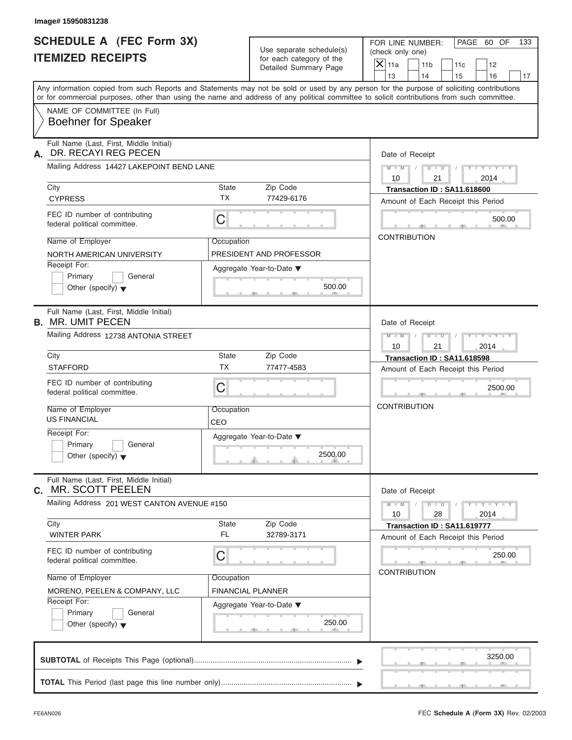| Image# 15950831238                                                                                                                                                                                                                                                                      |                          |                                                      |                     |                                                         |                                                                   |                             |     |
|-----------------------------------------------------------------------------------------------------------------------------------------------------------------------------------------------------------------------------------------------------------------------------------------|--------------------------|------------------------------------------------------|---------------------|---------------------------------------------------------|-------------------------------------------------------------------|-----------------------------|-----|
| <b>SCHEDULE A (FEC Form 3X)</b><br><b>ITEMIZED RECEIPTS</b>                                                                                                                                                                                                                             |                          | Use separate schedule(s)<br>for each category of the |                     | FOR LINE NUMBER:<br>(check only one)<br>11 <sub>b</sub> | 11c                                                               | PAGE 60 OF<br>12            | 133 |
|                                                                                                                                                                                                                                                                                         |                          | Detailed Summary Page                                | $X$ 11a<br>13       | 14                                                      | 15                                                                | 16                          | 17  |
| Any information copied from such Reports and Statements may not be sold or used by any person for the purpose of soliciting contributions<br>or for commercial purposes, other than using the name and address of any political committee to solicit contributions from such committee. |                          |                                                      |                     |                                                         |                                                                   |                             |     |
| NAME OF COMMITTEE (In Full)<br><b>Boehner for Speaker</b>                                                                                                                                                                                                                               |                          |                                                      |                     |                                                         |                                                                   |                             |     |
| Full Name (Last, First, Middle Initial)<br>DR. RECAYI REG PECEN<br>А.                                                                                                                                                                                                                   |                          |                                                      | Date of Receipt     |                                                         |                                                                   |                             |     |
| Mailing Address 14427 LAKEPOINT BEND LANE                                                                                                                                                                                                                                               |                          |                                                      | $M - M$ /<br>10     | $D$ $\Box$ $D$<br>21                                    | $\sqrt{2}$                                                        | $Y - Y - Y - Y - Y$<br>2014 |     |
| City                                                                                                                                                                                                                                                                                    | <b>State</b>             | Zip Code                                             |                     |                                                         | Transaction ID: SA11.618600                                       |                             |     |
| <b>CYPRESS</b>                                                                                                                                                                                                                                                                          | <b>TX</b>                | 77429-6176                                           |                     |                                                         | Amount of Each Receipt this Period                                |                             |     |
| FEC ID number of contributing<br>federal political committee.                                                                                                                                                                                                                           | C                        |                                                      |                     |                                                         |                                                                   | 500.00                      |     |
| Name of Employer                                                                                                                                                                                                                                                                        | Occupation               |                                                      | <b>CONTRIBUTION</b> |                                                         |                                                                   |                             |     |
| NORTH AMERICAN UNIVERSITY                                                                                                                                                                                                                                                               |                          | PRESIDENT AND PROFESSOR                              |                     |                                                         |                                                                   |                             |     |
| Receipt For:                                                                                                                                                                                                                                                                            |                          | Aggregate Year-to-Date ▼                             |                     |                                                         |                                                                   |                             |     |
| Primary<br>General<br>Other (specify) $\blacktriangledown$                                                                                                                                                                                                                              |                          | 500.00                                               |                     |                                                         |                                                                   |                             |     |
| Full Name (Last, First, Middle Initial)<br><b>B.</b> MR. UMIT PECEN                                                                                                                                                                                                                     |                          |                                                      | Date of Receipt     |                                                         |                                                                   |                             |     |
| Mailing Address 12738 ANTONIA STREET                                                                                                                                                                                                                                                    |                          |                                                      | $M - M$<br>10       | $D - I$<br>21                                           |                                                                   | $Y = Y = Y' - Y'$<br>2014   |     |
| City                                                                                                                                                                                                                                                                                    | State                    | Zip Code                                             |                     |                                                         | Transaction ID: SA11.618598                                       |                             |     |
| <b>STAFFORD</b>                                                                                                                                                                                                                                                                         | <b>TX</b>                | 77477-4583                                           |                     |                                                         | Amount of Each Receipt this Period                                |                             |     |
| FEC ID number of contributing<br>federal political committee.                                                                                                                                                                                                                           | C                        |                                                      |                     |                                                         |                                                                   | 2500.00                     |     |
| Name of Employer<br><b>US FINANCIAL</b>                                                                                                                                                                                                                                                 | Occupation<br>CEO        |                                                      | <b>CONTRIBUTION</b> |                                                         |                                                                   |                             |     |
| Receipt For:                                                                                                                                                                                                                                                                            |                          | Aggregate Year-to-Date ▼                             |                     |                                                         |                                                                   |                             |     |
| Primary<br>General<br>Other (specify) $\blacktriangledown$                                                                                                                                                                                                                              |                          | 2500.00                                              |                     |                                                         |                                                                   |                             |     |
| Full Name (Last, First, Middle Initial)<br>MR. SCOTT PEELEN<br>С.                                                                                                                                                                                                                       |                          |                                                      | Date of Receipt     |                                                         |                                                                   |                             |     |
| Mailing Address 201 WEST CANTON AVENUE #150                                                                                                                                                                                                                                             |                          |                                                      | $M - M$<br>10       | $D$ $\Box$ $D$<br>28                                    |                                                                   | $Y - Y - Y - Y - Y$<br>2014 |     |
| City<br><b>WINTER PARK</b>                                                                                                                                                                                                                                                              | State<br><b>FL</b>       | Zip Code<br>32789-3171                               |                     |                                                         | Transaction ID: SA11.619777<br>Amount of Each Receipt this Period |                             |     |
| FEC ID number of contributing<br>federal political committee.                                                                                                                                                                                                                           | С                        |                                                      |                     |                                                         |                                                                   | 250.00                      |     |
| Name of Employer                                                                                                                                                                                                                                                                        | Occupation               |                                                      | <b>CONTRIBUTION</b> |                                                         |                                                                   |                             |     |
| MORENO, PEELEN & COMPANY, LLC                                                                                                                                                                                                                                                           | <b>FINANCIAL PLANNER</b> |                                                      |                     |                                                         |                                                                   |                             |     |
| Receipt For:                                                                                                                                                                                                                                                                            |                          | Aggregate Year-to-Date ▼                             |                     |                                                         |                                                                   |                             |     |
| Primary<br>General<br>Other (specify) $\blacktriangledown$                                                                                                                                                                                                                              |                          | 250.00                                               |                     |                                                         |                                                                   |                             |     |
|                                                                                                                                                                                                                                                                                         |                          |                                                      |                     |                                                         |                                                                   | 3250.00                     |     |
|                                                                                                                                                                                                                                                                                         |                          |                                                      |                     |                                                         |                                                                   |                             |     |

 $\frac{1}{\sqrt{2}}$  ,  $\frac{1}{\sqrt{2}}$  ,  $\frac{1}{\sqrt{2}}$  ,  $\frac{1}{\sqrt{2}}$  ,  $\frac{1}{\sqrt{2}}$  ,  $\frac{1}{\sqrt{2}}$  ,  $\frac{1}{\sqrt{2}}$  ,  $\frac{1}{\sqrt{2}}$  ,  $\frac{1}{\sqrt{2}}$  ,  $\frac{1}{\sqrt{2}}$  ,  $\frac{1}{\sqrt{2}}$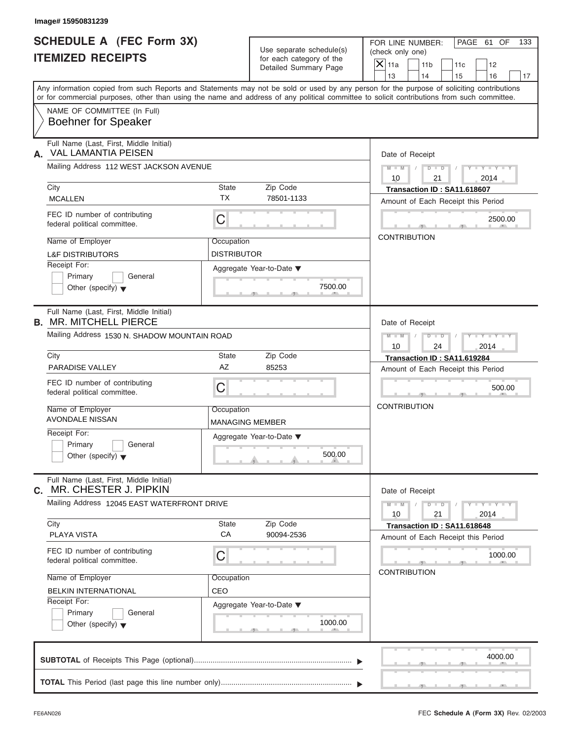| <b>SCHEDULE A (FEC Form 3X)</b>                                             |                        |                                                      | PAGE 61 OF<br>FOR LINE NUMBER:<br>133                                                                                                                                                                                                                                                   |  |  |  |  |
|-----------------------------------------------------------------------------|------------------------|------------------------------------------------------|-----------------------------------------------------------------------------------------------------------------------------------------------------------------------------------------------------------------------------------------------------------------------------------------|--|--|--|--|
| <b>ITEMIZED RECEIPTS</b>                                                    |                        | Use separate schedule(s)<br>for each category of the | (check only one)                                                                                                                                                                                                                                                                        |  |  |  |  |
|                                                                             |                        | Detailed Summary Page                                | $X$ 11a<br>11 <sub>b</sub><br>11c<br>12                                                                                                                                                                                                                                                 |  |  |  |  |
|                                                                             |                        |                                                      | 13<br>14<br>15<br>16<br>17                                                                                                                                                                                                                                                              |  |  |  |  |
|                                                                             |                        |                                                      | Any information copied from such Reports and Statements may not be sold or used by any person for the purpose of soliciting contributions<br>or for commercial purposes, other than using the name and address of any political committee to solicit contributions from such committee. |  |  |  |  |
| NAME OF COMMITTEE (In Full)<br><b>Boehner for Speaker</b>                   |                        |                                                      |                                                                                                                                                                                                                                                                                         |  |  |  |  |
| Full Name (Last, First, Middle Initial)<br><b>VAL LAMANTIA PEISEN</b><br>А. |                        |                                                      | Date of Receipt                                                                                                                                                                                                                                                                         |  |  |  |  |
| Mailing Address 112 WEST JACKSON AVENUE                                     |                        |                                                      | $D$ $\Box$ $D$<br>$Y - Y - Y - Y - Y$<br>$M - M$ /<br>$\sqrt{ }$<br>10<br>21<br>2014                                                                                                                                                                                                    |  |  |  |  |
| City                                                                        | <b>State</b>           | Zip Code                                             | Transaction ID: SA11.618607                                                                                                                                                                                                                                                             |  |  |  |  |
| <b>MCALLEN</b>                                                              | <b>TX</b>              | 78501-1133                                           | Amount of Each Receipt this Period                                                                                                                                                                                                                                                      |  |  |  |  |
| FEC ID number of contributing<br>federal political committee.               | C                      |                                                      | 2500.00                                                                                                                                                                                                                                                                                 |  |  |  |  |
| Name of Employer                                                            | Occupation             |                                                      | <b>CONTRIBUTION</b>                                                                                                                                                                                                                                                                     |  |  |  |  |
| <b>L&amp;F DISTRIBUTORS</b>                                                 | <b>DISTRIBUTOR</b>     |                                                      |                                                                                                                                                                                                                                                                                         |  |  |  |  |
| Receipt For:                                                                |                        | Aggregate Year-to-Date ▼                             |                                                                                                                                                                                                                                                                                         |  |  |  |  |
| Primary<br>General<br>Other (specify) $\blacktriangledown$                  |                        | 7500.00                                              |                                                                                                                                                                                                                                                                                         |  |  |  |  |
|                                                                             |                        |                                                      |                                                                                                                                                                                                                                                                                         |  |  |  |  |
| Full Name (Last, First, Middle Initial)<br><b>B. MR. MITCHELL PIERCE</b>    |                        |                                                      | Date of Receipt                                                                                                                                                                                                                                                                         |  |  |  |  |
| Mailing Address 1530 N. SHADOW MOUNTAIN ROAD                                |                        |                                                      | $D - I - D$<br>$Y - Y - Y - Y - Y$<br>$M - M$                                                                                                                                                                                                                                           |  |  |  |  |
|                                                                             |                        |                                                      | 10<br>24<br>2014                                                                                                                                                                                                                                                                        |  |  |  |  |
| City                                                                        | State                  | Zip Code                                             | Transaction ID: SA11.619284                                                                                                                                                                                                                                                             |  |  |  |  |
| PARADISE VALLEY                                                             | AZ                     | 85253                                                | Amount of Each Receipt this Period                                                                                                                                                                                                                                                      |  |  |  |  |
| FEC ID number of contributing<br>federal political committee.               | C                      |                                                      | 500.00                                                                                                                                                                                                                                                                                  |  |  |  |  |
| Name of Employer                                                            | Occupation             |                                                      | <b>CONTRIBUTION</b>                                                                                                                                                                                                                                                                     |  |  |  |  |
| <b>AVONDALE NISSAN</b>                                                      | <b>MANAGING MEMBER</b> |                                                      |                                                                                                                                                                                                                                                                                         |  |  |  |  |
| Receipt For:                                                                |                        | Aggregate Year-to-Date ▼                             |                                                                                                                                                                                                                                                                                         |  |  |  |  |
| Primary<br>General<br>Other (specify) $\blacktriangledown$                  |                        | 500.00                                               |                                                                                                                                                                                                                                                                                         |  |  |  |  |
| Full Name (Last, First, Middle Initial)<br>MR. CHESTER J. PIPKIN<br>С.      |                        |                                                      | Date of Receipt                                                                                                                                                                                                                                                                         |  |  |  |  |
| Mailing Address 12045 EAST WATERFRONT DRIVE                                 |                        |                                                      | $Y - Y - Y - Y - Y$<br>$M - M$<br>$D$ $\Box$ $D$<br>21<br>10<br>2014                                                                                                                                                                                                                    |  |  |  |  |
| City<br><b>PLAYA VISTA</b>                                                  | State<br>CA            | Zip Code<br>90094-2536                               | Transaction ID: SA11.618648<br>Amount of Each Receipt this Period                                                                                                                                                                                                                       |  |  |  |  |
| FEC ID number of contributing<br>federal political committee.               | С                      |                                                      | 1000.00                                                                                                                                                                                                                                                                                 |  |  |  |  |
| Name of Employer                                                            | Occupation             |                                                      | <b>CONTRIBUTION</b>                                                                                                                                                                                                                                                                     |  |  |  |  |
| <b>BELKIN INTERNATIONAL</b>                                                 | CEO                    |                                                      |                                                                                                                                                                                                                                                                                         |  |  |  |  |
| Receipt For:                                                                |                        | Aggregate Year-to-Date ▼                             |                                                                                                                                                                                                                                                                                         |  |  |  |  |
| Primary<br>General<br>Other (specify) $\blacktriangledown$                  |                        | 1000.00                                              |                                                                                                                                                                                                                                                                                         |  |  |  |  |
|                                                                             |                        |                                                      | 4000.00                                                                                                                                                                                                                                                                                 |  |  |  |  |
|                                                                             |                        |                                                      |                                                                                                                                                                                                                                                                                         |  |  |  |  |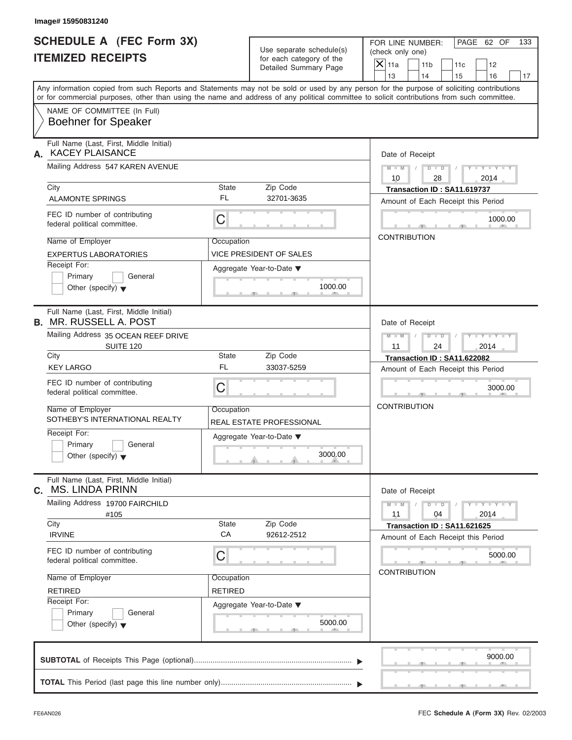| Image# 15950831240                                                                                                                         |                |                                                      |                                                                                                                                           |
|--------------------------------------------------------------------------------------------------------------------------------------------|----------------|------------------------------------------------------|-------------------------------------------------------------------------------------------------------------------------------------------|
| <b>SCHEDULE A (FEC Form 3X)</b><br><b>ITEMIZED RECEIPTS</b>                                                                                |                | Use separate schedule(s)<br>for each category of the | PAGE 62 OF<br>FOR LINE NUMBER:<br>133<br>(check only one)<br>$\overline{X}$ 11a<br>11 <sub>b</sub><br>11c<br>12                           |
|                                                                                                                                            |                | Detailed Summary Page                                | 13<br>14<br>15<br>16<br>17                                                                                                                |
| or for commercial purposes, other than using the name and address of any political committee to solicit contributions from such committee. |                |                                                      | Any information copied from such Reports and Statements may not be sold or used by any person for the purpose of soliciting contributions |
| NAME OF COMMITTEE (In Full)<br><b>Boehner for Speaker</b>                                                                                  |                |                                                      |                                                                                                                                           |
| Full Name (Last, First, Middle Initial)<br><b>KACEY PLAISANCE</b><br>А.                                                                    |                |                                                      | Date of Receipt                                                                                                                           |
| Mailing Address 547 KAREN AVENUE                                                                                                           |                |                                                      | $D - D$<br>$M - M$<br>$Y - Y - Y - Y$<br>10<br>28<br>2014                                                                                 |
| City                                                                                                                                       | State          | Zip Code                                             | Transaction ID: SA11.619737                                                                                                               |
| <b>ALAMONTE SPRINGS</b>                                                                                                                    | <b>FL</b>      | 32701-3635                                           | Amount of Each Receipt this Period                                                                                                        |
| FEC ID number of contributing<br>federal political committee.                                                                              | C              |                                                      | 1000.00                                                                                                                                   |
| Name of Employer                                                                                                                           | Occupation     |                                                      | <b>CONTRIBUTION</b>                                                                                                                       |
| <b>EXPERTUS LABORATORIES</b>                                                                                                               |                | VICE PRESIDENT OF SALES                              |                                                                                                                                           |
| Receipt For:                                                                                                                               |                | Aggregate Year-to-Date ▼                             |                                                                                                                                           |
| Primary<br>General<br>Other (specify) $\blacktriangledown$                                                                                 |                | 1000.00                                              |                                                                                                                                           |
| Full Name (Last, First, Middle Initial)<br><b>B. MR. RUSSELL A. POST</b>                                                                   |                |                                                      | Date of Receipt                                                                                                                           |
| Mailing Address 35 OCEAN REEF DRIVE<br><b>SUITE 120</b>                                                                                    |                |                                                      | $D - I - D$<br>Y T Y T Y T<br>$M - M$<br>2014<br>11<br>24                                                                                 |
| City                                                                                                                                       | State          | Zip Code                                             | Transaction ID: SA11.622082                                                                                                               |
| <b>KEY LARGO</b>                                                                                                                           | <b>FL</b>      | 33037-5259                                           | Amount of Each Receipt this Period                                                                                                        |
| FEC ID number of contributing<br>federal political committee.                                                                              | C              |                                                      | 3000.00                                                                                                                                   |
| Name of Employer<br>SOTHEBY'S INTERNATIONAL REALTY                                                                                         | Occupation     | REAL ESTATE PROFESSIONAL                             | <b>CONTRIBUTION</b>                                                                                                                       |
| Receipt For:<br>Primary<br>General<br>Other (specify) $\blacktriangledown$                                                                 |                | Aggregate Year-to-Date ▼<br>3000.00                  |                                                                                                                                           |
| Full Name (Last, First, Middle Initial)<br><b>MS. LINDA PRINN</b><br>С.                                                                    |                |                                                      | Date of Receipt                                                                                                                           |
| Mailing Address 19700 FAIRCHILD<br>#105                                                                                                    |                |                                                      | $M - M$<br>$D$ $\Box$ $D$<br>$T - Y = T - Y = T$<br>2014<br>11<br>04                                                                      |
| City                                                                                                                                       | State<br>CA    | Zip Code                                             | Transaction ID: SA11.621625                                                                                                               |
| <b>IRVINE</b>                                                                                                                              |                | 92612-2512                                           | Amount of Each Receipt this Period                                                                                                        |
| FEC ID number of contributing<br>federal political committee.                                                                              | С              |                                                      | 5000.00                                                                                                                                   |
| Name of Employer                                                                                                                           | Occupation     |                                                      | <b>CONTRIBUTION</b>                                                                                                                       |
| <b>RETIRED</b>                                                                                                                             | <b>RETIRED</b> |                                                      |                                                                                                                                           |
| Receipt For:<br>Primary<br>General<br>Other (specify) $\blacktriangledown$                                                                 |                | Aggregate Year-to-Date ▼<br>5000.00                  |                                                                                                                                           |
|                                                                                                                                            |                |                                                      | 9000.00                                                                                                                                   |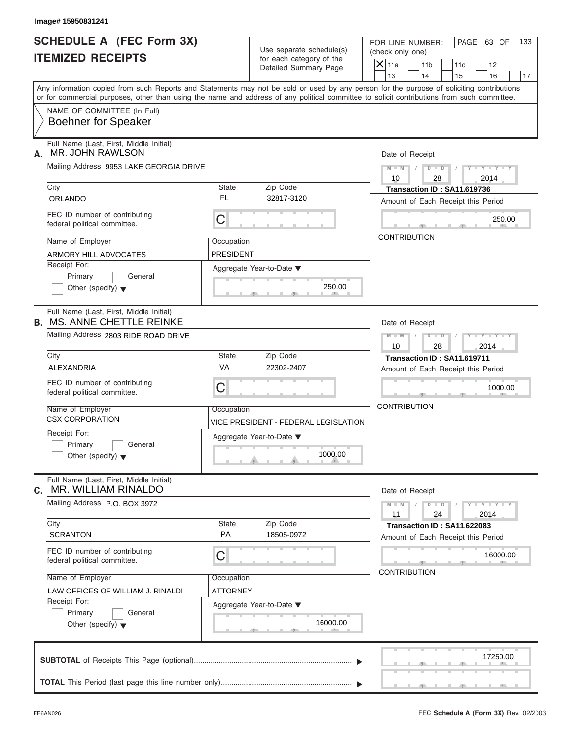|                                                                                                                                                                                                                                                                                         | Image# 15950831241                                                           |                  |                                                                               |                                                                                                                           |
|-----------------------------------------------------------------------------------------------------------------------------------------------------------------------------------------------------------------------------------------------------------------------------------------|------------------------------------------------------------------------------|------------------|-------------------------------------------------------------------------------|---------------------------------------------------------------------------------------------------------------------------|
| <b>SCHEDULE A (FEC Form 3X)</b><br><b>ITEMIZED RECEIPTS</b>                                                                                                                                                                                                                             |                                                                              |                  | Use separate schedule(s)<br>for each category of the<br>Detailed Summary Page | PAGE 63 OF<br>FOR LINE NUMBER:<br>133<br>(check only one)<br>$\mathsf{X} _{\mathsf{11a}}$<br>11 <sub>b</sub><br>11c<br>12 |
| Any information copied from such Reports and Statements may not be sold or used by any person for the purpose of soliciting contributions<br>or for commercial purposes, other than using the name and address of any political committee to solicit contributions from such committee. |                                                                              |                  |                                                                               | 13<br>14<br>15<br>16<br>17                                                                                                |
|                                                                                                                                                                                                                                                                                         | NAME OF COMMITTEE (In Full)<br><b>Boehner for Speaker</b>                    |                  |                                                                               |                                                                                                                           |
| А.                                                                                                                                                                                                                                                                                      | Full Name (Last, First, Middle Initial)<br>MR. JOHN RAWLSON                  |                  |                                                                               | Date of Receipt                                                                                                           |
|                                                                                                                                                                                                                                                                                         | Mailing Address 9953 LAKE GEORGIA DRIVE                                      |                  |                                                                               | $D$ $D$<br>$Y - Y - Y$<br>$M - M$<br>10<br>28<br>2014                                                                     |
|                                                                                                                                                                                                                                                                                         | City                                                                         | State            | Zip Code                                                                      | Transaction ID: SA11.619736                                                                                               |
|                                                                                                                                                                                                                                                                                         | <b>ORLANDO</b>                                                               | FL               | 32817-3120                                                                    | Amount of Each Receipt this Period                                                                                        |
|                                                                                                                                                                                                                                                                                         | FEC ID number of contributing<br>federal political committee.                | С                |                                                                               | 250.00                                                                                                                    |
|                                                                                                                                                                                                                                                                                         | Name of Employer                                                             | Occupation       |                                                                               | <b>CONTRIBUTION</b>                                                                                                       |
|                                                                                                                                                                                                                                                                                         | ARMORY HILL ADVOCATES                                                        | <b>PRESIDENT</b> |                                                                               |                                                                                                                           |
|                                                                                                                                                                                                                                                                                         | Receipt For:<br>Primary<br>General<br>Other (specify) $\blacktriangledown$   |                  | Aggregate Year-to-Date $\blacktriangledown$<br>250.00                         |                                                                                                                           |
|                                                                                                                                                                                                                                                                                         | Full Name (Last, First, Middle Initial)<br><b>B. MS. ANNE CHETTLE REINKE</b> |                  |                                                                               | Date of Receipt                                                                                                           |
|                                                                                                                                                                                                                                                                                         | Mailing Address 2803 RIDE ROAD DRIVE                                         |                  |                                                                               | $D$ $D$<br>$M - M$<br>$Y = Y - Y - T$                                                                                     |
|                                                                                                                                                                                                                                                                                         | City                                                                         | State            | Zip Code                                                                      | 2014<br>10<br>28                                                                                                          |
|                                                                                                                                                                                                                                                                                         | ALEXANDRIA                                                                   | VA               | 22302-2407                                                                    | Transaction ID: SA11.619711<br>Amount of Each Receipt this Period                                                         |
|                                                                                                                                                                                                                                                                                         | FEC ID number of contributing<br>federal political committee.                | С                |                                                                               | 1000.00                                                                                                                   |
|                                                                                                                                                                                                                                                                                         | Name of Employer<br><b>CSX CORPORATION</b>                                   | Occupation       | VICE PRESIDENT - FEDERAL LEGISLATION                                          | <b>CONTRIBUTION</b>                                                                                                       |
|                                                                                                                                                                                                                                                                                         | Receipt For:<br>Primary<br>General<br>Other (specify) $\blacktriangledown$   |                  | Aggregate Year-to-Date ▼<br>1000.00                                           |                                                                                                                           |
| С.                                                                                                                                                                                                                                                                                      | Full Name (Last, First, Middle Initial)<br>MR. WILLIAM RINALDO               |                  |                                                                               | Date of Receipt                                                                                                           |
|                                                                                                                                                                                                                                                                                         | Mailing Address P.O. BOX 3972                                                |                  |                                                                               | $Y = Y$<br>$M - M$<br>$D$ $D$<br>2014<br>11<br>24                                                                         |
|                                                                                                                                                                                                                                                                                         | City<br><b>SCRANTON</b>                                                      | State<br>PA      | Zip Code<br>18505-0972                                                        | Transaction ID: SA11.622083<br>Amount of Each Receipt this Period                                                         |
|                                                                                                                                                                                                                                                                                         | FEC ID number of contributing<br>federal political committee.                | С                |                                                                               | 16000.00                                                                                                                  |
|                                                                                                                                                                                                                                                                                         | Name of Employer                                                             | Occupation       |                                                                               | <b>CONTRIBUTION</b>                                                                                                       |
|                                                                                                                                                                                                                                                                                         | LAW OFFICES OF WILLIAM J. RINALDI                                            | ATTORNEY         |                                                                               |                                                                                                                           |
|                                                                                                                                                                                                                                                                                         | Receipt For:                                                                 |                  | Aggregate Year-to-Date ▼                                                      |                                                                                                                           |
|                                                                                                                                                                                                                                                                                         | Primary<br>General<br>Other (specify) $\blacktriangledown$                   |                  | 16000.00                                                                      |                                                                                                                           |
|                                                                                                                                                                                                                                                                                         |                                                                              |                  |                                                                               | 17250.00                                                                                                                  |
|                                                                                                                                                                                                                                                                                         |                                                                              |                  |                                                                               |                                                                                                                           |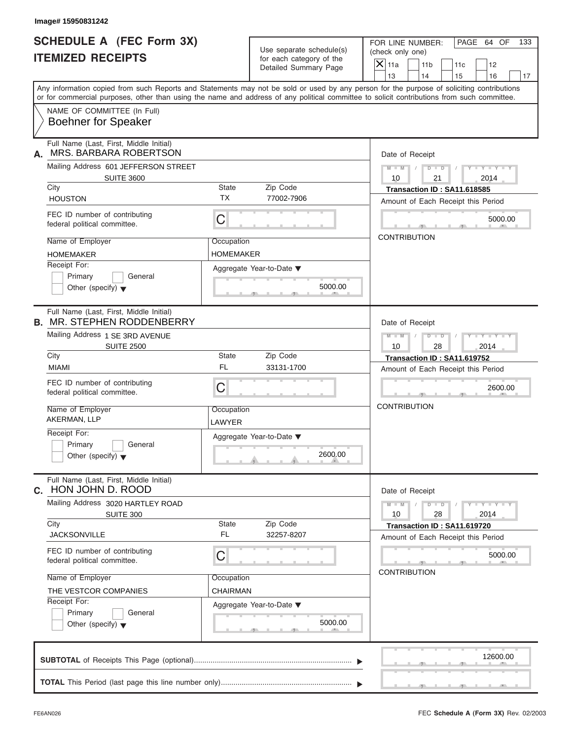| Image# 15950831242                                                                                                                                                                                                                                                                      |                      |                                                      |                     |                                      |                                    |                             |     |
|-----------------------------------------------------------------------------------------------------------------------------------------------------------------------------------------------------------------------------------------------------------------------------------------|----------------------|------------------------------------------------------|---------------------|--------------------------------------|------------------------------------|-----------------------------|-----|
| <b>SCHEDULE A (FEC Form 3X)</b><br><b>ITEMIZED RECEIPTS</b>                                                                                                                                                                                                                             |                      | Use separate schedule(s)<br>for each category of the |                     | FOR LINE NUMBER:<br>(check only one) |                                    | PAGE 64 OF                  | 133 |
|                                                                                                                                                                                                                                                                                         |                      | Detailed Summary Page                                | $X$ 11a<br>13       | 11 <sub>b</sub><br>14                | 11c<br>15                          | 12<br>16                    | 17  |
| Any information copied from such Reports and Statements may not be sold or used by any person for the purpose of soliciting contributions<br>or for commercial purposes, other than using the name and address of any political committee to solicit contributions from such committee. |                      |                                                      |                     |                                      |                                    |                             |     |
| NAME OF COMMITTEE (In Full)<br><b>Boehner for Speaker</b>                                                                                                                                                                                                                               |                      |                                                      |                     |                                      |                                    |                             |     |
| Full Name (Last, First, Middle Initial)<br>MRS. BARBARA ROBERTSON<br>А.                                                                                                                                                                                                                 |                      |                                                      | Date of Receipt     |                                      |                                    |                             |     |
| Mailing Address 601 JEFFERSON STREET<br><b>SUITE 3600</b>                                                                                                                                                                                                                               |                      |                                                      | $M - M$<br>10       | $D$ $D$<br>21                        |                                    | $Y - Y - Y - Y - Y$<br>2014 |     |
| City                                                                                                                                                                                                                                                                                    | State                | Zip Code                                             |                     |                                      | Transaction ID: SA11.618585        |                             |     |
| <b>HOUSTON</b>                                                                                                                                                                                                                                                                          | <b>TX</b>            | 77002-7906                                           |                     |                                      | Amount of Each Receipt this Period |                             |     |
| FEC ID number of contributing<br>federal political committee.                                                                                                                                                                                                                           | C                    |                                                      |                     |                                      |                                    | 5000.00                     |     |
| Name of Employer                                                                                                                                                                                                                                                                        | Occupation           |                                                      | <b>CONTRIBUTION</b> |                                      |                                    |                             |     |
| <b>HOMEMAKER</b>                                                                                                                                                                                                                                                                        | <b>HOMEMAKER</b>     |                                                      |                     |                                      |                                    |                             |     |
| Receipt For:<br>Primary<br>General<br>Other (specify) $\blacktriangledown$                                                                                                                                                                                                              |                      | Aggregate Year-to-Date ▼<br>5000.00                  |                     |                                      |                                    |                             |     |
| Full Name (Last, First, Middle Initial)<br><b>B. MR. STEPHEN RODDENBERRY</b>                                                                                                                                                                                                            |                      |                                                      | Date of Receipt     |                                      |                                    |                             |     |
| Mailing Address 1 SE 3RD AVENUE<br><b>SUITE 2500</b>                                                                                                                                                                                                                                    |                      |                                                      | $M$ $M$<br>10       | $D - D$<br>28                        |                                    | $Y - Y - Y - Y - Y$<br>2014 |     |
| City                                                                                                                                                                                                                                                                                    | State                | Zip Code                                             |                     |                                      | Transaction ID: SA11.619752        |                             |     |
| <b>MIAMI</b>                                                                                                                                                                                                                                                                            | <b>FL</b>            | 33131-1700                                           |                     |                                      | Amount of Each Receipt this Period |                             |     |
| FEC ID number of contributing<br>federal political committee.                                                                                                                                                                                                                           | C                    |                                                      |                     |                                      |                                    | 2600.00                     |     |
| Name of Employer<br>AKERMAN, LLP                                                                                                                                                                                                                                                        | Occupation<br>LAWYER |                                                      | <b>CONTRIBUTION</b> |                                      |                                    |                             |     |
| Receipt For:<br>Primary<br>General<br>Other (specify) $\blacktriangledown$                                                                                                                                                                                                              |                      | Aggregate Year-to-Date ▼<br>2600.00                  |                     |                                      |                                    |                             |     |
| Full Name (Last, First, Middle Initial)<br>C. HON JOHN D. ROOD                                                                                                                                                                                                                          |                      |                                                      | Date of Receipt     |                                      |                                    |                             |     |
| Mailing Address 3020 HARTLEY ROAD<br><b>SUITE 300</b>                                                                                                                                                                                                                                   |                      |                                                      | $M - M$<br>10       | $D$ $\Box$ $D$<br>28                 |                                    | $Y - Y - Y - Y - Y$<br>2014 |     |
| City                                                                                                                                                                                                                                                                                    | State                | Zip Code                                             |                     |                                      | Transaction ID: SA11.619720        |                             |     |
| <b>JACKSONVILLE</b>                                                                                                                                                                                                                                                                     | FL                   | 32257-8207                                           |                     |                                      | Amount of Each Receipt this Period |                             |     |
| FEC ID number of contributing<br>federal political committee.                                                                                                                                                                                                                           | С                    |                                                      |                     |                                      |                                    | 5000.00                     |     |
| Name of Employer                                                                                                                                                                                                                                                                        | Occupation           |                                                      | <b>CONTRIBUTION</b> |                                      |                                    |                             |     |
| THE VESTCOR COMPANIES                                                                                                                                                                                                                                                                   | CHAIRMAN             |                                                      |                     |                                      |                                    |                             |     |
| Receipt For:<br>Primary<br>General<br>Other (specify) $\blacktriangledown$                                                                                                                                                                                                              |                      | Aggregate Year-to-Date ▼<br>5000.00                  |                     |                                      |                                    |                             |     |
|                                                                                                                                                                                                                                                                                         |                      |                                                      |                     |                                      |                                    | 12600.00                    |     |
|                                                                                                                                                                                                                                                                                         |                      |                                                      |                     |                                      |                                    |                             |     |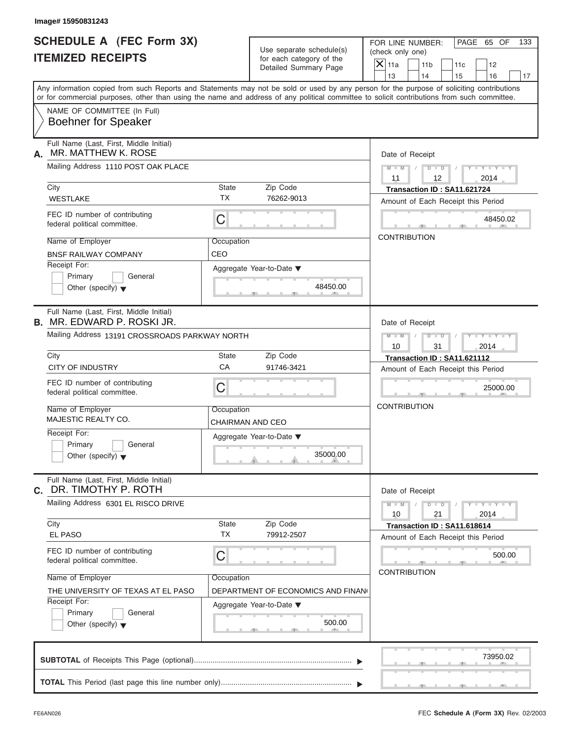| Image# 15950831243                                                           |                    |                                                      |                                                                                                                                                                                                                                                                                         |
|------------------------------------------------------------------------------|--------------------|------------------------------------------------------|-----------------------------------------------------------------------------------------------------------------------------------------------------------------------------------------------------------------------------------------------------------------------------------------|
| <b>SCHEDULE A (FEC Form 3X)</b><br><b>ITEMIZED RECEIPTS</b>                  |                    | Use separate schedule(s)<br>for each category of the | PAGE 65 OF<br>FOR LINE NUMBER:<br>133<br>(check only one)                                                                                                                                                                                                                               |
|                                                                              |                    | Detailed Summary Page                                | $\mathsf{X}$ 11a<br>11 <sub>b</sub><br>12<br>11c<br>13<br>14<br>15<br>16                                                                                                                                                                                                                |
|                                                                              |                    |                                                      | Any information copied from such Reports and Statements may not be sold or used by any person for the purpose of soliciting contributions<br>or for commercial purposes, other than using the name and address of any political committee to solicit contributions from such committee. |
| NAME OF COMMITTEE (In Full)<br><b>Boehner for Speaker</b>                    |                    |                                                      |                                                                                                                                                                                                                                                                                         |
| Full Name (Last, First, Middle Initial)<br>MR. MATTHEW K. ROSE<br>А.         |                    |                                                      | Date of Receipt                                                                                                                                                                                                                                                                         |
| Mailing Address 1110 POST OAK PLACE                                          |                    |                                                      | $D$ $\Box$ $D$<br>$Y - Y - Y - Y - Y$<br>$M - M$<br>12<br>2014<br>11                                                                                                                                                                                                                    |
| City                                                                         | State              | Zip Code                                             | Transaction ID: SA11.621724                                                                                                                                                                                                                                                             |
| <b>WESTLAKE</b>                                                              | <b>TX</b>          | 76262-9013                                           | Amount of Each Receipt this Period                                                                                                                                                                                                                                                      |
| FEC ID number of contributing<br>federal political committee.                | С                  |                                                      | 48450.02                                                                                                                                                                                                                                                                                |
| Name of Employer                                                             | Occupation         |                                                      | <b>CONTRIBUTION</b>                                                                                                                                                                                                                                                                     |
| <b>BNSF RAILWAY COMPANY</b>                                                  | CEO                |                                                      |                                                                                                                                                                                                                                                                                         |
| Receipt For:<br>Primary<br>General<br>Other (specify) $\blacktriangledown$   |                    | Aggregate Year-to-Date ▼<br>48450.00                 |                                                                                                                                                                                                                                                                                         |
| Full Name (Last, First, Middle Initial)<br><b>B. MR. EDWARD P. ROSKI JR.</b> |                    |                                                      | Date of Receipt                                                                                                                                                                                                                                                                         |
| Mailing Address 13191 CROSSROADS PARKWAY NORTH                               |                    |                                                      | $M - M$<br>$D$ $D$<br>Y T Y T Y T                                                                                                                                                                                                                                                       |
|                                                                              |                    |                                                      | 10<br>31<br>2014                                                                                                                                                                                                                                                                        |
| City                                                                         | State              | Zip Code                                             | Transaction ID: SA11.621112                                                                                                                                                                                                                                                             |
| <b>CITY OF INDUSTRY</b>                                                      | CA                 | 91746-3421                                           | Amount of Each Receipt this Period                                                                                                                                                                                                                                                      |
| FEC ID number of contributing<br>federal political committee.                | С                  |                                                      | 25000.00                                                                                                                                                                                                                                                                                |
| Name of Employer<br>MAJESTIC REALTY CO.                                      | Occupation         | CHAIRMAN AND CEO                                     | <b>CONTRIBUTION</b>                                                                                                                                                                                                                                                                     |
| Receipt For:                                                                 |                    | Aggregate Year-to-Date ▼                             |                                                                                                                                                                                                                                                                                         |
| Primary<br>General<br>Other (specify) $\blacktriangledown$                   |                    | 35000.00                                             |                                                                                                                                                                                                                                                                                         |
| Full Name (Last, First, Middle Initial)<br>c. DR. TIMOTHY P. ROTH            |                    |                                                      | Date of Receipt                                                                                                                                                                                                                                                                         |
| Mailing Address 6301 EL RISCO DRIVE                                          |                    |                                                      | $M - M$<br>$D - D$<br>$Y = Y + Y + T$<br>2014<br>10<br>21                                                                                                                                                                                                                               |
| City<br><b>EL PASO</b>                                                       | State<br><b>TX</b> | Zip Code<br>79912-2507                               | Transaction ID: SA11.618614<br>Amount of Each Receipt this Period                                                                                                                                                                                                                       |
| FEC ID number of contributing<br>federal political committee.                | С                  |                                                      | 500.00                                                                                                                                                                                                                                                                                  |
| Name of Employer                                                             | Occupation         |                                                      | <b>CONTRIBUTION</b>                                                                                                                                                                                                                                                                     |
| THE UNIVERSITY OF TEXAS AT EL PASO                                           |                    | DEPARTMENT OF ECONOMICS AND FINAN                    |                                                                                                                                                                                                                                                                                         |
| Receipt For:                                                                 |                    | Aggregate Year-to-Date ▼                             |                                                                                                                                                                                                                                                                                         |
| Primary<br>General<br>Other (specify) $\blacktriangledown$                   |                    | 500.00                                               |                                                                                                                                                                                                                                                                                         |
|                                                                              |                    |                                                      | 73950.02                                                                                                                                                                                                                                                                                |
|                                                                              |                    |                                                      |                                                                                                                                                                                                                                                                                         |
|                                                                              |                    |                                                      |                                                                                                                                                                                                                                                                                         |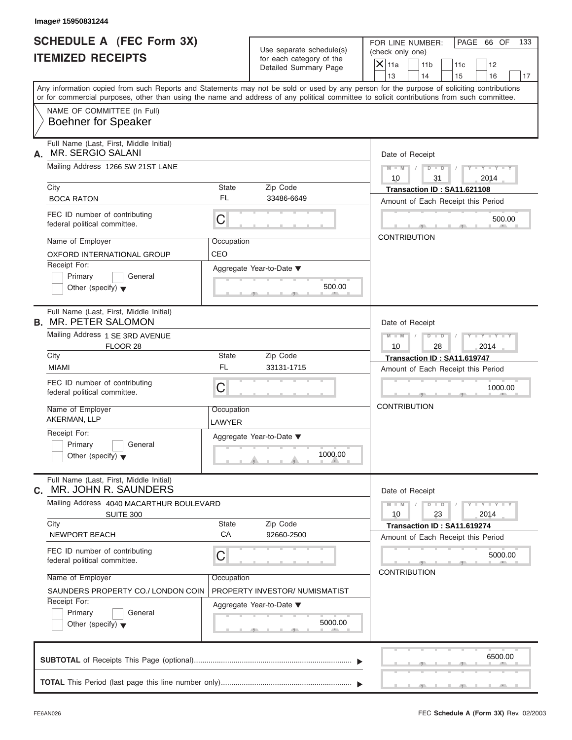| Image# 15950831244<br><b>SCHEDULE A (FEC Form 3X)</b>                                                                                      |                      | Use separate schedule(s)                          | PAGE 66 OF<br>FOR LINE NUMBER:<br>133<br>(check only one)                                                                                 |
|--------------------------------------------------------------------------------------------------------------------------------------------|----------------------|---------------------------------------------------|-------------------------------------------------------------------------------------------------------------------------------------------|
| <b>ITEMIZED RECEIPTS</b>                                                                                                                   |                      | for each category of the<br>Detailed Summary Page | $X$ 11a<br>11 <sub>b</sub><br>11c<br>12<br>13<br>14<br>15<br>16<br>17                                                                     |
| or for commercial purposes, other than using the name and address of any political committee to solicit contributions from such committee. |                      |                                                   | Any information copied from such Reports and Statements may not be sold or used by any person for the purpose of soliciting contributions |
| NAME OF COMMITTEE (In Full)<br><b>Boehner for Speaker</b>                                                                                  |                      |                                                   |                                                                                                                                           |
| Full Name (Last, First, Middle Initial)<br><b>MR. SERGIO SALANI</b><br>А.                                                                  |                      |                                                   | Date of Receipt                                                                                                                           |
| Mailing Address 1266 SW 21ST LANE                                                                                                          |                      |                                                   | $M - M$ /<br>$D$ $\Box$ $D$<br>$Y - Y - Y - Y - Y$<br>$\sqrt{ }$                                                                          |
| City<br><b>BOCA RATON</b>                                                                                                                  | State<br><b>FL</b>   | Zip Code<br>33486-6649                            | 10<br>31<br>2014<br>Transaction ID: SA11.621108                                                                                           |
| FEC ID number of contributing<br>federal political committee.                                                                              | C                    |                                                   | Amount of Each Receipt this Period<br>500.00                                                                                              |
| Name of Employer<br>OXFORD INTERNATIONAL GROUP                                                                                             | Occupation<br>CEO    |                                                   | <b>CONTRIBUTION</b>                                                                                                                       |
| Receipt For:<br>Primary<br>General<br>Other (specify) $\blacktriangledown$                                                                 |                      | Aggregate Year-to-Date ▼<br>500.00                |                                                                                                                                           |
| Full Name (Last, First, Middle Initial)<br><b>B. MR. PETER SALOMON</b>                                                                     |                      |                                                   | Date of Receipt                                                                                                                           |
| Mailing Address 1 SE 3RD AVENUE<br>FLOOR 28                                                                                                |                      |                                                   | Y T Y T Y T<br>$M - M$<br>$D - D$<br>10<br>28<br>2014                                                                                     |
| City<br><b>MIAMI</b>                                                                                                                       | State<br><b>FL</b>   | Zip Code<br>33131-1715                            | Transaction ID: SA11.619747<br>Amount of Each Receipt this Period                                                                         |
| FEC ID number of contributing<br>federal political committee.                                                                              | C                    |                                                   | 1000.00                                                                                                                                   |
| Name of Employer<br>AKERMAN, LLP                                                                                                           | Occupation<br>LAWYER |                                                   | <b>CONTRIBUTION</b>                                                                                                                       |
| Receipt For:<br>Primary<br>General<br>Other (specify) $\blacktriangledown$                                                                 |                      | Aggregate Year-to-Date ▼<br>1000.00               |                                                                                                                                           |
| Full Name (Last, First, Middle Initial)<br>MR. JOHN R. SAUNDERS<br>C.                                                                      |                      |                                                   | Date of Receipt                                                                                                                           |
| Mailing Address 4040 MACARTHUR BOULEVARD<br><b>SUITE 300</b>                                                                               |                      |                                                   | $Y - Y - Y - Y - Y$<br>$M - M$<br>$D$ $\Box$ $D$<br>2014<br>10<br>23                                                                      |
| City<br>NEWPORT BEACH                                                                                                                      | State<br>CA          | Zip Code<br>92660-2500                            | Transaction ID: SA11.619274<br>Amount of Each Receipt this Period                                                                         |
| FEC ID number of contributing<br>federal political committee.                                                                              | С                    |                                                   | 5000.00<br><b>CONTRIBUTION</b>                                                                                                            |
| Name of Employer<br>SAUNDERS PROPERTY CO./ LONDON COIN                                                                                     | Occupation           | PROPERTY INVESTOR/ NUMISMATIST                    |                                                                                                                                           |
| Receipt For:<br>Primary<br>General<br>Other (specify) $\blacktriangledown$                                                                 |                      | Aggregate Year-to-Date ▼<br>5000.00               |                                                                                                                                           |
|                                                                                                                                            |                      |                                                   | 6500.00                                                                                                                                   |
|                                                                                                                                            |                      |                                                   |                                                                                                                                           |

S S S , , .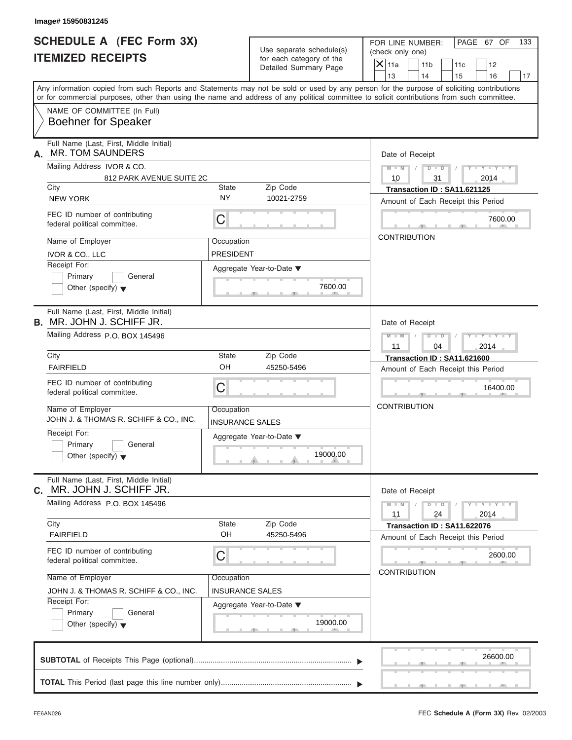| Image# 15950831245                                                                                                                                                                                                                                                                      |                                                                                                                |                                      |                                                      |                        |                                                                   |           |                                                             |     |
|-----------------------------------------------------------------------------------------------------------------------------------------------------------------------------------------------------------------------------------------------------------------------------------------|----------------------------------------------------------------------------------------------------------------|--------------------------------------|------------------------------------------------------|------------------------|-------------------------------------------------------------------|-----------|-------------------------------------------------------------|-----|
| <b>SCHEDULE A (FEC Form 3X)</b><br><b>ITEMIZED RECEIPTS</b>                                                                                                                                                                                                                             |                                                                                                                |                                      | Use separate schedule(s)<br>for each category of the |                        | FOR LINE NUMBER:<br>(check only one)                              |           | PAGE 67 OF                                                  | 133 |
|                                                                                                                                                                                                                                                                                         |                                                                                                                |                                      | Detailed Summary Page                                | $\mathsf{X}$ 11a<br>13 | 11 <sub>b</sub><br>14                                             | 11c<br>15 | 12<br>16                                                    | 17  |
| Any information copied from such Reports and Statements may not be sold or used by any person for the purpose of soliciting contributions<br>or for commercial purposes, other than using the name and address of any political committee to solicit contributions from such committee. |                                                                                                                |                                      |                                                      |                        |                                                                   |           |                                                             |     |
|                                                                                                                                                                                                                                                                                         | NAME OF COMMITTEE (In Full)<br><b>Boehner for Speaker</b>                                                      |                                      |                                                      |                        |                                                                   |           |                                                             |     |
| А.                                                                                                                                                                                                                                                                                      | Full Name (Last, First, Middle Initial)<br><b>MR. TOM SAUNDERS</b>                                             |                                      |                                                      |                        | Date of Receipt                                                   |           |                                                             |     |
|                                                                                                                                                                                                                                                                                         | Mailing Address IVOR & CO.                                                                                     |                                      |                                                      | $M - M$                | $D - D$                                                           |           | $Y - Y - Y - Y$                                             |     |
|                                                                                                                                                                                                                                                                                         | 812 PARK AVENUE SUITE 2C                                                                                       |                                      |                                                      | 10                     | 31                                                                |           | 2014                                                        |     |
| City<br><b>NEW YORK</b>                                                                                                                                                                                                                                                                 |                                                                                                                | State<br><b>NY</b>                   | Zip Code<br>10021-2759                               |                        | Transaction ID: SA11.621125<br>Amount of Each Receipt this Period |           |                                                             |     |
|                                                                                                                                                                                                                                                                                         | FEC ID number of contributing<br>federal political committee.                                                  | С                                    |                                                      |                        |                                                                   |           | 7600.00                                                     |     |
|                                                                                                                                                                                                                                                                                         | Name of Employer<br>IVOR & CO., LLC                                                                            | Occupation<br><b>PRESIDENT</b>       |                                                      |                        | <b>CONTRIBUTION</b>                                               |           |                                                             |     |
| Receipt For:                                                                                                                                                                                                                                                                            | Primary<br>General<br>Other (specify) $\blacktriangledown$                                                     |                                      | Aggregate Year-to-Date ▼<br>7600.00                  |                        |                                                                   |           |                                                             |     |
|                                                                                                                                                                                                                                                                                         | Full Name (Last, First, Middle Initial)<br><b>B.</b> MR. JOHN J. SCHIFF JR.<br>Mailing Address P.O. BOX 145496 |                                      |                                                      |                        | Date of Receipt                                                   |           |                                                             |     |
|                                                                                                                                                                                                                                                                                         |                                                                                                                |                                      |                                                      | $M - M$<br>11          | $D - I - D$<br>04                                                 |           | Y T Y T Y T<br>2014                                         |     |
| City                                                                                                                                                                                                                                                                                    |                                                                                                                | State                                | Zip Code                                             |                        | Transaction ID: SA11.621600                                       |           |                                                             |     |
| <b>FAIRFIELD</b>                                                                                                                                                                                                                                                                        |                                                                                                                | OH                                   | 45250-5496                                           |                        | Amount of Each Receipt this Period                                |           |                                                             |     |
|                                                                                                                                                                                                                                                                                         | FEC ID number of contributing<br>federal political committee.                                                  | C                                    |                                                      |                        |                                                                   |           | 16400.00                                                    |     |
|                                                                                                                                                                                                                                                                                         | Name of Employer<br>JOHN J. & THOMAS R. SCHIFF & CO., INC.                                                     | Occupation<br><b>INSURANCE SALES</b> |                                                      |                        | <b>CONTRIBUTION</b>                                               |           |                                                             |     |
| Receipt For:                                                                                                                                                                                                                                                                            | Primary<br>General<br>Other (specify) $\blacktriangledown$                                                     |                                      | Aggregate Year-to-Date ▼<br>19000.00                 |                        |                                                                   |           |                                                             |     |
| С.                                                                                                                                                                                                                                                                                      | Full Name (Last, First, Middle Initial)<br>MR. JOHN J. SCHIFF JR.                                              |                                      |                                                      |                        | Date of Receipt                                                   |           |                                                             |     |
|                                                                                                                                                                                                                                                                                         | Mailing Address P.O. BOX 145496                                                                                |                                      |                                                      | $M - M$<br>11          | $D$ $\Box$ $D$<br>24                                              |           | $\mathbf{I} = \mathbf{Y} + \mathbf{I} - \mathbf{Y}$<br>2014 |     |
| City<br><b>FAIRFIELD</b>                                                                                                                                                                                                                                                                |                                                                                                                | <b>State</b><br>OH                   | Zip Code<br>45250-5496                               |                        | Transaction ID: SA11.622076<br>Amount of Each Receipt this Period |           |                                                             |     |
|                                                                                                                                                                                                                                                                                         | FEC ID number of contributing<br>federal political committee.                                                  | С                                    |                                                      |                        |                                                                   |           | 2600.00                                                     |     |
|                                                                                                                                                                                                                                                                                         | Name of Employer                                                                                               | Occupation                           |                                                      |                        | <b>CONTRIBUTION</b>                                               |           |                                                             |     |
|                                                                                                                                                                                                                                                                                         | JOHN J. & THOMAS R. SCHIFF & CO., INC.                                                                         | <b>INSURANCE SALES</b>               |                                                      |                        |                                                                   |           |                                                             |     |
| Receipt For:                                                                                                                                                                                                                                                                            | Primary<br>General<br>Other (specify) $\blacktriangledown$                                                     |                                      | Aggregate Year-to-Date ▼<br>19000.00                 |                        |                                                                   |           |                                                             |     |
|                                                                                                                                                                                                                                                                                         |                                                                                                                |                                      |                                                      |                        |                                                                   |           | 26600.00                                                    |     |
|                                                                                                                                                                                                                                                                                         |                                                                                                                |                                      |                                                      |                        |                                                                   |           |                                                             |     |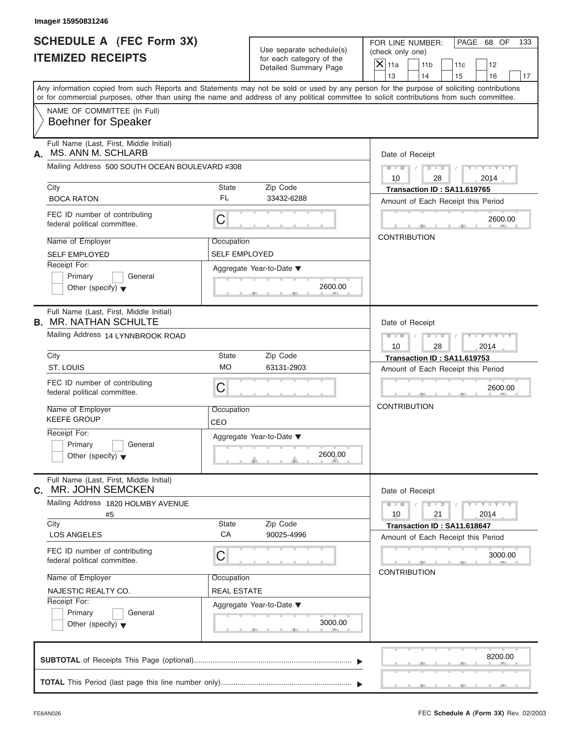| Image# 15950831246<br><b>SCHEDULE A (FEC Form 3X)</b><br><b>ITEMIZED RECEIPTS</b> |                      | Use separate schedule(s)                          | PAGE 68 OF<br>FOR LINE NUMBER:<br>133<br>(check only one)                                                                                                                                                                                                                               |
|-----------------------------------------------------------------------------------|----------------------|---------------------------------------------------|-----------------------------------------------------------------------------------------------------------------------------------------------------------------------------------------------------------------------------------------------------------------------------------------|
|                                                                                   |                      | for each category of the<br>Detailed Summary Page | $X$ 11a<br>11 <sub>b</sub><br>11c<br>12<br>13<br>14<br>15<br>16<br>17                                                                                                                                                                                                                   |
|                                                                                   |                      |                                                   | Any information copied from such Reports and Statements may not be sold or used by any person for the purpose of soliciting contributions<br>or for commercial purposes, other than using the name and address of any political committee to solicit contributions from such committee. |
| NAME OF COMMITTEE (In Full)<br><b>Boehner for Speaker</b>                         |                      |                                                   |                                                                                                                                                                                                                                                                                         |
| Full Name (Last, First, Middle Initial)<br>MS. ANN M. SCHLARB<br>А.               |                      |                                                   | Date of Receipt                                                                                                                                                                                                                                                                         |
| Mailing Address 500 SOUTH OCEAN BOULEVARD #308                                    |                      |                                                   | $D$ $\Box$ $D$<br>$Y - Y - Y - Y - Y$<br>$M - M$ /<br>$\sqrt{2}$                                                                                                                                                                                                                        |
| City                                                                              | <b>State</b>         | Zip Code                                          | 10<br>28<br>2014<br>Transaction ID: SA11.619765                                                                                                                                                                                                                                         |
| <b>BOCA RATON</b>                                                                 | FL                   | 33432-6288                                        | Amount of Each Receipt this Period                                                                                                                                                                                                                                                      |
| FEC ID number of contributing<br>federal political committee.                     | C                    |                                                   | 2600.00                                                                                                                                                                                                                                                                                 |
| Name of Employer                                                                  | Occupation           |                                                   | <b>CONTRIBUTION</b>                                                                                                                                                                                                                                                                     |
| <b>SELF EMPLOYED</b>                                                              | <b>SELF EMPLOYED</b> |                                                   |                                                                                                                                                                                                                                                                                         |
| Receipt For:                                                                      |                      | Aggregate Year-to-Date ▼                          |                                                                                                                                                                                                                                                                                         |
| Primary<br>General<br>Other (specify) $\blacktriangledown$                        |                      | 2600.00                                           |                                                                                                                                                                                                                                                                                         |
| Full Name (Last, First, Middle Initial)<br><b>B. MR. NATHAN SCHULTE</b>           |                      |                                                   | Date of Receipt                                                                                                                                                                                                                                                                         |
| Mailing Address 14 LYNNBROOK ROAD                                                 |                      |                                                   | $D - I - D$<br>$Y = Y = Y' - Y'$<br>$M - M$<br>$\sqrt{ }$<br>10<br>28<br>2014                                                                                                                                                                                                           |
| City                                                                              | <b>State</b>         | Zip Code                                          | Transaction ID: SA11.619753                                                                                                                                                                                                                                                             |
| ST. LOUIS                                                                         | <b>MO</b>            | 63131-2903                                        | Amount of Each Receipt this Period                                                                                                                                                                                                                                                      |
| FEC ID number of contributing<br>federal political committee.                     | C                    |                                                   | 2600.00                                                                                                                                                                                                                                                                                 |
| Name of Employer<br><b>KEEFE GROUP</b>                                            | Occupation<br>CEO    |                                                   | <b>CONTRIBUTION</b>                                                                                                                                                                                                                                                                     |
| Receipt For:                                                                      |                      | Aggregate Year-to-Date ▼                          |                                                                                                                                                                                                                                                                                         |
| Primary<br>General<br>Other (specify) $\blacktriangledown$                        |                      | 2600.00                                           |                                                                                                                                                                                                                                                                                         |
| Full Name (Last, First, Middle Initial)<br>MR. JOHN SEMCKEN<br>С.                 |                      |                                                   | Date of Receipt                                                                                                                                                                                                                                                                         |
| Mailing Address 1820 HOLMBY AVENUE<br>#5                                          |                      |                                                   | $Y - Y - Y - Y - Y$<br>$M - M$<br>$D$ $\Box$ $D$<br>21<br>10<br>2014                                                                                                                                                                                                                    |
| City<br><b>LOS ANGELES</b>                                                        | <b>State</b><br>CA   | Zip Code<br>90025-4996                            | Transaction ID: SA11.618647<br>Amount of Each Receipt this Period                                                                                                                                                                                                                       |
| FEC ID number of contributing<br>federal political committee.                     | С                    |                                                   | 3000.00                                                                                                                                                                                                                                                                                 |
| Name of Employer                                                                  | Occupation           |                                                   | <b>CONTRIBUTION</b>                                                                                                                                                                                                                                                                     |
| NAJESTIC REALTY CO.                                                               | <b>REAL ESTATE</b>   |                                                   |                                                                                                                                                                                                                                                                                         |
| Receipt For:                                                                      |                      | Aggregate Year-to-Date ▼                          |                                                                                                                                                                                                                                                                                         |
| Primary<br>General<br>Other (specify) $\blacktriangledown$                        |                      | 3000.00                                           |                                                                                                                                                                                                                                                                                         |
|                                                                                   |                      |                                                   | 8200.00                                                                                                                                                                                                                                                                                 |
|                                                                                   |                      |                                                   |                                                                                                                                                                                                                                                                                         |

S S S , , .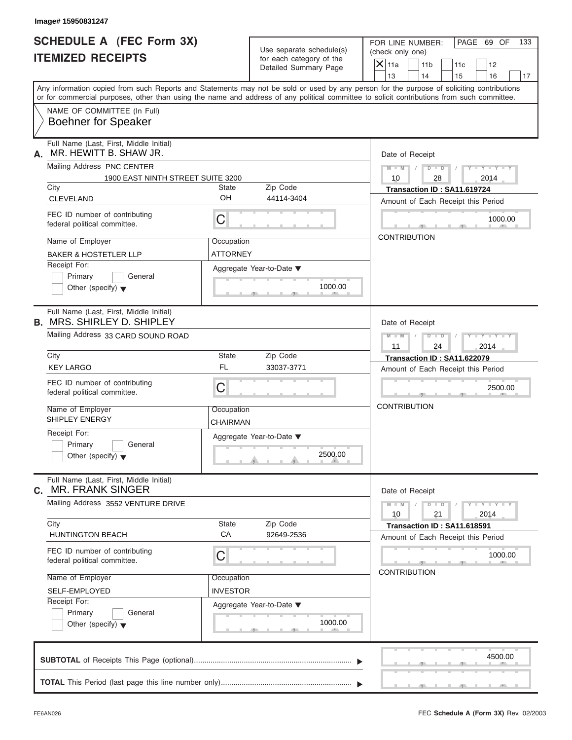| Image# 15950831247                                                                                                                                                                                                                                                                      |                               |                                                      |                                                                   |                             |     |
|-----------------------------------------------------------------------------------------------------------------------------------------------------------------------------------------------------------------------------------------------------------------------------------------|-------------------------------|------------------------------------------------------|-------------------------------------------------------------------|-----------------------------|-----|
| <b>SCHEDULE A (FEC Form 3X)</b><br><b>ITEMIZED RECEIPTS</b>                                                                                                                                                                                                                             |                               | Use separate schedule(s)<br>for each category of the | FOR LINE NUMBER:<br>(check only one)                              | PAGE 69 OF                  | 133 |
|                                                                                                                                                                                                                                                                                         |                               | Detailed Summary Page                                | $\mathsf{X}$ 11a<br>11 <sub>b</sub>                               | 11c<br>12                   |     |
| Any information copied from such Reports and Statements may not be sold or used by any person for the purpose of soliciting contributions<br>or for commercial purposes, other than using the name and address of any political committee to solicit contributions from such committee. |                               |                                                      | 13<br>14                                                          | 15<br>16                    | 17  |
| NAME OF COMMITTEE (In Full)<br><b>Boehner for Speaker</b>                                                                                                                                                                                                                               |                               |                                                      |                                                                   |                             |     |
| Full Name (Last, First, Middle Initial)<br>MR. HEWITT B. SHAW JR.<br>А.                                                                                                                                                                                                                 |                               |                                                      | Date of Receipt                                                   |                             |     |
| Mailing Address PNC CENTER<br>1900 EAST NINTH STREET SUITE 3200                                                                                                                                                                                                                         |                               |                                                      | $D$ $\Box$ $D$<br>$M - M$ /<br>10<br>28                           | $Y - Y - Y - Y - Y$<br>2014 |     |
| City                                                                                                                                                                                                                                                                                    | State<br>OH                   | Zip Code                                             | Transaction ID: SA11.619724                                       |                             |     |
| <b>CLEVELAND</b>                                                                                                                                                                                                                                                                        |                               | 44114-3404                                           | Amount of Each Receipt this Period                                |                             |     |
| FEC ID number of contributing<br>federal political committee.                                                                                                                                                                                                                           | C                             |                                                      |                                                                   | 1000.00                     |     |
| Name of Employer<br><b>BAKER &amp; HOSTETLER LLP</b>                                                                                                                                                                                                                                    | Occupation<br><b>ATTORNEY</b> |                                                      | <b>CONTRIBUTION</b>                                               |                             |     |
| Receipt For:<br>Primary<br>General<br>Other (specify) $\blacktriangledown$                                                                                                                                                                                                              |                               | Aggregate Year-to-Date ▼<br>1000.00                  |                                                                   |                             |     |
| Full Name (Last, First, Middle Initial)<br><b>B. MRS. SHIRLEY D. SHIPLEY</b>                                                                                                                                                                                                            |                               |                                                      | Date of Receipt                                                   |                             |     |
| Mailing Address 33 CARD SOUND ROAD                                                                                                                                                                                                                                                      |                               |                                                      | $M - M$<br>$D - I - D$                                            | $Y - Y - Y - Y - Y$         |     |
| City                                                                                                                                                                                                                                                                                    | State                         | Zip Code                                             | 11<br>24<br>Transaction ID: SA11.622079                           | 2014                        |     |
| <b>KEY LARGO</b>                                                                                                                                                                                                                                                                        | <b>FL</b>                     | 33037-3771                                           | Amount of Each Receipt this Period                                |                             |     |
| FEC ID number of contributing<br>federal political committee.                                                                                                                                                                                                                           | C                             |                                                      |                                                                   | 2500.00                     |     |
| Name of Employer<br>SHIPLEY ENERGY                                                                                                                                                                                                                                                      | Occupation<br>CHAIRMAN        |                                                      | <b>CONTRIBUTION</b>                                               |                             |     |
| Receipt For:<br>Primary<br>General<br>Other (specify) $\blacktriangledown$                                                                                                                                                                                                              |                               | Aggregate Year-to-Date ▼<br>2500.00                  |                                                                   |                             |     |
| Full Name (Last, First, Middle Initial)<br><b>MR. FRANK SINGER</b><br>С.                                                                                                                                                                                                                |                               |                                                      | Date of Receipt                                                   |                             |     |
| Mailing Address 3552 VENTURE DRIVE                                                                                                                                                                                                                                                      |                               |                                                      | $M - M$<br>$D - D$<br>21<br>10                                    | $Y = Y = Y$<br>2014         |     |
| City<br><b>HUNTINGTON BEACH</b>                                                                                                                                                                                                                                                         | <b>State</b><br>CA            | Zip Code<br>92649-2536                               | Transaction ID: SA11.618591<br>Amount of Each Receipt this Period |                             |     |
| FEC ID number of contributing<br>federal political committee.                                                                                                                                                                                                                           | С                             |                                                      | <b>CONTRIBUTION</b>                                               | 1000.00                     |     |
| Name of Employer                                                                                                                                                                                                                                                                        | Occupation                    |                                                      |                                                                   |                             |     |
| SELF-EMPLOYED                                                                                                                                                                                                                                                                           | INVESTOR                      |                                                      |                                                                   |                             |     |
| Receipt For:<br>Primary<br>General<br>Other (specify) $\blacktriangledown$                                                                                                                                                                                                              |                               | Aggregate Year-to-Date ▼<br>1000.00                  |                                                                   |                             |     |
|                                                                                                                                                                                                                                                                                         |                               |                                                      |                                                                   | 4500.00                     |     |
|                                                                                                                                                                                                                                                                                         |                               |                                                      |                                                                   |                             |     |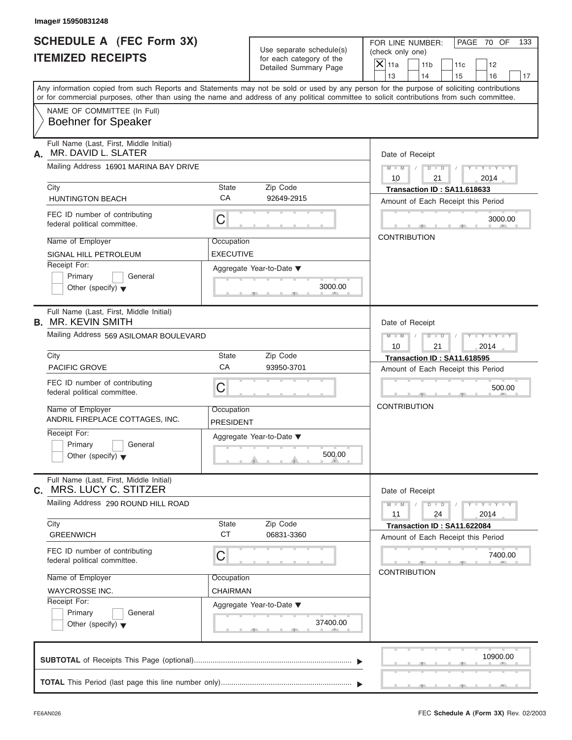| Image# 15950831248                                                                                                                        |                         |                                                      |                                                                                                                                                                    |
|-------------------------------------------------------------------------------------------------------------------------------------------|-------------------------|------------------------------------------------------|--------------------------------------------------------------------------------------------------------------------------------------------------------------------|
| <b>SCHEDULE A (FEC Form 3X)</b><br><b>ITEMIZED RECEIPTS</b>                                                                               |                         | Use separate schedule(s)<br>for each category of the | PAGE 70 OF<br>FOR LINE NUMBER:<br>133<br>(check only one)                                                                                                          |
|                                                                                                                                           |                         | Detailed Summary Page                                | $\mathsf{X}$ 11a<br>11 <sub>b</sub><br>12<br>11c                                                                                                                   |
| Any information copied from such Reports and Statements may not be sold or used by any person for the purpose of soliciting contributions |                         |                                                      | 13<br>14<br>15<br>16<br>or for commercial purposes, other than using the name and address of any political committee to solicit contributions from such committee. |
| NAME OF COMMITTEE (In Full)<br><b>Boehner for Speaker</b>                                                                                 |                         |                                                      |                                                                                                                                                                    |
| Full Name (Last, First, Middle Initial)<br>MR. DAVID L. SLATER<br>А.                                                                      |                         |                                                      | Date of Receipt                                                                                                                                                    |
| Mailing Address 16901 MARINA BAY DRIVE                                                                                                    |                         |                                                      | $D$ $D$<br>$Y - Y - Y - Y - Y$<br>$M$ $M$ $/$<br>$\sqrt{ }$<br>10<br>21<br>2014                                                                                    |
| City                                                                                                                                      | State                   | Zip Code                                             | Transaction ID: SA11.618633                                                                                                                                        |
| <b>HUNTINGTON BEACH</b>                                                                                                                   | <b>CA</b>               | 92649-2915                                           | Amount of Each Receipt this Period                                                                                                                                 |
| FEC ID number of contributing<br>federal political committee.                                                                             | $\mathsf C$             |                                                      | 3000.00                                                                                                                                                            |
| Name of Employer                                                                                                                          | Occupation              |                                                      | <b>CONTRIBUTION</b>                                                                                                                                                |
| SIGNAL HILL PETROLEUM                                                                                                                     | <b>EXECUTIVE</b>        |                                                      |                                                                                                                                                                    |
| Receipt For:<br>Primary<br>General<br>Other (specify) $\blacktriangledown$                                                                |                         | Aggregate Year-to-Date ▼<br>3000.00                  |                                                                                                                                                                    |
| Full Name (Last, First, Middle Initial)<br><b>B. MR. KEVIN SMITH</b>                                                                      |                         |                                                      | Date of Receipt                                                                                                                                                    |
| Mailing Address 569 ASILOMAR BOULEVARD                                                                                                    |                         |                                                      | $M - M$<br>$D - D$<br>Y T Y T Y T<br>2014<br>10<br>21                                                                                                              |
| City                                                                                                                                      | State                   | Zip Code                                             | Transaction ID: SA11.618595                                                                                                                                        |
| PACIFIC GROVE                                                                                                                             | CA                      | 93950-3701                                           | Amount of Each Receipt this Period                                                                                                                                 |
| FEC ID number of contributing<br>federal political committee.                                                                             | C                       |                                                      | 500.00                                                                                                                                                             |
| Name of Employer<br>ANDRIL FIREPLACE COTTAGES. INC.                                                                                       | Occupation<br>PRESIDENT |                                                      | <b>CONTRIBUTION</b>                                                                                                                                                |
| Receipt For:<br>Primary<br>General<br>Other (specify) $\blacktriangledown$                                                                |                         | Aggregate Year-to-Date ▼<br>500.00                   |                                                                                                                                                                    |
| Full Name (Last, First, Middle Initial)<br><b>MRS. LUCY C. STITZER</b><br>С.                                                              |                         |                                                      | Date of Receipt                                                                                                                                                    |
| Mailing Address 290 ROUND HILL ROAD                                                                                                       |                         |                                                      | $M - M$<br>$D$ $\Box$ $D$<br>$-1 - Y - 1 - Y - 1$<br>24<br>2014<br>11                                                                                              |
| City<br><b>GREENWICH</b>                                                                                                                  | State<br><b>CT</b>      | Zip Code<br>06831-3360                               | Transaction ID: SA11.622084<br>Amount of Each Receipt this Period                                                                                                  |
| FEC ID number of contributing<br>federal political committee.                                                                             | C                       |                                                      | 7400.00                                                                                                                                                            |
| Name of Employer                                                                                                                          | Occupation              |                                                      | <b>CONTRIBUTION</b>                                                                                                                                                |
| <b>WAYCROSSE INC.</b><br>Receipt For:                                                                                                     | CHAIRMAN                |                                                      |                                                                                                                                                                    |
| Primary<br>General<br>Other (specify) $\blacktriangledown$                                                                                |                         | Aggregate Year-to-Date ▼<br>37400.00                 |                                                                                                                                                                    |
|                                                                                                                                           |                         |                                                      | 10900.00                                                                                                                                                           |
|                                                                                                                                           |                         |                                                      |                                                                                                                                                                    |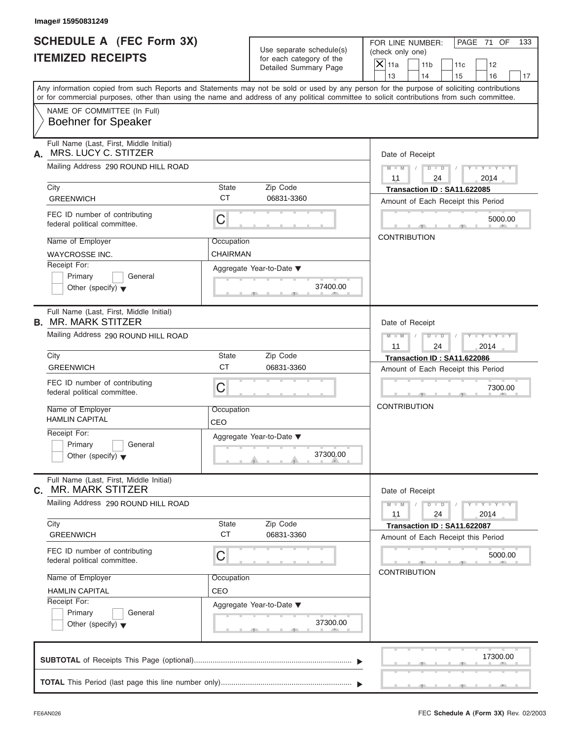| Image# 15950831249                                                                                                                         |                               |                                                      |                                                                                                                                           |
|--------------------------------------------------------------------------------------------------------------------------------------------|-------------------------------|------------------------------------------------------|-------------------------------------------------------------------------------------------------------------------------------------------|
| <b>SCHEDULE A (FEC Form 3X)</b><br><b>ITEMIZED RECEIPTS</b>                                                                                |                               | Use separate schedule(s)<br>for each category of the | PAGE 71 OF<br>FOR LINE NUMBER:<br>133<br>(check only one)<br>$\mathsf{X}$ 11a                                                             |
|                                                                                                                                            |                               | Detailed Summary Page                                | 11 <sub>b</sub><br>11c<br>12<br>13<br>14<br>15<br>16                                                                                      |
| or for commercial purposes, other than using the name and address of any political committee to solicit contributions from such committee. |                               |                                                      | Any information copied from such Reports and Statements may not be sold or used by any person for the purpose of soliciting contributions |
| NAME OF COMMITTEE (In Full)<br><b>Boehner for Speaker</b>                                                                                  |                               |                                                      |                                                                                                                                           |
| Full Name (Last, First, Middle Initial)<br>MRS. LUCY C. STITZER<br>А.                                                                      |                               |                                                      | Date of Receipt                                                                                                                           |
| Mailing Address 290 ROUND HILL ROAD                                                                                                        |                               |                                                      | $D$ $D$<br>$Y - Y - Y - Y - Y$<br>$M - M$ /<br>11<br>24<br>2014                                                                           |
| City<br><b>GREENWICH</b>                                                                                                                   | <b>State</b><br><b>CT</b>     | Zip Code<br>06831-3360                               | Transaction ID: SA11.622085<br>Amount of Each Receipt this Period                                                                         |
| FEC ID number of contributing<br>federal political committee.                                                                              | C                             |                                                      | 5000.00                                                                                                                                   |
| Name of Employer<br>WAYCROSSE INC.                                                                                                         | Occupation<br><b>CHAIRMAN</b> |                                                      | <b>CONTRIBUTION</b>                                                                                                                       |
| Receipt For:<br>Primary<br>General<br>Other (specify) $\blacktriangledown$                                                                 |                               | Aggregate Year-to-Date ▼<br>37400.00                 |                                                                                                                                           |
| Full Name (Last, First, Middle Initial)<br><b>B. MR. MARK STITZER</b>                                                                      |                               |                                                      | Date of Receipt                                                                                                                           |
| Mailing Address 290 ROUND HILL ROAD                                                                                                        |                               |                                                      | $M - M$<br>$D - I - D$<br>Y TYTTYTTY<br>11<br>24<br>2014                                                                                  |
| City                                                                                                                                       | <b>State</b>                  | Zip Code                                             | Transaction ID: SA11.622086                                                                                                               |
| <b>GREENWICH</b>                                                                                                                           | <b>CT</b>                     | 06831-3360                                           | Amount of Each Receipt this Period                                                                                                        |
| FEC ID number of contributing<br>federal political committee.                                                                              | C                             |                                                      | 7300.00                                                                                                                                   |
| Name of Employer<br><b>HAMLIN CAPITAL</b>                                                                                                  | Occupation<br>CEO             |                                                      | <b>CONTRIBUTION</b>                                                                                                                       |
| Receipt For:                                                                                                                               |                               | Aggregate Year-to-Date ▼                             |                                                                                                                                           |
| Primary<br>General<br>Other (specify) $\blacktriangledown$                                                                                 |                               | 37300.00                                             |                                                                                                                                           |
| Full Name (Last, First, Middle Initial)<br><b>MR. MARK STITZER</b><br>С.                                                                   |                               |                                                      | Date of Receipt                                                                                                                           |
| Mailing Address 290 ROUND HILL ROAD                                                                                                        |                               |                                                      | $Y - Y - Y - Y - Y$<br>$M - M$<br>$D - D$<br>11<br>24<br>2014                                                                             |
| City<br><b>GREENWICH</b>                                                                                                                   | State<br><b>CT</b>            | Zip Code<br>06831-3360                               | Transaction ID: SA11.622087<br>Amount of Each Receipt this Period                                                                         |
| FEC ID number of contributing<br>federal political committee.                                                                              | С                             |                                                      | 5000.00<br><b>CONTRIBUTION</b>                                                                                                            |
| Name of Employer                                                                                                                           | Occupation                    |                                                      |                                                                                                                                           |
| <b>HAMLIN CAPITAL</b>                                                                                                                      | CEO                           |                                                      |                                                                                                                                           |
| Receipt For:<br>Primary<br>General                                                                                                         |                               | Aggregate Year-to-Date ▼                             |                                                                                                                                           |
| Other (specify) $\blacktriangledown$                                                                                                       |                               | 37300.00                                             |                                                                                                                                           |
|                                                                                                                                            |                               |                                                      | 17300.00                                                                                                                                  |
|                                                                                                                                            |                               |                                                      |                                                                                                                                           |

S S S , , .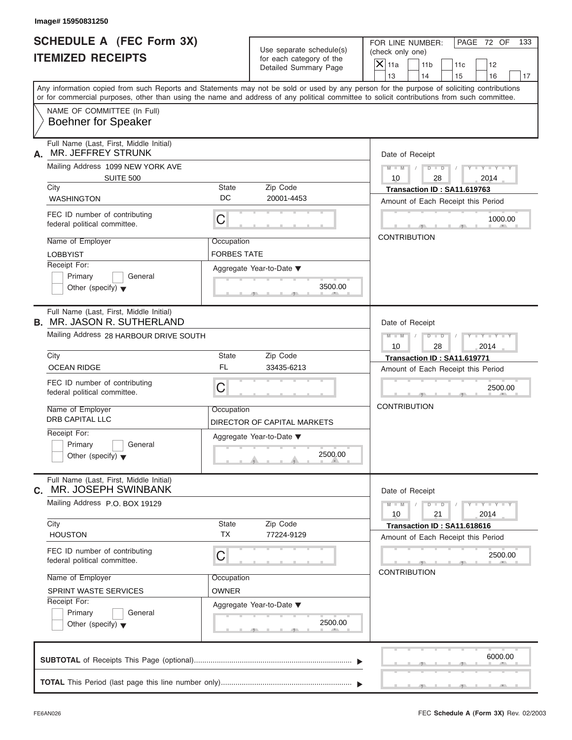| Image# 15950831250                                                           |                    |                                                      |                                                                                                                                                                                                                                                                                         |     |
|------------------------------------------------------------------------------|--------------------|------------------------------------------------------|-----------------------------------------------------------------------------------------------------------------------------------------------------------------------------------------------------------------------------------------------------------------------------------------|-----|
| <b>SCHEDULE A (FEC Form 3X)</b><br><b>ITEMIZED RECEIPTS</b>                  |                    | Use separate schedule(s)<br>for each category of the | PAGE 72 OF<br>FOR LINE NUMBER:<br>(check only one)                                                                                                                                                                                                                                      | 133 |
|                                                                              |                    | Detailed Summary Page                                | $\mathsf{X}$ 11a<br>11 <sub>b</sub><br>11c<br>12<br>13<br>14<br>15<br>16                                                                                                                                                                                                                | 17  |
|                                                                              |                    |                                                      | Any information copied from such Reports and Statements may not be sold or used by any person for the purpose of soliciting contributions<br>or for commercial purposes, other than using the name and address of any political committee to solicit contributions from such committee. |     |
| NAME OF COMMITTEE (In Full)<br><b>Boehner for Speaker</b>                    |                    |                                                      |                                                                                                                                                                                                                                                                                         |     |
| Full Name (Last, First, Middle Initial)<br>MR. JEFFREY STRUNK<br>А.          |                    |                                                      | Date of Receipt                                                                                                                                                                                                                                                                         |     |
| Mailing Address 1099 NEW YORK AVE<br><b>SUITE 500</b>                        |                    |                                                      | $M - M$<br>$D$ $D$<br>$Y - Y - Y - Y$<br>10<br>28<br>2014                                                                                                                                                                                                                               |     |
| City                                                                         | State              | Zip Code                                             | Transaction ID: SA11.619763                                                                                                                                                                                                                                                             |     |
| <b>WASHINGTON</b>                                                            | DC                 | 20001-4453                                           | Amount of Each Receipt this Period                                                                                                                                                                                                                                                      |     |
| FEC ID number of contributing<br>federal political committee.                | С                  |                                                      | 1000.00                                                                                                                                                                                                                                                                                 |     |
| Name of Employer                                                             | Occupation         |                                                      | <b>CONTRIBUTION</b>                                                                                                                                                                                                                                                                     |     |
| <b>LOBBYIST</b>                                                              | <b>FORBES TATE</b> |                                                      |                                                                                                                                                                                                                                                                                         |     |
| Receipt For:<br>Primary<br>General<br>Other (specify) $\blacktriangledown$   |                    | Aggregate Year-to-Date ▼<br>3500.00                  |                                                                                                                                                                                                                                                                                         |     |
| Full Name (Last, First, Middle Initial)<br><b>B. MR. JASON R. SUTHERLAND</b> |                    |                                                      | Date of Receipt                                                                                                                                                                                                                                                                         |     |
| Mailing Address 28 HARBOUR DRIVE SOUTH                                       |                    |                                                      | $D - I - D$<br>$M - M$<br>$Y - Y - Y - Y - Y$                                                                                                                                                                                                                                           |     |
|                                                                              |                    |                                                      | 2014<br>10<br>28                                                                                                                                                                                                                                                                        |     |
| City                                                                         | State              | Zip Code                                             | Transaction ID: SA11.619771                                                                                                                                                                                                                                                             |     |
| <b>OCEAN RIDGE</b>                                                           | <b>FL</b>          | 33435-6213                                           | Amount of Each Receipt this Period                                                                                                                                                                                                                                                      |     |
| FEC ID number of contributing<br>federal political committee.                | С                  |                                                      | 2500.00                                                                                                                                                                                                                                                                                 |     |
| Name of Employer<br><b>DRB CAPITAL LLC</b>                                   | Occupation         | DIRECTOR OF CAPITAL MARKETS                          | <b>CONTRIBUTION</b>                                                                                                                                                                                                                                                                     |     |
| Receipt For:<br>Primary<br>General<br>Other (specify) $\blacktriangledown$   |                    | Aggregate Year-to-Date ▼<br>2500.00                  |                                                                                                                                                                                                                                                                                         |     |
| Full Name (Last, First, Middle Initial)<br>MR. JOSEPH SWINBANK<br>C.         |                    |                                                      | Date of Receipt                                                                                                                                                                                                                                                                         |     |
| Mailing Address P.O. BOX 19129                                               |                    |                                                      | $M - M$<br>$D - D$<br>$Y - Y - Y - Y - Y$<br>2014<br>10<br>21                                                                                                                                                                                                                           |     |
| City<br><b>HOUSTON</b>                                                       | State<br><b>TX</b> | Zip Code<br>77224-9129                               | Transaction ID: SA11.618616                                                                                                                                                                                                                                                             |     |
|                                                                              |                    |                                                      | Amount of Each Receipt this Period                                                                                                                                                                                                                                                      |     |
| FEC ID number of contributing<br>federal political committee.                | С                  |                                                      | 2500.00                                                                                                                                                                                                                                                                                 |     |
| Name of Employer                                                             | Occupation         |                                                      | <b>CONTRIBUTION</b>                                                                                                                                                                                                                                                                     |     |
| SPRINT WASTE SERVICES                                                        | <b>OWNER</b>       |                                                      |                                                                                                                                                                                                                                                                                         |     |
| Receipt For:<br>Primary<br>General<br>Other (specify) $\blacktriangledown$   |                    | Aggregate Year-to-Date ▼<br>2500.00                  |                                                                                                                                                                                                                                                                                         |     |
|                                                                              |                    |                                                      | 6000.00                                                                                                                                                                                                                                                                                 |     |
|                                                                              |                    |                                                      |                                                                                                                                                                                                                                                                                         |     |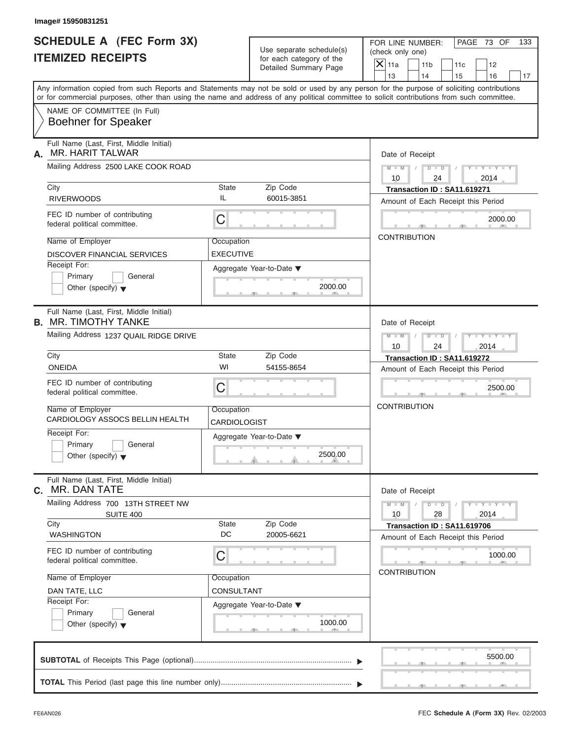| Image# 15950831251                                                                                                                                                                                                                                                                      |                                |                                                      |                                                                                                               |
|-----------------------------------------------------------------------------------------------------------------------------------------------------------------------------------------------------------------------------------------------------------------------------------------|--------------------------------|------------------------------------------------------|---------------------------------------------------------------------------------------------------------------|
| <b>SCHEDULE A (FEC Form 3X)</b><br><b>ITEMIZED RECEIPTS</b>                                                                                                                                                                                                                             |                                | Use separate schedule(s)<br>for each category of the | PAGE 73 OF<br>FOR LINE NUMBER:<br>133<br>(check only one)<br>$\mathsf{X}$ 11a<br>11 <sub>b</sub><br>11c<br>12 |
|                                                                                                                                                                                                                                                                                         |                                | Detailed Summary Page                                | 13<br>14<br>15<br>16                                                                                          |
| Any information copied from such Reports and Statements may not be sold or used by any person for the purpose of soliciting contributions<br>or for commercial purposes, other than using the name and address of any political committee to solicit contributions from such committee. |                                |                                                      |                                                                                                               |
| NAME OF COMMITTEE (In Full)<br><b>Boehner for Speaker</b>                                                                                                                                                                                                                               |                                |                                                      |                                                                                                               |
| Full Name (Last, First, Middle Initial)<br>MR. HARIT TALWAR<br>А.                                                                                                                                                                                                                       |                                |                                                      | Date of Receipt                                                                                               |
| Mailing Address 2500 LAKE COOK ROAD                                                                                                                                                                                                                                                     |                                |                                                      | $D$ $D$<br>$Y - Y - Y - Y - Y$<br>$M - M$ /<br>10<br>24<br>2014                                               |
| City<br><b>RIVERWOODS</b>                                                                                                                                                                                                                                                               | State<br>IL                    | Zip Code<br>60015-3851                               | Transaction ID: SA11.619271<br>Amount of Each Receipt this Period                                             |
| FEC ID number of contributing<br>federal political committee.                                                                                                                                                                                                                           | C                              |                                                      | 2000.00                                                                                                       |
| Name of Employer<br>DISCOVER FINANCIAL SERVICES                                                                                                                                                                                                                                         | Occupation<br><b>EXECUTIVE</b> |                                                      | <b>CONTRIBUTION</b>                                                                                           |
| Receipt For:<br>Primary<br>General<br>Other (specify) $\blacktriangledown$                                                                                                                                                                                                              |                                | Aggregate Year-to-Date ▼<br>2000.00                  |                                                                                                               |
| Full Name (Last, First, Middle Initial)<br><b>B. MR. TIMOTHY TANKE</b>                                                                                                                                                                                                                  |                                |                                                      | Date of Receipt                                                                                               |
| Mailing Address 1237 QUAIL RIDGE DRIVE                                                                                                                                                                                                                                                  |                                |                                                      | $M$ $M$<br>$D - I - D$<br>Y TYTTYTTY<br>10<br>24<br>2014                                                      |
| City                                                                                                                                                                                                                                                                                    | State                          | Zip Code                                             | Transaction ID: SA11.619272                                                                                   |
| <b>ONEIDA</b>                                                                                                                                                                                                                                                                           | WI                             | 54155-8654                                           | Amount of Each Receipt this Period                                                                            |
| FEC ID number of contributing<br>federal political committee.                                                                                                                                                                                                                           | C                              |                                                      | 2500.00                                                                                                       |
| Name of Employer<br>CARDIOLOGY ASSOCS BELLIN HEALTH                                                                                                                                                                                                                                     | Occupation<br>CARDIOLOGIST     |                                                      | <b>CONTRIBUTION</b>                                                                                           |
| Receipt For:<br>Primary<br>General                                                                                                                                                                                                                                                      |                                | Aggregate Year-to-Date ▼                             |                                                                                                               |
| Other (specify) $\blacktriangledown$                                                                                                                                                                                                                                                    |                                | 2500.00                                              |                                                                                                               |
| Full Name (Last, First, Middle Initial)<br>MR. DAN TATE<br>С.                                                                                                                                                                                                                           |                                |                                                      | Date of Receipt                                                                                               |
| Mailing Address 700 13TH STREET NW<br><b>SUITE 400</b>                                                                                                                                                                                                                                  |                                |                                                      | $Y - Y - Y - Y - Y$<br>$M - M$<br>$D - D$<br>10<br>28<br>2014                                                 |
| City<br><b>WASHINGTON</b>                                                                                                                                                                                                                                                               | State<br>DC                    | Zip Code<br>20005-6621                               | Transaction ID: SA11.619706<br>Amount of Each Receipt this Period                                             |
| FEC ID number of contributing<br>federal political committee.                                                                                                                                                                                                                           | С                              |                                                      | 1000.00<br><b>CONTRIBUTION</b>                                                                                |
| Name of Employer                                                                                                                                                                                                                                                                        | Occupation                     |                                                      |                                                                                                               |
| DAN TATE, LLC                                                                                                                                                                                                                                                                           | CONSULTANT                     |                                                      |                                                                                                               |
| Receipt For:<br>Primary<br>General                                                                                                                                                                                                                                                      |                                | Aggregate Year-to-Date ▼                             |                                                                                                               |
| Other (specify) $\blacktriangledown$                                                                                                                                                                                                                                                    |                                | 1000.00                                              |                                                                                                               |
|                                                                                                                                                                                                                                                                                         |                                |                                                      | 5500.00                                                                                                       |
|                                                                                                                                                                                                                                                                                         |                                |                                                      |                                                                                                               |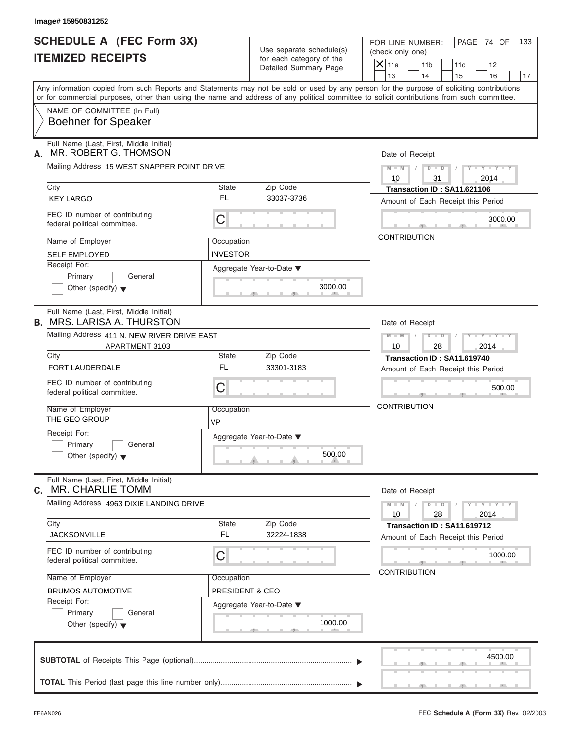| lmage# 15950831252 |  |
|--------------------|--|
|--------------------|--|

| Image# 15950831252                                                           |                                                      |                                                                                                                                                                                                                                                                                         |
|------------------------------------------------------------------------------|------------------------------------------------------|-----------------------------------------------------------------------------------------------------------------------------------------------------------------------------------------------------------------------------------------------------------------------------------------|
| <b>SCHEDULE A (FEC Form 3X)</b><br><b>ITEMIZED RECEIPTS</b>                  | Use separate schedule(s)<br>for each category of the | PAGE 74 OF<br>FOR LINE NUMBER:<br>133<br>(check only one)                                                                                                                                                                                                                               |
|                                                                              | Detailed Summary Page                                | $X$ 11a<br>11 <sub>b</sub><br>11c<br>12<br>13<br>14<br>15<br>16<br>17                                                                                                                                                                                                                   |
|                                                                              |                                                      | Any information copied from such Reports and Statements may not be sold or used by any person for the purpose of soliciting contributions<br>or for commercial purposes, other than using the name and address of any political committee to solicit contributions from such committee. |
| NAME OF COMMITTEE (In Full)<br><b>Boehner for Speaker</b>                    |                                                      |                                                                                                                                                                                                                                                                                         |
| Full Name (Last, First, Middle Initial)<br>MR. ROBERT G. THOMSON<br>А.       |                                                      | Date of Receipt                                                                                                                                                                                                                                                                         |
| Mailing Address 15 WEST SNAPPER POINT DRIVE                                  |                                                      | $D$ $\Box$ $D$<br>$Y - Y - Y - Y - Y$<br>$M - M$ /<br>$\sqrt{2}$                                                                                                                                                                                                                        |
| City                                                                         | Zip Code<br><b>State</b>                             | 10<br>31<br>2014<br>Transaction ID: SA11.621106                                                                                                                                                                                                                                         |
| <b>KEY LARGO</b>                                                             | FL<br>33037-3736                                     | Amount of Each Receipt this Period                                                                                                                                                                                                                                                      |
| FEC ID number of contributing<br>federal political committee.                | C                                                    | 3000.00                                                                                                                                                                                                                                                                                 |
| Name of Employer                                                             | Occupation                                           | <b>CONTRIBUTION</b>                                                                                                                                                                                                                                                                     |
| <b>SELF EMPLOYED</b>                                                         | <b>INVESTOR</b>                                      |                                                                                                                                                                                                                                                                                         |
| Receipt For:                                                                 | Aggregate Year-to-Date ▼                             |                                                                                                                                                                                                                                                                                         |
| Primary<br>General<br>Other (specify) $\blacktriangledown$                   | 3000.00                                              |                                                                                                                                                                                                                                                                                         |
| Full Name (Last, First, Middle Initial)<br><b>B.</b> MRS. LARISA A. THURSTON |                                                      | Date of Receipt                                                                                                                                                                                                                                                                         |
| Mailing Address 411 N. NEW RIVER DRIVE EAST<br>APARTMENT 3103                |                                                      | $D - I$<br>$Y - Y - Y - Y - Y$<br>$M - M$<br>10<br>28<br>2014                                                                                                                                                                                                                           |
| City                                                                         | Zip Code<br><b>State</b>                             | Transaction ID: SA11.619740                                                                                                                                                                                                                                                             |
| <b>FORT LAUDERDALE</b>                                                       | <b>FL</b><br>33301-3183                              | Amount of Each Receipt this Period                                                                                                                                                                                                                                                      |
| FEC ID number of contributing<br>federal political committee.                | C                                                    | 500.00                                                                                                                                                                                                                                                                                  |
| Name of Employer<br>THE GEO GROUP                                            | Occupation<br>VP                                     | <b>CONTRIBUTION</b>                                                                                                                                                                                                                                                                     |
| Receipt For:                                                                 | Aggregate Year-to-Date ▼                             |                                                                                                                                                                                                                                                                                         |
| Primary<br>General<br>Other (specify) $\blacktriangledown$                   | 500.00                                               |                                                                                                                                                                                                                                                                                         |
| Full Name (Last, First, Middle Initial)<br><b>MR. CHARLIE TOMM</b><br>С.     |                                                      | Date of Receipt                                                                                                                                                                                                                                                                         |
| Mailing Address 4963 DIXIE LANDING DRIVE                                     |                                                      | $Y - Y - Y - Y - Y$<br>$M - M$<br>$D$ $\Box$ $D$<br>10<br>28<br>2014                                                                                                                                                                                                                    |
| City<br><b>JACKSONVILLE</b>                                                  | State<br>Zip Code<br><b>FL</b><br>32224-1838         | Transaction ID: SA11.619712<br>Amount of Each Receipt this Period                                                                                                                                                                                                                       |
| FEC ID number of contributing<br>federal political committee.                | С                                                    | 1000.00                                                                                                                                                                                                                                                                                 |
| Name of Employer                                                             | Occupation                                           | <b>CONTRIBUTION</b>                                                                                                                                                                                                                                                                     |
| <b>BRUMOS AUTOMOTIVE</b>                                                     | PRESIDENT & CEO                                      |                                                                                                                                                                                                                                                                                         |
| Receipt For:                                                                 | Aggregate Year-to-Date ▼                             |                                                                                                                                                                                                                                                                                         |
| Primary<br>General<br>Other (specify) $\blacktriangledown$                   | 1000.00                                              |                                                                                                                                                                                                                                                                                         |
|                                                                              |                                                      | 4500.00                                                                                                                                                                                                                                                                                 |
|                                                                              |                                                      |                                                                                                                                                                                                                                                                                         |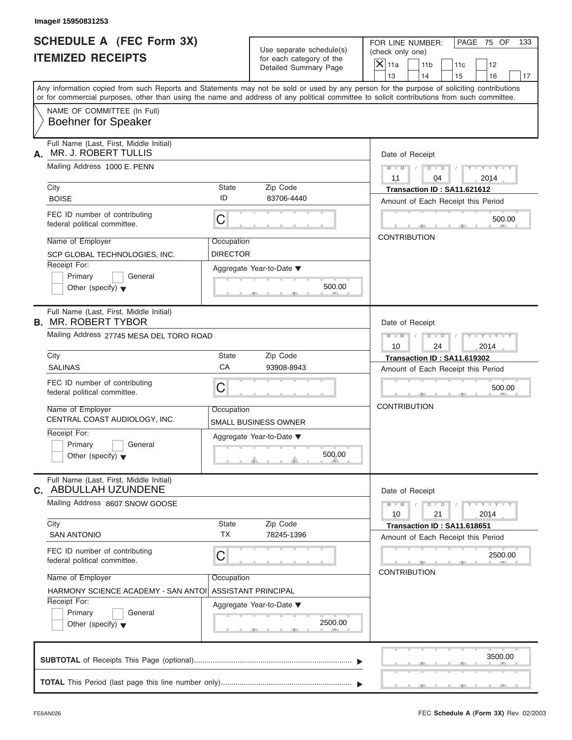| Image# 15950831253                                                         |                               |                                                      |                                                                                                                                                                                                                                                                                         |
|----------------------------------------------------------------------------|-------------------------------|------------------------------------------------------|-----------------------------------------------------------------------------------------------------------------------------------------------------------------------------------------------------------------------------------------------------------------------------------------|
| <b>SCHEDULE A (FEC Form 3X)</b><br><b>ITEMIZED RECEIPTS</b>                |                               | Use separate schedule(s)<br>for each category of the | PAGE 75 OF<br>FOR LINE NUMBER:<br>133<br>(check only one)<br>$\overline{X}$ 11a<br>11 <sub>b</sub><br>11c<br>12                                                                                                                                                                         |
|                                                                            |                               | Detailed Summary Page                                | 13<br>14<br>15<br>16<br>17                                                                                                                                                                                                                                                              |
|                                                                            |                               |                                                      | Any information copied from such Reports and Statements may not be sold or used by any person for the purpose of soliciting contributions<br>or for commercial purposes, other than using the name and address of any political committee to solicit contributions from such committee. |
| NAME OF COMMITTEE (In Full)<br><b>Boehner for Speaker</b>                  |                               |                                                      |                                                                                                                                                                                                                                                                                         |
| Full Name (Last, First, Middle Initial)<br>MR. J. ROBERT TULLIS<br>А.      |                               |                                                      | Date of Receipt                                                                                                                                                                                                                                                                         |
| Mailing Address 1000 E. PENN                                               |                               |                                                      | $M - M$<br>$D$ $D$<br>$Y - Y - Y - Y$<br>04<br>2014<br>11                                                                                                                                                                                                                               |
| City<br><b>BOISE</b>                                                       | State<br>ID                   | Zip Code<br>83706-4440                               | Transaction ID: SA11.621612<br>Amount of Each Receipt this Period                                                                                                                                                                                                                       |
| FEC ID number of contributing<br>federal political committee.              | C                             |                                                      | 500.00                                                                                                                                                                                                                                                                                  |
| Name of Employer<br>SCP GLOBAL TECHNOLOGIES, INC.                          | Occupation<br><b>DIRECTOR</b> |                                                      | <b>CONTRIBUTION</b>                                                                                                                                                                                                                                                                     |
| Receipt For:<br>Primary<br>General<br>Other (specify) $\blacktriangledown$ |                               | Aggregate Year-to-Date ▼<br>500.00                   |                                                                                                                                                                                                                                                                                         |
| Full Name (Last, First, Middle Initial)<br><b>B. MR. ROBERT TYBOR</b>      |                               |                                                      | Date of Receipt                                                                                                                                                                                                                                                                         |
| Mailing Address 27745 MESA DEL TORO ROAD                                   |                               |                                                      | $D - I - D$<br>Y T Y T Y T<br>$M - M$<br>2014<br>10<br>24                                                                                                                                                                                                                               |
| City                                                                       | State                         | Zip Code                                             | Transaction ID: SA11.619302                                                                                                                                                                                                                                                             |
| <b>SALINAS</b>                                                             | CA                            | 93908-8943                                           | Amount of Each Receipt this Period                                                                                                                                                                                                                                                      |
| FEC ID number of contributing<br>federal political committee.              | C                             |                                                      | 500.00                                                                                                                                                                                                                                                                                  |
| Name of Employer<br>CENTRAL COAST AUDIOLOGY, INC.                          | Occupation                    | SMALL BUSINESS OWNER                                 | <b>CONTRIBUTION</b>                                                                                                                                                                                                                                                                     |
| Receipt For:                                                               |                               | Aggregate Year-to-Date ▼                             |                                                                                                                                                                                                                                                                                         |
| Primary<br>General<br>Other (specify) $\blacktriangledown$                 |                               | 500.00                                               |                                                                                                                                                                                                                                                                                         |
| Full Name (Last, First, Middle Initial)<br>C. ABDULLAH UZUNDENE            |                               |                                                      | Date of Receipt                                                                                                                                                                                                                                                                         |
| Mailing Address 8607 SNOW GOOSE                                            |                               |                                                      | $M - M$<br>$D$ $\Box$ $D$<br>$Y + Y + Y + Y$<br>2014<br>10<br>21                                                                                                                                                                                                                        |
| City<br><b>SAN ANTONIO</b>                                                 | State<br><b>TX</b>            | Zip Code<br>78245-1396                               | Transaction ID: SA11.618651<br>Amount of Each Receipt this Period                                                                                                                                                                                                                       |
| FEC ID number of contributing<br>federal political committee.              | С                             |                                                      | 2500.00<br><b>CONTRIBUTION</b>                                                                                                                                                                                                                                                          |
| Name of Employer                                                           | Occupation                    |                                                      |                                                                                                                                                                                                                                                                                         |
| HARMONY SCIENCE ACADEMY - SAN ANTOI<br>Receipt For:                        |                               | <b>ASSISTANT PRINCIPAL</b>                           |                                                                                                                                                                                                                                                                                         |
| Primary<br>General                                                         |                               | Aggregate Year-to-Date ▼                             |                                                                                                                                                                                                                                                                                         |
| Other (specify) $\blacktriangledown$                                       |                               | 2500.00                                              |                                                                                                                                                                                                                                                                                         |
|                                                                            |                               |                                                      | 3500.00                                                                                                                                                                                                                                                                                 |
|                                                                            |                               |                                                      |                                                                                                                                                                                                                                                                                         |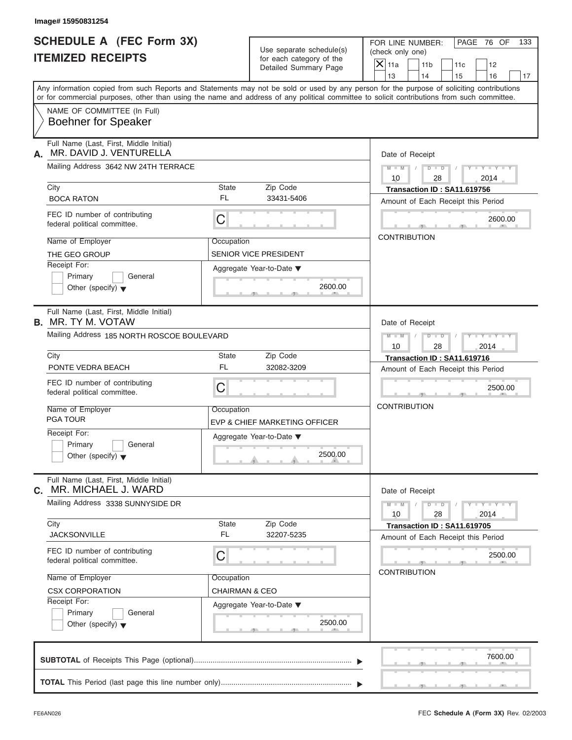| Image# 15950831254                                                         |                           |                                                      |                                                                                                                                                                                                                                                                                         |
|----------------------------------------------------------------------------|---------------------------|------------------------------------------------------|-----------------------------------------------------------------------------------------------------------------------------------------------------------------------------------------------------------------------------------------------------------------------------------------|
| <b>SCHEDULE A (FEC Form 3X)</b><br><b>ITEMIZED RECEIPTS</b>                |                           | Use separate schedule(s)<br>for each category of the | PAGE 76 OF<br>FOR LINE NUMBER:<br>133<br>(check only one)                                                                                                                                                                                                                               |
|                                                                            |                           | Detailed Summary Page                                | $\mathsf{X}$ 11a<br>11 <sub>b</sub><br>11c<br>12<br>13<br>14<br>15<br>16<br>17                                                                                                                                                                                                          |
|                                                                            |                           |                                                      | Any information copied from such Reports and Statements may not be sold or used by any person for the purpose of soliciting contributions<br>or for commercial purposes, other than using the name and address of any political committee to solicit contributions from such committee. |
| NAME OF COMMITTEE (In Full)<br><b>Boehner for Speaker</b>                  |                           |                                                      |                                                                                                                                                                                                                                                                                         |
| Full Name (Last, First, Middle Initial)<br>MR. DAVID J. VENTURELLA<br>А.   |                           |                                                      | Date of Receipt                                                                                                                                                                                                                                                                         |
| Mailing Address 3642 NW 24TH TERRACE                                       |                           |                                                      | $D - D$<br>$M - M$<br>$Y - Y - Y - Y$<br>10<br>28<br>2014                                                                                                                                                                                                                               |
| City                                                                       | State                     | Zip Code                                             | Transaction ID: SA11.619756                                                                                                                                                                                                                                                             |
| <b>BOCA RATON</b>                                                          | FL                        | 33431-5406                                           | Amount of Each Receipt this Period                                                                                                                                                                                                                                                      |
| FEC ID number of contributing<br>federal political committee.              | C                         |                                                      | 2600.00                                                                                                                                                                                                                                                                                 |
| Name of Employer                                                           | Occupation                |                                                      | <b>CONTRIBUTION</b>                                                                                                                                                                                                                                                                     |
| THE GEO GROUP                                                              |                           | SENIOR VICE PRESIDENT                                |                                                                                                                                                                                                                                                                                         |
| Receipt For:                                                               |                           | Aggregate Year-to-Date ▼                             |                                                                                                                                                                                                                                                                                         |
| Primary<br>General<br>Other (specify) $\blacktriangledown$                 |                           | 2600.00                                              |                                                                                                                                                                                                                                                                                         |
| Full Name (Last, First, Middle Initial)<br><b>B.</b> MR. TY M. VOTAW       |                           |                                                      | Date of Receipt                                                                                                                                                                                                                                                                         |
| Mailing Address 185 NORTH ROSCOE BOULEVARD                                 |                           |                                                      | $M - M$<br>$D - I - D$<br>Y T Y T Y T                                                                                                                                                                                                                                                   |
|                                                                            |                           |                                                      | 2014<br>10<br>28                                                                                                                                                                                                                                                                        |
| City                                                                       | State<br><b>FL</b>        | Zip Code                                             | Transaction ID: SA11.619716                                                                                                                                                                                                                                                             |
| PONTE VEDRA BEACH                                                          |                           | 32082-3209                                           | Amount of Each Receipt this Period                                                                                                                                                                                                                                                      |
| FEC ID number of contributing<br>federal political committee.              | C                         |                                                      | 2500.00                                                                                                                                                                                                                                                                                 |
| Name of Employer                                                           | Occupation                |                                                      | <b>CONTRIBUTION</b>                                                                                                                                                                                                                                                                     |
| <b>PGA TOUR</b>                                                            |                           | EVP & CHIEF MARKETING OFFICER                        |                                                                                                                                                                                                                                                                                         |
| Receipt For:<br>Primary<br>General<br>Other (specify) $\blacktriangledown$ |                           | Aggregate Year-to-Date ▼<br>2500.00                  |                                                                                                                                                                                                                                                                                         |
| Full Name (Last, First, Middle Initial)<br>MR. MICHAEL J. WARD<br>С.       |                           |                                                      | Date of Receipt                                                                                                                                                                                                                                                                         |
| Mailing Address 3338 SUNNYSIDE DR                                          |                           |                                                      | $M - M$<br>$D$ $\Box$ $D$<br>$\mathbf{I} = \mathbf{Y} + \mathbf{I} - \mathbf{Y}$<br>2014<br>10<br>28                                                                                                                                                                                    |
| City<br><b>JACKSONVILLE</b>                                                | State<br>FL               | Zip Code<br>32207-5235                               | Transaction ID: SA11.619705<br>Amount of Each Receipt this Period                                                                                                                                                                                                                       |
| FEC ID number of contributing<br>federal political committee.              | С                         |                                                      | 2500.00                                                                                                                                                                                                                                                                                 |
| Name of Employer                                                           | Occupation                |                                                      | <b>CONTRIBUTION</b>                                                                                                                                                                                                                                                                     |
| <b>CSX CORPORATION</b>                                                     | <b>CHAIRMAN &amp; CEO</b> |                                                      |                                                                                                                                                                                                                                                                                         |
| Receipt For:                                                               |                           | Aggregate Year-to-Date ▼                             |                                                                                                                                                                                                                                                                                         |
| Primary<br>General<br>Other (specify) $\blacktriangledown$                 |                           | 2500.00                                              |                                                                                                                                                                                                                                                                                         |
|                                                                            |                           |                                                      | 7600.00                                                                                                                                                                                                                                                                                 |
|                                                                            |                           |                                                      |                                                                                                                                                                                                                                                                                         |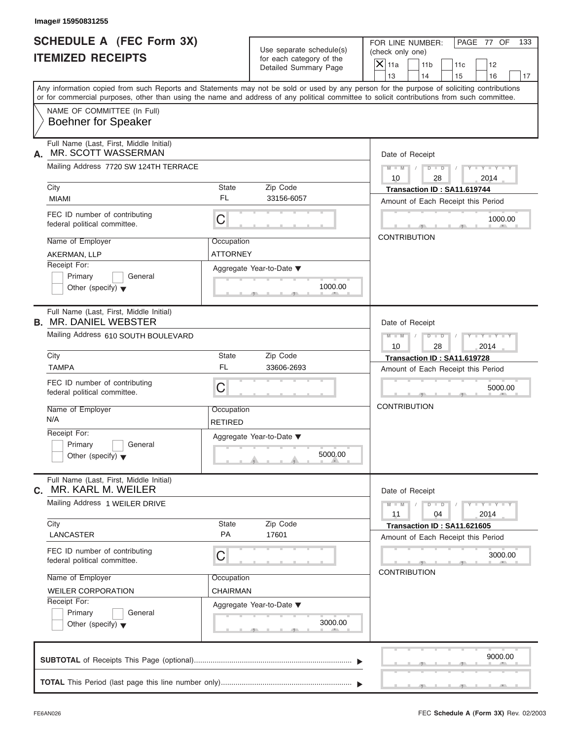| Image# 15950831255                                                         |                               |                                                                               |                                                                                                                                                                                                                                                                                                                       |
|----------------------------------------------------------------------------|-------------------------------|-------------------------------------------------------------------------------|-----------------------------------------------------------------------------------------------------------------------------------------------------------------------------------------------------------------------------------------------------------------------------------------------------------------------|
| <b>SCHEDULE A (FEC Form 3X)</b><br><b>ITEMIZED RECEIPTS</b>                |                               | Use separate schedule(s)<br>for each category of the<br>Detailed Summary Page | PAGE 77 OF<br>FOR LINE NUMBER:<br>133<br>(check only one)<br>$\mathsf{X}$ 11a<br>11 <sub>b</sub><br>12<br>11c                                                                                                                                                                                                         |
|                                                                            |                               |                                                                               | 13<br>14<br>15<br>16<br>17<br>Any information copied from such Reports and Statements may not be sold or used by any person for the purpose of soliciting contributions<br>or for commercial purposes, other than using the name and address of any political committee to solicit contributions from such committee. |
| NAME OF COMMITTEE (In Full)<br><b>Boehner for Speaker</b>                  |                               |                                                                               |                                                                                                                                                                                                                                                                                                                       |
| Full Name (Last, First, Middle Initial)<br>MR. SCOTT WASSERMAN<br>А.       |                               |                                                                               | Date of Receipt                                                                                                                                                                                                                                                                                                       |
| Mailing Address 7720 SW 124TH TERRACE                                      |                               |                                                                               | $D$ $\Box$ $D$<br>$Y - Y - Y - Y - Y$<br>$M - M$<br>$\sqrt{ }$<br>10<br>28<br>2014                                                                                                                                                                                                                                    |
| City<br><b>MIAMI</b>                                                       | State<br>FL                   | Zip Code<br>33156-6057                                                        | Transaction ID: SA11.619744<br>Amount of Each Receipt this Period                                                                                                                                                                                                                                                     |
| FEC ID number of contributing<br>federal political committee.              | $\mathsf C$                   |                                                                               | 1000.00                                                                                                                                                                                                                                                                                                               |
| Name of Employer<br>AKERMAN, LLP                                           | Occupation<br><b>ATTORNEY</b> |                                                                               | <b>CONTRIBUTION</b>                                                                                                                                                                                                                                                                                                   |
| Receipt For:<br>Primary<br>General<br>Other (specify) $\blacktriangledown$ |                               | Aggregate Year-to-Date ▼<br>1000.00                                           |                                                                                                                                                                                                                                                                                                                       |
| Full Name (Last, First, Middle Initial)<br><b>B. MR. DANIEL WEBSTER</b>    |                               |                                                                               | Date of Receipt                                                                                                                                                                                                                                                                                                       |
| Mailing Address 610 SOUTH BOULEVARD                                        |                               |                                                                               | $M - M$<br>$D - D$<br>Y T Y T Y T<br>2014<br>10<br>28                                                                                                                                                                                                                                                                 |
| City<br><b>TAMPA</b>                                                       | <b>State</b><br><b>FL</b>     | Zip Code<br>33606-2693                                                        | Transaction ID: SA11.619728                                                                                                                                                                                                                                                                                           |
| FEC ID number of contributing<br>federal political committee.              | C                             |                                                                               | Amount of Each Receipt this Period<br>5000.00                                                                                                                                                                                                                                                                         |
| Name of Employer<br>N/A                                                    | Occupation<br>RETIRED         |                                                                               | <b>CONTRIBUTION</b>                                                                                                                                                                                                                                                                                                   |
| Receipt For:<br>Primary<br>General<br>Other (specify) $\blacktriangledown$ |                               | Aggregate Year-to-Date ▼<br>5000.00                                           |                                                                                                                                                                                                                                                                                                                       |
| Full Name (Last, First, Middle Initial)<br>MR. KARL M. WEILER<br>С.        |                               |                                                                               | Date of Receipt                                                                                                                                                                                                                                                                                                       |
| Mailing Address 1 WEILER DRIVE                                             |                               |                                                                               | $M - M$<br>$D$ $\Box$ $D$<br>$Y - Y - Y - Y - I$<br>11<br>04<br>2014                                                                                                                                                                                                                                                  |
| City<br>LANCASTER                                                          | <b>State</b><br>PA            | Zip Code<br>17601                                                             | Transaction ID: SA11.621605<br>Amount of Each Receipt this Period                                                                                                                                                                                                                                                     |
| FEC ID number of contributing<br>federal political committee.              | C                             |                                                                               | 3000.00<br><b>CONTRIBUTION</b>                                                                                                                                                                                                                                                                                        |
| Name of Employer<br><b>WEILER CORPORATION</b>                              | Occupation<br>CHAIRMAN        |                                                                               |                                                                                                                                                                                                                                                                                                                       |
| Receipt For:<br>Primary<br>General<br>Other (specify) $\blacktriangledown$ |                               | Aggregate Year-to-Date ▼<br>3000.00                                           |                                                                                                                                                                                                                                                                                                                       |
|                                                                            |                               |                                                                               | 9000.00                                                                                                                                                                                                                                                                                                               |
|                                                                            |                               |                                                                               |                                                                                                                                                                                                                                                                                                                       |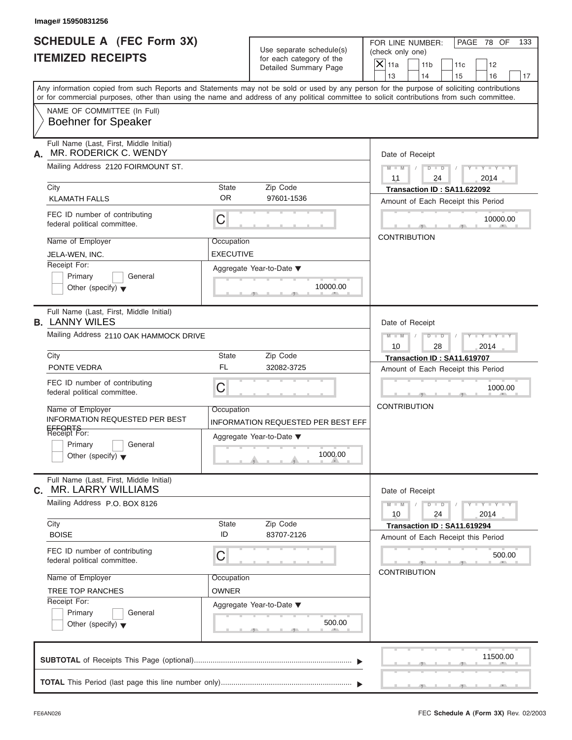| Image# 15950831256                                                                                                                         |                  |                                    |                     |                                                           |                                    |                             |    |
|--------------------------------------------------------------------------------------------------------------------------------------------|------------------|------------------------------------|---------------------|-----------------------------------------------------------|------------------------------------|-----------------------------|----|
| <b>SCHEDULE A (FEC Form 3X)</b>                                                                                                            |                  | Use separate schedule(s)           |                     | PAGE 78 OF<br>FOR LINE NUMBER:<br>133<br>(check only one) |                                    |                             |    |
| <b>ITEMIZED RECEIPTS</b>                                                                                                                   |                  | for each category of the           | $X$ 11a             | 11 <sub>b</sub>                                           |                                    |                             |    |
|                                                                                                                                            |                  | Detailed Summary Page              | 13                  | 14                                                        | 11c<br>15                          | 12<br>16                    | 17 |
| Any information copied from such Reports and Statements may not be sold or used by any person for the purpose of soliciting contributions  |                  |                                    |                     |                                                           |                                    |                             |    |
| or for commercial purposes, other than using the name and address of any political committee to solicit contributions from such committee. |                  |                                    |                     |                                                           |                                    |                             |    |
| NAME OF COMMITTEE (In Full)<br><b>Boehner for Speaker</b>                                                                                  |                  |                                    |                     |                                                           |                                    |                             |    |
| Full Name (Last, First, Middle Initial)<br>MR. RODERICK C. WENDY<br>А.                                                                     |                  |                                    |                     | Date of Receipt                                           |                                    |                             |    |
| Mailing Address 2120 FOIRMOUNT ST.                                                                                                         |                  |                                    | $M - M$<br>11       | $D$ $D$<br>24                                             |                                    | $Y - Y - Y - Y - Y$<br>2014 |    |
| City                                                                                                                                       | <b>State</b>     | Zip Code                           |                     |                                                           | Transaction ID: SA11.622092        |                             |    |
| <b>KLAMATH FALLS</b>                                                                                                                       | <b>OR</b>        | 97601-1536                         |                     |                                                           | Amount of Each Receipt this Period |                             |    |
| FEC ID number of contributing<br>federal political committee.                                                                              | С                |                                    |                     |                                                           |                                    | 10000.00                    |    |
| Name of Employer                                                                                                                           | Occupation       |                                    |                     | <b>CONTRIBUTION</b>                                       |                                    |                             |    |
| JELA-WEN, INC.                                                                                                                             | <b>EXECUTIVE</b> |                                    |                     |                                                           |                                    |                             |    |
| Receipt For:                                                                                                                               |                  | Aggregate Year-to-Date ▼           |                     |                                                           |                                    |                             |    |
| Primary<br>General                                                                                                                         |                  |                                    |                     |                                                           |                                    |                             |    |
| Other (specify) $\blacktriangledown$                                                                                                       |                  | 10000.00                           |                     |                                                           |                                    |                             |    |
| Full Name (Last, First, Middle Initial)<br><b>B. LANNY WILES</b>                                                                           |                  |                                    |                     | Date of Receipt                                           |                                    |                             |    |
| Mailing Address 2110 OAK HAMMOCK DRIVE                                                                                                     |                  |                                    | $M$ $M$             | $D - I - D$                                               |                                    | Y TYTTYTTY                  |    |
|                                                                                                                                            |                  |                                    | 10                  | 28                                                        |                                    | 2014                        |    |
| City                                                                                                                                       | <b>State</b>     | Zip Code                           |                     |                                                           | Transaction ID: SA11.619707        |                             |    |
| PONTE VEDRA                                                                                                                                | <b>FL</b>        | 32082-3725                         |                     |                                                           | Amount of Each Receipt this Period |                             |    |
| FEC ID number of contributing<br>federal political committee.                                                                              | C                |                                    |                     |                                                           |                                    | 1000.00                     |    |
| Name of Employer                                                                                                                           | Occupation       |                                    | <b>CONTRIBUTION</b> |                                                           |                                    |                             |    |
| <b>INFORMATION REQUESTED PER BEST</b>                                                                                                      |                  | INFORMATION REQUESTED PER BEST EFF |                     |                                                           |                                    |                             |    |
| EFFORTS<br>Receipt For:                                                                                                                    |                  | Aggregate Year-to-Date ▼           |                     |                                                           |                                    |                             |    |
| Primary<br>General<br>Other (specify) $\blacktriangledown$                                                                                 |                  | 1000.00                            |                     |                                                           |                                    |                             |    |
| Full Name (Last, First, Middle Initial)<br><b>MR. LARRY WILLIAMS</b><br>С.                                                                 |                  |                                    |                     | Date of Receipt                                           |                                    |                             |    |
| Mailing Address P.O. BOX 8126                                                                                                              |                  |                                    | $M - M$<br>10       | $D - D$<br>24                                             |                                    | $Y = Y = Y + Y$<br>2014     |    |
| City<br><b>BOISE</b>                                                                                                                       | State<br>ID      | Zip Code<br>83707-2126             |                     |                                                           | Transaction ID: SA11.619294        |                             |    |
|                                                                                                                                            |                  |                                    |                     |                                                           | Amount of Each Receipt this Period |                             |    |
| FEC ID number of contributing<br>federal political committee.                                                                              | С                |                                    |                     | <b>CONTRIBUTION</b>                                       |                                    | 500.00                      |    |
| Name of Employer                                                                                                                           | Occupation       |                                    |                     |                                                           |                                    |                             |    |
| <b>TREE TOP RANCHES</b>                                                                                                                    | <b>OWNER</b>     |                                    |                     |                                                           |                                    |                             |    |
| Receipt For:                                                                                                                               |                  | Aggregate Year-to-Date ▼           |                     |                                                           |                                    |                             |    |
| Primary<br>General<br>Other (specify) $\blacktriangledown$                                                                                 |                  | 500.00                             |                     |                                                           |                                    |                             |    |
|                                                                                                                                            |                  |                                    |                     |                                                           |                                    | 11500.00                    |    |
|                                                                                                                                            |                  |                                    |                     |                                                           |                                    |                             |    |
|                                                                                                                                            |                  |                                    |                     |                                                           |                                    |                             |    |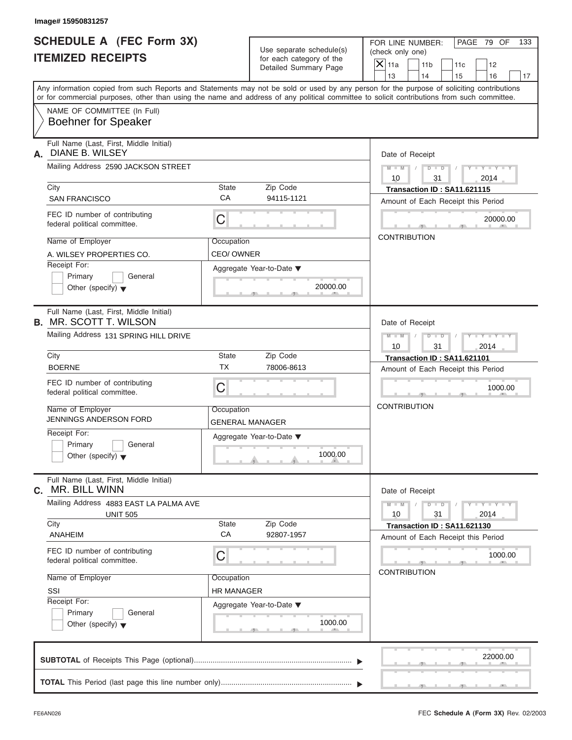| Image# 15950831257                                                         |                                      |                                                                               |                                                                                                                                                                                                                                                                                                                       |
|----------------------------------------------------------------------------|--------------------------------------|-------------------------------------------------------------------------------|-----------------------------------------------------------------------------------------------------------------------------------------------------------------------------------------------------------------------------------------------------------------------------------------------------------------------|
| <b>SCHEDULE A (FEC Form 3X)</b><br><b>ITEMIZED RECEIPTS</b>                |                                      | Use separate schedule(s)<br>for each category of the<br>Detailed Summary Page | PAGE 79 OF<br>FOR LINE NUMBER:<br>133<br>(check only one)<br>$\mathsf{X}$ 11a<br>11 <sub>b</sub><br>11c<br>12                                                                                                                                                                                                         |
|                                                                            |                                      |                                                                               | 13<br>14<br>15<br>16<br>17<br>Any information copied from such Reports and Statements may not be sold or used by any person for the purpose of soliciting contributions<br>or for commercial purposes, other than using the name and address of any political committee to solicit contributions from such committee. |
| NAME OF COMMITTEE (In Full)<br><b>Boehner for Speaker</b>                  |                                      |                                                                               |                                                                                                                                                                                                                                                                                                                       |
| Full Name (Last, First, Middle Initial)<br>DIANE B. WILSEY<br>А.           |                                      |                                                                               | Date of Receipt                                                                                                                                                                                                                                                                                                       |
| Mailing Address 2590 JACKSON STREET                                        |                                      |                                                                               | $D - D$<br>$M - M$<br>$Y - Y - Y - Y - Y$<br>10<br>31<br>2014                                                                                                                                                                                                                                                         |
| City<br><b>SAN FRANCISCO</b>                                               | State<br>CA                          | Zip Code<br>94115-1121                                                        | Transaction ID: SA11.621115<br>Amount of Each Receipt this Period                                                                                                                                                                                                                                                     |
| FEC ID number of contributing<br>federal political committee.              | C                                    |                                                                               | 20000.00                                                                                                                                                                                                                                                                                                              |
| Name of Employer<br>A. WILSEY PROPERTIES CO.                               | Occupation<br>CEO/OWNER              |                                                                               | <b>CONTRIBUTION</b>                                                                                                                                                                                                                                                                                                   |
| Receipt For:<br>Primary<br>General<br>Other (specify) $\blacktriangledown$ |                                      | Aggregate Year-to-Date ▼<br>20000.00                                          |                                                                                                                                                                                                                                                                                                                       |
| Full Name (Last, First, Middle Initial)<br><b>B.</b> MR. SCOTT T. WILSON   |                                      |                                                                               | Date of Receipt                                                                                                                                                                                                                                                                                                       |
| Mailing Address 131 SPRING HILL DRIVE                                      |                                      |                                                                               | $M - M$<br>$D - I - D$<br>Y T Y T Y T<br>2014<br>10<br>31                                                                                                                                                                                                                                                             |
| City<br><b>BOERNE</b>                                                      | State<br><b>TX</b>                   | Zip Code<br>78006-8613                                                        | Transaction ID: SA11.621101<br>Amount of Each Receipt this Period                                                                                                                                                                                                                                                     |
| FEC ID number of contributing<br>federal political committee.              | C                                    |                                                                               | 1000.00                                                                                                                                                                                                                                                                                                               |
| Name of Employer<br>JENNINGS ANDERSON FORD                                 | Occupation<br><b>GENERAL MANAGER</b> |                                                                               | <b>CONTRIBUTION</b>                                                                                                                                                                                                                                                                                                   |
| Receipt For:<br>Primary<br>General<br>Other (specify) $\blacktriangledown$ |                                      | Aggregate Year-to-Date ▼<br>1000.00                                           |                                                                                                                                                                                                                                                                                                                       |
| Full Name (Last, First, Middle Initial)<br>MR. BILL WINN<br>С.             |                                      |                                                                               | Date of Receipt                                                                                                                                                                                                                                                                                                       |
| Mailing Address 4883 EAST LA PALMA AVE<br><b>UNIT 505</b>                  |                                      |                                                                               | $M - M$<br>$D$ $\Box$ $D$<br>$\mathbf{I} = \mathbf{Y} - \mathbf{I} - \mathbf{Y} - \mathbf{I}$<br>2014<br>10<br>31                                                                                                                                                                                                     |
| City<br>ANAHEIM                                                            | <b>State</b><br>CA                   | Zip Code<br>92807-1957                                                        | Transaction ID: SA11.621130<br>Amount of Each Receipt this Period                                                                                                                                                                                                                                                     |
| FEC ID number of contributing<br>federal political committee.              | С                                    |                                                                               | 1000.00<br><b>CONTRIBUTION</b>                                                                                                                                                                                                                                                                                        |
| Name of Employer<br>SSI                                                    | Occupation<br><b>HR MANAGER</b>      |                                                                               |                                                                                                                                                                                                                                                                                                                       |
| Receipt For:<br>Primary<br>General<br>Other (specify) $\blacktriangledown$ |                                      | Aggregate Year-to-Date ▼<br>1000.00                                           |                                                                                                                                                                                                                                                                                                                       |
|                                                                            |                                      |                                                                               | 22000.00                                                                                                                                                                                                                                                                                                              |
|                                                                            |                                      |                                                                               |                                                                                                                                                                                                                                                                                                                       |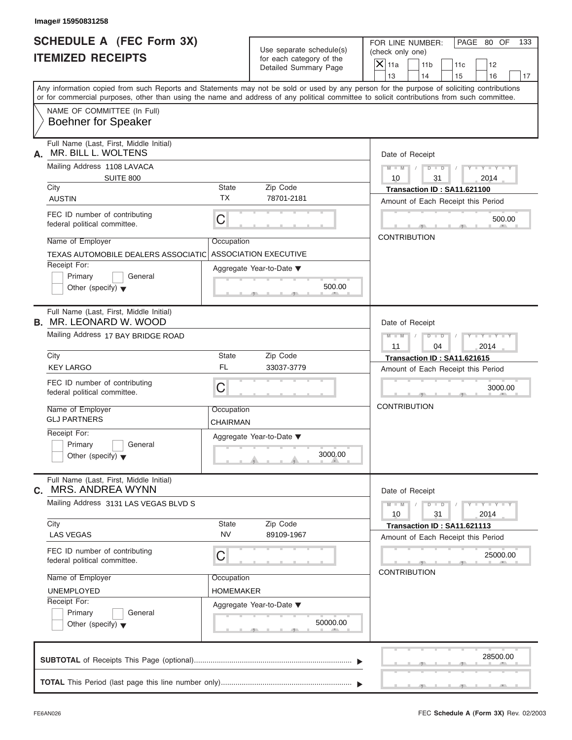| <b>SCHEDULE A (FEC Form 3X)</b><br><b>ITEMIZED RECEIPTS</b>                |                        | Use separate schedule(s)<br>for each category of the<br>Detailed Summary Page | PAGE 80 OF<br>FOR LINE NUMBER:<br>133<br>(check only one)<br>$\mathsf{X}$ 11a<br>11 <sub>b</sub><br>12<br>11c<br>13<br>14<br>15<br>16<br>17                                                                                                                                             |
|----------------------------------------------------------------------------|------------------------|-------------------------------------------------------------------------------|-----------------------------------------------------------------------------------------------------------------------------------------------------------------------------------------------------------------------------------------------------------------------------------------|
|                                                                            |                        |                                                                               | Any information copied from such Reports and Statements may not be sold or used by any person for the purpose of soliciting contributions<br>or for commercial purposes, other than using the name and address of any political committee to solicit contributions from such committee. |
| NAME OF COMMITTEE (In Full)<br><b>Boehner for Speaker</b>                  |                        |                                                                               |                                                                                                                                                                                                                                                                                         |
| Full Name (Last, First, Middle Initial)<br>MR. BILL L. WOLTENS<br>А.       |                        |                                                                               | Date of Receipt                                                                                                                                                                                                                                                                         |
| Mailing Address 1108 LAVACA                                                |                        |                                                                               | $D$ $D$<br>$Y - Y - Y - Y - Y$<br>$M - M$<br>$\sqrt{ }$                                                                                                                                                                                                                                 |
| <b>SUITE 800</b><br>City                                                   | State                  | Zip Code                                                                      | 10<br>31<br>2014                                                                                                                                                                                                                                                                        |
| <b>AUSTIN</b>                                                              | <b>TX</b>              | 78701-2181                                                                    | Transaction ID: SA11.621100<br>Amount of Each Receipt this Period                                                                                                                                                                                                                       |
| FEC ID number of contributing<br>federal political committee.              | $\mathsf C$            |                                                                               | 500.00                                                                                                                                                                                                                                                                                  |
| Name of Employer                                                           | Occupation             |                                                                               | <b>CONTRIBUTION</b>                                                                                                                                                                                                                                                                     |
| TEXAS AUTOMOBILE DEALERS ASSOCIATIC                                        |                        | <b>ASSOCIATION EXECUTIVE</b>                                                  |                                                                                                                                                                                                                                                                                         |
| Receipt For:<br>Primary<br>General<br>Other (specify) $\blacktriangledown$ |                        | Aggregate Year-to-Date ▼<br>500.00                                            |                                                                                                                                                                                                                                                                                         |
| Full Name (Last, First, Middle Initial)<br><b>B. MR. LEONARD W. WOOD</b>   |                        |                                                                               | Date of Receipt                                                                                                                                                                                                                                                                         |
| Mailing Address 17 BAY BRIDGE ROAD                                         |                        |                                                                               | $M - M$<br>$D - D$<br>Y T Y T Y T<br>2014<br>11<br>04                                                                                                                                                                                                                                   |
| City                                                                       | State                  | Zip Code                                                                      | Transaction ID: SA11.621615                                                                                                                                                                                                                                                             |
| <b>KEY LARGO</b>                                                           | <b>FL</b>              | 33037-3779                                                                    | Amount of Each Receipt this Period                                                                                                                                                                                                                                                      |
| FEC ID number of contributing<br>federal political committee.              | C                      |                                                                               | 3000.00                                                                                                                                                                                                                                                                                 |
| Name of Employer<br><b>GLJ PARTNERS</b>                                    | Occupation<br>CHAIRMAN |                                                                               | <b>CONTRIBUTION</b>                                                                                                                                                                                                                                                                     |
| Receipt For:<br>Primary<br>General<br>Other (specify) $\blacktriangledown$ |                        | Aggregate Year-to-Date ▼<br>3000.00                                           |                                                                                                                                                                                                                                                                                         |
| Full Name (Last, First, Middle Initial)<br><b>MRS. ANDREA WYNN</b><br>С.   |                        |                                                                               | Date of Receipt                                                                                                                                                                                                                                                                         |
| Mailing Address 3131 LAS VEGAS BLVD S                                      |                        |                                                                               | $M - M$<br>$D$ $\Box$ $D$<br>$Y - Y - Y - Y - Y$<br>10<br>31<br>2014                                                                                                                                                                                                                    |
| City<br><b>LAS VEGAS</b>                                                   | State<br><b>NV</b>     | Zip Code<br>89109-1967                                                        | Transaction ID: SA11.621113<br>Amount of Each Receipt this Period                                                                                                                                                                                                                       |
| FEC ID number of contributing<br>federal political committee.              | С                      |                                                                               | 25000.00                                                                                                                                                                                                                                                                                |
| Name of Employer                                                           | Occupation             |                                                                               | <b>CONTRIBUTION</b>                                                                                                                                                                                                                                                                     |
| <b>UNEMPLOYED</b>                                                          | HOMEMAKER              |                                                                               |                                                                                                                                                                                                                                                                                         |
| Receipt For:<br>Primary<br>General<br>Other (specify) $\blacktriangledown$ |                        | Aggregate Year-to-Date ▼<br>50000.00                                          |                                                                                                                                                                                                                                                                                         |
|                                                                            |                        |                                                                               |                                                                                                                                                                                                                                                                                         |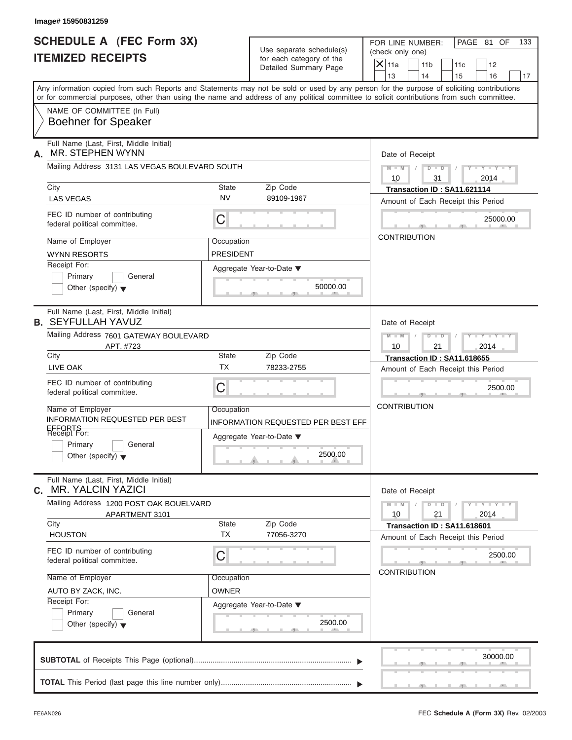| <b>SCHEDULE A (FEC Form 3X)</b>                                                                                                            |                                              | Use separate schedule(s)<br>for each category of the | FOR LINE NUMBER:<br>PAGE 81 OF<br>133<br>(check only one)                                                                                 |  |  |  |
|--------------------------------------------------------------------------------------------------------------------------------------------|----------------------------------------------|------------------------------------------------------|-------------------------------------------------------------------------------------------------------------------------------------------|--|--|--|
| <b>ITEMIZED RECEIPTS</b>                                                                                                                   |                                              |                                                      | $X$ 11a<br>11 <sub>b</sub><br>11c<br>12                                                                                                   |  |  |  |
|                                                                                                                                            | Detailed Summary Page                        |                                                      | 13<br>14<br>15<br>16                                                                                                                      |  |  |  |
| or for commercial purposes, other than using the name and address of any political committee to solicit contributions from such committee. |                                              |                                                      | Any information copied from such Reports and Statements may not be sold or used by any person for the purpose of soliciting contributions |  |  |  |
| NAME OF COMMITTEE (In Full)<br><b>Boehner for Speaker</b>                                                                                  |                                              |                                                      |                                                                                                                                           |  |  |  |
| Full Name (Last, First, Middle Initial)<br>MR. STEPHEN WYNN<br>А.                                                                          |                                              |                                                      | Date of Receipt                                                                                                                           |  |  |  |
| Mailing Address 3131 LAS VEGAS BOULEVARD SOUTH                                                                                             |                                              |                                                      | $D$ $\Box$ $D$<br>$Y - Y - Y - Y - Y$<br>$M - M$ /<br>10<br>31<br>2014                                                                    |  |  |  |
| City                                                                                                                                       | Zip Code<br>State                            |                                                      | Transaction ID: SA11.621114                                                                                                               |  |  |  |
| <b>LAS VEGAS</b>                                                                                                                           | <b>NV</b><br>89109-1967                      |                                                      | Amount of Each Receipt this Period                                                                                                        |  |  |  |
| FEC ID number of contributing<br>federal political committee.                                                                              | С                                            |                                                      | 25000.00                                                                                                                                  |  |  |  |
| Name of Employer                                                                                                                           | Occupation                                   |                                                      | <b>CONTRIBUTION</b>                                                                                                                       |  |  |  |
| <b>WYNN RESORTS</b>                                                                                                                        | <b>PRESIDENT</b>                             |                                                      |                                                                                                                                           |  |  |  |
| Receipt For:                                                                                                                               |                                              |                                                      |                                                                                                                                           |  |  |  |
| Primary<br>General                                                                                                                         | Aggregate Year-to-Date ▼                     |                                                      |                                                                                                                                           |  |  |  |
| Other (specify) $\blacktriangledown$                                                                                                       |                                              | 50000.00                                             |                                                                                                                                           |  |  |  |
| Full Name (Last, First, Middle Initial)<br><b>B. SEYFULLAH YAVUZ</b>                                                                       |                                              |                                                      | Date of Receipt                                                                                                                           |  |  |  |
| Mailing Address 7601 GATEWAY BOULEVARD                                                                                                     |                                              |                                                      | $D - I - D$<br>Y TYTTYTTY<br>$M - M$                                                                                                      |  |  |  |
| APT. #723                                                                                                                                  |                                              |                                                      | 10<br>21<br>2014                                                                                                                          |  |  |  |
| City                                                                                                                                       | <b>State</b><br>Zip Code                     |                                                      | Transaction ID: SA11.618655                                                                                                               |  |  |  |
| LIVE OAK                                                                                                                                   | <b>TX</b><br>78233-2755                      |                                                      | Amount of Each Receipt this Period                                                                                                        |  |  |  |
| FEC ID number of contributing<br>federal political committee.                                                                              | C                                            |                                                      | 2500.00                                                                                                                                   |  |  |  |
| Name of Employer                                                                                                                           | Occupation                                   |                                                      | <b>CONTRIBUTION</b>                                                                                                                       |  |  |  |
| <b>INFORMATION REQUESTED PER BEST</b>                                                                                                      | INFORMATION REQUESTED PER BEST EFF           |                                                      |                                                                                                                                           |  |  |  |
| EFFORTS<br>Receipt For:                                                                                                                    | Aggregate Year-to-Date ▼                     |                                                      |                                                                                                                                           |  |  |  |
| Primary<br>General<br>Other (specify) $\blacktriangledown$                                                                                 |                                              | 2500.00                                              |                                                                                                                                           |  |  |  |
| Full Name (Last, First, Middle Initial)<br><b>MR. YALCIN YAZICI</b><br>С.                                                                  |                                              |                                                      | Date of Receipt                                                                                                                           |  |  |  |
| Mailing Address 1200 POST OAK BOUELVARD<br>APARTMENT 3101                                                                                  |                                              |                                                      | $Y - Y - Y - Y - I$<br>$M - M$<br>$D - D$<br>10<br>21<br>2014                                                                             |  |  |  |
| City<br><b>HOUSTON</b>                                                                                                                     | State<br>Zip Code<br><b>TX</b><br>77056-3270 |                                                      | Transaction ID: SA11.618601                                                                                                               |  |  |  |
|                                                                                                                                            |                                              |                                                      | Amount of Each Receipt this Period                                                                                                        |  |  |  |
| FEC ID number of contributing<br>federal political committee.                                                                              | С                                            |                                                      | 2500.00                                                                                                                                   |  |  |  |
| Name of Employer                                                                                                                           | Occupation                                   |                                                      | <b>CONTRIBUTION</b>                                                                                                                       |  |  |  |
| AUTO BY ZACK, INC.                                                                                                                         | <b>OWNER</b>                                 |                                                      |                                                                                                                                           |  |  |  |
| Receipt For:                                                                                                                               | Aggregate Year-to-Date ▼                     |                                                      |                                                                                                                                           |  |  |  |
| Primary<br>General<br>Other (specify) $\blacktriangledown$                                                                                 |                                              | 2500.00                                              |                                                                                                                                           |  |  |  |
|                                                                                                                                            |                                              |                                                      | 30000.00                                                                                                                                  |  |  |  |
|                                                                                                                                            |                                              |                                                      |                                                                                                                                           |  |  |  |
|                                                                                                                                            |                                              |                                                      |                                                                                                                                           |  |  |  |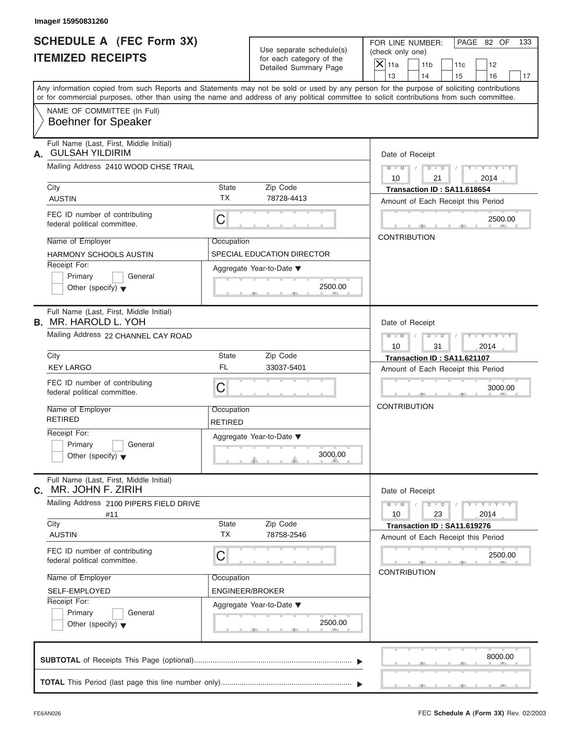| Image# 15950831260<br><b>SCHEDULE A (FEC Form 3X)</b>                   |                                                   |                                                                                                                                                                         |  |  |  |
|-------------------------------------------------------------------------|---------------------------------------------------|-------------------------------------------------------------------------------------------------------------------------------------------------------------------------|--|--|--|
|                                                                         | Use separate schedule(s)                          | PAGE 82 OF<br>FOR LINE NUMBER:<br>133<br>(check only one)                                                                                                               |  |  |  |
| <b>ITEMIZED RECEIPTS</b>                                                | for each category of the<br>Detailed Summary Page | $X$ 11a<br>11 <sub>b</sub><br>11c<br>12                                                                                                                                 |  |  |  |
|                                                                         |                                                   | 13<br>14<br>15<br>16<br>17<br>Any information copied from such Reports and Statements may not be sold or used by any person for the purpose of soliciting contributions |  |  |  |
|                                                                         |                                                   | or for commercial purposes, other than using the name and address of any political committee to solicit contributions from such committee.                              |  |  |  |
| NAME OF COMMITTEE (In Full)<br><b>Boehner for Speaker</b>               |                                                   |                                                                                                                                                                         |  |  |  |
| Full Name (Last, First, Middle Initial)<br><b>GULSAH YILDIRIM</b><br>А. |                                                   | Date of Receipt                                                                                                                                                         |  |  |  |
| Mailing Address 2410 WOOD CHSE TRAIL                                    |                                                   | $D$ $\Box$ $D$<br>$Y - Y - Y - Y - Y$<br>$M - M$ /<br>$\sqrt{2}$<br>10<br>21<br>2014                                                                                    |  |  |  |
| City                                                                    | <b>State</b><br>Zip Code                          | Transaction ID: SA11.618654                                                                                                                                             |  |  |  |
| <b>AUSTIN</b>                                                           | <b>TX</b><br>78728-4413                           | Amount of Each Receipt this Period                                                                                                                                      |  |  |  |
| FEC ID number of contributing<br>federal political committee.           | C                                                 | 2500.00                                                                                                                                                                 |  |  |  |
| Name of Employer                                                        | Occupation                                        | <b>CONTRIBUTION</b>                                                                                                                                                     |  |  |  |
| <b>HARMONY SCHOOLS AUSTIN</b>                                           | SPECIAL EDUCATION DIRECTOR                        |                                                                                                                                                                         |  |  |  |
| Receipt For:                                                            | Aggregate Year-to-Date ▼                          |                                                                                                                                                                         |  |  |  |
| Primary<br>General<br>Other (specify) $\blacktriangledown$              | 2500.00                                           |                                                                                                                                                                         |  |  |  |
| Full Name (Last, First, Middle Initial)<br><b>B.</b> MR. HAROLD L. YOH  |                                                   | Date of Receipt                                                                                                                                                         |  |  |  |
| Mailing Address 22 CHANNEL CAY ROAD                                     |                                                   | $D - I - D$<br>$Y = Y = Y' - Y'$<br>$M - M$<br>$\sqrt{ }$<br>10<br>31<br>2014                                                                                           |  |  |  |
| City                                                                    | Zip Code<br><b>State</b>                          | Transaction ID: SA11.621107                                                                                                                                             |  |  |  |
| <b>KEY LARGO</b>                                                        | <b>FL</b><br>33037-5401                           | Amount of Each Receipt this Period                                                                                                                                      |  |  |  |
| FEC ID number of contributing<br>federal political committee.           | C                                                 | 3000.00                                                                                                                                                                 |  |  |  |
| Name of Employer<br><b>RETIRED</b>                                      | Occupation<br><b>RETIRED</b>                      | <b>CONTRIBUTION</b>                                                                                                                                                     |  |  |  |
| Receipt For:                                                            | Aggregate Year-to-Date ▼                          |                                                                                                                                                                         |  |  |  |
| Primary<br>General<br>Other (specify) $\blacktriangledown$              | 3000.00                                           |                                                                                                                                                                         |  |  |  |
| Full Name (Last, First, Middle Initial)<br>MR. JOHN F. ZIRIH<br>С.      |                                                   | Date of Receipt                                                                                                                                                         |  |  |  |
| Mailing Address 2100 PIPERS FIELD DRIVE<br>#11                          |                                                   | $Y - Y - Y - Y - Y$<br>$M - M$<br>$D$ $\Box$ $D$<br>23<br>10<br>2014                                                                                                    |  |  |  |
| City<br><b>AUSTIN</b>                                                   | Zip Code<br>State<br><b>TX</b><br>78758-2546      | Transaction ID: SA11.619276<br>Amount of Each Receipt this Period                                                                                                       |  |  |  |
| FEC ID number of contributing<br>federal political committee.           | С                                                 | 2500.00                                                                                                                                                                 |  |  |  |
| Name of Employer                                                        | Occupation                                        | <b>CONTRIBUTION</b>                                                                                                                                                     |  |  |  |
| SELF-EMPLOYED                                                           | <b>ENGINEER/BROKER</b>                            |                                                                                                                                                                         |  |  |  |
| Receipt For:                                                            | Aggregate Year-to-Date ▼                          |                                                                                                                                                                         |  |  |  |
| Primary<br>General<br>Other (specify) $\blacktriangledown$              | 2500.00                                           |                                                                                                                                                                         |  |  |  |
|                                                                         |                                                   | 8000.00                                                                                                                                                                 |  |  |  |
|                                                                         |                                                   |                                                                                                                                                                         |  |  |  |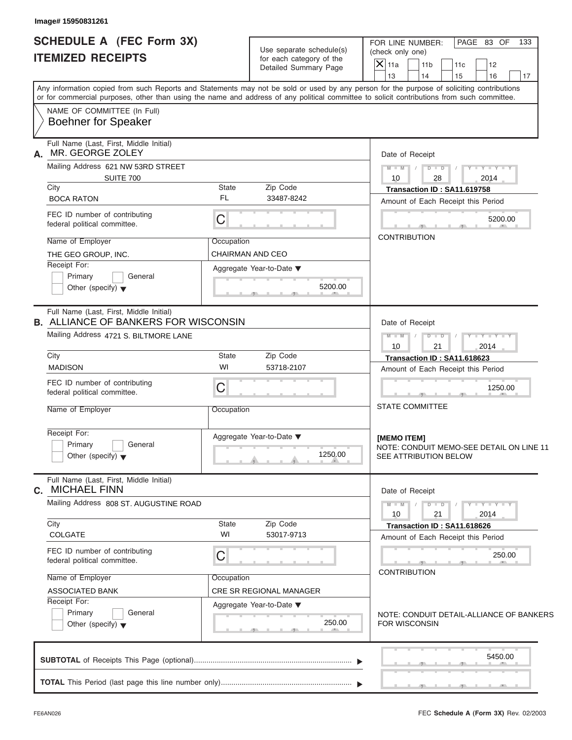| <b>SCHEDULE A (FEC Form 3X)</b><br><b>ITEMIZED RECEIPTS</b>                                                                                                                                                                                                                                                                                          | Use separate schedule(s)<br>for each category of the<br>Detailed Summary Page | PAGE 83 OF<br>FOR LINE NUMBER:<br>133<br>(check only one)<br>$\overline{X}$ 11a<br>11 <sub>b</sub><br>11c<br>12<br>13<br>14<br>15<br>16<br>17                                       |
|------------------------------------------------------------------------------------------------------------------------------------------------------------------------------------------------------------------------------------------------------------------------------------------------------------------------------------------------------|-------------------------------------------------------------------------------|-------------------------------------------------------------------------------------------------------------------------------------------------------------------------------------|
| Any information copied from such Reports and Statements may not be sold or used by any person for the purpose of soliciting contributions<br>or for commercial purposes, other than using the name and address of any political committee to solicit contributions from such committee.<br>NAME OF COMMITTEE (In Full)<br><b>Boehner for Speaker</b> |                                                                               |                                                                                                                                                                                     |
| Full Name (Last, First, Middle Initial)<br>MR. GEORGE ZOLEY<br>А.<br>Mailing Address 621 NW 53RD STREET<br>SUITE 700<br>City<br><b>FL</b><br><b>BOCA RATON</b><br>FEC ID number of contributing<br>$\mathsf C$<br>federal political committee.                                                                                                       | <b>State</b><br>Zip Code<br>33487-8242                                        | Date of Receipt<br>$M - M$<br>$D$ $D$<br>$Y - Y - Y - Y$<br>10<br>28<br>2014<br>Transaction ID: SA11.619758<br>Amount of Each Receipt this Period<br>5200.00<br><b>CONTRIBUTION</b> |
| Name of Employer<br>THE GEO GROUP, INC.<br>Receipt For:<br>Primary<br>General<br>Other (specify) $\blacktriangledown$                                                                                                                                                                                                                                | Occupation<br>CHAIRMAN AND CEO<br>Aggregate Year-to-Date ▼<br>5200.00         |                                                                                                                                                                                     |
| Full Name (Last, First, Middle Initial)<br><b>B. ALLIANCE OF BANKERS FOR WISCONSIN</b><br>Mailing Address 4721 S. BILTMORE LANE<br>City<br>WI<br><b>MADISON</b>                                                                                                                                                                                      | <b>State</b><br>Zip Code<br>53718-2107                                        | Date of Receipt<br>$M - M$<br>$D$ $D$<br>$Y - Y - Y - Y - Y$<br>10<br>21<br>2014<br>Transaction ID: SA11.618623<br>Amount of Each Receipt this Period                               |
| FEC ID number of contributing<br>C<br>federal political committee.<br>Name of Employer                                                                                                                                                                                                                                                               | Occupation                                                                    | 1250.00<br><b>STATE COMMITTEE</b>                                                                                                                                                   |
| Receipt For:<br>Primary<br>General<br>Other (specify) $\blacktriangledown$                                                                                                                                                                                                                                                                           | Aggregate Year-to-Date ▼<br>1250.00                                           | [MEMO ITEM]<br>NOTE: CONDUIT MEMO-SEE DETAIL ON LINE 11<br>SEE ATTRIBUTION BELOW                                                                                                    |
| Full Name (Last, First, Middle Initial)<br>C. MICHAEL FINN<br>Mailing Address 808 ST. AUGUSTINE ROAD                                                                                                                                                                                                                                                 |                                                                               | Date of Receipt<br>$Y - Y - Y - Y - Y$<br>$M - M$<br>$D$ $\Box$ $D$<br>2014<br>10<br>21                                                                                             |
| City<br>COLGATE<br>FEC ID number of contributing                                                                                                                                                                                                                                                                                                     | <b>State</b><br>Zip Code<br>WI<br>53017-9713                                  | Transaction ID: SA11.618626<br>Amount of Each Receipt this Period                                                                                                                   |
| C<br>federal political committee.<br>Name of Employer<br><b>ASSOCIATED BANK</b><br>Receipt For:<br>Primary<br>General<br>Other (specify) $\blacktriangledown$                                                                                                                                                                                        | Occupation<br>CRE SR REGIONAL MANAGER<br>Aggregate Year-to-Date ▼<br>250.00   | 250.00<br><b>CONTRIBUTION</b><br>NOTE: CONDUIT DETAIL-ALLIANCE OF BANKERS<br>FOR WISCONSIN                                                                                          |
|                                                                                                                                                                                                                                                                                                                                                      |                                                                               | 5450.00                                                                                                                                                                             |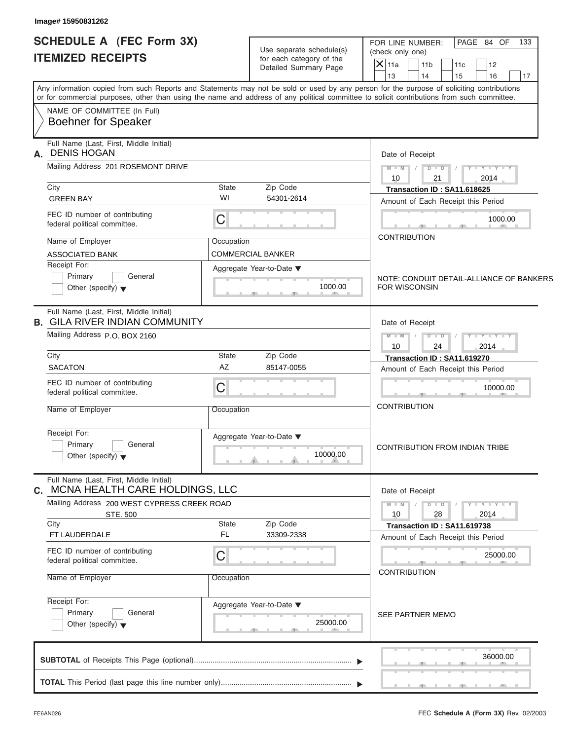| <b>SCHEDULE A (FEC Form 3X)</b><br><b>ITEMIZED RECEIPTS</b>                                                                                                                                                                                                                             |                    | Use separate schedule(s)<br>for each category of the<br>Detailed Summary Page | FOR LINE NUMBER:<br>(check only one)<br>$\overline{X}$ 11a<br>13 | 11 <sub>b</sub><br>14       | 11c<br>15  | PAGE 84 OF<br>12<br>16      |          | 133<br>17 |
|-----------------------------------------------------------------------------------------------------------------------------------------------------------------------------------------------------------------------------------------------------------------------------------------|--------------------|-------------------------------------------------------------------------------|------------------------------------------------------------------|-----------------------------|------------|-----------------------------|----------|-----------|
| Any information copied from such Reports and Statements may not be sold or used by any person for the purpose of soliciting contributions<br>or for commercial purposes, other than using the name and address of any political committee to solicit contributions from such committee. |                    |                                                                               |                                                                  |                             |            |                             |          |           |
| NAME OF COMMITTEE (In Full)<br><b>Boehner for Speaker</b>                                                                                                                                                                                                                               |                    |                                                                               |                                                                  |                             |            |                             |          |           |
| Full Name (Last, First, Middle Initial)<br><b>DENIS HOGAN</b><br>А.<br>Mailing Address 201 ROSEMONT DRIVE                                                                                                                                                                               |                    |                                                                               | Date of Receipt<br>$M - M$<br>10                                 | $D$ $\Box$ $D$<br>21        | $\sqrt{ }$ | $Y - Y - Y - Y - Y$<br>2014 |          |           |
| City                                                                                                                                                                                                                                                                                    | <b>State</b>       | Zip Code                                                                      |                                                                  | Transaction ID: SA11.618625 |            |                             |          |           |
| <b>GREEN BAY</b>                                                                                                                                                                                                                                                                        | WI                 | 54301-2614                                                                    | Amount of Each Receipt this Period                               |                             |            |                             |          |           |
| FEC ID number of contributing<br>federal political committee.                                                                                                                                                                                                                           | C                  |                                                                               |                                                                  |                             |            |                             | 1000.00  |           |
| Name of Employer                                                                                                                                                                                                                                                                        | Occupation         |                                                                               | <b>CONTRIBUTION</b>                                              |                             |            |                             |          |           |
| <b>ASSOCIATED BANK</b>                                                                                                                                                                                                                                                                  |                    | <b>COMMERCIAL BANKER</b>                                                      |                                                                  |                             |            |                             |          |           |
| Receipt For:<br>Primary<br>General<br>Other (specify) $\blacktriangledown$                                                                                                                                                                                                              |                    | Aggregate Year-to-Date ▼<br>1000.00                                           | NOTE: CONDUIT DETAIL-ALLIANCE OF BANKERS<br><b>FOR WISCONSIN</b> |                             |            |                             |          |           |
| Full Name (Last, First, Middle Initial)<br><b>B. GILA RIVER INDIAN COMMUNITY</b>                                                                                                                                                                                                        |                    |                                                                               |                                                                  | Date of Receipt             |            |                             |          |           |
| Mailing Address P.O. BOX 2160                                                                                                                                                                                                                                                           |                    |                                                                               | $M - M$<br>10                                                    | $D$ $D$<br>24               |            | $Y = Y = Y' - Y'$<br>2014   |          |           |
| City<br><b>SACATON</b>                                                                                                                                                                                                                                                                  | <b>State</b><br>AZ | Zip Code                                                                      |                                                                  | Transaction ID: SA11.619270 |            |                             |          |           |
|                                                                                                                                                                                                                                                                                         |                    | 85147-0055                                                                    | Amount of Each Receipt this Period                               |                             |            |                             |          |           |
| FEC ID number of contributing<br>federal political committee.                                                                                                                                                                                                                           | C                  |                                                                               |                                                                  |                             |            |                             | 10000.00 |           |
| Name of Employer                                                                                                                                                                                                                                                                        | Occupation         |                                                                               | <b>CONTRIBUTION</b>                                              |                             |            |                             |          |           |
| Receipt For:<br>Primary<br>General                                                                                                                                                                                                                                                      |                    | Aggregate Year-to-Date ▼                                                      | <b>CONTRIBUTION FROM INDIAN TRIBE</b>                            |                             |            |                             |          |           |
| Other (specify) $\blacktriangledown$                                                                                                                                                                                                                                                    |                    | 10000.00                                                                      |                                                                  |                             |            |                             |          |           |
| Full Name (Last, First, Middle Initial)<br>C. MCNA HEALTH CARE HOLDINGS, LLC                                                                                                                                                                                                            |                    |                                                                               | Date of Receipt                                                  |                             |            |                             |          |           |
| Mailing Address 200 WEST CYPRESS CREEK ROAD<br>STE. 500                                                                                                                                                                                                                                 |                    |                                                                               | $M - M$<br>10                                                    | $D$ $\Box$ $D$<br>28        |            | $Y - Y - Y - Y - Y$<br>2014 |          |           |
| City<br>FT LAUDERDALE                                                                                                                                                                                                                                                                   | State<br>FL        | Zip Code<br>33309-2338                                                        | Amount of Each Receipt this Period                               | Transaction ID: SA11.619738 |            |                             |          |           |
| FEC ID number of contributing<br>federal political committee.                                                                                                                                                                                                                           | С                  |                                                                               |                                                                  |                             |            |                             | 25000.00 |           |
| Name of Employer                                                                                                                                                                                                                                                                        | Occupation         |                                                                               | <b>CONTRIBUTION</b>                                              |                             |            |                             |          |           |
| Receipt For:                                                                                                                                                                                                                                                                            |                    | Aggregate Year-to-Date ▼                                                      |                                                                  |                             |            |                             |          |           |
| Primary<br>General<br>Other (specify) $\blacktriangledown$                                                                                                                                                                                                                              |                    | 25000.00                                                                      | SEE PARTNER MEMO                                                 |                             |            |                             |          |           |
|                                                                                                                                                                                                                                                                                         |                    |                                                                               |                                                                  |                             |            |                             | 36000.00 |           |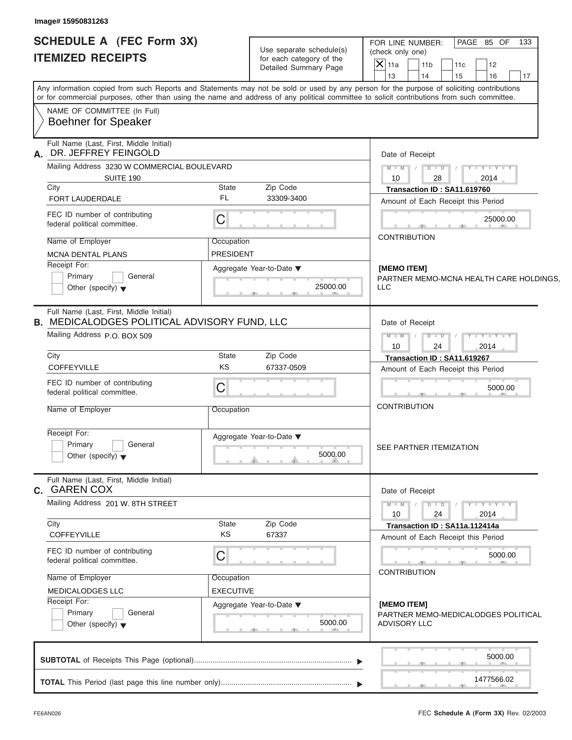| <b>SCHEDULE A (FEC Form 3X)</b>                                                                | Use separate schedule(s)                          | FOR LINE NUMBER:<br>PAGE 85 OF<br>133<br>(check only one)                                                                                                                                                                                                                               |  |  |  |
|------------------------------------------------------------------------------------------------|---------------------------------------------------|-----------------------------------------------------------------------------------------------------------------------------------------------------------------------------------------------------------------------------------------------------------------------------------------|--|--|--|
| <b>ITEMIZED RECEIPTS</b>                                                                       | for each category of the<br>Detailed Summary Page | $\overline{X} _{11a}$<br>11 <sub>b</sub><br>11c<br>12<br>13<br>14<br>15<br>16<br>17                                                                                                                                                                                                     |  |  |  |
|                                                                                                |                                                   | Any information copied from such Reports and Statements may not be sold or used by any person for the purpose of soliciting contributions<br>or for commercial purposes, other than using the name and address of any political committee to solicit contributions from such committee. |  |  |  |
| NAME OF COMMITTEE (In Full)<br><b>Boehner for Speaker</b>                                      |                                                   |                                                                                                                                                                                                                                                                                         |  |  |  |
| Full Name (Last, First, Middle Initial)<br>DR. JEFFREY FEINGOLD<br>А.                          |                                                   | Date of Receipt                                                                                                                                                                                                                                                                         |  |  |  |
| Mailing Address 3230 W COMMERCIAL BOULEVARD                                                    |                                                   | $D$ $D$ $I$<br>$M - M$ /<br>$Y = Y = Y - Y$                                                                                                                                                                                                                                             |  |  |  |
| SUITE 190<br>City                                                                              | Zip Code<br>State                                 | 10<br>28<br>2014<br>Transaction ID: SA11.619760                                                                                                                                                                                                                                         |  |  |  |
| FORT LAUDERDALE                                                                                | FL<br>33309-3400                                  | Amount of Each Receipt this Period                                                                                                                                                                                                                                                      |  |  |  |
| FEC ID number of contributing<br>federal political committee.                                  | $\mathsf C$                                       | 25000.00                                                                                                                                                                                                                                                                                |  |  |  |
| Name of Employer                                                                               | Occupation                                        | <b>CONTRIBUTION</b>                                                                                                                                                                                                                                                                     |  |  |  |
| <b>MCNA DENTAL PLANS</b>                                                                       | <b>PRESIDENT</b>                                  |                                                                                                                                                                                                                                                                                         |  |  |  |
| Receipt For:                                                                                   | Aggregate Year-to-Date ▼                          | [MEMO ITEM]                                                                                                                                                                                                                                                                             |  |  |  |
| Primary<br>General                                                                             |                                                   | PARTNER MEMO-MCNA HEALTH CARE HOLDINGS.                                                                                                                                                                                                                                                 |  |  |  |
| Other (specify) $\blacktriangledown$                                                           | 25000.00                                          | LLC                                                                                                                                                                                                                                                                                     |  |  |  |
| Full Name (Last, First, Middle Initial)<br><b>B. MEDICALODGES POLITICAL ADVISORY FUND, LLC</b> |                                                   | Date of Receipt                                                                                                                                                                                                                                                                         |  |  |  |
| Mailing Address P.O. BOX 509                                                                   |                                                   | $M$ $M$ $/$<br>$Y - Y - Y - Y - Y$                                                                                                                                                                                                                                                      |  |  |  |
|                                                                                                |                                                   | 2014<br>10<br>24                                                                                                                                                                                                                                                                        |  |  |  |
| City<br>COFFEYVILLE                                                                            | Zip Code<br>State<br>KS<br>67337-0509             | Transaction ID: SA11.619267                                                                                                                                                                                                                                                             |  |  |  |
|                                                                                                |                                                   | Amount of Each Receipt this Period                                                                                                                                                                                                                                                      |  |  |  |
| FEC ID number of contributing<br>federal political committee.                                  | $\mathsf C$                                       | 5000.00                                                                                                                                                                                                                                                                                 |  |  |  |
| Name of Employer                                                                               | Occupation                                        | <b>CONTRIBUTION</b>                                                                                                                                                                                                                                                                     |  |  |  |
|                                                                                                |                                                   |                                                                                                                                                                                                                                                                                         |  |  |  |
| Receipt For:                                                                                   | Aggregate Year-to-Date ▼                          |                                                                                                                                                                                                                                                                                         |  |  |  |
| Primary<br>General                                                                             |                                                   | SEE PARTNER ITEMIZATION                                                                                                                                                                                                                                                                 |  |  |  |
| Other (specify) $\blacktriangledown$                                                           | 5000.00                                           |                                                                                                                                                                                                                                                                                         |  |  |  |
| Full Name (Last, First, Middle Initial)<br><b>C. GAREN COX</b>                                 |                                                   | Date of Receipt                                                                                                                                                                                                                                                                         |  |  |  |
| Mailing Address 201 W. 8TH STREET                                                              |                                                   | $M - M$<br>$Y - Y - Y - Y - Y$<br>$D$ $D$                                                                                                                                                                                                                                               |  |  |  |
|                                                                                                |                                                   | 2014<br>10<br>24                                                                                                                                                                                                                                                                        |  |  |  |
| City<br>COFFEYVILLE                                                                            | Zip Code<br>State<br>KS<br>67337                  | Transaction ID: SA11a.112414a                                                                                                                                                                                                                                                           |  |  |  |
|                                                                                                |                                                   | Amount of Each Receipt this Period                                                                                                                                                                                                                                                      |  |  |  |
| FEC ID number of contributing<br>federal political committee.                                  | $\mathsf C$                                       | 5000.00                                                                                                                                                                                                                                                                                 |  |  |  |
|                                                                                                |                                                   | <b>CONTRIBUTION</b>                                                                                                                                                                                                                                                                     |  |  |  |
| Name of Employer                                                                               | Occupation                                        |                                                                                                                                                                                                                                                                                         |  |  |  |
| MEDICALODGES LLC<br>Receipt For:                                                               | <b>EXECUTIVE</b>                                  |                                                                                                                                                                                                                                                                                         |  |  |  |
| Primary<br>General                                                                             | Aggregate Year-to-Date ▼                          | [MEMO ITEM]<br>PARTNER MEMO-MEDICALODGES POLITICAL                                                                                                                                                                                                                                      |  |  |  |
| Other (specify) $\blacktriangledown$                                                           | 5000.00                                           | <b>ADVISORY LLC</b>                                                                                                                                                                                                                                                                     |  |  |  |
|                                                                                                |                                                   |                                                                                                                                                                                                                                                                                         |  |  |  |
|                                                                                                |                                                   | 5000.00                                                                                                                                                                                                                                                                                 |  |  |  |
|                                                                                                |                                                   |                                                                                                                                                                                                                                                                                         |  |  |  |
|                                                                                                |                                                   | 1477566.02                                                                                                                                                                                                                                                                              |  |  |  |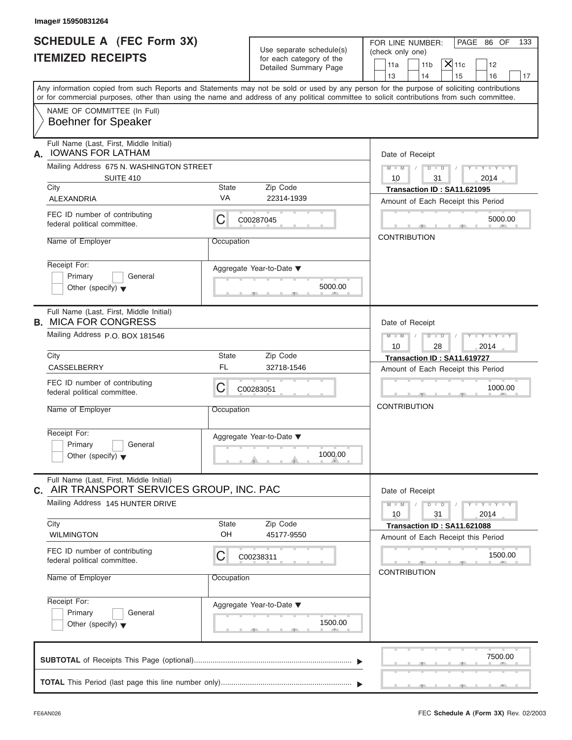| Image# 15950831264                                                                      |                    |                                                      |                                                                                                                                                                                                                                                                                         |
|-----------------------------------------------------------------------------------------|--------------------|------------------------------------------------------|-----------------------------------------------------------------------------------------------------------------------------------------------------------------------------------------------------------------------------------------------------------------------------------------|
| <b>SCHEDULE A (FEC Form 3X)</b><br><b>ITEMIZED RECEIPTS</b>                             |                    | Use separate schedule(s)<br>for each category of the | PAGE 86 OF<br>FOR LINE NUMBER:<br>133<br>(check only one)                                                                                                                                                                                                                               |
|                                                                                         |                    | Detailed Summary Page                                | $ \mathsf{X} $ 11c<br>11 <sub>b</sub><br>11a<br>12<br>13<br>14<br>15<br>16<br>17                                                                                                                                                                                                        |
|                                                                                         |                    |                                                      | Any information copied from such Reports and Statements may not be sold or used by any person for the purpose of soliciting contributions<br>or for commercial purposes, other than using the name and address of any political committee to solicit contributions from such committee. |
| NAME OF COMMITTEE (In Full)<br><b>Boehner for Speaker</b>                               |                    |                                                      |                                                                                                                                                                                                                                                                                         |
| Full Name (Last, First, Middle Initial)<br><b>IOWANS FOR LATHAM</b><br>А.               |                    |                                                      | Date of Receipt                                                                                                                                                                                                                                                                         |
| Mailing Address 675 N. WASHINGTON STREET<br><b>SUITE 410</b>                            |                    |                                                      | $D$ $\Box$ $D$<br>$Y - Y - Y - Y - Y$<br>$M - M$ /<br>$\sqrt{ }$<br>10<br>31<br>2014                                                                                                                                                                                                    |
| City                                                                                    | <b>State</b>       | Zip Code                                             | Transaction ID: SA11.621095                                                                                                                                                                                                                                                             |
| ALEXANDRIA                                                                              | <b>VA</b>          | 22314-1939                                           | Amount of Each Receipt this Period                                                                                                                                                                                                                                                      |
| FEC ID number of contributing<br>federal political committee.                           | С                  | C00287045                                            | 5000.00                                                                                                                                                                                                                                                                                 |
| Name of Employer                                                                        | Occupation         |                                                      | <b>CONTRIBUTION</b>                                                                                                                                                                                                                                                                     |
| Receipt For:<br>Primary<br>General<br>Other (specify) $\blacktriangledown$              |                    | Aggregate Year-to-Date ▼<br>5000.00                  |                                                                                                                                                                                                                                                                                         |
| Full Name (Last, First, Middle Initial)<br><b>B. MICA FOR CONGRESS</b>                  |                    |                                                      | Date of Receipt                                                                                                                                                                                                                                                                         |
| Mailing Address P.O. BOX 181546                                                         |                    |                                                      | $D - I$<br>$Y = Y = Y' - Y'$<br>$M - M$<br>$\sqrt{ }$<br>10<br>28<br>2014                                                                                                                                                                                                               |
| City                                                                                    | <b>State</b>       | Zip Code                                             | Transaction ID: SA11.619727                                                                                                                                                                                                                                                             |
| CASSELBERRY                                                                             | FL                 | 32718-1546                                           | Amount of Each Receipt this Period                                                                                                                                                                                                                                                      |
| FEC ID number of contributing<br>federal political committee.                           | С                  | C00283051                                            | 1000.00                                                                                                                                                                                                                                                                                 |
| Name of Employer                                                                        | Occupation         |                                                      | <b>CONTRIBUTION</b>                                                                                                                                                                                                                                                                     |
| Receipt For:<br>Primary<br>General<br>Other (specify) $\blacktriangledown$              |                    | Aggregate Year-to-Date ▼<br>1000.00                  |                                                                                                                                                                                                                                                                                         |
| Full Name (Last, First, Middle Initial)<br>AIR TRANSPORT SERVICES GROUP, INC. PAC<br>С. |                    |                                                      | Date of Receipt                                                                                                                                                                                                                                                                         |
| Mailing Address 145 HUNTER DRIVE                                                        |                    |                                                      | $Y - Y - Y - Y - Y$<br>$M - M$<br>$D$ $\Box$ $D$<br>10<br>31<br>2014                                                                                                                                                                                                                    |
| City<br><b>WILMINGTON</b>                                                               | <b>State</b><br>OH | Zip Code<br>45177-9550                               | Transaction ID: SA11.621088<br>Amount of Each Receipt this Period                                                                                                                                                                                                                       |
| FEC ID number of contributing<br>federal political committee.                           | С                  | C00238311                                            | 1500.00                                                                                                                                                                                                                                                                                 |
| Name of Employer                                                                        | Occupation         |                                                      | <b>CONTRIBUTION</b>                                                                                                                                                                                                                                                                     |
| Receipt For:<br>Primary<br>General<br>Other (specify) $\blacktriangledown$              |                    | Aggregate Year-to-Date ▼<br>1500.00                  |                                                                                                                                                                                                                                                                                         |
|                                                                                         |                    |                                                      | 7500.00                                                                                                                                                                                                                                                                                 |
|                                                                                         |                    |                                                      |                                                                                                                                                                                                                                                                                         |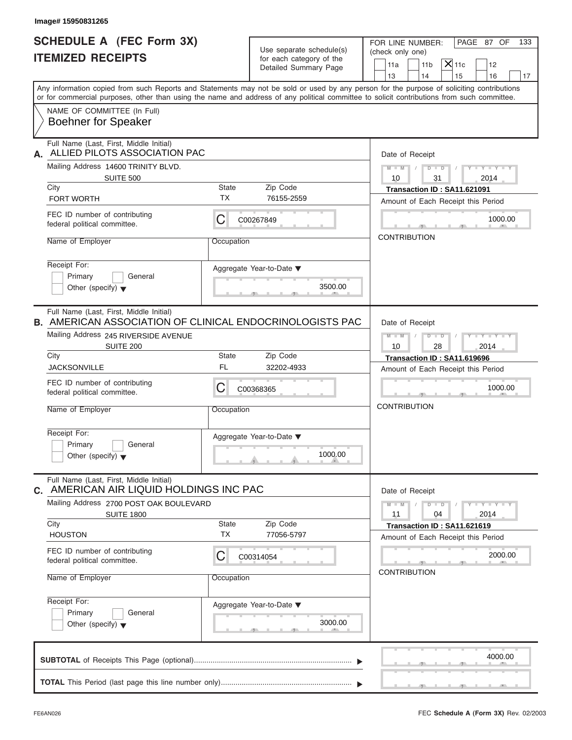| Image# 15950831265                                                                                                                                              |                           |                                                        |                                                                                                                                                                                                                                                                                         |
|-----------------------------------------------------------------------------------------------------------------------------------------------------------------|---------------------------|--------------------------------------------------------|-----------------------------------------------------------------------------------------------------------------------------------------------------------------------------------------------------------------------------------------------------------------------------------------|
| <b>SCHEDULE A (FEC Form 3X)</b><br><b>ITEMIZED RECEIPTS</b>                                                                                                     |                           | Use separate schedule(s)<br>for each category of the   | PAGE 87 OF<br>FOR LINE NUMBER:<br>133<br>(check only one)<br>$X$ 11c<br>11a<br>11 <sub>b</sub><br>12                                                                                                                                                                                    |
|                                                                                                                                                                 |                           | Detailed Summary Page                                  | 13<br>14<br>15<br>16<br>17                                                                                                                                                                                                                                                              |
|                                                                                                                                                                 |                           |                                                        | Any information copied from such Reports and Statements may not be sold or used by any person for the purpose of soliciting contributions<br>or for commercial purposes, other than using the name and address of any political committee to solicit contributions from such committee. |
| NAME OF COMMITTEE (In Full)<br><b>Boehner for Speaker</b>                                                                                                       |                           |                                                        |                                                                                                                                                                                                                                                                                         |
| Full Name (Last, First, Middle Initial)<br>ALLIED PILOTS ASSOCIATION PAC<br>А.                                                                                  |                           |                                                        | Date of Receipt                                                                                                                                                                                                                                                                         |
| Mailing Address 14600 TRINITY BLVD.<br><b>SUITE 500</b>                                                                                                         |                           |                                                        | $D$ $D$ $I$<br>$Y - Y - Y - Y - Y$<br>$M - M$<br>$\sqrt{2}$<br>10<br>31<br>2014                                                                                                                                                                                                         |
| City                                                                                                                                                            | <b>State</b>              | Zip Code                                               | Transaction ID: SA11.621091                                                                                                                                                                                                                                                             |
| FORT WORTH                                                                                                                                                      | <b>TX</b>                 | 76155-2559                                             | Amount of Each Receipt this Period                                                                                                                                                                                                                                                      |
| FEC ID number of contributing<br>federal political committee.                                                                                                   | С                         | C00267849                                              | 1000.00                                                                                                                                                                                                                                                                                 |
| Name of Employer                                                                                                                                                | Occupation                |                                                        | <b>CONTRIBUTION</b>                                                                                                                                                                                                                                                                     |
| Receipt For:<br>Primary<br>General<br>Other (specify) $\blacktriangledown$                                                                                      |                           | Aggregate Year-to-Date $\blacktriangledown$<br>3500.00 |                                                                                                                                                                                                                                                                                         |
| Full Name (Last, First, Middle Initial)<br><b>B. AMERICAN ASSOCIATION OF CLINICAL ENDOCRINOLOGISTS PAC</b><br>Mailing Address 245 RIVERSIDE AVENUE<br>SUITE 200 |                           |                                                        | Date of Receipt<br>$M = M - 1$<br>$D$ $D$<br>$Y = Y = Y' - Y'$<br>$\sqrt{2}$<br>10<br>28<br>2014                                                                                                                                                                                        |
| City                                                                                                                                                            | <b>State</b>              | Zip Code                                               | Transaction ID: SA11.619696                                                                                                                                                                                                                                                             |
| <b>JACKSONVILLE</b>                                                                                                                                             | FL                        | 32202-4933                                             | Amount of Each Receipt this Period                                                                                                                                                                                                                                                      |
| FEC ID number of contributing<br>federal political committee.                                                                                                   | С                         | C00368365                                              | 1000.00                                                                                                                                                                                                                                                                                 |
| Name of Employer                                                                                                                                                | Occupation                |                                                        | <b>CONTRIBUTION</b>                                                                                                                                                                                                                                                                     |
| Receipt For:<br>Primary<br>General<br>Other (specify) $\blacktriangledown$                                                                                      |                           | Aggregate Year-to-Date ▼<br>1000.00                    |                                                                                                                                                                                                                                                                                         |
| Full Name (Last, First, Middle Initial)<br>C. AMERICAN AIR LIQUID HOLDINGS INC PAC                                                                              |                           |                                                        | Date of Receipt                                                                                                                                                                                                                                                                         |
| Mailing Address 2700 POST OAK BOULEVARD<br><b>SUITE 1800</b>                                                                                                    |                           |                                                        | $M - M$<br>$D$ $\Box$ $D$<br>$Y - Y - Y - Y - I$<br>11<br>2014<br>04                                                                                                                                                                                                                    |
| City<br><b>HOUSTON</b>                                                                                                                                          | <b>State</b><br><b>TX</b> | Zip Code<br>77056-5797                                 | Transaction ID: SA11.621619<br>Amount of Each Receipt this Period                                                                                                                                                                                                                       |
| FEC ID number of contributing<br>federal political committee.                                                                                                   | С                         | C00314054                                              | 2000.00<br><b>CONTRIBUTION</b>                                                                                                                                                                                                                                                          |
| Name of Employer                                                                                                                                                | Occupation                |                                                        |                                                                                                                                                                                                                                                                                         |
| Receipt For:<br>Primary<br>General<br>Other (specify) $\blacktriangledown$                                                                                      |                           | Aggregate Year-to-Date ▼<br>3000.00                    |                                                                                                                                                                                                                                                                                         |
|                                                                                                                                                                 |                           |                                                        | 4000.00                                                                                                                                                                                                                                                                                 |
|                                                                                                                                                                 |                           |                                                        |                                                                                                                                                                                                                                                                                         |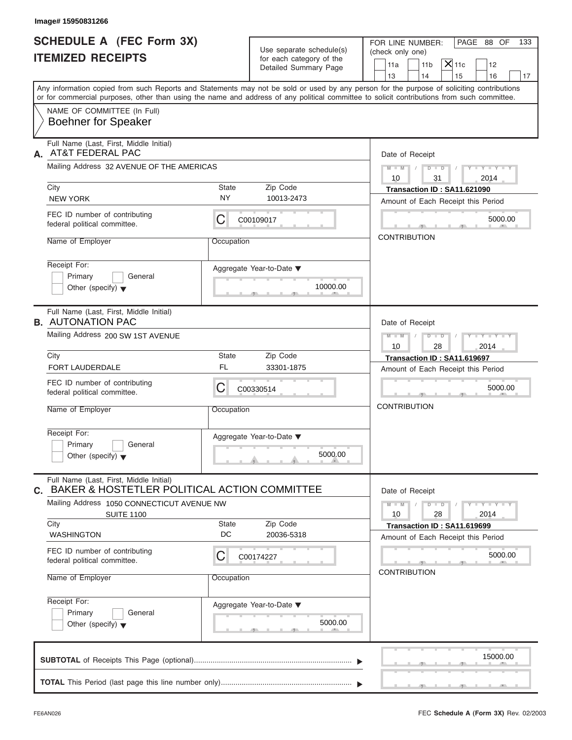| Image# 15950831266                                                                         |             |                                                      |                                                                                                                                                                                                                                                                                         |
|--------------------------------------------------------------------------------------------|-------------|------------------------------------------------------|-----------------------------------------------------------------------------------------------------------------------------------------------------------------------------------------------------------------------------------------------------------------------------------------|
| <b>SCHEDULE A (FEC Form 3X)</b><br><b>ITEMIZED RECEIPTS</b>                                |             | Use separate schedule(s)<br>for each category of the | PAGE 88 OF<br>FOR LINE NUMBER:<br>133<br>(check only one)<br>$X$ 11c                                                                                                                                                                                                                    |
|                                                                                            |             | Detailed Summary Page                                | 11a<br>11 <sub>b</sub><br>12<br>13<br>14<br>15<br>16<br>17                                                                                                                                                                                                                              |
|                                                                                            |             |                                                      | Any information copied from such Reports and Statements may not be sold or used by any person for the purpose of soliciting contributions<br>or for commercial purposes, other than using the name and address of any political committee to solicit contributions from such committee. |
| NAME OF COMMITTEE (In Full)<br><b>Boehner for Speaker</b>                                  |             |                                                      |                                                                                                                                                                                                                                                                                         |
| Full Name (Last, First, Middle Initial)<br>AT&T FEDERAL PAC<br>А.                          |             |                                                      | Date of Receipt                                                                                                                                                                                                                                                                         |
| Mailing Address 32 AVENUE OF THE AMERICAS                                                  |             |                                                      | $M - M$ /<br>$D$ $\Box$ $D$<br>$Y - Y - Y - Y - Y$<br>$\sqrt{ }$<br>10<br>31<br>2014                                                                                                                                                                                                    |
| City                                                                                       | State       | Zip Code                                             | Transaction ID: SA11.621090                                                                                                                                                                                                                                                             |
| <b>NEW YORK</b>                                                                            | <b>NY</b>   | 10013-2473                                           | Amount of Each Receipt this Period                                                                                                                                                                                                                                                      |
| FEC ID number of contributing<br>federal political committee.                              | С           | C00109017                                            | 5000.00                                                                                                                                                                                                                                                                                 |
| Name of Employer                                                                           | Occupation  |                                                      | <b>CONTRIBUTION</b>                                                                                                                                                                                                                                                                     |
| Receipt For:<br>Primary<br>General<br>Other (specify) $\blacktriangledown$                 |             | Aggregate Year-to-Date ▼<br>10000.00                 |                                                                                                                                                                                                                                                                                         |
| Full Name (Last, First, Middle Initial)<br><b>B.</b> AUTONATION PAC                        |             |                                                      | Date of Receipt                                                                                                                                                                                                                                                                         |
| Mailing Address 200 SW 1ST AVENUE                                                          |             |                                                      | Y T Y T Y T<br>$M - M$<br>$D - D$                                                                                                                                                                                                                                                       |
| City                                                                                       | State       | Zip Code                                             | 10<br>28<br>2014<br>Transaction ID: SA11.619697                                                                                                                                                                                                                                         |
| <b>FORT LAUDERDALE</b>                                                                     | <b>FL</b>   | 33301-1875                                           | Amount of Each Receipt this Period                                                                                                                                                                                                                                                      |
| FEC ID number of contributing<br>federal political committee.                              | С           | C00330514                                            | 5000.00                                                                                                                                                                                                                                                                                 |
| Name of Employer                                                                           | Occupation  |                                                      | <b>CONTRIBUTION</b>                                                                                                                                                                                                                                                                     |
| Receipt For:<br>Primary<br>General<br>Other (specify) $\blacktriangledown$                 |             | Aggregate Year-to-Date ▼<br>5000.00                  |                                                                                                                                                                                                                                                                                         |
| Full Name (Last, First, Middle Initial)<br>C. BAKER & HOSTETLER POLITICAL ACTION COMMITTEE |             |                                                      | Date of Receipt                                                                                                                                                                                                                                                                         |
| Mailing Address 1050 CONNECTICUT AVENUE NW<br><b>SUITE 1100</b>                            |             |                                                      | $Y = Y = Y + Y$<br>$M - M$<br>$D$ $\Box$ $D$<br>2014<br>10<br>28                                                                                                                                                                                                                        |
| City<br><b>WASHINGTON</b>                                                                  | State<br>DC | Zip Code<br>20036-5318                               | Transaction ID: SA11.619699                                                                                                                                                                                                                                                             |
| FEC ID number of contributing<br>federal political committee.                              | С           | C00174227                                            | Amount of Each Receipt this Period<br>5000.00                                                                                                                                                                                                                                           |
| Name of Employer                                                                           | Occupation  |                                                      | <b>CONTRIBUTION</b>                                                                                                                                                                                                                                                                     |
| Receipt For:<br>Primary<br>General<br>Other (specify) $\blacktriangledown$                 |             | Aggregate Year-to-Date ▼<br>5000.00                  |                                                                                                                                                                                                                                                                                         |
|                                                                                            |             |                                                      | 15000.00                                                                                                                                                                                                                                                                                |
|                                                                                            |             |                                                      |                                                                                                                                                                                                                                                                                         |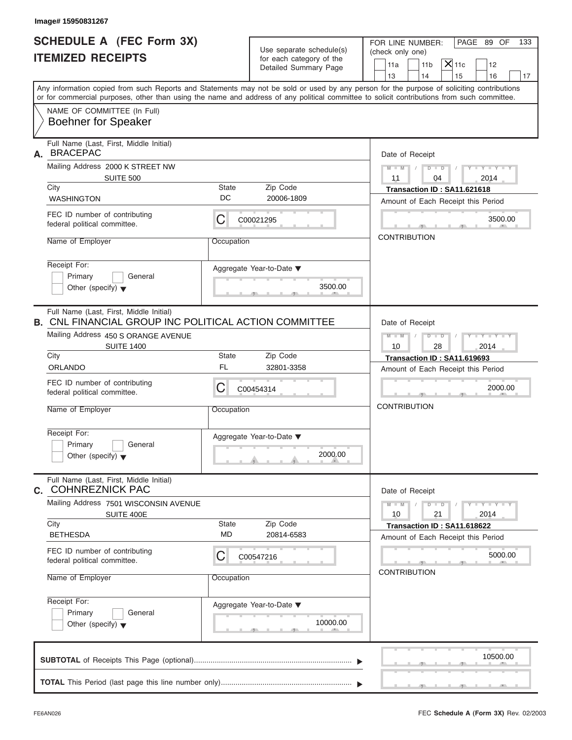| Image# 15950831267<br><b>SCHEDULE A (FEC Form 3X)</b><br><b>ITEMIZED RECEIPTS</b>                                                                                                                       |                              | Use separate schedule(s)<br>for each category of the<br>Detailed Summary Page | PAGE 89 OF<br>FOR LINE NUMBER:<br>133<br>(check only one)<br>$X$ 11c<br>11 <sub>b</sub><br>11a<br>12                                                                    |
|---------------------------------------------------------------------------------------------------------------------------------------------------------------------------------------------------------|------------------------------|-------------------------------------------------------------------------------|-------------------------------------------------------------------------------------------------------------------------------------------------------------------------|
|                                                                                                                                                                                                         |                              |                                                                               | 14<br>13<br>15<br>16<br>17<br>Any information copied from such Reports and Statements may not be sold or used by any person for the purpose of soliciting contributions |
| or for commercial purposes, other than using the name and address of any political committee to solicit contributions from such committee.<br>NAME OF COMMITTEE (In Full)<br><b>Boehner for Speaker</b> |                              |                                                                               |                                                                                                                                                                         |
| Full Name (Last, First, Middle Initial)<br><b>BRACEPAC</b><br>А.<br>Mailing Address 2000 K STREET NW<br>SUITE 500                                                                                       |                              |                                                                               | Date of Receipt<br>$D$ $D$<br>$Y - Y - Y - Y - Y$<br>$M - M$ /<br>04<br>2014<br>11                                                                                      |
| City                                                                                                                                                                                                    | State<br>DC                  | Zip Code                                                                      | Transaction ID: SA11.621618                                                                                                                                             |
| <b>WASHINGTON</b><br>FEC ID number of contributing<br>federal political committee.                                                                                                                      | С                            | 20006-1809<br>C00021295                                                       | Amount of Each Receipt this Period<br>3500.00                                                                                                                           |
| Name of Employer<br>Receipt For:<br>Primary<br>General<br>Other (specify) $\blacktriangledown$                                                                                                          | Occupation                   | Aggregate Year-to-Date ▼<br>3500.00                                           | <b>CONTRIBUTION</b>                                                                                                                                                     |
| Full Name (Last, First, Middle Initial)<br><b>B. CNL FINANCIAL GROUP INC POLITICAL ACTION COMMITTEE</b><br>Mailing Address 450 S ORANGE AVENUE<br><b>SUITE 1400</b><br>City                             | State                        | Zip Code                                                                      | Date of Receipt<br>$M - M$<br>$D - I - D$<br>Y TYTTYTTY<br>10<br>28<br>2014<br>Transaction ID: SA11.619693                                                              |
| <b>ORLANDO</b><br>FEC ID number of contributing<br>federal political committee.<br>Name of Employer                                                                                                     | <b>FL</b><br>С<br>Occupation | 32801-3358<br>C00454314                                                       | Amount of Each Receipt this Period<br>2000.00<br><b>CONTRIBUTION</b>                                                                                                    |
| Receipt For:<br>Primary<br>General<br>Other (specify) $\blacktriangledown$                                                                                                                              |                              | Aggregate Year-to-Date ▼<br>2000.00                                           |                                                                                                                                                                         |
| Full Name (Last, First, Middle Initial)<br><b>C. COHNREZNICK PAC</b>                                                                                                                                    |                              |                                                                               | Date of Receipt                                                                                                                                                         |
| Mailing Address 7501 WISCONSIN AVENUE<br>SUITE 400E<br>City                                                                                                                                             | <b>State</b>                 | Zip Code                                                                      | $Y = Y = Y + Y$<br>$M - M$<br>$D$ $\Box$ $D$<br>10<br>21<br>2014<br>Transaction ID: SA11.618622                                                                         |
| <b>BETHESDA</b><br>FEC ID number of contributing                                                                                                                                                        | <b>MD</b>                    | 20814-6583                                                                    | Amount of Each Receipt this Period                                                                                                                                      |
| federal political committee.<br>Name of Employer                                                                                                                                                        | С<br>Occupation              | C00547216                                                                     | 5000.00<br><b>CONTRIBUTION</b>                                                                                                                                          |
| Receipt For:<br>Primary<br>General<br>Other (specify) $\blacktriangledown$                                                                                                                              |                              | Aggregate Year-to-Date ▼<br>10000.00                                          |                                                                                                                                                                         |
|                                                                                                                                                                                                         |                              |                                                                               | 10500.00                                                                                                                                                                |
|                                                                                                                                                                                                         |                              |                                                                               |                                                                                                                                                                         |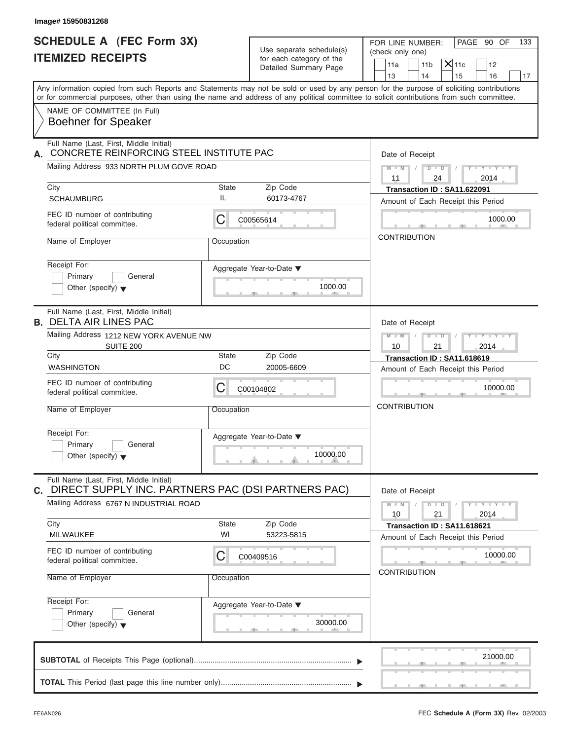| Image# 15950831268                                                                                                                         |                    |                                                                               |                                                                                                                                               |
|--------------------------------------------------------------------------------------------------------------------------------------------|--------------------|-------------------------------------------------------------------------------|-----------------------------------------------------------------------------------------------------------------------------------------------|
| <b>SCHEDULE A (FEC Form 3X)</b><br><b>ITEMIZED RECEIPTS</b>                                                                                |                    | Use separate schedule(s)<br>for each category of the<br>Detailed Summary Page | PAGE 90 OF<br>FOR LINE NUMBER:<br>133<br>(check only one)<br>$ \mathsf{X} $ 11c<br>11 <sub>b</sub><br>11a<br>12<br>13<br>14<br>15<br>16<br>17 |
| or for commercial purposes, other than using the name and address of any political committee to solicit contributions from such committee. |                    |                                                                               | Any information copied from such Reports and Statements may not be sold or used by any person for the purpose of soliciting contributions     |
| NAME OF COMMITTEE (In Full)<br><b>Boehner for Speaker</b>                                                                                  |                    |                                                                               |                                                                                                                                               |
| Full Name (Last, First, Middle Initial)<br>CONCRETE REINFORCING STEEL INSTITUTE PAC<br>А.                                                  |                    |                                                                               | Date of Receipt                                                                                                                               |
| Mailing Address 933 NORTH PLUM GOVE ROAD                                                                                                   |                    |                                                                               | $D$ $\Box$ $D$<br>$M - M$ /<br>$Y - Y - Y - Y - Y$<br>$\sqrt{2}$<br>11<br>24<br>2014                                                          |
| City                                                                                                                                       | <b>State</b>       | Zip Code                                                                      | Transaction ID: SA11.622091                                                                                                                   |
| <b>SCHAUMBURG</b>                                                                                                                          | IL                 | 60173-4767                                                                    | Amount of Each Receipt this Period                                                                                                            |
| FEC ID number of contributing<br>federal political committee.                                                                              | С                  | C00565614                                                                     | 1000.00                                                                                                                                       |
| Name of Employer                                                                                                                           | Occupation         |                                                                               | <b>CONTRIBUTION</b>                                                                                                                           |
| Receipt For:<br>Primary<br>General<br>Other (specify) $\blacktriangledown$                                                                 |                    | Aggregate Year-to-Date ▼<br>1000.00                                           |                                                                                                                                               |
| Full Name (Last, First, Middle Initial)<br><b>B. DELTA AIR LINES PAC</b>                                                                   |                    |                                                                               | Date of Receipt                                                                                                                               |
| Mailing Address 1212 NEW YORK AVENUE NW<br><b>SUITE 200</b>                                                                                |                    |                                                                               | $D - I$<br>$Y - Y - Y - Y - Y$<br>$M - M$<br>10<br>21<br>2014                                                                                 |
| City                                                                                                                                       | <b>State</b>       | Zip Code                                                                      | Transaction ID: SA11.618619                                                                                                                   |
| <b>WASHINGTON</b>                                                                                                                          | DC                 | 20005-6609                                                                    | Amount of Each Receipt this Period                                                                                                            |
| FEC ID number of contributing<br>federal political committee.                                                                              | С                  | C00104802                                                                     | 10000.00                                                                                                                                      |
| Name of Employer                                                                                                                           | Occupation         |                                                                               | <b>CONTRIBUTION</b>                                                                                                                           |
| Receipt For:<br>Primary<br>General<br>Other (specify) $\blacktriangledown$                                                                 |                    | Aggregate Year-to-Date ▼<br>10000.00                                          |                                                                                                                                               |
| Full Name (Last, First, Middle Initial)<br>DIRECT SUPPLY INC. PARTNERS PAC (DSI PARTNERS PAC)<br>С.                                        |                    |                                                                               | Date of Receipt                                                                                                                               |
| Mailing Address 6767 N INDUSTRIAL ROAD                                                                                                     |                    |                                                                               | $M - M$<br>$D$ $\Box$ $D$<br>$Y - Y - Y - Y - Y$<br>10<br>21<br>2014                                                                          |
| City<br>MILWAUKEE                                                                                                                          | <b>State</b><br>WI | Zip Code<br>53223-5815                                                        | Transaction ID: SA11.618621<br>Amount of Each Receipt this Period                                                                             |
| FEC ID number of contributing<br>federal political committee.                                                                              | С                  | C00409516                                                                     | 10000.00<br><b>CONTRIBUTION</b>                                                                                                               |
| Name of Employer                                                                                                                           | Occupation         |                                                                               |                                                                                                                                               |
| Receipt For:<br>Primary<br>General<br>Other (specify) $\blacktriangledown$                                                                 |                    | Aggregate Year-to-Date ▼<br>30000.00                                          |                                                                                                                                               |
|                                                                                                                                            |                    |                                                                               | 21000.00                                                                                                                                      |
|                                                                                                                                            |                    |                                                                               |                                                                                                                                               |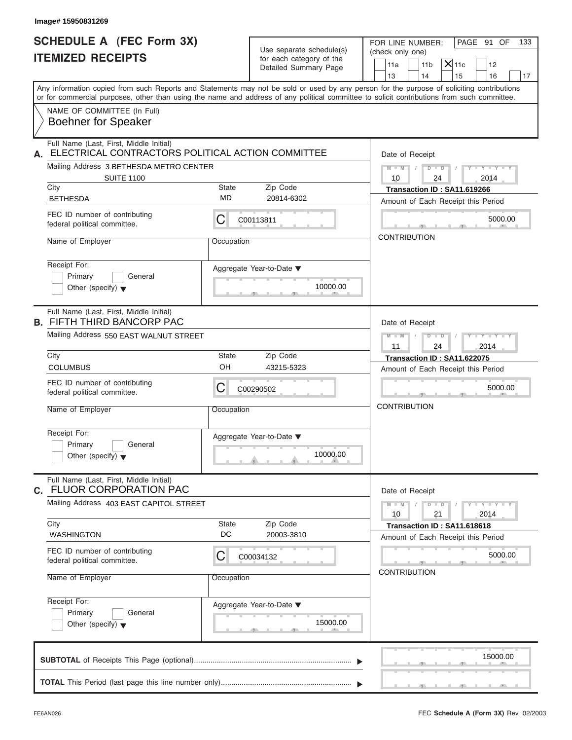| Image# 15950831269                                                                                 |                           |                                                                               |                                                                                                                                                                         |
|----------------------------------------------------------------------------------------------------|---------------------------|-------------------------------------------------------------------------------|-------------------------------------------------------------------------------------------------------------------------------------------------------------------------|
| <b>SCHEDULE A (FEC Form 3X)</b><br><b>ITEMIZED RECEIPTS</b>                                        |                           | Use separate schedule(s)<br>for each category of the<br>Detailed Summary Page | PAGE 91 OF<br>FOR LINE NUMBER:<br>133<br>(check only one)<br>$ \mathsf{X} $ 11c<br>11 <sub>b</sub><br>11a<br>12                                                         |
|                                                                                                    |                           |                                                                               | 13<br>14<br>15<br>16<br>17<br>Any information copied from such Reports and Statements may not be sold or used by any person for the purpose of soliciting contributions |
| NAME OF COMMITTEE (In Full)<br><b>Boehner for Speaker</b>                                          |                           |                                                                               | or for commercial purposes, other than using the name and address of any political committee to solicit contributions from such committee.                              |
|                                                                                                    |                           |                                                                               |                                                                                                                                                                         |
| Full Name (Last, First, Middle Initial)<br>ELECTRICAL CONTRACTORS POLITICAL ACTION COMMITTEE<br>А. |                           |                                                                               | Date of Receipt                                                                                                                                                         |
| Mailing Address 3 BETHESDA METRO CENTER                                                            |                           |                                                                               | $D$ $D$<br>$M - M$ /<br>$Y - Y - Y - Y - Y$<br>$\sqrt{2}$                                                                                                               |
| <b>SUITE 1100</b>                                                                                  |                           |                                                                               | 10<br>24<br>2014                                                                                                                                                        |
| City<br><b>BETHESDA</b>                                                                            | <b>State</b><br><b>MD</b> | Zip Code<br>20814-6302                                                        | Transaction ID: SA11.619266                                                                                                                                             |
|                                                                                                    |                           |                                                                               | Amount of Each Receipt this Period                                                                                                                                      |
| FEC ID number of contributing<br>federal political committee.                                      | С                         | C00113811                                                                     | 5000.00                                                                                                                                                                 |
| Name of Employer                                                                                   | Occupation                |                                                                               | <b>CONTRIBUTION</b>                                                                                                                                                     |
| Receipt For:<br>Primary<br>General<br>Other (specify) $\blacktriangledown$                         |                           | Aggregate Year-to-Date $\blacktriangledown$<br>10000.00                       |                                                                                                                                                                         |
| Full Name (Last, First, Middle Initial)<br><b>B. FIFTH THIRD BANCORP PAC</b>                       |                           |                                                                               | Date of Receipt                                                                                                                                                         |
| Mailing Address 550 EAST WALNUT STREET                                                             |                           |                                                                               | $D - I$<br>$Y = Y = Y' - Y'$<br>$M - M$<br>$\sqrt{ }$<br>11<br>24<br>2014                                                                                               |
| City<br><b>COLUMBUS</b>                                                                            | <b>State</b><br>OH        | Zip Code<br>43215-5323                                                        | Transaction ID: SA11.622075                                                                                                                                             |
|                                                                                                    |                           |                                                                               | Amount of Each Receipt this Period                                                                                                                                      |
| FEC ID number of contributing<br>federal political committee.                                      | С                         | C00290502                                                                     | 5000.00                                                                                                                                                                 |
| Name of Employer                                                                                   | Occupation                |                                                                               | <b>CONTRIBUTION</b>                                                                                                                                                     |
| Receipt For:<br>Primary<br>General<br>Other (specify) $\blacktriangledown$                         |                           | Aggregate Year-to-Date ▼<br>10000.00                                          |                                                                                                                                                                         |
| Full Name (Last, First, Middle Initial)<br><b>FLUOR CORPORATION PAC</b><br>С.                      |                           |                                                                               | Date of Receipt                                                                                                                                                         |
| Mailing Address 403 EAST CAPITOL STREET                                                            |                           |                                                                               | $Y - Y - Y - Y - Y$<br>$M - M$<br>$D$ $\Box$ $D$<br>2014<br>10<br>21                                                                                                    |
| City<br><b>WASHINGTON</b>                                                                          | State<br>DC               | Zip Code<br>20003-3810                                                        | Transaction ID: SA11.618618<br>Amount of Each Receipt this Period                                                                                                       |
| FEC ID number of contributing<br>federal political committee.                                      | С                         | C00034132                                                                     | 5000.00                                                                                                                                                                 |
| Name of Employer                                                                                   | Occupation                |                                                                               | <b>CONTRIBUTION</b>                                                                                                                                                     |
| Receipt For:<br>Primary<br>General<br>Other (specify) $\blacktriangledown$                         |                           | Aggregate Year-to-Date ▼<br>15000.00                                          |                                                                                                                                                                         |
|                                                                                                    |                           |                                                                               | 15000.00                                                                                                                                                                |
|                                                                                                    |                           |                                                                               |                                                                                                                                                                         |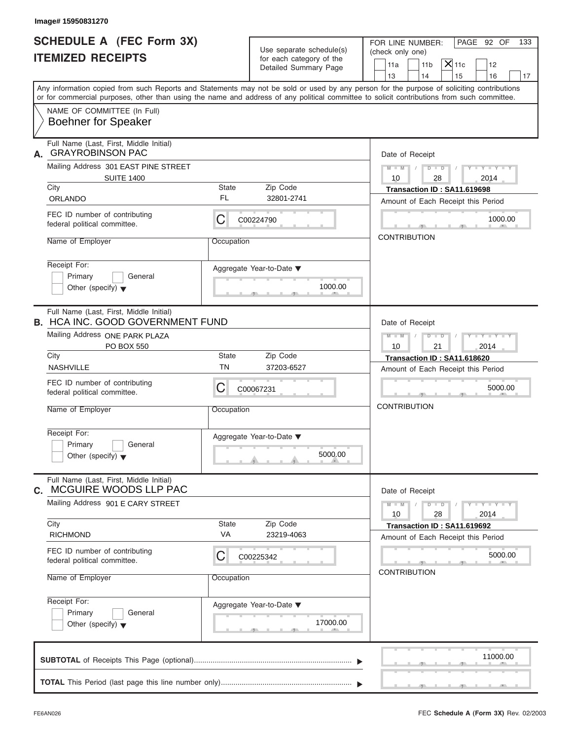| <b>SCHEDULE A (FEC Form 3X)</b><br><b>ITEMIZED RECEIPTS</b>                        |                    | Use separate schedule(s)<br>for each category of the<br>Detailed Summary Page | PAGE 92 OF<br>FOR LINE NUMBER:<br>133<br>(check only one)<br>$X$ 11c<br>11 <sub>b</sub><br>11a<br>12<br>14<br>13<br>15<br>16                                                                                                                                                            |
|------------------------------------------------------------------------------------|--------------------|-------------------------------------------------------------------------------|-----------------------------------------------------------------------------------------------------------------------------------------------------------------------------------------------------------------------------------------------------------------------------------------|
|                                                                                    |                    |                                                                               | Any information copied from such Reports and Statements may not be sold or used by any person for the purpose of soliciting contributions<br>or for commercial purposes, other than using the name and address of any political committee to solicit contributions from such committee. |
| NAME OF COMMITTEE (In Full)<br><b>Boehner for Speaker</b>                          |                    |                                                                               |                                                                                                                                                                                                                                                                                         |
| Full Name (Last, First, Middle Initial)<br><b>GRAYROBINSON PAC</b><br>А.           |                    |                                                                               | Date of Receipt                                                                                                                                                                                                                                                                         |
| Mailing Address 301 EAST PINE STREET                                               |                    |                                                                               | $D$ $D$<br>$Y - Y - Y - Y - Y$<br>$M - M$ /                                                                                                                                                                                                                                             |
| <b>SUITE 1400</b><br>City                                                          | State              | Zip Code                                                                      | 10<br>28<br>2014<br>Transaction ID: SA11.619698                                                                                                                                                                                                                                         |
| ORLANDO                                                                            | FL                 | 32801-2741                                                                    | Amount of Each Receipt this Period                                                                                                                                                                                                                                                      |
| FEC ID number of contributing<br>federal political committee.                      | С                  | C00224790                                                                     | 1000.00                                                                                                                                                                                                                                                                                 |
| Name of Employer                                                                   | Occupation         |                                                                               | <b>CONTRIBUTION</b>                                                                                                                                                                                                                                                                     |
| Receipt For:<br>Primary<br>General<br>Other (specify) $\blacktriangledown$         |                    | Aggregate Year-to-Date ▼<br>1000.00                                           |                                                                                                                                                                                                                                                                                         |
| Full Name (Last, First, Middle Initial)<br><b>B. HCA INC. GOOD GOVERNMENT FUND</b> |                    |                                                                               | Date of Receipt                                                                                                                                                                                                                                                                         |
| Mailing Address ONE PARK PLAZA<br>PO BOX 550                                       |                    |                                                                               | $M$ $M$<br>$D - I - D$<br>$Y - Y - Y - Y - Y$<br>10<br>21<br>2014                                                                                                                                                                                                                       |
| City                                                                               | State              | Zip Code                                                                      | Transaction ID: SA11.618620                                                                                                                                                                                                                                                             |
| <b>NASHVILLE</b>                                                                   | <b>TN</b>          | 37203-6527                                                                    | Amount of Each Receipt this Period                                                                                                                                                                                                                                                      |
| FEC ID number of contributing<br>federal political committee.                      | С                  | C00067231                                                                     | 5000.00                                                                                                                                                                                                                                                                                 |
| Name of Employer                                                                   | Occupation         |                                                                               | <b>CONTRIBUTION</b>                                                                                                                                                                                                                                                                     |
| Receipt For:<br>Primary<br>General<br>Other (specify) $\blacktriangledown$         |                    | Aggregate Year-to-Date ▼<br>5000.00                                           |                                                                                                                                                                                                                                                                                         |
| Full Name (Last, First, Middle Initial)<br>MCGUIRE WOODS LLP PAC<br>С.             |                    |                                                                               | Date of Receipt                                                                                                                                                                                                                                                                         |
| Mailing Address 901 E CARY STREET                                                  |                    |                                                                               | $Y = Y = Y$<br>$M - M$<br>$D - D$<br>2014<br>10<br>28                                                                                                                                                                                                                                   |
| City<br><b>RICHMOND</b>                                                            | <b>State</b><br>VA | Zip Code<br>23219-4063                                                        | Transaction ID: SA11.619692                                                                                                                                                                                                                                                             |
| FEC ID number of contributing<br>federal political committee.                      | С                  | C00225342                                                                     | Amount of Each Receipt this Period<br>5000.00                                                                                                                                                                                                                                           |
| Name of Employer                                                                   | Occupation         |                                                                               | <b>CONTRIBUTION</b>                                                                                                                                                                                                                                                                     |
| Receipt For:<br>Primary<br>General<br>Other (specify) $\blacktriangledown$         |                    | Aggregate Year-to-Date ▼<br>17000.00                                          |                                                                                                                                                                                                                                                                                         |
|                                                                                    |                    |                                                                               | 11000.00                                                                                                                                                                                                                                                                                |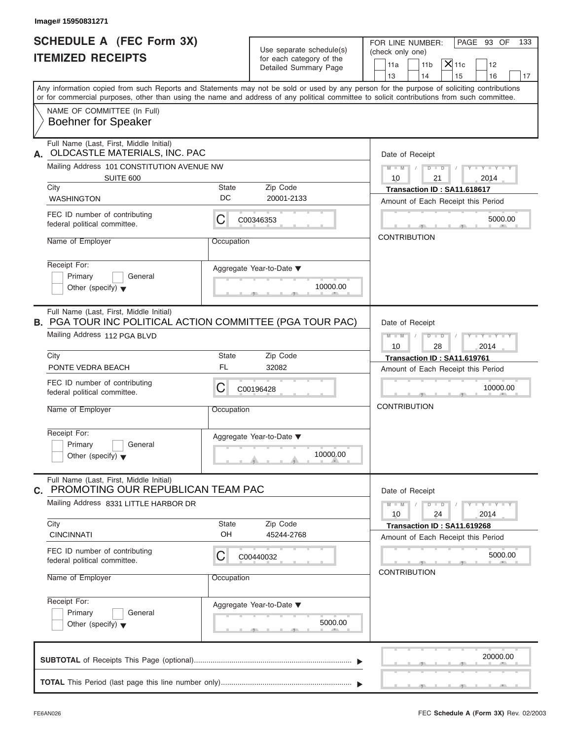| Image# 15950831271                                                                                          |                    |                                                                               |                                                                                                                                                                                                                                                                                         |
|-------------------------------------------------------------------------------------------------------------|--------------------|-------------------------------------------------------------------------------|-----------------------------------------------------------------------------------------------------------------------------------------------------------------------------------------------------------------------------------------------------------------------------------------|
| <b>SCHEDULE A (FEC Form 3X)</b><br><b>ITEMIZED RECEIPTS</b>                                                 |                    | Use separate schedule(s)<br>for each category of the<br>Detailed Summary Page | PAGE 93 OF<br>FOR LINE NUMBER:<br>133<br>(check only one)<br>$ \mathsf{X} $ 11c<br>11 <sub>b</sub><br>11a<br>12<br>13<br>14<br>15<br>16<br>17                                                                                                                                           |
|                                                                                                             |                    |                                                                               | Any information copied from such Reports and Statements may not be sold or used by any person for the purpose of soliciting contributions<br>or for commercial purposes, other than using the name and address of any political committee to solicit contributions from such committee. |
| NAME OF COMMITTEE (In Full)<br><b>Boehner for Speaker</b>                                                   |                    |                                                                               |                                                                                                                                                                                                                                                                                         |
| Full Name (Last, First, Middle Initial)<br>OLDCASTLE MATERIALS, INC. PAC<br>А.                              |                    |                                                                               | Date of Receipt                                                                                                                                                                                                                                                                         |
| Mailing Address 101 CONSTITUTION AVENUE NW<br>SUITE 600                                                     |                    |                                                                               | $D$ $D$ $/$<br>$Y - Y - Y - Y - Y$<br>$M - M$ /<br>10<br>21<br>2014                                                                                                                                                                                                                     |
| City<br><b>WASHINGTON</b>                                                                                   | State<br>DC        | Zip Code<br>20001-2133                                                        | Transaction ID: SA11.618617<br>Amount of Each Receipt this Period                                                                                                                                                                                                                       |
| FEC ID number of contributing<br>federal political committee.                                               | С                  | C00346353                                                                     | 5000.00                                                                                                                                                                                                                                                                                 |
| Name of Employer                                                                                            | Occupation         |                                                                               | <b>CONTRIBUTION</b>                                                                                                                                                                                                                                                                     |
| Receipt For:<br>Primary<br>General<br>Other (specify) $\bullet$                                             |                    | Aggregate Year-to-Date ▼<br>10000.00                                          |                                                                                                                                                                                                                                                                                         |
| Full Name (Last, First, Middle Initial)<br><b>B. PGA TOUR INC POLITICAL ACTION COMMITTEE (PGA TOUR PAC)</b> |                    |                                                                               | Date of Receipt                                                                                                                                                                                                                                                                         |
| Mailing Address 112 PGA BLVD                                                                                |                    |                                                                               | $M = M - 1$<br>$D - I - D$<br>$Y = Y = Y' - Y'$<br>$\sqrt{2}$<br>10<br>28<br>2014                                                                                                                                                                                                       |
| City<br>PONTE VEDRA BEACH                                                                                   | State<br>FL        | Zip Code<br>32082                                                             | Transaction ID: SA11.619761<br>Amount of Each Receipt this Period                                                                                                                                                                                                                       |
| FEC ID number of contributing<br>federal political committee.                                               | С                  | C00196428                                                                     | 10000.00                                                                                                                                                                                                                                                                                |
| Name of Employer                                                                                            | Occupation         |                                                                               | <b>CONTRIBUTION</b>                                                                                                                                                                                                                                                                     |
| Receipt For:<br>Primary<br>General<br>Other (specify) $\blacktriangledown$                                  |                    | Aggregate Year-to-Date ▼<br>10000.00                                          |                                                                                                                                                                                                                                                                                         |
| Full Name (Last, First, Middle Initial)<br>C. PROMOTING OUR REPUBLICAN TEAM PAC                             |                    |                                                                               | Date of Receipt                                                                                                                                                                                                                                                                         |
| Mailing Address 8331 LITTLE HARBOR DR                                                                       |                    |                                                                               | $Y - Y - Y - Y - Y$<br>$M - M$<br>$D$ $\Box$ $D$<br>24<br>2014<br>10                                                                                                                                                                                                                    |
| City<br><b>CINCINNATI</b>                                                                                   | <b>State</b><br>OH | Zip Code<br>45244-2768                                                        | Transaction ID: SA11.619268<br>Amount of Each Receipt this Period                                                                                                                                                                                                                       |
| FEC ID number of contributing<br>federal political committee.                                               | С                  | C00440032                                                                     | 5000.00<br><b>CONTRIBUTION</b>                                                                                                                                                                                                                                                          |
| Name of Employer                                                                                            | Occupation         |                                                                               |                                                                                                                                                                                                                                                                                         |
| Receipt For:<br>Primary<br>General<br>Other (specify) $\blacktriangledown$                                  |                    | Aggregate Year-to-Date ▼<br>5000.00                                           |                                                                                                                                                                                                                                                                                         |
|                                                                                                             |                    |                                                                               | 20000.00                                                                                                                                                                                                                                                                                |
|                                                                                                             |                    |                                                                               |                                                                                                                                                                                                                                                                                         |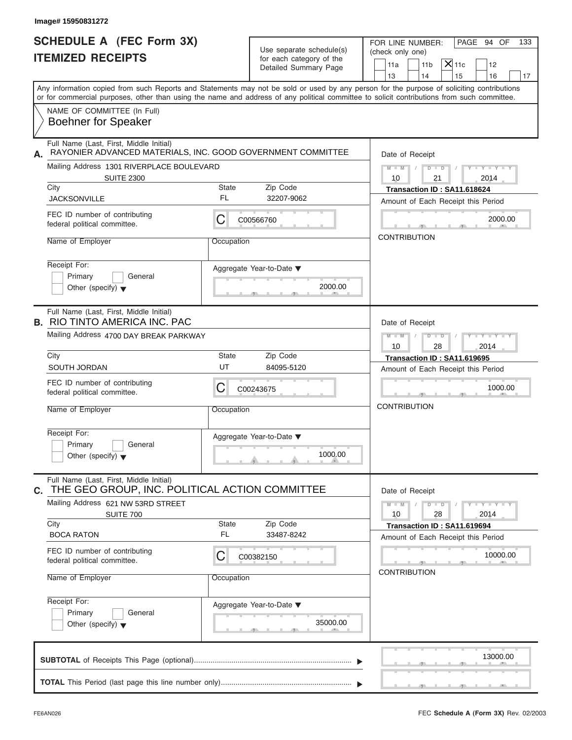| Image# 15950831272                                                                                     |             |                          |                                                                                                                                            |  |  |  |
|--------------------------------------------------------------------------------------------------------|-------------|--------------------------|--------------------------------------------------------------------------------------------------------------------------------------------|--|--|--|
| <b>SCHEDULE A (FEC Form 3X)</b><br><b>ITEMIZED RECEIPTS</b>                                            |             | Use separate schedule(s) | PAGE 94 OF<br>FOR LINE NUMBER:<br>133<br>(check only one)                                                                                  |  |  |  |
|                                                                                                        |             | for each category of the | $X$ 11c                                                                                                                                    |  |  |  |
|                                                                                                        |             | Detailed Summary Page    | 11 <sub>b</sub><br>11a<br>12<br>14<br>13<br>15<br>16<br>17                                                                                 |  |  |  |
|                                                                                                        |             |                          | Any information copied from such Reports and Statements may not be sold or used by any person for the purpose of soliciting contributions  |  |  |  |
|                                                                                                        |             |                          | or for commercial purposes, other than using the name and address of any political committee to solicit contributions from such committee. |  |  |  |
| NAME OF COMMITTEE (In Full)<br><b>Boehner for Speaker</b>                                              |             |                          |                                                                                                                                            |  |  |  |
| Full Name (Last, First, Middle Initial)<br>RAYONIER ADVANCED MATERIALS, INC. GOOD GOVERNMENT COMMITTEE |             |                          | Date of Receipt                                                                                                                            |  |  |  |
| Mailing Address 1301 RIVERPLACE BOULEVARD                                                              |             |                          | $D$ $D$<br>$Y - Y - Y - Y - Y$<br>$M - M$                                                                                                  |  |  |  |
| <b>SUITE 2300</b>                                                                                      |             |                          | 10<br>21<br>2014                                                                                                                           |  |  |  |
| City<br><b>JACKSONVILLE</b>                                                                            | State<br>FL | Zip Code<br>32207-9062   | Transaction ID: SA11.618624<br>Amount of Each Receipt this Period                                                                          |  |  |  |
| FEC ID number of contributing                                                                          |             |                          |                                                                                                                                            |  |  |  |
| federal political committee.                                                                           | С           | C00566760                | 2000.00                                                                                                                                    |  |  |  |
| Name of Employer                                                                                       | Occupation  |                          | <b>CONTRIBUTION</b>                                                                                                                        |  |  |  |
| Receipt For:                                                                                           |             |                          |                                                                                                                                            |  |  |  |
| Primary<br>General                                                                                     |             | Aggregate Year-to-Date ▼ |                                                                                                                                            |  |  |  |
| Other (specify) $\blacktriangledown$                                                                   |             | 2000.00                  |                                                                                                                                            |  |  |  |
| Full Name (Last, First, Middle Initial)                                                                |             |                          |                                                                                                                                            |  |  |  |
| <b>B. RIO TINTO AMERICA INC. PAC</b>                                                                   |             |                          | Date of Receipt                                                                                                                            |  |  |  |
| Mailing Address 4700 DAY BREAK PARKWAY                                                                 |             |                          | $M$ $M$<br>$D - I - D$<br>Y TYTTYTTY<br>10<br>28<br>2014                                                                                   |  |  |  |
| City                                                                                                   | State       | Zip Code                 | Transaction ID: SA11.619695                                                                                                                |  |  |  |
| SOUTH JORDAN                                                                                           | UT          | 84095-5120               | Amount of Each Receipt this Period                                                                                                         |  |  |  |
| FEC ID number of contributing<br>federal political committee.                                          | С           | C00243675                | 1000.00                                                                                                                                    |  |  |  |
| Name of Employer                                                                                       | Occupation  |                          | <b>CONTRIBUTION</b>                                                                                                                        |  |  |  |
| Receipt For:                                                                                           |             | Aggregate Year-to-Date ▼ |                                                                                                                                            |  |  |  |
| Primary<br>General                                                                                     |             |                          |                                                                                                                                            |  |  |  |
| Other (specify) $\blacktriangledown$                                                                   |             | 1000.00                  |                                                                                                                                            |  |  |  |
| Full Name (Last, First, Middle Initial)<br>THE GEO GROUP, INC. POLITICAL ACTION COMMITTEE              |             |                          | Date of Receipt                                                                                                                            |  |  |  |
| Mailing Address 621 NW 53RD STREET                                                                     |             |                          | $M - M$<br>$D - D$<br>$Y - Y - Y - Y - Y$<br>10<br>28<br>2014                                                                              |  |  |  |
| SUITE 700<br>City                                                                                      | State       | Zip Code                 | Transaction ID: SA11.619694                                                                                                                |  |  |  |
| <b>BOCA RATON</b>                                                                                      | <b>FL</b>   | 33487-8242               | Amount of Each Receipt this Period                                                                                                         |  |  |  |
| FEC ID number of contributing<br>federal political committee.                                          | С           | C00382150                | 10000.00                                                                                                                                   |  |  |  |
| Name of Employer                                                                                       | Occupation  |                          | <b>CONTRIBUTION</b>                                                                                                                        |  |  |  |
| Receipt For:                                                                                           |             | Aggregate Year-to-Date ▼ |                                                                                                                                            |  |  |  |
| Primary<br>General<br>Other (specify) $\blacktriangledown$                                             |             | 35000.00                 |                                                                                                                                            |  |  |  |
|                                                                                                        |             |                          |                                                                                                                                            |  |  |  |
|                                                                                                        |             |                          | 13000.00                                                                                                                                   |  |  |  |
|                                                                                                        |             |                          |                                                                                                                                            |  |  |  |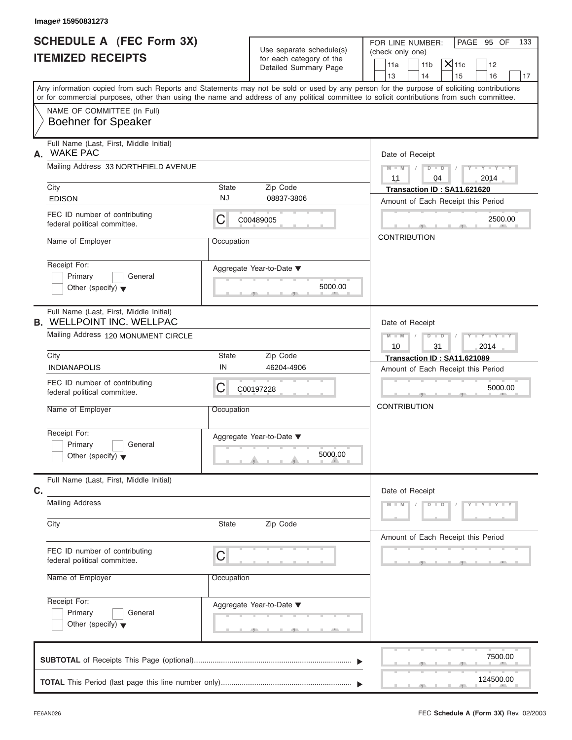|    | Image# 15950831273                                                                                                                                                                                                                                                                      |            |                                                                               |                                                                                                                                    |
|----|-----------------------------------------------------------------------------------------------------------------------------------------------------------------------------------------------------------------------------------------------------------------------------------------|------------|-------------------------------------------------------------------------------|------------------------------------------------------------------------------------------------------------------------------------|
|    | <b>SCHEDULE A (FEC Form 3X)</b><br><b>ITEMIZED RECEIPTS</b>                                                                                                                                                                                                                             |            | Use separate schedule(s)<br>for each category of the<br>Detailed Summary Page | FOR LINE NUMBER:<br>PAGE 95 OF<br>133<br>(check only one)<br>$X$ 11c<br>11a<br>11 <sub>b</sub><br>12<br>14<br>13<br>15<br>16<br>17 |
|    | Any information copied from such Reports and Statements may not be sold or used by any person for the purpose of soliciting contributions<br>or for commercial purposes, other than using the name and address of any political committee to solicit contributions from such committee. |            |                                                                               |                                                                                                                                    |
|    | NAME OF COMMITTEE (In Full)<br><b>Boehner for Speaker</b>                                                                                                                                                                                                                               |            |                                                                               |                                                                                                                                    |
| Α. | Full Name (Last, First, Middle Initial)<br><b>WAKE PAC</b>                                                                                                                                                                                                                              |            |                                                                               | Date of Receipt                                                                                                                    |
|    | Mailing Address 33 NORTHFIELD AVENUE                                                                                                                                                                                                                                                    |            |                                                                               | $M - M$<br>$D$ $D$<br>$Y - Y - Y - Y - Y$<br>11<br>04<br>2014                                                                      |
|    | City                                                                                                                                                                                                                                                                                    | State      | Zip Code                                                                      | Transaction ID: SA11.621620                                                                                                        |
|    | <b>EDISON</b>                                                                                                                                                                                                                                                                           | <b>NJ</b>  | 08837-3806                                                                    | Amount of Each Receipt this Period                                                                                                 |
|    | FEC ID number of contributing<br>federal political committee.                                                                                                                                                                                                                           | C          | C00489005                                                                     | 2500.00                                                                                                                            |
|    | Name of Employer                                                                                                                                                                                                                                                                        | Occupation |                                                                               | <b>CONTRIBUTION</b>                                                                                                                |
|    | Receipt For:<br>Primary<br>General<br>Other (specify) $\blacktriangledown$                                                                                                                                                                                                              |            | Aggregate Year-to-Date ▼<br>5000.00                                           |                                                                                                                                    |
|    | Full Name (Last, First, Middle Initial)<br><b>B. WELLPOINT INC. WELLPAC</b>                                                                                                                                                                                                             |            | Date of Receipt                                                               |                                                                                                                                    |
|    | Mailing Address 120 MONUMENT CIRCLE                                                                                                                                                                                                                                                     |            |                                                                               | $M - M$<br>$D - I - D$<br>Y TYTTYTTY<br>2014<br>10<br>31                                                                           |
|    | City                                                                                                                                                                                                                                                                                    | State      | Zip Code                                                                      | Transaction ID: SA11.621089                                                                                                        |
|    | <b>INDIANAPOLIS</b>                                                                                                                                                                                                                                                                     | IN         | 46204-4906                                                                    | Amount of Each Receipt this Period                                                                                                 |
|    | FEC ID number of contributing<br>federal political committee.                                                                                                                                                                                                                           | С          | C00197228                                                                     | 5000.00                                                                                                                            |
|    | Name of Employer                                                                                                                                                                                                                                                                        | Occupation |                                                                               | <b>CONTRIBUTION</b>                                                                                                                |
|    | Receipt For:<br>Primary<br>General<br>Other (specify) $\blacktriangledown$                                                                                                                                                                                                              |            | Aggregate Year-to-Date ▼<br>5000.00                                           |                                                                                                                                    |
| C. | Full Name (Last, First, Middle Initial)                                                                                                                                                                                                                                                 |            |                                                                               | Date of Receipt                                                                                                                    |
|    | <b>Mailing Address</b>                                                                                                                                                                                                                                                                  |            |                                                                               | $M - M$<br>$D$ $\Box$ $D$<br>$Y - Y - Y - Y - Y$                                                                                   |
|    | City                                                                                                                                                                                                                                                                                    | State      | Zip Code                                                                      | Amount of Each Receipt this Period                                                                                                 |
|    | FEC ID number of contributing<br>federal political committee.                                                                                                                                                                                                                           | C          |                                                                               |                                                                                                                                    |
|    | Name of Employer                                                                                                                                                                                                                                                                        | Occupation |                                                                               |                                                                                                                                    |
|    | Receipt For:<br>Primary<br>General<br>Other (specify) $\blacktriangledown$                                                                                                                                                                                                              |            | Aggregate Year-to-Date ▼<br>$-9$                                              |                                                                                                                                    |
|    |                                                                                                                                                                                                                                                                                         |            |                                                                               | 7500.00                                                                                                                            |
|    |                                                                                                                                                                                                                                                                                         |            |                                                                               | 124500.00                                                                                                                          |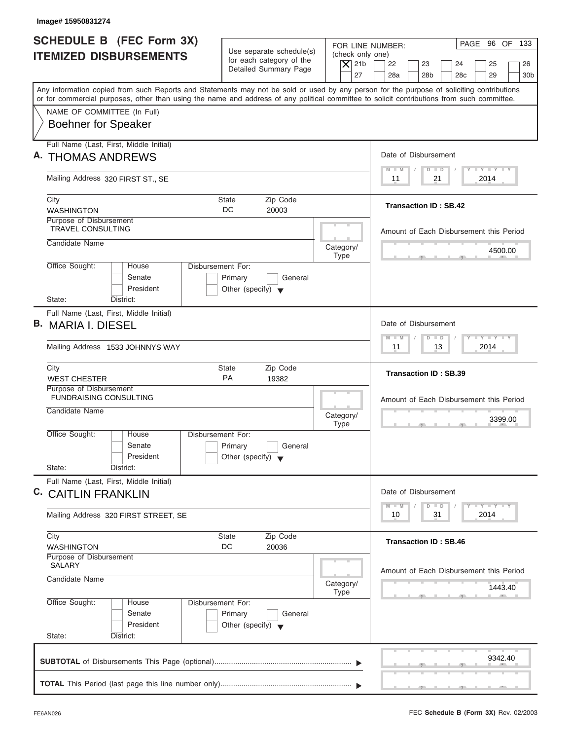| <b>SCHEDULE B (FEC Form 3X)</b><br><b>ITEMIZED DISBURSEMENTS</b>                                                                                                                                                                                                                        | Use separate schedule(s)<br>for each category of the<br>Detailed Summary Page   | PAGE 96 OF 133<br>FOR LINE NUMBER:<br>(check only one)<br>$\vert$ $\chi$ 21b<br>22<br>23<br>24<br>25<br>26<br>27<br>28a<br>28 <sub>b</sub><br>28 <sub>c</sub><br>29<br>30 <sub>b</sub> |
|-----------------------------------------------------------------------------------------------------------------------------------------------------------------------------------------------------------------------------------------------------------------------------------------|---------------------------------------------------------------------------------|----------------------------------------------------------------------------------------------------------------------------------------------------------------------------------------|
| Any information copied from such Reports and Statements may not be sold or used by any person for the purpose of soliciting contributions<br>or for commercial purposes, other than using the name and address of any political committee to solicit contributions from such committee. |                                                                                 |                                                                                                                                                                                        |
| NAME OF COMMITTEE (In Full)<br><b>Boehner for Speaker</b>                                                                                                                                                                                                                               |                                                                                 |                                                                                                                                                                                        |
| Full Name (Last, First, Middle Initial)<br>A. THOMAS ANDREWS                                                                                                                                                                                                                            |                                                                                 | Date of Disbursement                                                                                                                                                                   |
| Mailing Address 320 FIRST ST., SE                                                                                                                                                                                                                                                       |                                                                                 | $T - Y = T - Y = T - Y$<br>$M - M$<br>$D$ $D$<br>2014<br>11<br>21                                                                                                                      |
| City<br><b>WASHINGTON</b>                                                                                                                                                                                                                                                               | <b>State</b><br>Zip Code<br>DC<br>20003                                         | <b>Transaction ID: SB.42</b>                                                                                                                                                           |
| Purpose of Disbursement<br><b>TRAVEL CONSULTING</b><br>Candidate Name                                                                                                                                                                                                                   |                                                                                 | Amount of Each Disbursement this Period                                                                                                                                                |
| Office Sought:<br>House                                                                                                                                                                                                                                                                 | Category/<br><b>Type</b><br>Disbursement For:                                   | 4500.00                                                                                                                                                                                |
| Senate<br>President<br>State:<br>District:                                                                                                                                                                                                                                              | Primary<br>General<br>Other (specify) $\blacktriangledown$                      |                                                                                                                                                                                        |
| Full Name (Last, First, Middle Initial)<br>B. MARIA I. DIESEL<br>Mailing Address 1533 JOHNNYS WAY                                                                                                                                                                                       |                                                                                 | Date of Disbursement<br>$-1 - Y - 1 - Y - 1 - Y$<br>$M - M$<br>$D$ $D$<br>2014<br>11<br>13                                                                                             |
| City<br><b>WEST CHESTER</b>                                                                                                                                                                                                                                                             | Zip Code<br><b>State</b><br><b>PA</b><br>19382                                  | <b>Transaction ID: SB.39</b>                                                                                                                                                           |
| Purpose of Disbursement<br><b>FUNDRAISING CONSULTING</b><br>Candidate Name                                                                                                                                                                                                              | Category/<br><b>Type</b>                                                        | Amount of Each Disbursement this Period<br>3399.00                                                                                                                                     |
| Office Sought:<br>House<br>Senate<br>President<br>State:<br>District:                                                                                                                                                                                                                   | Disbursement For:<br>Primary<br>General<br>Other (specify) $\blacktriangledown$ | $\overline{\phantom{a}}$                                                                                                                                                               |
| Full Name (Last, First, Middle Initial)<br>C. CAITLIN FRANKLIN                                                                                                                                                                                                                          |                                                                                 | Date of Disbursement                                                                                                                                                                   |
| Mailing Address 320 FIRST STREET, SE                                                                                                                                                                                                                                                    |                                                                                 | $T - Y$ $T - Y$ $T - Y$<br>$M - M$<br>$\overline{D}$<br>$\Box$<br>2014<br>10<br>31                                                                                                     |
| City<br><b>WASHINGTON</b>                                                                                                                                                                                                                                                               | Zip Code<br><b>State</b><br>DC<br>20036                                         | <b>Transaction ID: SB.46</b>                                                                                                                                                           |
| Purpose of Disbursement<br><b>SALARY</b><br>Candidate Name                                                                                                                                                                                                                              | Category/<br>Type                                                               | Amount of Each Disbursement this Period<br>1443.40                                                                                                                                     |
| Office Sought:<br>House<br>Senate<br>President<br>State:<br>District:                                                                                                                                                                                                                   | Disbursement For:<br>Primary<br>General<br>Other (specify) $\blacktriangledown$ |                                                                                                                                                                                        |
|                                                                                                                                                                                                                                                                                         |                                                                                 |                                                                                                                                                                                        |

ı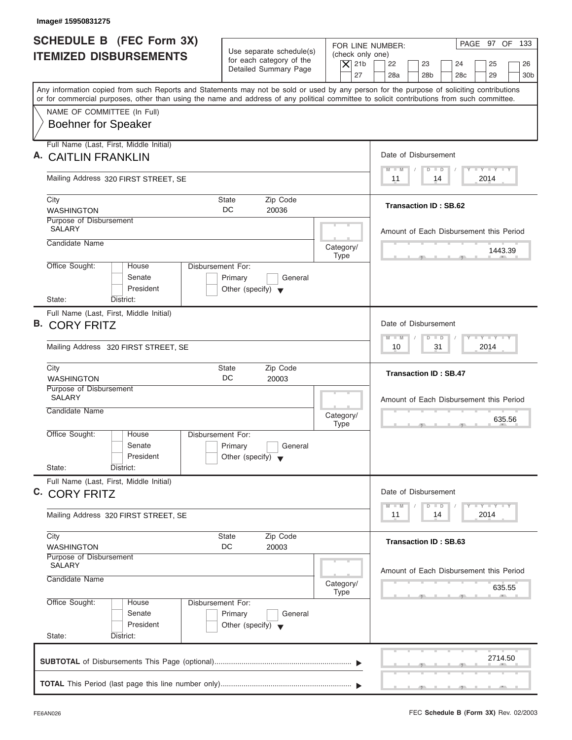| <b>SCHEDULE B (FEC Form 3X)</b><br><b>ITEMIZED DISBURSEMENTS</b>                                                                           | Use separate schedule(s)<br>for each category of the<br>Detailed Summary Page   | PAGE 97 OF 133<br>FOR LINE NUMBER:<br>(check only one)<br>$\vert$ $\chi$ 21b<br>22<br>23<br>24<br>25<br>26<br>27<br>28a<br>28 <sub>b</sub><br>28 <sub>c</sub><br>29<br>30 <sub>b</sub> |
|--------------------------------------------------------------------------------------------------------------------------------------------|---------------------------------------------------------------------------------|----------------------------------------------------------------------------------------------------------------------------------------------------------------------------------------|
| or for commercial purposes, other than using the name and address of any political committee to solicit contributions from such committee. |                                                                                 | Any information copied from such Reports and Statements may not be sold or used by any person for the purpose of soliciting contributions                                              |
| NAME OF COMMITTEE (In Full)<br><b>Boehner for Speaker</b>                                                                                  |                                                                                 |                                                                                                                                                                                        |
| Full Name (Last, First, Middle Initial)<br><b>CAITLIN FRANKLIN</b>                                                                         |                                                                                 | Date of Disbursement                                                                                                                                                                   |
| Mailing Address 320 FIRST STREET, SE                                                                                                       |                                                                                 | $T - Y = T - Y = T - Y$<br>$M - M$<br>$D$ $D$<br>2014<br>11<br>14                                                                                                                      |
| City<br><b>WASHINGTON</b>                                                                                                                  | Zip Code<br><b>State</b><br>DC<br>20036                                         | <b>Transaction ID: SB.62</b>                                                                                                                                                           |
| Purpose of Disbursement<br><b>SALARY</b><br>Candidate Name                                                                                 |                                                                                 | Amount of Each Disbursement this Period                                                                                                                                                |
| Office Sought:<br>House                                                                                                                    | Category/<br><b>Type</b><br>Disbursement For:                                   | 1443.39                                                                                                                                                                                |
| Senate<br>President<br>State:<br>District:                                                                                                 | Primary<br>General<br>Other (specify) $\blacktriangledown$                      |                                                                                                                                                                                        |
| Full Name (Last, First, Middle Initial)<br><b>B. CORY FRITZ</b>                                                                            |                                                                                 | Date of Disbursement<br>$-1 - Y - 1 - Y - 1 - Y$<br>$M - M$<br>$D$ $D$                                                                                                                 |
| Mailing Address 320 FIRST STREET, SE                                                                                                       | 2014<br>10<br>31                                                                |                                                                                                                                                                                        |
| City<br><b>WASHINGTON</b><br>Purpose of Disbursement                                                                                       | Zip Code<br><b>State</b><br>DC<br>20003                                         | <b>Transaction ID: SB.47</b>                                                                                                                                                           |
| <b>SALARY</b><br>Candidate Name                                                                                                            | Category/<br><b>Type</b>                                                        | Amount of Each Disbursement this Period<br>635.56                                                                                                                                      |
| Office Sought:<br>House<br>Senate<br>President<br>State:<br>District:                                                                      | Disbursement For:<br>Primary<br>General<br>Other (specify) $\blacktriangledown$ | $-7$                                                                                                                                                                                   |
| Full Name (Last, First, Middle Initial)<br>C. CORY FRITZ                                                                                   |                                                                                 | Date of Disbursement                                                                                                                                                                   |
| Mailing Address 320 FIRST STREET, SE                                                                                                       |                                                                                 | $T - Y$ $T - Y$ $T - Y$<br>$M - M$<br>$\overline{D}$<br>$\Box$<br>2014<br>14<br>11                                                                                                     |
| City<br><b>WASHINGTON</b>                                                                                                                  | Zip Code<br><b>State</b><br>DC<br>20003                                         | <b>Transaction ID: SB.63</b>                                                                                                                                                           |
| Purpose of Disbursement<br><b>SALARY</b><br>Candidate Name                                                                                 | Category/<br><b>Type</b>                                                        | Amount of Each Disbursement this Period<br>635.55                                                                                                                                      |
| Office Sought:<br>House<br>Senate<br>President                                                                                             | Disbursement For:<br>Primary<br>General<br>Other (specify) $\blacktriangledown$ |                                                                                                                                                                                        |
| State:<br>District:                                                                                                                        |                                                                                 |                                                                                                                                                                                        |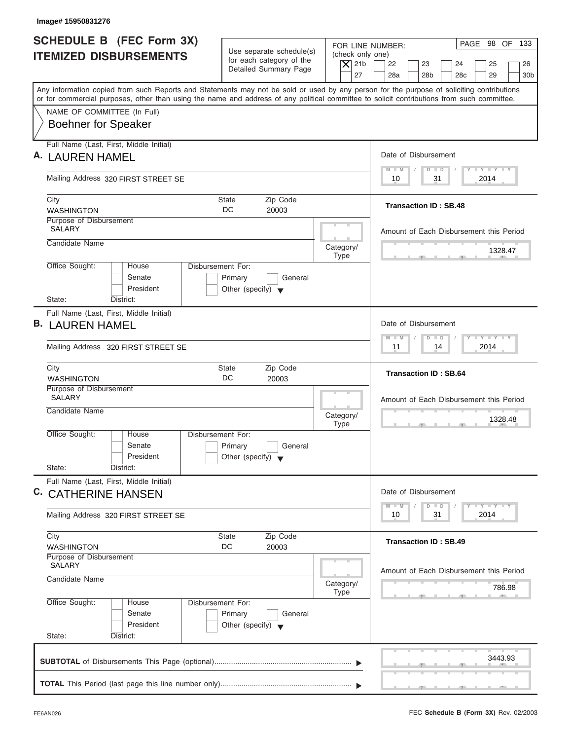| Image# 15950831276                                                                                                                                                                                                                                                                      |                                                                                 |                                                                  |                                                                                                                                                                                                                                                                                                                                                                                                                                            |
|-----------------------------------------------------------------------------------------------------------------------------------------------------------------------------------------------------------------------------------------------------------------------------------------|---------------------------------------------------------------------------------|------------------------------------------------------------------|--------------------------------------------------------------------------------------------------------------------------------------------------------------------------------------------------------------------------------------------------------------------------------------------------------------------------------------------------------------------------------------------------------------------------------------------|
| <b>SCHEDULE B (FEC Form 3X)</b><br><b>ITEMIZED DISBURSEMENTS</b>                                                                                                                                                                                                                        | Use separate schedule(s)<br>for each category of the<br>Detailed Summary Page   | FOR LINE NUMBER:<br>(check only one)<br>$ \mathsf{X} $ 21b<br>27 | PAGE 98 OF 133<br>22<br>23<br>24<br>25<br>26<br>28a<br>28 <sub>b</sub><br>28 <sub>c</sub><br>29<br>30 <sub>b</sub>                                                                                                                                                                                                                                                                                                                         |
| Any information copied from such Reports and Statements may not be sold or used by any person for the purpose of soliciting contributions<br>or for commercial purposes, other than using the name and address of any political committee to solicit contributions from such committee. |                                                                                 |                                                                  |                                                                                                                                                                                                                                                                                                                                                                                                                                            |
| NAME OF COMMITTEE (In Full)<br><b>Boehner for Speaker</b>                                                                                                                                                                                                                               |                                                                                 |                                                                  |                                                                                                                                                                                                                                                                                                                                                                                                                                            |
| Full Name (Last, First, Middle Initial)<br>A. LAUREN HAMEL                                                                                                                                                                                                                              |                                                                                 |                                                                  | Date of Disbursement                                                                                                                                                                                                                                                                                                                                                                                                                       |
| Mailing Address 320 FIRST STREET SE                                                                                                                                                                                                                                                     |                                                                                 |                                                                  | $T - Y = T - Y = T - Y$<br>$M - M$<br>$D$ $D$<br>31<br>2014<br>10                                                                                                                                                                                                                                                                                                                                                                          |
| City<br><b>WASHINGTON</b>                                                                                                                                                                                                                                                               | Zip Code<br><b>State</b><br>DC<br>20003                                         |                                                                  | <b>Transaction ID: SB.48</b>                                                                                                                                                                                                                                                                                                                                                                                                               |
| Purpose of Disbursement<br><b>SALARY</b><br>Candidate Name                                                                                                                                                                                                                              |                                                                                 |                                                                  | Amount of Each Disbursement this Period                                                                                                                                                                                                                                                                                                                                                                                                    |
| Office Sought:<br>House                                                                                                                                                                                                                                                                 | Disbursement For:                                                               | Category/<br><b>Type</b>                                         | 1328.47<br>$-7$                                                                                                                                                                                                                                                                                                                                                                                                                            |
| Senate<br>President                                                                                                                                                                                                                                                                     | Primary<br>General<br>Other (specify) $\blacktriangledown$                      |                                                                  |                                                                                                                                                                                                                                                                                                                                                                                                                                            |
| State:<br>District:                                                                                                                                                                                                                                                                     |                                                                                 |                                                                  |                                                                                                                                                                                                                                                                                                                                                                                                                                            |
| Full Name (Last, First, Middle Initial)<br><b>B. LAUREN HAMEL</b>                                                                                                                                                                                                                       |                                                                                 |                                                                  | Date of Disbursement                                                                                                                                                                                                                                                                                                                                                                                                                       |
| Mailing Address 320 FIRST STREET SE                                                                                                                                                                                                                                                     |                                                                                 |                                                                  | $-1 - Y - 1 - Y - 1 - Y$<br>$M - M$<br>$D$ $D$<br>2014<br>11<br>14                                                                                                                                                                                                                                                                                                                                                                         |
| City<br><b>WASHINGTON</b>                                                                                                                                                                                                                                                               | Zip Code<br><b>State</b><br>DC<br>20003                                         |                                                                  | <b>Transaction ID: SB.64</b>                                                                                                                                                                                                                                                                                                                                                                                                               |
| Purpose of Disbursement<br><b>SALARY</b>                                                                                                                                                                                                                                                |                                                                                 |                                                                  | Amount of Each Disbursement this Period                                                                                                                                                                                                                                                                                                                                                                                                    |
| Candidate Name                                                                                                                                                                                                                                                                          |                                                                                 | Category/<br><b>Type</b>                                         | 1328.48<br>$\cdots$                                                                                                                                                                                                                                                                                                                                                                                                                        |
| Office Sought:<br>House<br>Senate<br>President                                                                                                                                                                                                                                          | Disbursement For:<br>Primary<br>General<br>Other (specify) $\blacktriangledown$ |                                                                  |                                                                                                                                                                                                                                                                                                                                                                                                                                            |
| State:<br>District:                                                                                                                                                                                                                                                                     |                                                                                 |                                                                  |                                                                                                                                                                                                                                                                                                                                                                                                                                            |
| Full Name (Last, First, Middle Initial)<br>C. CATHERINE HANSEN                                                                                                                                                                                                                          |                                                                                 |                                                                  | Date of Disbursement                                                                                                                                                                                                                                                                                                                                                                                                                       |
| Mailing Address 320 FIRST STREET SE                                                                                                                                                                                                                                                     |                                                                                 |                                                                  | $\frac{1}{2} \frac{1}{2} \frac{1}{2} \frac{1}{2} \frac{1}{2} \frac{1}{2} \frac{1}{2} \frac{1}{2} \frac{1}{2} \frac{1}{2} \frac{1}{2} \frac{1}{2} \frac{1}{2} \frac{1}{2} \frac{1}{2} \frac{1}{2} \frac{1}{2} \frac{1}{2} \frac{1}{2} \frac{1}{2} \frac{1}{2} \frac{1}{2} \frac{1}{2} \frac{1}{2} \frac{1}{2} \frac{1}{2} \frac{1}{2} \frac{1}{2} \frac{1}{2} \frac{1}{2} \frac{1}{2} \frac{$<br>$M - M$<br>$\Box$<br>D<br>2014<br>10<br>31 |
| City<br><b>WASHINGTON</b>                                                                                                                                                                                                                                                               | Zip Code<br><b>State</b><br>DC<br>20003                                         |                                                                  | <b>Transaction ID: SB.49</b>                                                                                                                                                                                                                                                                                                                                                                                                               |
| Purpose of Disbursement<br><b>SALARY</b><br>Candidate Name                                                                                                                                                                                                                              |                                                                                 | Category/                                                        | Amount of Each Disbursement this Period<br>786.98                                                                                                                                                                                                                                                                                                                                                                                          |
| Office Sought:<br>House<br>Senate<br>President<br>State:<br>District:                                                                                                                                                                                                                   | Disbursement For:<br>Primary<br>General<br>Other (specify) $\blacktriangledown$ | <b>Type</b>                                                      |                                                                                                                                                                                                                                                                                                                                                                                                                                            |
|                                                                                                                                                                                                                                                                                         |                                                                                 |                                                                  | 3443.93                                                                                                                                                                                                                                                                                                                                                                                                                                    |
|                                                                                                                                                                                                                                                                                         |                                                                                 |                                                                  |                                                                                                                                                                                                                                                                                                                                                                                                                                            |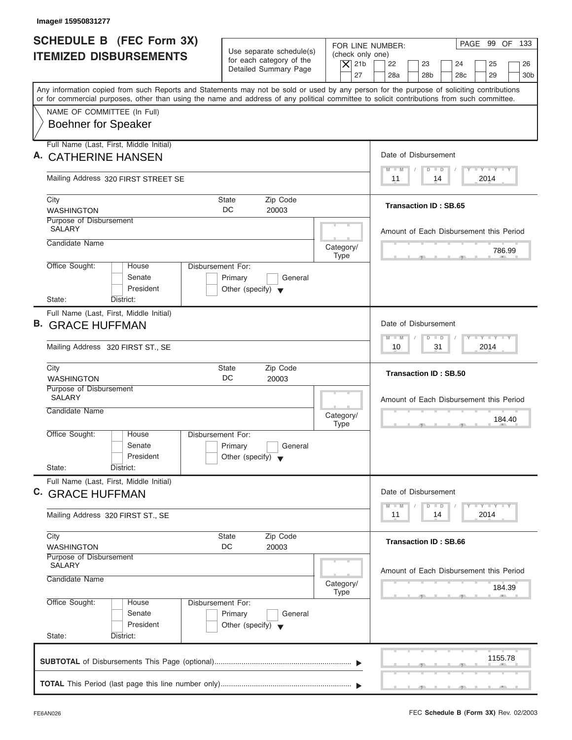| Image# 15950831277                                                                                                                                                                                                                                                                      |                                                                                 |                                                                                                                                                                                        |
|-----------------------------------------------------------------------------------------------------------------------------------------------------------------------------------------------------------------------------------------------------------------------------------------|---------------------------------------------------------------------------------|----------------------------------------------------------------------------------------------------------------------------------------------------------------------------------------|
| <b>SCHEDULE B (FEC Form 3X)</b><br><b>ITEMIZED DISBURSEMENTS</b>                                                                                                                                                                                                                        | Use separate schedule(s)<br>for each category of the<br>Detailed Summary Page   | PAGE 99 OF 133<br>FOR LINE NUMBER:<br>(check only one)<br>$\vert$ $\chi$ 21b<br>22<br>23<br>24<br>25<br>26<br>27<br>28a<br>28 <sub>b</sub><br>28 <sub>c</sub><br>29<br>30 <sub>b</sub> |
| Any information copied from such Reports and Statements may not be sold or used by any person for the purpose of soliciting contributions<br>or for commercial purposes, other than using the name and address of any political committee to solicit contributions from such committee. |                                                                                 |                                                                                                                                                                                        |
| NAME OF COMMITTEE (In Full)<br><b>Boehner for Speaker</b>                                                                                                                                                                                                                               |                                                                                 |                                                                                                                                                                                        |
| Full Name (Last, First, Middle Initial)<br><b>CATHERINE HANSEN</b>                                                                                                                                                                                                                      |                                                                                 | Date of Disbursement                                                                                                                                                                   |
| Mailing Address 320 FIRST STREET SE                                                                                                                                                                                                                                                     |                                                                                 | $T - Y = T - Y = T - Y$<br>$M - M$<br>$D$ $D$<br>2014<br>11<br>14                                                                                                                      |
| City<br><b>WASHINGTON</b>                                                                                                                                                                                                                                                               | <b>State</b><br>Zip Code<br>DC<br>20003                                         | <b>Transaction ID: SB.65</b>                                                                                                                                                           |
| Purpose of Disbursement<br><b>SALARY</b><br>Candidate Name                                                                                                                                                                                                                              |                                                                                 | Amount of Each Disbursement this Period                                                                                                                                                |
| Office Sought:<br>House                                                                                                                                                                                                                                                                 | Category/<br><b>Type</b><br>Disbursement For:                                   | 786.99                                                                                                                                                                                 |
| Senate<br>President<br>State:<br>District:                                                                                                                                                                                                                                              | Primary<br>General<br>Other (specify) $\blacktriangledown$                      |                                                                                                                                                                                        |
| Full Name (Last, First, Middle Initial)<br><b>B. GRACE HUFFMAN</b>                                                                                                                                                                                                                      |                                                                                 | Date of Disbursement                                                                                                                                                                   |
| Mailing Address 320 FIRST ST., SE                                                                                                                                                                                                                                                       |                                                                                 | $-1 - Y - 1 - Y - 1 - Y$<br>$M - M$<br>$D$ $D$<br>2014<br>10<br>31                                                                                                                     |
| City<br><b>WASHINGTON</b>                                                                                                                                                                                                                                                               | Zip Code<br><b>State</b><br>DC<br>20003                                         | <b>Transaction ID: SB.50</b>                                                                                                                                                           |
| Purpose of Disbursement<br><b>SALARY</b><br>Candidate Name                                                                                                                                                                                                                              | Category/                                                                       | Amount of Each Disbursement this Period                                                                                                                                                |
| Office Sought:<br>House                                                                                                                                                                                                                                                                 | <b>Type</b><br>Disbursement For:                                                | 184.40<br>$\sim$                                                                                                                                                                       |
| Senate<br>President<br>State:<br>District:                                                                                                                                                                                                                                              | Primary<br>General<br>Other (specify) $\blacktriangledown$                      |                                                                                                                                                                                        |
| Full Name (Last, First, Middle Initial)<br>C. GRACE HUFFMAN                                                                                                                                                                                                                             |                                                                                 | Date of Disbursement                                                                                                                                                                   |
| Mailing Address 320 FIRST ST., SE                                                                                                                                                                                                                                                       |                                                                                 | $T - Y$ $T - Y$ $T - Y$<br>$M - M$<br>$\overline{D}$<br>$\Box$<br>2014<br>11<br>14                                                                                                     |
| City<br><b>WASHINGTON</b>                                                                                                                                                                                                                                                               | Zip Code<br><b>State</b><br>DC<br>20003                                         | <b>Transaction ID: SB.66</b>                                                                                                                                                           |
| Purpose of Disbursement<br><b>SALARY</b><br>Candidate Name                                                                                                                                                                                                                              | Category/<br>Type                                                               | Amount of Each Disbursement this Period<br>184.39                                                                                                                                      |
| Office Sought:<br>House<br>Senate<br>President<br>State:<br>District:                                                                                                                                                                                                                   | Disbursement For:<br>Primary<br>General<br>Other (specify) $\blacktriangledown$ |                                                                                                                                                                                        |
|                                                                                                                                                                                                                                                                                         |                                                                                 | 1155.78                                                                                                                                                                                |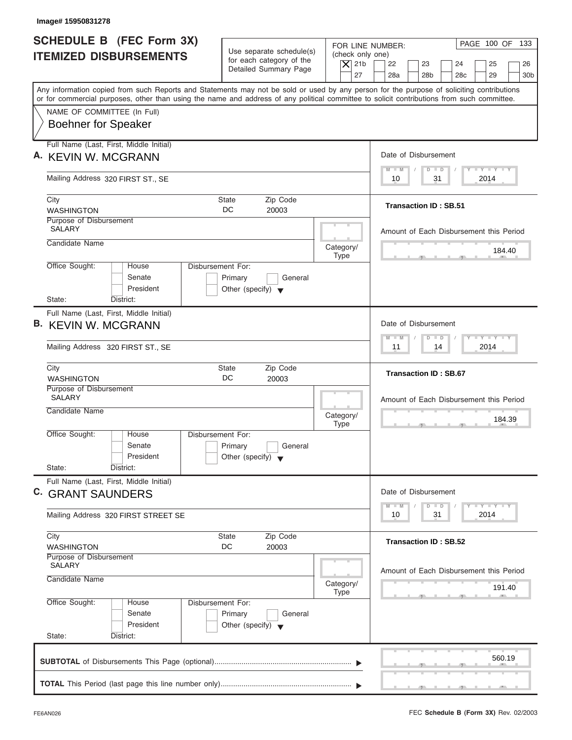| Image# 15950831278                                                                                                                                                                                                                                                                      |                                                                               |                                                            |                                                                                |
|-----------------------------------------------------------------------------------------------------------------------------------------------------------------------------------------------------------------------------------------------------------------------------------------|-------------------------------------------------------------------------------|------------------------------------------------------------|--------------------------------------------------------------------------------|
| <b>SCHEDULE B (FEC Form 3X)</b><br><b>ITEMIZED DISBURSEMENTS</b>                                                                                                                                                                                                                        | Use separate schedule(s)<br>for each category of the<br>Detailed Summary Page | FOR LINE NUMBER:<br>(check only one)<br>$\vert$ $\chi$ 21b | PAGE 100 OF 133<br>22<br>23<br>24<br>25<br>26                                  |
| Any information copied from such Reports and Statements may not be sold or used by any person for the purpose of soliciting contributions<br>or for commercial purposes, other than using the name and address of any political committee to solicit contributions from such committee. |                                                                               | 27                                                         | 28a<br>28 <sub>b</sub><br>28 <sub>c</sub><br>29<br>30 <sub>b</sub>             |
| NAME OF COMMITTEE (In Full)                                                                                                                                                                                                                                                             |                                                                               |                                                            |                                                                                |
| <b>Boehner for Speaker</b>                                                                                                                                                                                                                                                              |                                                                               |                                                            |                                                                                |
| Full Name (Last, First, Middle Initial)<br>A. KEVIN W. MCGRANN                                                                                                                                                                                                                          |                                                                               |                                                            | Date of Disbursement                                                           |
|                                                                                                                                                                                                                                                                                         |                                                                               |                                                            | $T - Y = T - Y = T - Y$<br>$M - M$<br>$D$ $D$<br>2014<br>10<br>31              |
| Mailing Address 320 FIRST ST., SE                                                                                                                                                                                                                                                       |                                                                               |                                                            |                                                                                |
| City<br><b>WASHINGTON</b>                                                                                                                                                                                                                                                               | <b>State</b><br>Zip Code<br>DC<br>20003                                       |                                                            | <b>Transaction ID: SB.51</b>                                                   |
| Purpose of Disbursement<br><b>SALARY</b>                                                                                                                                                                                                                                                |                                                                               |                                                            | Amount of Each Disbursement this Period                                        |
| Candidate Name                                                                                                                                                                                                                                                                          |                                                                               | Category/                                                  |                                                                                |
| Office Sought:<br>House                                                                                                                                                                                                                                                                 | Disbursement For:                                                             | <b>Type</b>                                                | 184.40                                                                         |
| Senate<br>President                                                                                                                                                                                                                                                                     | Primary<br>General<br>Other (specify) $\blacktriangledown$                    |                                                            |                                                                                |
| State:<br>District:                                                                                                                                                                                                                                                                     |                                                                               |                                                            |                                                                                |
| Full Name (Last, First, Middle Initial)<br><b>B. KEVIN W. MCGRANN</b>                                                                                                                                                                                                                   |                                                                               |                                                            | Date of Disbursement                                                           |
| Mailing Address 320 FIRST ST., SE                                                                                                                                                                                                                                                       |                                                                               |                                                            | $-1 - Y - 1 - Y - 1 - Y$<br>$M - M$<br>$D$ $D$<br>2014<br>11<br>14             |
| City<br><b>WASHINGTON</b>                                                                                                                                                                                                                                                               | Zip Code<br><b>State</b><br>DC<br>20003                                       |                                                            | <b>Transaction ID: SB.67</b>                                                   |
| Purpose of Disbursement<br><b>SALARY</b>                                                                                                                                                                                                                                                |                                                                               |                                                            | Amount of Each Disbursement this Period                                        |
| Candidate Name                                                                                                                                                                                                                                                                          |                                                                               | Category/<br><b>Type</b>                                   | 184.39                                                                         |
| Office Sought:<br>House                                                                                                                                                                                                                                                                 | Disbursement For:                                                             |                                                            |                                                                                |
| Senate<br>President                                                                                                                                                                                                                                                                     | Primary<br>General<br>Other (specify) $\blacktriangledown$                    |                                                            |                                                                                |
| State:<br>District:                                                                                                                                                                                                                                                                     |                                                                               |                                                            |                                                                                |
| Full Name (Last, First, Middle Initial)<br>C. GRANT SAUNDERS                                                                                                                                                                                                                            |                                                                               |                                                            | Date of Disbursement                                                           |
| Mailing Address 320 FIRST STREET SE                                                                                                                                                                                                                                                     |                                                                               |                                                            | $T - Y = Y - I - Y$<br>$M - M$<br>$\overline{D}$<br>$\Box$<br>2014<br>10<br>31 |
| City<br><b>WASHINGTON</b>                                                                                                                                                                                                                                                               | Zip Code<br><b>State</b><br>DC<br>20003                                       |                                                            | <b>Transaction ID: SB.52</b>                                                   |
| Purpose of Disbursement<br><b>SALARY</b>                                                                                                                                                                                                                                                |                                                                               |                                                            |                                                                                |
| Candidate Name                                                                                                                                                                                                                                                                          |                                                                               | Category/                                                  | Amount of Each Disbursement this Period<br>191.40                              |
| Office Sought:<br>House                                                                                                                                                                                                                                                                 | Disbursement For:                                                             | <b>Type</b>                                                |                                                                                |
| Senate<br>President                                                                                                                                                                                                                                                                     | Primary<br>General                                                            |                                                            |                                                                                |
| State:<br>District:                                                                                                                                                                                                                                                                     | Other (specify) $\blacktriangledown$                                          |                                                            |                                                                                |
|                                                                                                                                                                                                                                                                                         |                                                                               |                                                            |                                                                                |
|                                                                                                                                                                                                                                                                                         |                                                                               |                                                            | 560.19                                                                         |

ı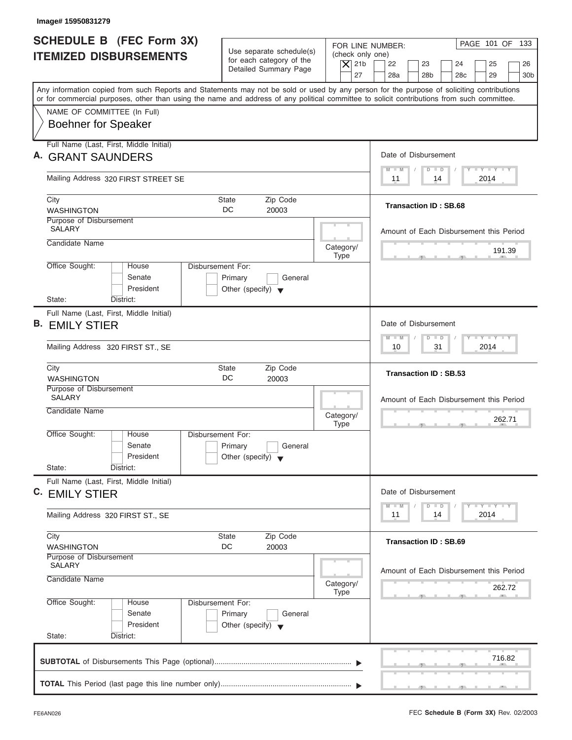| Image# 15950831279                                                                                                                                                                                                                                                                      |                                                                                                |                                                                                                                                                                                         |
|-----------------------------------------------------------------------------------------------------------------------------------------------------------------------------------------------------------------------------------------------------------------------------------------|------------------------------------------------------------------------------------------------|-----------------------------------------------------------------------------------------------------------------------------------------------------------------------------------------|
| <b>SCHEDULE B (FEC Form 3X)</b><br><b>ITEMIZED DISBURSEMENTS</b>                                                                                                                                                                                                                        | Use separate schedule(s)<br>for each category of the<br>Detailed Summary Page                  | PAGE 101 OF 133<br>FOR LINE NUMBER:<br>(check only one)<br>$\overline{X}$ 21b<br>22<br>23<br>24<br>25<br>26<br>27<br>28a<br>28 <sub>b</sub><br>28 <sub>c</sub><br>29<br>30 <sub>b</sub> |
| Any information copied from such Reports and Statements may not be sold or used by any person for the purpose of soliciting contributions<br>or for commercial purposes, other than using the name and address of any political committee to solicit contributions from such committee. |                                                                                                |                                                                                                                                                                                         |
| NAME OF COMMITTEE (In Full)<br><b>Boehner for Speaker</b>                                                                                                                                                                                                                               |                                                                                                |                                                                                                                                                                                         |
| Full Name (Last, First, Middle Initial)<br>A. GRANT SAUNDERS                                                                                                                                                                                                                            |                                                                                                | Date of Disbursement                                                                                                                                                                    |
| Mailing Address 320 FIRST STREET SE                                                                                                                                                                                                                                                     |                                                                                                | $T - Y = T - Y = T - Y$<br>$D$ $D$<br>$M - M$<br>2014<br>11<br>14                                                                                                                       |
| City<br><b>WASHINGTON</b>                                                                                                                                                                                                                                                               | Zip Code<br><b>State</b><br>DC<br>20003                                                        | <b>Transaction ID: SB.68</b>                                                                                                                                                            |
| Purpose of Disbursement<br><b>SALARY</b>                                                                                                                                                                                                                                                |                                                                                                | Amount of Each Disbursement this Period                                                                                                                                                 |
| Candidate Name                                                                                                                                                                                                                                                                          | Category/<br><b>Type</b>                                                                       | 191.39                                                                                                                                                                                  |
| Office Sought:<br>House<br>Senate<br>President                                                                                                                                                                                                                                          | Disbursement For:<br>Primary<br>General<br>Other (specify) $\blacktriangledown$                |                                                                                                                                                                                         |
| State:<br>District:<br>Full Name (Last, First, Middle Initial)<br><b>B. EMILY STIER</b>                                                                                                                                                                                                 |                                                                                                | Date of Disbursement                                                                                                                                                                    |
| Mailing Address 320 FIRST ST., SE                                                                                                                                                                                                                                                       |                                                                                                | $-1 - Y - 1 - Y - 1 - Y$<br>$M - M$<br>$\Box$<br>$\overline{D}$<br>31<br>2014<br>10                                                                                                     |
| City<br><b>WASHINGTON</b>                                                                                                                                                                                                                                                               | Zip Code<br><b>State</b><br>DC<br>20003                                                        | <b>Transaction ID: SB.53</b>                                                                                                                                                            |
| Purpose of Disbursement<br><b>SALARY</b><br>Candidate Name                                                                                                                                                                                                                              | Category/                                                                                      | Amount of Each Disbursement this Period<br>262.71                                                                                                                                       |
| Office Sought:<br>House<br>Senate<br>President<br>State:<br>District:                                                                                                                                                                                                                   | <b>Type</b><br>Disbursement For:<br>Primary<br>General<br>Other (specify) $\blacktriangledown$ | $-7$                                                                                                                                                                                    |
| Full Name (Last, First, Middle Initial)<br>C. EMILY STIER                                                                                                                                                                                                                               |                                                                                                | Date of Disbursement                                                                                                                                                                    |
| Mailing Address 320 FIRST ST., SE                                                                                                                                                                                                                                                       |                                                                                                | $\mathbf{I}$ $\mathbf{Y}$ $\mathbf{I}$ $\mathbf{Y}$ $\mathbf{I}$ $\mathbf{Y}$<br>$M - M$<br>$\Box$<br>D<br>2014<br>11<br>14                                                             |
| City<br><b>WASHINGTON</b>                                                                                                                                                                                                                                                               | Zip Code<br><b>State</b><br>DC<br>20003                                                        | <b>Transaction ID: SB.69</b>                                                                                                                                                            |
| Purpose of Disbursement<br><b>SALARY</b><br>Candidate Name                                                                                                                                                                                                                              | Category/<br><b>Type</b>                                                                       | Amount of Each Disbursement this Period<br>262.72                                                                                                                                       |
| Office Sought:<br>House<br>Senate<br>President<br>State:<br>District:                                                                                                                                                                                                                   | Disbursement For:<br>Primary<br>General<br>Other (specify) $\blacktriangledown$                |                                                                                                                                                                                         |
|                                                                                                                                                                                                                                                                                         |                                                                                                | 716.82                                                                                                                                                                                  |
|                                                                                                                                                                                                                                                                                         |                                                                                                |                                                                                                                                                                                         |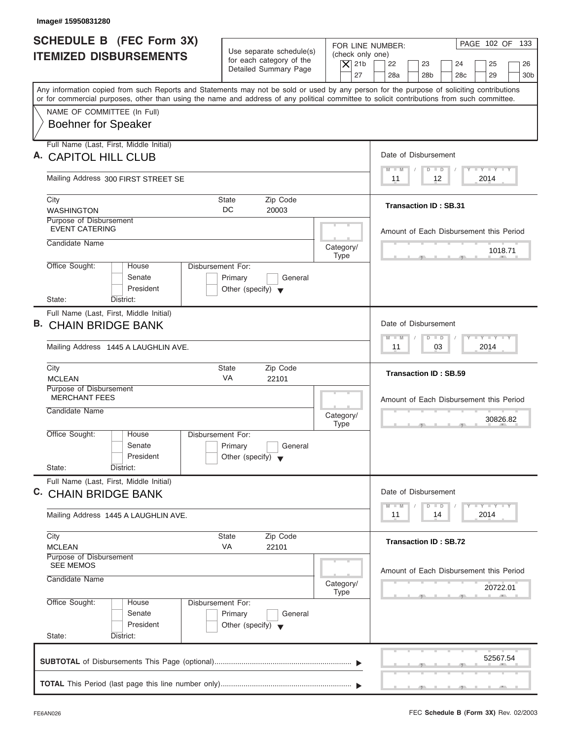| Image# 15950831280                                                                                                                                                                                                                                                                      |                                                                                 |                                                                  |                                                                                                                             |
|-----------------------------------------------------------------------------------------------------------------------------------------------------------------------------------------------------------------------------------------------------------------------------------------|---------------------------------------------------------------------------------|------------------------------------------------------------------|-----------------------------------------------------------------------------------------------------------------------------|
| <b>SCHEDULE B (FEC Form 3X)</b><br><b>ITEMIZED DISBURSEMENTS</b>                                                                                                                                                                                                                        | Use separate schedule(s)<br>for each category of the<br>Detailed Summary Page   | FOR LINE NUMBER:<br>(check only one)<br>$\overline{X}$ 21b<br>27 | PAGE 102 OF 133<br>22<br>23<br>24<br>25<br>26<br>28a<br>28 <sub>b</sub><br>28 <sub>c</sub><br>29<br>30 <sub>b</sub>         |
| Any information copied from such Reports and Statements may not be sold or used by any person for the purpose of soliciting contributions<br>or for commercial purposes, other than using the name and address of any political committee to solicit contributions from such committee. |                                                                                 |                                                                  |                                                                                                                             |
| NAME OF COMMITTEE (In Full)<br><b>Boehner for Speaker</b>                                                                                                                                                                                                                               |                                                                                 |                                                                  |                                                                                                                             |
| Full Name (Last, First, Middle Initial)                                                                                                                                                                                                                                                 |                                                                                 |                                                                  |                                                                                                                             |
| <b>CAPITOL HILL CLUB</b>                                                                                                                                                                                                                                                                |                                                                                 |                                                                  | Date of Disbursement<br>$\mathbf{I} = \mathbf{Y} - \mathbf{I} - \mathbf{Y} - \mathbf{I} - \mathbf{Y}$<br>$M - M$<br>$D$ $D$ |
| Mailing Address 300 FIRST STREET SE                                                                                                                                                                                                                                                     |                                                                                 |                                                                  | 12<br>2014<br>11                                                                                                            |
| City<br><b>WASHINGTON</b>                                                                                                                                                                                                                                                               | Zip Code<br><b>State</b><br>DC<br>20003                                         |                                                                  | <b>Transaction ID: SB.31</b>                                                                                                |
| Purpose of Disbursement<br><b>EVENT CATERING</b>                                                                                                                                                                                                                                        |                                                                                 |                                                                  | Amount of Each Disbursement this Period                                                                                     |
| Candidate Name                                                                                                                                                                                                                                                                          |                                                                                 | Category/<br><b>Type</b>                                         | 1018.71                                                                                                                     |
| Office Sought:<br>House<br>Senate<br>President                                                                                                                                                                                                                                          | Disbursement For:<br>Primary<br>General<br>Other (specify) $\blacktriangledown$ |                                                                  |                                                                                                                             |
| State:<br>District:<br>Full Name (Last, First, Middle Initial)                                                                                                                                                                                                                          |                                                                                 |                                                                  |                                                                                                                             |
| В.<br><b>CHAIN BRIDGE BANK</b>                                                                                                                                                                                                                                                          |                                                                                 |                                                                  | Date of Disbursement                                                                                                        |
| Mailing Address 1445 A LAUGHLIN AVE.                                                                                                                                                                                                                                                    |                                                                                 |                                                                  | $\mathbf{I} = \mathbf{Y} - \mathbf{I} - \mathbf{Y} - \mathbf{I} - \mathbf{Y}$<br>$M - M$<br>$D$ $D$<br>03<br>2014<br>11     |
| City<br><b>MCLEAN</b>                                                                                                                                                                                                                                                                   | Zip Code<br><b>State</b><br>VA<br>22101                                         |                                                                  | <b>Transaction ID: SB.59</b>                                                                                                |
| Purpose of Disbursement<br><b>MERCHANT FEES</b>                                                                                                                                                                                                                                         |                                                                                 |                                                                  | Amount of Each Disbursement this Period                                                                                     |
| Candidate Name                                                                                                                                                                                                                                                                          |                                                                                 | Category/<br><b>Type</b>                                         | 30826.82<br>$\overline{\phantom{a}}$                                                                                        |
| Office Sought:<br>House<br>Senate<br>President<br>State:<br>District:                                                                                                                                                                                                                   | Disbursement For:<br>Primary<br>General<br>Other (specify) $\blacktriangledown$ |                                                                  |                                                                                                                             |
| Full Name (Last, First, Middle Initial)<br>C. CHAIN BRIDGE BANK                                                                                                                                                                                                                         |                                                                                 |                                                                  | Date of Disbursement                                                                                                        |
| Mailing Address 1445 A LAUGHLIN AVE.                                                                                                                                                                                                                                                    |                                                                                 |                                                                  | $T - Y$ $T - Y$<br>$M - M$<br>$\Box$<br>D<br>2014<br>11<br>14                                                               |
| City<br><b>MCLEAN</b>                                                                                                                                                                                                                                                                   | Zip Code<br><b>State</b><br>VA<br>22101                                         |                                                                  | <b>Transaction ID: SB.72</b>                                                                                                |
| Purpose of Disbursement<br><b>SEE MEMOS</b>                                                                                                                                                                                                                                             |                                                                                 |                                                                  |                                                                                                                             |
| Candidate Name                                                                                                                                                                                                                                                                          |                                                                                 | Category/<br><b>Type</b>                                         | Amount of Each Disbursement this Period<br>20722.01                                                                         |
| Office Sought:<br>House<br>Senate<br>President                                                                                                                                                                                                                                          | Disbursement For:<br>Primary<br>General<br>Other (specify) $\blacktriangledown$ |                                                                  |                                                                                                                             |
| State:<br>District:                                                                                                                                                                                                                                                                     |                                                                                 |                                                                  |                                                                                                                             |
|                                                                                                                                                                                                                                                                                         |                                                                                 |                                                                  | 52567.54                                                                                                                    |
|                                                                                                                                                                                                                                                                                         |                                                                                 |                                                                  |                                                                                                                             |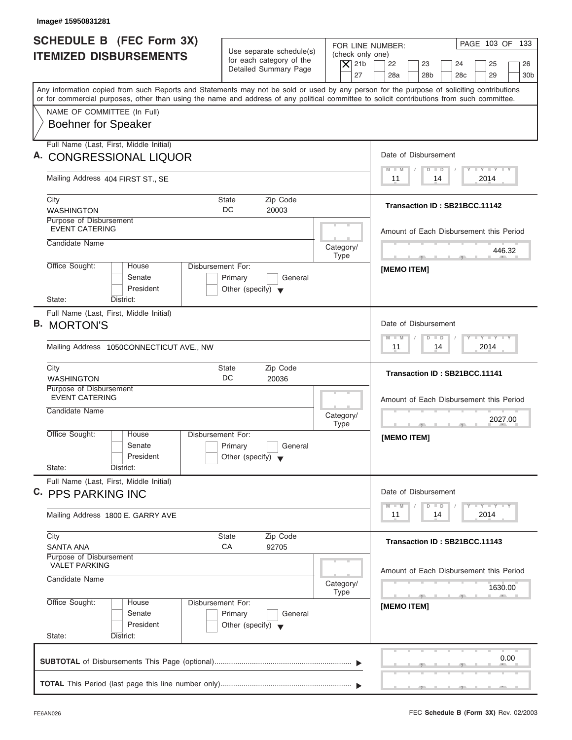| <b>SCHEDULE B (FEC Form 3X)</b>                                                                                                                                                                                                                                                         |                                                                                                                               |                                                                                                                                         |
|-----------------------------------------------------------------------------------------------------------------------------------------------------------------------------------------------------------------------------------------------------------------------------------------|-------------------------------------------------------------------------------------------------------------------------------|-----------------------------------------------------------------------------------------------------------------------------------------|
| <b>ITEMIZED DISBURSEMENTS</b>                                                                                                                                                                                                                                                           | Use separate schedule(s)<br>(check only one)<br>for each category of the<br>$ \mathsf{X} $ 21b<br>Detailed Summary Page<br>27 | PAGE 103 OF 133<br>FOR LINE NUMBER:<br>22<br>23<br>24<br>25<br>26<br>28a<br>28 <sub>b</sub><br>28 <sub>c</sub><br>29<br>30 <sub>b</sub> |
| Any information copied from such Reports and Statements may not be sold or used by any person for the purpose of soliciting contributions<br>or for commercial purposes, other than using the name and address of any political committee to solicit contributions from such committee. |                                                                                                                               |                                                                                                                                         |
| NAME OF COMMITTEE (In Full)<br><b>Boehner for Speaker</b>                                                                                                                                                                                                                               |                                                                                                                               |                                                                                                                                         |
| Full Name (Last, First, Middle Initial)<br>A. CONGRESSIONAL LIQUOR                                                                                                                                                                                                                      |                                                                                                                               | Date of Disbursement                                                                                                                    |
| Mailing Address 404 FIRST ST., SE                                                                                                                                                                                                                                                       |                                                                                                                               | $T - Y = T - Y = T - Y$<br>$D$ $D$<br>$M$ $M$<br>2014<br>11<br>14                                                                       |
| City<br><b>WASHINGTON</b>                                                                                                                                                                                                                                                               | Zip Code<br><b>State</b><br>DC<br>20003                                                                                       | Transaction ID: SB21BCC.11142                                                                                                           |
| Purpose of Disbursement<br><b>EVENT CATERING</b>                                                                                                                                                                                                                                        |                                                                                                                               | Amount of Each Disbursement this Period                                                                                                 |
| Candidate Name                                                                                                                                                                                                                                                                          | Category/<br><b>Type</b>                                                                                                      | 446.32<br>$-$<br>$-7$                                                                                                                   |
| Office Sought:<br>House<br>Senate<br>President<br>State:<br>District:                                                                                                                                                                                                                   | Disbursement For:<br>Primary<br>General<br>Other (specify) $\blacktriangledown$                                               | <b>IMEMO ITEMI</b>                                                                                                                      |
| Full Name (Last, First, Middle Initial)<br><b>B. MORTON'S</b><br>Mailing Address 1050CONNECTICUT AVE., NW                                                                                                                                                                               |                                                                                                                               | Date of Disbursement<br>$-1 - Y - 1 - Y - 1 - Y$<br>$\Box$<br>$M - M$<br>$\overline{D}$<br>2014<br>11<br>14                             |
| City<br><b>WASHINGTON</b>                                                                                                                                                                                                                                                               | Zip Code<br><b>State</b><br>DC<br>20036                                                                                       | Transaction ID: SB21BCC.11141                                                                                                           |
| Purpose of Disbursement<br><b>EVENT CATERING</b><br>Candidate Name                                                                                                                                                                                                                      | Category/<br><b>Type</b>                                                                                                      | Amount of Each Disbursement this Period<br>2027.00<br>$\sim$                                                                            |
| Office Sought:<br>House<br>Senate<br>President<br>State:<br>District:                                                                                                                                                                                                                   | Disbursement For:<br>Primary<br>General<br>Other (specify) $\blacktriangledown$                                               | [MEMO ITEM]                                                                                                                             |
| Full Name (Last, First, Middle Initial)<br>C. PPS PARKING INC                                                                                                                                                                                                                           |                                                                                                                               | Date of Disbursement                                                                                                                    |
| Mailing Address 1800 E. GARRY AVE                                                                                                                                                                                                                                                       |                                                                                                                               | $T - Y$ $T - Y$<br>$M - M$<br>$\overline{D}$<br>$\Box$<br>2014<br>11<br>14                                                              |
| City<br>SANTA ANA                                                                                                                                                                                                                                                                       | <b>State</b><br>Zip Code<br>СA<br>92705                                                                                       | Transaction ID: SB21BCC.11143                                                                                                           |
| Purpose of Disbursement<br><b>VALET PARKING</b><br>Candidate Name                                                                                                                                                                                                                       | Category/<br><b>Type</b>                                                                                                      | Amount of Each Disbursement this Period<br>1630.00                                                                                      |
| Office Sought:<br>House<br>Senate                                                                                                                                                                                                                                                       | Disbursement For:<br>Primary<br>General                                                                                       | - 51<br>[MEMO ITEM]                                                                                                                     |

I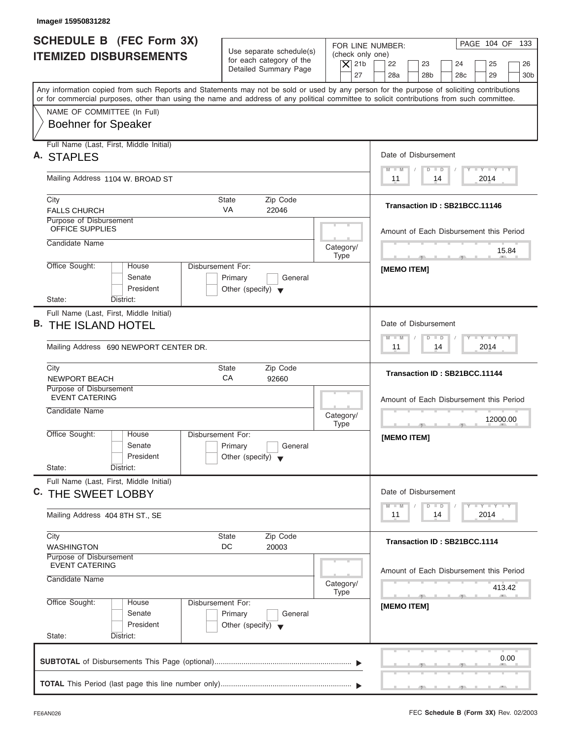| <b>SCHEDULE B (FEC Form 3X)</b><br>FOR LINE NUMBER:<br>Use separate schedule(s)<br>(check only one)<br><b>ITEMIZED DISBURSEMENTS</b><br>for each category of the<br>$\overline{X}$ 21b<br>22<br>23<br>24<br>25<br>Detailed Summary Page<br>27<br>28a<br>28 <sub>b</sub><br>28 <sub>c</sub><br>29<br>Any information copied from such Reports and Statements may not be sold or used by any person for the purpose of soliciting contributions<br>or for commercial purposes, other than using the name and address of any political committee to solicit contributions from such committee.<br>NAME OF COMMITTEE (In Full)<br><b>Boehner for Speaker</b><br>Full Name (Last, First, Middle Initial)<br>Date of Disbursement<br>A. STAPLES<br>$T - Y = T - Y = T - Y$<br>$M - M$<br>$D$ $D$<br>Mailing Address 1104 W. BROAD ST<br>2014<br>11<br>14<br>City<br><b>State</b><br>Zip Code<br>Transaction ID: SB21BCC.11146<br><b>VA</b><br><b>FALLS CHURCH</b><br>22046<br>Purpose of Disbursement<br><b>OFFICE SUPPLIES</b><br>Candidate Name<br>Category/<br><b>Type</b><br>Office Sought:<br>Disbursement For:<br>House<br><b>IMEMO ITEMI</b><br>Senate<br>Primary<br>General<br>President<br>Other (specify) $\blacktriangledown$<br>State:<br>District:<br>Full Name (Last, First, Middle Initial)<br><b>B. THE ISLAND HOTEL</b><br>Date of Disbursement<br>$-1 - Y - 1 - Y - 1 - Y$<br>$M - M$<br>$D$ $D$<br>2014<br>Mailing Address 690 NEWPORT CENTER DR.<br>11<br>14<br>Zip Code<br>City<br><b>State</b><br>Transaction ID: SB21BCC.11144<br>CA<br>92660<br><b>NEWPORT BEACH</b><br>Purpose of Disbursement<br><b>EVENT CATERING</b><br>Candidate Name<br>Category/<br><b>Type</b><br>$-7$<br>Office Sought:<br>House<br>Disbursement For:<br>[MEMO ITEM]<br>Senate<br>Primary<br>General<br>President<br>Other (specify) $\blacktriangledown$<br>State:<br>District:<br>Full Name (Last, First, Middle Initial)<br>Date of Disbursement<br>C. THE SWEET LOBBY<br>$T - Y$ $T - Y$<br>$M - M$<br>$\overline{D}$<br>$\Box$<br>2014<br>11<br>14<br>Mailing Address 404 8TH ST., SE<br>Zip Code<br>City<br><b>State</b><br>Transaction ID: SB21BCC.1114<br>DC<br><b>WASHINGTON</b><br>20003<br>Purpose of Disbursement<br><b>EVENT CATERING</b><br>Amount of Each Disbursement this Period<br>Candidate Name<br>Category/<br>413.42<br><b>Type</b><br>Office Sought:<br>Disbursement For:<br>House<br>[MEMO ITEM]<br>Senate<br>Primary<br>General<br>President<br>Other (specify) $\blacktriangledown$<br>State:<br>District: |  |  |                                         |  |
|---------------------------------------------------------------------------------------------------------------------------------------------------------------------------------------------------------------------------------------------------------------------------------------------------------------------------------------------------------------------------------------------------------------------------------------------------------------------------------------------------------------------------------------------------------------------------------------------------------------------------------------------------------------------------------------------------------------------------------------------------------------------------------------------------------------------------------------------------------------------------------------------------------------------------------------------------------------------------------------------------------------------------------------------------------------------------------------------------------------------------------------------------------------------------------------------------------------------------------------------------------------------------------------------------------------------------------------------------------------------------------------------------------------------------------------------------------------------------------------------------------------------------------------------------------------------------------------------------------------------------------------------------------------------------------------------------------------------------------------------------------------------------------------------------------------------------------------------------------------------------------------------------------------------------------------------------------------------------------------------------------------------------------------------------------------------------------------------------------------------------------------------------------------------------------------------------------------------------------------------------------------------------------------------------------------------------------------------------------------------------------------------------------------------------------------------------------------------------------------------------------------------------------|--|--|-----------------------------------------|--|
|                                                                                                                                                                                                                                                                                                                                                                                                                                                                                                                                                                                                                                                                                                                                                                                                                                                                                                                                                                                                                                                                                                                                                                                                                                                                                                                                                                                                                                                                                                                                                                                                                                                                                                                                                                                                                                                                                                                                                                                                                                                                                                                                                                                                                                                                                                                                                                                                                                                                                                                                 |  |  | PAGE 104 OF 133<br>26                   |  |
|                                                                                                                                                                                                                                                                                                                                                                                                                                                                                                                                                                                                                                                                                                                                                                                                                                                                                                                                                                                                                                                                                                                                                                                                                                                                                                                                                                                                                                                                                                                                                                                                                                                                                                                                                                                                                                                                                                                                                                                                                                                                                                                                                                                                                                                                                                                                                                                                                                                                                                                                 |  |  | 30 <sub>b</sub>                         |  |
|                                                                                                                                                                                                                                                                                                                                                                                                                                                                                                                                                                                                                                                                                                                                                                                                                                                                                                                                                                                                                                                                                                                                                                                                                                                                                                                                                                                                                                                                                                                                                                                                                                                                                                                                                                                                                                                                                                                                                                                                                                                                                                                                                                                                                                                                                                                                                                                                                                                                                                                                 |  |  |                                         |  |
|                                                                                                                                                                                                                                                                                                                                                                                                                                                                                                                                                                                                                                                                                                                                                                                                                                                                                                                                                                                                                                                                                                                                                                                                                                                                                                                                                                                                                                                                                                                                                                                                                                                                                                                                                                                                                                                                                                                                                                                                                                                                                                                                                                                                                                                                                                                                                                                                                                                                                                                                 |  |  |                                         |  |
|                                                                                                                                                                                                                                                                                                                                                                                                                                                                                                                                                                                                                                                                                                                                                                                                                                                                                                                                                                                                                                                                                                                                                                                                                                                                                                                                                                                                                                                                                                                                                                                                                                                                                                                                                                                                                                                                                                                                                                                                                                                                                                                                                                                                                                                                                                                                                                                                                                                                                                                                 |  |  |                                         |  |
|                                                                                                                                                                                                                                                                                                                                                                                                                                                                                                                                                                                                                                                                                                                                                                                                                                                                                                                                                                                                                                                                                                                                                                                                                                                                                                                                                                                                                                                                                                                                                                                                                                                                                                                                                                                                                                                                                                                                                                                                                                                                                                                                                                                                                                                                                                                                                                                                                                                                                                                                 |  |  |                                         |  |
|                                                                                                                                                                                                                                                                                                                                                                                                                                                                                                                                                                                                                                                                                                                                                                                                                                                                                                                                                                                                                                                                                                                                                                                                                                                                                                                                                                                                                                                                                                                                                                                                                                                                                                                                                                                                                                                                                                                                                                                                                                                                                                                                                                                                                                                                                                                                                                                                                                                                                                                                 |  |  |                                         |  |
|                                                                                                                                                                                                                                                                                                                                                                                                                                                                                                                                                                                                                                                                                                                                                                                                                                                                                                                                                                                                                                                                                                                                                                                                                                                                                                                                                                                                                                                                                                                                                                                                                                                                                                                                                                                                                                                                                                                                                                                                                                                                                                                                                                                                                                                                                                                                                                                                                                                                                                                                 |  |  |                                         |  |
|                                                                                                                                                                                                                                                                                                                                                                                                                                                                                                                                                                                                                                                                                                                                                                                                                                                                                                                                                                                                                                                                                                                                                                                                                                                                                                                                                                                                                                                                                                                                                                                                                                                                                                                                                                                                                                                                                                                                                                                                                                                                                                                                                                                                                                                                                                                                                                                                                                                                                                                                 |  |  |                                         |  |
|                                                                                                                                                                                                                                                                                                                                                                                                                                                                                                                                                                                                                                                                                                                                                                                                                                                                                                                                                                                                                                                                                                                                                                                                                                                                                                                                                                                                                                                                                                                                                                                                                                                                                                                                                                                                                                                                                                                                                                                                                                                                                                                                                                                                                                                                                                                                                                                                                                                                                                                                 |  |  |                                         |  |
|                                                                                                                                                                                                                                                                                                                                                                                                                                                                                                                                                                                                                                                                                                                                                                                                                                                                                                                                                                                                                                                                                                                                                                                                                                                                                                                                                                                                                                                                                                                                                                                                                                                                                                                                                                                                                                                                                                                                                                                                                                                                                                                                                                                                                                                                                                                                                                                                                                                                                                                                 |  |  | Amount of Each Disbursement this Period |  |
|                                                                                                                                                                                                                                                                                                                                                                                                                                                                                                                                                                                                                                                                                                                                                                                                                                                                                                                                                                                                                                                                                                                                                                                                                                                                                                                                                                                                                                                                                                                                                                                                                                                                                                                                                                                                                                                                                                                                                                                                                                                                                                                                                                                                                                                                                                                                                                                                                                                                                                                                 |  |  | 15.84                                   |  |
|                                                                                                                                                                                                                                                                                                                                                                                                                                                                                                                                                                                                                                                                                                                                                                                                                                                                                                                                                                                                                                                                                                                                                                                                                                                                                                                                                                                                                                                                                                                                                                                                                                                                                                                                                                                                                                                                                                                                                                                                                                                                                                                                                                                                                                                                                                                                                                                                                                                                                                                                 |  |  |                                         |  |
|                                                                                                                                                                                                                                                                                                                                                                                                                                                                                                                                                                                                                                                                                                                                                                                                                                                                                                                                                                                                                                                                                                                                                                                                                                                                                                                                                                                                                                                                                                                                                                                                                                                                                                                                                                                                                                                                                                                                                                                                                                                                                                                                                                                                                                                                                                                                                                                                                                                                                                                                 |  |  |                                         |  |
|                                                                                                                                                                                                                                                                                                                                                                                                                                                                                                                                                                                                                                                                                                                                                                                                                                                                                                                                                                                                                                                                                                                                                                                                                                                                                                                                                                                                                                                                                                                                                                                                                                                                                                                                                                                                                                                                                                                                                                                                                                                                                                                                                                                                                                                                                                                                                                                                                                                                                                                                 |  |  |                                         |  |
|                                                                                                                                                                                                                                                                                                                                                                                                                                                                                                                                                                                                                                                                                                                                                                                                                                                                                                                                                                                                                                                                                                                                                                                                                                                                                                                                                                                                                                                                                                                                                                                                                                                                                                                                                                                                                                                                                                                                                                                                                                                                                                                                                                                                                                                                                                                                                                                                                                                                                                                                 |  |  |                                         |  |
|                                                                                                                                                                                                                                                                                                                                                                                                                                                                                                                                                                                                                                                                                                                                                                                                                                                                                                                                                                                                                                                                                                                                                                                                                                                                                                                                                                                                                                                                                                                                                                                                                                                                                                                                                                                                                                                                                                                                                                                                                                                                                                                                                                                                                                                                                                                                                                                                                                                                                                                                 |  |  |                                         |  |
|                                                                                                                                                                                                                                                                                                                                                                                                                                                                                                                                                                                                                                                                                                                                                                                                                                                                                                                                                                                                                                                                                                                                                                                                                                                                                                                                                                                                                                                                                                                                                                                                                                                                                                                                                                                                                                                                                                                                                                                                                                                                                                                                                                                                                                                                                                                                                                                                                                                                                                                                 |  |  |                                         |  |
|                                                                                                                                                                                                                                                                                                                                                                                                                                                                                                                                                                                                                                                                                                                                                                                                                                                                                                                                                                                                                                                                                                                                                                                                                                                                                                                                                                                                                                                                                                                                                                                                                                                                                                                                                                                                                                                                                                                                                                                                                                                                                                                                                                                                                                                                                                                                                                                                                                                                                                                                 |  |  |                                         |  |
|                                                                                                                                                                                                                                                                                                                                                                                                                                                                                                                                                                                                                                                                                                                                                                                                                                                                                                                                                                                                                                                                                                                                                                                                                                                                                                                                                                                                                                                                                                                                                                                                                                                                                                                                                                                                                                                                                                                                                                                                                                                                                                                                                                                                                                                                                                                                                                                                                                                                                                                                 |  |  |                                         |  |
|                                                                                                                                                                                                                                                                                                                                                                                                                                                                                                                                                                                                                                                                                                                                                                                                                                                                                                                                                                                                                                                                                                                                                                                                                                                                                                                                                                                                                                                                                                                                                                                                                                                                                                                                                                                                                                                                                                                                                                                                                                                                                                                                                                                                                                                                                                                                                                                                                                                                                                                                 |  |  |                                         |  |
|                                                                                                                                                                                                                                                                                                                                                                                                                                                                                                                                                                                                                                                                                                                                                                                                                                                                                                                                                                                                                                                                                                                                                                                                                                                                                                                                                                                                                                                                                                                                                                                                                                                                                                                                                                                                                                                                                                                                                                                                                                                                                                                                                                                                                                                                                                                                                                                                                                                                                                                                 |  |  | Amount of Each Disbursement this Period |  |
|                                                                                                                                                                                                                                                                                                                                                                                                                                                                                                                                                                                                                                                                                                                                                                                                                                                                                                                                                                                                                                                                                                                                                                                                                                                                                                                                                                                                                                                                                                                                                                                                                                                                                                                                                                                                                                                                                                                                                                                                                                                                                                                                                                                                                                                                                                                                                                                                                                                                                                                                 |  |  | 12000.00                                |  |
|                                                                                                                                                                                                                                                                                                                                                                                                                                                                                                                                                                                                                                                                                                                                                                                                                                                                                                                                                                                                                                                                                                                                                                                                                                                                                                                                                                                                                                                                                                                                                                                                                                                                                                                                                                                                                                                                                                                                                                                                                                                                                                                                                                                                                                                                                                                                                                                                                                                                                                                                 |  |  |                                         |  |
|                                                                                                                                                                                                                                                                                                                                                                                                                                                                                                                                                                                                                                                                                                                                                                                                                                                                                                                                                                                                                                                                                                                                                                                                                                                                                                                                                                                                                                                                                                                                                                                                                                                                                                                                                                                                                                                                                                                                                                                                                                                                                                                                                                                                                                                                                                                                                                                                                                                                                                                                 |  |  |                                         |  |
|                                                                                                                                                                                                                                                                                                                                                                                                                                                                                                                                                                                                                                                                                                                                                                                                                                                                                                                                                                                                                                                                                                                                                                                                                                                                                                                                                                                                                                                                                                                                                                                                                                                                                                                                                                                                                                                                                                                                                                                                                                                                                                                                                                                                                                                                                                                                                                                                                                                                                                                                 |  |  |                                         |  |
|                                                                                                                                                                                                                                                                                                                                                                                                                                                                                                                                                                                                                                                                                                                                                                                                                                                                                                                                                                                                                                                                                                                                                                                                                                                                                                                                                                                                                                                                                                                                                                                                                                                                                                                                                                                                                                                                                                                                                                                                                                                                                                                                                                                                                                                                                                                                                                                                                                                                                                                                 |  |  |                                         |  |
|                                                                                                                                                                                                                                                                                                                                                                                                                                                                                                                                                                                                                                                                                                                                                                                                                                                                                                                                                                                                                                                                                                                                                                                                                                                                                                                                                                                                                                                                                                                                                                                                                                                                                                                                                                                                                                                                                                                                                                                                                                                                                                                                                                                                                                                                                                                                                                                                                                                                                                                                 |  |  |                                         |  |
|                                                                                                                                                                                                                                                                                                                                                                                                                                                                                                                                                                                                                                                                                                                                                                                                                                                                                                                                                                                                                                                                                                                                                                                                                                                                                                                                                                                                                                                                                                                                                                                                                                                                                                                                                                                                                                                                                                                                                                                                                                                                                                                                                                                                                                                                                                                                                                                                                                                                                                                                 |  |  |                                         |  |
|                                                                                                                                                                                                                                                                                                                                                                                                                                                                                                                                                                                                                                                                                                                                                                                                                                                                                                                                                                                                                                                                                                                                                                                                                                                                                                                                                                                                                                                                                                                                                                                                                                                                                                                                                                                                                                                                                                                                                                                                                                                                                                                                                                                                                                                                                                                                                                                                                                                                                                                                 |  |  |                                         |  |
|                                                                                                                                                                                                                                                                                                                                                                                                                                                                                                                                                                                                                                                                                                                                                                                                                                                                                                                                                                                                                                                                                                                                                                                                                                                                                                                                                                                                                                                                                                                                                                                                                                                                                                                                                                                                                                                                                                                                                                                                                                                                                                                                                                                                                                                                                                                                                                                                                                                                                                                                 |  |  |                                         |  |
|                                                                                                                                                                                                                                                                                                                                                                                                                                                                                                                                                                                                                                                                                                                                                                                                                                                                                                                                                                                                                                                                                                                                                                                                                                                                                                                                                                                                                                                                                                                                                                                                                                                                                                                                                                                                                                                                                                                                                                                                                                                                                                                                                                                                                                                                                                                                                                                                                                                                                                                                 |  |  |                                         |  |
|                                                                                                                                                                                                                                                                                                                                                                                                                                                                                                                                                                                                                                                                                                                                                                                                                                                                                                                                                                                                                                                                                                                                                                                                                                                                                                                                                                                                                                                                                                                                                                                                                                                                                                                                                                                                                                                                                                                                                                                                                                                                                                                                                                                                                                                                                                                                                                                                                                                                                                                                 |  |  |                                         |  |
|                                                                                                                                                                                                                                                                                                                                                                                                                                                                                                                                                                                                                                                                                                                                                                                                                                                                                                                                                                                                                                                                                                                                                                                                                                                                                                                                                                                                                                                                                                                                                                                                                                                                                                                                                                                                                                                                                                                                                                                                                                                                                                                                                                                                                                                                                                                                                                                                                                                                                                                                 |  |  |                                         |  |
|                                                                                                                                                                                                                                                                                                                                                                                                                                                                                                                                                                                                                                                                                                                                                                                                                                                                                                                                                                                                                                                                                                                                                                                                                                                                                                                                                                                                                                                                                                                                                                                                                                                                                                                                                                                                                                                                                                                                                                                                                                                                                                                                                                                                                                                                                                                                                                                                                                                                                                                                 |  |  |                                         |  |
|                                                                                                                                                                                                                                                                                                                                                                                                                                                                                                                                                                                                                                                                                                                                                                                                                                                                                                                                                                                                                                                                                                                                                                                                                                                                                                                                                                                                                                                                                                                                                                                                                                                                                                                                                                                                                                                                                                                                                                                                                                                                                                                                                                                                                                                                                                                                                                                                                                                                                                                                 |  |  |                                         |  |
|                                                                                                                                                                                                                                                                                                                                                                                                                                                                                                                                                                                                                                                                                                                                                                                                                                                                                                                                                                                                                                                                                                                                                                                                                                                                                                                                                                                                                                                                                                                                                                                                                                                                                                                                                                                                                                                                                                                                                                                                                                                                                                                                                                                                                                                                                                                                                                                                                                                                                                                                 |  |  |                                         |  |

I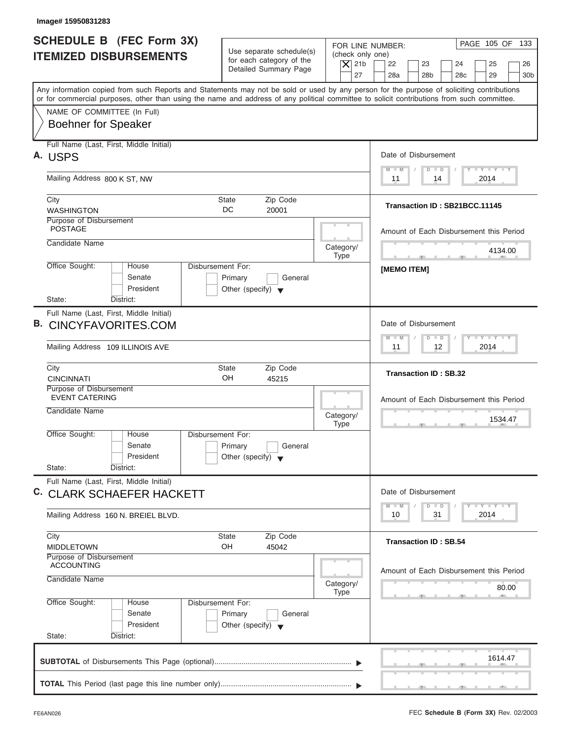| <b>SCHEDULE B</b> (FEC Form 3X)<br>FOR LINE NUMBER:<br>Use separate schedule(s)<br>(check only one)<br><b>ITEMIZED DISBURSEMENTS</b><br>for each category of the<br>$\overline{X}$ 21b<br>22<br>23<br>24<br>25<br>Detailed Summary Page<br>27<br>28a<br>28 <sub>b</sub><br>28 <sub>c</sub><br>29<br>Any information copied from such Reports and Statements may not be sold or used by any person for the purpose of soliciting contributions<br>or for commercial purposes, other than using the name and address of any political committee to solicit contributions from such committee.<br>NAME OF COMMITTEE (In Full)<br><b>Boehner for Speaker</b><br>Full Name (Last, First, Middle Initial)<br>Date of Disbursement<br>A. USPS<br>$T - Y = T - Y = T - Y$<br>$M - M$<br>$D$ $D$<br>Mailing Address 800 K ST, NW<br>2014<br>11<br>14<br>Zip Code<br>City<br><b>State</b><br>Transaction ID: SB21BCC.11145<br>DC<br><b>WASHINGTON</b><br>20001<br>Purpose of Disbursement<br><b>POSTAGE</b><br>Candidate Name<br>Category/<br>4134.00<br><b>Type</b><br><b>All All And All And All And All And All And All And All And All And All And All And All And All And All And All And All And All And All And All And All And All And All And All And All And All And All And All And All And A</b><br>$-7-$<br>Office Sought:<br>Disbursement For:<br>House<br><b>IMEMO ITEMI</b><br>Senate<br>Primary<br>General<br>President<br>Other (specify) $\blacktriangledown$<br>State:<br>District:<br>Full Name (Last, First, Middle Initial)<br><b>B. CINCYFAVORITES.COM</b><br>Date of Disbursement<br><b>LEYTEY LEY</b><br>$M - M$<br>$D$ $D$<br>12 <sup>°</sup><br>2014<br>Mailing Address 109 ILLINOIS AVE<br>11<br>Zip Code<br>City<br><b>State</b><br><b>Transaction ID: SB.32</b><br>OH<br><b>CINCINNATI</b><br>45215<br>Purpose of Disbursement<br><b>EVENT CATERING</b><br>Candidate Name<br>Category/<br>1534.47<br><b>Type</b><br>$\overline{\phantom{a}}$<br>Office Sought:<br>House<br>Disbursement For:<br>Senate<br>Primary<br>General<br>President<br>Other (specify) $\blacktriangledown$<br>State:<br>District:<br>Full Name (Last, First, Middle Initial)<br>Date of Disbursement<br>C. CLARK SCHAEFER HACKETT<br>$T - Y$ $T - Y$<br>$M - M$<br>$\overline{D}$<br>$\Box$<br>2014<br>10<br>31<br>Mailing Address 160 N. BREIEL BLVD.<br>Zip Code<br>City<br><b>State</b><br><b>Transaction ID: SB.54</b><br>OH<br>45042<br><b>MIDDLETOWN</b><br>Purpose of Disbursement<br><b>ACCOUNTING</b><br>Candidate Name<br>Category/<br>80.00<br><b>Type</b><br>Office Sought:<br>Disbursement For:<br>House<br>Senate<br>Primary<br>General<br>President<br>Other (specify) $\blacktriangledown$<br>State:<br>District:<br>1614.47 | Image#15950831283 |  |                                          |
|------------------------------------------------------------------------------------------------------------------------------------------------------------------------------------------------------------------------------------------------------------------------------------------------------------------------------------------------------------------------------------------------------------------------------------------------------------------------------------------------------------------------------------------------------------------------------------------------------------------------------------------------------------------------------------------------------------------------------------------------------------------------------------------------------------------------------------------------------------------------------------------------------------------------------------------------------------------------------------------------------------------------------------------------------------------------------------------------------------------------------------------------------------------------------------------------------------------------------------------------------------------------------------------------------------------------------------------------------------------------------------------------------------------------------------------------------------------------------------------------------------------------------------------------------------------------------------------------------------------------------------------------------------------------------------------------------------------------------------------------------------------------------------------------------------------------------------------------------------------------------------------------------------------------------------------------------------------------------------------------------------------------------------------------------------------------------------------------------------------------------------------------------------------------------------------------------------------------------------------------------------------------------------------------------------------------------------------------------------------------------------------------------------------------------------------------------------------------------------------------------------------------------------------------------------------------------------------------------------------------------------------------------------------------------------------------------------------------------------------|-------------------|--|------------------------------------------|
|                                                                                                                                                                                                                                                                                                                                                                                                                                                                                                                                                                                                                                                                                                                                                                                                                                                                                                                                                                                                                                                                                                                                                                                                                                                                                                                                                                                                                                                                                                                                                                                                                                                                                                                                                                                                                                                                                                                                                                                                                                                                                                                                                                                                                                                                                                                                                                                                                                                                                                                                                                                                                                                                                                                                          |                   |  | PAGE 105 OF 133<br>26<br>30 <sub>b</sub> |
|                                                                                                                                                                                                                                                                                                                                                                                                                                                                                                                                                                                                                                                                                                                                                                                                                                                                                                                                                                                                                                                                                                                                                                                                                                                                                                                                                                                                                                                                                                                                                                                                                                                                                                                                                                                                                                                                                                                                                                                                                                                                                                                                                                                                                                                                                                                                                                                                                                                                                                                                                                                                                                                                                                                                          |                   |  |                                          |
|                                                                                                                                                                                                                                                                                                                                                                                                                                                                                                                                                                                                                                                                                                                                                                                                                                                                                                                                                                                                                                                                                                                                                                                                                                                                                                                                                                                                                                                                                                                                                                                                                                                                                                                                                                                                                                                                                                                                                                                                                                                                                                                                                                                                                                                                                                                                                                                                                                                                                                                                                                                                                                                                                                                                          |                   |  |                                          |
|                                                                                                                                                                                                                                                                                                                                                                                                                                                                                                                                                                                                                                                                                                                                                                                                                                                                                                                                                                                                                                                                                                                                                                                                                                                                                                                                                                                                                                                                                                                                                                                                                                                                                                                                                                                                                                                                                                                                                                                                                                                                                                                                                                                                                                                                                                                                                                                                                                                                                                                                                                                                                                                                                                                                          |                   |  |                                          |
|                                                                                                                                                                                                                                                                                                                                                                                                                                                                                                                                                                                                                                                                                                                                                                                                                                                                                                                                                                                                                                                                                                                                                                                                                                                                                                                                                                                                                                                                                                                                                                                                                                                                                                                                                                                                                                                                                                                                                                                                                                                                                                                                                                                                                                                                                                                                                                                                                                                                                                                                                                                                                                                                                                                                          |                   |  |                                          |
|                                                                                                                                                                                                                                                                                                                                                                                                                                                                                                                                                                                                                                                                                                                                                                                                                                                                                                                                                                                                                                                                                                                                                                                                                                                                                                                                                                                                                                                                                                                                                                                                                                                                                                                                                                                                                                                                                                                                                                                                                                                                                                                                                                                                                                                                                                                                                                                                                                                                                                                                                                                                                                                                                                                                          |                   |  |                                          |
|                                                                                                                                                                                                                                                                                                                                                                                                                                                                                                                                                                                                                                                                                                                                                                                                                                                                                                                                                                                                                                                                                                                                                                                                                                                                                                                                                                                                                                                                                                                                                                                                                                                                                                                                                                                                                                                                                                                                                                                                                                                                                                                                                                                                                                                                                                                                                                                                                                                                                                                                                                                                                                                                                                                                          |                   |  | Amount of Each Disbursement this Period  |
|                                                                                                                                                                                                                                                                                                                                                                                                                                                                                                                                                                                                                                                                                                                                                                                                                                                                                                                                                                                                                                                                                                                                                                                                                                                                                                                                                                                                                                                                                                                                                                                                                                                                                                                                                                                                                                                                                                                                                                                                                                                                                                                                                                                                                                                                                                                                                                                                                                                                                                                                                                                                                                                                                                                                          |                   |  |                                          |
|                                                                                                                                                                                                                                                                                                                                                                                                                                                                                                                                                                                                                                                                                                                                                                                                                                                                                                                                                                                                                                                                                                                                                                                                                                                                                                                                                                                                                                                                                                                                                                                                                                                                                                                                                                                                                                                                                                                                                                                                                                                                                                                                                                                                                                                                                                                                                                                                                                                                                                                                                                                                                                                                                                                                          |                   |  |                                          |
|                                                                                                                                                                                                                                                                                                                                                                                                                                                                                                                                                                                                                                                                                                                                                                                                                                                                                                                                                                                                                                                                                                                                                                                                                                                                                                                                                                                                                                                                                                                                                                                                                                                                                                                                                                                                                                                                                                                                                                                                                                                                                                                                                                                                                                                                                                                                                                                                                                                                                                                                                                                                                                                                                                                                          |                   |  |                                          |
|                                                                                                                                                                                                                                                                                                                                                                                                                                                                                                                                                                                                                                                                                                                                                                                                                                                                                                                                                                                                                                                                                                                                                                                                                                                                                                                                                                                                                                                                                                                                                                                                                                                                                                                                                                                                                                                                                                                                                                                                                                                                                                                                                                                                                                                                                                                                                                                                                                                                                                                                                                                                                                                                                                                                          |                   |  |                                          |
|                                                                                                                                                                                                                                                                                                                                                                                                                                                                                                                                                                                                                                                                                                                                                                                                                                                                                                                                                                                                                                                                                                                                                                                                                                                                                                                                                                                                                                                                                                                                                                                                                                                                                                                                                                                                                                                                                                                                                                                                                                                                                                                                                                                                                                                                                                                                                                                                                                                                                                                                                                                                                                                                                                                                          |                   |  |                                          |
|                                                                                                                                                                                                                                                                                                                                                                                                                                                                                                                                                                                                                                                                                                                                                                                                                                                                                                                                                                                                                                                                                                                                                                                                                                                                                                                                                                                                                                                                                                                                                                                                                                                                                                                                                                                                                                                                                                                                                                                                                                                                                                                                                                                                                                                                                                                                                                                                                                                                                                                                                                                                                                                                                                                                          |                   |  |                                          |
|                                                                                                                                                                                                                                                                                                                                                                                                                                                                                                                                                                                                                                                                                                                                                                                                                                                                                                                                                                                                                                                                                                                                                                                                                                                                                                                                                                                                                                                                                                                                                                                                                                                                                                                                                                                                                                                                                                                                                                                                                                                                                                                                                                                                                                                                                                                                                                                                                                                                                                                                                                                                                                                                                                                                          |                   |  | Amount of Each Disbursement this Period  |
|                                                                                                                                                                                                                                                                                                                                                                                                                                                                                                                                                                                                                                                                                                                                                                                                                                                                                                                                                                                                                                                                                                                                                                                                                                                                                                                                                                                                                                                                                                                                                                                                                                                                                                                                                                                                                                                                                                                                                                                                                                                                                                                                                                                                                                                                                                                                                                                                                                                                                                                                                                                                                                                                                                                                          |                   |  |                                          |
|                                                                                                                                                                                                                                                                                                                                                                                                                                                                                                                                                                                                                                                                                                                                                                                                                                                                                                                                                                                                                                                                                                                                                                                                                                                                                                                                                                                                                                                                                                                                                                                                                                                                                                                                                                                                                                                                                                                                                                                                                                                                                                                                                                                                                                                                                                                                                                                                                                                                                                                                                                                                                                                                                                                                          |                   |  |                                          |
|                                                                                                                                                                                                                                                                                                                                                                                                                                                                                                                                                                                                                                                                                                                                                                                                                                                                                                                                                                                                                                                                                                                                                                                                                                                                                                                                                                                                                                                                                                                                                                                                                                                                                                                                                                                                                                                                                                                                                                                                                                                                                                                                                                                                                                                                                                                                                                                                                                                                                                                                                                                                                                                                                                                                          |                   |  |                                          |
|                                                                                                                                                                                                                                                                                                                                                                                                                                                                                                                                                                                                                                                                                                                                                                                                                                                                                                                                                                                                                                                                                                                                                                                                                                                                                                                                                                                                                                                                                                                                                                                                                                                                                                                                                                                                                                                                                                                                                                                                                                                                                                                                                                                                                                                                                                                                                                                                                                                                                                                                                                                                                                                                                                                                          |                   |  |                                          |
|                                                                                                                                                                                                                                                                                                                                                                                                                                                                                                                                                                                                                                                                                                                                                                                                                                                                                                                                                                                                                                                                                                                                                                                                                                                                                                                                                                                                                                                                                                                                                                                                                                                                                                                                                                                                                                                                                                                                                                                                                                                                                                                                                                                                                                                                                                                                                                                                                                                                                                                                                                                                                                                                                                                                          |                   |  |                                          |
|                                                                                                                                                                                                                                                                                                                                                                                                                                                                                                                                                                                                                                                                                                                                                                                                                                                                                                                                                                                                                                                                                                                                                                                                                                                                                                                                                                                                                                                                                                                                                                                                                                                                                                                                                                                                                                                                                                                                                                                                                                                                                                                                                                                                                                                                                                                                                                                                                                                                                                                                                                                                                                                                                                                                          |                   |  |                                          |
|                                                                                                                                                                                                                                                                                                                                                                                                                                                                                                                                                                                                                                                                                                                                                                                                                                                                                                                                                                                                                                                                                                                                                                                                                                                                                                                                                                                                                                                                                                                                                                                                                                                                                                                                                                                                                                                                                                                                                                                                                                                                                                                                                                                                                                                                                                                                                                                                                                                                                                                                                                                                                                                                                                                                          |                   |  | Amount of Each Disbursement this Period  |
|                                                                                                                                                                                                                                                                                                                                                                                                                                                                                                                                                                                                                                                                                                                                                                                                                                                                                                                                                                                                                                                                                                                                                                                                                                                                                                                                                                                                                                                                                                                                                                                                                                                                                                                                                                                                                                                                                                                                                                                                                                                                                                                                                                                                                                                                                                                                                                                                                                                                                                                                                                                                                                                                                                                                          |                   |  |                                          |
|                                                                                                                                                                                                                                                                                                                                                                                                                                                                                                                                                                                                                                                                                                                                                                                                                                                                                                                                                                                                                                                                                                                                                                                                                                                                                                                                                                                                                                                                                                                                                                                                                                                                                                                                                                                                                                                                                                                                                                                                                                                                                                                                                                                                                                                                                                                                                                                                                                                                                                                                                                                                                                                                                                                                          |                   |  |                                          |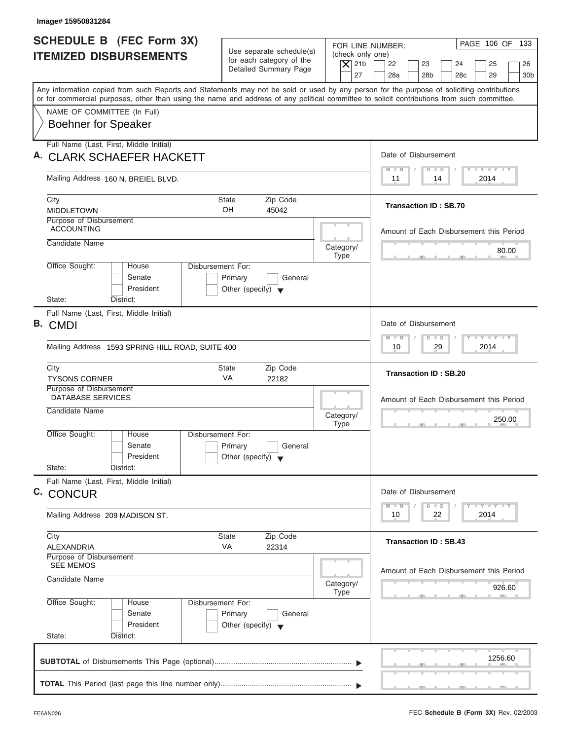| Image# 15950831284                                                                                                                                                                                                                                                                      |                                                                                 |                                                                  |                                                                                                                                                                                                                                                      |
|-----------------------------------------------------------------------------------------------------------------------------------------------------------------------------------------------------------------------------------------------------------------------------------------|---------------------------------------------------------------------------------|------------------------------------------------------------------|------------------------------------------------------------------------------------------------------------------------------------------------------------------------------------------------------------------------------------------------------|
| <b>SCHEDULE B</b> (FEC Form 3X)<br><b>ITEMIZED DISBURSEMENTS</b>                                                                                                                                                                                                                        | Use separate schedule(s)<br>for each category of the<br>Detailed Summary Page   | FOR LINE NUMBER:<br>(check only one)<br>$\overline{X}$ 21b<br>27 | PAGE 106 OF 133<br>22<br>23<br>24<br>25<br>26<br>28a<br>28 <sub>b</sub><br>29<br>30 <sub>b</sub><br>28 <sub>c</sub>                                                                                                                                  |
| Any information copied from such Reports and Statements may not be sold or used by any person for the purpose of soliciting contributions<br>or for commercial purposes, other than using the name and address of any political committee to solicit contributions from such committee. |                                                                                 |                                                                  |                                                                                                                                                                                                                                                      |
| NAME OF COMMITTEE (In Full)<br><b>Boehner for Speaker</b>                                                                                                                                                                                                                               |                                                                                 |                                                                  |                                                                                                                                                                                                                                                      |
| Full Name (Last, First, Middle Initial)<br>A. CLARK SCHAEFER HACKETT                                                                                                                                                                                                                    |                                                                                 |                                                                  | Date of Disbursement                                                                                                                                                                                                                                 |
| Mailing Address 160 N. BREIEL BLVD.                                                                                                                                                                                                                                                     |                                                                                 |                                                                  | $T - Y = T - Y = T - Y$<br>$D$ $D$<br>$M - M$<br>2014<br>11<br>14                                                                                                                                                                                    |
| City<br><b>MIDDLETOWN</b>                                                                                                                                                                                                                                                               | State<br>Zip Code<br>OH<br>45042                                                |                                                                  | <b>Transaction ID: SB.70</b>                                                                                                                                                                                                                         |
| Purpose of Disbursement<br><b>ACCOUNTING</b><br>Candidate Name                                                                                                                                                                                                                          |                                                                                 | Category/                                                        | Amount of Each Disbursement this Period                                                                                                                                                                                                              |
| Office Sought:<br>House<br>Senate<br>President<br>State:<br>District:                                                                                                                                                                                                                   | Disbursement For:<br>Primary<br>General<br>Other (specify) $\blacktriangledown$ | <b>Type</b>                                                      | 80.00                                                                                                                                                                                                                                                |
| Full Name (Last, First, Middle Initial)<br>B. CMDI<br>Mailing Address 1593 SPRING HILL ROAD, SUITE 400                                                                                                                                                                                  |                                                                                 |                                                                  | Date of Disbursement<br><b>LEYTEY LEY</b><br>$M - M$<br>$D$ $D$<br>29<br>2014<br>10                                                                                                                                                                  |
| City<br><b>TYSONS CORNER</b>                                                                                                                                                                                                                                                            | <b>State</b><br>Zip Code<br>VA<br>22182                                         |                                                                  | <b>Transaction ID: SB.20</b>                                                                                                                                                                                                                         |
| Purpose of Disbursement<br><b>DATABASE SERVICES</b><br>Candidate Name                                                                                                                                                                                                                   |                                                                                 | Category/<br><b>Type</b>                                         | Amount of Each Disbursement this Period<br>250.00<br>__                                                                                                                                                                                              |
| Office Sought:<br>House<br>Senate<br>President<br>State:<br>District:                                                                                                                                                                                                                   | Disbursement For:<br>Primary<br>General<br>Other (specify) $\blacktriangledown$ |                                                                  |                                                                                                                                                                                                                                                      |
| Full Name (Last, First, Middle Initial)<br>C. CONCUR                                                                                                                                                                                                                                    |                                                                                 |                                                                  | Date of Disbursement<br>$\frac{1}{2}$ $\frac{1}{2}$ $\frac{1}{2}$ $\frac{1}{2}$ $\frac{1}{2}$ $\frac{1}{2}$ $\frac{1}{2}$ $\frac{1}{2}$ $\frac{1}{2}$ $\frac{1}{2}$ $\frac{1}{2}$ $\frac{1}{2}$ $\frac{1}{2}$<br>$M - M$<br>$\overline{D}$<br>$\Box$ |
| Mailing Address 209 MADISON ST.                                                                                                                                                                                                                                                         |                                                                                 |                                                                  | 2014<br>10<br>22                                                                                                                                                                                                                                     |
| City<br>ALEXANDRIA                                                                                                                                                                                                                                                                      | Zip Code<br>State<br>VA<br>22314                                                |                                                                  | <b>Transaction ID: SB.43</b>                                                                                                                                                                                                                         |
| Purpose of Disbursement<br><b>SEE MEMOS</b><br>Candidate Name                                                                                                                                                                                                                           |                                                                                 | Category/                                                        | Amount of Each Disbursement this Period<br>926.60                                                                                                                                                                                                    |
| Office Sought:<br>House<br>Senate<br>President<br>State:<br>District:                                                                                                                                                                                                                   | Disbursement For:<br>Primary<br>General<br>Other (specify) $\blacktriangledown$ | Type                                                             |                                                                                                                                                                                                                                                      |
|                                                                                                                                                                                                                                                                                         |                                                                                 |                                                                  | 1256.60                                                                                                                                                                                                                                              |
|                                                                                                                                                                                                                                                                                         |                                                                                 |                                                                  |                                                                                                                                                                                                                                                      |

J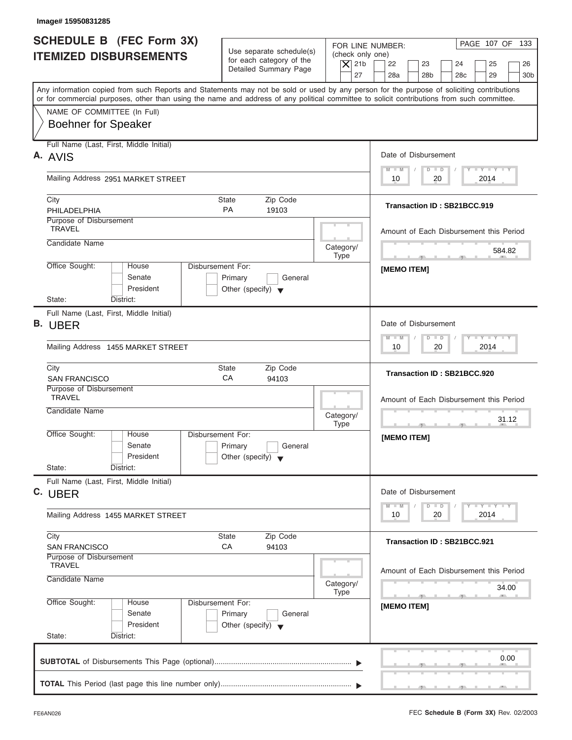| <b>SCHEDULE B</b> (FEC Form 3X)<br><b>ITEMIZED DISBURSEMENTS</b>                                                                                                                                                                                                                        | Use separate schedule(s)<br>for each category of the<br>Detailed Summary Page                  | PAGE 107 OF 133<br>FOR LINE NUMBER:<br>(check only one)<br>$\overline{X}$ 21b<br>22<br>23<br>24<br>25<br>26<br>27<br>28a<br>28 <sub>b</sub><br>28 <sub>c</sub><br>29<br>30 <sub>b</sub> |
|-----------------------------------------------------------------------------------------------------------------------------------------------------------------------------------------------------------------------------------------------------------------------------------------|------------------------------------------------------------------------------------------------|-----------------------------------------------------------------------------------------------------------------------------------------------------------------------------------------|
| Any information copied from such Reports and Statements may not be sold or used by any person for the purpose of soliciting contributions<br>or for commercial purposes, other than using the name and address of any political committee to solicit contributions from such committee. |                                                                                                |                                                                                                                                                                                         |
| NAME OF COMMITTEE (In Full)<br><b>Boehner for Speaker</b>                                                                                                                                                                                                                               |                                                                                                |                                                                                                                                                                                         |
| Full Name (Last, First, Middle Initial)<br>A. AVIS                                                                                                                                                                                                                                      |                                                                                                | Date of Disbursement                                                                                                                                                                    |
| Mailing Address 2951 MARKET STREET                                                                                                                                                                                                                                                      |                                                                                                | $T - Y = T - Y = T - Y$<br>$D$ $D$<br>$M - M$<br>2014<br>10<br>20                                                                                                                       |
| City<br>PHILADELPHIA                                                                                                                                                                                                                                                                    | Zip Code<br><b>State</b><br><b>PA</b><br>19103                                                 | Transaction ID: SB21BCC.919                                                                                                                                                             |
| Purpose of Disbursement<br><b>TRAVEL</b>                                                                                                                                                                                                                                                |                                                                                                | Amount of Each Disbursement this Period                                                                                                                                                 |
| Candidate Name                                                                                                                                                                                                                                                                          | Category/<br><b>Type</b>                                                                       | 584.82<br><b>The Contract Contract Contract Contract</b><br>$-7$                                                                                                                        |
| Office Sought:<br>House<br>Senate<br>President                                                                                                                                                                                                                                          | Disbursement For:<br>Primary<br>General<br>Other (specify) $\blacktriangledown$                | [MEMO ITEM]                                                                                                                                                                             |
| State:<br>District:<br>Full Name (Last, First, Middle Initial)<br>B. UBER                                                                                                                                                                                                               |                                                                                                | Date of Disbursement                                                                                                                                                                    |
| Mailing Address 1455 MARKET STREET                                                                                                                                                                                                                                                      |                                                                                                | $-1 - Y - 1 - Y - 1 - Y$<br>$D$ $D$<br>$M - M$<br>2014<br>10<br>20                                                                                                                      |
| City<br><b>SAN FRANCISCO</b>                                                                                                                                                                                                                                                            | Zip Code<br><b>State</b><br>CA<br>94103                                                        | Transaction ID: SB21BCC.920                                                                                                                                                             |
| Purpose of Disbursement<br><b>TRAVEL</b>                                                                                                                                                                                                                                                |                                                                                                | Amount of Each Disbursement this Period                                                                                                                                                 |
| Candidate Name                                                                                                                                                                                                                                                                          | Category/<br><b>Type</b>                                                                       | 31.12<br>$\cdots$                                                                                                                                                                       |
| Office Sought:<br>House<br>Senate<br>President                                                                                                                                                                                                                                          | Disbursement For:<br>Primary<br>General<br>Other (specify) $\blacktriangledown$                | [MEMO ITEM]                                                                                                                                                                             |
| State:<br>District:<br>Full Name (Last, First, Middle Initial)                                                                                                                                                                                                                          |                                                                                                |                                                                                                                                                                                         |
| C. UBER<br>Mailing Address 1455 MARKET STREET                                                                                                                                                                                                                                           |                                                                                                | Date of Disbursement<br>$\mathbf{I}$ $\mathbf{Y}$ $\mathbf{I}$ $\mathbf{Y}$ $\mathbf{I}$ $\mathbf{Y}$<br>$M - M$<br>$\overline{D}$<br>$\Box$<br>2014<br>10<br>20                        |
| City<br><b>SAN FRANCISCO</b>                                                                                                                                                                                                                                                            | Zip Code<br><b>State</b><br>CA<br>94103                                                        | Transaction ID: SB21BCC.921                                                                                                                                                             |
| Purpose of Disbursement<br><b>TRAVEL</b><br>Candidate Name                                                                                                                                                                                                                              | Category/                                                                                      | Amount of Each Disbursement this Period<br>34.00                                                                                                                                        |
| Office Sought:<br>House<br>Senate<br>President                                                                                                                                                                                                                                          | <b>Type</b><br>Disbursement For:<br>Primary<br>General<br>Other (specify) $\blacktriangledown$ | $-7$<br>[MEMO ITEM]                                                                                                                                                                     |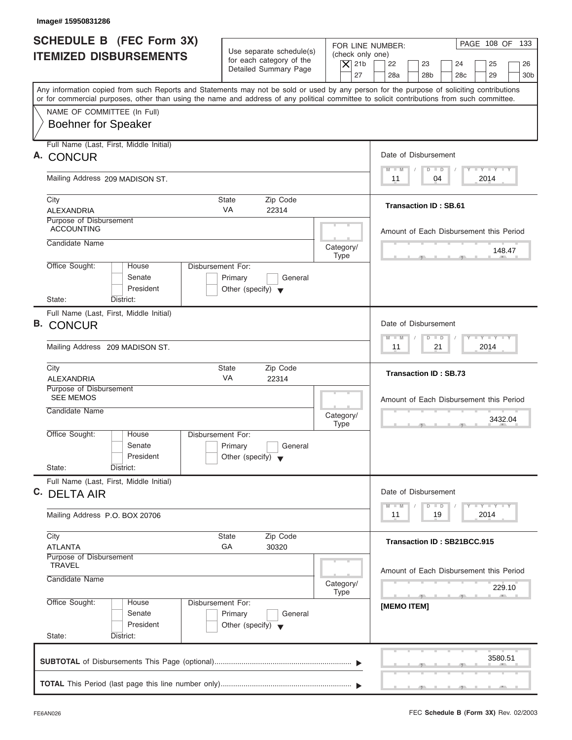| SCHEDULE B (FEC Form 3X)<br><b>ITEMIZED DISBURSEMENTS</b><br>Any information copied from such Reports and Statements may not be sold or used by any person for the purpose of soliciting contributions<br>or for commercial purposes, other than using the name and address of any political committee to solicit contributions from such committee.<br>NAME OF COMMITTEE (In Full)<br><b>Boehner for Speaker</b><br>Full Name (Last, First, Middle Initial)<br>A. CONCUR<br>Mailing Address 209 MADISON ST.<br>City<br><b>State</b><br><b>VA</b><br><b>ALEXANDRIA</b><br>Purpose of Disbursement<br><b>ACCOUNTING</b><br>Candidate Name | Use separate schedule(s)<br>for each category of the<br>Detailed Summary Page<br>Zip Code<br>22314 | FOR LINE NUMBER:<br>(check only one)<br>$\overline{X}$ 21b<br>27   | PAGE 108 OF 133<br>25<br>22<br>23<br>24<br>26<br>28a<br>28 <sub>b</sub><br>28 <sub>c</sub><br>29<br>30 <sub>b</sub><br>Date of Disbursement<br>$T - Y = T - Y = T - Y$<br>$M - M$<br>$D$ $D$<br>04<br>2014<br>11<br><b>Transaction ID: SB.61</b> |
|------------------------------------------------------------------------------------------------------------------------------------------------------------------------------------------------------------------------------------------------------------------------------------------------------------------------------------------------------------------------------------------------------------------------------------------------------------------------------------------------------------------------------------------------------------------------------------------------------------------------------------------|----------------------------------------------------------------------------------------------------|--------------------------------------------------------------------|--------------------------------------------------------------------------------------------------------------------------------------------------------------------------------------------------------------------------------------------------|
|                                                                                                                                                                                                                                                                                                                                                                                                                                                                                                                                                                                                                                          |                                                                                                    |                                                                    |                                                                                                                                                                                                                                                  |
|                                                                                                                                                                                                                                                                                                                                                                                                                                                                                                                                                                                                                                          |                                                                                                    |                                                                    |                                                                                                                                                                                                                                                  |
|                                                                                                                                                                                                                                                                                                                                                                                                                                                                                                                                                                                                                                          |                                                                                                    |                                                                    |                                                                                                                                                                                                                                                  |
|                                                                                                                                                                                                                                                                                                                                                                                                                                                                                                                                                                                                                                          |                                                                                                    |                                                                    |                                                                                                                                                                                                                                                  |
|                                                                                                                                                                                                                                                                                                                                                                                                                                                                                                                                                                                                                                          |                                                                                                    |                                                                    |                                                                                                                                                                                                                                                  |
|                                                                                                                                                                                                                                                                                                                                                                                                                                                                                                                                                                                                                                          |                                                                                                    |                                                                    |                                                                                                                                                                                                                                                  |
|                                                                                                                                                                                                                                                                                                                                                                                                                                                                                                                                                                                                                                          |                                                                                                    |                                                                    |                                                                                                                                                                                                                                                  |
|                                                                                                                                                                                                                                                                                                                                                                                                                                                                                                                                                                                                                                          |                                                                                                    |                                                                    |                                                                                                                                                                                                                                                  |
|                                                                                                                                                                                                                                                                                                                                                                                                                                                                                                                                                                                                                                          |                                                                                                    |                                                                    |                                                                                                                                                                                                                                                  |
|                                                                                                                                                                                                                                                                                                                                                                                                                                                                                                                                                                                                                                          |                                                                                                    |                                                                    |                                                                                                                                                                                                                                                  |
|                                                                                                                                                                                                                                                                                                                                                                                                                                                                                                                                                                                                                                          |                                                                                                    |                                                                    | Amount of Each Disbursement this Period                                                                                                                                                                                                          |
|                                                                                                                                                                                                                                                                                                                                                                                                                                                                                                                                                                                                                                          |                                                                                                    | Category/<br><b>Type</b>                                           | 148.47                                                                                                                                                                                                                                           |
| Office Sought:<br>Disbursement For:<br>House<br>Senate<br>Primary                                                                                                                                                                                                                                                                                                                                                                                                                                                                                                                                                                        | General                                                                                            |                                                                    |                                                                                                                                                                                                                                                  |
| President<br>Other (specify) $\blacktriangledown$                                                                                                                                                                                                                                                                                                                                                                                                                                                                                                                                                                                        |                                                                                                    |                                                                    |                                                                                                                                                                                                                                                  |
| State:<br>District:                                                                                                                                                                                                                                                                                                                                                                                                                                                                                                                                                                                                                      |                                                                                                    |                                                                    |                                                                                                                                                                                                                                                  |
| Full Name (Last, First, Middle Initial)<br><b>B. CONCUR</b>                                                                                                                                                                                                                                                                                                                                                                                                                                                                                                                                                                              |                                                                                                    |                                                                    | Date of Disbursement                                                                                                                                                                                                                             |
| Mailing Address 209 MADISON ST.                                                                                                                                                                                                                                                                                                                                                                                                                                                                                                                                                                                                          |                                                                                                    | $-1 - Y - 1 - Y - 1 - Y$<br>$M - M$<br>$D$ $D$<br>2014<br>11<br>21 |                                                                                                                                                                                                                                                  |
| City<br><b>State</b>                                                                                                                                                                                                                                                                                                                                                                                                                                                                                                                                                                                                                     | Zip Code                                                                                           |                                                                    | <b>Transaction ID: SB.73</b>                                                                                                                                                                                                                     |
| VA<br><b>ALEXANDRIA</b><br>Purpose of Disbursement                                                                                                                                                                                                                                                                                                                                                                                                                                                                                                                                                                                       | 22314                                                                                              |                                                                    |                                                                                                                                                                                                                                                  |
| <b>SEE MEMOS</b><br>Candidate Name                                                                                                                                                                                                                                                                                                                                                                                                                                                                                                                                                                                                       |                                                                                                    |                                                                    | Amount of Each Disbursement this Period                                                                                                                                                                                                          |
|                                                                                                                                                                                                                                                                                                                                                                                                                                                                                                                                                                                                                                          |                                                                                                    | Category/<br><b>Type</b>                                           | 3432.04<br>$\sim$                                                                                                                                                                                                                                |
| Office Sought:<br>House<br>Disbursement For:                                                                                                                                                                                                                                                                                                                                                                                                                                                                                                                                                                                             |                                                                                                    |                                                                    |                                                                                                                                                                                                                                                  |
| Senate<br>Primary<br>President<br>Other (specify) $\blacktriangledown$                                                                                                                                                                                                                                                                                                                                                                                                                                                                                                                                                                   | General                                                                                            |                                                                    |                                                                                                                                                                                                                                                  |
| State:<br>District:                                                                                                                                                                                                                                                                                                                                                                                                                                                                                                                                                                                                                      |                                                                                                    |                                                                    |                                                                                                                                                                                                                                                  |
| Full Name (Last, First, Middle Initial)<br>C. DELTA AIR                                                                                                                                                                                                                                                                                                                                                                                                                                                                                                                                                                                  |                                                                                                    |                                                                    | Date of Disbursement                                                                                                                                                                                                                             |
|                                                                                                                                                                                                                                                                                                                                                                                                                                                                                                                                                                                                                                          |                                                                                                    |                                                                    | $\overline{Y}$ $\overline{Y}$ $\overline{Y}$ $\overline{Y}$ $\overline{Y}$<br>$M - M$<br>$D$ $D$                                                                                                                                                 |
| Mailing Address P.O. BOX 20706                                                                                                                                                                                                                                                                                                                                                                                                                                                                                                                                                                                                           |                                                                                                    |                                                                    | 2014<br>11<br>19                                                                                                                                                                                                                                 |
| City<br><b>State</b><br>GA<br><b>ATLANTA</b>                                                                                                                                                                                                                                                                                                                                                                                                                                                                                                                                                                                             | Zip Code<br>30320                                                                                  |                                                                    | <b>Transaction ID: SB21BCC.915</b>                                                                                                                                                                                                               |
| Purpose of Disbursement<br><b>TRAVEL</b>                                                                                                                                                                                                                                                                                                                                                                                                                                                                                                                                                                                                 |                                                                                                    |                                                                    |                                                                                                                                                                                                                                                  |
| Candidate Name                                                                                                                                                                                                                                                                                                                                                                                                                                                                                                                                                                                                                           |                                                                                                    |                                                                    | Amount of Each Disbursement this Period                                                                                                                                                                                                          |
|                                                                                                                                                                                                                                                                                                                                                                                                                                                                                                                                                                                                                                          |                                                                                                    | Category/<br><b>Type</b>                                           | 229.10<br>-91                                                                                                                                                                                                                                    |
| Office Sought:<br>Disbursement For:<br>House<br>Senate<br>Primary                                                                                                                                                                                                                                                                                                                                                                                                                                                                                                                                                                        | General                                                                                            |                                                                    | [MEMO ITEM]                                                                                                                                                                                                                                      |
| President<br>Other (specify) $\blacktriangledown$                                                                                                                                                                                                                                                                                                                                                                                                                                                                                                                                                                                        |                                                                                                    |                                                                    |                                                                                                                                                                                                                                                  |
| State:<br>District:                                                                                                                                                                                                                                                                                                                                                                                                                                                                                                                                                                                                                      |                                                                                                    |                                                                    |                                                                                                                                                                                                                                                  |

ı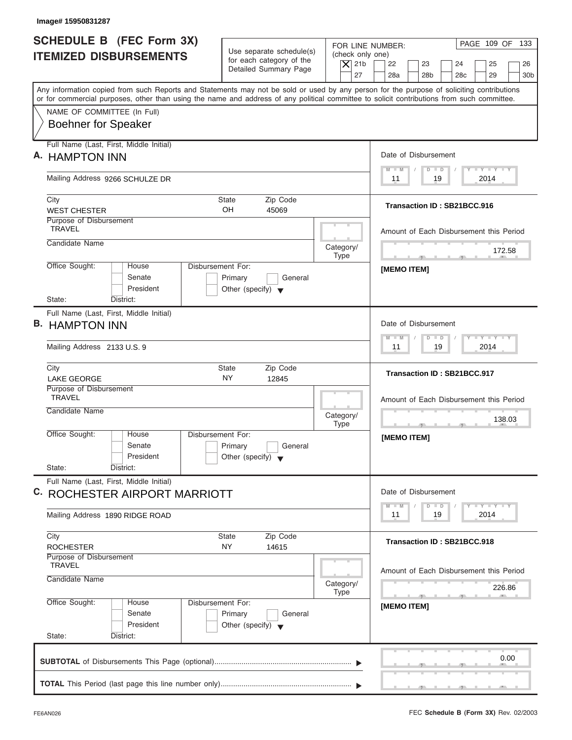| PAGE 109 OF 133<br>FOR LINE NUMBER:<br>(check only one)<br>$ \mathsf{X} $ 21b<br>22<br>23<br>24<br>25<br>26<br>28 <sub>b</sub><br>28 <sub>c</sub><br>29                                                                                                                                                                                                                                                                                        |
|------------------------------------------------------------------------------------------------------------------------------------------------------------------------------------------------------------------------------------------------------------------------------------------------------------------------------------------------------------------------------------------------------------------------------------------------|
| 28a<br>30 <sub>b</sub><br>Any information copied from such Reports and Statements may not be sold or used by any person for the purpose of soliciting contributions<br>or for commercial purposes, other than using the name and address of any political committee to solicit contributions from such committee.                                                                                                                              |
|                                                                                                                                                                                                                                                                                                                                                                                                                                                |
| Date of Disbursement                                                                                                                                                                                                                                                                                                                                                                                                                           |
| $T - Y = T - Y = T - Y$<br>$M - M$<br>$D$ $D$<br>19<br>2014<br>11                                                                                                                                                                                                                                                                                                                                                                              |
| Transaction ID: SB21BCC.916                                                                                                                                                                                                                                                                                                                                                                                                                    |
| Amount of Each Disbursement this Period                                                                                                                                                                                                                                                                                                                                                                                                        |
| 172.58                                                                                                                                                                                                                                                                                                                                                                                                                                         |
| [MEMO ITEM]                                                                                                                                                                                                                                                                                                                                                                                                                                    |
| Date of Disbursement                                                                                                                                                                                                                                                                                                                                                                                                                           |
| $-1 - Y - 1 - Y - 1 - Y$<br>$M - M$<br>$D$ $D$<br>19<br>2014<br>11                                                                                                                                                                                                                                                                                                                                                                             |
| Transaction ID: SB21BCC.917                                                                                                                                                                                                                                                                                                                                                                                                                    |
| Amount of Each Disbursement this Period<br>138.03<br>$-7$                                                                                                                                                                                                                                                                                                                                                                                      |
| [MEMO ITEM]                                                                                                                                                                                                                                                                                                                                                                                                                                    |
| Date of Disbursement<br>$\frac{1}{2} \frac{1}{2} \frac{1}{2} \frac{1}{2} \frac{1}{2} \frac{1}{2} \frac{1}{2} \frac{1}{2} \frac{1}{2} \frac{1}{2} \frac{1}{2} \frac{1}{2} \frac{1}{2} \frac{1}{2} \frac{1}{2} \frac{1}{2} \frac{1}{2} \frac{1}{2} \frac{1}{2} \frac{1}{2} \frac{1}{2} \frac{1}{2} \frac{1}{2} \frac{1}{2} \frac{1}{2} \frac{1}{2} \frac{1}{2} \frac{1}{2} \frac{1}{2} \frac{1}{2} \frac{1}{2} \frac{$<br>$M - M$<br>$\Box$<br>D |
| 2014<br>11<br>19                                                                                                                                                                                                                                                                                                                                                                                                                               |
| Transaction ID: SB21BCC.918                                                                                                                                                                                                                                                                                                                                                                                                                    |
| Amount of Each Disbursement this Period<br>226.86                                                                                                                                                                                                                                                                                                                                                                                              |
| -91<br>[MEMO ITEM]                                                                                                                                                                                                                                                                                                                                                                                                                             |
|                                                                                                                                                                                                                                                                                                                                                                                                                                                |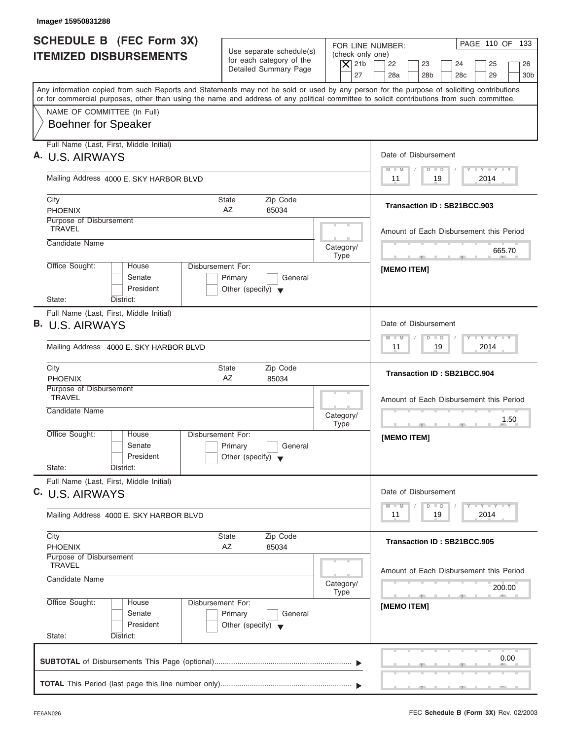| SCHEDULE B (FEC Form 3X)<br><b>ITEMIZED DISBURSEMENTS</b>                                                                                                                                                                                                                               | Use separate schedule(s)<br>for each category of the<br>Detailed Summary Page          | PAGE 110 OF 133<br>FOR LINE NUMBER:<br>(check only one)<br>$\vert$ $\chi$ 21b<br>22<br>23<br>24<br>25<br>26<br>27<br>28a<br>28 <sub>b</sub><br>28 <sub>c</sub><br>29<br>30 <sub>b</sub> |
|-----------------------------------------------------------------------------------------------------------------------------------------------------------------------------------------------------------------------------------------------------------------------------------------|----------------------------------------------------------------------------------------|-----------------------------------------------------------------------------------------------------------------------------------------------------------------------------------------|
| Any information copied from such Reports and Statements may not be sold or used by any person for the purpose of soliciting contributions<br>or for commercial purposes, other than using the name and address of any political committee to solicit contributions from such committee. |                                                                                        |                                                                                                                                                                                         |
| NAME OF COMMITTEE (In Full)<br><b>Boehner for Speaker</b>                                                                                                                                                                                                                               |                                                                                        |                                                                                                                                                                                         |
| Full Name (Last, First, Middle Initial)<br>A. U.S. AIRWAYS                                                                                                                                                                                                                              |                                                                                        | Date of Disbursement                                                                                                                                                                    |
| Mailing Address 4000 E. SKY HARBOR BLVD                                                                                                                                                                                                                                                 |                                                                                        | $D$ $D$<br>$M - M$<br>2014<br>11<br>19                                                                                                                                                  |
| City<br><b>PHOENIX</b>                                                                                                                                                                                                                                                                  | Zip Code<br>State<br>AZ<br>85034                                                       | Transaction ID: SB21BCC.903                                                                                                                                                             |
| Purpose of Disbursement<br><b>TRAVEL</b>                                                                                                                                                                                                                                                |                                                                                        | Amount of Each Disbursement this Period                                                                                                                                                 |
| Candidate Name                                                                                                                                                                                                                                                                          | Category/<br><b>Type</b>                                                               | 665.70<br><b>Contract Contract Contract Contract</b>                                                                                                                                    |
| Office Sought:<br>House<br>Senate<br>President<br>State:<br>District:                                                                                                                                                                                                                   | <b>Disbursement For:</b><br>Primary<br>General<br>Other (specify) $\blacktriangledown$ | <b>IMEMO ITEMI</b>                                                                                                                                                                      |
| Full Name (Last, First, Middle Initial)<br>B. U.S. AIRWAYS<br>Mailing Address 4000 E. SKY HARBOR BLVD                                                                                                                                                                                   |                                                                                        | Date of Disbursement<br>$-1 - Y - 1 - Y - 1 - Y$<br>$D$ $D$<br>$M - M$<br>2014<br>11<br>19                                                                                              |
| City<br><b>PHOENIX</b>                                                                                                                                                                                                                                                                  | Zip Code<br><b>State</b><br>AZ<br>85034                                                | Transaction ID: SB21BCC.904                                                                                                                                                             |
| Purpose of Disbursement<br><b>TRAVEL</b><br>Candidate Name                                                                                                                                                                                                                              | Category/<br><b>Type</b>                                                               | Amount of Each Disbursement this Period<br>1.50<br>$\cdots$<br>$-7$                                                                                                                     |
| Office Sought:<br>House<br>Senate<br>President<br>State:<br>District:                                                                                                                                                                                                                   | Disbursement For:<br>Primary<br>General<br>Other (specify) $\blacktriangledown$        | [MEMO ITEM]                                                                                                                                                                             |
| Full Name (Last, First, Middle Initial)<br>C. U.S. AIRWAYS                                                                                                                                                                                                                              |                                                                                        | Date of Disbursement<br>$\mathbf{I}$ $\mathbf{Y}$ $\mathbf{I}$ $\mathbf{Y}$ $\mathbf{I}$ $\mathbf{Y}$<br>$M - M$<br>$\overline{D}$<br>$\Box$                                            |
| Mailing Address 4000 E. SKY HARBOR BLVD                                                                                                                                                                                                                                                 |                                                                                        | 2014<br>11<br>19                                                                                                                                                                        |
| City<br><b>PHOENIX</b>                                                                                                                                                                                                                                                                  | Zip Code<br><b>State</b><br>AZ<br>85034                                                | Transaction ID: SB21BCC.905                                                                                                                                                             |
| Purpose of Disbursement<br><b>TRAVEL</b>                                                                                                                                                                                                                                                | Category/<br><b>Type</b>                                                               | Amount of Each Disbursement this Period<br>200.00<br>$-7$                                                                                                                               |
| Candidate Name                                                                                                                                                                                                                                                                          |                                                                                        |                                                                                                                                                                                         |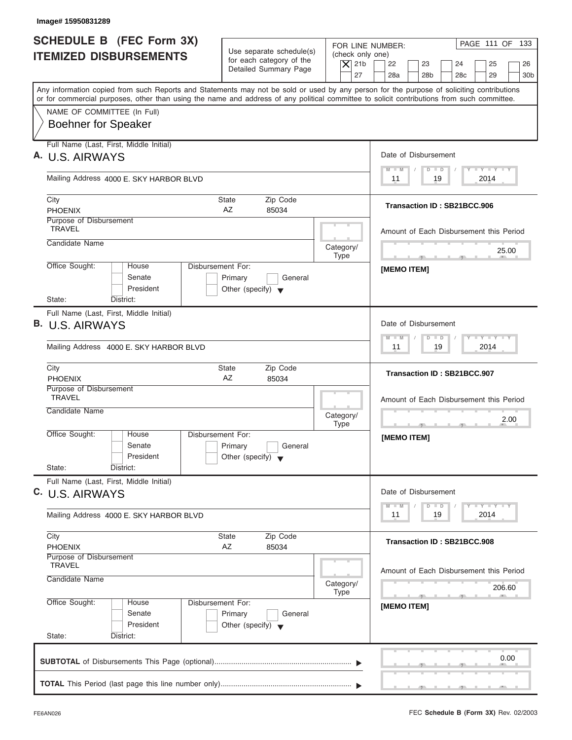| SCHEDULE B (FEC Form 3X)<br><b>ITEMIZED DISBURSEMENTS</b>                                                                                  | Use separate schedule(s)<br>for each category of the<br>Detailed Summary Page          | PAGE 111 OF 133<br>FOR LINE NUMBER:<br>(check only one)<br>$\vert$ $\chi$ 21b<br>22<br>23<br>24<br>25<br>26<br>27<br>28a<br>28 <sub>b</sub><br>28 <sub>c</sub><br>29<br>30 <sub>b</sub> |
|--------------------------------------------------------------------------------------------------------------------------------------------|----------------------------------------------------------------------------------------|-----------------------------------------------------------------------------------------------------------------------------------------------------------------------------------------|
| or for commercial purposes, other than using the name and address of any political committee to solicit contributions from such committee. |                                                                                        | Any information copied from such Reports and Statements may not be sold or used by any person for the purpose of soliciting contributions                                               |
| NAME OF COMMITTEE (In Full)<br><b>Boehner for Speaker</b>                                                                                  |                                                                                        |                                                                                                                                                                                         |
| Full Name (Last, First, Middle Initial)<br>A. U.S. AIRWAYS                                                                                 |                                                                                        | Date of Disbursement                                                                                                                                                                    |
| Mailing Address 4000 E. SKY HARBOR BLVD                                                                                                    |                                                                                        | $D$ $D$<br>$M - M$<br>2014<br>11<br>19                                                                                                                                                  |
| City<br><b>PHOENIX</b>                                                                                                                     | Zip Code<br>State<br>AZ<br>85034                                                       | Transaction ID: SB21BCC.906                                                                                                                                                             |
| Purpose of Disbursement<br><b>TRAVEL</b>                                                                                                   |                                                                                        | Amount of Each Disbursement this Period                                                                                                                                                 |
| Candidate Name                                                                                                                             | Category/<br><b>Type</b>                                                               | 25.00                                                                                                                                                                                   |
| Office Sought:<br>House<br>Senate<br>President<br>State:<br>District:                                                                      | <b>Disbursement For:</b><br>Primary<br>General<br>Other (specify) $\blacktriangledown$ | <b>IMEMO ITEMI</b>                                                                                                                                                                      |
| Full Name (Last, First, Middle Initial)<br>B. U.S. AIRWAYS<br>Mailing Address 4000 E. SKY HARBOR BLVD                                      |                                                                                        | Date of Disbursement<br>$-1 - Y - 1 - Y - 1 - Y$<br>$D$ $D$<br>$M - M$<br>2014<br>11<br>19                                                                                              |
| City<br><b>PHOENIX</b>                                                                                                                     | Zip Code<br><b>State</b><br>AZ<br>85034                                                | Transaction ID: SB21BCC.907                                                                                                                                                             |
| Purpose of Disbursement<br><b>TRAVEL</b><br>Candidate Name                                                                                 | Category/<br><b>Type</b>                                                               | Amount of Each Disbursement this Period<br>2.00<br>$-1$<br>$\sim$                                                                                                                       |
| Office Sought:<br>House<br>Senate<br>President<br>State:<br>District:                                                                      | Disbursement For:<br>Primary<br>General<br>Other (specify) $\blacktriangledown$        | [MEMO ITEM]                                                                                                                                                                             |
| Full Name (Last, First, Middle Initial)<br>C. U.S. AIRWAYS                                                                                 |                                                                                        | Date of Disbursement                                                                                                                                                                    |
| Mailing Address 4000 E. SKY HARBOR BLVD                                                                                                    |                                                                                        | $\mathbf{I}$ $\mathbf{Y}$ $\mathbf{I}$ $\mathbf{Y}$ $\mathbf{I}$ $\mathbf{Y}$<br>$M - M$<br>$\overline{D}$<br>$\Box$<br>2014<br>11<br>19                                                |
| City<br><b>PHOENIX</b>                                                                                                                     | Zip Code<br><b>State</b><br>AZ<br>85034                                                | Transaction ID: SB21BCC.908                                                                                                                                                             |
| Purpose of Disbursement<br><b>TRAVEL</b><br>Candidate Name                                                                                 | Category/<br><b>Type</b>                                                               | Amount of Each Disbursement this Period<br>206.60                                                                                                                                       |
|                                                                                                                                            | Disbursement For:                                                                      | $-7$                                                                                                                                                                                    |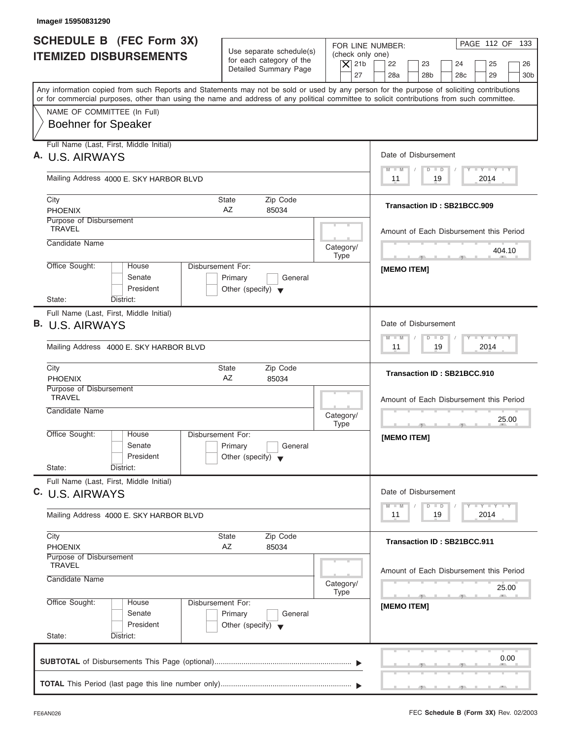| SCHEDULE B (FEC Form 3X)<br><b>ITEMIZED DISBURSEMENTS</b>                                             | Use separate schedule(s)<br>for each category of the<br>Detailed Summary Page          | PAGE 112 OF 133<br>FOR LINE NUMBER:<br>(check only one)<br>$\vert$ $\chi$ 21b<br>22<br>23<br>24<br>25<br>26<br>27<br>28a<br>28 <sub>b</sub><br>28 <sub>c</sub><br>29<br>30 <sub>b</sub>                                                                                                 |
|-------------------------------------------------------------------------------------------------------|----------------------------------------------------------------------------------------|-----------------------------------------------------------------------------------------------------------------------------------------------------------------------------------------------------------------------------------------------------------------------------------------|
|                                                                                                       |                                                                                        | Any information copied from such Reports and Statements may not be sold or used by any person for the purpose of soliciting contributions<br>or for commercial purposes, other than using the name and address of any political committee to solicit contributions from such committee. |
| NAME OF COMMITTEE (In Full)<br><b>Boehner for Speaker</b>                                             |                                                                                        |                                                                                                                                                                                                                                                                                         |
| Full Name (Last, First, Middle Initial)<br>A. U.S. AIRWAYS                                            |                                                                                        | Date of Disbursement                                                                                                                                                                                                                                                                    |
| Mailing Address 4000 E. SKY HARBOR BLVD                                                               |                                                                                        | $D$ $D$<br>$M - M$<br>2014<br>11<br>19                                                                                                                                                                                                                                                  |
| City<br><b>PHOENIX</b>                                                                                | Zip Code<br>State<br>AZ<br>85034                                                       | Transaction ID: SB21BCC.909                                                                                                                                                                                                                                                             |
| Purpose of Disbursement<br><b>TRAVEL</b>                                                              |                                                                                        | Amount of Each Disbursement this Period                                                                                                                                                                                                                                                 |
| Candidate Name                                                                                        | Category/<br><b>Type</b>                                                               | 404.10                                                                                                                                                                                                                                                                                  |
| Office Sought:<br>House<br>Senate<br>President<br>State:<br>District:                                 | <b>Disbursement For:</b><br>Primary<br>General<br>Other (specify) $\blacktriangledown$ | <b>IMEMO ITEMI</b>                                                                                                                                                                                                                                                                      |
| Full Name (Last, First, Middle Initial)<br>B. U.S. AIRWAYS<br>Mailing Address 4000 E. SKY HARBOR BLVD |                                                                                        | Date of Disbursement<br>$-1 - Y - 1 - Y - 1 - Y$<br>$D$ $D$<br>$M - M$<br>2014<br>11<br>19                                                                                                                                                                                              |
| City<br><b>PHOENIX</b>                                                                                | Zip Code<br><b>State</b><br>AZ<br>85034                                                | Transaction ID: SB21BCC.910                                                                                                                                                                                                                                                             |
| Purpose of Disbursement<br><b>TRAVEL</b><br>Candidate Name                                            | Category/<br><b>Type</b>                                                               | Amount of Each Disbursement this Period<br>25.00<br><u>.</u><br>$\sim$                                                                                                                                                                                                                  |
| Office Sought:<br>House<br>Senate<br>President<br>State:<br>District:                                 | Disbursement For:<br>Primary<br>General<br>Other (specify) $\blacktriangledown$        | [MEMO ITEM]                                                                                                                                                                                                                                                                             |
| Full Name (Last, First, Middle Initial)<br>C. U.S. AIRWAYS                                            |                                                                                        | Date of Disbursement<br>$\mathbf{I}$ $\mathbf{Y}$ $\mathbf{I}$ $\mathbf{Y}$ $\mathbf{I}$ $\mathbf{Y}$<br>$\overline{D}$<br>$\Box$                                                                                                                                                       |
| Mailing Address 4000 E. SKY HARBOR BLVD                                                               |                                                                                        | $M - M$<br>2014<br>11<br>19                                                                                                                                                                                                                                                             |
| City<br><b>PHOENIX</b>                                                                                | Zip Code<br><b>State</b><br>AZ<br>85034                                                | <b>Transaction ID: SB21BCC.911</b>                                                                                                                                                                                                                                                      |
| Purpose of Disbursement<br><b>TRAVEL</b><br>Candidate Name                                            | Category/<br><b>Type</b>                                                               | Amount of Each Disbursement this Period<br>25.00                                                                                                                                                                                                                                        |
|                                                                                                       | Disbursement For:                                                                      | $\sim$                                                                                                                                                                                                                                                                                  |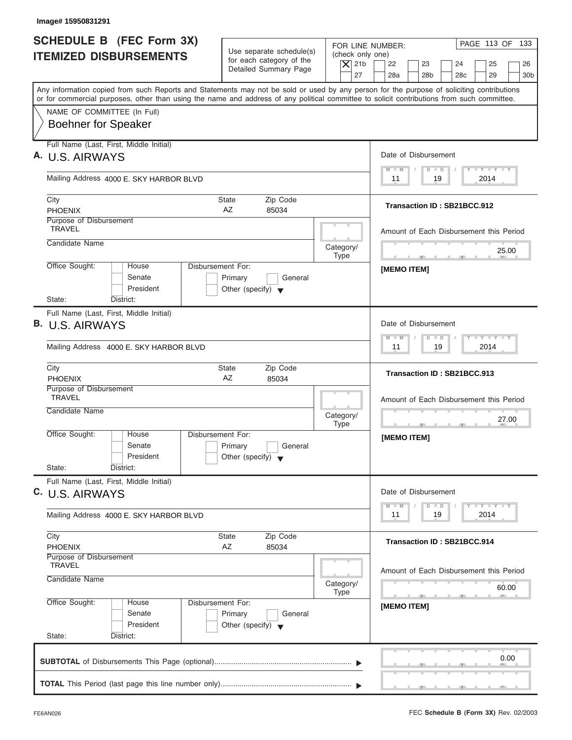| Image# 15950831291                                                                                                                                                                                                                                                                      |                                                                                        |                                                                  |                                                                                                                                              |
|-----------------------------------------------------------------------------------------------------------------------------------------------------------------------------------------------------------------------------------------------------------------------------------------|----------------------------------------------------------------------------------------|------------------------------------------------------------------|----------------------------------------------------------------------------------------------------------------------------------------------|
| <b>SCHEDULE B</b> (FEC Form 3X)<br><b>ITEMIZED DISBURSEMENTS</b>                                                                                                                                                                                                                        | Use separate schedule(s)<br>for each category of the<br>Detailed Summary Page          | FOR LINE NUMBER:<br>(check only one)<br>$\overline{X}$ 21b<br>27 | PAGE 113 OF 133<br>22<br>23<br>24<br>25<br>26<br>28a<br>28 <sub>b</sub><br>28 <sub>c</sub><br>29<br>30 <sub>b</sub>                          |
| Any information copied from such Reports and Statements may not be sold or used by any person for the purpose of soliciting contributions<br>or for commercial purposes, other than using the name and address of any political committee to solicit contributions from such committee. |                                                                                        |                                                                  |                                                                                                                                              |
| NAME OF COMMITTEE (In Full)<br><b>Boehner for Speaker</b>                                                                                                                                                                                                                               |                                                                                        |                                                                  |                                                                                                                                              |
| Full Name (Last, First, Middle Initial)<br>A. U.S. AIRWAYS                                                                                                                                                                                                                              |                                                                                        |                                                                  | Date of Disbursement                                                                                                                         |
| Mailing Address 4000 E. SKY HARBOR BLVD                                                                                                                                                                                                                                                 |                                                                                        |                                                                  | $T - Y = T - Y = T - Y$<br>$M - M$<br>$D$ $D$<br>2014<br>11<br>19                                                                            |
| City<br><b>PHOENIX</b>                                                                                                                                                                                                                                                                  | Zip Code<br>State<br>AZ<br>85034                                                       |                                                                  | Transaction ID: SB21BCC.912                                                                                                                  |
| Purpose of Disbursement<br><b>TRAVEL</b>                                                                                                                                                                                                                                                |                                                                                        |                                                                  | Amount of Each Disbursement this Period                                                                                                      |
| Candidate Name                                                                                                                                                                                                                                                                          |                                                                                        | Category/<br><b>Type</b>                                         | 25.00<br><b>Contract Contract Contract Contract</b>                                                                                          |
| Office Sought:<br>House<br>Senate<br>President                                                                                                                                                                                                                                          | <b>Disbursement For:</b><br>Primary<br>General<br>Other (specify) $\blacktriangledown$ |                                                                  | [MEMO ITEM]                                                                                                                                  |
| State:<br>District:<br>Full Name (Last, First, Middle Initial)                                                                                                                                                                                                                          |                                                                                        |                                                                  |                                                                                                                                              |
| B. U.S. AIRWAYS                                                                                                                                                                                                                                                                         |                                                                                        |                                                                  | Date of Disbursement                                                                                                                         |
| Mailing Address 4000 E. SKY HARBOR BLVD                                                                                                                                                                                                                                                 |                                                                                        |                                                                  | $-1 - Y - 1 - Y - 1 - Y$<br>$M - M$<br>$\Box$<br>$\Box$<br>19<br>2014<br>11                                                                  |
| City<br><b>PHOENIX</b>                                                                                                                                                                                                                                                                  | Zip Code<br>State<br>AZ<br>85034                                                       |                                                                  | Transaction ID: SB21BCC.913                                                                                                                  |
| Purpose of Disbursement<br><b>TRAVEL</b>                                                                                                                                                                                                                                                |                                                                                        |                                                                  | Amount of Each Disbursement this Period                                                                                                      |
| Candidate Name                                                                                                                                                                                                                                                                          |                                                                                        | Category/<br><b>Type</b>                                         | 27.00<br><u>.</u><br>$-7$                                                                                                                    |
| Office Sought:<br>House<br>Senate<br>President                                                                                                                                                                                                                                          | Disbursement For:<br>Primary<br>General<br>Other (specify) $\blacktriangledown$        |                                                                  | [MEMO ITEM]                                                                                                                                  |
| State:<br>District:<br>Full Name (Last, First, Middle Initial)                                                                                                                                                                                                                          |                                                                                        |                                                                  |                                                                                                                                              |
| C. U.S. AIRWAYS                                                                                                                                                                                                                                                                         |                                                                                        |                                                                  | Date of Disbursement<br>$\mathbf{I}$ $\mathbf{Y}$ $\mathbf{I}$ $\mathbf{Y}$ $\mathbf{I}$ $\mathbf{Y}$<br>$M - M$<br>$\overline{D}$<br>$\Box$ |
| Mailing Address 4000 E. SKY HARBOR BLVD                                                                                                                                                                                                                                                 |                                                                                        |                                                                  | 2014<br>11<br>19                                                                                                                             |
| City<br><b>PHOENIX</b>                                                                                                                                                                                                                                                                  | Zip Code<br>State<br>AZ<br>85034                                                       |                                                                  | Transaction ID: SB21BCC.914                                                                                                                  |
| Purpose of Disbursement<br><b>TRAVEL</b><br>Candidate Name                                                                                                                                                                                                                              |                                                                                        | Category/<br><b>Type</b>                                         | Amount of Each Disbursement this Period<br>60.00                                                                                             |
| Office Sought:<br>House<br>Senate<br>President<br>State:<br>District:                                                                                                                                                                                                                   | Disbursement For:<br>Primary<br>General<br>Other (specify) $\blacktriangledown$        |                                                                  | $-1$<br>[MEMO ITEM]                                                                                                                          |
|                                                                                                                                                                                                                                                                                         |                                                                                        |                                                                  | 0.00                                                                                                                                         |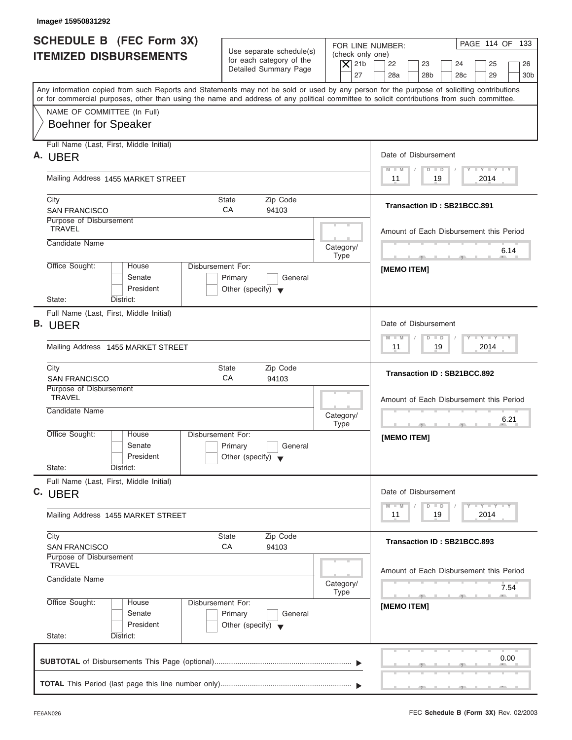| <b>SCHEDULE B (FEC Form 3X)</b><br><b>ITEMIZED DISBURSEMENTS</b><br>Any information copied from such Reports and Statements may not be sold or used by any person for the purpose of soliciting contributions<br>or for commercial purposes, other than using the name and address of any political committee to solicit contributions from such committee.<br>NAME OF COMMITTEE (In Full)<br><b>Boehner for Speaker</b> | Use separate schedule(s)<br>for each category of the<br>Detailed Summary Page   | (check only one)<br>$\vert$ $\chi$ 21b<br>27 | PAGE 114 OF 133<br>FOR LINE NUMBER:<br>22<br>23<br>24<br>25<br>26<br>28a<br>28 <sub>b</sub><br>28 <sub>c</sub><br>29<br>30 <sub>b</sub> |
|--------------------------------------------------------------------------------------------------------------------------------------------------------------------------------------------------------------------------------------------------------------------------------------------------------------------------------------------------------------------------------------------------------------------------|---------------------------------------------------------------------------------|----------------------------------------------|-----------------------------------------------------------------------------------------------------------------------------------------|
|                                                                                                                                                                                                                                                                                                                                                                                                                          |                                                                                 |                                              |                                                                                                                                         |
|                                                                                                                                                                                                                                                                                                                                                                                                                          |                                                                                 |                                              |                                                                                                                                         |
|                                                                                                                                                                                                                                                                                                                                                                                                                          |                                                                                 |                                              |                                                                                                                                         |
| Full Name (Last, First, Middle Initial)<br>A. UBER                                                                                                                                                                                                                                                                                                                                                                       |                                                                                 |                                              | Date of Disbursement                                                                                                                    |
| Mailing Address 1455 MARKET STREET                                                                                                                                                                                                                                                                                                                                                                                       |                                                                                 |                                              | $T - Y = T - Y = T - Y$<br>$D$ $D$<br>$M$ $M$<br>19<br>2014<br>11                                                                       |
| City<br><b>SAN FRANCISCO</b>                                                                                                                                                                                                                                                                                                                                                                                             | Zip Code<br><b>State</b><br>CA<br>94103                                         |                                              | Transaction ID: SB21BCC.891                                                                                                             |
| Purpose of Disbursement<br><b>TRAVEL</b>                                                                                                                                                                                                                                                                                                                                                                                 |                                                                                 |                                              | Amount of Each Disbursement this Period                                                                                                 |
| Candidate Name                                                                                                                                                                                                                                                                                                                                                                                                           |                                                                                 | Category/<br><b>Type</b>                     | 6.14<br>the control of the control of the con-                                                                                          |
| Office Sought:<br>House<br>Senate<br>President                                                                                                                                                                                                                                                                                                                                                                           | Disbursement For:<br>Primary<br>General<br>Other (specify) $\blacktriangledown$ |                                              | <b>IMEMO ITEMI</b>                                                                                                                      |
| State:<br>District:                                                                                                                                                                                                                                                                                                                                                                                                      |                                                                                 |                                              |                                                                                                                                         |
| Full Name (Last, First, Middle Initial)<br><b>B.</b> UBER                                                                                                                                                                                                                                                                                                                                                                |                                                                                 |                                              | Date of Disbursement                                                                                                                    |
| Mailing Address 1455 MARKET STREET                                                                                                                                                                                                                                                                                                                                                                                       |                                                                                 |                                              | $M - M$<br>$\Box$<br>$\Box$<br>19<br>2014<br>11                                                                                         |
| City<br><b>SAN FRANCISCO</b>                                                                                                                                                                                                                                                                                                                                                                                             | Zip Code<br>State<br>CA<br>94103                                                |                                              | Transaction ID: SB21BCC.892                                                                                                             |
| Purpose of Disbursement<br><b>TRAVEL</b>                                                                                                                                                                                                                                                                                                                                                                                 |                                                                                 |                                              | Amount of Each Disbursement this Period                                                                                                 |
| Candidate Name                                                                                                                                                                                                                                                                                                                                                                                                           |                                                                                 | Category/<br><b>Type</b>                     | 6.21<br>$\cdots$<br>$7^{\circ}$                                                                                                         |
| Office Sought:<br>House<br>Senate<br>President                                                                                                                                                                                                                                                                                                                                                                           | Disbursement For:<br>Primary<br>General<br>Other (specify) $\blacktriangledown$ |                                              | [MEMO ITEM]                                                                                                                             |
| State:<br>District:                                                                                                                                                                                                                                                                                                                                                                                                      |                                                                                 |                                              |                                                                                                                                         |
| Full Name (Last, First, Middle Initial)<br>C. UBER                                                                                                                                                                                                                                                                                                                                                                       |                                                                                 |                                              | Date of Disbursement<br><b>LY LY LY</b>                                                                                                 |
| Mailing Address 1455 MARKET STREET                                                                                                                                                                                                                                                                                                                                                                                       |                                                                                 |                                              | $M - M$<br>$\overline{D}$<br>$\Box$<br>2014<br>11<br>19                                                                                 |
| City<br><b>SAN FRANCISCO</b>                                                                                                                                                                                                                                                                                                                                                                                             | Zip Code<br><b>State</b><br>CA<br>94103                                         |                                              | Transaction ID: SB21BCC.893                                                                                                             |
| Purpose of Disbursement<br><b>TRAVEL</b><br>Candidate Name                                                                                                                                                                                                                                                                                                                                                               |                                                                                 | Category/<br><b>Type</b>                     | Amount of Each Disbursement this Period<br>7.54                                                                                         |
| Office Sought:<br>House<br>Senate<br>President<br>State:<br>District:                                                                                                                                                                                                                                                                                                                                                    | Disbursement For:<br>Primary<br>General<br>Other (specify) $\blacktriangledown$ |                                              | [MEMO ITEM]                                                                                                                             |
|                                                                                                                                                                                                                                                                                                                                                                                                                          |                                                                                 |                                              | 0.00                                                                                                                                    |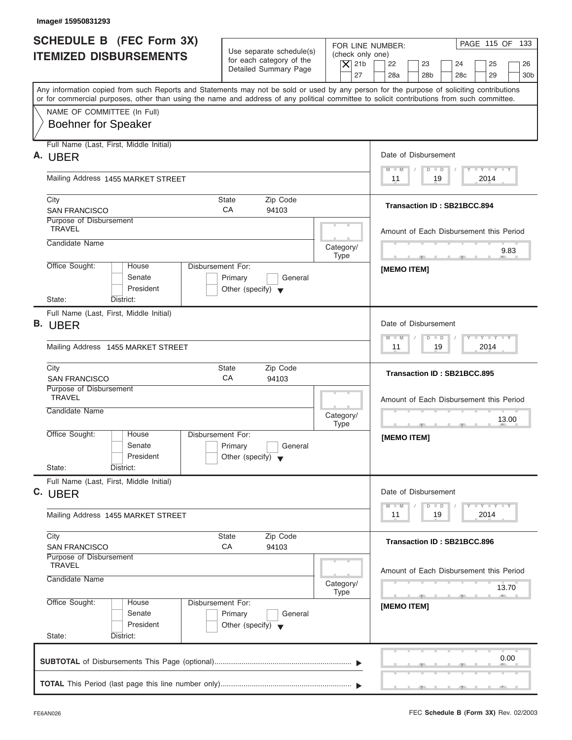| <b>SCHEDULE B (FEC Form 3X)</b><br><b>ITEMIZED DISBURSEMENTS</b>                                                                                                                                                                                                                        | Use separate schedule(s)<br>for each category of the<br>$\vert$ $\chi$ 21b<br>Detailed Summary Page<br>27 | PAGE 115 OF 133<br>FOR LINE NUMBER:<br>(check only one)<br>22<br>23<br>24<br>25<br>26<br>28a<br>28 <sub>b</sub><br>28 <sub>c</sub><br>29<br>30 <sub>b</sub> |
|-----------------------------------------------------------------------------------------------------------------------------------------------------------------------------------------------------------------------------------------------------------------------------------------|-----------------------------------------------------------------------------------------------------------|-------------------------------------------------------------------------------------------------------------------------------------------------------------|
| Any information copied from such Reports and Statements may not be sold or used by any person for the purpose of soliciting contributions<br>or for commercial purposes, other than using the name and address of any political committee to solicit contributions from such committee. |                                                                                                           |                                                                                                                                                             |
| NAME OF COMMITTEE (In Full)<br><b>Boehner for Speaker</b>                                                                                                                                                                                                                               |                                                                                                           |                                                                                                                                                             |
| Full Name (Last, First, Middle Initial)<br>A. UBER                                                                                                                                                                                                                                      |                                                                                                           | Date of Disbursement                                                                                                                                        |
| Mailing Address 1455 MARKET STREET                                                                                                                                                                                                                                                      |                                                                                                           | $T - Y = T - Y = T - Y$<br>$D$ $D$<br>$M$ $M$<br>19<br>2014<br>11                                                                                           |
| City<br><b>SAN FRANCISCO</b>                                                                                                                                                                                                                                                            | Zip Code<br><b>State</b><br>CA<br>94103                                                                   | Transaction ID: SB21BCC.894                                                                                                                                 |
| Purpose of Disbursement<br><b>TRAVEL</b>                                                                                                                                                                                                                                                |                                                                                                           | Amount of Each Disbursement this Period                                                                                                                     |
| Candidate Name                                                                                                                                                                                                                                                                          | Category/<br><b>Type</b>                                                                                  | 9.83                                                                                                                                                        |
| Office Sought:<br>House<br>Senate<br>President                                                                                                                                                                                                                                          | Disbursement For:<br>Primary<br>General<br>Other (specify) $\blacktriangledown$                           | <b>IMEMO ITEMI</b>                                                                                                                                          |
| State:<br>District:                                                                                                                                                                                                                                                                     |                                                                                                           |                                                                                                                                                             |
| Full Name (Last, First, Middle Initial)<br><b>B.</b> UBER                                                                                                                                                                                                                               |                                                                                                           | Date of Disbursement                                                                                                                                        |
| Mailing Address 1455 MARKET STREET                                                                                                                                                                                                                                                      |                                                                                                           | $-1 - Y - 1 - Y - 1 - Y$<br>$M - M$<br>$\Box$<br>$\Box$<br>19<br>2014<br>11                                                                                 |
| City<br><b>SAN FRANCISCO</b>                                                                                                                                                                                                                                                            | Zip Code<br>State<br>CA<br>94103                                                                          | Transaction ID: SB21BCC.895                                                                                                                                 |
| Purpose of Disbursement<br><b>TRAVEL</b>                                                                                                                                                                                                                                                |                                                                                                           | Amount of Each Disbursement this Period                                                                                                                     |
| Candidate Name                                                                                                                                                                                                                                                                          | Category/<br><b>Type</b>                                                                                  | 13.00<br>$-2$<br>$\overline{2}$                                                                                                                             |
| Office Sought:<br>House<br>Senate<br>President                                                                                                                                                                                                                                          | Disbursement For:<br>Primary<br>General<br>Other (specify) $\blacktriangledown$                           | [MEMO ITEM]                                                                                                                                                 |
| State:<br>District:                                                                                                                                                                                                                                                                     |                                                                                                           |                                                                                                                                                             |
| Full Name (Last, First, Middle Initial)<br>C. UBER                                                                                                                                                                                                                                      |                                                                                                           | Date of Disbursement<br>$\mathbf{I}$ $\mathbf{Y}$ $\mathbf{I}$ $\mathbf{Y}$ $\mathbf{I}$ $\mathbf{Y}$<br>$M - M$<br>$\overline{D}$<br>$\Box$                |
| Mailing Address 1455 MARKET STREET                                                                                                                                                                                                                                                      |                                                                                                           | 2014<br>11<br>19                                                                                                                                            |
| City<br><b>SAN FRANCISCO</b>                                                                                                                                                                                                                                                            | Zip Code<br><b>State</b><br>CA<br>94103                                                                   | Transaction ID: SB21BCC.896                                                                                                                                 |
| Purpose of Disbursement<br><b>TRAVEL</b><br>Candidate Name                                                                                                                                                                                                                              | Category/<br><b>Type</b>                                                                                  | Amount of Each Disbursement this Period<br>13.70                                                                                                            |
| Office Sought:<br>House<br>Senate<br>President<br>State:<br>District:                                                                                                                                                                                                                   | Disbursement For:<br>Primary<br>General<br>Other (specify) $\blacktriangledown$                           | $\overline{\phantom{a}}$<br>[MEMO ITEM]                                                                                                                     |
|                                                                                                                                                                                                                                                                                         |                                                                                                           |                                                                                                                                                             |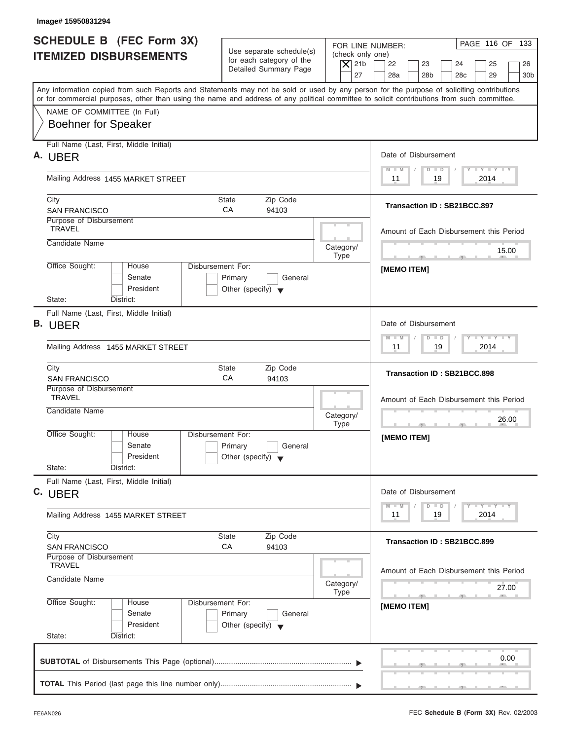| Image# 15950831294                                                                                                                                                                                                                                                                      |                                                                                 |                                                                  |                                                                                                                                              |
|-----------------------------------------------------------------------------------------------------------------------------------------------------------------------------------------------------------------------------------------------------------------------------------------|---------------------------------------------------------------------------------|------------------------------------------------------------------|----------------------------------------------------------------------------------------------------------------------------------------------|
| <b>SCHEDULE B (FEC Form 3X)</b><br><b>ITEMIZED DISBURSEMENTS</b>                                                                                                                                                                                                                        | Use separate schedule(s)<br>for each category of the<br>Detailed Summary Page   | FOR LINE NUMBER:<br>(check only one)<br>$\vert$ $\chi$ 21b<br>27 | PAGE 116 OF 133<br>22<br>23<br>24<br>25<br>26<br>28a<br>28 <sub>b</sub><br>28 <sub>c</sub><br>29<br>30 <sub>b</sub>                          |
| Any information copied from such Reports and Statements may not be sold or used by any person for the purpose of soliciting contributions<br>or for commercial purposes, other than using the name and address of any political committee to solicit contributions from such committee. |                                                                                 |                                                                  |                                                                                                                                              |
| NAME OF COMMITTEE (In Full)<br><b>Boehner for Speaker</b>                                                                                                                                                                                                                               |                                                                                 |                                                                  |                                                                                                                                              |
| Full Name (Last, First, Middle Initial)<br>А.<br><b>UBER</b>                                                                                                                                                                                                                            |                                                                                 |                                                                  | Date of Disbursement                                                                                                                         |
| Mailing Address 1455 MARKET STREET                                                                                                                                                                                                                                                      |                                                                                 |                                                                  | $T - Y = T - Y = T - Y$<br>$D$ $D$<br>$M$ $M$<br>19<br>2014<br>11                                                                            |
| City<br><b>SAN FRANCISCO</b>                                                                                                                                                                                                                                                            | Zip Code<br><b>State</b><br>CA<br>94103                                         |                                                                  | Transaction ID: SB21BCC.897                                                                                                                  |
| Purpose of Disbursement<br><b>TRAVEL</b>                                                                                                                                                                                                                                                |                                                                                 |                                                                  | Amount of Each Disbursement this Period                                                                                                      |
| Candidate Name                                                                                                                                                                                                                                                                          |                                                                                 | Category/<br><b>Type</b>                                         | 15.00<br><b>Contract Contract Contract Contract</b>                                                                                          |
| Office Sought:<br>House<br>Senate<br>President                                                                                                                                                                                                                                          | Disbursement For:<br>Primary<br>General<br>Other (specify) $\blacktriangledown$ |                                                                  | <b>IMEMO ITEMI</b>                                                                                                                           |
| State:<br>District:                                                                                                                                                                                                                                                                     |                                                                                 |                                                                  |                                                                                                                                              |
| Full Name (Last, First, Middle Initial)<br><b>B.</b> UBER                                                                                                                                                                                                                               |                                                                                 |                                                                  | Date of Disbursement                                                                                                                         |
| Mailing Address 1455 MARKET STREET                                                                                                                                                                                                                                                      |                                                                                 |                                                                  | $-1 - Y - 1 - Y - 1 - Y$<br>$M - M$<br>$\Box$<br>$\Box$<br>19<br>2014<br>11                                                                  |
| City<br><b>SAN FRANCISCO</b>                                                                                                                                                                                                                                                            | Zip Code<br>State<br>CA<br>94103                                                |                                                                  | Transaction ID: SB21BCC.898                                                                                                                  |
| Purpose of Disbursement<br><b>TRAVEL</b>                                                                                                                                                                                                                                                |                                                                                 |                                                                  | Amount of Each Disbursement this Period                                                                                                      |
| Candidate Name                                                                                                                                                                                                                                                                          |                                                                                 | Category/<br><b>Type</b>                                         | 26.00<br>$\overline{\phantom{a}}$<br>$\overline{2}$                                                                                          |
| Office Sought:<br>House<br>Senate<br>President                                                                                                                                                                                                                                          | Disbursement For:<br>Primary<br>General<br>Other (specify) $\blacktriangledown$ |                                                                  | [MEMO ITEM]                                                                                                                                  |
| State:<br>District:<br>Full Name (Last, First, Middle Initial)                                                                                                                                                                                                                          |                                                                                 |                                                                  |                                                                                                                                              |
| C. UBER                                                                                                                                                                                                                                                                                 |                                                                                 |                                                                  | Date of Disbursement<br>$\mathbf{I}$ $\mathbf{Y}$ $\mathbf{I}$ $\mathbf{Y}$ $\mathbf{I}$ $\mathbf{Y}$<br>$M - M$<br>$\overline{D}$<br>$\Box$ |
| Mailing Address 1455 MARKET STREET                                                                                                                                                                                                                                                      |                                                                                 |                                                                  | 2014<br>11<br>19                                                                                                                             |
| City<br><b>SAN FRANCISCO</b>                                                                                                                                                                                                                                                            | Zip Code<br>State<br>CA<br>94103                                                |                                                                  | Transaction ID: SB21BCC.899                                                                                                                  |
| Purpose of Disbursement<br><b>TRAVEL</b><br>Candidate Name                                                                                                                                                                                                                              |                                                                                 | Category/<br><b>Type</b>                                         | Amount of Each Disbursement this Period<br>27.00                                                                                             |
| Office Sought:<br>House<br>Senate<br>President<br>State:<br>District:                                                                                                                                                                                                                   | Disbursement For:<br>Primary<br>General<br>Other (specify) $\blacktriangledown$ |                                                                  | $\sim$<br>[MEMO ITEM]                                                                                                                        |
|                                                                                                                                                                                                                                                                                         |                                                                                 |                                                                  | 0.00                                                                                                                                         |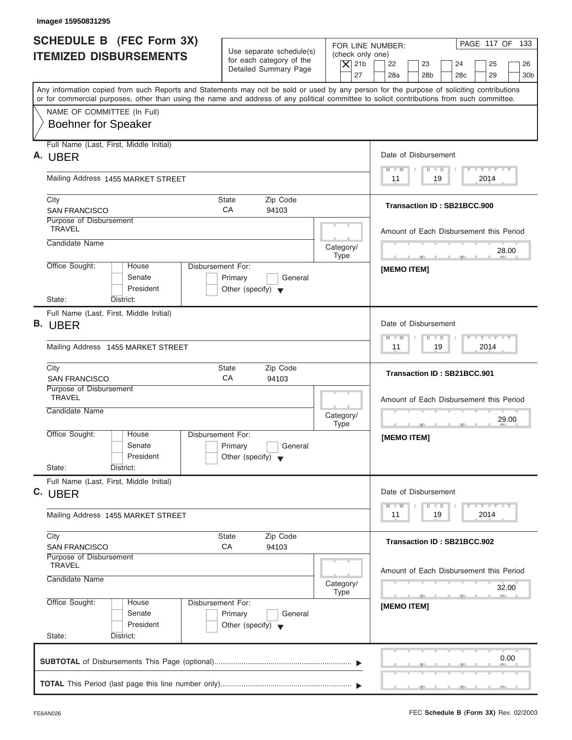| <b>SCHEDULE B (FEC Form 3X)</b><br><b>ITEMIZED DISBURSEMENTS</b>                                                                                                                                                                                                                        | Use separate schedule(s)<br>for each category of the<br>Detailed Summary Page   | FOR LINE NUMBER:<br>(check only one)<br>$\overline{X}$ 21b<br>22<br>23<br>24<br>27<br>28a<br>28 <sub>b</sub><br>28 <sub>c</sub> | PAGE 117 OF 133<br>25<br>26<br>29<br>30 <sub>b</sub> |
|-----------------------------------------------------------------------------------------------------------------------------------------------------------------------------------------------------------------------------------------------------------------------------------------|---------------------------------------------------------------------------------|---------------------------------------------------------------------------------------------------------------------------------|------------------------------------------------------|
| Any information copied from such Reports and Statements may not be sold or used by any person for the purpose of soliciting contributions<br>or for commercial purposes, other than using the name and address of any political committee to solicit contributions from such committee. |                                                                                 |                                                                                                                                 |                                                      |
| NAME OF COMMITTEE (In Full)<br><b>Boehner for Speaker</b>                                                                                                                                                                                                                               |                                                                                 |                                                                                                                                 |                                                      |
| Full Name (Last, First, Middle Initial)<br>A. UBER                                                                                                                                                                                                                                      |                                                                                 | Date of Disbursement                                                                                                            |                                                      |
| Mailing Address 1455 MARKET STREET                                                                                                                                                                                                                                                      |                                                                                 | $D$ $D$<br>$M - M$<br>19<br>11                                                                                                  | $T - Y = T - Y = T - Y$<br>2014                      |
| City<br><b>SAN FRANCISCO</b>                                                                                                                                                                                                                                                            | Zip Code<br>State<br>CA<br>94103                                                | Transaction ID: SB21BCC.900                                                                                                     |                                                      |
| Purpose of Disbursement<br><b>TRAVEL</b>                                                                                                                                                                                                                                                |                                                                                 | Amount of Each Disbursement this Period                                                                                         |                                                      |
| Candidate Name                                                                                                                                                                                                                                                                          |                                                                                 | Category/<br><b>Type</b><br><b>The Contract Contract Contract</b>                                                               | 28.00                                                |
| Office Sought:<br>House<br>Senate<br>President                                                                                                                                                                                                                                          | Disbursement For:<br>Primary<br>General<br>Other (specify) $\blacktriangledown$ | <b>IMEMO ITEMI</b>                                                                                                              |                                                      |
| State:<br>District:<br>Full Name (Last, First, Middle Initial)<br>B. UBER<br>Mailing Address 1455 MARKET STREET                                                                                                                                                                         |                                                                                 | Date of Disbursement<br>$M - M$<br>$D$ $D$<br>19<br>11                                                                          | $-1 - Y - 1 - Y - 1 - Y$<br>2014                     |
| City<br><b>SAN FRANCISCO</b>                                                                                                                                                                                                                                                            | Zip Code<br><b>State</b><br>CA<br>94103                                         | Transaction ID: SB21BCC.901                                                                                                     |                                                      |
| Purpose of Disbursement<br><b>TRAVEL</b><br>Candidate Name                                                                                                                                                                                                                              |                                                                                 | Amount of Each Disbursement this Period<br>Category/<br><b>Type</b><br>$-2$                                                     | 29.00                                                |
| Office Sought:<br>House<br>Senate<br>President<br>State:<br>District:                                                                                                                                                                                                                   | Disbursement For:<br>Primary<br>General<br>Other (specify) $\blacktriangledown$ | [MEMO ITEM]                                                                                                                     |                                                      |
| Full Name (Last, First, Middle Initial)<br>C. UBER                                                                                                                                                                                                                                      |                                                                                 | Date of Disbursement                                                                                                            | $Y - Y - Y$                                          |
| Mailing Address 1455 MARKET STREET                                                                                                                                                                                                                                                      |                                                                                 | $M - M$<br>$\overline{D}$<br>$\Box$<br>11<br>19                                                                                 | 2014                                                 |
| City<br><b>SAN FRANCISCO</b>                                                                                                                                                                                                                                                            | Zip Code<br><b>State</b><br>СA<br>94103                                         | Transaction ID: SB21BCC.902                                                                                                     |                                                      |
| Purpose of Disbursement<br><b>TRAVEL</b><br>Candidate Name                                                                                                                                                                                                                              |                                                                                 | Amount of Each Disbursement this Period<br>Category/<br>Type                                                                    | 32.00                                                |
| Office Sought:<br>House<br>Senate<br>President                                                                                                                                                                                                                                          | Disbursement For:<br>Primary<br>General<br>Other (specify) $\blacktriangledown$ | $\sim$<br>[MEMO ITEM]                                                                                                           |                                                      |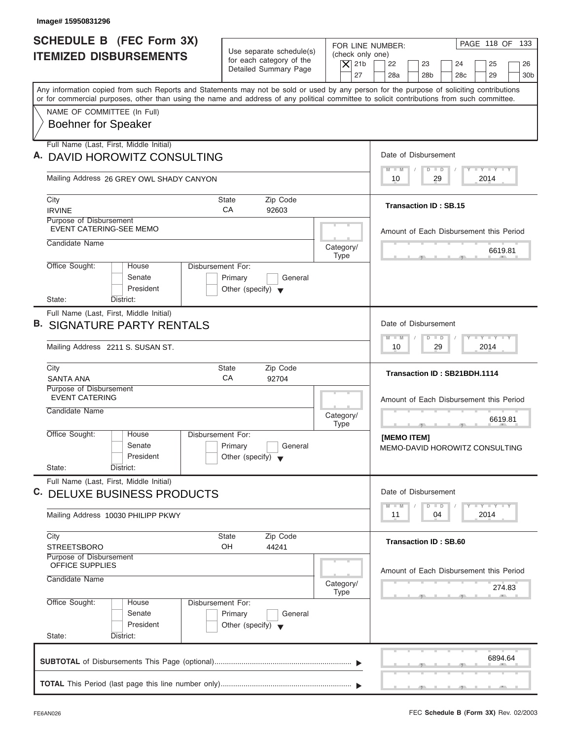| Image# 15950831296                                                                                                                                                                                                                                                                      |                                                            |                                              |                                                                                                  |
|-----------------------------------------------------------------------------------------------------------------------------------------------------------------------------------------------------------------------------------------------------------------------------------------|------------------------------------------------------------|----------------------------------------------|--------------------------------------------------------------------------------------------------|
| <b>SCHEDULE B (FEC Form 3X)</b>                                                                                                                                                                                                                                                         | Use separate schedule(s)                                   |                                              | PAGE 118 OF 133<br>FOR LINE NUMBER:                                                              |
| <b>ITEMIZED DISBURSEMENTS</b>                                                                                                                                                                                                                                                           | for each category of the<br>Detailed Summary Page          | (check only one)<br>$\vert$ $\chi$ 21b<br>27 | 22<br>23<br>24<br>25<br>26<br>28a<br>28 <sub>b</sub><br>28 <sub>c</sub><br>29<br>30 <sub>b</sub> |
| Any information copied from such Reports and Statements may not be sold or used by any person for the purpose of soliciting contributions<br>or for commercial purposes, other than using the name and address of any political committee to solicit contributions from such committee. |                                                            |                                              |                                                                                                  |
| NAME OF COMMITTEE (In Full)                                                                                                                                                                                                                                                             |                                                            |                                              |                                                                                                  |
| <b>Boehner for Speaker</b>                                                                                                                                                                                                                                                              |                                                            |                                              |                                                                                                  |
| Full Name (Last, First, Middle Initial)<br>A. DAVID HOROWITZ CONSULTING                                                                                                                                                                                                                 |                                                            |                                              | Date of Disbursement                                                                             |
| Mailing Address 26 GREY OWL SHADY CANYON                                                                                                                                                                                                                                                |                                                            |                                              | $T - Y = T - Y = T - Y$<br>$M - M$<br>$D$ $D$<br>29<br>2014<br>10                                |
| City                                                                                                                                                                                                                                                                                    | <b>State</b><br>Zip Code                                   |                                              |                                                                                                  |
| <b>IRVINE</b>                                                                                                                                                                                                                                                                           | CA<br>92603                                                |                                              | <b>Transaction ID: SB.15</b>                                                                     |
| Purpose of Disbursement<br><b>EVENT CATERING-SEE MEMO</b>                                                                                                                                                                                                                               |                                                            |                                              | Amount of Each Disbursement this Period                                                          |
| Candidate Name                                                                                                                                                                                                                                                                          |                                                            | Category/<br><b>Type</b>                     | 6619.81                                                                                          |
| Office Sought:<br>Disbursement For:<br>House<br>Senate<br>President                                                                                                                                                                                                                     | Primary<br>General<br>Other (specify) $\blacktriangledown$ |                                              |                                                                                                  |
| State:<br>District:                                                                                                                                                                                                                                                                     |                                                            |                                              |                                                                                                  |
| Full Name (Last, First, Middle Initial)<br><b>B. SIGNATURE PARTY RENTALS</b><br>Mailing Address 2211 S. SUSAN ST.                                                                                                                                                                       |                                                            |                                              | Date of Disbursement<br>$-1 - Y - 1 - Y - 1 - Y$<br>$M - M$<br>$D$ $D$<br>29<br>2014<br>10       |
| City                                                                                                                                                                                                                                                                                    | <b>State</b><br>Zip Code                                   |                                              |                                                                                                  |
| <b>SANTA ANA</b>                                                                                                                                                                                                                                                                        | CA<br>92704                                                |                                              | Transaction ID: SB21BDH.1114                                                                     |
| Purpose of Disbursement<br><b>EVENT CATERING</b>                                                                                                                                                                                                                                        |                                                            |                                              | Amount of Each Disbursement this Period                                                          |
| Candidate Name                                                                                                                                                                                                                                                                          |                                                            | Category/<br><b>Type</b>                     | 6619.81                                                                                          |
| Office Sought:<br>House<br>Disbursement For:<br>Senate<br>President                                                                                                                                                                                                                     | Primary<br>General<br>Other (specify) $\blacktriangledown$ |                                              | $-7$<br>[MEMO ITEM]<br>MEMO-DAVID HOROWITZ CONSULTING                                            |
| State:<br>District:                                                                                                                                                                                                                                                                     |                                                            |                                              |                                                                                                  |
| Full Name (Last, First, Middle Initial)<br>C. DELUXE BUSINESS PRODUCTS                                                                                                                                                                                                                  |                                                            |                                              | Date of Disbursement                                                                             |
| Mailing Address 10030 PHILIPP PKWY                                                                                                                                                                                                                                                      |                                                            |                                              | $T$ $T$ $T$ $T$ $T$ $T$ $T$ $T$ $T$<br>$M - M$<br>$D$ $D$<br>2014<br>11<br>04                    |
| City<br><b>STREETSBORO</b>                                                                                                                                                                                                                                                              | Zip Code<br><b>State</b><br>OH<br>44241                    |                                              | <b>Transaction ID: SB.60</b>                                                                     |
| Purpose of Disbursement<br>OFFICE SUPPLIES                                                                                                                                                                                                                                              |                                                            |                                              |                                                                                                  |
| Candidate Name                                                                                                                                                                                                                                                                          |                                                            | Category/                                    | Amount of Each Disbursement this Period<br>274.83                                                |
| Office Sought:<br>Disbursement For:<br>House                                                                                                                                                                                                                                            |                                                            | <b>Type</b>                                  |                                                                                                  |
| Senate                                                                                                                                                                                                                                                                                  | Primary<br>General                                         |                                              |                                                                                                  |
| President<br>State:<br>District:                                                                                                                                                                                                                                                        | Other (specify) $\blacktriangledown$                       |                                              |                                                                                                  |
|                                                                                                                                                                                                                                                                                         |                                                            |                                              | 6894.64                                                                                          |

ı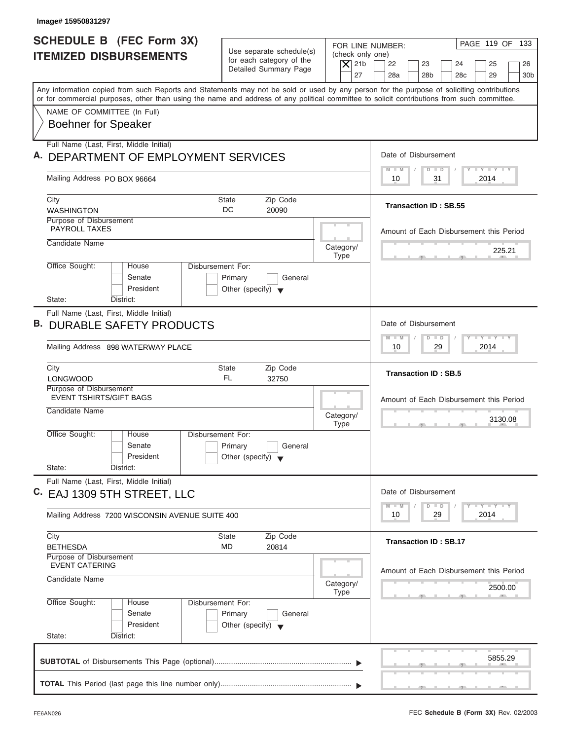| Image# 15950831297                                                                                                                         |                                                                                 |                                                            |                                                                                |
|--------------------------------------------------------------------------------------------------------------------------------------------|---------------------------------------------------------------------------------|------------------------------------------------------------|--------------------------------------------------------------------------------|
| <b>SCHEDULE B (FEC Form 3X)</b><br><b>ITEMIZED DISBURSEMENTS</b>                                                                           | Use separate schedule(s)<br>for each category of the                            | FOR LINE NUMBER:<br>(check only one)<br>$\vert$ $\chi$ 21b | PAGE 119 OF 133<br>22<br>23<br>24<br>25<br>26                                  |
| Any information copied from such Reports and Statements may not be sold or used by any person for the purpose of soliciting contributions  | Detailed Summary Page                                                           | 27                                                         | 28a<br>28 <sub>b</sub><br>28 <sub>c</sub><br>29<br>30 <sub>b</sub>             |
| or for commercial purposes, other than using the name and address of any political committee to solicit contributions from such committee. |                                                                                 |                                                            |                                                                                |
| NAME OF COMMITTEE (In Full)<br><b>Boehner for Speaker</b>                                                                                  |                                                                                 |                                                            |                                                                                |
| Full Name (Last, First, Middle Initial)                                                                                                    |                                                                                 |                                                            |                                                                                |
| A. DEPARTMENT OF EMPLOYMENT SERVICES                                                                                                       |                                                                                 |                                                            | Date of Disbursement                                                           |
| Mailing Address PO BOX 96664                                                                                                               |                                                                                 |                                                            | $T - Y = T - Y = T - Y$<br>$\blacksquare$<br>$D$ $D$<br>31<br>2014<br>10       |
| City                                                                                                                                       | Zip Code<br><b>State</b>                                                        |                                                            |                                                                                |
| <b>WASHINGTON</b>                                                                                                                          | DC<br>20090                                                                     |                                                            | <b>Transaction ID: SB.55</b>                                                   |
| Purpose of Disbursement<br><b>PAYROLL TAXES</b>                                                                                            |                                                                                 |                                                            | Amount of Each Disbursement this Period                                        |
| Candidate Name                                                                                                                             |                                                                                 | Category/                                                  | 225.21                                                                         |
|                                                                                                                                            | <b>Disbursement For:</b>                                                        | <b>Type</b>                                                |                                                                                |
| Office Sought:<br>House<br>Senate<br>President                                                                                             | Primary<br>General<br>Other (specify) $\blacktriangledown$                      |                                                            |                                                                                |
| State:<br>District:                                                                                                                        |                                                                                 |                                                            |                                                                                |
| Full Name (Last, First, Middle Initial)<br><b>DURABLE SAFETY PRODUCTS</b><br>В.                                                            |                                                                                 |                                                            | Date of Disbursement                                                           |
| Mailing Address 898 WATERWAY PLACE                                                                                                         |                                                                                 |                                                            | $-1 - Y - 1 - Y - 1 - Y$<br>M<br>W<br>$D$ $D$<br>2014<br>10<br>29              |
| City<br><b>LONGWOOD</b>                                                                                                                    | Zip Code<br>State<br>FL.<br>32750                                               |                                                            | <b>Transaction ID: SB.5</b>                                                    |
| Purpose of Disbursement<br><b>EVENT TSHIRTS/GIFT BAGS</b>                                                                                  |                                                                                 |                                                            | Amount of Each Disbursement this Period                                        |
| Candidate Name                                                                                                                             |                                                                                 | Category/<br><b>Type</b>                                   | 3130.08<br>$-7$                                                                |
| Office Sought:<br>House<br>Senate<br>President                                                                                             | Disbursement For:<br>Primary<br>General<br>Other (specify) $\blacktriangledown$ |                                                            |                                                                                |
| State:<br>District:                                                                                                                        |                                                                                 |                                                            |                                                                                |
| Full Name (Last, First, Middle Initial)<br>C. EAJ 1309 5TH STREET, LLC                                                                     |                                                                                 |                                                            | Date of Disbursement<br>$T - Y$ $T - Y$<br>$M - M$<br>$\overline{D}$<br>$\Box$ |
| Mailing Address 7200 WISCONSIN AVENUE SUITE 400                                                                                            |                                                                                 |                                                            | 2014<br>10<br>29                                                               |
| City<br><b>BETHESDA</b>                                                                                                                    | <b>State</b><br>Zip Code<br>MD<br>20814                                         |                                                            | <b>Transaction ID: SB.17</b>                                                   |
| Purpose of Disbursement<br><b>EVENT CATERING</b>                                                                                           |                                                                                 |                                                            |                                                                                |
| Candidate Name                                                                                                                             |                                                                                 | Category/<br><b>Type</b>                                   | Amount of Each Disbursement this Period<br>2500.00                             |
| Office Sought:<br>House<br>Senate<br>President<br>State:<br>District:                                                                      | Disbursement For:<br>Primary<br>General<br>Other (specify) $\blacktriangledown$ |                                                            |                                                                                |
|                                                                                                                                            |                                                                                 |                                                            |                                                                                |
|                                                                                                                                            |                                                                                 |                                                            | 5855.29                                                                        |
|                                                                                                                                            |                                                                                 |                                                            |                                                                                |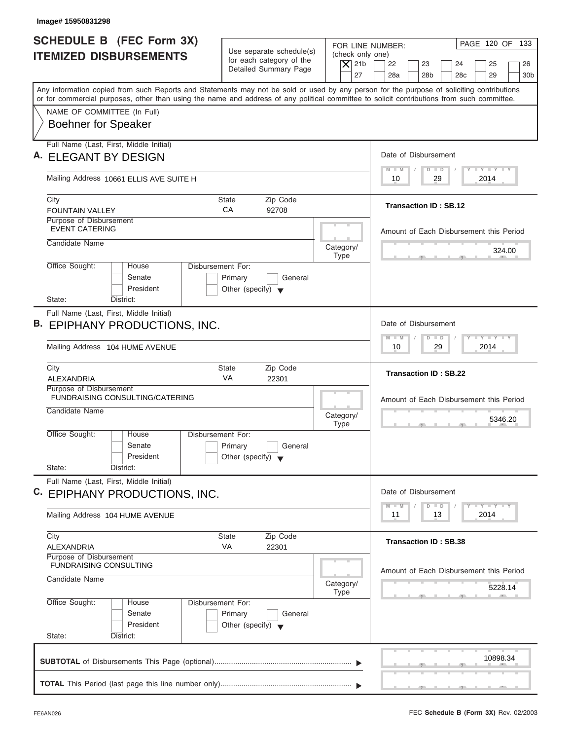| Image# 15950831298                                                                                                                                                                                                                                                                      |                                                                                                                               |                                                                                                                                                                                                                                               |
|-----------------------------------------------------------------------------------------------------------------------------------------------------------------------------------------------------------------------------------------------------------------------------------------|-------------------------------------------------------------------------------------------------------------------------------|-----------------------------------------------------------------------------------------------------------------------------------------------------------------------------------------------------------------------------------------------|
| <b>SCHEDULE B (FEC Form 3X)</b><br><b>ITEMIZED DISBURSEMENTS</b>                                                                                                                                                                                                                        | Use separate schedule(s)<br>(check only one)<br>for each category of the<br>$\overline{X}$ 21b<br>Detailed Summary Page<br>27 | PAGE 120 OF 133<br>FOR LINE NUMBER:<br>22<br>23<br>24<br>25<br>26<br>28a<br>28 <sub>b</sub><br>28 <sub>c</sub><br>29<br>30 <sub>b</sub>                                                                                                       |
| Any information copied from such Reports and Statements may not be sold or used by any person for the purpose of soliciting contributions<br>or for commercial purposes, other than using the name and address of any political committee to solicit contributions from such committee. |                                                                                                                               |                                                                                                                                                                                                                                               |
| NAME OF COMMITTEE (In Full)<br><b>Boehner for Speaker</b>                                                                                                                                                                                                                               |                                                                                                                               |                                                                                                                                                                                                                                               |
| Full Name (Last, First, Middle Initial)<br>A. ELEGANT BY DESIGN                                                                                                                                                                                                                         |                                                                                                                               | Date of Disbursement                                                                                                                                                                                                                          |
| Mailing Address 10661 ELLIS AVE SUITE H                                                                                                                                                                                                                                                 |                                                                                                                               | <b>LY LY LY</b><br>$M - M$<br>$D$ $D$<br>2014<br>10<br>29                                                                                                                                                                                     |
| City<br><b>FOUNTAIN VALLEY</b>                                                                                                                                                                                                                                                          | <b>State</b><br>Zip Code<br>CA<br>92708                                                                                       | <b>Transaction ID: SB.12</b>                                                                                                                                                                                                                  |
| Purpose of Disbursement<br><b>EVENT CATERING</b><br>Candidate Name                                                                                                                                                                                                                      |                                                                                                                               | Amount of Each Disbursement this Period                                                                                                                                                                                                       |
| Office Sought:<br>House                                                                                                                                                                                                                                                                 | Category/<br><b>Type</b><br>Disbursement For:                                                                                 | 324.00<br>$-7$                                                                                                                                                                                                                                |
| Senate<br>President<br>State:<br>District:                                                                                                                                                                                                                                              | Primary<br>General<br>Other (specify) $\blacktriangledown$                                                                    |                                                                                                                                                                                                                                               |
| Full Name (Last, First, Middle Initial)<br>B. EPIPHANY PRODUCTIONS, INC.                                                                                                                                                                                                                |                                                                                                                               | Date of Disbursement                                                                                                                                                                                                                          |
| Mailing Address 104 HUME AVENUE                                                                                                                                                                                                                                                         |                                                                                                                               | $\mathbf{I} = \mathbf{Y} - \mathbf{I} - \mathbf{Y} - \mathbf{I} - \mathbf{Y}$<br>$M - M$<br>$D$ $D$<br>29<br>2014<br>10                                                                                                                       |
| City<br>ALEXANDRIA                                                                                                                                                                                                                                                                      | Zip Code<br><b>State</b><br>VA<br>22301                                                                                       | <b>Transaction ID: SB.22</b>                                                                                                                                                                                                                  |
| Purpose of Disbursement<br>FUNDRAISING CONSULTING/CATERING<br>Candidate Name                                                                                                                                                                                                            | Category/<br><b>Type</b>                                                                                                      | Amount of Each Disbursement this Period<br>5346.20<br>$-7$                                                                                                                                                                                    |
| Office Sought:<br>House<br>Senate<br>President                                                                                                                                                                                                                                          | Disbursement For:<br>Primary<br>General<br>Other (specify) $\blacktriangledown$                                               |                                                                                                                                                                                                                                               |
| State:<br>District:<br>Full Name (Last, First, Middle Initial)                                                                                                                                                                                                                          |                                                                                                                               |                                                                                                                                                                                                                                               |
| C.<br>EPIPHANY PRODUCTIONS, INC.<br>Mailing Address 104 HUME AVENUE                                                                                                                                                                                                                     |                                                                                                                               | Date of Disbursement<br>$\frac{1}{2}$ $\frac{1}{2}$ $\frac{1}{2}$ $\frac{1}{2}$ $\frac{1}{2}$ $\frac{1}{2}$ $\frac{1}{2}$ $\frac{1}{2}$ $\frac{1}{2}$ $\frac{1}{2}$ $\frac{1}{2}$ $\frac{1}{2}$<br>$M - M$<br>D<br>$\Box$<br>2014<br>11<br>13 |
| City<br>ALEXANDRIA                                                                                                                                                                                                                                                                      | Zip Code<br><b>State</b><br>VA<br>22301                                                                                       | <b>Transaction ID: SB.38</b>                                                                                                                                                                                                                  |
| Purpose of Disbursement<br><b>FUNDRAISING CONSULTING</b><br>Candidate Name                                                                                                                                                                                                              | Category/<br><b>Type</b>                                                                                                      | Amount of Each Disbursement this Period<br>5228.14                                                                                                                                                                                            |
| Office Sought:<br>House<br>Senate<br>President<br>State:<br>District:                                                                                                                                                                                                                   | Disbursement For:<br>Primary<br>General<br>Other (specify) $\blacktriangledown$                                               |                                                                                                                                                                                                                                               |
|                                                                                                                                                                                                                                                                                         |                                                                                                                               | 10898.34                                                                                                                                                                                                                                      |
|                                                                                                                                                                                                                                                                                         |                                                                                                                               | $\mathcal{F}$ , and $\mathcal{F}$ , and $\mathcal{F}$ , and $\mathcal{F}$                                                                                                                                                                     |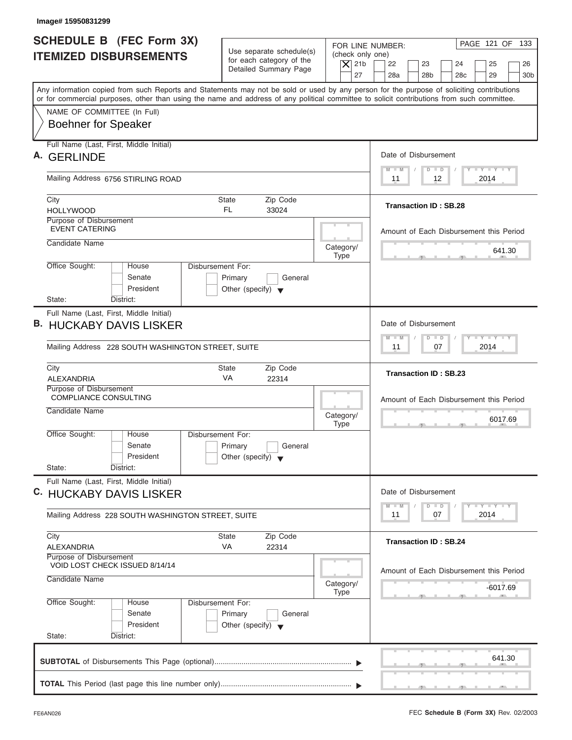| <b>SCHEDULE B (FEC Form 3X)</b><br><b>ITEMIZED DISBURSEMENTS</b>                                                                                                                                                                                                                        | Use separate schedule(s)<br>for each category of the<br>Detailed Summary Page   | FOR LINE NUMBER:<br>(check only one)<br>$\overline{X}$ 21b<br>27 | PAGE 121 OF 133<br>22<br>23<br>24<br>25<br>26<br>28a<br>28 <sub>b</sub><br>28 <sub>c</sub><br>29<br>30 <sub>b</sub> |
|-----------------------------------------------------------------------------------------------------------------------------------------------------------------------------------------------------------------------------------------------------------------------------------------|---------------------------------------------------------------------------------|------------------------------------------------------------------|---------------------------------------------------------------------------------------------------------------------|
| Any information copied from such Reports and Statements may not be sold or used by any person for the purpose of soliciting contributions<br>or for commercial purposes, other than using the name and address of any political committee to solicit contributions from such committee. |                                                                                 |                                                                  |                                                                                                                     |
| NAME OF COMMITTEE (In Full)<br><b>Boehner for Speaker</b>                                                                                                                                                                                                                               |                                                                                 |                                                                  |                                                                                                                     |
| Full Name (Last, First, Middle Initial)<br>А.<br><b>GERLINDE</b>                                                                                                                                                                                                                        |                                                                                 |                                                                  | Date of Disbursement                                                                                                |
| Mailing Address 6756 STIRLING ROAD                                                                                                                                                                                                                                                      |                                                                                 |                                                                  | <b>LY LY LY</b><br>$M - M$<br>$D$ $D$<br>12<br>2014<br>11                                                           |
| City<br><b>HOLLYWOOD</b>                                                                                                                                                                                                                                                                | <b>State</b><br>Zip Code<br>FL.<br>33024                                        |                                                                  | <b>Transaction ID: SB.28</b>                                                                                        |
| Purpose of Disbursement<br><b>EVENT CATERING</b>                                                                                                                                                                                                                                        |                                                                                 |                                                                  | Amount of Each Disbursement this Period                                                                             |
| Candidate Name                                                                                                                                                                                                                                                                          |                                                                                 | Category/<br><b>Type</b>                                         | 641.30                                                                                                              |
| Office Sought:<br>House<br>Senate<br>President<br>State:<br>District:                                                                                                                                                                                                                   | Disbursement For:<br>Primary<br>General<br>Other (specify) $\blacktriangledown$ |                                                                  |                                                                                                                     |
| Full Name (Last, First, Middle Initial)<br><b>B. HUCKABY DAVIS LISKER</b><br>Mailing Address 228 SOUTH WASHINGTON STREET, SUITE                                                                                                                                                         |                                                                                 |                                                                  | Date of Disbursement<br>$-1 - Y - 1 - Y - 1 - Y$<br>$M - M$<br>$D$ $D$<br>07<br>2014<br>11                          |
| City                                                                                                                                                                                                                                                                                    | Zip Code<br><b>State</b>                                                        |                                                                  |                                                                                                                     |
| <b>ALEXANDRIA</b>                                                                                                                                                                                                                                                                       | VA<br>22314                                                                     |                                                                  | <b>Transaction ID: SB.23</b>                                                                                        |
| Purpose of Disbursement<br><b>COMPLIANCE CONSULTING</b><br>Candidate Name                                                                                                                                                                                                               |                                                                                 | Category/<br><b>Type</b>                                         | Amount of Each Disbursement this Period<br>6017.69<br>$\sim$                                                        |
| Office Sought:<br>House<br>Senate<br>President<br>State:<br>District:                                                                                                                                                                                                                   | Disbursement For:<br>Primary<br>General<br>Other (specify) $\blacktriangledown$ |                                                                  |                                                                                                                     |
| Full Name (Last, First, Middle Initial)<br>C. HUCKABY DAVIS LISKER                                                                                                                                                                                                                      |                                                                                 |                                                                  | Date of Disbursement<br>$\Box$ $\Upsilon$ $\Box$ $\Upsilon$ $\Box$ $\Upsilon$                                       |
| Mailing Address 228 SOUTH WASHINGTON STREET, SUITE                                                                                                                                                                                                                                      |                                                                                 |                                                                  | $M - M$<br>$\Box$<br>D<br>2014<br>11<br>07                                                                          |
| City<br>ALEXANDRIA                                                                                                                                                                                                                                                                      | <b>State</b><br>Zip Code<br>VA<br>22314                                         |                                                                  | <b>Transaction ID: SB.24</b>                                                                                        |
| Purpose of Disbursement<br>VOID LOST CHECK ISSUED 8/14/14<br>Candidate Name                                                                                                                                                                                                             |                                                                                 | Category/<br><b>Type</b>                                         | Amount of Each Disbursement this Period<br>-6017.69                                                                 |
| Office Sought:<br>House<br>Senate<br>President<br>State:<br>District:                                                                                                                                                                                                                   | Disbursement For:<br>Primary<br>General<br>Other (specify) $\blacktriangledown$ |                                                                  |                                                                                                                     |
|                                                                                                                                                                                                                                                                                         |                                                                                 |                                                                  | 641.30                                                                                                              |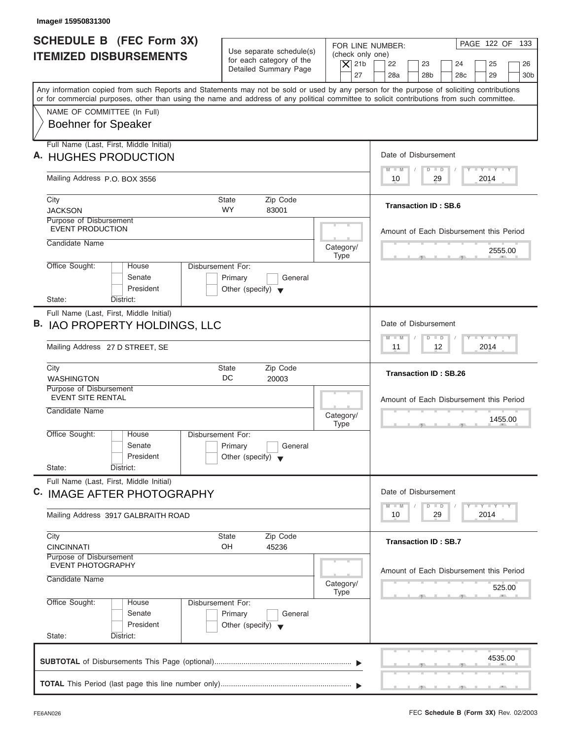| Image# 15950831300                                                                                                                         |                                                      |                          |                                                                                                  |
|--------------------------------------------------------------------------------------------------------------------------------------------|------------------------------------------------------|--------------------------|--------------------------------------------------------------------------------------------------|
| <b>SCHEDULE B (FEC Form 3X)</b>                                                                                                            |                                                      | FOR LINE NUMBER:         | PAGE 122 OF 133                                                                                  |
| <b>ITEMIZED DISBURSEMENTS</b>                                                                                                              | Use separate schedule(s)<br>for each category of the | (check only one)         |                                                                                                  |
|                                                                                                                                            | Detailed Summary Page                                | $\vert$ $\chi$ 21b<br>27 | 22<br>23<br>24<br>25<br>26<br>28a<br>28 <sub>b</sub><br>28 <sub>c</sub><br>29<br>30 <sub>b</sub> |
| Any information copied from such Reports and Statements may not be sold or used by any person for the purpose of soliciting contributions  |                                                      |                          |                                                                                                  |
| or for commercial purposes, other than using the name and address of any political committee to solicit contributions from such committee. |                                                      |                          |                                                                                                  |
| NAME OF COMMITTEE (In Full)                                                                                                                |                                                      |                          |                                                                                                  |
| <b>Boehner for Speaker</b>                                                                                                                 |                                                      |                          |                                                                                                  |
| Full Name (Last, First, Middle Initial)                                                                                                    |                                                      |                          |                                                                                                  |
| A. HUGHES PRODUCTION                                                                                                                       |                                                      |                          | Date of Disbursement                                                                             |
| Mailing Address P.O. BOX 3556                                                                                                              |                                                      |                          | $T - Y = T - Y = T - Y$<br>$M - M$<br>$D$ $D$<br>29<br>2014<br>10                                |
| City                                                                                                                                       | <b>State</b><br>Zip Code                             |                          |                                                                                                  |
| <b>JACKSON</b>                                                                                                                             | <b>WY</b><br>83001                                   |                          | <b>Transaction ID: SB.6</b>                                                                      |
| Purpose of Disbursement<br><b>EVENT PRODUCTION</b>                                                                                         |                                                      |                          |                                                                                                  |
| Candidate Name                                                                                                                             |                                                      |                          | Amount of Each Disbursement this Period                                                          |
|                                                                                                                                            |                                                      | Category/<br><b>Type</b> | 2555.00                                                                                          |
| Office Sought:<br>House                                                                                                                    | Disbursement For:                                    |                          |                                                                                                  |
| Senate                                                                                                                                     | Primary<br>General                                   |                          |                                                                                                  |
| President                                                                                                                                  | Other (specify) $\blacktriangledown$                 |                          |                                                                                                  |
| State:<br>District:                                                                                                                        |                                                      |                          |                                                                                                  |
| Full Name (Last, First, Middle Initial)                                                                                                    |                                                      |                          | Date of Disbursement                                                                             |
| B. IAO PROPERTY HOLDINGS, LLC                                                                                                              |                                                      |                          | <b>LEYTEY LEY</b><br>$M - M$<br>$D$ $D$                                                          |
| Mailing Address 27 D STREET, SE                                                                                                            |                                                      |                          | $12 \overline{ }$<br>2014<br>11                                                                  |
| City                                                                                                                                       | Zip Code<br><b>State</b>                             |                          | <b>Transaction ID: SB.26</b>                                                                     |
| <b>WASHINGTON</b>                                                                                                                          | DC<br>20003                                          |                          |                                                                                                  |
| Purpose of Disbursement<br><b>EVENT SITE RENTAL</b>                                                                                        |                                                      |                          | Amount of Each Disbursement this Period                                                          |
| Candidate Name                                                                                                                             |                                                      | Category/                |                                                                                                  |
|                                                                                                                                            |                                                      | <b>Type</b>              | 1455.00<br>$\sim$                                                                                |
| Office Sought:<br>House                                                                                                                    | Disbursement For:                                    |                          |                                                                                                  |
| Senate                                                                                                                                     | Primary<br>General                                   |                          |                                                                                                  |
| President<br>State:<br>District:                                                                                                           | Other (specify) $\blacktriangledown$                 |                          |                                                                                                  |
| Full Name (Last, First, Middle Initial)                                                                                                    |                                                      |                          |                                                                                                  |
| C. IMAGE AFTER PHOTOGRAPHY                                                                                                                 |                                                      |                          | Date of Disbursement                                                                             |
|                                                                                                                                            |                                                      |                          | $T - Y$ $T - Y$ $T - Y$<br>$M - M$<br>$\overline{D}$<br>$\Box$                                   |
| Mailing Address 3917 GALBRAITH ROAD                                                                                                        |                                                      |                          | 2014<br>10<br>29                                                                                 |
| City                                                                                                                                       | Zip Code<br><b>State</b>                             |                          |                                                                                                  |
| <b>CINCINNATI</b>                                                                                                                          | OH<br>45236                                          |                          | <b>Transaction ID: SB.7</b>                                                                      |
| Purpose of Disbursement<br><b>EVENT PHOTOGRAPHY</b>                                                                                        |                                                      |                          |                                                                                                  |
| Candidate Name                                                                                                                             |                                                      |                          | Amount of Each Disbursement this Period                                                          |
|                                                                                                                                            |                                                      | Category/<br><b>Type</b> | 525.00                                                                                           |
| Office Sought:<br>House                                                                                                                    | Disbursement For:                                    |                          |                                                                                                  |
| Senate                                                                                                                                     | Primary<br>General                                   |                          |                                                                                                  |
| President                                                                                                                                  | Other (specify) $\blacktriangledown$                 |                          |                                                                                                  |
| State:<br>District:                                                                                                                        |                                                      |                          |                                                                                                  |
|                                                                                                                                            |                                                      |                          | 4535.00                                                                                          |
|                                                                                                                                            |                                                      |                          |                                                                                                  |
|                                                                                                                                            |                                                      |                          |                                                                                                  |
|                                                                                                                                            |                                                      |                          |                                                                                                  |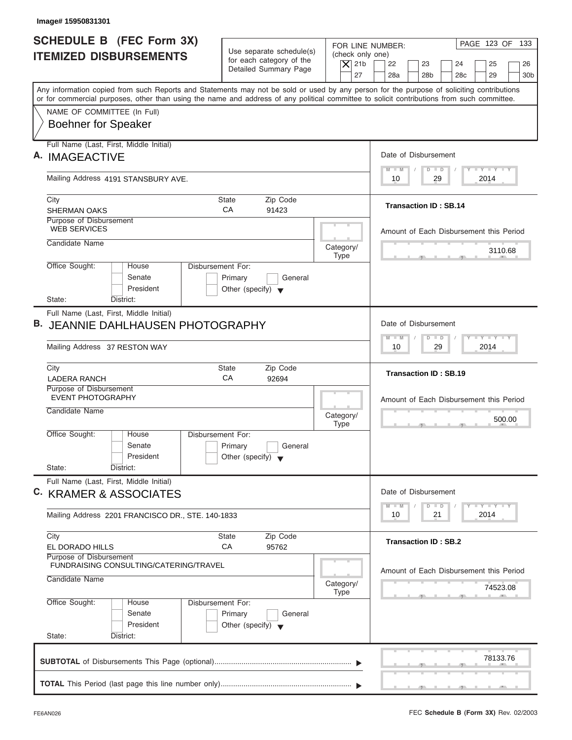| Image# 15950831301                                                                                                                                                                                                                                                                      |                                                                                 |                                                                  |                                                                                                                                                     |
|-----------------------------------------------------------------------------------------------------------------------------------------------------------------------------------------------------------------------------------------------------------------------------------------|---------------------------------------------------------------------------------|------------------------------------------------------------------|-----------------------------------------------------------------------------------------------------------------------------------------------------|
| <b>SCHEDULE B</b> (FEC Form 3X)<br><b>ITEMIZED DISBURSEMENTS</b>                                                                                                                                                                                                                        | Use separate schedule(s)<br>for each category of the<br>Detailed Summary Page   | FOR LINE NUMBER:<br>(check only one)<br>$\overline{X}$ 21b<br>27 | PAGE 123 OF 133<br>22<br>23<br>24<br>25<br>26<br>28a<br>28 <sub>b</sub><br>28 <sub>c</sub><br>29<br>30 <sub>b</sub>                                 |
| Any information copied from such Reports and Statements may not be sold or used by any person for the purpose of soliciting contributions<br>or for commercial purposes, other than using the name and address of any political committee to solicit contributions from such committee. |                                                                                 |                                                                  |                                                                                                                                                     |
| NAME OF COMMITTEE (In Full)<br><b>Boehner for Speaker</b>                                                                                                                                                                                                                               |                                                                                 |                                                                  |                                                                                                                                                     |
| Full Name (Last, First, Middle Initial)<br>A. IMAGEACTIVE                                                                                                                                                                                                                               |                                                                                 |                                                                  | Date of Disbursement                                                                                                                                |
| Mailing Address 4191 STANSBURY AVE.                                                                                                                                                                                                                                                     |                                                                                 |                                                                  | $\mathbf{I} \mathbf{Y} \mathbf{I} \mathbf{Y}$<br>$M - M$<br>$D$ $D$<br>2014<br>10<br>29                                                             |
| City<br><b>SHERMAN OAKS</b>                                                                                                                                                                                                                                                             | <b>State</b><br>Zip Code<br>CA<br>91423                                         |                                                                  | <b>Transaction ID: SB.14</b>                                                                                                                        |
| Purpose of Disbursement<br><b>WEB SERVICES</b><br>Candidate Name                                                                                                                                                                                                                        |                                                                                 |                                                                  | Amount of Each Disbursement this Period                                                                                                             |
|                                                                                                                                                                                                                                                                                         |                                                                                 | Category/<br><b>Type</b>                                         | 3110.68                                                                                                                                             |
| Office Sought:<br>House<br>Senate<br>President<br>State:<br>District:                                                                                                                                                                                                                   | Disbursement For:<br>Primary<br>General<br>Other (specify) $\blacktriangledown$ |                                                                  |                                                                                                                                                     |
| Full Name (Last, First, Middle Initial)<br><b>B. JEANNIE DAHLHAUSEN PHOTOGRAPHY</b>                                                                                                                                                                                                     |                                                                                 |                                                                  | Date of Disbursement                                                                                                                                |
| Mailing Address 37 RESTON WAY                                                                                                                                                                                                                                                           |                                                                                 |                                                                  | $-1 - Y - 1 - Y - 1 - Y$<br>$M - M$<br>$D$ $D$<br>29<br>2014<br>10                                                                                  |
| City<br>LADERA RANCH                                                                                                                                                                                                                                                                    | Zip Code<br>State<br>CA<br>92694                                                |                                                                  | <b>Transaction ID: SB.19</b>                                                                                                                        |
| Purpose of Disbursement<br><b>EVENT PHOTOGRAPHY</b>                                                                                                                                                                                                                                     |                                                                                 |                                                                  | Amount of Each Disbursement this Period                                                                                                             |
| Candidate Name                                                                                                                                                                                                                                                                          |                                                                                 | Category/<br><b>Type</b>                                         | 500.00<br>$-7$                                                                                                                                      |
| Office Sought:<br>House<br>Senate<br>President                                                                                                                                                                                                                                          | Disbursement For:<br>Primary<br>General<br>Other (specify) $\blacktriangledown$ |                                                                  |                                                                                                                                                     |
| State:<br>District:<br>Full Name (Last, First, Middle Initial)                                                                                                                                                                                                                          |                                                                                 |                                                                  |                                                                                                                                                     |
| C. KRAMER & ASSOCIATES<br>Mailing Address 2201 FRANCISCO DR., STE. 140-1833                                                                                                                                                                                                             |                                                                                 |                                                                  | Date of Disbursement<br>$\mathbf{I}$ $\mathbf{Y}$ $\mathbf{I}$ $\mathbf{Y}$ $\mathbf{I}$ $\mathbf{Y}$<br>$M - M$<br>D<br>$\Box$<br>2014<br>10<br>21 |
| City                                                                                                                                                                                                                                                                                    | Zip Code<br><b>State</b>                                                        |                                                                  |                                                                                                                                                     |
| EL DORADO HILLS<br>Purpose of Disbursement                                                                                                                                                                                                                                              | СA<br>95762                                                                     |                                                                  | <b>Transaction ID: SB.2</b>                                                                                                                         |
| FUNDRAISING CONSULTING/CATERING/TRAVEL<br>Candidate Name                                                                                                                                                                                                                                |                                                                                 | Category/                                                        | Amount of Each Disbursement this Period<br>74523.08                                                                                                 |
| Office Sought:<br>House<br>Senate<br>President<br>State:<br>District:                                                                                                                                                                                                                   | Disbursement For:<br>Primary<br>General<br>Other (specify) $\blacktriangledown$ | <b>Type</b>                                                      |                                                                                                                                                     |
|                                                                                                                                                                                                                                                                                         |                                                                                 |                                                                  | 78133.76                                                                                                                                            |
|                                                                                                                                                                                                                                                                                         |                                                                                 |                                                                  | $\mathbf{y}$ , and $\mathbf{y}$                                                                                                                     |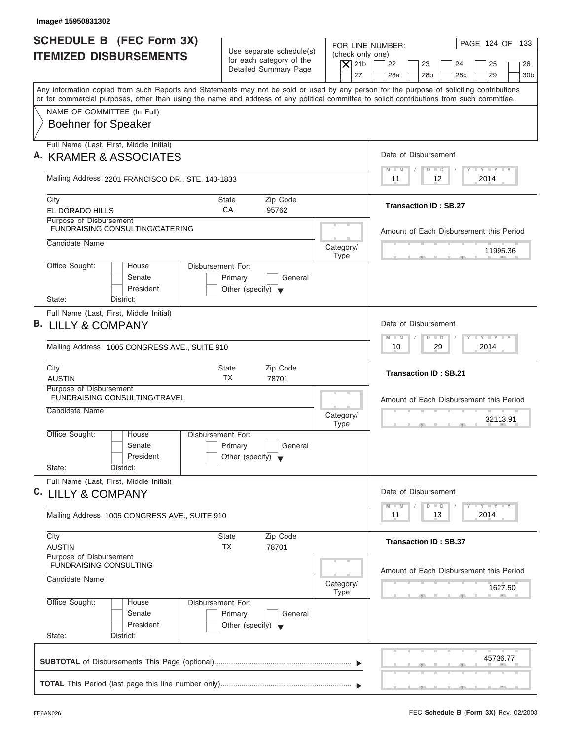| Image# 15950831302                                                                                                                                                                                                                                                                      |                                                            |                                              |                                                                                                  |
|-----------------------------------------------------------------------------------------------------------------------------------------------------------------------------------------------------------------------------------------------------------------------------------------|------------------------------------------------------------|----------------------------------------------|--------------------------------------------------------------------------------------------------|
| <b>SCHEDULE B (FEC Form 3X)</b>                                                                                                                                                                                                                                                         | Use separate schedule(s)                                   |                                              | PAGE 124 OF 133<br>FOR LINE NUMBER:                                                              |
| <b>ITEMIZED DISBURSEMENTS</b>                                                                                                                                                                                                                                                           | for each category of the<br>Detailed Summary Page          | (check only one)<br>$\vert$ $\chi$ 21b<br>27 | 22<br>23<br>24<br>25<br>26<br>28a<br>28 <sub>b</sub><br>28 <sub>c</sub><br>29<br>30 <sub>b</sub> |
| Any information copied from such Reports and Statements may not be sold or used by any person for the purpose of soliciting contributions<br>or for commercial purposes, other than using the name and address of any political committee to solicit contributions from such committee. |                                                            |                                              |                                                                                                  |
| NAME OF COMMITTEE (In Full)                                                                                                                                                                                                                                                             |                                                            |                                              |                                                                                                  |
| <b>Boehner for Speaker</b>                                                                                                                                                                                                                                                              |                                                            |                                              |                                                                                                  |
| Full Name (Last, First, Middle Initial)                                                                                                                                                                                                                                                 |                                                            |                                              |                                                                                                  |
| A. KRAMER & ASSOCIATES                                                                                                                                                                                                                                                                  |                                                            |                                              | Date of Disbursement<br>$T - Y = T - Y = T - Y$<br>$D$ $D$<br>$M - M$                            |
| Mailing Address 2201 FRANCISCO DR., STE. 140-1833                                                                                                                                                                                                                                       |                                                            |                                              | 2014<br>11<br>12                                                                                 |
| City                                                                                                                                                                                                                                                                                    | <b>State</b><br>Zip Code                                   |                                              |                                                                                                  |
| EL DORADO HILLS                                                                                                                                                                                                                                                                         | CA<br>95762                                                |                                              | <b>Transaction ID: SB.27</b>                                                                     |
| Purpose of Disbursement<br><b>FUNDRAISING CONSULTING/CATERING</b>                                                                                                                                                                                                                       |                                                            |                                              | Amount of Each Disbursement this Period                                                          |
| Candidate Name                                                                                                                                                                                                                                                                          |                                                            | Category/                                    | 11995.36                                                                                         |
| Office Sought:<br>House                                                                                                                                                                                                                                                                 | Disbursement For:                                          | <b>Type</b>                                  |                                                                                                  |
| Senate                                                                                                                                                                                                                                                                                  | Primary<br>General                                         |                                              |                                                                                                  |
| President                                                                                                                                                                                                                                                                               | Other (specify) $\blacktriangledown$                       |                                              |                                                                                                  |
| State:<br>District:                                                                                                                                                                                                                                                                     |                                                            |                                              |                                                                                                  |
| Full Name (Last, First, Middle Initial)<br><b>B. LILLY &amp; COMPANY</b>                                                                                                                                                                                                                |                                                            |                                              | Date of Disbursement                                                                             |
|                                                                                                                                                                                                                                                                                         |                                                            |                                              | <b>LY LY LY</b><br>$M - M$<br>$D$ $D$                                                            |
| Mailing Address 1005 CONGRESS AVE., SUITE 910                                                                                                                                                                                                                                           |                                                            |                                              | 29<br>2014<br>10                                                                                 |
| City                                                                                                                                                                                                                                                                                    | Zip Code<br><b>State</b>                                   |                                              | <b>Transaction ID: SB.21</b>                                                                     |
| <b>AUSTIN</b><br>Purpose of Disbursement                                                                                                                                                                                                                                                | <b>TX</b><br>78701                                         |                                              |                                                                                                  |
| <b>FUNDRAISING CONSULTING/TRAVEL</b>                                                                                                                                                                                                                                                    |                                                            |                                              | Amount of Each Disbursement this Period                                                          |
| Candidate Name                                                                                                                                                                                                                                                                          |                                                            | Category/                                    | 32113.91                                                                                         |
| Office Sought:<br>House                                                                                                                                                                                                                                                                 | Disbursement For:                                          | <b>Type</b>                                  | $-7$                                                                                             |
| Senate                                                                                                                                                                                                                                                                                  | Primary<br>General                                         |                                              |                                                                                                  |
| President                                                                                                                                                                                                                                                                               | Other (specify) $\blacktriangledown$                       |                                              |                                                                                                  |
| State:<br>District:<br>Full Name (Last, First, Middle Initial)                                                                                                                                                                                                                          |                                                            |                                              |                                                                                                  |
| C. LILLY & COMPANY                                                                                                                                                                                                                                                                      |                                                            |                                              | Date of Disbursement                                                                             |
|                                                                                                                                                                                                                                                                                         |                                                            |                                              | $T - Y$ $T - Y$ $T - Y$<br>$M - M$<br>$\overline{D}$<br>$\Box$                                   |
| Mailing Address 1005 CONGRESS AVE., SUITE 910                                                                                                                                                                                                                                           |                                                            |                                              | 2014<br>13<br>11                                                                                 |
| City                                                                                                                                                                                                                                                                                    | <b>State</b><br>Zip Code                                   |                                              | <b>Transaction ID: SB.37</b>                                                                     |
| <b>AUSTIN</b><br>Purpose of Disbursement                                                                                                                                                                                                                                                | ТX<br>78701                                                |                                              |                                                                                                  |
| <b>FUNDRAISING CONSULTING</b>                                                                                                                                                                                                                                                           |                                                            |                                              | Amount of Each Disbursement this Period                                                          |
| Candidate Name                                                                                                                                                                                                                                                                          |                                                            | Category/                                    |                                                                                                  |
|                                                                                                                                                                                                                                                                                         |                                                            | <b>Type</b>                                  | 1627.50                                                                                          |
|                                                                                                                                                                                                                                                                                         | Disbursement For:                                          |                                              |                                                                                                  |
| Office Sought:<br>House<br>Senate                                                                                                                                                                                                                                                       |                                                            |                                              |                                                                                                  |
| President                                                                                                                                                                                                                                                                               | Primary<br>General<br>Other (specify) $\blacktriangledown$ |                                              |                                                                                                  |
| State:<br>District:                                                                                                                                                                                                                                                                     |                                                            |                                              |                                                                                                  |
|                                                                                                                                                                                                                                                                                         |                                                            |                                              | 45736.77                                                                                         |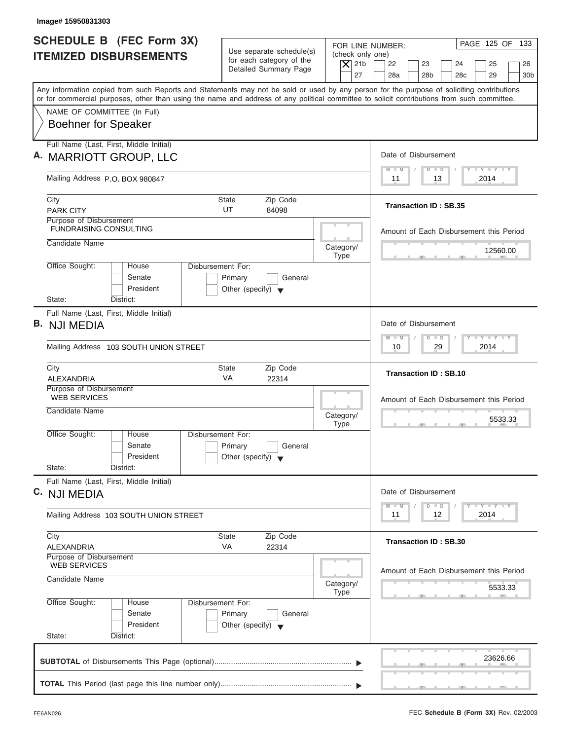| Image# 15950831303                                                                                                                                                                                                                                                                      |                                                                                 |                                                                  |                                                                                                                                          |
|-----------------------------------------------------------------------------------------------------------------------------------------------------------------------------------------------------------------------------------------------------------------------------------------|---------------------------------------------------------------------------------|------------------------------------------------------------------|------------------------------------------------------------------------------------------------------------------------------------------|
| <b>SCHEDULE B (FEC Form 3X)</b><br><b>ITEMIZED DISBURSEMENTS</b>                                                                                                                                                                                                                        | Use separate schedule(s)<br>for each category of the<br>Detailed Summary Page   | FOR LINE NUMBER:<br>(check only one)<br>$\vert$ $\chi$ 21b<br>27 | PAGE 125 OF<br>133<br>22<br>23<br>24<br>25<br>26<br>28a<br>28 <sub>b</sub><br>28 <sub>c</sub><br>29<br>30 <sub>b</sub>                   |
| Any information copied from such Reports and Statements may not be sold or used by any person for the purpose of soliciting contributions<br>or for commercial purposes, other than using the name and address of any political committee to solicit contributions from such committee. |                                                                                 |                                                                  |                                                                                                                                          |
| NAME OF COMMITTEE (In Full)<br><b>Boehner for Speaker</b>                                                                                                                                                                                                                               |                                                                                 |                                                                  |                                                                                                                                          |
| Full Name (Last, First, Middle Initial)<br>A. MARRIOTT GROUP, LLC                                                                                                                                                                                                                       |                                                                                 |                                                                  | Date of Disbursement                                                                                                                     |
| Mailing Address P.O. BOX 980847                                                                                                                                                                                                                                                         |                                                                                 |                                                                  | $T - Y = T - Y = T - Y$<br>$D$ $D$<br>$M - M$<br>2014<br>11<br>13                                                                        |
| City<br><b>PARK CITY</b>                                                                                                                                                                                                                                                                | Zip Code<br><b>State</b><br>UT<br>84098                                         |                                                                  | <b>Transaction ID: SB.35</b>                                                                                                             |
| Purpose of Disbursement<br><b>FUNDRAISING CONSULTING</b>                                                                                                                                                                                                                                |                                                                                 |                                                                  | Amount of Each Disbursement this Period                                                                                                  |
| Candidate Name                                                                                                                                                                                                                                                                          |                                                                                 | Category/<br><b>Type</b>                                         | 12560.00                                                                                                                                 |
| Office Sought:<br>House<br>Senate<br>President                                                                                                                                                                                                                                          | Disbursement For:<br>Primary<br>General<br>Other (specify) $\blacktriangledown$ |                                                                  |                                                                                                                                          |
| State:<br>District:<br>Full Name (Last, First, Middle Initial)                                                                                                                                                                                                                          |                                                                                 |                                                                  |                                                                                                                                          |
| <b>B.</b> NJI MEDIA                                                                                                                                                                                                                                                                     |                                                                                 |                                                                  | Date of Disbursement                                                                                                                     |
| Mailing Address 103 SOUTH UNION STREET                                                                                                                                                                                                                                                  |                                                                                 |                                                                  | $-1 - Y - 1 - Y - 1 - Y$<br>$M - M$<br>$\Box$<br>$\Box$<br>29<br>2014<br>10                                                              |
| City<br>ALEXANDRIA                                                                                                                                                                                                                                                                      | Zip Code<br><b>State</b><br><b>VA</b><br>22314                                  |                                                                  | <b>Transaction ID: SB.10</b>                                                                                                             |
| Purpose of Disbursement<br><b>WEB SERVICES</b>                                                                                                                                                                                                                                          |                                                                                 |                                                                  | Amount of Each Disbursement this Period                                                                                                  |
| Candidate Name                                                                                                                                                                                                                                                                          |                                                                                 | Category/<br><b>Type</b>                                         | 5533.33<br>$-7$                                                                                                                          |
| Office Sought:<br>House<br>Senate<br>President                                                                                                                                                                                                                                          | Disbursement For:<br>Primary<br>General<br>Other (specify) $\blacktriangledown$ |                                                                  |                                                                                                                                          |
| State:<br>District:                                                                                                                                                                                                                                                                     |                                                                                 |                                                                  |                                                                                                                                          |
| Full Name (Last, First, Middle Initial)<br>C. NJI MEDIA                                                                                                                                                                                                                                 |                                                                                 |                                                                  | Date of Disbursement                                                                                                                     |
| Mailing Address 103 SOUTH UNION STREET                                                                                                                                                                                                                                                  |                                                                                 |                                                                  | $\mathbf{I}$ $\mathbf{Y}$ $\mathbf{I}$ $\mathbf{Y}$ $\mathbf{I}$ $\mathbf{Y}$<br>$M - M$<br>$\overline{D}$<br>$\Box$<br>2014<br>11<br>12 |
| City<br>ALEXANDRIA                                                                                                                                                                                                                                                                      | Zip Code<br><b>State</b><br>VA<br>22314                                         |                                                                  | <b>Transaction ID: SB.30</b>                                                                                                             |
| Purpose of Disbursement<br><b>WEB SERVICES</b><br>Candidate Name                                                                                                                                                                                                                        |                                                                                 |                                                                  | Amount of Each Disbursement this Period                                                                                                  |
|                                                                                                                                                                                                                                                                                         |                                                                                 | Category/<br><b>Type</b>                                         | 5533.33                                                                                                                                  |
| Office Sought:<br>House<br>Senate<br>President                                                                                                                                                                                                                                          | Disbursement For:<br>Primary<br>General<br>Other (specify) $\blacktriangledown$ |                                                                  |                                                                                                                                          |
| State:<br>District:                                                                                                                                                                                                                                                                     |                                                                                 |                                                                  |                                                                                                                                          |
|                                                                                                                                                                                                                                                                                         |                                                                                 |                                                                  | 23626.66                                                                                                                                 |
|                                                                                                                                                                                                                                                                                         |                                                                                 |                                                                  | <u>.</u>                                                                                                                                 |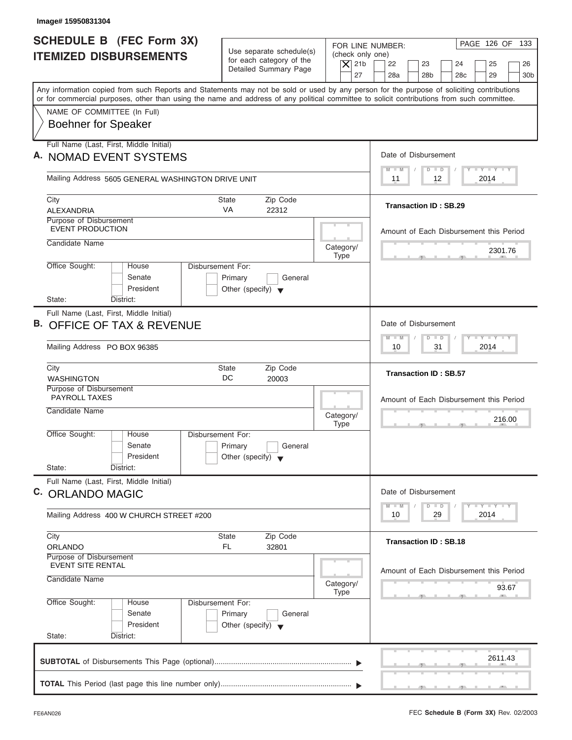| <b>SCHEDULE B (FEC Form 3X)</b><br><b>ITEMIZED DISBURSEMENTS</b>                                                                           | Use separate schedule(s)<br>for each category of the<br>Detailed Summary Page   | (check only one)<br>$\vert$ $\chi$ 21b | PAGE 126 OF 133<br>FOR LINE NUMBER:<br>22<br>23<br>24<br>25<br>26                  |
|--------------------------------------------------------------------------------------------------------------------------------------------|---------------------------------------------------------------------------------|----------------------------------------|------------------------------------------------------------------------------------|
| Any information copied from such Reports and Statements may not be sold or used by any person for the purpose of soliciting contributions  |                                                                                 | 27                                     | 28a<br>28 <sub>b</sub><br>28 <sub>c</sub><br>29<br>30 <sub>b</sub>                 |
| or for commercial purposes, other than using the name and address of any political committee to solicit contributions from such committee. |                                                                                 |                                        |                                                                                    |
| NAME OF COMMITTEE (In Full)<br><b>Boehner for Speaker</b>                                                                                  |                                                                                 |                                        |                                                                                    |
| Full Name (Last, First, Middle Initial)                                                                                                    |                                                                                 |                                        |                                                                                    |
| A. NOMAD EVENT SYSTEMS                                                                                                                     |                                                                                 |                                        | Date of Disbursement                                                               |
| Mailing Address 5605 GENERAL WASHINGTON DRIVE UNIT                                                                                         |                                                                                 |                                        | $T - Y = T - Y = T - Y$<br>$M - M$<br>$D$ $D$<br>2014<br>11<br>12                  |
| City                                                                                                                                       | <b>State</b><br>Zip Code                                                        |                                        | <b>Transaction ID: SB.29</b>                                                       |
| ALEXANDRIA<br>Purpose of Disbursement                                                                                                      | <b>VA</b><br>22312                                                              |                                        |                                                                                    |
| <b>EVENT PRODUCTION</b>                                                                                                                    |                                                                                 |                                        | Amount of Each Disbursement this Period                                            |
| Candidate Name                                                                                                                             |                                                                                 | Category/                              |                                                                                    |
|                                                                                                                                            |                                                                                 | <b>Type</b>                            | 2301.76                                                                            |
| Office Sought:<br>House<br>Senate<br>President                                                                                             | Disbursement For:<br>Primary<br>General<br>Other (specify) $\blacktriangledown$ |                                        |                                                                                    |
| State:<br>District:                                                                                                                        |                                                                                 |                                        |                                                                                    |
| Full Name (Last, First, Middle Initial)<br><b>B. OFFICE OF TAX &amp; REVENUE</b>                                                           |                                                                                 |                                        | Date of Disbursement                                                               |
| Mailing Address PO BOX 96385                                                                                                               |                                                                                 |                                        | <b>LEYTEY LEY</b><br>$M - M$<br>$D$ $D$<br>2014<br>10<br>31                        |
| City<br><b>WASHINGTON</b>                                                                                                                  | Zip Code<br><b>State</b><br>DC<br>20003                                         |                                        | <b>Transaction ID: SB.57</b>                                                       |
| Purpose of Disbursement<br><b>PAYROLL TAXES</b>                                                                                            |                                                                                 |                                        | Amount of Each Disbursement this Period                                            |
| Candidate Name                                                                                                                             |                                                                                 | Category/<br><b>Type</b>               | 216.00                                                                             |
| Office Sought:<br>House<br>Senate<br>President                                                                                             | Disbursement For:<br>Primary<br>General<br>Other (specify) $\blacktriangledown$ |                                        |                                                                                    |
| State:<br>District:                                                                                                                        |                                                                                 |                                        |                                                                                    |
| Full Name (Last, First, Middle Initial)<br>C. ORLANDO MAGIC                                                                                |                                                                                 |                                        | Date of Disbursement                                                               |
| Mailing Address 400 W CHURCH STREET #200                                                                                                   |                                                                                 |                                        | $T - Y$ $T - Y$ $T - Y$<br>$M - M$<br>$\overline{D}$<br>$\Box$<br>2014<br>10<br>29 |
| City<br>ORLANDO                                                                                                                            | <b>State</b><br>Zip Code<br>FL.<br>32801                                        |                                        | <b>Transaction ID: SB.18</b>                                                       |
| Purpose of Disbursement<br><b>EVENT SITE RENTAL</b>                                                                                        |                                                                                 |                                        |                                                                                    |
| Candidate Name                                                                                                                             |                                                                                 | Category/<br><b>Type</b>               | Amount of Each Disbursement this Period<br>93.67                                   |
| Office Sought:<br>House<br>Senate                                                                                                          | Disbursement For:<br>Primary<br>General<br>Other (specify) $\blacktriangledown$ |                                        |                                                                                    |
| President                                                                                                                                  |                                                                                 |                                        |                                                                                    |
| State:<br>District:                                                                                                                        |                                                                                 |                                        |                                                                                    |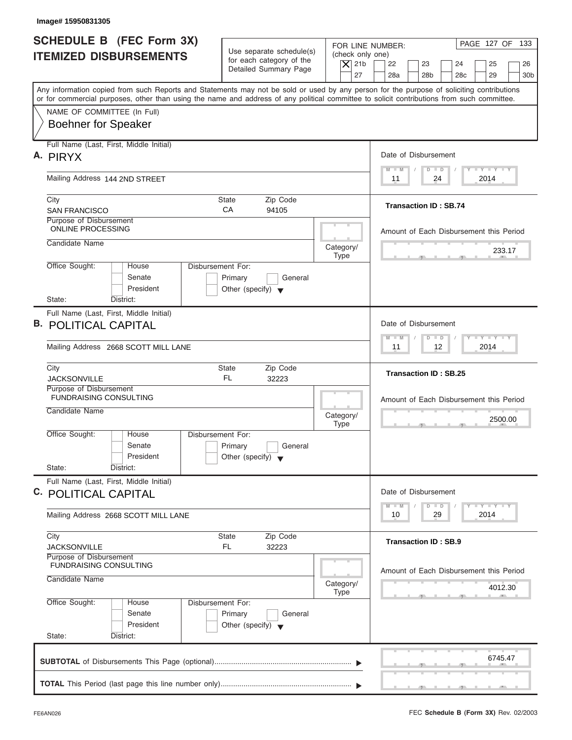| <b>SCHEDULE B</b> (FEC Form 3X)<br><b>ITEMIZED DISBURSEMENTS</b>                                                                                                                                                                                                                        | Use separate schedule(s)<br>for each category of the<br>$\overline{X}$ 21b<br>Detailed Summary Page | PAGE 127 OF 133<br>FOR LINE NUMBER:<br>(check only one)<br>22<br>23<br>24<br>25<br>26<br>27<br>28a<br>28 <sub>b</sub><br>29<br>30 <sub>b</sub><br>28 <sub>c</sub> |
|-----------------------------------------------------------------------------------------------------------------------------------------------------------------------------------------------------------------------------------------------------------------------------------------|-----------------------------------------------------------------------------------------------------|-------------------------------------------------------------------------------------------------------------------------------------------------------------------|
| Any information copied from such Reports and Statements may not be sold or used by any person for the purpose of soliciting contributions<br>or for commercial purposes, other than using the name and address of any political committee to solicit contributions from such committee. |                                                                                                     |                                                                                                                                                                   |
| NAME OF COMMITTEE (In Full)<br><b>Boehner for Speaker</b>                                                                                                                                                                                                                               |                                                                                                     |                                                                                                                                                                   |
| Full Name (Last, First, Middle Initial)<br>A. PIRYX                                                                                                                                                                                                                                     |                                                                                                     | Date of Disbursement                                                                                                                                              |
| Mailing Address 144 2ND STREET                                                                                                                                                                                                                                                          |                                                                                                     | $T - Y = T - Y = T - Y$<br>$D$ $D$<br>$M - M$<br>24<br>2014<br>11                                                                                                 |
| City<br><b>SAN FRANCISCO</b>                                                                                                                                                                                                                                                            | Zip Code<br>State<br>CA<br>94105                                                                    | <b>Transaction ID: SB.74</b>                                                                                                                                      |
| Purpose of Disbursement<br><b>ONLINE PROCESSING</b>                                                                                                                                                                                                                                     |                                                                                                     | Amount of Each Disbursement this Period                                                                                                                           |
| Candidate Name                                                                                                                                                                                                                                                                          | Category/<br><b>Type</b>                                                                            | 233.17                                                                                                                                                            |
| Office Sought:<br>House<br>Senate<br>President<br>State:<br>District:                                                                                                                                                                                                                   | Disbursement For:<br>Primary<br>General<br>Other (specify) $\blacktriangledown$                     |                                                                                                                                                                   |
| Full Name (Last, First, Middle Initial)<br><b>B. POLITICAL CAPITAL</b>                                                                                                                                                                                                                  |                                                                                                     | Date of Disbursement<br><b>LEYTEY LEY</b><br>$M - M$<br>$D$ $D$                                                                                                   |
| Mailing Address 2668 SCOTT MILL LANE                                                                                                                                                                                                                                                    |                                                                                                     | 12 <sup>°</sup><br>2014<br>11                                                                                                                                     |
| City<br><b>JACKSONVILLE</b>                                                                                                                                                                                                                                                             | <b>State</b><br>Zip Code<br>FL.<br>32223                                                            | <b>Transaction ID: SB.25</b>                                                                                                                                      |
| Purpose of Disbursement<br><b>FUNDRAISING CONSULTING</b><br>Candidate Name                                                                                                                                                                                                              | Category/                                                                                           | Amount of Each Disbursement this Period<br>2500.00                                                                                                                |
| Office Sought:<br>House<br>Senate<br>President<br>State:<br>District:                                                                                                                                                                                                                   | <b>Type</b><br>Disbursement For:<br>Primary<br>General<br>Other (specify) $\blacktriangledown$      | $\sim$                                                                                                                                                            |
| Full Name (Last, First, Middle Initial)<br>C. POLITICAL CAPITAL                                                                                                                                                                                                                         |                                                                                                     | Date of Disbursement                                                                                                                                              |
| Mailing Address 2668 SCOTT MILL LANE                                                                                                                                                                                                                                                    |                                                                                                     | $T - Y$ $T - Y$<br>$M - M$<br>$\overline{D}$<br>$\Box$<br>2014<br>10<br>29                                                                                        |
| City<br><b>JACKSONVILLE</b>                                                                                                                                                                                                                                                             | Zip Code<br>State<br>FL.<br>32223                                                                   | <b>Transaction ID: SB.9</b>                                                                                                                                       |
| Purpose of Disbursement<br><b>FUNDRAISING CONSULTING</b><br>Candidate Name                                                                                                                                                                                                              | Category/<br>Type                                                                                   | Amount of Each Disbursement this Period<br>4012.30                                                                                                                |
| Office Sought:<br>House<br>Senate<br>President                                                                                                                                                                                                                                          | Disbursement For:<br>Primary<br>General<br>Other (specify) $\blacktriangledown$                     |                                                                                                                                                                   |
| State:<br>District:                                                                                                                                                                                                                                                                     |                                                                                                     |                                                                                                                                                                   |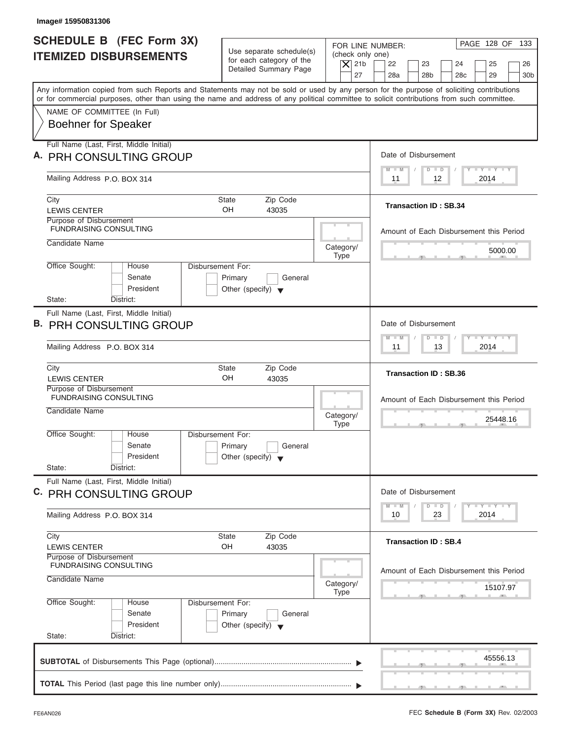| <b>SCHEDULE B (FEC Form 3X)</b><br>PAGE 128 OF 133<br>FOR LINE NUMBER:<br>Use separate schedule(s)<br>(check only one)<br><b>ITEMIZED DISBURSEMENTS</b><br>for each category of the<br>$\overline{X}$ 21b<br>22<br>23<br>24<br>25<br>Detailed Summary Page<br>27<br>28a<br>28 <sub>b</sub><br>28 <sub>c</sub><br>29<br>Any information copied from such Reports and Statements may not be sold or used by any person for the purpose of soliciting contributions<br>or for commercial purposes, other than using the name and address of any political committee to solicit contributions from such committee.<br>NAME OF COMMITTEE (In Full)<br><b>Boehner for Speaker</b><br>Full Name (Last, First, Middle Initial)<br>Date of Disbursement<br>A. PRH CONSULTING GROUP<br>$T - Y = T - Y = T - Y$<br>$M - M$<br>$D$ $D$<br>Mailing Address P.O. BOX 314<br>2014<br>11<br>12<br><b>State</b><br>Zip Code<br>City<br><b>Transaction ID: SB.34</b><br>OH<br><b>LEWIS CENTER</b><br>43035<br>Purpose of Disbursement<br><b>FUNDRAISING CONSULTING</b><br>Amount of Each Disbursement this Period<br>Candidate Name<br>Category/<br>5000.00<br><b>Type</b><br>Office Sought:<br>Disbursement For:<br>House<br>Senate<br>Primary<br>General<br>President<br>Other (specify) $\blacktriangledown$<br>State:<br>District:<br>Full Name (Last, First, Middle Initial)<br>Date of Disbursement<br><b>B. PRH CONSULTING GROUP</b><br>$-1 - Y - 1 - Y - 1 - Y$<br>$M - M$<br>$D$ $D$<br>2014<br>Mailing Address P.O. BOX 314<br>11<br>13<br>Zip Code<br>City<br><b>State</b><br><b>Transaction ID: SB.36</b><br>OH<br><b>LEWIS CENTER</b><br>43035<br>Purpose of Disbursement<br><b>FUNDRAISING CONSULTING</b><br>Amount of Each Disbursement this Period<br>Candidate Name<br>Category/<br>25448.16<br><b>Type</b><br>$-7$<br>Office Sought:<br>House<br>Disbursement For: |
|--------------------------------------------------------------------------------------------------------------------------------------------------------------------------------------------------------------------------------------------------------------------------------------------------------------------------------------------------------------------------------------------------------------------------------------------------------------------------------------------------------------------------------------------------------------------------------------------------------------------------------------------------------------------------------------------------------------------------------------------------------------------------------------------------------------------------------------------------------------------------------------------------------------------------------------------------------------------------------------------------------------------------------------------------------------------------------------------------------------------------------------------------------------------------------------------------------------------------------------------------------------------------------------------------------------------------------------------------------------------------------------------------------------------------------------------------------------------------------------------------------------------------------------------------------------------------------------------------------------------------------------------------------------------------------------------------------------------------------------------------------------------------------------------------------------------------------------------------------------------|
|                                                                                                                                                                                                                                                                                                                                                                                                                                                                                                                                                                                                                                                                                                                                                                                                                                                                                                                                                                                                                                                                                                                                                                                                                                                                                                                                                                                                                                                                                                                                                                                                                                                                                                                                                                                                                                                                    |
|                                                                                                                                                                                                                                                                                                                                                                                                                                                                                                                                                                                                                                                                                                                                                                                                                                                                                                                                                                                                                                                                                                                                                                                                                                                                                                                                                                                                                                                                                                                                                                                                                                                                                                                                                                                                                                                                    |
|                                                                                                                                                                                                                                                                                                                                                                                                                                                                                                                                                                                                                                                                                                                                                                                                                                                                                                                                                                                                                                                                                                                                                                                                                                                                                                                                                                                                                                                                                                                                                                                                                                                                                                                                                                                                                                                                    |
|                                                                                                                                                                                                                                                                                                                                                                                                                                                                                                                                                                                                                                                                                                                                                                                                                                                                                                                                                                                                                                                                                                                                                                                                                                                                                                                                                                                                                                                                                                                                                                                                                                                                                                                                                                                                                                                                    |
|                                                                                                                                                                                                                                                                                                                                                                                                                                                                                                                                                                                                                                                                                                                                                                                                                                                                                                                                                                                                                                                                                                                                                                                                                                                                                                                                                                                                                                                                                                                                                                                                                                                                                                                                                                                                                                                                    |
|                                                                                                                                                                                                                                                                                                                                                                                                                                                                                                                                                                                                                                                                                                                                                                                                                                                                                                                                                                                                                                                                                                                                                                                                                                                                                                                                                                                                                                                                                                                                                                                                                                                                                                                                                                                                                                                                    |
|                                                                                                                                                                                                                                                                                                                                                                                                                                                                                                                                                                                                                                                                                                                                                                                                                                                                                                                                                                                                                                                                                                                                                                                                                                                                                                                                                                                                                                                                                                                                                                                                                                                                                                                                                                                                                                                                    |
|                                                                                                                                                                                                                                                                                                                                                                                                                                                                                                                                                                                                                                                                                                                                                                                                                                                                                                                                                                                                                                                                                                                                                                                                                                                                                                                                                                                                                                                                                                                                                                                                                                                                                                                                                                                                                                                                    |
|                                                                                                                                                                                                                                                                                                                                                                                                                                                                                                                                                                                                                                                                                                                                                                                                                                                                                                                                                                                                                                                                                                                                                                                                                                                                                                                                                                                                                                                                                                                                                                                                                                                                                                                                                                                                                                                                    |
|                                                                                                                                                                                                                                                                                                                                                                                                                                                                                                                                                                                                                                                                                                                                                                                                                                                                                                                                                                                                                                                                                                                                                                                                                                                                                                                                                                                                                                                                                                                                                                                                                                                                                                                                                                                                                                                                    |
|                                                                                                                                                                                                                                                                                                                                                                                                                                                                                                                                                                                                                                                                                                                                                                                                                                                                                                                                                                                                                                                                                                                                                                                                                                                                                                                                                                                                                                                                                                                                                                                                                                                                                                                                                                                                                                                                    |
|                                                                                                                                                                                                                                                                                                                                                                                                                                                                                                                                                                                                                                                                                                                                                                                                                                                                                                                                                                                                                                                                                                                                                                                                                                                                                                                                                                                                                                                                                                                                                                                                                                                                                                                                                                                                                                                                    |
|                                                                                                                                                                                                                                                                                                                                                                                                                                                                                                                                                                                                                                                                                                                                                                                                                                                                                                                                                                                                                                                                                                                                                                                                                                                                                                                                                                                                                                                                                                                                                                                                                                                                                                                                                                                                                                                                    |
|                                                                                                                                                                                                                                                                                                                                                                                                                                                                                                                                                                                                                                                                                                                                                                                                                                                                                                                                                                                                                                                                                                                                                                                                                                                                                                                                                                                                                                                                                                                                                                                                                                                                                                                                                                                                                                                                    |
|                                                                                                                                                                                                                                                                                                                                                                                                                                                                                                                                                                                                                                                                                                                                                                                                                                                                                                                                                                                                                                                                                                                                                                                                                                                                                                                                                                                                                                                                                                                                                                                                                                                                                                                                                                                                                                                                    |
|                                                                                                                                                                                                                                                                                                                                                                                                                                                                                                                                                                                                                                                                                                                                                                                                                                                                                                                                                                                                                                                                                                                                                                                                                                                                                                                                                                                                                                                                                                                                                                                                                                                                                                                                                                                                                                                                    |
|                                                                                                                                                                                                                                                                                                                                                                                                                                                                                                                                                                                                                                                                                                                                                                                                                                                                                                                                                                                                                                                                                                                                                                                                                                                                                                                                                                                                                                                                                                                                                                                                                                                                                                                                                                                                                                                                    |
|                                                                                                                                                                                                                                                                                                                                                                                                                                                                                                                                                                                                                                                                                                                                                                                                                                                                                                                                                                                                                                                                                                                                                                                                                                                                                                                                                                                                                                                                                                                                                                                                                                                                                                                                                                                                                                                                    |
|                                                                                                                                                                                                                                                                                                                                                                                                                                                                                                                                                                                                                                                                                                                                                                                                                                                                                                                                                                                                                                                                                                                                                                                                                                                                                                                                                                                                                                                                                                                                                                                                                                                                                                                                                                                                                                                                    |
|                                                                                                                                                                                                                                                                                                                                                                                                                                                                                                                                                                                                                                                                                                                                                                                                                                                                                                                                                                                                                                                                                                                                                                                                                                                                                                                                                                                                                                                                                                                                                                                                                                                                                                                                                                                                                                                                    |
|                                                                                                                                                                                                                                                                                                                                                                                                                                                                                                                                                                                                                                                                                                                                                                                                                                                                                                                                                                                                                                                                                                                                                                                                                                                                                                                                                                                                                                                                                                                                                                                                                                                                                                                                                                                                                                                                    |
|                                                                                                                                                                                                                                                                                                                                                                                                                                                                                                                                                                                                                                                                                                                                                                                                                                                                                                                                                                                                                                                                                                                                                                                                                                                                                                                                                                                                                                                                                                                                                                                                                                                                                                                                                                                                                                                                    |
|                                                                                                                                                                                                                                                                                                                                                                                                                                                                                                                                                                                                                                                                                                                                                                                                                                                                                                                                                                                                                                                                                                                                                                                                                                                                                                                                                                                                                                                                                                                                                                                                                                                                                                                                                                                                                                                                    |
|                                                                                                                                                                                                                                                                                                                                                                                                                                                                                                                                                                                                                                                                                                                                                                                                                                                                                                                                                                                                                                                                                                                                                                                                                                                                                                                                                                                                                                                                                                                                                                                                                                                                                                                                                                                                                                                                    |
|                                                                                                                                                                                                                                                                                                                                                                                                                                                                                                                                                                                                                                                                                                                                                                                                                                                                                                                                                                                                                                                                                                                                                                                                                                                                                                                                                                                                                                                                                                                                                                                                                                                                                                                                                                                                                                                                    |
| Senate<br>Primary<br>General<br>President<br>Other (specify) $\blacktriangledown$                                                                                                                                                                                                                                                                                                                                                                                                                                                                                                                                                                                                                                                                                                                                                                                                                                                                                                                                                                                                                                                                                                                                                                                                                                                                                                                                                                                                                                                                                                                                                                                                                                                                                                                                                                                  |
| State:<br>District:                                                                                                                                                                                                                                                                                                                                                                                                                                                                                                                                                                                                                                                                                                                                                                                                                                                                                                                                                                                                                                                                                                                                                                                                                                                                                                                                                                                                                                                                                                                                                                                                                                                                                                                                                                                                                                                |
| Full Name (Last, First, Middle Initial)                                                                                                                                                                                                                                                                                                                                                                                                                                                                                                                                                                                                                                                                                                                                                                                                                                                                                                                                                                                                                                                                                                                                                                                                                                                                                                                                                                                                                                                                                                                                                                                                                                                                                                                                                                                                                            |
| Date of Disbursement<br>C. PRH CONSULTING GROUP                                                                                                                                                                                                                                                                                                                                                                                                                                                                                                                                                                                                                                                                                                                                                                                                                                                                                                                                                                                                                                                                                                                                                                                                                                                                                                                                                                                                                                                                                                                                                                                                                                                                                                                                                                                                                    |
| $T - Y = Y - I - Y$<br>$M - M$<br>$\overline{D}$<br>$\Box$<br>2014<br>10<br>23<br>Mailing Address P.O. BOX 314                                                                                                                                                                                                                                                                                                                                                                                                                                                                                                                                                                                                                                                                                                                                                                                                                                                                                                                                                                                                                                                                                                                                                                                                                                                                                                                                                                                                                                                                                                                                                                                                                                                                                                                                                     |
|                                                                                                                                                                                                                                                                                                                                                                                                                                                                                                                                                                                                                                                                                                                                                                                                                                                                                                                                                                                                                                                                                                                                                                                                                                                                                                                                                                                                                                                                                                                                                                                                                                                                                                                                                                                                                                                                    |
| Zip Code<br>City<br><b>State</b><br><b>Transaction ID: SB.4</b>                                                                                                                                                                                                                                                                                                                                                                                                                                                                                                                                                                                                                                                                                                                                                                                                                                                                                                                                                                                                                                                                                                                                                                                                                                                                                                                                                                                                                                                                                                                                                                                                                                                                                                                                                                                                    |
| OH<br>43035<br><b>LEWIS CENTER</b><br>Purpose of Disbursement                                                                                                                                                                                                                                                                                                                                                                                                                                                                                                                                                                                                                                                                                                                                                                                                                                                                                                                                                                                                                                                                                                                                                                                                                                                                                                                                                                                                                                                                                                                                                                                                                                                                                                                                                                                                      |
| <b>FUNDRAISING CONSULTING</b><br>Amount of Each Disbursement this Period                                                                                                                                                                                                                                                                                                                                                                                                                                                                                                                                                                                                                                                                                                                                                                                                                                                                                                                                                                                                                                                                                                                                                                                                                                                                                                                                                                                                                                                                                                                                                                                                                                                                                                                                                                                           |
| Candidate Name<br>Category/<br>15107.97                                                                                                                                                                                                                                                                                                                                                                                                                                                                                                                                                                                                                                                                                                                                                                                                                                                                                                                                                                                                                                                                                                                                                                                                                                                                                                                                                                                                                                                                                                                                                                                                                                                                                                                                                                                                                            |
| <b>Type</b>                                                                                                                                                                                                                                                                                                                                                                                                                                                                                                                                                                                                                                                                                                                                                                                                                                                                                                                                                                                                                                                                                                                                                                                                                                                                                                                                                                                                                                                                                                                                                                                                                                                                                                                                                                                                                                                        |
| Office Sought:<br>Disbursement For:<br>House<br>Senate<br>Primary<br>General                                                                                                                                                                                                                                                                                                                                                                                                                                                                                                                                                                                                                                                                                                                                                                                                                                                                                                                                                                                                                                                                                                                                                                                                                                                                                                                                                                                                                                                                                                                                                                                                                                                                                                                                                                                       |
| President<br>Other (specify) $\blacktriangledown$                                                                                                                                                                                                                                                                                                                                                                                                                                                                                                                                                                                                                                                                                                                                                                                                                                                                                                                                                                                                                                                                                                                                                                                                                                                                                                                                                                                                                                                                                                                                                                                                                                                                                                                                                                                                                  |
| State:<br>District:                                                                                                                                                                                                                                                                                                                                                                                                                                                                                                                                                                                                                                                                                                                                                                                                                                                                                                                                                                                                                                                                                                                                                                                                                                                                                                                                                                                                                                                                                                                                                                                                                                                                                                                                                                                                                                                |
|                                                                                                                                                                                                                                                                                                                                                                                                                                                                                                                                                                                                                                                                                                                                                                                                                                                                                                                                                                                                                                                                                                                                                                                                                                                                                                                                                                                                                                                                                                                                                                                                                                                                                                                                                                                                                                                                    |
| 45556.13                                                                                                                                                                                                                                                                                                                                                                                                                                                                                                                                                                                                                                                                                                                                                                                                                                                                                                                                                                                                                                                                                                                                                                                                                                                                                                                                                                                                                                                                                                                                                                                                                                                                                                                                                                                                                                                           |
|                                                                                                                                                                                                                                                                                                                                                                                                                                                                                                                                                                                                                                                                                                                                                                                                                                                                                                                                                                                                                                                                                                                                                                                                                                                                                                                                                                                                                                                                                                                                                                                                                                                                                                                                                                                                                                                                    |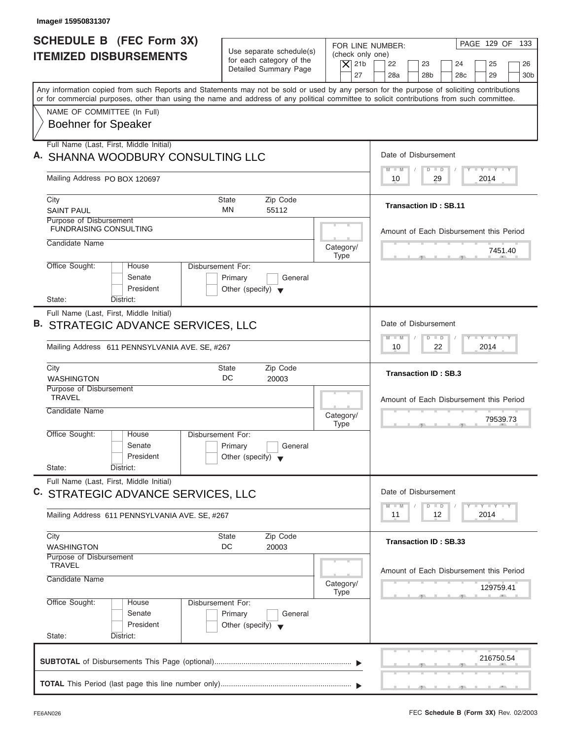| <b>SCHEDULE B (FEC Form 3X)</b><br><b>ITEMIZED DISBURSEMENTS</b>                                                                                                          | Use separate schedule(s)<br>for each category of the       | FOR LINE NUMBER:                       | PAGE 129 OF 133                                                                            |
|---------------------------------------------------------------------------------------------------------------------------------------------------------------------------|------------------------------------------------------------|----------------------------------------|--------------------------------------------------------------------------------------------|
|                                                                                                                                                                           |                                                            |                                        |                                                                                            |
|                                                                                                                                                                           | Detailed Summary Page                                      | (check only one)<br>$\overline{X}$ 21b | 22<br>23<br>24<br>25                                                                       |
| Any information copied from such Reports and Statements may not be sold or used by any person for the purpose of soliciting contributions                                 |                                                            | 27                                     | 28a<br>28 <sub>b</sub><br>28 <sub>c</sub><br>29                                            |
| or for commercial purposes, other than using the name and address of any political committee to solicit contributions from such committee.<br>NAME OF COMMITTEE (In Full) |                                                            |                                        |                                                                                            |
| <b>Boehner for Speaker</b>                                                                                                                                                |                                                            |                                        |                                                                                            |
| Full Name (Last, First, Middle Initial)                                                                                                                                   |                                                            |                                        |                                                                                            |
| A. SHANNA WOODBURY CONSULTING LLC                                                                                                                                         |                                                            |                                        | Date of Disbursement<br><b>LEY-LEY-LEY</b>                                                 |
| Mailing Address PO BOX 120697                                                                                                                                             |                                                            |                                        | $M - M$<br>$D$ $D$<br>29<br>2014<br>10                                                     |
| City                                                                                                                                                                      | Zip Code<br>State                                          |                                        | <b>Transaction ID: SB.11</b>                                                               |
| <b>SAINT PAUL</b><br>Purpose of Disbursement                                                                                                                              | <b>MN</b><br>55112                                         |                                        |                                                                                            |
| <b>FUNDRAISING CONSULTING</b>                                                                                                                                             |                                                            |                                        | Amount of Each Disbursement this Period                                                    |
| Candidate Name                                                                                                                                                            |                                                            | Category/                              | 7451.40                                                                                    |
| Office Sought:                                                                                                                                                            | Disbursement For:                                          | <b>Type</b>                            |                                                                                            |
| House<br>Senate<br>President                                                                                                                                              | Primary<br>General<br>Other (specify) $\blacktriangledown$ |                                        |                                                                                            |
| State:<br>District:                                                                                                                                                       |                                                            |                                        |                                                                                            |
| Full Name (Last, First, Middle Initial)<br>B. STRATEGIC ADVANCE SERVICES, LLC<br>Mailing Address 611 PENNSYLVANIA AVE. SE, #267                                           |                                                            |                                        | Date of Disbursement<br>$-1 - Y - 1 - Y - 1 - Y$<br>$M - M$<br>$D$ $D$<br>2014<br>10<br>22 |
| City                                                                                                                                                                      | Zip Code<br><b>State</b>                                   |                                        |                                                                                            |
| <b>WASHINGTON</b>                                                                                                                                                         | DC<br>20003                                                |                                        | <b>Transaction ID: SB.3</b>                                                                |
| Purpose of Disbursement<br><b>TRAVEL</b>                                                                                                                                  |                                                            |                                        | Amount of Each Disbursement this Period                                                    |
| Candidate Name                                                                                                                                                            |                                                            | Category/                              | 79539.73                                                                                   |
| Office Sought:<br>House                                                                                                                                                   | Disbursement For:                                          | <b>Type</b>                            | $-5$                                                                                       |
| Senate                                                                                                                                                                    | Primary<br>General                                         |                                        |                                                                                            |
| President<br>State:<br>District:                                                                                                                                          | Other (specify) $\blacktriangledown$                       |                                        |                                                                                            |
| Full Name (Last, First, Middle Initial)                                                                                                                                   |                                                            |                                        |                                                                                            |
| C. STRATEGIC ADVANCE SERVICES, LLC                                                                                                                                        |                                                            |                                        | Date of Disbursement                                                                       |
| Mailing Address 611 PENNSYLVANIA AVE. SE, #267                                                                                                                            |                                                            |                                        | $T$ $Y$ $T$ $Y$ $T$ $Y$<br>M<br>$\blacksquare$ M<br>D<br>$\Box$<br>2014<br>11<br>12        |
| City                                                                                                                                                                      | Zip Code<br><b>State</b>                                   |                                        |                                                                                            |
| <b>WASHINGTON</b>                                                                                                                                                         | DC<br>20003                                                |                                        | <b>Transaction ID: SB.33</b>                                                               |
| Purpose of Disbursement<br><b>TRAVEL</b>                                                                                                                                  |                                                            |                                        |                                                                                            |
| Candidate Name                                                                                                                                                            |                                                            | Category/<br><b>Type</b>               | Amount of Each Disbursement this Period<br>129759.41                                       |
| Office Sought:<br>House                                                                                                                                                   | Disbursement For:                                          |                                        |                                                                                            |
|                                                                                                                                                                           | Primary<br>General                                         |                                        |                                                                                            |
| Senate                                                                                                                                                                    |                                                            |                                        |                                                                                            |
| President                                                                                                                                                                 | Other (specify) $\blacktriangledown$                       |                                        |                                                                                            |
| State:<br>District:                                                                                                                                                       |                                                            |                                        |                                                                                            |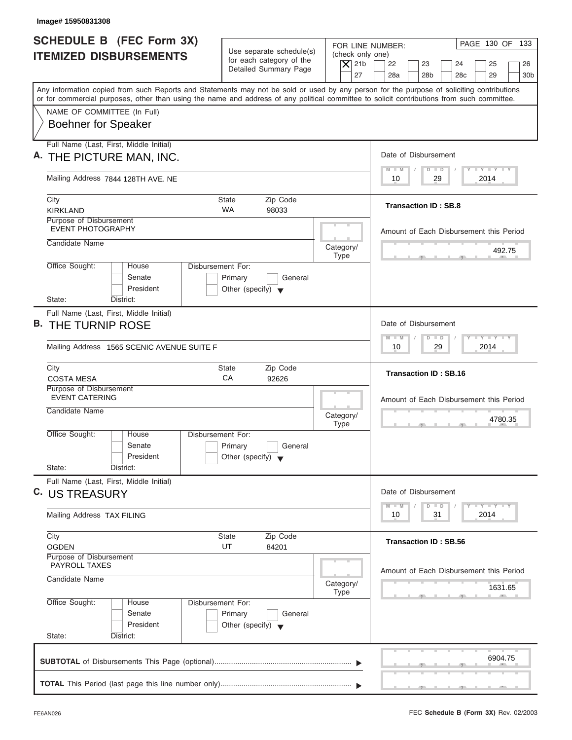| Image# 15950831308                                                                                                                         |                                                                                                                         |                                                                            |
|--------------------------------------------------------------------------------------------------------------------------------------------|-------------------------------------------------------------------------------------------------------------------------|----------------------------------------------------------------------------|
| <b>SCHEDULE B (FEC Form 3X)</b><br><b>ITEMIZED DISBURSEMENTS</b>                                                                           | Use separate schedule(s)<br>(check only one)<br>for each category of the<br>$\overline{X}$ 21b<br>Detailed Summary Page | PAGE 130 OF 133<br>FOR LINE NUMBER:<br>22<br>23<br>24<br>25<br>26          |
| Any information copied from such Reports and Statements may not be sold or used by any person for the purpose of soliciting contributions  | 27                                                                                                                      | 28a<br>28 <sub>b</sub><br>28 <sub>c</sub><br>29<br>30 <sub>b</sub>         |
| or for commercial purposes, other than using the name and address of any political committee to solicit contributions from such committee. |                                                                                                                         |                                                                            |
| NAME OF COMMITTEE (In Full)<br><b>Boehner for Speaker</b>                                                                                  |                                                                                                                         |                                                                            |
| Full Name (Last, First, Middle Initial)                                                                                                    |                                                                                                                         |                                                                            |
| A. THE PICTURE MAN, INC.                                                                                                                   |                                                                                                                         | Date of Disbursement                                                       |
| Mailing Address 7844 128TH AVE. NE                                                                                                         |                                                                                                                         | $T - Y = T - Y = T - Y$<br>$M - M$<br>$D$ $D$<br>29<br>2014<br>10          |
| City                                                                                                                                       | <b>State</b><br>Zip Code                                                                                                |                                                                            |
| <b>KIRKLAND</b>                                                                                                                            | <b>WA</b><br>98033                                                                                                      | <b>Transaction ID: SB.8</b>                                                |
| Purpose of Disbursement<br><b>EVENT PHOTOGRAPHY</b>                                                                                        |                                                                                                                         | Amount of Each Disbursement this Period                                    |
| Candidate Name                                                                                                                             | Category/                                                                                                               |                                                                            |
|                                                                                                                                            | <b>Type</b>                                                                                                             | 492.75                                                                     |
| Office Sought:<br>House<br>Senate<br>President                                                                                             | <b>Disbursement For:</b><br>Primary<br>General<br>Other (specify) $\blacktriangledown$                                  |                                                                            |
| State:<br>District:                                                                                                                        |                                                                                                                         |                                                                            |
| Full Name (Last, First, Middle Initial)<br><b>B. THE TURNIP ROSE</b>                                                                       |                                                                                                                         | Date of Disbursement                                                       |
| Mailing Address 1565 SCENIC AVENUE SUITE F                                                                                                 |                                                                                                                         | $-1 - Y - 1 - Y - 1 - Y$<br>$M - M$<br>$D$ $D$<br>2014<br>10<br>29         |
| City<br><b>COSTA MESA</b>                                                                                                                  | <b>State</b><br>Zip Code<br>СA<br>92626                                                                                 | <b>Transaction ID: SB.16</b>                                               |
| Purpose of Disbursement<br><b>EVENT CATERING</b>                                                                                           |                                                                                                                         | Amount of Each Disbursement this Period                                    |
| Candidate Name                                                                                                                             | Category/<br><b>Type</b>                                                                                                | 4780.35<br>$-7$                                                            |
| Office Sought:<br>House<br>Senate<br>President                                                                                             | Disbursement For:<br>Primary<br>General<br>Other (specify) $\blacktriangledown$                                         |                                                                            |
| State:<br>District:                                                                                                                        |                                                                                                                         |                                                                            |
| Full Name (Last, First, Middle Initial)<br>C. US TREASURY                                                                                  |                                                                                                                         | Date of Disbursement                                                       |
| Mailing Address TAX FILING                                                                                                                 |                                                                                                                         | $T - Y$ $T - Y$<br>$M - M$<br>$\overline{D}$<br>$\Box$<br>2014<br>10<br>31 |
| City                                                                                                                                       | Zip Code<br>State                                                                                                       |                                                                            |
| <b>OGDEN</b>                                                                                                                               | UT<br>84201                                                                                                             | <b>Transaction ID: SB.56</b>                                               |
| Purpose of Disbursement<br><b>PAYROLL TAXES</b>                                                                                            |                                                                                                                         |                                                                            |
| Candidate Name                                                                                                                             | Category/<br><b>Type</b>                                                                                                | Amount of Each Disbursement this Period<br>1631.65                         |
| Office Sought:<br>House<br>Senate<br>President                                                                                             | Disbursement For:<br>Primary<br>General<br>Other (specify) $\blacktriangledown$                                         |                                                                            |
| State:<br>District:                                                                                                                        |                                                                                                                         |                                                                            |
|                                                                                                                                            |                                                                                                                         | 6904.75                                                                    |
|                                                                                                                                            |                                                                                                                         |                                                                            |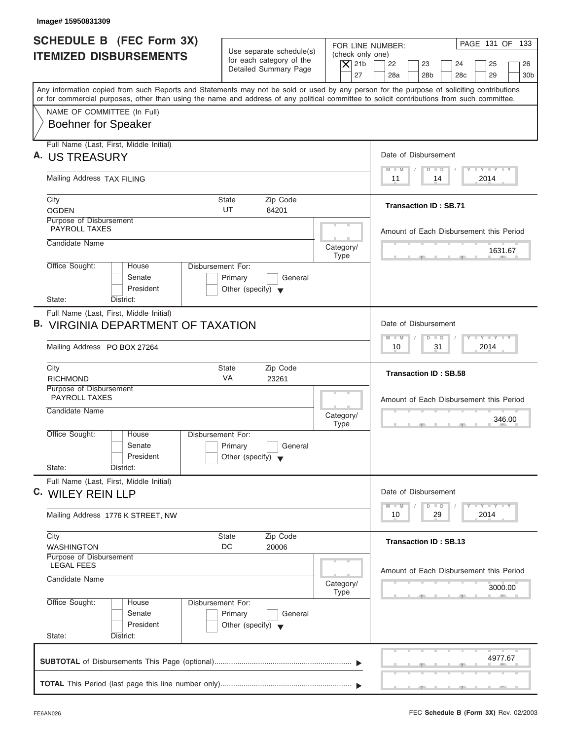| Image# 15950831309                                                                                                                                                                                                                                                                      |                                                                                                                               |                                                                                                                                         |
|-----------------------------------------------------------------------------------------------------------------------------------------------------------------------------------------------------------------------------------------------------------------------------------------|-------------------------------------------------------------------------------------------------------------------------------|-----------------------------------------------------------------------------------------------------------------------------------------|
| <b>SCHEDULE B (FEC Form 3X)</b><br><b>ITEMIZED DISBURSEMENTS</b>                                                                                                                                                                                                                        | Use separate schedule(s)<br>(check only one)<br>for each category of the<br>$\vert$ $\chi$ 21b<br>Detailed Summary Page<br>27 | PAGE 131 OF 133<br>FOR LINE NUMBER:<br>22<br>23<br>24<br>25<br>26<br>28a<br>28 <sub>b</sub><br>28 <sub>c</sub><br>29<br>30 <sub>b</sub> |
| Any information copied from such Reports and Statements may not be sold or used by any person for the purpose of soliciting contributions<br>or for commercial purposes, other than using the name and address of any political committee to solicit contributions from such committee. |                                                                                                                               |                                                                                                                                         |
| NAME OF COMMITTEE (In Full)<br><b>Boehner for Speaker</b>                                                                                                                                                                                                                               |                                                                                                                               |                                                                                                                                         |
| Full Name (Last, First, Middle Initial)<br>A. US TREASURY                                                                                                                                                                                                                               |                                                                                                                               | Date of Disbursement                                                                                                                    |
| Mailing Address TAX FILING                                                                                                                                                                                                                                                              |                                                                                                                               | $T - Y = T - Y = T - Y$<br>$M - M$<br>$D$ $D$<br>2014<br>11<br>14                                                                       |
| City<br><b>OGDEN</b>                                                                                                                                                                                                                                                                    | State<br>Zip Code<br>UT<br>84201                                                                                              | <b>Transaction ID: SB.71</b>                                                                                                            |
| Purpose of Disbursement<br><b>PAYROLL TAXES</b>                                                                                                                                                                                                                                         |                                                                                                                               | Amount of Each Disbursement this Period                                                                                                 |
| Candidate Name                                                                                                                                                                                                                                                                          | Category/<br><b>Type</b>                                                                                                      | 1631.67                                                                                                                                 |
| Office Sought:<br>House<br>Senate<br>President                                                                                                                                                                                                                                          | <b>Disbursement For:</b><br>Primary<br>General<br>Other (specify) $\blacktriangledown$                                        |                                                                                                                                         |
| State:<br>District:<br>Full Name (Last, First, Middle Initial)                                                                                                                                                                                                                          |                                                                                                                               |                                                                                                                                         |
| <b>B. VIRGINIA DEPARTMENT OF TAXATION</b>                                                                                                                                                                                                                                               |                                                                                                                               | Date of Disbursement<br>$-Y - Y - Y - Y$<br>M<br>W<br>$D$ $D$                                                                           |
| Mailing Address PO BOX 27264                                                                                                                                                                                                                                                            |                                                                                                                               | 2014<br>10<br>31                                                                                                                        |
| City<br><b>RICHMOND</b>                                                                                                                                                                                                                                                                 | Zip Code<br><b>State</b><br>VA<br>23261                                                                                       | <b>Transaction ID: SB.58</b>                                                                                                            |
| Purpose of Disbursement<br><b>PAYROLL TAXES</b><br>Candidate Name                                                                                                                                                                                                                       | Category/                                                                                                                     | Amount of Each Disbursement this Period                                                                                                 |
| Office Sought:<br>House                                                                                                                                                                                                                                                                 | <b>Type</b><br>Disbursement For:                                                                                              | 346.00<br>$-7$                                                                                                                          |
| Senate<br>President<br>State:<br>District:                                                                                                                                                                                                                                              | Primary<br>General<br>Other (specify) $\blacktriangledown$                                                                    |                                                                                                                                         |
| Full Name (Last, First, Middle Initial)<br>C. WILEY REIN LLP                                                                                                                                                                                                                            |                                                                                                                               | Date of Disbursement                                                                                                                    |
| Mailing Address 1776 K STREET, NW                                                                                                                                                                                                                                                       |                                                                                                                               | $T - Y$ $T - Y$<br>$M - M$<br>$\overline{D}$<br>$\Box$<br>2014<br>10<br>29                                                              |
| City<br><b>WASHINGTON</b>                                                                                                                                                                                                                                                               | Zip Code<br>State<br>DC<br>20006                                                                                              | <b>Transaction ID: SB.13</b>                                                                                                            |
| Purpose of Disbursement<br><b>LEGAL FEES</b><br>Candidate Name                                                                                                                                                                                                                          | Category/                                                                                                                     | Amount of Each Disbursement this Period<br>3000.00                                                                                      |
| Office Sought:<br>House<br>Senate<br>President<br>State:<br>District:                                                                                                                                                                                                                   | <b>Type</b><br>Disbursement For:<br>Primary<br>General<br>Other (specify) $\blacktriangledown$                                |                                                                                                                                         |
|                                                                                                                                                                                                                                                                                         |                                                                                                                               | 4977.67                                                                                                                                 |
|                                                                                                                                                                                                                                                                                         |                                                                                                                               |                                                                                                                                         |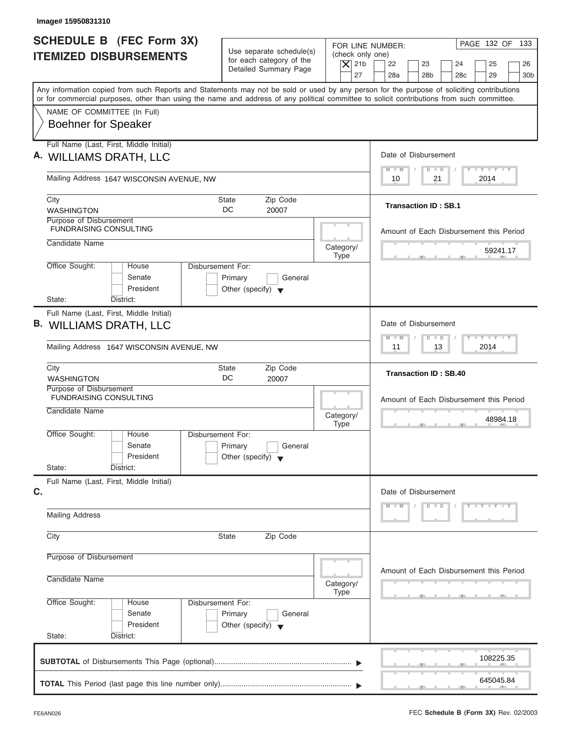| Image# 15950831310                                                                                                                                                                                                                                                                      |                                                      |                                        |                                                                    |
|-----------------------------------------------------------------------------------------------------------------------------------------------------------------------------------------------------------------------------------------------------------------------------------------|------------------------------------------------------|----------------------------------------|--------------------------------------------------------------------|
| <b>SCHEDULE B (FEC Form 3X)</b>                                                                                                                                                                                                                                                         |                                                      |                                        | PAGE 132 OF 133<br>FOR LINE NUMBER:                                |
| <b>ITEMIZED DISBURSEMENTS</b>                                                                                                                                                                                                                                                           | Use separate schedule(s)<br>for each category of the | (check only one)<br>$\vert$ $\chi$ 21b | 22<br>23<br>24<br>25<br>26                                         |
|                                                                                                                                                                                                                                                                                         | Detailed Summary Page                                | 27                                     | 28a<br>28 <sub>b</sub><br>28 <sub>c</sub><br>29<br>30 <sub>b</sub> |
| Any information copied from such Reports and Statements may not be sold or used by any person for the purpose of soliciting contributions<br>or for commercial purposes, other than using the name and address of any political committee to solicit contributions from such committee. |                                                      |                                        |                                                                    |
| NAME OF COMMITTEE (In Full)                                                                                                                                                                                                                                                             |                                                      |                                        |                                                                    |
| <b>Boehner for Speaker</b>                                                                                                                                                                                                                                                              |                                                      |                                        |                                                                    |
| Full Name (Last, First, Middle Initial)                                                                                                                                                                                                                                                 |                                                      |                                        | Date of Disbursement                                               |
| A. WILLIAMS DRATH, LLC                                                                                                                                                                                                                                                                  |                                                      |                                        | $T - Y = T - Y = T - Y$<br>$M - M$<br>$D$ $D$                      |
| Mailing Address 1647 WISCONSIN AVENUE, NW                                                                                                                                                                                                                                               |                                                      |                                        | 2014<br>10<br>21                                                   |
| City                                                                                                                                                                                                                                                                                    | <b>State</b><br>Zip Code                             |                                        | <b>Transaction ID: SB.1</b>                                        |
| <b>WASHINGTON</b><br>Purpose of Disbursement                                                                                                                                                                                                                                            | DC<br>20007                                          |                                        |                                                                    |
| <b>FUNDRAISING CONSULTING</b>                                                                                                                                                                                                                                                           |                                                      |                                        | Amount of Each Disbursement this Period                            |
| Candidate Name                                                                                                                                                                                                                                                                          |                                                      | Category/                              | 59241.17                                                           |
| Office Sought:<br>House                                                                                                                                                                                                                                                                 | Disbursement For:                                    | <b>Type</b>                            |                                                                    |
| Senate                                                                                                                                                                                                                                                                                  | Primary<br>General                                   |                                        |                                                                    |
| President                                                                                                                                                                                                                                                                               | Other (specify) $\blacktriangledown$                 |                                        |                                                                    |
| State:<br>District:<br>Full Name (Last, First, Middle Initial)                                                                                                                                                                                                                          |                                                      |                                        |                                                                    |
| B. WILLIAMS DRATH, LLC                                                                                                                                                                                                                                                                  |                                                      |                                        | Date of Disbursement                                               |
|                                                                                                                                                                                                                                                                                         |                                                      |                                        | <b>LEYTEY LEY</b><br>$M - M$<br>$D$ $D$                            |
| Mailing Address 1647 WISCONSIN AVENUE, NW                                                                                                                                                                                                                                               |                                                      |                                        | 2014<br>11<br>13                                                   |
| City<br><b>WASHINGTON</b>                                                                                                                                                                                                                                                               | Zip Code<br><b>State</b><br>DC<br>20007              |                                        | <b>Transaction ID: SB.40</b>                                       |
| Purpose of Disbursement<br><b>FUNDRAISING CONSULTING</b>                                                                                                                                                                                                                                |                                                      |                                        | Amount of Each Disbursement this Period                            |
| Candidate Name                                                                                                                                                                                                                                                                          |                                                      |                                        |                                                                    |
|                                                                                                                                                                                                                                                                                         |                                                      | Category/<br><b>Type</b>               | 48984.18<br>$\sim$                                                 |
| Office Sought:<br>House<br>Senate                                                                                                                                                                                                                                                       | Disbursement For:<br>Primary<br>General              |                                        |                                                                    |
| President                                                                                                                                                                                                                                                                               | Other (specify) $\blacktriangledown$                 |                                        |                                                                    |
| State:<br>District:                                                                                                                                                                                                                                                                     |                                                      |                                        |                                                                    |
| Full Name (Last, First, Middle Initial)<br>C.                                                                                                                                                                                                                                           |                                                      |                                        | Date of Disbursement                                               |
|                                                                                                                                                                                                                                                                                         |                                                      |                                        | $D$ $D$<br>$Y - Y - Y - Y - Y$<br>$M - M$                          |
| <b>Mailing Address</b>                                                                                                                                                                                                                                                                  |                                                      |                                        |                                                                    |
| City                                                                                                                                                                                                                                                                                    | Zip Code<br><b>State</b>                             |                                        |                                                                    |
| Purpose of Disbursement                                                                                                                                                                                                                                                                 |                                                      |                                        |                                                                    |
| Candidate Name                                                                                                                                                                                                                                                                          |                                                      |                                        | Amount of Each Disbursement this Period                            |
|                                                                                                                                                                                                                                                                                         |                                                      | Category/<br><b>Type</b>               |                                                                    |
| Office Sought:<br>House                                                                                                                                                                                                                                                                 | Disbursement For:                                    |                                        |                                                                    |
| Senate<br>President                                                                                                                                                                                                                                                                     | Primary<br>General                                   |                                        |                                                                    |
| State:<br>District:                                                                                                                                                                                                                                                                     | Other (specify) $\blacktriangledown$                 |                                        |                                                                    |
|                                                                                                                                                                                                                                                                                         |                                                      |                                        |                                                                    |
|                                                                                                                                                                                                                                                                                         |                                                      |                                        | 108225.35                                                          |
|                                                                                                                                                                                                                                                                                         |                                                      |                                        |                                                                    |